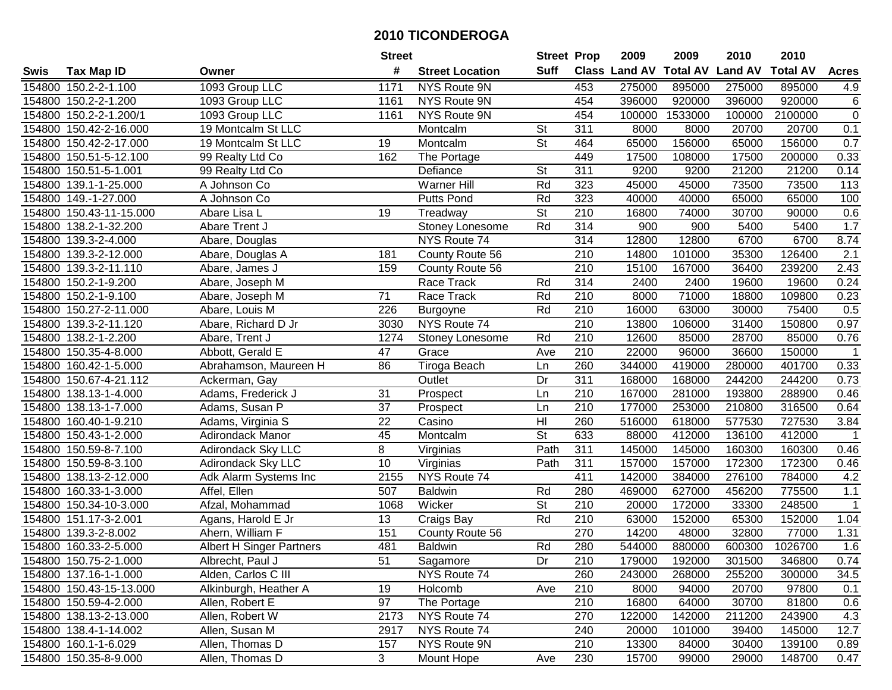|        |                         |                                 | <b>Street</b>   |                        | <b>Street Prop</b>       |                  | 2009                          | 2009    | 2010           | 2010            |                  |
|--------|-------------------------|---------------------------------|-----------------|------------------------|--------------------------|------------------|-------------------------------|---------|----------------|-----------------|------------------|
| Swis   | <b>Tax Map ID</b>       | Owner                           | #               | <b>Street Location</b> | <b>Suff</b>              |                  | <b>Class Land AV Total AV</b> |         | <b>Land AV</b> | <b>Total AV</b> | <b>Acres</b>     |
|        | 154800 150.2-2-1.100    | 1093 Group LLC                  | 1171            | NYS Route 9N           |                          | 453              | 275000                        | 895000  | 275000         | 895000          | 4.9              |
|        | 154800 150.2-2-1.200    | 1093 Group LLC                  | 1161            | NYS Route 9N           |                          | 454              | 396000                        | 920000  | 396000         | 920000          | $\,6$            |
|        | 154800 150.2-2-1.200/1  | 1093 Group LLC                  | 1161            | NYS Route 9N           |                          | 454              | 100000                        | 1533000 | 100000         | 2100000         | $\overline{0}$   |
|        | 154800 150.42-2-16.000  | 19 Montcalm St LLC              |                 | Montcalm               | <b>St</b>                | 311              | 8000                          | 8000    | 20700          | 20700           | 0.1              |
|        | 154800 150.42-2-17.000  | 19 Montcalm St LLC              | 19              | Montcalm               | $\overline{\mathsf{St}}$ | 464              | 65000                         | 156000  | 65000          | 156000          | 0.7              |
|        | 154800 150.51-5-12.100  | 99 Realty Ltd Co                | 162             | The Portage            |                          | 449              | 17500                         | 108000  | 17500          | 200000          | 0.33             |
|        | 154800 150.51-5-1.001   | 99 Realty Ltd Co                |                 | Defiance               | <b>St</b>                | 311              | 9200                          | 9200    | 21200          | 21200           | 0.14             |
| 154800 | 139.1-1-25.000          | A Johnson Co                    |                 | Warner Hill            | Rd                       | 323              | 45000                         | 45000   | 73500          | 73500           | 113              |
|        | 154800 149.-1-27.000    | A Johnson Co                    |                 | <b>Putts Pond</b>      | Rd                       | 323              | 40000                         | 40000   | 65000          | 65000           | 100              |
|        | 154800 150.43-11-15.000 | Abare Lisa L                    | 19              | Treadway               | $\overline{\mathsf{St}}$ | 210              | 16800                         | 74000   | 30700          | 90000           | 0.6              |
|        | 154800 138.2-1-32.200   | Abare Trent J                   |                 | Stoney Lonesome        | Rd                       | 314              | 900                           | 900     | 5400           | 5400            | 1.7              |
|        | 154800 139.3-2-4.000    | Abare, Douglas                  |                 | NYS Route 74           |                          | 314              | 12800                         | 12800   | 6700           | 6700            | 8.74             |
|        | 154800 139.3-2-12.000   | Abare, Douglas A                | 181             | County Route 56        |                          | 210              | 14800                         | 101000  | 35300          | 126400          | $\overline{2.1}$ |
|        | 154800 139.3-2-11.110   | Abare, James J                  | 159             | County Route 56        |                          | $\overline{210}$ | 15100                         | 167000  | 36400          | 239200          | 2.43             |
|        | 154800 150.2-1-9.200    | Abare, Joseph M                 |                 | Race Track             | Rd                       | 314              | 2400                          | 2400    | 19600          | 19600           | 0.24             |
|        | 154800 150.2-1-9.100    | Abare, Joseph M                 | $\overline{71}$ | Race Track             | Rd                       | 210              | 8000                          | 71000   | 18800          | 109800          | 0.23             |
|        | 154800 150.27-2-11.000  | Abare, Louis M                  | 226             | Burgoyne               | Rd                       | $\overline{210}$ | 16000                         | 63000   | 30000          | 75400           | 0.5              |
|        | 154800 139.3-2-11.120   | Abare, Richard D Jr             | 3030            | NYS Route 74           |                          | $\overline{210}$ | 13800                         | 106000  | 31400          | 150800          | 0.97             |
|        | 154800 138.2-1-2.200    | Abare, Trent J                  | 1274            | Stoney Lonesome        | Rd                       | $\overline{210}$ | 12600                         | 85000   | 28700          | 85000           | 0.76             |
|        | 154800 150.35-4-8.000   | Abbott, Gerald E                | 47              | Grace                  | Ave                      | 210              | 22000                         | 96000   | 36600          | 150000          | $\mathbf 1$      |
|        | 154800 160.42-1-5.000   | Abrahamson, Maureen H           | 86              | Tiroga Beach           | Ln                       | 260              | 344000                        | 419000  | 280000         | 401700          | 0.33             |
|        | 154800 150.67-4-21.112  | Ackerman, Gay                   |                 | Outlet                 | Dr                       | 311              | 168000                        | 168000  | 244200         | 244200          | 0.73             |
|        | 154800 138.13-1-4.000   | Adams, Frederick J              | 31              | Prospect               | Ln                       | 210              | 167000                        | 281000  | 193800         | 288900          | 0.46             |
| 154800 | 138.13-1-7.000          | Adams, Susan P                  | 37              | Prospect               | Ln                       | 210              | 177000                        | 253000  | 210800         | 316500          | 0.64             |
| 154800 | 160.40-1-9.210          | Adams, Virginia S               | 22              | Casino                 | H <sub>l</sub>           | 260              | 516000                        | 618000  | 577530         | 727530          | 3.84             |
|        | 154800 150.43-1-2.000   | Adirondack Manor                | 45              | Montcalm               | $\overline{\mathsf{St}}$ | 633              | 88000                         | 412000  | 136100         | 412000          | $\mathbf 1$      |
|        | 154800 150.59-8-7.100   | Adirondack Sky LLC              | 8               | Virginias              | Path                     | 311              | 145000                        | 145000  | 160300         | 160300          | 0.46             |
|        | 154800 150.59-8-3.100   | Adirondack Sky LLC              | $\overline{10}$ | Virginias              | Path                     | 311              | 157000                        | 157000  | 172300         | 172300          | 0.46             |
|        | 154800 138.13-2-12.000  | Adk Alarm Systems Inc           | 2155            | NYS Route 74           |                          | 411              | 142000                        | 384000  | 276100         | 784000          | 4.2              |
|        | 154800 160.33-1-3.000   | Affel, Ellen                    | 507             | <b>Baldwin</b>         | Rd                       | 280              | 469000                        | 627000  | 456200         | 775500          | 1.1              |
|        | 154800 150.34-10-3.000  | Afzal, Mohammad                 | 1068            | Wicker                 | $\overline{\mathsf{St}}$ | 210              | 20000                         | 172000  | 33300          | 248500          | $\mathbf{1}$     |
|        | 154800 151.17-3-2.001   | Agans, Harold E Jr              | 13              | Craigs Bay             | Rd                       | 210              | 63000                         | 152000  | 65300          | 152000          | 1.04             |
|        | 154800 139.3-2-8.002    | Ahern, William F                | 151             | County Route 56        |                          | 270              | 14200                         | 48000   | 32800          | 77000           | 1.31             |
|        | 154800 160.33-2-5.000   | <b>Albert H Singer Partners</b> | 481             | <b>Baldwin</b>         | Rd                       | 280              | 544000                        | 880000  | 600300         | 1026700         | 1.6              |
|        | 154800 150.75-2-1.000   | Albrecht, Paul J                | 51              | Sagamore               | Dr                       | 210              | 179000                        | 192000  | 301500         | 346800          | 0.74             |
|        | 154800 137.16-1-1.000   | Alden, Carlos C III             |                 | NYS Route 74           |                          | 260              | 243000                        | 268000  | 255200         | 300000          | 34.5             |
|        | 154800 150.43-15-13.000 | Alkinburgh, Heather A           | 19              | Holcomb                | Ave                      | 210              | 8000                          | 94000   | 20700          | 97800           | 0.1              |
|        | 154800 150.59-4-2.000   | Allen, Robert E                 | 97              | The Portage            |                          | 210              | 16800                         | 64000   | 30700          | 81800           | 0.6              |
|        | 154800 138.13-2-13.000  | Allen, Robert W                 | 2173            | NYS Route 74           |                          | 270              | 122000                        | 142000  | 211200         | 243900          | 4.3              |
|        | 154800 138.4-1-14.002   | Allen, Susan M                  | 2917            | NYS Route 74           |                          | 240              | 20000                         | 101000  | 39400          | 145000          | 12.7             |
|        | 154800 160.1-1-6.029    | Allen, Thomas D                 | 157             | NYS Route 9N           |                          | 210              | 13300                         | 84000   | 30400          | 139100          | 0.89             |
|        | 154800 150.35-8-9.000   | Allen, Thomas D                 | $\overline{3}$  | Mount Hope             | Ave                      | 230              | 15700                         | 99000   | 29000          | 148700          | 0.47             |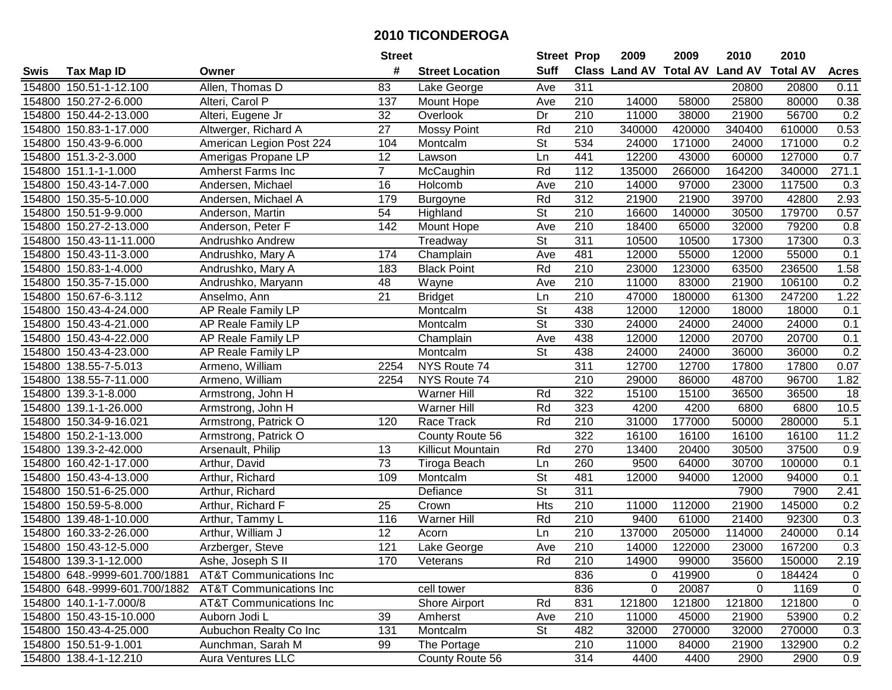|        |                               |                                    | <b>Street</b>   |                          | <b>Street Prop</b>       |                  | 2009                           | 2009   | 2010   | 2010            |                  |
|--------|-------------------------------|------------------------------------|-----------------|--------------------------|--------------------------|------------------|--------------------------------|--------|--------|-----------------|------------------|
| Swis   | <b>Tax Map ID</b>             | Owner                              | #               | <b>Street Location</b>   | <b>Suff</b>              |                  | Class Land AV Total AV Land AV |        |        | <b>Total AV</b> | <b>Acres</b>     |
|        | 154800 150.51-1-12.100        | Allen, Thomas D                    | 83              | Lake George              | Ave                      | 311              |                                |        | 20800  | 20800           | 0.11             |
|        | 154800 150.27-2-6.000         | Alteri, Carol P                    | 137             | Mount Hope               | Ave                      | 210              | 14000                          | 58000  | 25800  | 80000           | 0.38             |
|        | 154800 150.44-2-13.000        | Alteri, Eugene Jr                  | 32              | Overlook                 | Dr                       | 210              | 11000                          | 38000  | 21900  | 56700           | 0.2              |
|        | 154800 150.83-1-17.000        | Altwerger, Richard A               | 27              | <b>Mossy Point</b>       | Rd                       | 210              | 340000                         | 420000 | 340400 | 610000          | 0.53             |
|        | 154800 150.43-9-6.000         | American Legion Post 224           | 104             | Montcalm                 | <b>St</b>                | 534              | 24000                          | 171000 | 24000  | 171000          | 0.2              |
|        | 154800 151.3-2-3.000          | Amerigas Propane LP                | $\overline{12}$ | Lawson                   | Ln                       | 441              | 12200                          | 43000  | 60000  | 127000          | 0.7              |
|        | 154800 151.1-1-1.000          | <b>Amherst Farms Inc</b>           | $\overline{7}$  | McCaughin                | Rd                       | 112              | 135000                         | 266000 | 164200 | 340000          | 271.1            |
|        | 154800 150.43-14-7.000        | Andersen, Michael                  | 16              | Holcomb                  | Ave                      | $\overline{210}$ | 14000                          | 97000  | 23000  | 117500          | $\overline{0.3}$ |
|        | 154800 150.35-5-10.000        | Andersen, Michael A                | 179             | Burgoyne                 | Rd                       | 312              | 21900                          | 21900  | 39700  | 42800           | 2.93             |
|        | 154800 150.51-9-9.000         | Anderson, Martin                   | 54              | Highland                 | $\overline{\mathsf{St}}$ | 210              | 16600                          | 140000 | 30500  | 179700          | 0.57             |
|        | 154800 150.27-2-13.000        | Anderson, Peter F                  | 142             | Mount Hope               | Ave                      | 210              | 18400                          | 65000  | 32000  | 79200           | 0.8              |
|        | 154800 150.43-11-11.000       | Andrushko Andrew                   |                 | Treadway                 | St                       | 311              | 10500                          | 10500  | 17300  | 17300           | 0.3              |
|        | 154800 150.43-11-3.000        | Andrushko, Mary A                  | 174             | Champlain                | Ave                      | 481              | 12000                          | 55000  | 12000  | 55000           | 0.1              |
|        | 154800 150.83-1-4.000         | Andrushko, Mary A                  | 183             | <b>Black Point</b>       | Rd                       | 210              | 23000                          | 123000 | 63500  | 236500          | 1.58             |
|        | 154800 150.35-7-15.000        | Andrushko, Maryann                 | 48              | Wayne                    | Ave                      | 210              | 11000                          | 83000  | 21900  | 106100          | 0.2              |
|        | 154800 150.67-6-3.112         | Anselmo, Ann                       | 21              | <b>Bridget</b>           | Ln                       | 210              | 47000                          | 180000 | 61300  | 247200          | 1.22             |
|        | 154800 150.43-4-24.000        | AP Reale Family LP                 |                 | Montcalm                 | $\overline{\mathsf{St}}$ | 438              | 12000                          | 12000  | 18000  | 18000           | 0.1              |
|        | 154800 150.43-4-21.000        | AP Reale Family LP                 |                 | Montcalm                 | $\overline{St}$          | 330              | 24000                          | 24000  | 24000  | 24000           | 0.1              |
|        | 154800 150.43-4-22.000        | AP Reale Family LP                 |                 | Champlain                | Ave                      | 438              | 12000                          | 12000  | 20700  | 20700           | 0.1              |
|        | 154800 150.43-4-23.000        | AP Reale Family LP                 |                 | Montcalm                 | <b>St</b>                | 438              | 24000                          | 24000  | 36000  | 36000           | 0.2              |
|        | 154800 138.55-7-5.013         | Armeno, William                    | 2254            | NYS Route 74             |                          | $\overline{311}$ | 12700                          | 12700  | 17800  | 17800           | 0.07             |
|        | 154800 138.55-7-11.000        | Armeno, William                    | 2254            | NYS Route 74             |                          | 210              | 29000                          | 86000  | 48700  | 96700           | 1.82             |
| 154800 | 139.3-1-8.000                 | Armstrong, John H                  |                 | <b>Warner Hill</b>       | Rd                       | 322              | 15100                          | 15100  | 36500  | 36500           | 18               |
| 154800 | 139.1-1-26.000                | Armstrong, John H                  |                 | <b>Warner Hill</b>       | Rd                       | 323              | 4200                           | 4200   | 6800   | 6800            | 10.5             |
|        | 154800 150.34-9-16.021        | Armstrong, Patrick O               | 120             | Race Track               | Rd                       | $\overline{210}$ | 31000                          | 177000 | 50000  | 280000          | 5.1              |
|        | 154800 150.2-1-13.000         | Armstrong, Patrick O               |                 | County Route 56          |                          | 322              | 16100                          | 16100  | 16100  | 16100           | 11.2             |
|        | 154800 139.3-2-42.000         | Arsenault, Philip                  | 13              | <b>Killicut Mountain</b> | Rd                       | 270              | 13400                          | 20400  | 30500  | 37500           | 0.9              |
|        | 154800 160.42-1-17.000        | Arthur, David                      | 73              | Tiroga Beach             | Ln                       | 260              | 9500                           | 64000  | 30700  | 100000          | 0.1              |
|        | 154800 150.43-4-13.000        | Arthur, Richard                    | 109             | Montcalm                 | $\overline{\mathsf{St}}$ | 481              | 12000                          | 94000  | 12000  | 94000           | 0.1              |
|        | 154800 150.51-6-25.000        | Arthur, Richard                    |                 | Defiance                 | $\overline{\mathsf{St}}$ | 311              |                                |        | 7900   | 7900            | 2.41             |
|        | 154800 150.59-5-8.000         | Arthur, Richard F                  | $\overline{25}$ | Crown                    | <b>Hts</b>               | $\overline{210}$ | 11000                          | 112000 | 21900  | 145000          | 0.2              |
|        | 154800 139.48-1-10.000        | Arthur, Tammy L                    | 116             | Warner Hill              | Rd                       | 210              | 9400                           | 61000  | 21400  | 92300           | 0.3              |
|        | 154800 160.33-2-26.000        | Arthur, William J                  | $\overline{12}$ | Acorn                    | Ln                       | $\overline{210}$ | 137000                         | 205000 | 114000 | 240000          | 0.14             |
|        | 154800 150.43-12-5.000        | Arzberger, Steve                   | 121             | Lake George              | Ave                      | $\overline{210}$ | 14000                          | 122000 | 23000  | 167200          | 0.3              |
|        | 154800 139.3-1-12.000         | Ashe, Joseph S II                  | 170             | Veterans                 | Rd                       | 210              | 14900                          | 99000  | 35600  | 150000          | 2.19             |
|        | 154800 648.-9999-601.700/1881 | <b>AT&amp;T Communications Inc</b> |                 |                          |                          | 836              | 0                              | 419900 | 0      | 184424          | $\mathbf 0$      |
|        | 154800 648.-9999-601.700/1882 | <b>AT&amp;T Communications Inc</b> |                 | cell tower               |                          | 836              | 0                              | 20087  | 0      | 1169            | $\mathbf 0$      |
|        | 154800 140.1-1-7.000/8        | <b>AT&amp;T Communications Inc</b> |                 | Shore Airport            | Rd                       | 831              | 121800                         | 121800 | 121800 | 121800          | $\mathbf 0$      |
|        | 154800 150.43-15-10.000       | Auborn Jodi L                      | 39              | Amherst                  | Ave                      | 210              | 11000                          | 45000  | 21900  | 53900           | 0.2              |
|        | 154800 150.43-4-25.000        | Aubuchon Realty Co Inc             | 131             | Montcalm                 | <b>St</b>                | 482              | 32000                          | 270000 | 32000  | 270000          | 0.3              |
|        | 154800 150.51-9-1.001         | Aunchman, Sarah M                  | 99              | The Portage              |                          | 210              | 11000                          | 84000  | 21900  | 132900          | 0.2              |
|        | 154800 138.4-1-12.210         | <b>Aura Ventures LLC</b>           |                 | County Route 56          |                          | 314              | 4400                           | 4400   | 2900   | 2900            | 0.9              |
|        |                               |                                    |                 |                          |                          |                  |                                |        |        |                 |                  |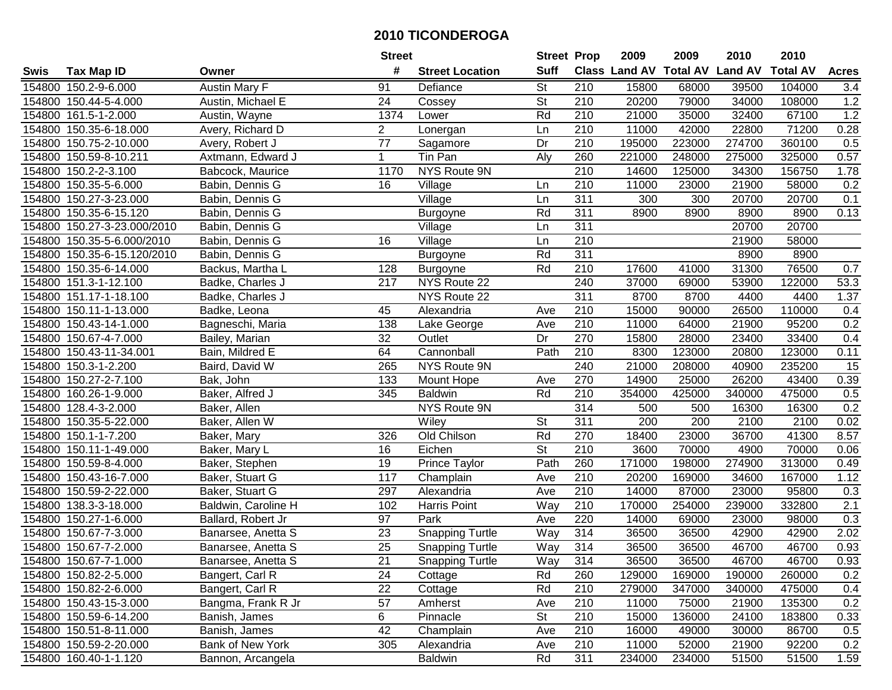|      |                             |                      | <b>Street</b>   |                        | <b>Street Prop</b>       |                  | 2009                          | 2009   | 2010           | 2010            |                 |
|------|-----------------------------|----------------------|-----------------|------------------------|--------------------------|------------------|-------------------------------|--------|----------------|-----------------|-----------------|
| Swis | <b>Tax Map ID</b>           | Owner                | #               | <b>Street Location</b> | <b>Suff</b>              |                  | <b>Class Land AV Total AV</b> |        | <b>Land AV</b> | <b>Total AV</b> | <b>Acres</b>    |
|      | 154800 150.2-9-6.000        | <b>Austin Mary F</b> | 91              | Defiance               | <b>St</b>                | 210              | 15800                         | 68000  | 39500          | 104000          | 3.4             |
|      | 154800 150.44-5-4.000       | Austin, Michael E    | 24              | Cossey                 | St                       | 210              | 20200                         | 79000  | 34000          | 108000          | 1.2             |
|      | 154800 161.5-1-2.000        | Austin, Wayne        | 1374            | Lower                  | Rd                       | 210              | 21000                         | 35000  | 32400          | 67100           | 1.2             |
|      | 154800 150.35-6-18.000      | Avery, Richard D     | $\overline{2}$  | Lonergan               | Ln                       | 210              | 11000                         | 42000  | 22800          | 71200           | 0.28            |
|      | 154800 150.75-2-10.000      | Avery, Robert J      | $\overline{77}$ | Sagamore               | Dr                       | 210              | 195000                        | 223000 | 274700         | 360100          | 0.5             |
|      | 154800 150.59-8-10.211      | Axtmann, Edward J    | $\mathbf 1$     | Tin Pan                | Aly                      | 260              | 221000                        | 248000 | 275000         | 325000          | 0.57            |
|      | 154800 150.2-2-3.100        | Babcock, Maurice     | 1170            | NYS Route 9N           |                          | 210              | 14600                         | 125000 | 34300          | 156750          | 1.78            |
|      | 154800 150.35-5-6.000       | Babin, Dennis G      | 16              | Village                | Ln                       | $\overline{210}$ | 11000                         | 23000  | 21900          | 58000           | 0.2             |
|      | 154800 150.27-3-23.000      | Babin, Dennis G      |                 | Village                | Ln                       | 311              | 300                           | 300    | 20700          | 20700           | 0.1             |
|      | 154800 150.35-6-15.120      | Babin, Dennis G      |                 | Burgoyne               | Rd                       | 311              | 8900                          | 8900   | 8900           | 8900            | 0.13            |
|      | 154800 150.27-3-23.000/2010 | Babin, Dennis G      |                 | Village                | Ln                       | 311              |                               |        | 20700          | 20700           |                 |
|      | 154800 150.35-5-6.000/2010  | Babin, Dennis G      | 16              | Village                | Ln                       | 210              |                               |        | 21900          | 58000           |                 |
|      | 154800 150.35-6-15.120/2010 | Babin, Dennis G      |                 | Burgoyne               | Rd                       | $\overline{311}$ |                               |        | 8900           | 8900            |                 |
|      | 154800 150.35-6-14.000      | Backus, Martha L     | 128             | <b>Burgoyne</b>        | Rd                       | 210              | 17600                         | 41000  | 31300          | 76500           | 0.7             |
|      | 154800 151.3-1-12.100       | Badke, Charles J     | 217             | NYS Route 22           |                          | 240              | 37000                         | 69000  | 53900          | 122000          | 53.3            |
|      | 154800 151.17-1-18.100      | Badke, Charles J     |                 | NYS Route 22           |                          | 311              | 8700                          | 8700   | 4400           | 4400            | 1.37            |
|      | 154800 150.11-1-13.000      | Badke, Leona         | 45              | Alexandria             | Ave                      | 210              | 15000                         | 90000  | 26500          | 110000          | 0.4             |
|      | 154800 150.43-14-1.000      | Bagneschi, Maria     | 138             | Lake George            | Ave                      | 210              | 11000                         | 64000  | 21900          | 95200           | 0.2             |
|      | 154800 150.67-4-7.000       | Bailey, Marian       | 32              | Outlet                 | Dr                       | 270              | 15800                         | 28000  | 23400          | 33400           | 0.4             |
|      | 154800 150.43-11-34.001     | Bain, Mildred E      | 64              | Cannonball             | Path                     | 210              | 8300                          | 123000 | 20800          | 123000          | 0.11            |
|      | 154800 150.3-1-2.200        | Baird, David W       | 265             | NYS Route 9N           |                          | 240              | 21000                         | 208000 | 40900          | 235200          | $\overline{15}$ |
|      | 154800 150.27-2-7.100       | Bak, John            | 133             | Mount Hope             | Ave                      | 270              | 14900                         | 25000  | 26200          | 43400           | 0.39            |
|      | 154800 160.26-1-9.000       | Baker, Alfred J      | 345             | <b>Baldwin</b>         | Rd                       | 210              | 354000                        | 425000 | 340000         | 475000          | 0.5             |
|      | 154800 128.4-3-2.000        | Baker, Allen         |                 | NYS Route 9N           |                          | 314              | 500                           | 500    | 16300          | 16300           | 0.2             |
|      | 154800 150.35-5-22.000      | Baker, Allen W       |                 | Wiley                  | $\overline{\mathsf{St}}$ | 311              | 200                           | 200    | 2100           | 2100            | 0.02            |
|      | 154800 150.1-1-7.200        | Baker, Mary          | 326             | Old Chilson            | Rd                       | 270              | 18400                         | 23000  | 36700          | 41300           | 8.57            |
|      | 154800 150.11-1-49.000      | Baker, Mary L        | 16              | Eichen                 | $\overline{\mathsf{St}}$ | 210              | 3600                          | 70000  | 4900           | 70000           | 0.06            |
|      | 154800 150.59-8-4.000       | Baker, Stephen       | 19              | Prince Taylor          | Path                     | 260              | 171000                        | 198000 | 274900         | 313000          | 0.49            |
|      | 154800 150.43-16-7.000      | Baker, Stuart G      | 117             | Champlain              | Ave                      | 210              | 20200                         | 169000 | 34600          | 167000          | 1.12            |
|      | 154800 150.59-2-22.000      | Baker, Stuart G      | 297             | Alexandria             | Ave                      | 210              | 14000                         | 87000  | 23000          | 95800           | 0.3             |
|      | 154800 138.3-3-18.000       | Baldwin, Caroline H  | 102             | <b>Harris Point</b>    | Way                      | 210              | 170000                        | 254000 | 239000         | 332800          | 2.1             |
|      | 154800 150.27-1-6.000       | Ballard, Robert Jr   | 97              | Park                   | Ave                      | 220              | 14000                         | 69000  | 23000          | 98000           | 0.3             |
|      | 154800 150.67-7-3.000       | Banarsee, Anetta S   | 23              | <b>Snapping Turtle</b> | Way                      | 314              | 36500                         | 36500  | 42900          | 42900           | 2.02            |
|      | 154800 150.67-7-2.000       | Banarsee, Anetta S   | $\overline{25}$ | <b>Snapping Turtle</b> | Way                      | 314              | 36500                         | 36500  | 46700          | 46700           | 0.93            |
|      | 154800 150.67-7-1.000       | Banarsee, Anetta S   | 21              | <b>Snapping Turtle</b> | Way                      | 314              | 36500                         | 36500  | 46700          | 46700           | 0.93            |
|      | 154800 150.82-2-5.000       | Bangert, Carl R      | 24              | Cottage                | Rd                       | 260              | 129000                        | 169000 | 190000         | 260000          | 0.2             |
|      | 154800 150.82-2-6.000       | Bangert, Carl R      | 22              | Cottage                | Rd                       | 210              | 279000                        | 347000 | 340000         | 475000          | 0.4             |
|      | 154800 150.43-15-3.000      | Bangma, Frank R Jr   | 57              | Amherst                | Ave                      | 210              | 11000                         | 75000  | 21900          | 135300          | 0.2             |
|      | 154800 150.59-6-14.200      | Banish, James        | 6               | Pinnacle               | <b>St</b>                | 210              | 15000                         | 136000 | 24100          | 183800          | 0.33            |
|      | 154800 150.51-8-11.000      | Banish, James        | 42              | Champlain              | Ave                      | 210              | 16000                         | 49000  | 30000          | 86700           | 0.5             |
|      | 154800 150.59-2-20.000      | Bank of New York     | 305             | Alexandria             | Ave                      | 210              | 11000                         | 52000  | 21900          | 92200           | 0.2             |
|      | 154800 160.40-1-1.120       | Bannon, Arcangela    |                 | <b>Baldwin</b>         | Rd                       | 311              | 234000                        | 234000 | 51500          | 51500           | 1.59            |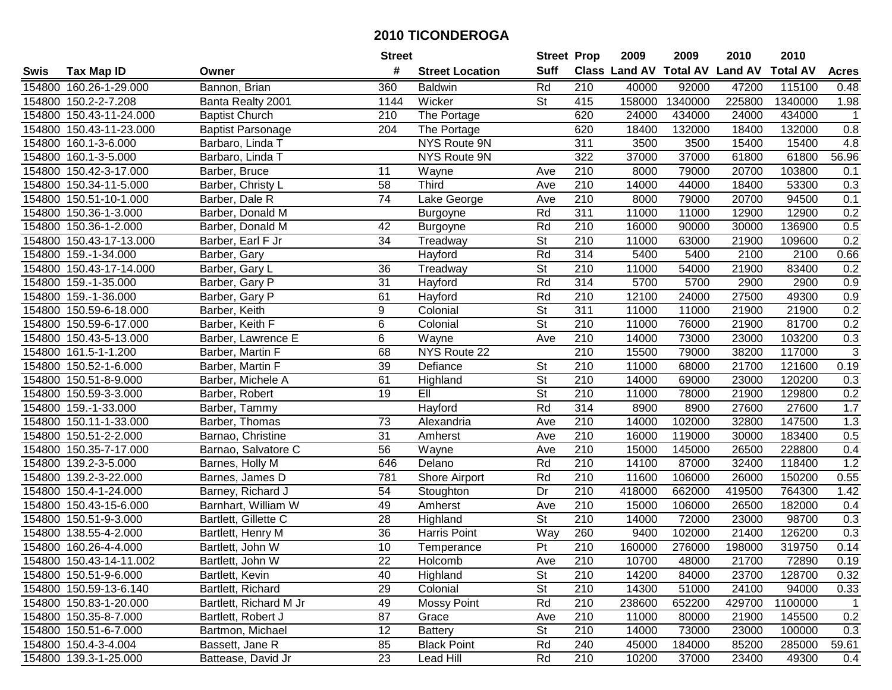|        |                         |                          | <b>Street</b>   |                        | <b>Street Prop</b>       |                  | 2009                          | 2009    | 2010           | 2010            |                |
|--------|-------------------------|--------------------------|-----------------|------------------------|--------------------------|------------------|-------------------------------|---------|----------------|-----------------|----------------|
| Swis   | <b>Tax Map ID</b>       | Owner                    | #               | <b>Street Location</b> | <b>Suff</b>              |                  | <b>Class Land AV Total AV</b> |         | <b>Land AV</b> | <b>Total AV</b> | <b>Acres</b>   |
|        | 154800 160.26-1-29.000  | Bannon, Brian            | 360             | <b>Baldwin</b>         | Rd                       | 210              | 40000                         | 92000   | 47200          | 115100          | 0.48           |
|        | 154800 150.2-2-7.208    | Banta Realty 2001        | 1144            | Wicker                 | St                       | 415              | 158000                        | 1340000 | 225800         | 1340000         | 1.98           |
|        | 154800 150.43-11-24.000 | <b>Baptist Church</b>    | 210             | The Portage            |                          | 620              | 24000                         | 434000  | 24000          | 434000          | $\mathbf{1}$   |
|        | 154800 150.43-11-23.000 | <b>Baptist Parsonage</b> | 204             | The Portage            |                          | 620              | 18400                         | 132000  | 18400          | 132000          | 0.8            |
|        | 154800 160.1-3-6.000    | Barbaro, Linda T         |                 | <b>NYS Route 9N</b>    |                          | 311              | 3500                          | 3500    | 15400          | 15400           | 4.8            |
|        | 154800 160.1-3-5.000    | Barbaro, Linda T         |                 | NYS Route 9N           |                          | 322              | 37000                         | 37000   | 61800          | 61800           | 56.96          |
|        | 154800 150.42-3-17.000  | Barber, Bruce            | 11              | Wayne                  | Ave                      | 210              | 8000                          | 79000   | 20700          | 103800          | 0.1            |
|        | 154800 150.34-11-5.000  | Barber, Christy L        | $\overline{58}$ | Third                  | Ave                      | 210              | 14000                         | 44000   | 18400          | 53300           | 0.3            |
|        | 154800 150.51-10-1.000  | Barber, Dale R           | $\overline{74}$ | Lake George            | Ave                      | $\overline{210}$ | 8000                          | 79000   | 20700          | 94500           | 0.1            |
|        | 154800 150.36-1-3.000   | Barber, Donald M         |                 | <b>Burgoyne</b>        | Rd                       | $\overline{311}$ | 11000                         | 11000   | 12900          | 12900           | 0.2            |
|        | 154800 150.36-1-2.000   | Barber, Donald M         | 42              | Burgoyne               | Rd                       | 210              | 16000                         | 90000   | 30000          | 136900          | 0.5            |
|        | 154800 150.43-17-13.000 | Barber, Earl F Jr        | 34              | Treadway               | <b>St</b>                | 210              | 11000                         | 63000   | 21900          | 109600          | 0.2            |
|        | 154800 159.-1-34.000    | Barber, Gary             |                 | Hayford                | Rd                       | 314              | 5400                          | 5400    | 2100           | 2100            | 0.66           |
|        | 154800 150.43-17-14.000 | Barber, Gary L           | 36              | Treadway               | <b>St</b>                | 210              | 11000                         | 54000   | 21900          | 83400           | 0.2            |
|        | 154800 159.-1-35.000    | Barber, Gary P           | 31              | Hayford                | Rd                       | 314              | 5700                          | 5700    | 2900           | 2900            | 0.9            |
|        | 154800 159.-1-36.000    | Barber, Gary P           | 61              | Hayford                | Rd                       | 210              | 12100                         | 24000   | 27500          | 49300           | 0.9            |
|        | 154800 150.59-6-18.000  | Barber, Keith            | 9               | Colonial               | $\overline{\mathsf{St}}$ | 311              | 11000                         | 11000   | 21900          | 21900           | 0.2            |
|        | 154800 150.59-6-17.000  | Barber, Keith F          | 6               | Colonial               | $\overline{St}$          | 210              | 11000                         | 76000   | 21900          | 81700           | 0.2            |
|        | 154800 150.43-5-13.000  | Barber, Lawrence E       | 6               | Wayne                  | Ave                      | 210              | 14000                         | 73000   | 23000          | 103200          | 0.3            |
|        | 154800 161.5-1-1.200    | Barber, Martin F         | 68              | NYS Route 22           |                          | 210              | 15500                         | 79000   | 38200          | 117000          | $\sqrt{3}$     |
|        | 154800 150.52-1-6.000   | Barber, Martin F         | 39              | Defiance               | <b>St</b>                | 210              | 11000                         | 68000   | 21700          | 121600          | 0.19           |
|        | 154800 150.51-8-9.000   | Barber, Michele A        | 61              | Highland               | <b>St</b>                | 210              | 14000                         | 69000   | 23000          | 120200          | 0.3            |
|        | 154800 150.59-3-3.000   | Barber, Robert           | 19              | EII                    | <b>St</b>                | 210              | 11000                         | 78000   | 21900          | 129800          | 0.2            |
| 154800 | 159.-1-33.000           | Barber, Tammy            |                 | Hayford                | Rd                       | 314              | 8900                          | 8900    | 27600          | 27600           | 1.7            |
|        | 154800 150.11-1-33.000  | Barber, Thomas           | 73              | Alexandria             | Ave                      | 210              | 14000                         | 102000  | 32800          | 147500          | 1.3            |
|        | 154800 150.51-2-2.000   | Barnao, Christine        | 31              | Amherst                | Ave                      | 210              | 16000                         | 119000  | 30000          | 183400          | 0.5            |
|        | 154800 150.35-7-17.000  | Barnao, Salvatore C      | 56              | Wayne                  | Ave                      | 210              | 15000                         | 145000  | 26500          | 228800          | 0.4            |
|        | 154800 139.2-3-5.000    | Barnes, Holly M          | 646             | Delano                 | Rd                       | 210              | 14100                         | 87000   | 32400          | 118400          | 1.2            |
|        | 154800 139.2-3-22.000   | Barnes, James D          | 781             | Shore Airport          | Rd                       | 210              | 11600                         | 106000  | 26000          | 150200          | 0.55           |
|        | 154800 150.4-1-24.000   | Barney, Richard J        | $\overline{54}$ | Stoughton              | $\overline{Dr}$          | $\overline{210}$ | 418000                        | 662000  | 419500         | 764300          | 1.42           |
|        | 154800 150.43-15-6.000  | Barnhart, William W      | 49              | Amherst                | Ave                      | 210              | 15000                         | 106000  | 26500          | 182000          | 0.4            |
|        | 154800 150.51-9-3.000   | Bartlett, Gillette C     | $\overline{28}$ | Highland               | $\overline{\mathsf{St}}$ | 210              | 14000                         | 72000   | 23000          | 98700           | 0.3            |
|        | 154800 138.55-4-2.000   | Bartlett, Henry M        | 36              | Harris Point           | Way                      | 260              | 9400                          | 102000  | 21400          | 126200          | 0.3            |
|        | 154800 160.26-4-4.000   | Bartlett, John W         | 10              | Temperance             | $\overline{P}$           | 210              | 160000                        | 276000  | 198000         | 319750          | 0.14           |
|        | 154800 150.43-14-11.002 | Bartlett, John W         | 22              | Holcomb                | Ave                      | 210              | 10700                         | 48000   | 21700          | 72890           | 0.19           |
|        | 154800 150.51-9-6.000   | Bartlett, Kevin          | 40              | Highland               | <b>St</b>                | 210              | 14200                         | 84000   | 23700          | 128700          | 0.32           |
|        | 154800 150.59-13-6.140  | Bartlett, Richard        | 29              | Colonial               | <b>St</b>                | 210              | 14300                         | 51000   | 24100          | 94000           | 0.33           |
|        | 154800 150.83-1-20.000  | Bartlett, Richard M Jr   | 49              | <b>Mossy Point</b>     | Rd                       | 210              | 238600                        | 652200  | 429700         | 1100000         | $\overline{1}$ |
|        | 154800 150.35-8-7.000   | Bartlett, Robert J       | 87              | Grace                  | Ave                      | 210              | 11000                         | 80000   | 21900          | 145500          | 0.2            |
|        | 154800 150.51-6-7.000   | Bartmon, Michael         | 12              | <b>Battery</b>         | <b>St</b>                | 210              | 14000                         | 73000   | 23000          | 100000          | 0.3            |
|        | 154800 150.4-3-4.004    | Bassett, Jane R          | 85              | <b>Black Point</b>     | Rd                       | 240              | 45000                         | 184000  | 85200          | 285000          | 59.61          |
|        | 154800 139.3-1-25.000   | Battease, David Jr       | 23              | Lead Hill              | Rd                       | 210              | 10200                         | 37000   | 23400          | 49300           | 0.4            |
|        |                         |                          |                 |                        |                          |                  |                               |         |                |                 |                |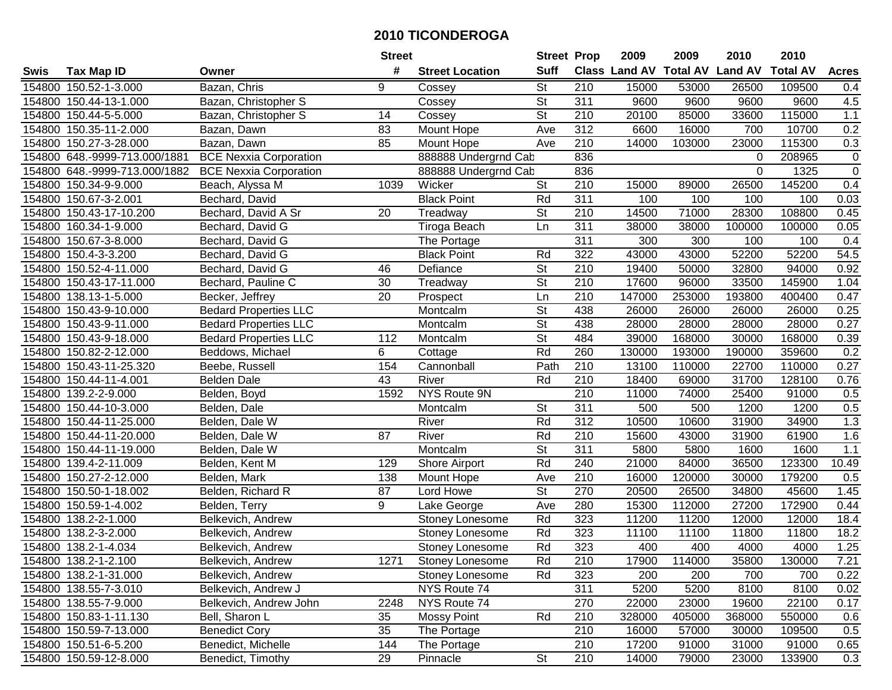|             |                               |                               | <b>Street</b>   |                        | <b>Street Prop</b>       |                  | 2009                          | 2009   | 2010           | 2010            |                |
|-------------|-------------------------------|-------------------------------|-----------------|------------------------|--------------------------|------------------|-------------------------------|--------|----------------|-----------------|----------------|
| <b>Swis</b> | <b>Tax Map ID</b>             | Owner                         | #               | <b>Street Location</b> | <b>Suff</b>              |                  | <b>Class Land AV Total AV</b> |        | <b>Land AV</b> | <b>Total AV</b> | <b>Acres</b>   |
|             | 154800 150.52-1-3.000         | Bazan, Chris                  | 9               | Cossey                 | <b>St</b>                | 210              | 15000                         | 53000  | 26500          | 109500          | 0.4            |
|             | 154800 150.44-13-1.000        | Bazan, Christopher S          |                 | Cossey                 | $\overline{\mathsf{St}}$ | 311              | 9600                          | 9600   | 9600           | 9600            | 4.5            |
|             | 154800 150.44-5-5.000         | Bazan, Christopher S          | 14              | Cossey                 | St                       | 210              | 20100                         | 85000  | 33600          | 115000          | $1.1$          |
|             | 154800 150.35-11-2.000        | Bazan, Dawn                   | 83              | Mount Hope             | Ave                      | 312              | 6600                          | 16000  | 700            | 10700           | 0.2            |
|             | 154800 150.27-3-28.000        | Bazan, Dawn                   | 85              | Mount Hope             | Ave                      | 210              | 14000                         | 103000 | 23000          | 115300          | 0.3            |
|             | 154800 648.-9999-713.000/1881 | <b>BCE Nexxia Corporation</b> |                 | 888888 Undergrnd Cab   |                          | 836              |                               |        | $\Omega$       | 208965          | $\overline{0}$ |
|             | 154800 648.-9999-713.000/1882 | <b>BCE Nexxia Corporation</b> |                 | 888888 Undergrnd Cab   |                          | 836              |                               |        | 0              | 1325            | $\mathbf 0$    |
| 154800      | 150.34-9-9.000                | Beach, Alyssa M               | 1039            | Wicker                 | <b>St</b>                | 210              | 15000                         | 89000  | 26500          | 145200          | 0.4            |
| 154800      | 150.67-3-2.001                | Bechard, David                |                 | <b>Black Point</b>     | Rd                       | 311              | 100                           | 100    | 100            | 100             | 0.03           |
|             | 154800 150.43-17-10.200       | Bechard, David A Sr           | 20              | Treadway               | $\overline{\mathsf{St}}$ | 210              | 14500                         | 71000  | 28300          | 108800          | 0.45           |
|             | 154800 160.34-1-9.000         | Bechard, David G              |                 | Tiroga Beach           | Ln                       | 311              | 38000                         | 38000  | 100000         | 100000          | 0.05           |
|             | 154800 150.67-3-8.000         | Bechard, David G              |                 | The Portage            |                          | 311              | 300                           | 300    | 100            | 100             | 0.4            |
|             | 154800 150.4-3-3.200          | Bechard, David G              |                 | <b>Black Point</b>     | Rd                       | 322              | 43000                         | 43000  | 52200          | 52200           | 54.5           |
| 154800      | 150.52-4-11.000               | Bechard, David G              | 46              | Defiance               | <b>St</b>                | 210              | 19400                         | 50000  | 32800          | 94000           | 0.92           |
| 154800      | 150.43-17-11.000              | Bechard, Pauline C            | 30              | Treadway               | $\overline{\mathsf{St}}$ | 210              | 17600                         | 96000  | 33500          | 145900          | 1.04           |
|             | 154800 138.13-1-5.000         | Becker, Jeffrey               | 20              | Prospect               | Ln                       | 210              | 147000                        | 253000 | 193800         | 400400          | 0.47           |
| 154800      | 150.43-9-10.000               | <b>Bedard Properties LLC</b>  |                 | Montcalm               | $\overline{\mathsf{St}}$ | 438              | 26000                         | 26000  | 26000          | 26000           | 0.25           |
|             | 154800 150.43-9-11.000        | <b>Bedard Properties LLC</b>  |                 | Montcalm               | $\overline{St}$          | 438              | 28000                         | 28000  | 28000          | 28000           | 0.27           |
|             | 154800 150.43-9-18.000        | <b>Bedard Properties LLC</b>  | 112             | Montcalm               | $\overline{St}$          | 484              | 39000                         | 168000 | 30000          | 168000          | 0.39           |
| 154800      | 150.82-2-12.000               | Beddows, Michael              | 6               | Cottage                | Rd                       | 260              | 130000                        | 193000 | 190000         | 359600          | 0.2            |
| 154800      | 150.43-11-25.320              | Beebe, Russell                | 154             | Cannonball             | Path                     | 210              | 13100                         | 110000 | 22700          | 110000          | 0.27           |
| 154800      | 150.44-11-4.001               | <b>Belden Dale</b>            | 43              | River                  | Rd                       | 210              | 18400                         | 69000  | 31700          | 128100          | 0.76           |
| 154800      | 139.2-2-9.000                 | Belden, Boyd                  | 1592            | NYS Route 9N           |                          | 210              | 11000                         | 74000  | 25400          | 91000           | 0.5            |
| 154800      | 150.44-10-3.000               | Belden, Dale                  |                 | Montcalm               | St                       | 311              | 500                           | 500    | 1200           | 1200            | 0.5            |
| 154800      | 150.44-11-25.000              | Belden, Dale W                |                 | River                  | Rd                       | $\overline{312}$ | 10500                         | 10600  | 31900          | 34900           | 1.3            |
|             | 154800 150.44-11-20.000       | Belden, Dale W                | 87              | River                  | Rd                       | 210              | 15600                         | 43000  | 31900          | 61900           | 1.6            |
|             | 154800 150.44-11-19.000       | Belden, Dale W                |                 | Montcalm               | $\overline{\mathsf{St}}$ | $\overline{311}$ | 5800                          | 5800   | 1600           | 1600            | 1.1            |
|             | 154800 139.4-2-11.009         | Belden, Kent M                | 129             | Shore Airport          | Rd                       | 240              | 21000                         | 84000  | 36500          | 123300          | 10.49          |
|             | 154800 150.27-2-12.000        | Belden, Mark                  | 138             | Mount Hope             | Ave                      | 210              | 16000                         | 120000 | 30000          | 179200          | 0.5            |
|             | 154800 150.50-1-18.002        | Belden, Richard R             | $\overline{87}$ | Lord Howe              | $\overline{\mathsf{St}}$ | 270              | 20500                         | 26500  | 34800          | 45600           | 1.45           |
|             | 154800 150.59-1-4.002         | Belden, Terry                 | 9               | Lake George            | Ave                      | 280              | 15300                         | 112000 | 27200          | 172900          | 0.44           |
|             | 154800 138.2-2-1.000          | Belkevich, Andrew             |                 | Stoney Lonesome        | Rd                       | 323              | 11200                         | 11200  | 12000          | 12000           | 18.4           |
|             | 154800 138.2-3-2.000          | Belkevich, Andrew             |                 | Stoney Lonesome        | Rd                       | 323              | 11100                         | 11100  | 11800          | 11800           | 18.2           |
|             | 154800 138.2-1-4.034          | Belkevich, Andrew             |                 | Stoney Lonesome        | Rd                       | 323              | 400                           | 400    | 4000           | 4000            | 1.25           |
|             | 154800 138.2-1-2.100          | Belkevich, Andrew             | 1271            | Stoney Lonesome        | Rd                       | 210              | 17900                         | 114000 | 35800          | 130000          | 7.21           |
|             | 154800 138.2-1-31.000         | Belkevich, Andrew             |                 | <b>Stoney Lonesome</b> | Rd                       | 323              | 200                           | 200    | 700            | 700             | 0.22           |
|             | 154800 138.55-7-3.010         | Belkevich, Andrew J           |                 | NYS Route 74           |                          | 311              | 5200                          | 5200   | 8100           | 8100            | 0.02           |
|             | 154800 138.55-7-9.000         | Belkevich, Andrew John        | 2248            | NYS Route 74           |                          | 270              | 22000                         | 23000  | 19600          | 22100           | 0.17           |
|             | 154800 150.83-1-11.130        | Bell, Sharon L                | 35              | <b>Mossy Point</b>     | Rd                       | 210              | 328000                        | 405000 | 368000         | 550000          | 0.6            |
|             | 154800 150.59-7-13.000        | <b>Benedict Cory</b>          | 35              | The Portage            |                          | 210              | 16000                         | 57000  | 30000          | 109500          | 0.5            |
|             | 154800 150.51-6-5.200         | Benedict, Michelle            | 144             | The Portage            |                          | 210              | 17200                         | 91000  | 31000          | 91000           | 0.65           |
|             | 154800 150.59-12-8.000        | Benedict, Timothy             | 29              | Pinnacle               | $\overline{\mathsf{St}}$ | 210              | 14000                         | 79000  | 23000          | 133900          | 0.3            |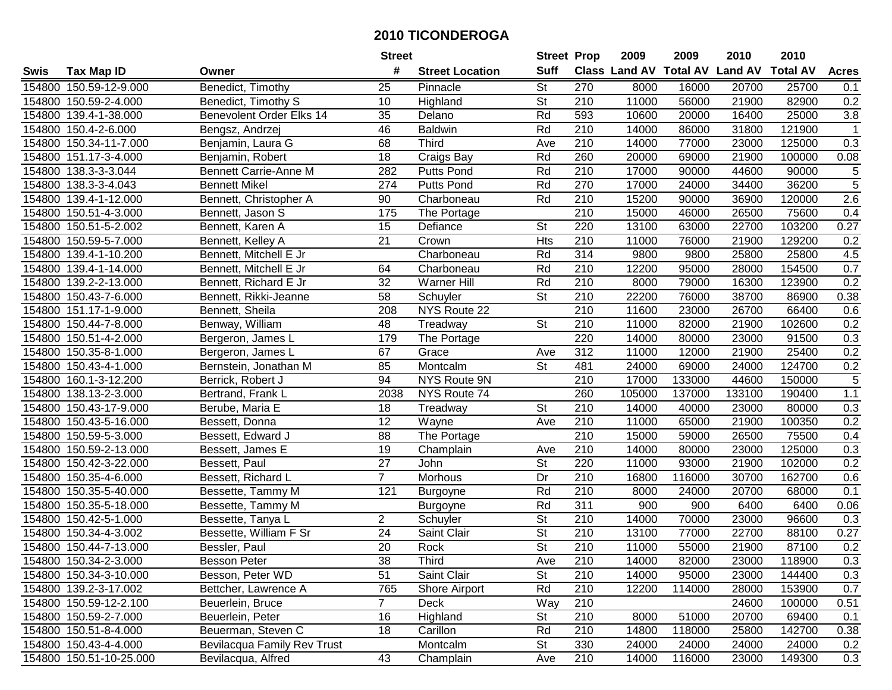|        |                         |                              | <b>Street</b>    |                        | <b>Street Prop</b>       |                  | 2009                          | 2009   | 2010           | 2010            |                  |
|--------|-------------------------|------------------------------|------------------|------------------------|--------------------------|------------------|-------------------------------|--------|----------------|-----------------|------------------|
| Swis   | <b>Tax Map ID</b>       | Owner                        | #                | <b>Street Location</b> | <b>Suff</b>              |                  | <b>Class Land AV Total AV</b> |        | <b>Land AV</b> | <b>Total AV</b> | <b>Acres</b>     |
|        | 154800 150.59-12-9.000  | Benedict, Timothy            | 25               | Pinnacle               | <b>St</b>                | 270              | 8000                          | 16000  | 20700          | 25700           | 0.1              |
|        | 154800 150.59-2-4.000   | Benedict, Timothy S          | 10               | Highland               | <b>St</b>                | 210              | 11000                         | 56000  | 21900          | 82900           | 0.2              |
|        | 154800 139.4-1-38.000   | Benevolent Order Elks 14     | 35               | Delano                 | Rd                       | 593              | 10600                         | 20000  | 16400          | 25000           | 3.8              |
|        | 154800 150.4-2-6.000    | Bengsz, Andrzej              | 46               | <b>Baldwin</b>         | Rd                       | 210              | 14000                         | 86000  | 31800          | 121900          | $\mathbf{1}$     |
|        | 154800 150.34-11-7.000  | Benjamin, Laura G            | 68               | Third                  | Ave                      | 210              | 14000                         | 77000  | 23000          | 125000          | $\overline{0.3}$ |
|        | 154800 151.17-3-4.000   | Benjamin, Robert             | 18               | Craigs Bay             | Rd                       | 260              | 20000                         | 69000  | 21900          | 100000          | 0.08             |
|        | 154800 138.3-3-3.044    | <b>Bennett Carrie-Anne M</b> | 282              | <b>Putts Pond</b>      | Rd                       | 210              | 17000                         | 90000  | 44600          | 90000           | 5                |
| 154800 | 138.3-3-4.043           | <b>Bennett Mikel</b>         | $\overline{274}$ | <b>Putts Pond</b>      | Rd                       | 270              | 17000                         | 24000  | 34400          | 36200           | $\overline{5}$   |
|        | 154800 139.4-1-12.000   | Bennett, Christopher A       | 90               | Charboneau             | Rd                       | $\overline{210}$ | 15200                         | 90000  | 36900          | 120000          | $\overline{2.6}$ |
|        | 154800 150.51-4-3.000   | Bennett, Jason S             | 175              | The Portage            |                          | $\overline{210}$ | 15000                         | 46000  | 26500          | 75600           | 0.4              |
|        | 154800 150.51-5-2.002   | Bennett, Karen A             | 15               | Defiance               | $\overline{\mathsf{St}}$ | 220              | 13100                         | 63000  | 22700          | 103200          | 0.27             |
|        | 154800 150.59-5-7.000   | Bennett, Kelley A            | 21               | Crown                  | <b>Hts</b>               | 210              | 11000                         | 76000  | 21900          | 129200          | 0.2              |
|        | 154800 139.4-1-10.200   | Bennett, Mitchell E Jr       |                  | Charboneau             | Rd                       | 314              | 9800                          | 9800   | 25800          | 25800           | 4.5              |
|        | 154800 139.4-1-14.000   | Bennett, Mitchell E Jr       | 64               | Charboneau             | Rd                       | 210              | 12200                         | 95000  | 28000          | 154500          | 0.7              |
|        | 154800 139.2-2-13.000   | Bennett, Richard E Jr        | 32               | <b>Warner Hill</b>     | Rd                       | 210              | 8000                          | 79000  | 16300          | 123900          | 0.2              |
|        | 154800 150.43-7-6.000   | Bennett, Rikki-Jeanne        | 58               | Schuyler               | <b>St</b>                | 210              | 22200                         | 76000  | 38700          | 86900           | 0.38             |
|        | 154800 151.17-1-9.000   | Bennett, Sheila              | 208              | NYS Route 22           |                          | $\overline{210}$ | 11600                         | 23000  | 26700          | 66400           | 0.6              |
|        | 154800 150.44-7-8.000   | Benway, William              | 48               | Treadway               | <b>St</b>                | 210              | 11000                         | 82000  | 21900          | 102600          | 0.2              |
|        | 154800 150.51-4-2.000   | Bergeron, James L            | 179              | The Portage            |                          | 220              | 14000                         | 80000  | 23000          | 91500           | 0.3              |
|        | 154800 150.35-8-1.000   | Bergeron, James L            | 67               | Grace                  | Ave                      | 312              | 11000                         | 12000  | 21900          | 25400           | 0.2              |
|        | 154800 150.43-4-1.000   | Bernstein, Jonathan M        | 85               | Montcalm               | <b>St</b>                | 481              | 24000                         | 69000  | 24000          | 124700          | 0.2              |
|        | 154800 160.1-3-12.200   | Berrick, Robert J            | 94               | NYS Route 9N           |                          | 210              | 17000                         | 133000 | 44600          | 150000          | 5                |
| 154800 | 138.13-2-3.000          | Bertrand, Frank L            | 2038             | NYS Route 74           |                          | 260              | 105000                        | 137000 | 133100         | 190400          | $1.1$            |
| 154800 | 150.43-17-9.000         | Berube, Maria E              | 18               | Treadway               | <b>St</b>                | 210              | 14000                         | 40000  | 23000          | 80000           | 0.3              |
| 154800 | 150.43-5-16.000         | Bessett, Donna               | 12               | Wayne                  | Ave                      | $\overline{210}$ | 11000                         | 65000  | 21900          | 100350          | 0.2              |
|        | 154800 150.59-5-3.000   | Bessett, Edward J            | 88               | The Portage            |                          | $\overline{210}$ | 15000                         | 59000  | 26500          | 75500           | 0.4              |
|        | 154800 150.59-2-13.000  | Bessett, James E             | 19               | Champlain              | Ave                      | 210              | 14000                         | 80000  | 23000          | 125000          | 0.3              |
|        | 154800 150.42-3-22.000  | Bessett, Paul                | $\overline{27}$  | John                   | <b>St</b>                | 220              | 11000                         | 93000  | 21900          | 102000          | 0.2              |
|        | 154800 150.35-4-6.000   | Bessett, Richard L           | $\overline{7}$   | Morhous                | Dr                       | $\overline{210}$ | 16800                         | 116000 | 30700          | 162700          | 0.6              |
|        | 154800 150.35-5-40.000  | Bessette, Tammy M            | 121              | Burgoyne               | Rd                       | $\overline{210}$ | 8000                          | 24000  | 20700          | 68000           | 0.1              |
|        | 154800 150.35-5-18.000  | Bessette, Tammy M            |                  | <b>Burgoyne</b>        | Rd                       | 311              | 900                           | 900    | 6400           | 6400            | 0.06             |
|        | 154800 150.42-5-1.000   | Bessette, Tanya L            | $\overline{2}$   | Schuyler               | $\overline{\mathsf{St}}$ | 210              | 14000                         | 70000  | 23000          | 96600           | 0.3              |
|        | 154800 150.34-4-3.002   | Bessette, William F Sr       | $\overline{24}$  | Saint Clair            | $\overline{\mathsf{St}}$ | $\overline{210}$ | 13100                         | 77000  | 22700          | 88100           | 0.27             |
|        | 154800 150.44-7-13.000  | Bessler, Paul                | $\overline{20}$  | Rock                   | $\overline{\mathsf{St}}$ | $\overline{210}$ | 11000                         | 55000  | 21900          | 87100           | 0.2              |
|        | 154800 150.34-2-3.000   | Besson Peter                 | 38               | Third                  | Ave                      | 210              | 14000                         | 82000  | 23000          | 118900          | 0.3              |
|        | 154800 150.34-3-10.000  | Besson, Peter WD             | 51               | Saint Clair            | St                       | 210              | 14000                         | 95000  | 23000          | 144400          | 0.3              |
|        | 154800 139.2-3-17.002   | Bettcher, Lawrence A         | 765              | Shore Airport          | Rd                       | 210              | 12200                         | 114000 | 28000          | 153900          | 0.7              |
|        | 154800 150.59-12-2.100  | Beuerlein, Bruce             | $\overline{7}$   | Deck                   | Way                      | 210              |                               |        | 24600          | 100000          | 0.51             |
|        | 154800 150.59-2-7.000   | Beuerlein, Peter             | 16               | Highland               | <b>St</b>                | 210              | 8000                          | 51000  | 20700          | 69400           | 0.1              |
|        | 154800 150.51-8-4.000   | Beuerman, Steven C           | 18               | Carillon               | Rd                       | 210              | 14800                         | 118000 | 25800          | 142700          | 0.38             |
|        | 154800 150.43-4-4.000   | Bevilacqua Family Rev Trust  |                  | Montcalm               | <b>St</b>                | 330              | 24000                         | 24000  | 24000          | 24000           | 0.2              |
|        | 154800 150.51-10-25.000 | Bevilacqua, Alfred           | 43               | Champlain              | Ave                      | 210              | 14000                         | 116000 | 23000          | 149300          | 0.3              |
|        |                         |                              |                  |                        |                          |                  |                               |        |                |                 |                  |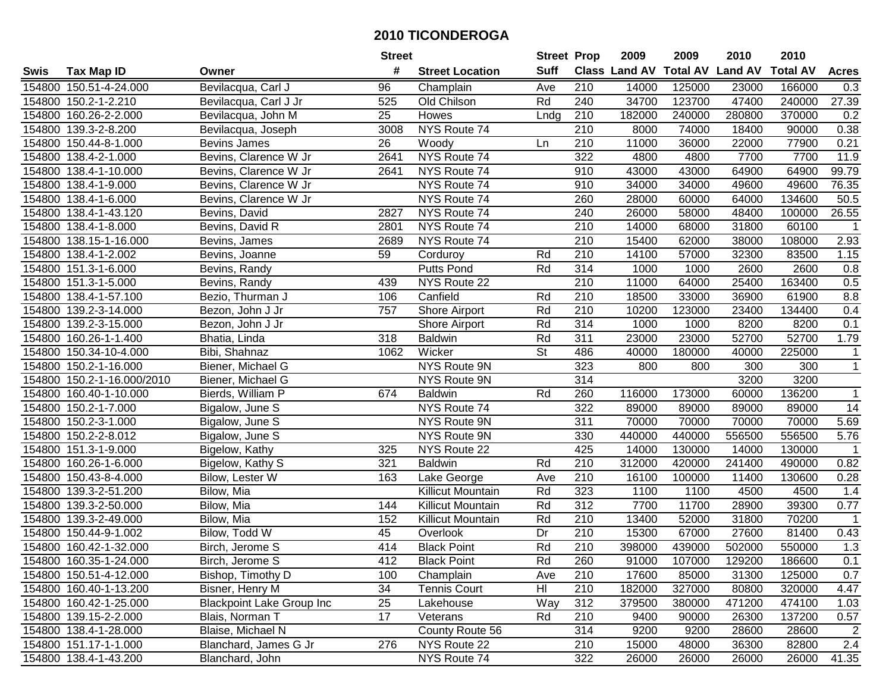|        |                            |                                  | <b>Street</b> |                        | <b>Street Prop</b> |                  | 2009          | 2009            | 2010           | 2010            |                         |
|--------|----------------------------|----------------------------------|---------------|------------------------|--------------------|------------------|---------------|-----------------|----------------|-----------------|-------------------------|
| Swis   | <b>Tax Map ID</b>          | Owner                            | #             | <b>Street Location</b> | <b>Suff</b>        |                  | Class Land AV | <b>Total AV</b> | <b>Land AV</b> | <b>Total AV</b> | <b>Acres</b>            |
|        | 154800 150.51-4-24.000     | Bevilacqua, Carl J               | 96            | Champlain              | Ave                | 210              | 14000         | 125000          | 23000          | 166000          | 0.3                     |
|        | 154800 150.2-1-2.210       | Bevilacqua, Carl J Jr            | 525           | Old Chilson            | Rd                 | 240              | 34700         | 123700          | 47400          | 240000          | 27.39                   |
|        | 154800 160.26-2-2.000      | Bevilacqua, John M               | 25            | Howes                  | Lndg               | 210              | 182000        | 240000          | 280800         | 370000          | 0.2                     |
|        | 154800 139.3-2-8.200       | Bevilacqua, Joseph               | 3008          | NYS Route 74           |                    | 210              | 8000          | 74000           | 18400          | 90000           | 0.38                    |
|        | 154800 150.44-8-1.000      | Bevins James                     | 26            | Woody                  | Ln                 | 210              | 11000         | 36000           | 22000          | 77900           | 0.21                    |
|        | 154800 138.4-2-1.000       | Bevins, Clarence W Jr            | 2641          | NYS Route 74           |                    | 322              | 4800          | 4800            | 7700           | 7700            | 11.9                    |
|        | 154800 138.4-1-10.000      | Bevins, Clarence W Jr            | 2641          | NYS Route 74           |                    | 910              | 43000         | 43000           | 64900          | 64900           | 99.79                   |
|        | 154800 138.4-1-9.000       | Bevins, Clarence W Jr            |               | NYS Route 74           |                    | 910              | 34000         | 34000           | 49600          | 49600           | 76.35                   |
|        | 154800 138.4-1-6.000       | Bevins, Clarence W Jr            |               | NYS Route 74           |                    | 260              | 28000         | 60000           | 64000          | 134600          | 50.5                    |
|        | 154800 138.4-1-43.120      | Bevins, David                    | 2827          | NYS Route 74           |                    | 240              | 26000         | 58000           | 48400          | 100000          | $\overline{26.55}$      |
|        | 154800 138.4-1-8.000       | Bevins, David R                  | 2801          | NYS Route 74           |                    | 210              | 14000         | 68000           | 31800          | 60100           | $\mathbf 1$             |
|        | 154800 138.15-1-16.000     | Bevins, James                    | 2689          | NYS Route 74           |                    | 210              | 15400         | 62000           | 38000          | 108000          | 2.93                    |
|        | 154800 138.4-1-2.002       | Bevins, Joanne                   | 59            | Corduroy               | Rd                 | 210              | 14100         | 57000           | 32300          | 83500           | 1.15                    |
|        | 154800 151.3-1-6.000       | Bevins, Randy                    |               | Putts Pond             | Rd                 | 314              | 1000          | 1000            | 2600           | 2600            | 0.8                     |
|        | 154800 151.3-1-5.000       | Bevins, Randy                    | 439           | NYS Route 22           |                    | 210              | 11000         | 64000           | 25400          | 163400          | 0.5                     |
|        | 154800 138.4-1-57.100      | Bezio, Thurman J                 | 106           | Canfield               | Rd                 | 210              | 18500         | 33000           | 36900          | 61900           | 8.8                     |
|        | 154800 139.2-3-14.000      | Bezon, John J Jr                 | 757           | <b>Shore Airport</b>   | Rd                 | 210              | 10200         | 123000          | 23400          | 134400          | 0.4                     |
| 154800 | 139.2-3-15.000             | Bezon, John J Jr                 |               | Shore Airport          | Rd                 | 314              | 1000          | 1000            | 8200           | 8200            | 0.1                     |
|        | 154800 160.26-1-1.400      | Bhatia, Linda                    | 318           | <b>Baldwin</b>         | Rd                 | 311              | 23000         | 23000           | 52700          | 52700           | 1.79                    |
|        | 154800 150.34-10-4.000     | Bibi, Shahnaz                    | 1062          | Wicker                 | <b>St</b>          | 486              | 40000         | 180000          | 40000          | 225000          | $\mathbf{1}$            |
|        | 154800 150.2-1-16.000      | Biener, Michael G                |               | NYS Route 9N           |                    | 323              | 800           | 800             | 300            | 300             | $\overline{1}$          |
|        | 154800 150.2-1-16.000/2010 | Biener, Michael G                |               | NYS Route 9N           |                    | 314              |               |                 | 3200           | 3200            |                         |
|        | 154800 160.40-1-10.000     | Bierds, William P                | 674           | <b>Baldwin</b>         | Rd                 | 260              | 116000        | 173000          | 60000          | 136200          | $\mathbf{1}$            |
|        | 154800 150.2-1-7.000       | Bigalow, June S                  |               | NYS Route 74           |                    | 322              | 89000         | 89000           | 89000          | 89000           | 14                      |
|        | 154800 150.2-3-1.000       | Bigalow, June S                  |               | NYS Route 9N           |                    | $\overline{311}$ | 70000         | 70000           | 70000          | 70000           | 5.69                    |
|        | 154800 150.2-2-8.012       | Bigalow, June S                  |               | NYS Route 9N           |                    | 330              | 440000        | 440000          | 556500         | 556500          | 5.76                    |
|        | 154800 151.3-1-9.000       | Bigelow, Kathy                   | 325           | NYS Route 22           |                    | 425              | 14000         | 130000          | 14000          | 130000          | $\overline{\mathbf{1}}$ |
|        | 154800 160.26-1-6.000      | Bigelow, Kathy S                 | 321           | <b>Baldwin</b>         | Rd                 | 210              | 312000        | 420000          | 241400         | 490000          | 0.82                    |
|        | 154800 150.43-8-4.000      | Bilow, Lester W                  | 163           | Lake George            | Ave                | 210              | 16100         | 100000          | 11400          | 130600          | 0.28                    |
|        | 154800 139.3-2-51.200      | Bilow, Mia                       |               | Killicut Mountain      | Rd                 | 323              | 1100          | 1100            | 4500           | 4500            | 1.4                     |
|        | 154800 139.3-2-50.000      | Bilow, Mia                       | 144           | Killicut Mountain      | Rd                 | 312              | 7700          | 11700           | 28900          | 39300           | 0.77                    |
|        | 154800 139.3-2-49.000      | Bilow, Mia                       | 152           | Killicut Mountain      | Rd                 | 210              | 13400         | 52000           | 31800          | 70200           | $\mathbf{1}$            |
|        | 154800 150.44-9-1.002      | Bilow, Todd W                    | 45            | Overlook               | Dr                 | $\overline{210}$ | 15300         | 67000           | 27600          | 81400           | 0.43                    |
|        | 154800 160.42-1-32.000     | Birch, Jerome S                  | 414           | <b>Black Point</b>     | Rd                 | $\overline{210}$ | 398000        | 439000          | 502000         | 550000          | 1.3                     |
|        | 154800 160.35-1-24.000     | Birch, Jerome S                  | 412           | <b>Black Point</b>     | Rd                 | 260              | 91000         | 107000          | 129200         | 186600          | 0.1                     |
|        | 154800 150.51-4-12.000     | Bishop, Timothy D                | 100           | Champlain              | Ave                | 210              | 17600         | 85000           | 31300          | 125000          | 0.7                     |
|        | 154800 160.40-1-13.200     | Bisner, Henry M                  | 34            | <b>Tennis Court</b>    | HI                 | 210              | 182000        | 327000          | 80800          | 320000          | 4.47                    |
|        | 154800 160.42-1-25.000     | <b>Blackpoint Lake Group Inc</b> | 25            | Lakehouse              | Way                | 312              | 379500        | 380000          | 471200         | 474100          | 1.03                    |
|        | 154800 139.15-2-2.000      | Blais, Norman T                  | 17            | Veterans               | Rd                 | 210              | 9400          | 90000           | 26300          | 137200          | 0.57                    |
|        | 154800 138.4-1-28.000      | Blaise, Michael N                |               | County Route 56        |                    | 314              | 9200          | 9200            | 28600          | 28600           | $\overline{2}$          |
|        | 154800 151.17-1-1.000      | Blanchard, James G Jr            | 276           | NYS Route 22           |                    | 210              | 15000         | 48000           | 36300          | 82800           | 2.4                     |
|        | 154800 138.4-1-43.200      | Blanchard, John                  |               | NYS Route 74           |                    | 322              | 26000         | 26000           | 26000          | 26000           | 41.35                   |
|        |                            |                                  |               |                        |                    |                  |               |                 |                |                 |                         |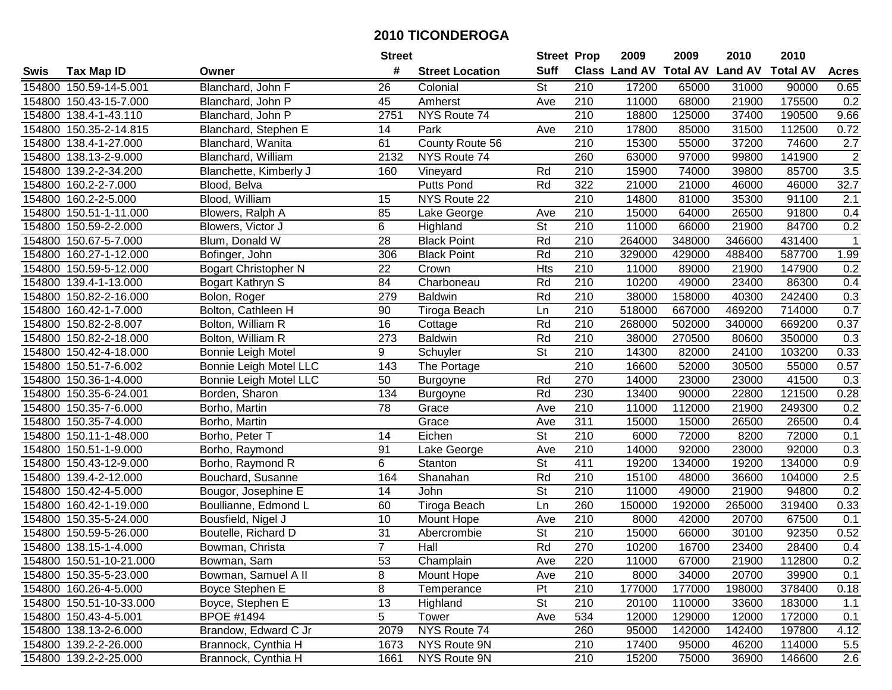|        |                         |                             | <b>Street</b>   |                        | <b>Street Prop</b>       |                  | 2009                          | 2009   | 2010           | 2010            |                  |
|--------|-------------------------|-----------------------------|-----------------|------------------------|--------------------------|------------------|-------------------------------|--------|----------------|-----------------|------------------|
| Swis   | <b>Tax Map ID</b>       | Owner                       | #               | <b>Street Location</b> | <b>Suff</b>              |                  | <b>Class Land AV Total AV</b> |        | <b>Land AV</b> | <b>Total AV</b> | <b>Acres</b>     |
|        | 154800 150.59-14-5.001  | Blanchard, John F           | 26              | Colonial               | St                       | 210              | 17200                         | 65000  | 31000          | 90000           | 0.65             |
|        | 154800 150.43-15-7.000  | Blanchard, John P           | 45              | Amherst                | Ave                      | 210              | 11000                         | 68000  | 21900          | 175500          | 0.2              |
|        | 154800 138.4-1-43.110   | Blanchard, John P           | 2751            | NYS Route 74           |                          | 210              | 18800                         | 125000 | 37400          | 190500          | 9.66             |
|        | 154800 150.35-2-14.815  | Blanchard, Stephen E        | 14              | Park                   | Ave                      | 210              | 17800                         | 85000  | 31500          | 112500          | 0.72             |
|        | 154800 138.4-1-27.000   | Blanchard, Wanita           | 61              | County Route 56        |                          | 210              | 15300                         | 55000  | 37200          | 74600           | 2.7              |
|        | 154800 138.13-2-9.000   | Blanchard, William          | 2132            | NYS Route 74           |                          | 260              | 63000                         | 97000  | 99800          | 141900          | $\overline{2}$   |
|        | 154800 139.2-2-34.200   | Blanchette, Kimberly J      | 160             | Vineyard               | Rd                       | 210              | 15900                         | 74000  | 39800          | 85700           | 3.5              |
|        | 154800 160.2-2-7.000    | Blood, Belva                |                 | <b>Putts Pond</b>      | Rd                       | 322              | 21000                         | 21000  | 46000          | 46000           | 32.7             |
|        | 154800 160.2-2-5.000    | Blood, William              | 15              | NYS Route 22           |                          | 210              | 14800                         | 81000  | 35300          | 91100           | $\overline{2.1}$ |
|        | 154800 150.51-1-11.000  | Blowers, Ralph A            | 85              | Lake George            | Ave                      | 210              | 15000                         | 64000  | 26500          | 91800           | 0.4              |
|        | 154800 150.59-2-2.000   | Blowers, Victor J           | 6               | Highland               | St                       | 210              | 11000                         | 66000  | 21900          | 84700           | 0.2              |
|        | 154800 150.67-5-7.000   | Blum, Donald W              | 28              | <b>Black Point</b>     | Rd                       | 210              | 264000                        | 348000 | 346600         | 431400          | $\mathbf 1$      |
|        | 154800 160.27-1-12.000  | Bofinger, John              | 306             | <b>Black Point</b>     | Rd                       | 210              | 329000                        | 429000 | 488400         | 587700          | 1.99             |
|        | 154800 150.59-5-12.000  | <b>Bogart Christopher N</b> | 22              | Crown                  | <b>Hts</b>               | 210              | 11000                         | 89000  | 21900          | 147900          | 0.2              |
|        | 154800 139.4-1-13.000   | Bogart Kathryn S            | 84              | Charboneau             | Rd                       | 210              | 10200                         | 49000  | 23400          | 86300           | 0.4              |
|        | 154800 150.82-2-16.000  | Bolon, Roger                | 279             | <b>Baldwin</b>         | Rd                       | 210              | 38000                         | 158000 | 40300          | 242400          | 0.3              |
|        | 154800 160.42-1-7.000   | Bolton, Cathleen H          | 90              | Tiroga Beach           | Ln                       | $\overline{210}$ | 518000                        | 667000 | 469200         | 714000          | 0.7              |
|        | 154800 150.82-2-8.007   | Bolton, William R           | 16              | Cottage                | Rd                       | 210              | 268000                        | 502000 | 340000         | 669200          | 0.37             |
|        | 154800 150.82-2-18.000  | Bolton, William R           | 273             | <b>Baldwin</b>         | Rd                       | 210              | 38000                         | 270500 | 80600          | 350000          | 0.3              |
|        | 154800 150.42-4-18.000  | <b>Bonnie Leigh Motel</b>   | 9               | Schuyler               | St                       | 210              | 14300                         | 82000  | 24100          | 103200          | 0.33             |
|        | 154800 150.51-7-6.002   | Bonnie Leigh Motel LLC      | 143             | The Portage            |                          | 210              | 16600                         | 52000  | 30500          | 55000           | 0.57             |
| 154800 | 150.36-1-4.000          | Bonnie Leigh Motel LLC      | 50              | Burgoyne               | Rd                       | 270              | 14000                         | 23000  | 23000          | 41500           | 0.3              |
| 154800 | 150.35-6-24.001         | Borden, Sharon              | 134             | Burgoyne               | Rd                       | 230              | 13400                         | 90000  | 22800          | 121500          | 0.28             |
| 154800 | 150.35-7-6.000          | Borho, Martin               | 78              | Grace                  | Ave                      | 210              | 11000                         | 112000 | 21900          | 249300          | 0.2              |
| 154800 | 150.35-7-4.000          | Borho, Martin               |                 | Grace                  | Ave                      | 311              | 15000                         | 15000  | 26500          | 26500           | 0.4              |
|        | 154800 150.11-1-48.000  | Borho, Peter T              | 14              | Eichen                 | $\overline{\mathsf{St}}$ | 210              | 6000                          | 72000  | 8200           | 72000           | 0.1              |
|        | 154800 150.51-1-9.000   | Borho, Raymond              | 91              | Lake George            | Ave                      | 210              | 14000                         | 92000  | 23000          | 92000           | 0.3              |
|        | 154800 150.43-12-9.000  | Borho, Raymond R            | 6               | Stanton                | St                       | 411              | 19200                         | 134000 | 19200          | 134000          | 0.9              |
|        | 154800 139.4-2-12.000   | Bouchard, Susanne           | 164             | Shanahan               | Rd                       | 210              | 15100                         | 48000  | 36600          | 104000          | 2.5              |
|        | 154800 150.42-4-5.000   | Bougor, Josephine E         | $\overline{14}$ | John                   | $\overline{\mathsf{St}}$ | $\overline{210}$ | 11000                         | 49000  | 21900          | 94800           | 0.2              |
|        | 154800 160.42-1-19.000  | Boullianne, Edmond L        | 60              | Tiroga Beach           | Ln                       | 260              | 150000                        | 192000 | 265000         | 319400          | 0.33             |
|        | 154800 150.35-5-24.000  | Bousfield, Nigel J          | 10              | Mount Hope             | Ave                      | $\overline{210}$ | 8000                          | 42000  | 20700          | 67500           | 0.1              |
|        | 154800 150.59-5-26.000  | Boutelle, Richard D         | 31              | Abercrombie            | $\overline{\mathsf{St}}$ | $\overline{210}$ | 15000                         | 66000  | 30100          | 92350           | 0.52             |
|        | 154800 138.15-1-4.000   | Bowman, Christa             | $\overline{7}$  | Hall                   | Rd                       | 270              | 10200                         | 16700  | 23400          | 28400           | 0.4              |
|        | 154800 150.51-10-21.000 | Bowman, Sam                 | 53              | Champlain              | Ave                      | 220              | 11000                         | 67000  | 21900          | 112800          | 0.2              |
|        | 154800 150.35-5-23.000  | Bowman, Samuel A II         | 8               | Mount Hope             | Ave                      | 210              | 8000                          | 34000  | 20700          | 39900           | 0.1              |
|        | 154800 160.26-4-5.000   | Boyce Stephen E             | 8               | Temperance             | Pt                       | 210              | 177000                        | 177000 | 198000         | 378400          | 0.18             |
|        | 154800 150.51-10-33.000 | Boyce, Stephen E            | $\overline{13}$ | Highland               | <b>St</b>                | 210              | 20100                         | 110000 | 33600          | 183000          | 1.1              |
|        | 154800 150.43-4-5.001   | <b>BPOE #1494</b>           | 5               | Tower                  | Ave                      | 534              | 12000                         | 129000 | 12000          | 172000          | 0.1              |
|        | 154800 138.13-2-6.000   | Brandow, Edward C Jr        | 2079            | NYS Route 74           |                          | 260              | 95000                         | 142000 | 142400         | 197800          | 4.12             |
|        | 154800 139.2-2-26.000   | Brannock, Cynthia H         | 1673            | NYS Route 9N           |                          | 210              | 17400                         | 95000  | 46200          | 114000          | 5.5              |
|        | 154800 139.2-2-25.000   | Brannock, Cynthia H         | 1661            | NYS Route 9N           |                          | 210              | 15200                         | 75000  | 36900          | 146600          | 2.6              |
|        |                         |                             |                 |                        |                          |                  |                               |        |                |                 |                  |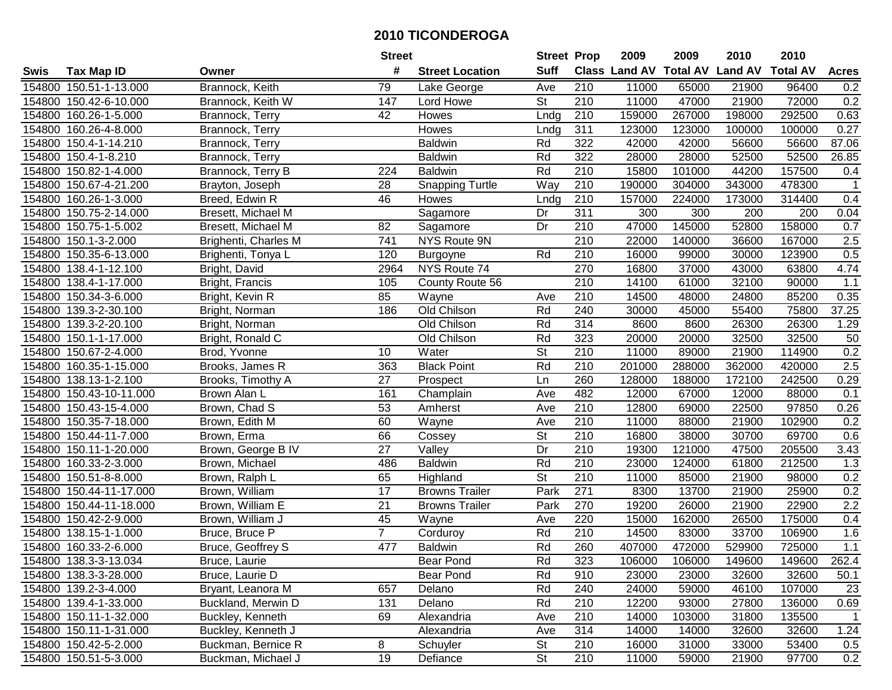| #<br><b>Suff</b><br><b>Class Land AV Total AV</b><br><b>Land AV</b><br><b>Total AV</b><br><b>Tax Map ID</b><br><b>Street Location</b><br><b>Acres</b><br>Swis<br>Owner<br>Brannock, Keith<br>154800 150.51-1-13.000<br>79<br>210<br>11000<br>65000<br>21900<br>96400<br>0.2<br>Lake George<br>Ave<br>11000<br>47000<br>0.2<br>154800 150.42-6-10.000<br>147<br>Lord Howe<br><b>St</b><br>210<br>21900<br>72000<br>Brannock, Keith W<br>154800 160.26-1-5.000<br>42<br>210<br>159000<br>267000<br>198000<br>292500<br>0.63<br>Brannock, Terry<br>Howes<br>Lndg<br>311<br>123000<br>100000<br>0.27<br>154800 160.26-4-8.000<br>Howes<br>123000<br>100000<br>Brannock, Terry<br>Lndg<br>154800 150.4-1-14.210<br>Rd<br>322<br>42000<br>42000<br>56600<br>56600<br>87.06<br>Brannock, Terry<br><b>Baldwin</b><br>322<br>154800 150.4-1-8.210<br><b>Baldwin</b><br>Rd<br>28000<br>28000<br>52500<br>52500<br>26.85<br>Brannock, Terry<br>154800 150.82-1-4.000<br>Brannock, Terry B<br>Rd<br>210<br>15800<br>101000<br>44200<br>157500<br>0.4<br>224<br><b>Baldwin</b><br>210<br>$\overline{28}$<br><b>Snapping Turtle</b><br>Way<br>190000<br>343000<br>478300<br>154800 150.67-4-21.200<br>Brayton, Joseph<br>304000<br>$\mathbf{1}$<br>Breed, Edwin R<br>46<br>210<br>157000<br>154800 160.26-1-3.000<br>224000<br>173000<br>314400<br>0.4<br>Howes<br>Lndg<br>$\overline{311}$<br>300<br>154800 150.75-2-14.000<br>Sagamore<br>Dr<br>300<br>200<br>200<br>0.04<br>Bresett, Michael M<br>47000<br>145000<br>158000<br>0.7<br>154800 150.75-1-5.002<br>82<br>Dr<br>210<br>52800<br>Bresett, Michael M<br>Sagamore<br>154800 150.1-3-2.000<br>741<br>NYS Route 9N<br>210<br>22000<br>140000<br>36600<br>167000<br>2.5<br>Brighenti, Charles M<br>120<br>Rd<br>210<br>123900<br>0.5<br>154800 150.35-6-13.000<br>16000<br>99000<br>30000<br>Brighenti, Tonya L<br>Burgoyne<br>NYS Route 74<br>270<br>154800 138.4-1-12.100<br>2964<br>16800<br>37000<br>43000<br>63800<br>4.74<br>Bright, David<br>210<br>154800 138.4-1-17.000<br>105<br>14100<br>61000<br>32100<br>90000<br>1.1<br>Bright, Francis<br>County Route 56<br>154800 150.34-3-6.000<br>85<br>210<br>14500<br>48000<br>24800<br>85200<br>0.35<br>Bright, Kevin R<br>Wayne<br>Ave<br>Old Chilson<br>240<br>37.25<br>154800 139.3-2-30.100<br>186<br>Rd<br>30000<br>45000<br>55400<br>75800<br>Bright, Norman<br>Rd<br>314<br>154800 139.3-2-20.100<br>Old Chilson<br>8600<br>8600<br>26300<br>26300<br>Bright, Norman<br>1.29<br>Rd<br>323<br>50<br>154800 150.1-1-17.000<br>Bright, Ronald C<br>Old Chilson<br>20000<br>20000<br>32500<br>32500<br>0.2<br>St<br>154800 150.67-2-4.000<br>Water<br>210<br>11000<br>89000<br>21900<br>114900<br>Brod, Yvonne<br>10<br>Rd<br>2.5<br>154800 160.35-1-15.000<br>363<br>210<br>201000<br>288000<br>362000<br>Brooks, James R<br><b>Black Point</b><br>420000<br>0.29<br>154800 138.13-1-2.100<br>27<br>260<br>128000<br>188000<br>172100<br>242500<br>Brooks, Timothy A<br>Prospect<br>Ln<br>482<br>0.1<br>154800 150.43-10-11.000<br>Brown Alan L<br>161<br>Ave<br>12000<br>67000<br>12000<br>88000<br>Champlain<br>154800 150.43-15-4.000<br>Brown, Chad S<br>53<br>210<br>12800<br>69000<br>22500<br>97850<br>0.26<br>Ave<br>Amherst<br>210<br>154800 150.35-7-18.000<br>11000<br>21900<br>102900<br>0.2<br>Brown, Edith M<br>60<br>Wayne<br>Ave<br>88000<br>$\overline{\mathsf{St}}$<br>66<br>210<br>69700<br>0.6<br>154800 150.44-11-7.000<br>16800<br>38000<br>30700<br>Brown, Erma<br>Cossey<br>27<br>Dr<br>210<br>121000<br>205500<br>154800 150.11-1-20.000<br>Brown, George B IV<br>Valley<br>19300<br>47500<br>3.43<br><b>Baldwin</b><br>Rd<br>210<br>154800 160.33-2-3.000<br>486<br>23000<br>124000<br>61800<br>212500<br>1.3<br>Brown, Michael<br>$\overline{\mathsf{St}}$<br>$\overline{210}$<br>0.2<br>154800 150.51-8-8.000<br>Brown, Ralph L<br>65<br>11000<br>21900<br>98000<br>Highland<br>85000<br>$\overline{17}$<br>Park<br>$\overline{271}$<br>25900<br>0.2<br>154800 150.44-11-17.000<br>Brown, William<br><b>Browns Trailer</b><br>8300<br>13700<br>21900<br>270<br>2.2<br>154800 150.44-11-18.000<br>$\overline{21}$<br>19200<br>22900<br>Brown, William E<br><b>Browns Trailer</b><br>Park<br>26000<br>21900<br>154800 150.42-2-9.000<br>Brown, William J<br>45<br>220<br>15000<br>162000<br>26500<br>175000<br>0.4<br>Wayne<br>Ave<br>$\overline{7}$<br>Rd<br>$\overline{210}$<br>33700<br>1.6<br>154800 138.15-1-1.000<br>Bruce, Bruce P<br>14500<br>83000<br>106900<br>Corduroy<br>477<br>Rd<br>260<br>1.1<br>154800 160.33-2-6.000<br>Bruce, Geoffrey S<br>407000<br>472000<br>529900<br>725000<br><b>Baldwin</b><br>154800 138.3-3-13.034<br>Bruce, Laurie<br><b>Bear Pond</b><br>Rd<br>323<br>106000<br>106000<br>149600<br>149600<br>262.4<br>154800 138.3-3-28.000<br>Bruce, Laurie D<br>Bear Pond<br>Rd<br>910<br>23000<br>32600<br>32600<br>50.1<br>23000<br>Rd<br>24000<br>107000<br>154800 139.2-3-4.000<br>657<br>Delano<br>240<br>59000<br>46100<br>23<br>Bryant, Leanora M<br>Rd<br>210<br>12200<br>0.69<br>154800 139.4-1-33.000<br>Buckland, Merwin D<br>131<br>Delano<br>93000<br>27800<br>136000<br>154800 150.11-1-32.000<br>Buckley, Kenneth<br>69<br>Alexandria<br>210<br>14000<br>103000<br>31800<br>$\overline{1}$<br>Ave<br>135500<br>314<br>1.24<br>154800 150.11-1-31.000<br>Buckley, Kenneth J<br>Alexandria<br>14000<br>14000<br>32600<br>32600<br>Ave<br>8<br>154800 150.42-5-2.000<br>Buckman, Bernice R<br><b>St</b><br>210<br>16000<br>31000<br>33000<br>53400<br>Schuyler<br>0.5<br>19<br><b>St</b><br>210<br>0.2<br>154800 150.51-5-3.000<br>Buckman, Michael J<br>11000<br>21900<br>97700<br>Defiance<br>59000 |  | <b>Street</b> | <b>Street Prop</b> | 2009 | 2009 | 2010 | 2010 |  |
|---------------------------------------------------------------------------------------------------------------------------------------------------------------------------------------------------------------------------------------------------------------------------------------------------------------------------------------------------------------------------------------------------------------------------------------------------------------------------------------------------------------------------------------------------------------------------------------------------------------------------------------------------------------------------------------------------------------------------------------------------------------------------------------------------------------------------------------------------------------------------------------------------------------------------------------------------------------------------------------------------------------------------------------------------------------------------------------------------------------------------------------------------------------------------------------------------------------------------------------------------------------------------------------------------------------------------------------------------------------------------------------------------------------------------------------------------------------------------------------------------------------------------------------------------------------------------------------------------------------------------------------------------------------------------------------------------------------------------------------------------------------------------------------------------------------------------------------------------------------------------------------------------------------------------------------------------------------------------------------------------------------------------------------------------------------------------------------------------------------------------------------------------------------------------------------------------------------------------------------------------------------------------------------------------------------------------------------------------------------------------------------------------------------------------------------------------------------------------------------------------------------------------------------------------------------------------------------------------------------------------------------------------------------------------------------------------------------------------------------------------------------------------------------------------------------------------------------------------------------------------------------------------------------------------------------------------------------------------------------------------------------------------------------------------------------------------------------------------------------------------------------------------------------------------------------------------------------------------------------------------------------------------------------------------------------------------------------------------------------------------------------------------------------------------------------------------------------------------------------------------------------------------------------------------------------------------------------------------------------------------------------------------------------------------------------------------------------------------------------------------------------------------------------------------------------------------------------------------------------------------------------------------------------------------------------------------------------------------------------------------------------------------------------------------------------------------------------------------------------------------------------------------------------------------------------------------------------------------------------------------------------------------------------------------------------------------------------------------------------------------------------------------------------------------------------------------------------------------------------------------------------------------------------------------------------------------------------------------------------------------------------------------------------------------------------------------------------------------------------------------------------------------------------------------------------------------------------------------------------------------------------------------------------------------------------------------------------------------------------------------------------------------------------------------------------------------------------------------------------------------------------------------------------------------------------------------------------------------------------------------------------------------------------------------------------------------------------------------------------------------------------------------------------------------------------------------------------------------------------------------------------------------------------------------------------------------------------------------------------------------------------------------------------------------------|--|---------------|--------------------|------|------|------|------|--|
|                                                                                                                                                                                                                                                                                                                                                                                                                                                                                                                                                                                                                                                                                                                                                                                                                                                                                                                                                                                                                                                                                                                                                                                                                                                                                                                                                                                                                                                                                                                                                                                                                                                                                                                                                                                                                                                                                                                                                                                                                                                                                                                                                                                                                                                                                                                                                                                                                                                                                                                                                                                                                                                                                                                                                                                                                                                                                                                                                                                                                                                                                                                                                                                                                                                                                                                                                                                                                                                                                                                                                                                                                                                                                                                                                                                                                                                                                                                                                                                                                                                                                                                                                                                                                                                                                                                                                                                                                                                                                                                                                                                                                                                                                                                                                                                                                                                                                                                                                                                                                                                                                                                                                                                                                                                                                                                                                                                                                                                                                                                                                                                                                                                                                 |  |               |                    |      |      |      |      |  |
|                                                                                                                                                                                                                                                                                                                                                                                                                                                                                                                                                                                                                                                                                                                                                                                                                                                                                                                                                                                                                                                                                                                                                                                                                                                                                                                                                                                                                                                                                                                                                                                                                                                                                                                                                                                                                                                                                                                                                                                                                                                                                                                                                                                                                                                                                                                                                                                                                                                                                                                                                                                                                                                                                                                                                                                                                                                                                                                                                                                                                                                                                                                                                                                                                                                                                                                                                                                                                                                                                                                                                                                                                                                                                                                                                                                                                                                                                                                                                                                                                                                                                                                                                                                                                                                                                                                                                                                                                                                                                                                                                                                                                                                                                                                                                                                                                                                                                                                                                                                                                                                                                                                                                                                                                                                                                                                                                                                                                                                                                                                                                                                                                                                                                 |  |               |                    |      |      |      |      |  |
|                                                                                                                                                                                                                                                                                                                                                                                                                                                                                                                                                                                                                                                                                                                                                                                                                                                                                                                                                                                                                                                                                                                                                                                                                                                                                                                                                                                                                                                                                                                                                                                                                                                                                                                                                                                                                                                                                                                                                                                                                                                                                                                                                                                                                                                                                                                                                                                                                                                                                                                                                                                                                                                                                                                                                                                                                                                                                                                                                                                                                                                                                                                                                                                                                                                                                                                                                                                                                                                                                                                                                                                                                                                                                                                                                                                                                                                                                                                                                                                                                                                                                                                                                                                                                                                                                                                                                                                                                                                                                                                                                                                                                                                                                                                                                                                                                                                                                                                                                                                                                                                                                                                                                                                                                                                                                                                                                                                                                                                                                                                                                                                                                                                                                 |  |               |                    |      |      |      |      |  |
|                                                                                                                                                                                                                                                                                                                                                                                                                                                                                                                                                                                                                                                                                                                                                                                                                                                                                                                                                                                                                                                                                                                                                                                                                                                                                                                                                                                                                                                                                                                                                                                                                                                                                                                                                                                                                                                                                                                                                                                                                                                                                                                                                                                                                                                                                                                                                                                                                                                                                                                                                                                                                                                                                                                                                                                                                                                                                                                                                                                                                                                                                                                                                                                                                                                                                                                                                                                                                                                                                                                                                                                                                                                                                                                                                                                                                                                                                                                                                                                                                                                                                                                                                                                                                                                                                                                                                                                                                                                                                                                                                                                                                                                                                                                                                                                                                                                                                                                                                                                                                                                                                                                                                                                                                                                                                                                                                                                                                                                                                                                                                                                                                                                                                 |  |               |                    |      |      |      |      |  |
|                                                                                                                                                                                                                                                                                                                                                                                                                                                                                                                                                                                                                                                                                                                                                                                                                                                                                                                                                                                                                                                                                                                                                                                                                                                                                                                                                                                                                                                                                                                                                                                                                                                                                                                                                                                                                                                                                                                                                                                                                                                                                                                                                                                                                                                                                                                                                                                                                                                                                                                                                                                                                                                                                                                                                                                                                                                                                                                                                                                                                                                                                                                                                                                                                                                                                                                                                                                                                                                                                                                                                                                                                                                                                                                                                                                                                                                                                                                                                                                                                                                                                                                                                                                                                                                                                                                                                                                                                                                                                                                                                                                                                                                                                                                                                                                                                                                                                                                                                                                                                                                                                                                                                                                                                                                                                                                                                                                                                                                                                                                                                                                                                                                                                 |  |               |                    |      |      |      |      |  |
|                                                                                                                                                                                                                                                                                                                                                                                                                                                                                                                                                                                                                                                                                                                                                                                                                                                                                                                                                                                                                                                                                                                                                                                                                                                                                                                                                                                                                                                                                                                                                                                                                                                                                                                                                                                                                                                                                                                                                                                                                                                                                                                                                                                                                                                                                                                                                                                                                                                                                                                                                                                                                                                                                                                                                                                                                                                                                                                                                                                                                                                                                                                                                                                                                                                                                                                                                                                                                                                                                                                                                                                                                                                                                                                                                                                                                                                                                                                                                                                                                                                                                                                                                                                                                                                                                                                                                                                                                                                                                                                                                                                                                                                                                                                                                                                                                                                                                                                                                                                                                                                                                                                                                                                                                                                                                                                                                                                                                                                                                                                                                                                                                                                                                 |  |               |                    |      |      |      |      |  |
|                                                                                                                                                                                                                                                                                                                                                                                                                                                                                                                                                                                                                                                                                                                                                                                                                                                                                                                                                                                                                                                                                                                                                                                                                                                                                                                                                                                                                                                                                                                                                                                                                                                                                                                                                                                                                                                                                                                                                                                                                                                                                                                                                                                                                                                                                                                                                                                                                                                                                                                                                                                                                                                                                                                                                                                                                                                                                                                                                                                                                                                                                                                                                                                                                                                                                                                                                                                                                                                                                                                                                                                                                                                                                                                                                                                                                                                                                                                                                                                                                                                                                                                                                                                                                                                                                                                                                                                                                                                                                                                                                                                                                                                                                                                                                                                                                                                                                                                                                                                                                                                                                                                                                                                                                                                                                                                                                                                                                                                                                                                                                                                                                                                                                 |  |               |                    |      |      |      |      |  |
|                                                                                                                                                                                                                                                                                                                                                                                                                                                                                                                                                                                                                                                                                                                                                                                                                                                                                                                                                                                                                                                                                                                                                                                                                                                                                                                                                                                                                                                                                                                                                                                                                                                                                                                                                                                                                                                                                                                                                                                                                                                                                                                                                                                                                                                                                                                                                                                                                                                                                                                                                                                                                                                                                                                                                                                                                                                                                                                                                                                                                                                                                                                                                                                                                                                                                                                                                                                                                                                                                                                                                                                                                                                                                                                                                                                                                                                                                                                                                                                                                                                                                                                                                                                                                                                                                                                                                                                                                                                                                                                                                                                                                                                                                                                                                                                                                                                                                                                                                                                                                                                                                                                                                                                                                                                                                                                                                                                                                                                                                                                                                                                                                                                                                 |  |               |                    |      |      |      |      |  |
|                                                                                                                                                                                                                                                                                                                                                                                                                                                                                                                                                                                                                                                                                                                                                                                                                                                                                                                                                                                                                                                                                                                                                                                                                                                                                                                                                                                                                                                                                                                                                                                                                                                                                                                                                                                                                                                                                                                                                                                                                                                                                                                                                                                                                                                                                                                                                                                                                                                                                                                                                                                                                                                                                                                                                                                                                                                                                                                                                                                                                                                                                                                                                                                                                                                                                                                                                                                                                                                                                                                                                                                                                                                                                                                                                                                                                                                                                                                                                                                                                                                                                                                                                                                                                                                                                                                                                                                                                                                                                                                                                                                                                                                                                                                                                                                                                                                                                                                                                                                                                                                                                                                                                                                                                                                                                                                                                                                                                                                                                                                                                                                                                                                                                 |  |               |                    |      |      |      |      |  |
|                                                                                                                                                                                                                                                                                                                                                                                                                                                                                                                                                                                                                                                                                                                                                                                                                                                                                                                                                                                                                                                                                                                                                                                                                                                                                                                                                                                                                                                                                                                                                                                                                                                                                                                                                                                                                                                                                                                                                                                                                                                                                                                                                                                                                                                                                                                                                                                                                                                                                                                                                                                                                                                                                                                                                                                                                                                                                                                                                                                                                                                                                                                                                                                                                                                                                                                                                                                                                                                                                                                                                                                                                                                                                                                                                                                                                                                                                                                                                                                                                                                                                                                                                                                                                                                                                                                                                                                                                                                                                                                                                                                                                                                                                                                                                                                                                                                                                                                                                                                                                                                                                                                                                                                                                                                                                                                                                                                                                                                                                                                                                                                                                                                                                 |  |               |                    |      |      |      |      |  |
|                                                                                                                                                                                                                                                                                                                                                                                                                                                                                                                                                                                                                                                                                                                                                                                                                                                                                                                                                                                                                                                                                                                                                                                                                                                                                                                                                                                                                                                                                                                                                                                                                                                                                                                                                                                                                                                                                                                                                                                                                                                                                                                                                                                                                                                                                                                                                                                                                                                                                                                                                                                                                                                                                                                                                                                                                                                                                                                                                                                                                                                                                                                                                                                                                                                                                                                                                                                                                                                                                                                                                                                                                                                                                                                                                                                                                                                                                                                                                                                                                                                                                                                                                                                                                                                                                                                                                                                                                                                                                                                                                                                                                                                                                                                                                                                                                                                                                                                                                                                                                                                                                                                                                                                                                                                                                                                                                                                                                                                                                                                                                                                                                                                                                 |  |               |                    |      |      |      |      |  |
|                                                                                                                                                                                                                                                                                                                                                                                                                                                                                                                                                                                                                                                                                                                                                                                                                                                                                                                                                                                                                                                                                                                                                                                                                                                                                                                                                                                                                                                                                                                                                                                                                                                                                                                                                                                                                                                                                                                                                                                                                                                                                                                                                                                                                                                                                                                                                                                                                                                                                                                                                                                                                                                                                                                                                                                                                                                                                                                                                                                                                                                                                                                                                                                                                                                                                                                                                                                                                                                                                                                                                                                                                                                                                                                                                                                                                                                                                                                                                                                                                                                                                                                                                                                                                                                                                                                                                                                                                                                                                                                                                                                                                                                                                                                                                                                                                                                                                                                                                                                                                                                                                                                                                                                                                                                                                                                                                                                                                                                                                                                                                                                                                                                                                 |  |               |                    |      |      |      |      |  |
|                                                                                                                                                                                                                                                                                                                                                                                                                                                                                                                                                                                                                                                                                                                                                                                                                                                                                                                                                                                                                                                                                                                                                                                                                                                                                                                                                                                                                                                                                                                                                                                                                                                                                                                                                                                                                                                                                                                                                                                                                                                                                                                                                                                                                                                                                                                                                                                                                                                                                                                                                                                                                                                                                                                                                                                                                                                                                                                                                                                                                                                                                                                                                                                                                                                                                                                                                                                                                                                                                                                                                                                                                                                                                                                                                                                                                                                                                                                                                                                                                                                                                                                                                                                                                                                                                                                                                                                                                                                                                                                                                                                                                                                                                                                                                                                                                                                                                                                                                                                                                                                                                                                                                                                                                                                                                                                                                                                                                                                                                                                                                                                                                                                                                 |  |               |                    |      |      |      |      |  |
|                                                                                                                                                                                                                                                                                                                                                                                                                                                                                                                                                                                                                                                                                                                                                                                                                                                                                                                                                                                                                                                                                                                                                                                                                                                                                                                                                                                                                                                                                                                                                                                                                                                                                                                                                                                                                                                                                                                                                                                                                                                                                                                                                                                                                                                                                                                                                                                                                                                                                                                                                                                                                                                                                                                                                                                                                                                                                                                                                                                                                                                                                                                                                                                                                                                                                                                                                                                                                                                                                                                                                                                                                                                                                                                                                                                                                                                                                                                                                                                                                                                                                                                                                                                                                                                                                                                                                                                                                                                                                                                                                                                                                                                                                                                                                                                                                                                                                                                                                                                                                                                                                                                                                                                                                                                                                                                                                                                                                                                                                                                                                                                                                                                                                 |  |               |                    |      |      |      |      |  |
|                                                                                                                                                                                                                                                                                                                                                                                                                                                                                                                                                                                                                                                                                                                                                                                                                                                                                                                                                                                                                                                                                                                                                                                                                                                                                                                                                                                                                                                                                                                                                                                                                                                                                                                                                                                                                                                                                                                                                                                                                                                                                                                                                                                                                                                                                                                                                                                                                                                                                                                                                                                                                                                                                                                                                                                                                                                                                                                                                                                                                                                                                                                                                                                                                                                                                                                                                                                                                                                                                                                                                                                                                                                                                                                                                                                                                                                                                                                                                                                                                                                                                                                                                                                                                                                                                                                                                                                                                                                                                                                                                                                                                                                                                                                                                                                                                                                                                                                                                                                                                                                                                                                                                                                                                                                                                                                                                                                                                                                                                                                                                                                                                                                                                 |  |               |                    |      |      |      |      |  |
|                                                                                                                                                                                                                                                                                                                                                                                                                                                                                                                                                                                                                                                                                                                                                                                                                                                                                                                                                                                                                                                                                                                                                                                                                                                                                                                                                                                                                                                                                                                                                                                                                                                                                                                                                                                                                                                                                                                                                                                                                                                                                                                                                                                                                                                                                                                                                                                                                                                                                                                                                                                                                                                                                                                                                                                                                                                                                                                                                                                                                                                                                                                                                                                                                                                                                                                                                                                                                                                                                                                                                                                                                                                                                                                                                                                                                                                                                                                                                                                                                                                                                                                                                                                                                                                                                                                                                                                                                                                                                                                                                                                                                                                                                                                                                                                                                                                                                                                                                                                                                                                                                                                                                                                                                                                                                                                                                                                                                                                                                                                                                                                                                                                                                 |  |               |                    |      |      |      |      |  |
|                                                                                                                                                                                                                                                                                                                                                                                                                                                                                                                                                                                                                                                                                                                                                                                                                                                                                                                                                                                                                                                                                                                                                                                                                                                                                                                                                                                                                                                                                                                                                                                                                                                                                                                                                                                                                                                                                                                                                                                                                                                                                                                                                                                                                                                                                                                                                                                                                                                                                                                                                                                                                                                                                                                                                                                                                                                                                                                                                                                                                                                                                                                                                                                                                                                                                                                                                                                                                                                                                                                                                                                                                                                                                                                                                                                                                                                                                                                                                                                                                                                                                                                                                                                                                                                                                                                                                                                                                                                                                                                                                                                                                                                                                                                                                                                                                                                                                                                                                                                                                                                                                                                                                                                                                                                                                                                                                                                                                                                                                                                                                                                                                                                                                 |  |               |                    |      |      |      |      |  |
|                                                                                                                                                                                                                                                                                                                                                                                                                                                                                                                                                                                                                                                                                                                                                                                                                                                                                                                                                                                                                                                                                                                                                                                                                                                                                                                                                                                                                                                                                                                                                                                                                                                                                                                                                                                                                                                                                                                                                                                                                                                                                                                                                                                                                                                                                                                                                                                                                                                                                                                                                                                                                                                                                                                                                                                                                                                                                                                                                                                                                                                                                                                                                                                                                                                                                                                                                                                                                                                                                                                                                                                                                                                                                                                                                                                                                                                                                                                                                                                                                                                                                                                                                                                                                                                                                                                                                                                                                                                                                                                                                                                                                                                                                                                                                                                                                                                                                                                                                                                                                                                                                                                                                                                                                                                                                                                                                                                                                                                                                                                                                                                                                                                                                 |  |               |                    |      |      |      |      |  |
|                                                                                                                                                                                                                                                                                                                                                                                                                                                                                                                                                                                                                                                                                                                                                                                                                                                                                                                                                                                                                                                                                                                                                                                                                                                                                                                                                                                                                                                                                                                                                                                                                                                                                                                                                                                                                                                                                                                                                                                                                                                                                                                                                                                                                                                                                                                                                                                                                                                                                                                                                                                                                                                                                                                                                                                                                                                                                                                                                                                                                                                                                                                                                                                                                                                                                                                                                                                                                                                                                                                                                                                                                                                                                                                                                                                                                                                                                                                                                                                                                                                                                                                                                                                                                                                                                                                                                                                                                                                                                                                                                                                                                                                                                                                                                                                                                                                                                                                                                                                                                                                                                                                                                                                                                                                                                                                                                                                                                                                                                                                                                                                                                                                                                 |  |               |                    |      |      |      |      |  |
|                                                                                                                                                                                                                                                                                                                                                                                                                                                                                                                                                                                                                                                                                                                                                                                                                                                                                                                                                                                                                                                                                                                                                                                                                                                                                                                                                                                                                                                                                                                                                                                                                                                                                                                                                                                                                                                                                                                                                                                                                                                                                                                                                                                                                                                                                                                                                                                                                                                                                                                                                                                                                                                                                                                                                                                                                                                                                                                                                                                                                                                                                                                                                                                                                                                                                                                                                                                                                                                                                                                                                                                                                                                                                                                                                                                                                                                                                                                                                                                                                                                                                                                                                                                                                                                                                                                                                                                                                                                                                                                                                                                                                                                                                                                                                                                                                                                                                                                                                                                                                                                                                                                                                                                                                                                                                                                                                                                                                                                                                                                                                                                                                                                                                 |  |               |                    |      |      |      |      |  |
|                                                                                                                                                                                                                                                                                                                                                                                                                                                                                                                                                                                                                                                                                                                                                                                                                                                                                                                                                                                                                                                                                                                                                                                                                                                                                                                                                                                                                                                                                                                                                                                                                                                                                                                                                                                                                                                                                                                                                                                                                                                                                                                                                                                                                                                                                                                                                                                                                                                                                                                                                                                                                                                                                                                                                                                                                                                                                                                                                                                                                                                                                                                                                                                                                                                                                                                                                                                                                                                                                                                                                                                                                                                                                                                                                                                                                                                                                                                                                                                                                                                                                                                                                                                                                                                                                                                                                                                                                                                                                                                                                                                                                                                                                                                                                                                                                                                                                                                                                                                                                                                                                                                                                                                                                                                                                                                                                                                                                                                                                                                                                                                                                                                                                 |  |               |                    |      |      |      |      |  |
|                                                                                                                                                                                                                                                                                                                                                                                                                                                                                                                                                                                                                                                                                                                                                                                                                                                                                                                                                                                                                                                                                                                                                                                                                                                                                                                                                                                                                                                                                                                                                                                                                                                                                                                                                                                                                                                                                                                                                                                                                                                                                                                                                                                                                                                                                                                                                                                                                                                                                                                                                                                                                                                                                                                                                                                                                                                                                                                                                                                                                                                                                                                                                                                                                                                                                                                                                                                                                                                                                                                                                                                                                                                                                                                                                                                                                                                                                                                                                                                                                                                                                                                                                                                                                                                                                                                                                                                                                                                                                                                                                                                                                                                                                                                                                                                                                                                                                                                                                                                                                                                                                                                                                                                                                                                                                                                                                                                                                                                                                                                                                                                                                                                                                 |  |               |                    |      |      |      |      |  |
|                                                                                                                                                                                                                                                                                                                                                                                                                                                                                                                                                                                                                                                                                                                                                                                                                                                                                                                                                                                                                                                                                                                                                                                                                                                                                                                                                                                                                                                                                                                                                                                                                                                                                                                                                                                                                                                                                                                                                                                                                                                                                                                                                                                                                                                                                                                                                                                                                                                                                                                                                                                                                                                                                                                                                                                                                                                                                                                                                                                                                                                                                                                                                                                                                                                                                                                                                                                                                                                                                                                                                                                                                                                                                                                                                                                                                                                                                                                                                                                                                                                                                                                                                                                                                                                                                                                                                                                                                                                                                                                                                                                                                                                                                                                                                                                                                                                                                                                                                                                                                                                                                                                                                                                                                                                                                                                                                                                                                                                                                                                                                                                                                                                                                 |  |               |                    |      |      |      |      |  |
|                                                                                                                                                                                                                                                                                                                                                                                                                                                                                                                                                                                                                                                                                                                                                                                                                                                                                                                                                                                                                                                                                                                                                                                                                                                                                                                                                                                                                                                                                                                                                                                                                                                                                                                                                                                                                                                                                                                                                                                                                                                                                                                                                                                                                                                                                                                                                                                                                                                                                                                                                                                                                                                                                                                                                                                                                                                                                                                                                                                                                                                                                                                                                                                                                                                                                                                                                                                                                                                                                                                                                                                                                                                                                                                                                                                                                                                                                                                                                                                                                                                                                                                                                                                                                                                                                                                                                                                                                                                                                                                                                                                                                                                                                                                                                                                                                                                                                                                                                                                                                                                                                                                                                                                                                                                                                                                                                                                                                                                                                                                                                                                                                                                                                 |  |               |                    |      |      |      |      |  |
|                                                                                                                                                                                                                                                                                                                                                                                                                                                                                                                                                                                                                                                                                                                                                                                                                                                                                                                                                                                                                                                                                                                                                                                                                                                                                                                                                                                                                                                                                                                                                                                                                                                                                                                                                                                                                                                                                                                                                                                                                                                                                                                                                                                                                                                                                                                                                                                                                                                                                                                                                                                                                                                                                                                                                                                                                                                                                                                                                                                                                                                                                                                                                                                                                                                                                                                                                                                                                                                                                                                                                                                                                                                                                                                                                                                                                                                                                                                                                                                                                                                                                                                                                                                                                                                                                                                                                                                                                                                                                                                                                                                                                                                                                                                                                                                                                                                                                                                                                                                                                                                                                                                                                                                                                                                                                                                                                                                                                                                                                                                                                                                                                                                                                 |  |               |                    |      |      |      |      |  |
|                                                                                                                                                                                                                                                                                                                                                                                                                                                                                                                                                                                                                                                                                                                                                                                                                                                                                                                                                                                                                                                                                                                                                                                                                                                                                                                                                                                                                                                                                                                                                                                                                                                                                                                                                                                                                                                                                                                                                                                                                                                                                                                                                                                                                                                                                                                                                                                                                                                                                                                                                                                                                                                                                                                                                                                                                                                                                                                                                                                                                                                                                                                                                                                                                                                                                                                                                                                                                                                                                                                                                                                                                                                                                                                                                                                                                                                                                                                                                                                                                                                                                                                                                                                                                                                                                                                                                                                                                                                                                                                                                                                                                                                                                                                                                                                                                                                                                                                                                                                                                                                                                                                                                                                                                                                                                                                                                                                                                                                                                                                                                                                                                                                                                 |  |               |                    |      |      |      |      |  |
|                                                                                                                                                                                                                                                                                                                                                                                                                                                                                                                                                                                                                                                                                                                                                                                                                                                                                                                                                                                                                                                                                                                                                                                                                                                                                                                                                                                                                                                                                                                                                                                                                                                                                                                                                                                                                                                                                                                                                                                                                                                                                                                                                                                                                                                                                                                                                                                                                                                                                                                                                                                                                                                                                                                                                                                                                                                                                                                                                                                                                                                                                                                                                                                                                                                                                                                                                                                                                                                                                                                                                                                                                                                                                                                                                                                                                                                                                                                                                                                                                                                                                                                                                                                                                                                                                                                                                                                                                                                                                                                                                                                                                                                                                                                                                                                                                                                                                                                                                                                                                                                                                                                                                                                                                                                                                                                                                                                                                                                                                                                                                                                                                                                                                 |  |               |                    |      |      |      |      |  |
|                                                                                                                                                                                                                                                                                                                                                                                                                                                                                                                                                                                                                                                                                                                                                                                                                                                                                                                                                                                                                                                                                                                                                                                                                                                                                                                                                                                                                                                                                                                                                                                                                                                                                                                                                                                                                                                                                                                                                                                                                                                                                                                                                                                                                                                                                                                                                                                                                                                                                                                                                                                                                                                                                                                                                                                                                                                                                                                                                                                                                                                                                                                                                                                                                                                                                                                                                                                                                                                                                                                                                                                                                                                                                                                                                                                                                                                                                                                                                                                                                                                                                                                                                                                                                                                                                                                                                                                                                                                                                                                                                                                                                                                                                                                                                                                                                                                                                                                                                                                                                                                                                                                                                                                                                                                                                                                                                                                                                                                                                                                                                                                                                                                                                 |  |               |                    |      |      |      |      |  |
|                                                                                                                                                                                                                                                                                                                                                                                                                                                                                                                                                                                                                                                                                                                                                                                                                                                                                                                                                                                                                                                                                                                                                                                                                                                                                                                                                                                                                                                                                                                                                                                                                                                                                                                                                                                                                                                                                                                                                                                                                                                                                                                                                                                                                                                                                                                                                                                                                                                                                                                                                                                                                                                                                                                                                                                                                                                                                                                                                                                                                                                                                                                                                                                                                                                                                                                                                                                                                                                                                                                                                                                                                                                                                                                                                                                                                                                                                                                                                                                                                                                                                                                                                                                                                                                                                                                                                                                                                                                                                                                                                                                                                                                                                                                                                                                                                                                                                                                                                                                                                                                                                                                                                                                                                                                                                                                                                                                                                                                                                                                                                                                                                                                                                 |  |               |                    |      |      |      |      |  |
|                                                                                                                                                                                                                                                                                                                                                                                                                                                                                                                                                                                                                                                                                                                                                                                                                                                                                                                                                                                                                                                                                                                                                                                                                                                                                                                                                                                                                                                                                                                                                                                                                                                                                                                                                                                                                                                                                                                                                                                                                                                                                                                                                                                                                                                                                                                                                                                                                                                                                                                                                                                                                                                                                                                                                                                                                                                                                                                                                                                                                                                                                                                                                                                                                                                                                                                                                                                                                                                                                                                                                                                                                                                                                                                                                                                                                                                                                                                                                                                                                                                                                                                                                                                                                                                                                                                                                                                                                                                                                                                                                                                                                                                                                                                                                                                                                                                                                                                                                                                                                                                                                                                                                                                                                                                                                                                                                                                                                                                                                                                                                                                                                                                                                 |  |               |                    |      |      |      |      |  |
|                                                                                                                                                                                                                                                                                                                                                                                                                                                                                                                                                                                                                                                                                                                                                                                                                                                                                                                                                                                                                                                                                                                                                                                                                                                                                                                                                                                                                                                                                                                                                                                                                                                                                                                                                                                                                                                                                                                                                                                                                                                                                                                                                                                                                                                                                                                                                                                                                                                                                                                                                                                                                                                                                                                                                                                                                                                                                                                                                                                                                                                                                                                                                                                                                                                                                                                                                                                                                                                                                                                                                                                                                                                                                                                                                                                                                                                                                                                                                                                                                                                                                                                                                                                                                                                                                                                                                                                                                                                                                                                                                                                                                                                                                                                                                                                                                                                                                                                                                                                                                                                                                                                                                                                                                                                                                                                                                                                                                                                                                                                                                                                                                                                                                 |  |               |                    |      |      |      |      |  |
|                                                                                                                                                                                                                                                                                                                                                                                                                                                                                                                                                                                                                                                                                                                                                                                                                                                                                                                                                                                                                                                                                                                                                                                                                                                                                                                                                                                                                                                                                                                                                                                                                                                                                                                                                                                                                                                                                                                                                                                                                                                                                                                                                                                                                                                                                                                                                                                                                                                                                                                                                                                                                                                                                                                                                                                                                                                                                                                                                                                                                                                                                                                                                                                                                                                                                                                                                                                                                                                                                                                                                                                                                                                                                                                                                                                                                                                                                                                                                                                                                                                                                                                                                                                                                                                                                                                                                                                                                                                                                                                                                                                                                                                                                                                                                                                                                                                                                                                                                                                                                                                                                                                                                                                                                                                                                                                                                                                                                                                                                                                                                                                                                                                                                 |  |               |                    |      |      |      |      |  |
|                                                                                                                                                                                                                                                                                                                                                                                                                                                                                                                                                                                                                                                                                                                                                                                                                                                                                                                                                                                                                                                                                                                                                                                                                                                                                                                                                                                                                                                                                                                                                                                                                                                                                                                                                                                                                                                                                                                                                                                                                                                                                                                                                                                                                                                                                                                                                                                                                                                                                                                                                                                                                                                                                                                                                                                                                                                                                                                                                                                                                                                                                                                                                                                                                                                                                                                                                                                                                                                                                                                                                                                                                                                                                                                                                                                                                                                                                                                                                                                                                                                                                                                                                                                                                                                                                                                                                                                                                                                                                                                                                                                                                                                                                                                                                                                                                                                                                                                                                                                                                                                                                                                                                                                                                                                                                                                                                                                                                                                                                                                                                                                                                                                                                 |  |               |                    |      |      |      |      |  |
|                                                                                                                                                                                                                                                                                                                                                                                                                                                                                                                                                                                                                                                                                                                                                                                                                                                                                                                                                                                                                                                                                                                                                                                                                                                                                                                                                                                                                                                                                                                                                                                                                                                                                                                                                                                                                                                                                                                                                                                                                                                                                                                                                                                                                                                                                                                                                                                                                                                                                                                                                                                                                                                                                                                                                                                                                                                                                                                                                                                                                                                                                                                                                                                                                                                                                                                                                                                                                                                                                                                                                                                                                                                                                                                                                                                                                                                                                                                                                                                                                                                                                                                                                                                                                                                                                                                                                                                                                                                                                                                                                                                                                                                                                                                                                                                                                                                                                                                                                                                                                                                                                                                                                                                                                                                                                                                                                                                                                                                                                                                                                                                                                                                                                 |  |               |                    |      |      |      |      |  |
|                                                                                                                                                                                                                                                                                                                                                                                                                                                                                                                                                                                                                                                                                                                                                                                                                                                                                                                                                                                                                                                                                                                                                                                                                                                                                                                                                                                                                                                                                                                                                                                                                                                                                                                                                                                                                                                                                                                                                                                                                                                                                                                                                                                                                                                                                                                                                                                                                                                                                                                                                                                                                                                                                                                                                                                                                                                                                                                                                                                                                                                                                                                                                                                                                                                                                                                                                                                                                                                                                                                                                                                                                                                                                                                                                                                                                                                                                                                                                                                                                                                                                                                                                                                                                                                                                                                                                                                                                                                                                                                                                                                                                                                                                                                                                                                                                                                                                                                                                                                                                                                                                                                                                                                                                                                                                                                                                                                                                                                                                                                                                                                                                                                                                 |  |               |                    |      |      |      |      |  |
|                                                                                                                                                                                                                                                                                                                                                                                                                                                                                                                                                                                                                                                                                                                                                                                                                                                                                                                                                                                                                                                                                                                                                                                                                                                                                                                                                                                                                                                                                                                                                                                                                                                                                                                                                                                                                                                                                                                                                                                                                                                                                                                                                                                                                                                                                                                                                                                                                                                                                                                                                                                                                                                                                                                                                                                                                                                                                                                                                                                                                                                                                                                                                                                                                                                                                                                                                                                                                                                                                                                                                                                                                                                                                                                                                                                                                                                                                                                                                                                                                                                                                                                                                                                                                                                                                                                                                                                                                                                                                                                                                                                                                                                                                                                                                                                                                                                                                                                                                                                                                                                                                                                                                                                                                                                                                                                                                                                                                                                                                                                                                                                                                                                                                 |  |               |                    |      |      |      |      |  |
|                                                                                                                                                                                                                                                                                                                                                                                                                                                                                                                                                                                                                                                                                                                                                                                                                                                                                                                                                                                                                                                                                                                                                                                                                                                                                                                                                                                                                                                                                                                                                                                                                                                                                                                                                                                                                                                                                                                                                                                                                                                                                                                                                                                                                                                                                                                                                                                                                                                                                                                                                                                                                                                                                                                                                                                                                                                                                                                                                                                                                                                                                                                                                                                                                                                                                                                                                                                                                                                                                                                                                                                                                                                                                                                                                                                                                                                                                                                                                                                                                                                                                                                                                                                                                                                                                                                                                                                                                                                                                                                                                                                                                                                                                                                                                                                                                                                                                                                                                                                                                                                                                                                                                                                                                                                                                                                                                                                                                                                                                                                                                                                                                                                                                 |  |               |                    |      |      |      |      |  |
|                                                                                                                                                                                                                                                                                                                                                                                                                                                                                                                                                                                                                                                                                                                                                                                                                                                                                                                                                                                                                                                                                                                                                                                                                                                                                                                                                                                                                                                                                                                                                                                                                                                                                                                                                                                                                                                                                                                                                                                                                                                                                                                                                                                                                                                                                                                                                                                                                                                                                                                                                                                                                                                                                                                                                                                                                                                                                                                                                                                                                                                                                                                                                                                                                                                                                                                                                                                                                                                                                                                                                                                                                                                                                                                                                                                                                                                                                                                                                                                                                                                                                                                                                                                                                                                                                                                                                                                                                                                                                                                                                                                                                                                                                                                                                                                                                                                                                                                                                                                                                                                                                                                                                                                                                                                                                                                                                                                                                                                                                                                                                                                                                                                                                 |  |               |                    |      |      |      |      |  |
|                                                                                                                                                                                                                                                                                                                                                                                                                                                                                                                                                                                                                                                                                                                                                                                                                                                                                                                                                                                                                                                                                                                                                                                                                                                                                                                                                                                                                                                                                                                                                                                                                                                                                                                                                                                                                                                                                                                                                                                                                                                                                                                                                                                                                                                                                                                                                                                                                                                                                                                                                                                                                                                                                                                                                                                                                                                                                                                                                                                                                                                                                                                                                                                                                                                                                                                                                                                                                                                                                                                                                                                                                                                                                                                                                                                                                                                                                                                                                                                                                                                                                                                                                                                                                                                                                                                                                                                                                                                                                                                                                                                                                                                                                                                                                                                                                                                                                                                                                                                                                                                                                                                                                                                                                                                                                                                                                                                                                                                                                                                                                                                                                                                                                 |  |               |                    |      |      |      |      |  |
|                                                                                                                                                                                                                                                                                                                                                                                                                                                                                                                                                                                                                                                                                                                                                                                                                                                                                                                                                                                                                                                                                                                                                                                                                                                                                                                                                                                                                                                                                                                                                                                                                                                                                                                                                                                                                                                                                                                                                                                                                                                                                                                                                                                                                                                                                                                                                                                                                                                                                                                                                                                                                                                                                                                                                                                                                                                                                                                                                                                                                                                                                                                                                                                                                                                                                                                                                                                                                                                                                                                                                                                                                                                                                                                                                                                                                                                                                                                                                                                                                                                                                                                                                                                                                                                                                                                                                                                                                                                                                                                                                                                                                                                                                                                                                                                                                                                                                                                                                                                                                                                                                                                                                                                                                                                                                                                                                                                                                                                                                                                                                                                                                                                                                 |  |               |                    |      |      |      |      |  |
|                                                                                                                                                                                                                                                                                                                                                                                                                                                                                                                                                                                                                                                                                                                                                                                                                                                                                                                                                                                                                                                                                                                                                                                                                                                                                                                                                                                                                                                                                                                                                                                                                                                                                                                                                                                                                                                                                                                                                                                                                                                                                                                                                                                                                                                                                                                                                                                                                                                                                                                                                                                                                                                                                                                                                                                                                                                                                                                                                                                                                                                                                                                                                                                                                                                                                                                                                                                                                                                                                                                                                                                                                                                                                                                                                                                                                                                                                                                                                                                                                                                                                                                                                                                                                                                                                                                                                                                                                                                                                                                                                                                                                                                                                                                                                                                                                                                                                                                                                                                                                                                                                                                                                                                                                                                                                                                                                                                                                                                                                                                                                                                                                                                                                 |  |               |                    |      |      |      |      |  |
|                                                                                                                                                                                                                                                                                                                                                                                                                                                                                                                                                                                                                                                                                                                                                                                                                                                                                                                                                                                                                                                                                                                                                                                                                                                                                                                                                                                                                                                                                                                                                                                                                                                                                                                                                                                                                                                                                                                                                                                                                                                                                                                                                                                                                                                                                                                                                                                                                                                                                                                                                                                                                                                                                                                                                                                                                                                                                                                                                                                                                                                                                                                                                                                                                                                                                                                                                                                                                                                                                                                                                                                                                                                                                                                                                                                                                                                                                                                                                                                                                                                                                                                                                                                                                                                                                                                                                                                                                                                                                                                                                                                                                                                                                                                                                                                                                                                                                                                                                                                                                                                                                                                                                                                                                                                                                                                                                                                                                                                                                                                                                                                                                                                                                 |  |               |                    |      |      |      |      |  |
|                                                                                                                                                                                                                                                                                                                                                                                                                                                                                                                                                                                                                                                                                                                                                                                                                                                                                                                                                                                                                                                                                                                                                                                                                                                                                                                                                                                                                                                                                                                                                                                                                                                                                                                                                                                                                                                                                                                                                                                                                                                                                                                                                                                                                                                                                                                                                                                                                                                                                                                                                                                                                                                                                                                                                                                                                                                                                                                                                                                                                                                                                                                                                                                                                                                                                                                                                                                                                                                                                                                                                                                                                                                                                                                                                                                                                                                                                                                                                                                                                                                                                                                                                                                                                                                                                                                                                                                                                                                                                                                                                                                                                                                                                                                                                                                                                                                                                                                                                                                                                                                                                                                                                                                                                                                                                                                                                                                                                                                                                                                                                                                                                                                                                 |  |               |                    |      |      |      |      |  |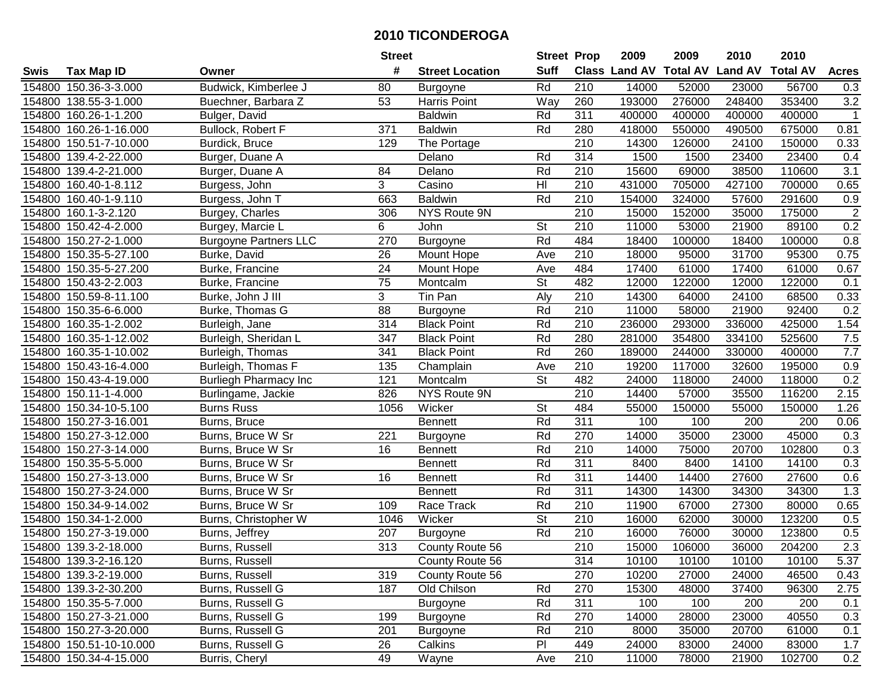|        |                         |                              | <b>Street</b>   |                        | <b>Street Prop</b>       |                  | 2009                          | 2009   | 2010           | 2010            |                  |
|--------|-------------------------|------------------------------|-----------------|------------------------|--------------------------|------------------|-------------------------------|--------|----------------|-----------------|------------------|
| Swis   | <b>Tax Map ID</b>       | Owner                        | #               | <b>Street Location</b> | <b>Suff</b>              |                  | <b>Class Land AV Total AV</b> |        | <b>Land AV</b> | <b>Total AV</b> | <b>Acres</b>     |
|        | 154800 150.36-3-3.000   | Budwick, Kimberlee J         | 80              | Burgoyne               | Rd                       | 210              | 14000                         | 52000  | 23000          | 56700           | 0.3              |
|        | 154800 138.55-3-1.000   | Buechner, Barbara Z          | 53              | Harris Point           | Way                      | 260              | 193000                        | 276000 | 248400         | 353400          | $3.2\,$          |
|        | 154800 160.26-1-1.200   | Bulger, David                |                 | <b>Baldwin</b>         | Rd                       | 311              | 400000                        | 400000 | 400000         | 400000          | $\mathbf{1}$     |
|        | 154800 160.26-1-16.000  | Bullock, Robert F            | 371             | <b>Baldwin</b>         | Rd                       | 280              | 418000                        | 550000 | 490500         | 675000          | 0.81             |
|        | 154800 150.51-7-10.000  | Burdick, Bruce               | 129             | The Portage            |                          | $\overline{210}$ | 14300                         | 126000 | 24100          | 150000          | 0.33             |
|        | 154800 139.4-2-22.000   | Burger, Duane A              |                 | Delano                 | Rd                       | 314              | 1500                          | 1500   | 23400          | 23400           | 0.4              |
|        | 154800 139.4-2-21.000   | Burger, Duane A              | 84              | Delano                 | Rd                       | 210              | 15600                         | 69000  | 38500          | 110600          | 3.1              |
| 154800 | 160.40-1-8.112          | Burgess, John                | 3               | Casino                 | $\overline{\mathsf{H}}$  | 210              | 431000                        | 705000 | 427100         | 700000          | 0.65             |
|        | 154800 160.40-1-9.110   | Burgess, John T              | 663             | <b>Baldwin</b>         | Rd                       | $\overline{210}$ | 154000                        | 324000 | 57600          | 291600          | 0.9              |
|        | 154800 160.1-3-2.120    | Burgey, Charles              | 306             | <b>NYS Route 9N</b>    |                          | 210              | 15000                         | 152000 | 35000          | 175000          | $\sqrt{2}$       |
|        | 154800 150.42-4-2.000   | Burgey, Marcie L             | 6               | John                   | St                       | 210              | 11000                         | 53000  | 21900          | 89100           | 0.2              |
|        | 154800 150.27-2-1.000   | <b>Burgoyne Partners LLC</b> | 270             | Burgoyne               | Rd                       | 484              | 18400                         | 100000 | 18400          | 100000          | 0.8              |
|        | 154800 150.35-5-27.100  | Burke, David                 | 26              | Mount Hope             | Ave                      | 210              | 18000                         | 95000  | 31700          | 95300           | 0.75             |
|        | 154800 150.35-5-27.200  | Burke, Francine              | 24              | Mount Hope             | Ave                      | 484              | 17400                         | 61000  | 17400          | 61000           | 0.67             |
|        | 154800 150.43-2-2.003   | Burke, Francine              | 75              | Montcalm               | St                       | 482              | 12000                         | 122000 | 12000          | 122000          | 0.1              |
|        | 154800 150.59-8-11.100  | Burke, John J III            | 3               | Tin Pan                | Aly                      | 210              | 14300                         | 64000  | 24100          | 68500           | 0.33             |
|        | 154800 150.35-6-6.000   | Burke, Thomas G              | $\overline{88}$ | Burgoyne               | Rd                       | 210              | 11000                         | 58000  | 21900          | 92400           | 0.2              |
|        | 154800 160.35-1-2.002   | Burleigh, Jane               | 314             | <b>Black Point</b>     | Rd                       | 210              | 236000                        | 293000 | 336000         | 425000          | 1.54             |
|        | 154800 160.35-1-12.002  | Burleigh, Sheridan L         | 347             | <b>Black Point</b>     | Rd                       | 280              | 281000                        | 354800 | 334100         | 525600          | 7.5              |
|        | 154800 160.35-1-10.002  | Burleigh, Thomas             | 341             | <b>Black Point</b>     | Rd                       | 260              | 189000                        | 244000 | 330000         | 400000          | $7.7\,$          |
|        | 154800 150.43-16-4.000  | Burleigh, Thomas F           | 135             | Champlain              | Ave                      | 210              | 19200                         | 117000 | 32600          | 195000          | 0.9              |
|        | 154800 150.43-4-19.000  | <b>Burliegh Pharmacy Inc</b> | 121             | Montcalm               | St                       | 482              | 24000                         | 118000 | 24000          | 118000          | 0.2              |
|        | 154800 150.11-1-4.000   | Burlingame, Jackie           | 826             | NYS Route 9N           |                          | 210              | 14400                         | 57000  | 35500          | 116200          | 2.15             |
| 154800 | 150.34-10-5.100         | <b>Burns Russ</b>            | 1056            | Wicker                 | St                       | 484              | 55000                         | 150000 | 55000          | 150000          | 1.26             |
|        | 154800 150.27-3-16.001  | Burns, Bruce                 |                 | <b>Bennett</b>         | Rd                       | $\overline{311}$ | 100                           | 100    | 200            | 200             | 0.06             |
|        | 154800 150.27-3-12.000  | Burns, Bruce W Sr            | 221             | <b>Burgoyne</b>        | Rd                       | 270              | 14000                         | 35000  | 23000          | 45000           | 0.3              |
|        | 154800 150.27-3-14.000  | Burns, Bruce W Sr            | 16              | <b>Bennett</b>         | Rd                       | 210              | 14000                         | 75000  | 20700          | 102800          | 0.3              |
|        | 154800 150.35-5-5.000   | Burns, Bruce W Sr            |                 | <b>Bennett</b>         | Rd                       | 311              | 8400                          | 8400   | 14100          | 14100           | 0.3              |
|        | 154800 150.27-3-13.000  | Burns, Bruce W Sr            | 16              | <b>Bennett</b>         | Rd                       | $\overline{311}$ | 14400                         | 14400  | 27600          | 27600           | 0.6              |
|        | 154800 150.27-3-24.000  | Burns, Bruce W Sr            |                 | Bennett                | Rd                       | $\overline{311}$ | 14300                         | 14300  | 34300          | 34300           | $\overline{1.3}$ |
|        | 154800 150.34-9-14.002  | Burns, Bruce W Sr            | 109             | Race Track             | Rd                       | $\overline{210}$ | 11900                         | 67000  | 27300          | 80000           | 0.65             |
|        | 154800 150.34-1-2.000   | Burns, Christopher W         | 1046            | Wicker                 | $\overline{\mathsf{St}}$ | 210              | 16000                         | 62000  | 30000          | 123200          | 0.5              |
|        | 154800 150.27-3-19.000  | Burns, Jeffrey               | 207             | Burgoyne               | Rd                       | $\overline{210}$ | 16000                         | 76000  | 30000          | 123800          | 0.5              |
|        | 154800 139.3-2-18.000   | Burns, Russell               | 313             | County Route 56        |                          | $\overline{210}$ | 15000                         | 106000 | 36000          | 204200          | 2.3              |
|        | 154800 139.3-2-16.120   | Burns, Russell               |                 | County Route 56        |                          | 314              | 10100                         | 10100  | 10100          | 10100           | 5.37             |
|        | 154800 139.3-2-19.000   | Burns, Russell               | 319             | County Route 56        |                          | 270              | 10200                         | 27000  | 24000          | 46500           | 0.43             |
|        | 154800 139.3-2-30.200   | Burns, Russell G             | 187             | Old Chilson            | Rd                       | 270              | 15300                         | 48000  | 37400          | 96300           | 2.75             |
|        | 154800 150.35-5-7.000   | Burns, Russell G             |                 | Burgoyne               | Rd                       | 311              | 100                           | 100    | 200            | 200             | 0.1              |
|        | 154800 150.27-3-21.000  | Burns, Russell G             | 199             | Burgoyne               | Rd                       | 270              | 14000                         | 28000  | 23000          | 40550           | 0.3              |
|        | 154800 150.27-3-20.000  | Burns, Russell G             | 201             | Burgoyne               | Rd                       | 210              | 8000                          | 35000  | 20700          | 61000           | 0.1              |
|        | 154800 150.51-10-10.000 | Burns, Russell G             | 26              | Calkins                | PI                       | 449              | 24000                         | 83000  | 24000          | 83000           | 1.7              |
|        | 154800 150.34-4-15.000  | Burris, Cheryl               | 49              | Wayne                  | Ave                      | 210              | 11000                         | 78000  | 21900          | 102700          | 0.2              |
|        |                         |                              |                 |                        |                          |                  |                               |        |                |                 |                  |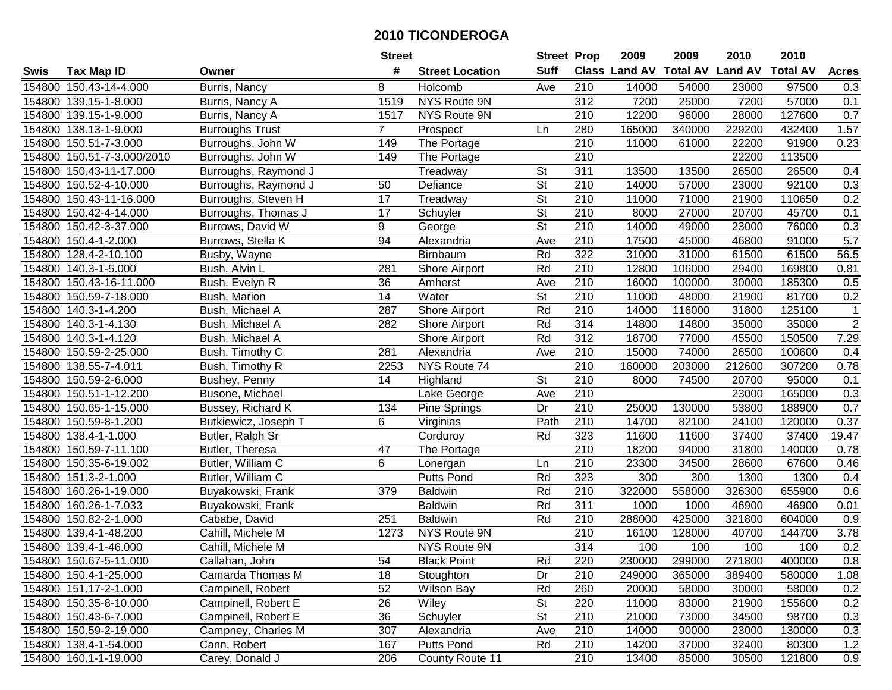|        |                            |                        | <b>Street</b>   |                        | <b>Street Prop</b>       |                  | 2009                          | 2009   | 2010           | 2010            |                  |
|--------|----------------------------|------------------------|-----------------|------------------------|--------------------------|------------------|-------------------------------|--------|----------------|-----------------|------------------|
| Swis   | <b>Tax Map ID</b>          | Owner                  | #               | <b>Street Location</b> | <b>Suff</b>              |                  | <b>Class Land AV Total AV</b> |        | <b>Land AV</b> | <b>Total AV</b> | <b>Acres</b>     |
|        | 154800 150.43-14-4.000     | Burris, Nancy          | 8               | Holcomb                | Ave                      | 210              | 14000                         | 54000  | 23000          | 97500           | 0.3              |
|        | 154800 139.15-1-8.000      | Burris, Nancy A        | 1519            | NYS Route 9N           |                          | 312              | 7200                          | 25000  | 7200           | 57000           | 0.1              |
|        | 154800 139.15-1-9.000      | Burris, Nancy A        | 1517            | NYS Route 9N           |                          | 210              | 12200                         | 96000  | 28000          | 127600          | 0.7              |
|        | 154800 138.13-1-9.000      | <b>Burroughs Trust</b> | $\overline{7}$  | Prospect               | Ln                       | 280              | 165000                        | 340000 | 229200         | 432400          | 1.57             |
|        | 154800 150.51-7-3.000      | Burroughs, John W      | 149             | The Portage            |                          | 210              | 11000                         | 61000  | 22200          | 91900           | 0.23             |
|        | 154800 150.51-7-3.000/2010 | Burroughs, John W      | 149             | The Portage            |                          | $\overline{210}$ |                               |        | 22200          | 113500          |                  |
|        | 154800 150.43-11-17.000    | Burroughs, Raymond J   |                 | Treadway               | <b>St</b>                | 311              | 13500                         | 13500  | 26500          | 26500           | 0.4              |
|        | 154800 150.52-4-10.000     | Burroughs, Raymond J   | 50              | Defiance               | $\overline{\mathsf{St}}$ | $\overline{210}$ | 14000                         | 57000  | 23000          | 92100           | 0.3              |
|        | 154800 150.43-11-16.000    | Burroughs, Steven H    | $\overline{17}$ | Treadway               | $\overline{\mathsf{St}}$ | $\overline{210}$ | 11000                         | 71000  | 21900          | 110650          | 0.2              |
|        | 154800 150.42-4-14.000     | Burroughs, Thomas J    | 17              | Schuyler               | $\overline{\mathsf{St}}$ | 210              | 8000                          | 27000  | 20700          | 45700           | 0.1              |
|        | 154800 150.42-3-37.000     | Burrows, David W       | 9               | George                 | $\overline{\mathsf{St}}$ | 210              | 14000                         | 49000  | 23000          | 76000           | 0.3              |
|        | 154800 150.4-1-2.000       | Burrows, Stella K      | 94              | Alexandria             | Ave                      | 210              | 17500                         | 45000  | 46800          | 91000           | 5.7              |
|        | 154800 128.4-2-10.100      | Busby, Wayne           |                 | Birnbaum               | Rd                       | 322              | 31000                         | 31000  | 61500          | 61500           | 56.5             |
|        | 154800 140.3-1-5.000       | Bush, Alvin L          | 281             | Shore Airport          | Rd                       | 210              | 12800                         | 106000 | 29400          | 169800          | 0.81             |
|        | 154800 150.43-16-11.000    | Bush, Evelyn R         | 36              | Amherst                | Ave                      | 210              | 16000                         | 100000 | 30000          | 185300          | 0.5              |
|        | 154800 150.59-7-18.000     | Bush, Marion           | 14              | Water                  | <b>St</b>                | 210              | 11000                         | 48000  | 21900          | 81700           | 0.2              |
|        | 154800 140.3-1-4.200       | Bush, Michael A        | 287             | Shore Airport          | Rd                       | 210              | 14000                         | 116000 | 31800          | 125100          | 1                |
|        | 154800 140.3-1-4.130       | Bush, Michael A        | 282             | Shore Airport          | Rd                       | 314              | 14800                         | 14800  | 35000          | 35000           | $\boldsymbol{2}$ |
|        | 154800 140.3-1-4.120       | Bush, Michael A        |                 | Shore Airport          | Rd                       | 312              | 18700                         | 77000  | 45500          | 150500          | 7.29             |
|        | 154800 150.59-2-25.000     | Bush, Timothy C        | 281             | Alexandria             | Ave                      | 210              | 15000                         | 74000  | 26500          | 100600          | 0.4              |
|        | 154800 138.55-7-4.011      | Bush, Timothy R        | 2253            | NYS Route 74           |                          | 210              | 160000                        | 203000 | 212600         | 307200          | 0.78             |
|        | 154800 150.59-2-6.000      | Bushey, Penny          | 14              | Highland               | <b>St</b>                | 210              | 8000                          | 74500  | 20700          | 95000           | 0.1              |
| 154800 | 150.51-1-12.200            | Busone, Michael        |                 | Lake George            | Ave                      | 210              |                               |        | 23000          | 165000          | 0.3              |
| 154800 | 150.65-1-15.000            | Bussey, Richard K      | 134             | Pine Springs           | Dr                       | 210              | 25000                         | 130000 | 53800          | 188900          | 0.7              |
|        | 154800 150.59-8-1.200      | Butkiewicz, Joseph T   | 6               | Virginias              | Path                     | 210              | 14700                         | 82100  | 24100          | 120000          | 0.37             |
|        | 154800 138.4-1-1.000       | Butler, Ralph Sr       |                 | Corduroy               | Rd                       | 323              | 11600                         | 11600  | 37400          | 37400           | 19.47            |
|        | 154800 150.59-7-11.100     | Butler, Theresa        | 47              | The Portage            |                          | 210              | 18200                         | 94000  | 31800          | 140000          | 0.78             |
|        | 154800 150.35-6-19.002     | Butler, William C      | 6               | Lonergan               | Ln                       | 210              | 23300                         | 34500  | 28600          | 67600           | 0.46             |
|        | 154800 151.3-2-1.000       | Butler, William C      |                 | <b>Putts Pond</b>      | Rd                       | 323              | 300                           | 300    | 1300           | 1300            | 0.4              |
|        | 154800 160.26-1-19.000     | Buyakowski, Frank      | 379             | <b>Baldwin</b>         | Rd                       | $\overline{210}$ | 322000                        | 558000 | 326300         | 655900          | 0.6              |
|        | 154800 160.26-1-7.033      | Buyakowski, Frank      |                 | <b>Baldwin</b>         | Rd                       | 311              | 1000                          | 1000   | 46900          | 46900           | 0.01             |
|        | 154800 150.82-2-1.000      | Cababe, David          | 251             | <b>Baldwin</b>         | Rd                       | 210              | 288000                        | 425000 | 321800         | 604000          | 0.9              |
|        | 154800 139.4-1-48.200      | Cahill, Michele M      | 1273            | NYS Route 9N           |                          | $\overline{210}$ | 16100                         | 128000 | 40700          | 144700          | 3.78             |
|        | 154800 139.4-1-46.000      | Cahill, Michele M      |                 | NYS Route 9N           |                          | 314              | 100                           | 100    | 100            | 100             | 0.2              |
|        | 154800 150.67-5-11.000     | Callahan, John         | 54              | <b>Black Point</b>     | Rd                       | 220              | 230000                        | 299000 | 271800         | 400000          | 0.8              |
|        | 154800 150.4-1-25.000      | Camarda Thomas M       | 18              | Stoughton              | Dr                       | 210              | 249000                        | 365000 | 389400         | 580000          | 1.08             |
|        | 154800 151.17-2-1.000      | Campinell, Robert      | 52              | <b>Wilson Bay</b>      | Rd                       | 260              | 20000                         | 58000  | 30000          | 58000           | 0.2              |
|        | 154800 150.35-8-10.000     | Campinell, Robert E    | 26              | Wiley                  | <b>St</b>                | 220              | 11000                         | 83000  | 21900          | 155600          | 0.2              |
|        | 154800 150.43-6-7.000      | Campinell, Robert E    | 36              | Schuyler               | <b>St</b>                | 210              | 21000                         | 73000  | 34500          | 98700           | 0.3              |
|        | 154800 150.59-2-19.000     | Campney, Charles M     | 307             | Alexandria             | Ave                      | 210              | 14000                         | 90000  | 23000          | 130000          | 0.3              |
|        | 154800 138.4-1-54.000      | Cann, Robert           | 167             | Putts Pond             | Rd                       | 210              | 14200                         | 37000  | 32400          | 80300           | 1.2              |
|        | 154800 160.1-1-19.000      | Carey, Donald J        | 206             | County Route 11        |                          | 210              | 13400                         | 85000  | 30500          | 121800          | 0.9              |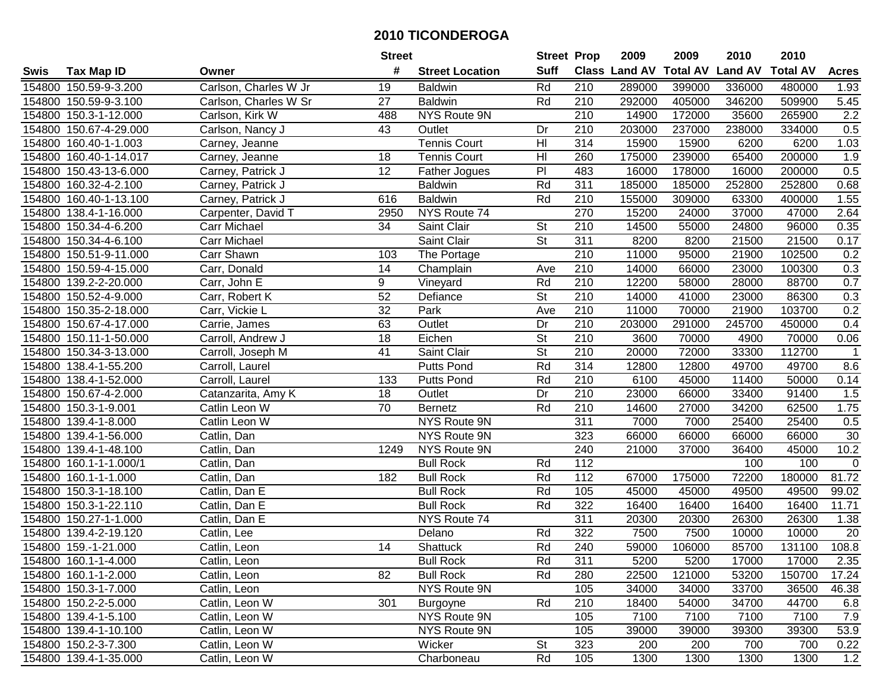|      |                        |                       | <b>Street</b>   |                        | <b>Street Prop</b>       |                  | 2009          | 2009            | 2010           | 2010            |              |
|------|------------------------|-----------------------|-----------------|------------------------|--------------------------|------------------|---------------|-----------------|----------------|-----------------|--------------|
| Swis | <b>Tax Map ID</b>      | Owner                 | #               | <b>Street Location</b> | <b>Suff</b>              |                  | Class Land AV | <b>Total AV</b> | <b>Land AV</b> | <b>Total AV</b> | <b>Acres</b> |
|      | 154800 150.59-9-3.200  | Carlson, Charles W Jr | 19              | <b>Baldwin</b>         | Rd                       | 210              | 289000        | 399000          | 336000         | 480000          | 1.93         |
|      | 154800 150.59-9-3.100  | Carlson, Charles W Sr | 27              | <b>Baldwin</b>         | Rd                       | 210              | 292000        | 405000          | 346200         | 509900          | 5.45         |
|      | 154800 150.3-1-12.000  | Carlson, Kirk W       | 488             | NYS Route 9N           |                          | 210              | 14900         | 172000          | 35600          | 265900          | 2.2          |
|      | 154800 150.67-4-29.000 | Carlson, Nancy J      | 43              | Outlet                 | Dr                       | 210              | 203000        | 237000          | 238000         | 334000          | 0.5          |
|      | 154800 160.40-1-1.003  | Carney, Jeanne        |                 | <b>Tennis Court</b>    | H <sub>l</sub>           | 314              | 15900         | 15900           | 6200           | 6200            | 1.03         |
|      | 154800 160.40-1-14.017 | Carney, Jeanne        | 18              | <b>Tennis Court</b>    | $\overline{\mathsf{H}}$  | 260              | 175000        | 239000          | 65400          | 200000          | 1.9          |
|      | 154800 150.43-13-6.000 | Carney, Patrick J     | 12              | Father Jogues          | $\overline{P}$           | 483              | 16000         | 178000          | 16000          | 200000          | 0.5          |
|      | 154800 160.32-4-2.100  | Carney, Patrick J     |                 | <b>Baldwin</b>         | Rd                       | 311              | 185000        | 185000          | 252800         | 252800          | 0.68         |
|      | 154800 160.40-1-13.100 | Carney, Patrick J     | 616             | <b>Baldwin</b>         | Rd                       | $\overline{210}$ | 155000        | 309000          | 63300          | 400000          | 1.55         |
|      | 154800 138.4-1-16.000  | Carpenter, David T    | 2950            | NYS Route 74           |                          | 270              | 15200         | 24000           | 37000          | 47000           | 2.64         |
|      | 154800 150.34-4-6.200  | Carr Michael          | 34              | Saint Clair            | St                       | 210              | 14500         | 55000           | 24800          | 96000           | 0.35         |
|      | 154800 150.34-4-6.100  | Carr Michael          |                 | Saint Clair            | St                       | 311              | 8200          | 8200            | 21500          | 21500           | 0.17         |
|      | 154800 150.51-9-11.000 | Carr Shawn            | 103             | The Portage            |                          | $\overline{210}$ | 11000         | 95000           | 21900          | 102500          | 0.2          |
|      | 154800 150.59-4-15.000 | Carr, Donald          | 14              | Champlain              | Ave                      | 210              | 14000         | 66000           | 23000          | 100300          | 0.3          |
|      | 154800 139.2-2-20.000  | Carr, John E          | 9               | Vineyard               | Rd                       | 210              | 12200         | 58000           | 28000          | 88700           | 0.7          |
|      | 154800 150.52-4-9.000  | Carr, Robert K        | 52              | Defiance               | St                       | 210              | 14000         | 41000           | 23000          | 86300           | 0.3          |
|      | 154800 150.35-2-18.000 | Carr, Vickie L        | $\overline{32}$ | Park                   | Ave                      | 210              | 11000         | 70000           | 21900          | 103700          | 0.2          |
|      | 154800 150.67-4-17.000 | Carrie, James         | 63              | Outlet                 | Dr                       | 210              | 203000        | 291000          | 245700         | 450000          | 0.4          |
|      | 154800 150.11-1-50.000 | Carroll, Andrew J     | $\overline{18}$ | Eichen                 | $\overline{\mathsf{St}}$ | 210              | 3600          | 70000           | 4900           | 70000           | 0.06         |
|      | 154800 150.34-3-13.000 | Carroll, Joseph M     | 41              | Saint Clair            | <b>St</b>                | 210              | 20000         | 72000           | 33300          | 112700          | $\mathbf{1}$ |
|      | 154800 138.4-1-55.200  | Carroll, Laurel       |                 | <b>Putts Pond</b>      | Rd                       | 314              | 12800         | 12800           | 49700          | 49700           | 8.6          |
|      | 154800 138.4-1-52.000  | Carroll, Laurel       | 133             | <b>Putts Pond</b>      | Rd                       | 210              | 6100          | 45000           | 11400          | 50000           | 0.14         |
|      | 154800 150.67-4-2.000  | Catanzarita, Amy K    | 18              | Outlet                 | Dr                       | 210              | 23000         | 66000           | 33400          | 91400           | 1.5          |
|      | 154800 150.3-1-9.001   | Catlin Leon W         | 70              | <b>Bernetz</b>         | Rd                       | 210              | 14600         | 27000           | 34200          | 62500           | 1.75         |
|      | 154800 139.4-1-8.000   | Catlin Leon W         |                 | NYS Route 9N           |                          | $\overline{311}$ | 7000          | 7000            | 25400          | 25400           | 0.5          |
|      | 154800 139.4-1-56.000  | Catlin, Dan           |                 | NYS Route 9N           |                          | 323              | 66000         | 66000           | 66000          | 66000           | 30           |
|      | 154800 139.4-1-48.100  | Catlin, Dan           | 1249            | NYS Route 9N           |                          | 240              | 21000         | 37000           | 36400          | 45000           | 10.2         |
|      | 154800 160.1-1-1.000/1 | Catlin, Dan           |                 | <b>Bull Rock</b>       | Rd                       | 112              |               |                 | 100            | 100             | $\mathbf{0}$ |
|      | 154800 160.1-1-1.000   | Catlin, Dan           | 182             | <b>Bull Rock</b>       | Rd                       | $\frac{11}{2}$   | 67000         | 175000          | 72200          | 180000          | 81.72        |
|      | 154800 150.3-1-18.100  | Catlin, Dan E         |                 | <b>Bull Rock</b>       | Rd                       | 105              | 45000         | 45000           | 49500          | 49500           | 99.02        |
|      | 154800 150.3-1-22.110  | Catlin, Dan E         |                 | <b>Bull Rock</b>       | Rd                       | 322              | 16400         | 16400           | 16400          | 16400           | 11.71        |
|      | 154800 150.27-1-1.000  | Catlin, Dan E         |                 | NYS Route 74           |                          | 311              | 20300         | 20300           | 26300          | 26300           | 1.38         |
|      | 154800 139.4-2-19.120  | Catlin, Lee           |                 | Delano                 | Rd                       | 322              | 7500          | 7500            | 10000          | 10000           | 20           |
|      | 154800 159.-1-21.000   | Catlin, Leon          | 14              | Shattuck               | Rd                       | 240              | 59000         | 106000          | 85700          | 131100          | 108.8        |
|      | 154800 160.1-1-4.000   | Catlin, Leon          |                 | <b>Bull Rock</b>       | Rd                       | 311              | 5200          | 5200            | 17000          | 17000           | 2.35         |
|      | 154800 160.1-1-2.000   | Catlin, Leon          | 82              | <b>Bull Rock</b>       | Rd                       | 280              | 22500         | 121000          | 53200          | 150700          | 17.24        |
|      | 154800 150.3-1-7.000   | Catlin, Leon          |                 | NYS Route 9N           |                          | 105              | 34000         | 34000           | 33700          | 36500           | 46.38        |
|      | 154800 150.2-2-5.000   | Catlin, Leon W        | 301             | Burgoyne               | Rd                       | 210              | 18400         | 54000           | 34700          | 44700           | 6.8          |
|      | 154800 139.4-1-5.100   | Catlin, Leon W        |                 | NYS Route 9N           |                          | 105              | 7100          | 7100            | 7100           | 7100            | 7.9          |
|      | 154800 139.4-1-10.100  | Catlin, Leon W        |                 | NYS Route 9N           |                          | 105              | 39000         | 39000           | 39300          | 39300           | 53.9         |
|      | 154800 150.2-3-7.300   | Catlin, Leon W        |                 | Wicker                 | St                       | 323              | 200           | 200             | 700            | 700             | 0.22         |
|      | 154800 139.4-1-35.000  | Catlin, Leon W        |                 | Charboneau             | Rd                       | 105              | 1300          | 1300            | 1300           | 1300            | 1.2          |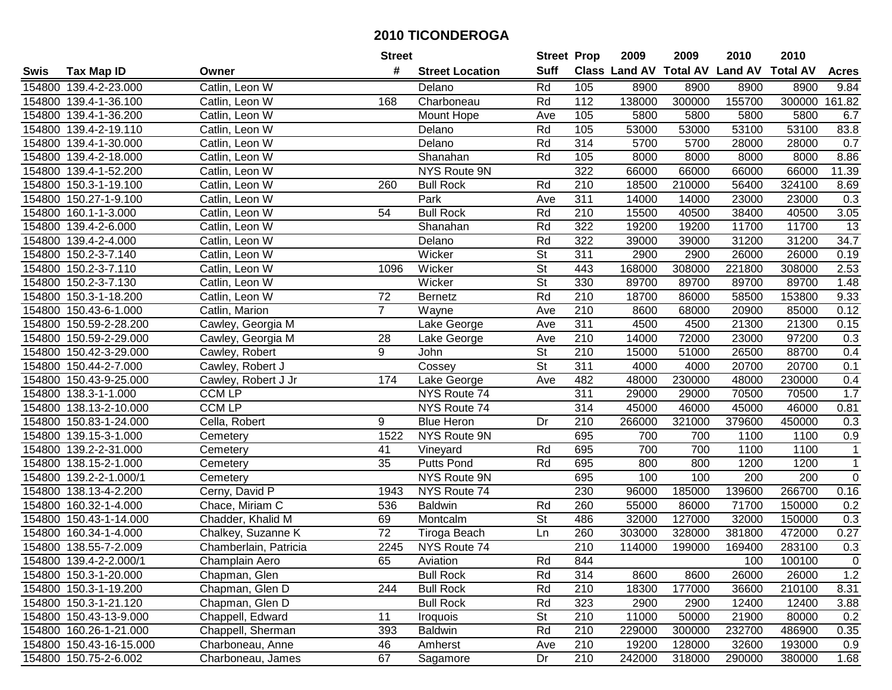| #<br><b>Suff</b><br>Class Land AV Total AV Land AV<br><b>Total AV</b><br><b>Tax Map ID</b><br><b>Street Location</b><br><b>Acres</b><br>Swis<br>Owner<br>Rd<br>105<br>8900<br>154800 139.4-2-23.000<br>Catlin, Leon W<br>8900<br>8900<br>8900<br>9.84<br>Delano<br>Charboneau<br>112<br>300000<br>155700<br>300000<br>161.82<br>154800 139.4-1-36.100<br>Catlin, Leon W<br>168<br>Rd<br>138000<br>154800 139.4-1-36.200<br>Catlin, Leon W<br>Mount Hope<br>105<br>5800<br>5800<br>5800<br>5800<br>6.7<br>Ave<br>154800 139.4-2-19.110<br>Rd<br>105<br>53000<br>53000<br>53100<br>53100<br>83.8<br>Catlin, Leon W<br>Delano<br>$\overline{314}$<br>154800 139.4-1-30.000<br>Catlin, Leon W<br>Rd<br>5700<br>5700<br>28000<br>28000<br>0.7<br>Delano<br>Rd<br>8.86<br>154800 139.4-2-18.000<br>Catlin, Leon W<br>Shanahan<br>105<br>8000<br>8000<br>8000<br>8000<br>322<br>154800 139.4-1-52.200<br>NYS Route 9N<br>66000<br>66000<br>66000<br>11.39<br>Catlin, Leon W<br>66000<br>210<br>154800 150.3-1-19.100<br>Rd<br>18500<br>210000<br>56400<br>324100<br>8.69<br>Catlin, Leon W<br>260<br><b>Bull Rock</b><br>Park<br>311<br>154800 150.27-1-9.100<br>14000<br>14000<br>23000<br>23000<br>0.3<br>Catlin, Leon W<br>Ave<br>Rd<br>210<br>15500<br>38400<br>40500<br>3.05<br>154800 160.1-1-3.000<br>54<br><b>Bull Rock</b><br>40500<br>Catlin, Leon W<br>322<br>11700<br>13<br>154800 139.4-2-6.000<br>Shanahan<br>Rd<br>19200<br>19200<br>11700<br>Catlin, Leon W<br>34.7<br>154800 139.4-2-4.000<br>Rd<br>322<br>39000<br>39000<br>31200<br>31200<br>Catlin, Leon W<br>Delano<br>$\overline{\mathsf{St}}$<br>Wicker<br>311<br>2900<br>2900<br>26000<br>26000<br>154800 150.2-3-7.140<br>Catlin, Leon W<br>0.19<br>$\overline{\mathsf{St}}$<br>154800 150.2-3-7.110<br>Wicker<br>443<br>168000<br>308000<br>221800<br>308000<br>2.53<br>Catlin, Leon W<br>1096<br>$\overline{\mathsf{St}}$<br>330<br>154800 150.2-3-7.130<br>Wicker<br>89700<br>89700<br>89700<br>89700<br>1.48<br>Catlin, Leon W<br>Rd<br>210<br>154800 150.3-1-18.200<br>72<br>18700<br>58500<br>153800<br>9.33<br>Catlin, Leon W<br>86000<br><b>Bernetz</b><br>$\overline{7}$<br>210<br>8600<br>0.12<br>154800 150.43-6-1.000<br>Wayne<br>68000<br>20900<br>85000<br>Catlin, Marion<br>Ave<br>311<br>154800 150.59-2-28.200<br>4500<br>4500<br>21300<br>21300<br>0.15<br>Cawley, Georgia M<br>Lake George<br>Ave<br>210<br>0.3<br>154800 150.59-2-29.000<br>28<br>14000<br>72000<br>23000<br>97200<br>Cawley, Georgia M<br>Lake George<br>Ave<br>154800 150.42-3-29.000<br>9<br>John<br><b>St</b><br>210<br>15000<br>51000<br>26500<br>88700<br>0.4<br>Cawley, Robert<br>$\overline{\mathsf{St}}$<br>$\overline{311}$<br>0.1<br>154800 150.44-2-7.000<br>4000<br>4000<br>20700<br>20700<br>Cawley, Robert J<br>Cossey<br>174<br>48000<br>154800 150.43-9-25.000<br>482<br>230000<br>48000<br>230000<br>0.4<br>Cawley, Robert J Jr<br>Lake George<br>Ave<br><b>CCM LP</b><br>NYS Route 74<br>311<br>1.7<br>154800 138.3-1-1.000<br>29000<br>29000<br>70500<br>70500<br><b>CCM LP</b><br>45000<br>46000<br>154800<br>138.13-2-10.000<br>NYS Route 74<br>314<br>46000<br>45000<br>0.81<br>$\overline{210}$<br>154800 150.83-1-24.000<br>9<br>Dr<br>266000<br>321000<br>379600<br>450000<br>0.3<br>Cella, Robert<br><b>Blue Heron</b><br>1522<br>NYS Route 9N<br>695<br>700<br>154800 139.15-3-1.000<br>1100<br>0.9<br>Cemetery<br>700<br>1100<br>41<br>695<br>700<br>1100<br>1100<br>154800 139.2-2-31.000<br>Vineyard<br>Rd<br>700<br>$\mathbf 1$<br>Cemetery<br>35<br><b>Putts Pond</b><br>Rd<br>695<br>800<br>$\overline{1}$<br>154800 138.15-2-1.000<br>800<br>1200<br>1200<br>Cemetery<br>$\overline{0}$<br>695<br>100<br>154800 139.2-2-1.000/1<br>NYS Route 9N<br>100<br>200<br>200<br>Cemetery<br>NYS Route 74<br>230<br>185000<br>139600<br>266700<br>154800 138.13-4-2.200<br>Cerny, David P<br>96000<br>0.16<br>1943<br>154800 160.32-1-4.000<br>Rd<br>260<br>71700<br>0.2<br>Chace, Miriam C<br>536<br><b>Baldwin</b><br>55000<br>86000<br>150000<br>$\overline{\mathsf{St}}$<br>154800 150.43-1-14.000<br>Chadder, Khalid M<br>69<br>486<br>32000<br>127000<br>32000<br>150000<br>0.3<br>Montcalm<br>$\overline{72}$<br>154800 160.34-1-4.000<br>260<br>472000<br>0.27<br>Chalkey, Suzanne K<br>Ln<br>303000<br>328000<br>381800<br>Tiroga Beach<br>NYS Route 74<br>$\overline{210}$<br>154800 138.55-7-2.009<br>2245<br>114000<br>199000<br>169400<br>283100<br>0.3<br>Chamberlain, Patricia<br>154800 139.4-2-2.000/1<br>Champlain Aero<br>65<br>Aviation<br>Rd<br>844<br>100<br>100100<br>0<br>$1.2$<br>314<br>154800 150.3-1-20.000<br><b>Bull Rock</b><br>Rd<br>8600<br>8600<br>26000<br>26000<br>Chapman, Glen<br>Rd<br>210<br>18300<br>177000<br>210100<br>154800 150.3-1-19.200<br>Chapman, Glen D<br>244<br><b>Bull Rock</b><br>36600<br>8.31<br>154800 150.3-1-21.120<br><b>Bull Rock</b><br>Rd<br>323<br>2900<br>2900<br>12400<br>12400<br>3.88<br>Chapman, Glen D<br>Chappell, Edward<br>210<br>0.2<br>154800 150.43-13-9.000<br>11<br>St<br>11000<br>50000<br>21900<br>80000<br><b>Iroquois</b><br>393<br>Rd<br>210<br>232700<br>154800 160.26-1-21.000<br>Chappell, Sherman<br><b>Baldwin</b><br>229000<br>300000<br>486900<br>0.35<br>19200<br>154800 150.43-16-15.000<br>Charboneau, Anne<br>46<br>210<br>128000<br>32600<br>193000<br>0.9<br>Amherst<br>Ave<br>210<br>154800 150.75-2-6.002<br>67<br>Dr<br>242000<br>318000<br>290000<br>380000<br>Sagamore<br>1.68<br>Charboneau, James |  | <b>Street</b> | <b>Street Prop</b> | 2009 | 2009 | 2010 | 2010 |  |
|-------------------------------------------------------------------------------------------------------------------------------------------------------------------------------------------------------------------------------------------------------------------------------------------------------------------------------------------------------------------------------------------------------------------------------------------------------------------------------------------------------------------------------------------------------------------------------------------------------------------------------------------------------------------------------------------------------------------------------------------------------------------------------------------------------------------------------------------------------------------------------------------------------------------------------------------------------------------------------------------------------------------------------------------------------------------------------------------------------------------------------------------------------------------------------------------------------------------------------------------------------------------------------------------------------------------------------------------------------------------------------------------------------------------------------------------------------------------------------------------------------------------------------------------------------------------------------------------------------------------------------------------------------------------------------------------------------------------------------------------------------------------------------------------------------------------------------------------------------------------------------------------------------------------------------------------------------------------------------------------------------------------------------------------------------------------------------------------------------------------------------------------------------------------------------------------------------------------------------------------------------------------------------------------------------------------------------------------------------------------------------------------------------------------------------------------------------------------------------------------------------------------------------------------------------------------------------------------------------------------------------------------------------------------------------------------------------------------------------------------------------------------------------------------------------------------------------------------------------------------------------------------------------------------------------------------------------------------------------------------------------------------------------------------------------------------------------------------------------------------------------------------------------------------------------------------------------------------------------------------------------------------------------------------------------------------------------------------------------------------------------------------------------------------------------------------------------------------------------------------------------------------------------------------------------------------------------------------------------------------------------------------------------------------------------------------------------------------------------------------------------------------------------------------------------------------------------------------------------------------------------------------------------------------------------------------------------------------------------------------------------------------------------------------------------------------------------------------------------------------------------------------------------------------------------------------------------------------------------------------------------------------------------------------------------------------------------------------------------------------------------------------------------------------------------------------------------------------------------------------------------------------------------------------------------------------------------------------------------------------------------------------------------------------------------------------------------------------------------------------------------------------------------------------------------------------------------------------------------------------------------------------------------------------------------------------------------------------------------------------------------------------------------------------------------------------------------------------------------------------------------------------------------------------------------------------------------------------------------------------------------------------------------------------------------------------------------------------------------------------------------------------------------------------------------------------------------------------------------------------|--|---------------|--------------------|------|------|------|------|--|
|                                                                                                                                                                                                                                                                                                                                                                                                                                                                                                                                                                                                                                                                                                                                                                                                                                                                                                                                                                                                                                                                                                                                                                                                                                                                                                                                                                                                                                                                                                                                                                                                                                                                                                                                                                                                                                                                                                                                                                                                                                                                                                                                                                                                                                                                                                                                                                                                                                                                                                                                                                                                                                                                                                                                                                                                                                                                                                                                                                                                                                                                                                                                                                                                                                                                                                                                                                                                                                                                                                                                                                                                                                                                                                                                                                                                                                                                                                                                                                                                                                                                                                                                                                                                                                                                                                                                                                                                                                                                                                                                                                                                                                                                                                                                                                                                                                                                                                                                                                                                                                                                                                                                                                                                                                                                                                                                                                                                                                                                                           |  |               |                    |      |      |      |      |  |
|                                                                                                                                                                                                                                                                                                                                                                                                                                                                                                                                                                                                                                                                                                                                                                                                                                                                                                                                                                                                                                                                                                                                                                                                                                                                                                                                                                                                                                                                                                                                                                                                                                                                                                                                                                                                                                                                                                                                                                                                                                                                                                                                                                                                                                                                                                                                                                                                                                                                                                                                                                                                                                                                                                                                                                                                                                                                                                                                                                                                                                                                                                                                                                                                                                                                                                                                                                                                                                                                                                                                                                                                                                                                                                                                                                                                                                                                                                                                                                                                                                                                                                                                                                                                                                                                                                                                                                                                                                                                                                                                                                                                                                                                                                                                                                                                                                                                                                                                                                                                                                                                                                                                                                                                                                                                                                                                                                                                                                                                                           |  |               |                    |      |      |      |      |  |
|                                                                                                                                                                                                                                                                                                                                                                                                                                                                                                                                                                                                                                                                                                                                                                                                                                                                                                                                                                                                                                                                                                                                                                                                                                                                                                                                                                                                                                                                                                                                                                                                                                                                                                                                                                                                                                                                                                                                                                                                                                                                                                                                                                                                                                                                                                                                                                                                                                                                                                                                                                                                                                                                                                                                                                                                                                                                                                                                                                                                                                                                                                                                                                                                                                                                                                                                                                                                                                                                                                                                                                                                                                                                                                                                                                                                                                                                                                                                                                                                                                                                                                                                                                                                                                                                                                                                                                                                                                                                                                                                                                                                                                                                                                                                                                                                                                                                                                                                                                                                                                                                                                                                                                                                                                                                                                                                                                                                                                                                                           |  |               |                    |      |      |      |      |  |
|                                                                                                                                                                                                                                                                                                                                                                                                                                                                                                                                                                                                                                                                                                                                                                                                                                                                                                                                                                                                                                                                                                                                                                                                                                                                                                                                                                                                                                                                                                                                                                                                                                                                                                                                                                                                                                                                                                                                                                                                                                                                                                                                                                                                                                                                                                                                                                                                                                                                                                                                                                                                                                                                                                                                                                                                                                                                                                                                                                                                                                                                                                                                                                                                                                                                                                                                                                                                                                                                                                                                                                                                                                                                                                                                                                                                                                                                                                                                                                                                                                                                                                                                                                                                                                                                                                                                                                                                                                                                                                                                                                                                                                                                                                                                                                                                                                                                                                                                                                                                                                                                                                                                                                                                                                                                                                                                                                                                                                                                                           |  |               |                    |      |      |      |      |  |
|                                                                                                                                                                                                                                                                                                                                                                                                                                                                                                                                                                                                                                                                                                                                                                                                                                                                                                                                                                                                                                                                                                                                                                                                                                                                                                                                                                                                                                                                                                                                                                                                                                                                                                                                                                                                                                                                                                                                                                                                                                                                                                                                                                                                                                                                                                                                                                                                                                                                                                                                                                                                                                                                                                                                                                                                                                                                                                                                                                                                                                                                                                                                                                                                                                                                                                                                                                                                                                                                                                                                                                                                                                                                                                                                                                                                                                                                                                                                                                                                                                                                                                                                                                                                                                                                                                                                                                                                                                                                                                                                                                                                                                                                                                                                                                                                                                                                                                                                                                                                                                                                                                                                                                                                                                                                                                                                                                                                                                                                                           |  |               |                    |      |      |      |      |  |
|                                                                                                                                                                                                                                                                                                                                                                                                                                                                                                                                                                                                                                                                                                                                                                                                                                                                                                                                                                                                                                                                                                                                                                                                                                                                                                                                                                                                                                                                                                                                                                                                                                                                                                                                                                                                                                                                                                                                                                                                                                                                                                                                                                                                                                                                                                                                                                                                                                                                                                                                                                                                                                                                                                                                                                                                                                                                                                                                                                                                                                                                                                                                                                                                                                                                                                                                                                                                                                                                                                                                                                                                                                                                                                                                                                                                                                                                                                                                                                                                                                                                                                                                                                                                                                                                                                                                                                                                                                                                                                                                                                                                                                                                                                                                                                                                                                                                                                                                                                                                                                                                                                                                                                                                                                                                                                                                                                                                                                                                                           |  |               |                    |      |      |      |      |  |
|                                                                                                                                                                                                                                                                                                                                                                                                                                                                                                                                                                                                                                                                                                                                                                                                                                                                                                                                                                                                                                                                                                                                                                                                                                                                                                                                                                                                                                                                                                                                                                                                                                                                                                                                                                                                                                                                                                                                                                                                                                                                                                                                                                                                                                                                                                                                                                                                                                                                                                                                                                                                                                                                                                                                                                                                                                                                                                                                                                                                                                                                                                                                                                                                                                                                                                                                                                                                                                                                                                                                                                                                                                                                                                                                                                                                                                                                                                                                                                                                                                                                                                                                                                                                                                                                                                                                                                                                                                                                                                                                                                                                                                                                                                                                                                                                                                                                                                                                                                                                                                                                                                                                                                                                                                                                                                                                                                                                                                                                                           |  |               |                    |      |      |      |      |  |
|                                                                                                                                                                                                                                                                                                                                                                                                                                                                                                                                                                                                                                                                                                                                                                                                                                                                                                                                                                                                                                                                                                                                                                                                                                                                                                                                                                                                                                                                                                                                                                                                                                                                                                                                                                                                                                                                                                                                                                                                                                                                                                                                                                                                                                                                                                                                                                                                                                                                                                                                                                                                                                                                                                                                                                                                                                                                                                                                                                                                                                                                                                                                                                                                                                                                                                                                                                                                                                                                                                                                                                                                                                                                                                                                                                                                                                                                                                                                                                                                                                                                                                                                                                                                                                                                                                                                                                                                                                                                                                                                                                                                                                                                                                                                                                                                                                                                                                                                                                                                                                                                                                                                                                                                                                                                                                                                                                                                                                                                                           |  |               |                    |      |      |      |      |  |
|                                                                                                                                                                                                                                                                                                                                                                                                                                                                                                                                                                                                                                                                                                                                                                                                                                                                                                                                                                                                                                                                                                                                                                                                                                                                                                                                                                                                                                                                                                                                                                                                                                                                                                                                                                                                                                                                                                                                                                                                                                                                                                                                                                                                                                                                                                                                                                                                                                                                                                                                                                                                                                                                                                                                                                                                                                                                                                                                                                                                                                                                                                                                                                                                                                                                                                                                                                                                                                                                                                                                                                                                                                                                                                                                                                                                                                                                                                                                                                                                                                                                                                                                                                                                                                                                                                                                                                                                                                                                                                                                                                                                                                                                                                                                                                                                                                                                                                                                                                                                                                                                                                                                                                                                                                                                                                                                                                                                                                                                                           |  |               |                    |      |      |      |      |  |
|                                                                                                                                                                                                                                                                                                                                                                                                                                                                                                                                                                                                                                                                                                                                                                                                                                                                                                                                                                                                                                                                                                                                                                                                                                                                                                                                                                                                                                                                                                                                                                                                                                                                                                                                                                                                                                                                                                                                                                                                                                                                                                                                                                                                                                                                                                                                                                                                                                                                                                                                                                                                                                                                                                                                                                                                                                                                                                                                                                                                                                                                                                                                                                                                                                                                                                                                                                                                                                                                                                                                                                                                                                                                                                                                                                                                                                                                                                                                                                                                                                                                                                                                                                                                                                                                                                                                                                                                                                                                                                                                                                                                                                                                                                                                                                                                                                                                                                                                                                                                                                                                                                                                                                                                                                                                                                                                                                                                                                                                                           |  |               |                    |      |      |      |      |  |
|                                                                                                                                                                                                                                                                                                                                                                                                                                                                                                                                                                                                                                                                                                                                                                                                                                                                                                                                                                                                                                                                                                                                                                                                                                                                                                                                                                                                                                                                                                                                                                                                                                                                                                                                                                                                                                                                                                                                                                                                                                                                                                                                                                                                                                                                                                                                                                                                                                                                                                                                                                                                                                                                                                                                                                                                                                                                                                                                                                                                                                                                                                                                                                                                                                                                                                                                                                                                                                                                                                                                                                                                                                                                                                                                                                                                                                                                                                                                                                                                                                                                                                                                                                                                                                                                                                                                                                                                                                                                                                                                                                                                                                                                                                                                                                                                                                                                                                                                                                                                                                                                                                                                                                                                                                                                                                                                                                                                                                                                                           |  |               |                    |      |      |      |      |  |
|                                                                                                                                                                                                                                                                                                                                                                                                                                                                                                                                                                                                                                                                                                                                                                                                                                                                                                                                                                                                                                                                                                                                                                                                                                                                                                                                                                                                                                                                                                                                                                                                                                                                                                                                                                                                                                                                                                                                                                                                                                                                                                                                                                                                                                                                                                                                                                                                                                                                                                                                                                                                                                                                                                                                                                                                                                                                                                                                                                                                                                                                                                                                                                                                                                                                                                                                                                                                                                                                                                                                                                                                                                                                                                                                                                                                                                                                                                                                                                                                                                                                                                                                                                                                                                                                                                                                                                                                                                                                                                                                                                                                                                                                                                                                                                                                                                                                                                                                                                                                                                                                                                                                                                                                                                                                                                                                                                                                                                                                                           |  |               |                    |      |      |      |      |  |
|                                                                                                                                                                                                                                                                                                                                                                                                                                                                                                                                                                                                                                                                                                                                                                                                                                                                                                                                                                                                                                                                                                                                                                                                                                                                                                                                                                                                                                                                                                                                                                                                                                                                                                                                                                                                                                                                                                                                                                                                                                                                                                                                                                                                                                                                                                                                                                                                                                                                                                                                                                                                                                                                                                                                                                                                                                                                                                                                                                                                                                                                                                                                                                                                                                                                                                                                                                                                                                                                                                                                                                                                                                                                                                                                                                                                                                                                                                                                                                                                                                                                                                                                                                                                                                                                                                                                                                                                                                                                                                                                                                                                                                                                                                                                                                                                                                                                                                                                                                                                                                                                                                                                                                                                                                                                                                                                                                                                                                                                                           |  |               |                    |      |      |      |      |  |
|                                                                                                                                                                                                                                                                                                                                                                                                                                                                                                                                                                                                                                                                                                                                                                                                                                                                                                                                                                                                                                                                                                                                                                                                                                                                                                                                                                                                                                                                                                                                                                                                                                                                                                                                                                                                                                                                                                                                                                                                                                                                                                                                                                                                                                                                                                                                                                                                                                                                                                                                                                                                                                                                                                                                                                                                                                                                                                                                                                                                                                                                                                                                                                                                                                                                                                                                                                                                                                                                                                                                                                                                                                                                                                                                                                                                                                                                                                                                                                                                                                                                                                                                                                                                                                                                                                                                                                                                                                                                                                                                                                                                                                                                                                                                                                                                                                                                                                                                                                                                                                                                                                                                                                                                                                                                                                                                                                                                                                                                                           |  |               |                    |      |      |      |      |  |
|                                                                                                                                                                                                                                                                                                                                                                                                                                                                                                                                                                                                                                                                                                                                                                                                                                                                                                                                                                                                                                                                                                                                                                                                                                                                                                                                                                                                                                                                                                                                                                                                                                                                                                                                                                                                                                                                                                                                                                                                                                                                                                                                                                                                                                                                                                                                                                                                                                                                                                                                                                                                                                                                                                                                                                                                                                                                                                                                                                                                                                                                                                                                                                                                                                                                                                                                                                                                                                                                                                                                                                                                                                                                                                                                                                                                                                                                                                                                                                                                                                                                                                                                                                                                                                                                                                                                                                                                                                                                                                                                                                                                                                                                                                                                                                                                                                                                                                                                                                                                                                                                                                                                                                                                                                                                                                                                                                                                                                                                                           |  |               |                    |      |      |      |      |  |
|                                                                                                                                                                                                                                                                                                                                                                                                                                                                                                                                                                                                                                                                                                                                                                                                                                                                                                                                                                                                                                                                                                                                                                                                                                                                                                                                                                                                                                                                                                                                                                                                                                                                                                                                                                                                                                                                                                                                                                                                                                                                                                                                                                                                                                                                                                                                                                                                                                                                                                                                                                                                                                                                                                                                                                                                                                                                                                                                                                                                                                                                                                                                                                                                                                                                                                                                                                                                                                                                                                                                                                                                                                                                                                                                                                                                                                                                                                                                                                                                                                                                                                                                                                                                                                                                                                                                                                                                                                                                                                                                                                                                                                                                                                                                                                                                                                                                                                                                                                                                                                                                                                                                                                                                                                                                                                                                                                                                                                                                                           |  |               |                    |      |      |      |      |  |
|                                                                                                                                                                                                                                                                                                                                                                                                                                                                                                                                                                                                                                                                                                                                                                                                                                                                                                                                                                                                                                                                                                                                                                                                                                                                                                                                                                                                                                                                                                                                                                                                                                                                                                                                                                                                                                                                                                                                                                                                                                                                                                                                                                                                                                                                                                                                                                                                                                                                                                                                                                                                                                                                                                                                                                                                                                                                                                                                                                                                                                                                                                                                                                                                                                                                                                                                                                                                                                                                                                                                                                                                                                                                                                                                                                                                                                                                                                                                                                                                                                                                                                                                                                                                                                                                                                                                                                                                                                                                                                                                                                                                                                                                                                                                                                                                                                                                                                                                                                                                                                                                                                                                                                                                                                                                                                                                                                                                                                                                                           |  |               |                    |      |      |      |      |  |
|                                                                                                                                                                                                                                                                                                                                                                                                                                                                                                                                                                                                                                                                                                                                                                                                                                                                                                                                                                                                                                                                                                                                                                                                                                                                                                                                                                                                                                                                                                                                                                                                                                                                                                                                                                                                                                                                                                                                                                                                                                                                                                                                                                                                                                                                                                                                                                                                                                                                                                                                                                                                                                                                                                                                                                                                                                                                                                                                                                                                                                                                                                                                                                                                                                                                                                                                                                                                                                                                                                                                                                                                                                                                                                                                                                                                                                                                                                                                                                                                                                                                                                                                                                                                                                                                                                                                                                                                                                                                                                                                                                                                                                                                                                                                                                                                                                                                                                                                                                                                                                                                                                                                                                                                                                                                                                                                                                                                                                                                                           |  |               |                    |      |      |      |      |  |
|                                                                                                                                                                                                                                                                                                                                                                                                                                                                                                                                                                                                                                                                                                                                                                                                                                                                                                                                                                                                                                                                                                                                                                                                                                                                                                                                                                                                                                                                                                                                                                                                                                                                                                                                                                                                                                                                                                                                                                                                                                                                                                                                                                                                                                                                                                                                                                                                                                                                                                                                                                                                                                                                                                                                                                                                                                                                                                                                                                                                                                                                                                                                                                                                                                                                                                                                                                                                                                                                                                                                                                                                                                                                                                                                                                                                                                                                                                                                                                                                                                                                                                                                                                                                                                                                                                                                                                                                                                                                                                                                                                                                                                                                                                                                                                                                                                                                                                                                                                                                                                                                                                                                                                                                                                                                                                                                                                                                                                                                                           |  |               |                    |      |      |      |      |  |
|                                                                                                                                                                                                                                                                                                                                                                                                                                                                                                                                                                                                                                                                                                                                                                                                                                                                                                                                                                                                                                                                                                                                                                                                                                                                                                                                                                                                                                                                                                                                                                                                                                                                                                                                                                                                                                                                                                                                                                                                                                                                                                                                                                                                                                                                                                                                                                                                                                                                                                                                                                                                                                                                                                                                                                                                                                                                                                                                                                                                                                                                                                                                                                                                                                                                                                                                                                                                                                                                                                                                                                                                                                                                                                                                                                                                                                                                                                                                                                                                                                                                                                                                                                                                                                                                                                                                                                                                                                                                                                                                                                                                                                                                                                                                                                                                                                                                                                                                                                                                                                                                                                                                                                                                                                                                                                                                                                                                                                                                                           |  |               |                    |      |      |      |      |  |
|                                                                                                                                                                                                                                                                                                                                                                                                                                                                                                                                                                                                                                                                                                                                                                                                                                                                                                                                                                                                                                                                                                                                                                                                                                                                                                                                                                                                                                                                                                                                                                                                                                                                                                                                                                                                                                                                                                                                                                                                                                                                                                                                                                                                                                                                                                                                                                                                                                                                                                                                                                                                                                                                                                                                                                                                                                                                                                                                                                                                                                                                                                                                                                                                                                                                                                                                                                                                                                                                                                                                                                                                                                                                                                                                                                                                                                                                                                                                                                                                                                                                                                                                                                                                                                                                                                                                                                                                                                                                                                                                                                                                                                                                                                                                                                                                                                                                                                                                                                                                                                                                                                                                                                                                                                                                                                                                                                                                                                                                                           |  |               |                    |      |      |      |      |  |
|                                                                                                                                                                                                                                                                                                                                                                                                                                                                                                                                                                                                                                                                                                                                                                                                                                                                                                                                                                                                                                                                                                                                                                                                                                                                                                                                                                                                                                                                                                                                                                                                                                                                                                                                                                                                                                                                                                                                                                                                                                                                                                                                                                                                                                                                                                                                                                                                                                                                                                                                                                                                                                                                                                                                                                                                                                                                                                                                                                                                                                                                                                                                                                                                                                                                                                                                                                                                                                                                                                                                                                                                                                                                                                                                                                                                                                                                                                                                                                                                                                                                                                                                                                                                                                                                                                                                                                                                                                                                                                                                                                                                                                                                                                                                                                                                                                                                                                                                                                                                                                                                                                                                                                                                                                                                                                                                                                                                                                                                                           |  |               |                    |      |      |      |      |  |
|                                                                                                                                                                                                                                                                                                                                                                                                                                                                                                                                                                                                                                                                                                                                                                                                                                                                                                                                                                                                                                                                                                                                                                                                                                                                                                                                                                                                                                                                                                                                                                                                                                                                                                                                                                                                                                                                                                                                                                                                                                                                                                                                                                                                                                                                                                                                                                                                                                                                                                                                                                                                                                                                                                                                                                                                                                                                                                                                                                                                                                                                                                                                                                                                                                                                                                                                                                                                                                                                                                                                                                                                                                                                                                                                                                                                                                                                                                                                                                                                                                                                                                                                                                                                                                                                                                                                                                                                                                                                                                                                                                                                                                                                                                                                                                                                                                                                                                                                                                                                                                                                                                                                                                                                                                                                                                                                                                                                                                                                                           |  |               |                    |      |      |      |      |  |
|                                                                                                                                                                                                                                                                                                                                                                                                                                                                                                                                                                                                                                                                                                                                                                                                                                                                                                                                                                                                                                                                                                                                                                                                                                                                                                                                                                                                                                                                                                                                                                                                                                                                                                                                                                                                                                                                                                                                                                                                                                                                                                                                                                                                                                                                                                                                                                                                                                                                                                                                                                                                                                                                                                                                                                                                                                                                                                                                                                                                                                                                                                                                                                                                                                                                                                                                                                                                                                                                                                                                                                                                                                                                                                                                                                                                                                                                                                                                                                                                                                                                                                                                                                                                                                                                                                                                                                                                                                                                                                                                                                                                                                                                                                                                                                                                                                                                                                                                                                                                                                                                                                                                                                                                                                                                                                                                                                                                                                                                                           |  |               |                    |      |      |      |      |  |
|                                                                                                                                                                                                                                                                                                                                                                                                                                                                                                                                                                                                                                                                                                                                                                                                                                                                                                                                                                                                                                                                                                                                                                                                                                                                                                                                                                                                                                                                                                                                                                                                                                                                                                                                                                                                                                                                                                                                                                                                                                                                                                                                                                                                                                                                                                                                                                                                                                                                                                                                                                                                                                                                                                                                                                                                                                                                                                                                                                                                                                                                                                                                                                                                                                                                                                                                                                                                                                                                                                                                                                                                                                                                                                                                                                                                                                                                                                                                                                                                                                                                                                                                                                                                                                                                                                                                                                                                                                                                                                                                                                                                                                                                                                                                                                                                                                                                                                                                                                                                                                                                                                                                                                                                                                                                                                                                                                                                                                                                                           |  |               |                    |      |      |      |      |  |
|                                                                                                                                                                                                                                                                                                                                                                                                                                                                                                                                                                                                                                                                                                                                                                                                                                                                                                                                                                                                                                                                                                                                                                                                                                                                                                                                                                                                                                                                                                                                                                                                                                                                                                                                                                                                                                                                                                                                                                                                                                                                                                                                                                                                                                                                                                                                                                                                                                                                                                                                                                                                                                                                                                                                                                                                                                                                                                                                                                                                                                                                                                                                                                                                                                                                                                                                                                                                                                                                                                                                                                                                                                                                                                                                                                                                                                                                                                                                                                                                                                                                                                                                                                                                                                                                                                                                                                                                                                                                                                                                                                                                                                                                                                                                                                                                                                                                                                                                                                                                                                                                                                                                                                                                                                                                                                                                                                                                                                                                                           |  |               |                    |      |      |      |      |  |
|                                                                                                                                                                                                                                                                                                                                                                                                                                                                                                                                                                                                                                                                                                                                                                                                                                                                                                                                                                                                                                                                                                                                                                                                                                                                                                                                                                                                                                                                                                                                                                                                                                                                                                                                                                                                                                                                                                                                                                                                                                                                                                                                                                                                                                                                                                                                                                                                                                                                                                                                                                                                                                                                                                                                                                                                                                                                                                                                                                                                                                                                                                                                                                                                                                                                                                                                                                                                                                                                                                                                                                                                                                                                                                                                                                                                                                                                                                                                                                                                                                                                                                                                                                                                                                                                                                                                                                                                                                                                                                                                                                                                                                                                                                                                                                                                                                                                                                                                                                                                                                                                                                                                                                                                                                                                                                                                                                                                                                                                                           |  |               |                    |      |      |      |      |  |
|                                                                                                                                                                                                                                                                                                                                                                                                                                                                                                                                                                                                                                                                                                                                                                                                                                                                                                                                                                                                                                                                                                                                                                                                                                                                                                                                                                                                                                                                                                                                                                                                                                                                                                                                                                                                                                                                                                                                                                                                                                                                                                                                                                                                                                                                                                                                                                                                                                                                                                                                                                                                                                                                                                                                                                                                                                                                                                                                                                                                                                                                                                                                                                                                                                                                                                                                                                                                                                                                                                                                                                                                                                                                                                                                                                                                                                                                                                                                                                                                                                                                                                                                                                                                                                                                                                                                                                                                                                                                                                                                                                                                                                                                                                                                                                                                                                                                                                                                                                                                                                                                                                                                                                                                                                                                                                                                                                                                                                                                                           |  |               |                    |      |      |      |      |  |
|                                                                                                                                                                                                                                                                                                                                                                                                                                                                                                                                                                                                                                                                                                                                                                                                                                                                                                                                                                                                                                                                                                                                                                                                                                                                                                                                                                                                                                                                                                                                                                                                                                                                                                                                                                                                                                                                                                                                                                                                                                                                                                                                                                                                                                                                                                                                                                                                                                                                                                                                                                                                                                                                                                                                                                                                                                                                                                                                                                                                                                                                                                                                                                                                                                                                                                                                                                                                                                                                                                                                                                                                                                                                                                                                                                                                                                                                                                                                                                                                                                                                                                                                                                                                                                                                                                                                                                                                                                                                                                                                                                                                                                                                                                                                                                                                                                                                                                                                                                                                                                                                                                                                                                                                                                                                                                                                                                                                                                                                                           |  |               |                    |      |      |      |      |  |
|                                                                                                                                                                                                                                                                                                                                                                                                                                                                                                                                                                                                                                                                                                                                                                                                                                                                                                                                                                                                                                                                                                                                                                                                                                                                                                                                                                                                                                                                                                                                                                                                                                                                                                                                                                                                                                                                                                                                                                                                                                                                                                                                                                                                                                                                                                                                                                                                                                                                                                                                                                                                                                                                                                                                                                                                                                                                                                                                                                                                                                                                                                                                                                                                                                                                                                                                                                                                                                                                                                                                                                                                                                                                                                                                                                                                                                                                                                                                                                                                                                                                                                                                                                                                                                                                                                                                                                                                                                                                                                                                                                                                                                                                                                                                                                                                                                                                                                                                                                                                                                                                                                                                                                                                                                                                                                                                                                                                                                                                                           |  |               |                    |      |      |      |      |  |
|                                                                                                                                                                                                                                                                                                                                                                                                                                                                                                                                                                                                                                                                                                                                                                                                                                                                                                                                                                                                                                                                                                                                                                                                                                                                                                                                                                                                                                                                                                                                                                                                                                                                                                                                                                                                                                                                                                                                                                                                                                                                                                                                                                                                                                                                                                                                                                                                                                                                                                                                                                                                                                                                                                                                                                                                                                                                                                                                                                                                                                                                                                                                                                                                                                                                                                                                                                                                                                                                                                                                                                                                                                                                                                                                                                                                                                                                                                                                                                                                                                                                                                                                                                                                                                                                                                                                                                                                                                                                                                                                                                                                                                                                                                                                                                                                                                                                                                                                                                                                                                                                                                                                                                                                                                                                                                                                                                                                                                                                                           |  |               |                    |      |      |      |      |  |
|                                                                                                                                                                                                                                                                                                                                                                                                                                                                                                                                                                                                                                                                                                                                                                                                                                                                                                                                                                                                                                                                                                                                                                                                                                                                                                                                                                                                                                                                                                                                                                                                                                                                                                                                                                                                                                                                                                                                                                                                                                                                                                                                                                                                                                                                                                                                                                                                                                                                                                                                                                                                                                                                                                                                                                                                                                                                                                                                                                                                                                                                                                                                                                                                                                                                                                                                                                                                                                                                                                                                                                                                                                                                                                                                                                                                                                                                                                                                                                                                                                                                                                                                                                                                                                                                                                                                                                                                                                                                                                                                                                                                                                                                                                                                                                                                                                                                                                                                                                                                                                                                                                                                                                                                                                                                                                                                                                                                                                                                                           |  |               |                    |      |      |      |      |  |
|                                                                                                                                                                                                                                                                                                                                                                                                                                                                                                                                                                                                                                                                                                                                                                                                                                                                                                                                                                                                                                                                                                                                                                                                                                                                                                                                                                                                                                                                                                                                                                                                                                                                                                                                                                                                                                                                                                                                                                                                                                                                                                                                                                                                                                                                                                                                                                                                                                                                                                                                                                                                                                                                                                                                                                                                                                                                                                                                                                                                                                                                                                                                                                                                                                                                                                                                                                                                                                                                                                                                                                                                                                                                                                                                                                                                                                                                                                                                                                                                                                                                                                                                                                                                                                                                                                                                                                                                                                                                                                                                                                                                                                                                                                                                                                                                                                                                                                                                                                                                                                                                                                                                                                                                                                                                                                                                                                                                                                                                                           |  |               |                    |      |      |      |      |  |
|                                                                                                                                                                                                                                                                                                                                                                                                                                                                                                                                                                                                                                                                                                                                                                                                                                                                                                                                                                                                                                                                                                                                                                                                                                                                                                                                                                                                                                                                                                                                                                                                                                                                                                                                                                                                                                                                                                                                                                                                                                                                                                                                                                                                                                                                                                                                                                                                                                                                                                                                                                                                                                                                                                                                                                                                                                                                                                                                                                                                                                                                                                                                                                                                                                                                                                                                                                                                                                                                                                                                                                                                                                                                                                                                                                                                                                                                                                                                                                                                                                                                                                                                                                                                                                                                                                                                                                                                                                                                                                                                                                                                                                                                                                                                                                                                                                                                                                                                                                                                                                                                                                                                                                                                                                                                                                                                                                                                                                                                                           |  |               |                    |      |      |      |      |  |
|                                                                                                                                                                                                                                                                                                                                                                                                                                                                                                                                                                                                                                                                                                                                                                                                                                                                                                                                                                                                                                                                                                                                                                                                                                                                                                                                                                                                                                                                                                                                                                                                                                                                                                                                                                                                                                                                                                                                                                                                                                                                                                                                                                                                                                                                                                                                                                                                                                                                                                                                                                                                                                                                                                                                                                                                                                                                                                                                                                                                                                                                                                                                                                                                                                                                                                                                                                                                                                                                                                                                                                                                                                                                                                                                                                                                                                                                                                                                                                                                                                                                                                                                                                                                                                                                                                                                                                                                                                                                                                                                                                                                                                                                                                                                                                                                                                                                                                                                                                                                                                                                                                                                                                                                                                                                                                                                                                                                                                                                                           |  |               |                    |      |      |      |      |  |
|                                                                                                                                                                                                                                                                                                                                                                                                                                                                                                                                                                                                                                                                                                                                                                                                                                                                                                                                                                                                                                                                                                                                                                                                                                                                                                                                                                                                                                                                                                                                                                                                                                                                                                                                                                                                                                                                                                                                                                                                                                                                                                                                                                                                                                                                                                                                                                                                                                                                                                                                                                                                                                                                                                                                                                                                                                                                                                                                                                                                                                                                                                                                                                                                                                                                                                                                                                                                                                                                                                                                                                                                                                                                                                                                                                                                                                                                                                                                                                                                                                                                                                                                                                                                                                                                                                                                                                                                                                                                                                                                                                                                                                                                                                                                                                                                                                                                                                                                                                                                                                                                                                                                                                                                                                                                                                                                                                                                                                                                                           |  |               |                    |      |      |      |      |  |
|                                                                                                                                                                                                                                                                                                                                                                                                                                                                                                                                                                                                                                                                                                                                                                                                                                                                                                                                                                                                                                                                                                                                                                                                                                                                                                                                                                                                                                                                                                                                                                                                                                                                                                                                                                                                                                                                                                                                                                                                                                                                                                                                                                                                                                                                                                                                                                                                                                                                                                                                                                                                                                                                                                                                                                                                                                                                                                                                                                                                                                                                                                                                                                                                                                                                                                                                                                                                                                                                                                                                                                                                                                                                                                                                                                                                                                                                                                                                                                                                                                                                                                                                                                                                                                                                                                                                                                                                                                                                                                                                                                                                                                                                                                                                                                                                                                                                                                                                                                                                                                                                                                                                                                                                                                                                                                                                                                                                                                                                                           |  |               |                    |      |      |      |      |  |
|                                                                                                                                                                                                                                                                                                                                                                                                                                                                                                                                                                                                                                                                                                                                                                                                                                                                                                                                                                                                                                                                                                                                                                                                                                                                                                                                                                                                                                                                                                                                                                                                                                                                                                                                                                                                                                                                                                                                                                                                                                                                                                                                                                                                                                                                                                                                                                                                                                                                                                                                                                                                                                                                                                                                                                                                                                                                                                                                                                                                                                                                                                                                                                                                                                                                                                                                                                                                                                                                                                                                                                                                                                                                                                                                                                                                                                                                                                                                                                                                                                                                                                                                                                                                                                                                                                                                                                                                                                                                                                                                                                                                                                                                                                                                                                                                                                                                                                                                                                                                                                                                                                                                                                                                                                                                                                                                                                                                                                                                                           |  |               |                    |      |      |      |      |  |
|                                                                                                                                                                                                                                                                                                                                                                                                                                                                                                                                                                                                                                                                                                                                                                                                                                                                                                                                                                                                                                                                                                                                                                                                                                                                                                                                                                                                                                                                                                                                                                                                                                                                                                                                                                                                                                                                                                                                                                                                                                                                                                                                                                                                                                                                                                                                                                                                                                                                                                                                                                                                                                                                                                                                                                                                                                                                                                                                                                                                                                                                                                                                                                                                                                                                                                                                                                                                                                                                                                                                                                                                                                                                                                                                                                                                                                                                                                                                                                                                                                                                                                                                                                                                                                                                                                                                                                                                                                                                                                                                                                                                                                                                                                                                                                                                                                                                                                                                                                                                                                                                                                                                                                                                                                                                                                                                                                                                                                                                                           |  |               |                    |      |      |      |      |  |
|                                                                                                                                                                                                                                                                                                                                                                                                                                                                                                                                                                                                                                                                                                                                                                                                                                                                                                                                                                                                                                                                                                                                                                                                                                                                                                                                                                                                                                                                                                                                                                                                                                                                                                                                                                                                                                                                                                                                                                                                                                                                                                                                                                                                                                                                                                                                                                                                                                                                                                                                                                                                                                                                                                                                                                                                                                                                                                                                                                                                                                                                                                                                                                                                                                                                                                                                                                                                                                                                                                                                                                                                                                                                                                                                                                                                                                                                                                                                                                                                                                                                                                                                                                                                                                                                                                                                                                                                                                                                                                                                                                                                                                                                                                                                                                                                                                                                                                                                                                                                                                                                                                                                                                                                                                                                                                                                                                                                                                                                                           |  |               |                    |      |      |      |      |  |
|                                                                                                                                                                                                                                                                                                                                                                                                                                                                                                                                                                                                                                                                                                                                                                                                                                                                                                                                                                                                                                                                                                                                                                                                                                                                                                                                                                                                                                                                                                                                                                                                                                                                                                                                                                                                                                                                                                                                                                                                                                                                                                                                                                                                                                                                                                                                                                                                                                                                                                                                                                                                                                                                                                                                                                                                                                                                                                                                                                                                                                                                                                                                                                                                                                                                                                                                                                                                                                                                                                                                                                                                                                                                                                                                                                                                                                                                                                                                                                                                                                                                                                                                                                                                                                                                                                                                                                                                                                                                                                                                                                                                                                                                                                                                                                                                                                                                                                                                                                                                                                                                                                                                                                                                                                                                                                                                                                                                                                                                                           |  |               |                    |      |      |      |      |  |
|                                                                                                                                                                                                                                                                                                                                                                                                                                                                                                                                                                                                                                                                                                                                                                                                                                                                                                                                                                                                                                                                                                                                                                                                                                                                                                                                                                                                                                                                                                                                                                                                                                                                                                                                                                                                                                                                                                                                                                                                                                                                                                                                                                                                                                                                                                                                                                                                                                                                                                                                                                                                                                                                                                                                                                                                                                                                                                                                                                                                                                                                                                                                                                                                                                                                                                                                                                                                                                                                                                                                                                                                                                                                                                                                                                                                                                                                                                                                                                                                                                                                                                                                                                                                                                                                                                                                                                                                                                                                                                                                                                                                                                                                                                                                                                                                                                                                                                                                                                                                                                                                                                                                                                                                                                                                                                                                                                                                                                                                                           |  |               |                    |      |      |      |      |  |
|                                                                                                                                                                                                                                                                                                                                                                                                                                                                                                                                                                                                                                                                                                                                                                                                                                                                                                                                                                                                                                                                                                                                                                                                                                                                                                                                                                                                                                                                                                                                                                                                                                                                                                                                                                                                                                                                                                                                                                                                                                                                                                                                                                                                                                                                                                                                                                                                                                                                                                                                                                                                                                                                                                                                                                                                                                                                                                                                                                                                                                                                                                                                                                                                                                                                                                                                                                                                                                                                                                                                                                                                                                                                                                                                                                                                                                                                                                                                                                                                                                                                                                                                                                                                                                                                                                                                                                                                                                                                                                                                                                                                                                                                                                                                                                                                                                                                                                                                                                                                                                                                                                                                                                                                                                                                                                                                                                                                                                                                                           |  |               |                    |      |      |      |      |  |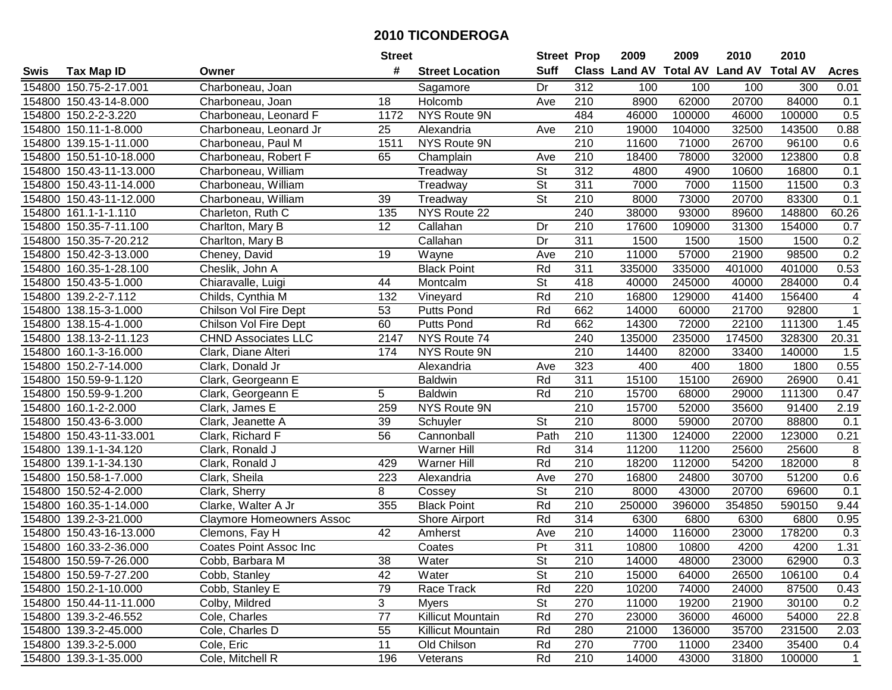|        |                         |                                  | <b>Street</b> |                        | <b>Street Prop</b>       |                  | 2009   | 2009   | 2010                           | 2010            |                  |
|--------|-------------------------|----------------------------------|---------------|------------------------|--------------------------|------------------|--------|--------|--------------------------------|-----------------|------------------|
| Swis   | Tax Map ID              | Owner                            | #             | <b>Street Location</b> | <b>Suff</b>              |                  |        |        | Class Land AV Total AV Land AV | <b>Total AV</b> | <b>Acres</b>     |
|        | 154800 150.75-2-17.001  | Charboneau, Joan                 |               | Sagamore               | Dr                       | 312              | 100    | 100    | 100                            | 300             | 0.01             |
|        | 154800 150.43-14-8.000  | Charboneau, Joan                 | 18            | Holcomb                | Ave                      | 210              | 8900   | 62000  | 20700                          | 84000           | 0.1              |
|        | 154800 150.2-2-3.220    | Charboneau, Leonard F            | 1172          | NYS Route 9N           |                          | 484              | 46000  | 100000 | 46000                          | 100000          | 0.5              |
|        | 154800 150.11-1-8.000   | Charboneau, Leonard Jr           | 25            | Alexandria             | Ave                      | 210              | 19000  | 104000 | 32500                          | 143500          | 0.88             |
|        | 154800 139.15-1-11.000  | Charboneau, Paul M               | 1511          | NYS Route 9N           |                          | $\overline{210}$ | 11600  | 71000  | 26700                          | 96100           | 0.6              |
| 154800 | 150.51-10-18.000        | Charboneau, Robert F             | 65            | Champlain              | Ave                      | $\overline{210}$ | 18400  | 78000  | 32000                          | 123800          | 0.8              |
|        | 154800 150.43-11-13.000 | Charboneau, William              |               | Treadway               | <b>St</b>                | $\overline{312}$ | 4800   | 4900   | 10600                          | 16800           | 0.1              |
|        | 154800 150.43-11-14.000 | Charboneau, William              |               | Treadway               | $\overline{\mathsf{St}}$ | 311              | 7000   | 7000   | 11500                          | 11500           | 0.3              |
|        | 154800 150.43-11-12.000 | Charboneau, William              | 39            | Treadway               | $\overline{\mathsf{St}}$ | $\overline{210}$ | 8000   | 73000  | 20700                          | 83300           | 0.1              |
|        | 154800 161.1-1-1.110    | Charleton, Ruth C                | 135           | NYS Route 22           |                          | 240              | 38000  | 93000  | 89600                          | 148800          | 60.26            |
|        | 154800 150.35-7-11.100  | Charlton, Mary B                 | 12            | Callahan               | Dr                       | 210              | 17600  | 109000 | 31300                          | 154000          | 0.7              |
|        | 154800 150.35-7-20.212  | Charlton, Mary B                 |               | Callahan               | Dr                       | 311              | 1500   | 1500   | 1500                           | 1500            | 0.2              |
|        | 154800 150.42-3-13.000  | Cheney, David                    | 19            | Wayne                  | Ave                      | 210              | 11000  | 57000  | 21900                          | 98500           | 0.2              |
|        | 154800 160.35-1-28.100  | Cheslik, John A                  |               | <b>Black Point</b>     | Rd                       | 311              | 335000 | 335000 | 401000                         | 401000          | 0.53             |
| 154800 | 150.43-5-1.000          | Chiaravalle, Luigi               | 44            | Montcalm               | St                       | 418              | 40000  | 245000 | 40000                          | 284000          | 0.4              |
|        | 154800 139.2-2-7.112    | Childs, Cynthia M                | 132           | Vineyard               | Rd                       | 210              | 16800  | 129000 | 41400                          | 156400          | 4                |
|        | 154800 138.15-3-1.000   | Chilson Vol Fire Dept            | 53            | <b>Putts Pond</b>      | Rd                       | 662              | 14000  | 60000  | 21700                          | 92800           | $\mathbf{1}$     |
|        | 154800 138.15-4-1.000   | Chilson Vol Fire Dept            | 60            | <b>Putts Pond</b>      | Rd                       | 662              | 14300  | 72000  | 22100                          | 111300          | 1.45             |
|        | 154800 138.13-2-11.123  | <b>CHND Associates LLC</b>       | 2147          | NYS Route 74           |                          | 240              | 135000 | 235000 | 174500                         | 328300          | 20.31            |
|        | 154800 160.1-3-16.000   | Clark, Diane Alteri              | 174           | <b>NYS Route 9N</b>    |                          | 210              | 14400  | 82000  | 33400                          | 140000          | 1.5              |
|        | 154800 150.2-7-14.000   | Clark, Donald Jr                 |               | Alexandria             | Ave                      | 323              | 400    | 400    | 1800                           | 1800            | 0.55             |
| 154800 | 150.59-9-1.120          | Clark, Georgeann E               |               | <b>Baldwin</b>         | Rd                       | 311              | 15100  | 15100  | 26900                          | 26900           | 0.41             |
| 154800 | 150.59-9-1.200          | Clark, Georgeann E               | 5             | <b>Baldwin</b>         | Rd                       | 210              | 15700  | 68000  | 29000                          | 111300          | 0.47             |
| 154800 | 160.1-2-2.000           | Clark, James E                   | 259           | NYS Route 9N           |                          | 210              | 15700  | 52000  | 35600                          | 91400           | 2.19             |
| 154800 | 150.43-6-3.000          | Clark, Jeanette A                | 39            | Schuyler               | $\overline{\mathsf{St}}$ | $\overline{210}$ | 8000   | 59000  | 20700                          | 88800           | 0.1              |
|        | 154800 150.43-11-33.001 | Clark, Richard F                 | 56            | Cannonball             | Path                     | $\overline{210}$ | 11300  | 124000 | 22000                          | 123000          | 0.21             |
|        | 154800 139.1-1-34.120   | Clark, Ronald J                  |               | Warner Hill            | Rd                       | 314              | 11200  | 11200  | 25600                          | 25600           | 8                |
|        | 154800 139.1-1-34.130   | Clark, Ronald J                  | 429           | Warner Hill            | Rd                       | 210              | 18200  | 112000 | 54200                          | 182000          | $\, 8$           |
|        | 154800 150.58-1-7.000   | Clark, Sheila                    | 223           | Alexandria             | Ave                      | 270              | 16800  | 24800  | 30700                          | 51200           | 0.6              |
|        | 154800 150.52-4-2.000   | Clark, Sherry                    | 8             | Cossey                 | $\overline{\mathsf{St}}$ | $\overline{210}$ | 8000   | 43000  | 20700                          | 69600           | 0.1              |
|        | 154800 160.35-1-14.000  | Clarke, Walter A Jr              | 355           | <b>Black Point</b>     | Rd                       | 210              | 250000 | 396000 | 354850                         | 590150          | 9.44             |
|        | 154800 139.2-3-21.000   | <b>Claymore Homeowners Assoc</b> |               | Shore Airport          | Rd                       | 314              | 6300   | 6800   | 6300                           | 6800            | 0.95             |
|        | 154800 150.43-16-13.000 | Clemons, Fay H                   | 42            | Amherst                | Ave                      | $\overline{210}$ | 14000  | 116000 | 23000                          | 178200          | $\overline{0.3}$ |
|        | 154800 160.33-2-36.000  | Coates Point Assoc Inc           |               | Coates                 | Pt                       | 311              | 10800  | 10800  | 4200                           | 4200            | 1.31             |
|        | 154800 150.59-7-26.000  | Cobb, Barbara M                  | 38            | Water                  | St                       | 210              | 14000  | 48000  | 23000                          | 62900           | 0.3              |
|        | 154800 150.59-7-27.200  | Cobb, Stanley                    | 42            | Water                  | <b>St</b>                | 210              | 15000  | 64000  | 26500                          | 106100          | 0.4              |
|        | 154800 150.2-1-10.000   | Cobb, Stanley E                  | 79            | Race Track             | Rd                       | 220              | 10200  | 74000  | 24000                          | 87500           | 0.43             |
|        | 154800 150.44-11-11.000 | Colby, Mildred                   | 3             | <b>Myers</b>           | <b>St</b>                | 270              | 11000  | 19200  | 21900                          | 30100           | 0.2              |
|        | 154800 139.3-2-46.552   | Cole, Charles                    | 77            | Killicut Mountain      | Rd                       | 270              | 23000  | 36000  | 46000                          | 54000           | 22.8             |
|        | 154800 139.3-2-45.000   | Cole, Charles D                  | 55            | Killicut Mountain      | Rd                       | 280              | 21000  | 136000 | 35700                          | 231500          | 2.03             |
|        | 154800 139.3-2-5.000    | Cole, Eric                       | 11            | Old Chilson            | Rd                       | 270              | 7700   | 11000  | 23400                          | 35400           | 0.4              |
|        | 154800 139.3-1-35.000   | Cole, Mitchell R                 | 196           | Veterans               | Rd                       | 210              | 14000  | 43000  | 31800                          | 100000          | $\overline{1}$   |
|        |                         |                                  |               |                        |                          |                  |        |        |                                |                 |                  |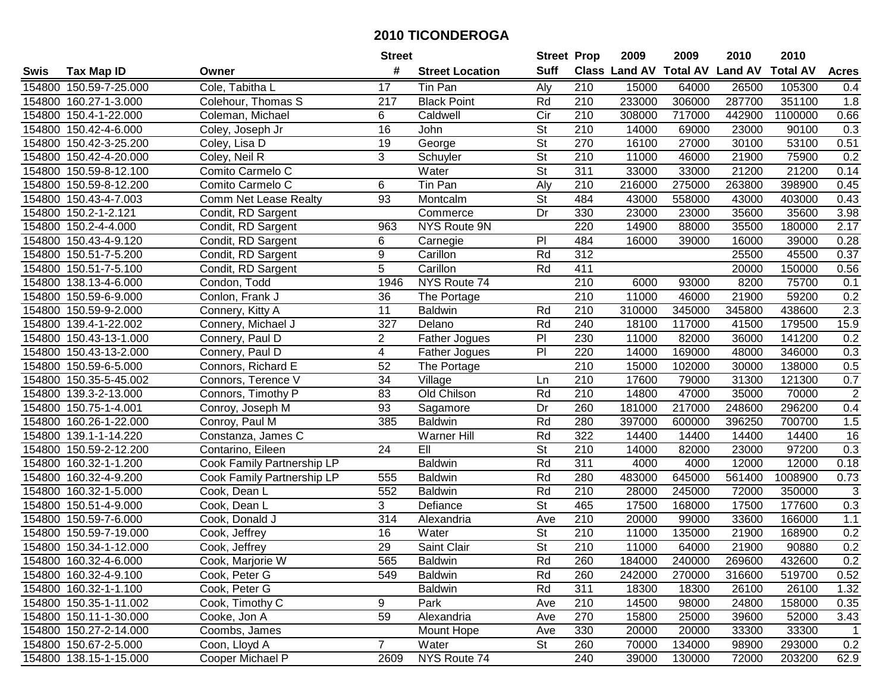|        |                        |                            | <b>Street</b>   |                        | <b>Street Prop</b>       |                  | 2009                          | 2009   | 2010           | 2010            |                |
|--------|------------------------|----------------------------|-----------------|------------------------|--------------------------|------------------|-------------------------------|--------|----------------|-----------------|----------------|
| Swis   | <b>Tax Map ID</b>      | Owner                      | #               | <b>Street Location</b> | <b>Suff</b>              |                  | <b>Class Land AV Total AV</b> |        | <b>Land AV</b> | <b>Total AV</b> | <b>Acres</b>   |
|        | 154800 150.59-7-25.000 | Cole, Tabitha L            | 17              | Tin Pan                | Aly                      | 210              | 15000                         | 64000  | 26500          | 105300          | 0.4            |
|        | 154800 160.27-1-3.000  | Colehour, Thomas S         | 217             | <b>Black Point</b>     | Rd                       | 210              | 233000                        | 306000 | 287700         | 351100          | 1.8            |
|        | 154800 150.4-1-22.000  | Coleman, Michael           | 6               | Caldwell               | Cir                      | 210              | 308000                        | 717000 | 442900         | 1100000         | 0.66           |
|        | 154800 150.42-4-6.000  | Coley, Joseph Jr           | 16              | John                   | St                       | 210              | 14000                         | 69000  | 23000          | 90100           | 0.3            |
|        | 154800 150.42-3-25.200 | Coley, Lisa D              | 19              | George                 | <b>St</b>                | 270              | 16100                         | 27000  | 30100          | 53100           | 0.51           |
|        | 154800 150.42-4-20.000 | Coley, Neil R              | 3               | Schuyler               | $\overline{\mathsf{St}}$ | $\overline{210}$ | 11000                         | 46000  | 21900          | 75900           | 0.2            |
|        | 154800 150.59-8-12.100 | Comito Carmelo C           |                 | Water                  | $\overline{\mathsf{St}}$ | 311              | 33000                         | 33000  | 21200          | 21200           | 0.14           |
|        | 154800 150.59-8-12.200 | Comito Carmelo C           | 6               | Tin Pan                | Aly                      | $\overline{210}$ | 216000                        | 275000 | 263800         | 398900          | 0.45           |
|        | 154800 150.43-4-7.003  | Comm Net Lease Realty      | $\overline{93}$ | Montcalm               | $\overline{\mathsf{St}}$ | 484              | 43000                         | 558000 | 43000          | 403000          | 0.43           |
|        | 154800 150.2-1-2.121   | Condit, RD Sargent         |                 | Commerce               | Dr                       | 330              | 23000                         | 23000  | 35600          | 35600           | 3.98           |
|        | 154800 150.2-4-4.000   | Condit, RD Sargent         | 963             | NYS Route 9N           |                          | 220              | 14900                         | 88000  | 35500          | 180000          | 2.17           |
|        | 154800 150.43-4-9.120  | Condit, RD Sargent         | 6               | Carnegie               | P <sub>1</sub>           | 484              | 16000                         | 39000  | 16000          | 39000           | 0.28           |
|        | 154800 150.51-7-5.200  | Condit, RD Sargent         | 9               | Carillon               | Rd                       | $\overline{312}$ |                               |        | 25500          | 45500           | 0.37           |
|        | 154800 150.51-7-5.100  | Condit, RD Sargent         | 5               | Carillon               | Rd                       | 411              |                               |        | 20000          | 150000          | 0.56           |
|        | 154800 138.13-4-6.000  | Condon, Todd               | 1946            | NYS Route 74           |                          | 210              | 6000                          | 93000  | 8200           | 75700           | 0.1            |
|        | 154800 150.59-6-9.000  | Conlon, Frank J            | 36              | The Portage            |                          | 210              | 11000                         | 46000  | 21900          | 59200           | 0.2            |
|        | 154800 150.59-9-2.000  | Connery, Kitty A           | 11              | <b>Baldwin</b>         | Rd                       | 210              | 310000                        | 345000 | 345800         | 438600          | 2.3            |
|        | 154800 139.4-1-22.002  | Connery, Michael J         | 327             | Delano                 | Rd                       | 240              | 18100                         | 117000 | 41500          | 179500          | 15.9           |
|        | 154800 150.43-13-1.000 | Connery, Paul D            | $\overline{2}$  | Father Jogues          | $\overline{P}$           | 230              | 11000                         | 82000  | 36000          | 141200          | 0.2            |
|        | 154800 150.43-13-2.000 | Connery, Paul D            | 4               | Father Jogues          | P                        | 220              | 14000                         | 169000 | 48000          | 346000          | 0.3            |
|        | 154800 150.59-6-5.000  | Connors, Richard E         | 52              | The Portage            |                          | 210              | 15000                         | 102000 | 30000          | 138000          | 0.5            |
|        | 154800 150.35-5-45.002 | Connors, Terence V         | 34              | Village                | Ln                       | 210              | 17600                         | 79000  | 31300          | 121300          | 0.7            |
| 154800 | 139.3-2-13.000         | Connors, Timothy P         | 83              | Old Chilson            | Rd                       | 210              | 14800                         | 47000  | 35000          | 70000           | $\sqrt{2}$     |
| 154800 | 150.75-1-4.001         | Conroy, Joseph M           | 93              | Sagamore               | Dr                       | 260              | 181000                        | 217000 | 248600         | 296200          | 0.4            |
|        | 154800 160.26-1-22.000 | Conroy, Paul M             | 385             | <b>Baldwin</b>         | Rd                       | 280              | 397000                        | 600000 | 396250         | 700700          | 1.5            |
|        | 154800 139.1-1-14.220  | Constanza, James C         |                 | Warner Hill            | Rd                       | 322              | 14400                         | 14400  | 14400          | 14400           | 16             |
|        | 154800 150.59-2-12.200 | Contarino, Eileen          | 24              | E                      | $\overline{\mathsf{St}}$ | 210              | 14000                         | 82000  | 23000          | 97200           | 0.3            |
|        | 154800 160.32-1-1.200  | Cook Family Partnership LP |                 | <b>Baldwin</b>         | Rd                       | 311              | 4000                          | 4000   | 12000          | 12000           | 0.18           |
|        | 154800 160.32-4-9.200  | Cook Family Partnership LP | 555             | <b>Baldwin</b>         | Rd                       | 280              | 483000                        | 645000 | 561400         | 1008900         | 0.73           |
|        | 154800 160.32-1-5.000  | Cook, Dean L               | 552             | <b>Baldwin</b>         | Rd                       | $\overline{210}$ | 28000                         | 245000 | 72000          | 350000          | 3              |
|        | 154800 150.51-4-9.000  | Cook, Dean L               | 3               | Defiance               | $\overline{\mathsf{St}}$ | 465              | 17500                         | 168000 | 17500          | 177600          | 0.3            |
|        | 154800 150.59-7-6.000  | Cook, Donald J             | 314             | Alexandria             | Ave                      | 210              | 20000                         | 99000  | 33600          | 166000          | 1.1            |
|        | 154800 150.59-7-19.000 | Cook, Jeffrey              | 16              | Water                  | $\overline{\mathsf{St}}$ | $\overline{210}$ | 11000                         | 135000 | 21900          | 168900          | 0.2            |
|        | 154800 150.34-1-12.000 | Cook, Jeffrey              | $\overline{29}$ | Saint Clair            | $\overline{\mathsf{St}}$ | $\overline{210}$ | 11000                         | 64000  | 21900          | 90880           | 0.2            |
|        | 154800 160.32-4-6.000  | Cook, Marjorie W           | 565             | <b>Baldwin</b>         | Rd                       | 260              | 184000                        | 240000 | 269600         | 432600          | 0.2            |
|        | 154800 160.32-4-9.100  | Cook, Peter G              | 549             | <b>Baldwin</b>         | Rd                       | 260              | 242000                        | 270000 | 316600         | 519700          | 0.52           |
|        | 154800 160.32-1-1.100  | Cook, Peter G              |                 | <b>Baldwin</b>         | Rd                       | 311              | 18300                         | 18300  | 26100          | 26100           | 1.32           |
|        | 154800 150.35-1-11.002 | Cook, Timothy C            | 9               | Park                   | Ave                      | 210              | 14500                         | 98000  | 24800          | 158000          | 0.35           |
|        | 154800 150.11-1-30.000 | Cooke, Jon A               | 59              | Alexandria             | Ave                      | 270              | 15800                         | 25000  | 39600          | 52000           | 3.43           |
|        | 154800 150.27-2-14.000 | Coombs, James              |                 | Mount Hope             | Ave                      | 330              | 20000                         | 20000  | 33300          | 33300           | $\overline{1}$ |
|        | 154800 150.67-2-5.000  | Coon, Lloyd A              | $\overline{7}$  | Water                  | St                       | 260              | 70000                         | 134000 | 98900          | 293000          | 0.2            |
|        | 154800 138.15-1-15.000 | Cooper Michael P           | 2609            | NYS Route 74           |                          | 240              | 39000                         | 130000 | 72000          | 203200          | 62.9           |
|        |                        |                            |                 |                        |                          |                  |                               |        |                |                 |                |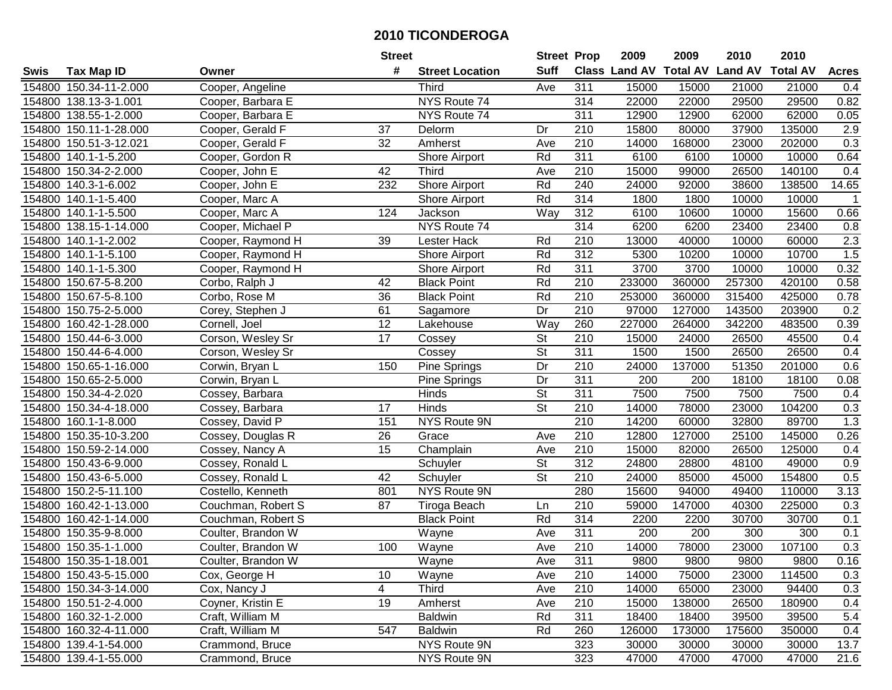|        |                        |                    | <b>Street</b>   |                        | <b>Street Prop</b> |                  | 2009                          | 2009             | 2010           | 2010            |              |
|--------|------------------------|--------------------|-----------------|------------------------|--------------------|------------------|-------------------------------|------------------|----------------|-----------------|--------------|
| Swis   | <b>Tax Map ID</b>      | Owner              | #               | <b>Street Location</b> | <b>Suff</b>        |                  | <b>Class Land AV Total AV</b> |                  | <b>Land AV</b> | <b>Total AV</b> | <b>Acres</b> |
|        | 154800 150.34-11-2.000 | Cooper, Angeline   |                 | <b>Third</b>           | Ave                | 311              | 15000                         | 15000            | 21000          | 21000           | 0.4          |
|        | 154800 138.13-3-1.001  | Cooper, Barbara E  |                 | NYS Route 74           |                    | 314              | 22000                         | 22000            | 29500          | 29500           | 0.82         |
|        | 154800 138.55-1-2.000  | Cooper, Barbara E  |                 | NYS Route 74           |                    | 311              | 12900                         | 12900            | 62000          | 62000           | 0.05         |
|        | 154800 150.11-1-28.000 | Cooper, Gerald F   | 37              | Delorm                 | Dr                 | 210              | 15800                         | 80000            | 37900          | 135000          | 2.9          |
|        | 154800 150.51-3-12.021 | Cooper, Gerald F   | 32              | Amherst                | Ave                | 210              | 14000                         | 168000           | 23000          | 202000          | 0.3          |
|        | 154800 140.1-1-5.200   | Cooper, Gordon R   |                 | Shore Airport          | Rd                 | 311              | 6100                          | 6100             | 10000          | 10000           | 0.64         |
| 154800 | 150.34-2-2.000         | Cooper, John E     | 42              | <b>Third</b>           | Ave                | 210              | 15000                         | 99000            | 26500          | 140100          | 0.4          |
| 154800 | 140.3-1-6.002          | Cooper, John E     | 232             | <b>Shore Airport</b>   | Rd                 | 240              | 24000                         | 92000            | 38600          | 138500          | 14.65        |
|        | 154800 140.1-1-5.400   | Cooper, Marc A     |                 | Shore Airport          | Rd                 | 314              | 1800                          | 1800             | 10000          | 10000           | $\mathbf 1$  |
|        | 154800 140.1-1-5.500   | Cooper, Marc A     | 124             | Jackson                | Way                | 312              | 6100                          | 10600            | 10000          | 15600           | 0.66         |
|        | 154800 138.15-1-14.000 | Cooper, Michael P  |                 | NYS Route 74           |                    | 314              | 6200                          | 6200             | 23400          | 23400           | 0.8          |
|        | 154800 140.1-1-2.002   | Cooper, Raymond H  | 39              | Lester Hack            | Rd                 | 210              | 13000                         | 40000            | 10000          | 60000           | 2.3          |
|        | 154800 140.1-1-5.100   | Cooper, Raymond H  |                 | <b>Shore Airport</b>   | Rd                 | $\overline{312}$ | 5300                          | 10200            | 10000          | 10700           | 1.5          |
|        | 154800 140.1-1-5.300   | Cooper, Raymond H  |                 | <b>Shore Airport</b>   | Rd                 | 311              | 3700                          | 3700             | 10000          | 10000           | 0.32         |
| 154800 | 150.67-5-8.200         | Corbo, Ralph J     | 42              | <b>Black Point</b>     | Rd                 | 210              | 233000                        | 360000           | 257300         | 420100          | 0.58         |
|        | 154800 150.67-5-8.100  | Corbo, Rose M      | 36              | <b>Black Point</b>     | Rd                 | 210              | 253000                        | 360000           | 315400         | 425000          | 0.78         |
| 154800 | 150.75-2-5.000         | Corey, Stephen J   | 61              | Sagamore               | Dr                 | $\overline{210}$ | 97000                         | 127000           | 143500         | 203900          | 0.2          |
| 154800 | 160.42-1-28.000        | Cornell, Joel      | 12              | Lakehouse              | Way                | 260              | 227000                        | 264000           | 342200         | 483500          | 0.39         |
|        | 154800 150.44-6-3.000  | Corson, Wesley Sr  | 17              | Cossey                 | St                 | 210              | 15000                         | 24000            | 26500          | 45500           | 0.4          |
|        | 154800 150.44-6-4.000  | Corson, Wesley Sr  |                 | Cossey                 | St                 | 311              | 1500                          | 1500             | 26500          | 26500           | 0.4          |
|        | 154800 150.65-1-16.000 | Corwin, Bryan L    | 150             | Pine Springs           | Dr                 | 210              | 24000                         | 137000           | 51350          | 201000          | 0.6          |
| 154800 | 150.65-2-5.000         | Corwin, Bryan L    |                 | Pine Springs           | Dr                 | 311              | 200                           | 200              | 18100          | 18100           | 0.08         |
| 154800 | 150.34-4-2.020         | Cossey, Barbara    |                 | Hinds                  | St                 | 311              | 7500                          | 7500             | 7500           | 7500            | 0.4          |
| 154800 | 150.34-4-18.000        | Cossey, Barbara    | 17              | Hinds                  | <b>St</b>          | 210              | 14000                         | 78000            | 23000          | 104200          | 0.3          |
| 154800 | 160.1-1-8.000          | Cossey, David P    | 151             | NYS Route 9N           |                    | 210              | 14200                         | 60000            | 32800          | 89700           | 1.3          |
| 154800 | 150.35-10-3.200        | Cossey, Douglas R  | 26              | Grace                  | Ave                | 210              | 12800                         | 127000           | 25100          | 145000          | 0.26         |
|        | 154800 150.59-2-14.000 | Cossey, Nancy A    | 15              | Champlain              | Ave                | 210              | 15000                         | 82000            | 26500          | 125000          | 0.4          |
|        | 154800 150.43-6-9.000  | Cossey, Ronald L   |                 | Schuyler               | <b>St</b>          | 312              | 24800                         | 28800            | 48100          | 49000           | 0.9          |
|        | 154800 150.43-6-5.000  | Cossey, Ronald L   | 42              | Schuyler               | $\overline{St}$    | $\overline{210}$ | 24000                         | 85000            | 45000          | 154800          | 0.5          |
|        | 154800 150.2-5-11.100  | Costello, Kenneth  | 801             | NYS Route 9N           |                    | 280              | 15600                         | 94000            | 49400          | 110000          | 3.13         |
|        | 154800 160.42-1-13.000 | Couchman, Robert S | $\overline{87}$ | Tiroga Beach           | Ln                 | 210              | 59000                         | 147000           | 40300          | 225000          | 0.3          |
|        | 154800 160.42-1-14.000 | Couchman, Robert S |                 | <b>Black Point</b>     | Rd                 | 314              | 2200                          | 2200             | 30700          | 30700           | 0.1          |
|        | 154800 150.35-9-8.000  | Coulter, Brandon W |                 | Wayne                  | Ave                | 311              | $\overline{200}$              | $\overline{200}$ | 300            | 300             | 0.1          |
|        | 154800 150.35-1-1.000  | Coulter, Brandon W | 100             | Wayne                  | Ave                | $\overline{210}$ | 14000                         | 78000            | 23000          | 107100          | 0.3          |
|        | 154800 150.35-1-18.001 | Coulter, Brandon W |                 | Wayne                  | Ave                | 311              | 9800                          | 9800             | 9800           | 9800            | 0.16         |
|        | 154800 150.43-5-15.000 | Cox, George H      | 10              | Wayne                  | Ave                | 210              | 14000                         | 75000            | 23000          | 114500          | 0.3          |
|        | 154800 150.34-3-14.000 | Cox, Nancy J       | 4               | <b>Third</b>           | Ave                | 210              | 14000                         | 65000            | 23000          | 94400           | 0.3          |
|        | 154800 150.51-2-4.000  | Coyner, Kristin E  | 19              | Amherst                | Ave                | 210              | 15000                         | 138000           | 26500          | 180900          | 0.4          |
|        | 154800 160.32-1-2.000  | Craft, William M   |                 | <b>Baldwin</b>         | Rd                 | 311              | 18400                         | 18400            | 39500          | 39500           | 5.4          |
|        | 154800 160.32-4-11.000 | Craft, William M   | 547             | <b>Baldwin</b>         | Rd                 | 260              | 126000                        | 173000           | 175600         | 350000          | 0.4          |
|        | 154800 139.4-1-54.000  | Crammond, Bruce    |                 | NYS Route 9N           |                    | 323              | 30000                         | 30000            | 30000          | 30000           | 13.7         |
|        | 154800 139.4-1-55.000  | Crammond, Bruce    |                 | NYS Route 9N           |                    | 323              | 47000                         | 47000            | 47000          | 47000           | 21.6         |
|        |                        |                    |                 |                        |                    |                  |                               |                  |                |                 |              |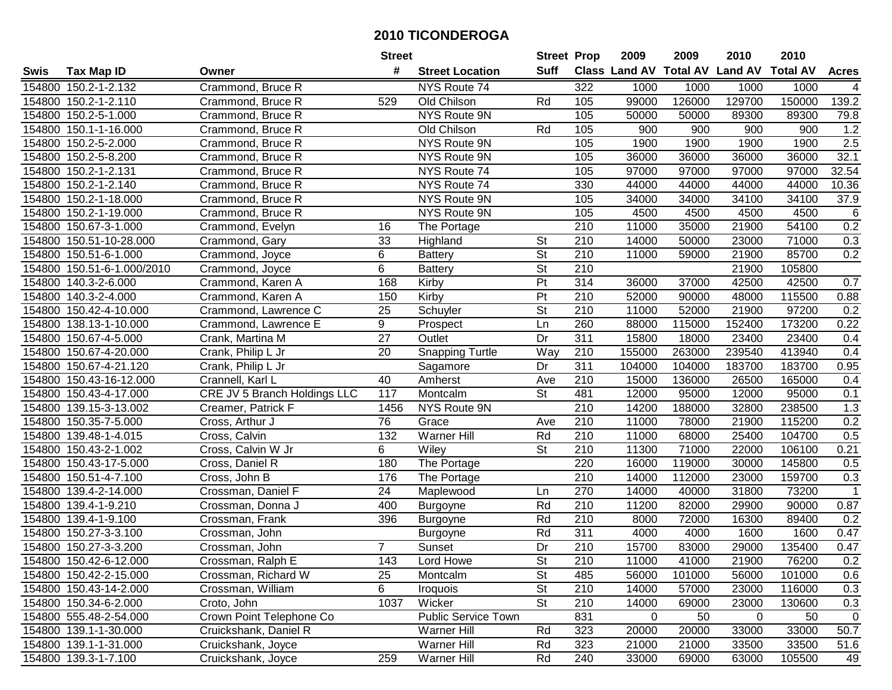| #<br><b>Suff</b><br><b>Class Land AV Total AV</b><br><b>Land AV</b><br><b>Total AV</b><br><b>Tax Map ID</b><br><b>Street Location</b><br><b>Acres</b><br>Owner<br>154800 150.2-1-2.132<br>Crammond, Bruce R<br>NYS Route 74<br>322<br>1000<br>1000<br>1000<br>1000<br>4<br>126000<br>129700<br>150000<br>139.2<br>154800 150.2-1-2.110<br>529<br>Old Chilson<br>105<br>99000<br>Crammond, Bruce R<br>Rd<br>154800 150.2-5-1.000<br>Crammond, Bruce R<br>NYS Route 9N<br>105<br>50000<br>50000<br>89300<br>89300<br>79.8<br>1.2<br>Rd<br>900<br>154800 150.1-1-16.000<br>Crammond, Bruce R<br>Old Chilson<br>105<br>900<br>900<br>900<br>2.5<br>154800 150.2-5-2.000<br>Crammond, Bruce R<br>NYS Route 9N<br>105<br>1900<br>1900<br>1900<br>1900<br>32.1<br>154800 150.2-5-8.200<br>Crammond, Bruce R<br>NYS Route 9N<br>105<br>36000<br>36000<br>36000<br>36000<br>32.54<br>Crammond, Bruce R<br>NYS Route 74<br>97000<br>97000<br>97000<br>97000<br>154800<br>150.2-1-2.131<br>105<br>NYS Route 74<br>330<br>44000<br>44000<br>44000<br>10.36<br>154800<br>150.2-1-2.140<br>Crammond, Bruce R<br>44000<br><b>NYS Route 9N</b><br>37.9<br>154800 150.2-1-18.000<br>105<br>34000<br>34000<br>34100<br>34100<br>Crammond, Bruce R<br>6<br>154800 150.2-1-19.000<br>NYS Route 9N<br>105<br>4500<br>4500<br>4500<br>4500<br>Crammond, Bruce R<br>0.2<br>210<br>11000<br>21900<br>54100<br>154800 150.67-3-1.000<br>16<br>35000<br>Crammond, Evelyn<br>The Portage<br>154800 150.51-10-28.000<br>33<br>Highland<br>St<br>210<br>14000<br>50000<br>23000<br>71000<br>0.3<br>Crammond, Gary<br>0.2<br>6<br>$\overline{\mathsf{St}}$<br>$\overline{210}$<br>11000<br>21900<br>85700<br>154800 150.51-6-1.000<br>Crammond, Joyce<br><b>Battery</b><br>59000<br>6<br>$\overline{\mathsf{St}}$<br>210<br>150.51-6-1.000/2010<br>21900<br>105800<br>154800<br>Crammond, Joyce<br><b>Battery</b><br>$\overline{P}$<br>$\overline{314}$<br>154800 140.3-2-6.000<br>Crammond, Karen A<br>168<br>Kirby<br>36000<br>37000<br>42500<br>42500<br>0.7<br>Pt<br>210<br>154800 140.3-2-4.000<br>150<br>Kirby<br>52000<br>48000<br>115500<br>0.88<br>Crammond, Karen A<br>90000<br>$\overline{\mathsf{St}}$<br>$\overline{210}$<br>25<br>97200<br>0.2<br>154800<br>150.42-4-10.000<br>Schuyler<br>11000<br>52000<br>21900<br>Crammond, Lawrence C<br>9<br>260<br>154800<br>Crammond, Lawrence E<br>Ln<br>88000<br>115000<br>152400<br>173200<br>0.22<br>138.13-1-10.000<br>Prospect<br>27<br>311<br>154800 150.67-4-5.000<br>Outlet<br>Dr<br>15800<br>18000<br>23400<br>23400<br>Crank, Martina M<br>0.4<br>154800 150.67-4-20.000<br>20<br>Way<br>210<br>155000<br>263000<br>239540<br>413940<br>0.4<br>Crank, Philip L Jr<br><b>Snapping Turtle</b><br>311<br>104000<br>104000<br>183700<br>183700<br>0.95<br>154800 150.67-4-21.120<br>Crank, Philip L Jr<br>Sagamore<br>Dr<br>150.43-16-12.000<br>Crannell, Karl L<br>40<br>Amherst<br>Ave<br>210<br>15000<br>136000<br>26500<br>165000<br>0.4<br>154800<br><b>CRE JV 5 Branch Holdings LLC</b><br>117<br>St<br>481<br>154800<br>150.43-4-17.000<br>Montcalm<br>12000<br>95000<br>12000<br>95000<br>0.1<br>210<br>1.3<br>139.15-3-13.002<br>NYS Route 9N<br>14200<br>188000<br>32800<br>238500<br>Creamer, Patrick F<br>1456<br>$\overline{210}$<br>0.2<br>150.35-7-5.000<br>76<br>Grace<br>11000<br>115200<br>154800<br>78000<br>21900<br>Cross, Arthur J<br>Ave<br>Warner Hill<br>Rd<br>210<br>0.5<br>154800<br>139.48-1-4.015<br>132<br>11000<br>68000<br>25400<br>104700<br>Cross, Calvin<br>6<br>$\overline{\mathsf{St}}$<br>Wiley<br>210<br>11300<br>154800 150.43-2-1.002<br>Cross, Calvin W Jr<br>71000<br>22000<br>106100<br>0.21<br>16000<br>119000<br>154800 150.43-17-5.000<br>180<br>The Portage<br>220<br>30000<br>145800<br>0.5<br>Cross, Daniel R<br>210<br>154800 150.51-4-7.100<br>14000<br>112000<br>23000<br>159700<br>0.3<br>Cross, John B<br>176<br>The Portage<br>270<br>73200<br>154800 139.4-2-14.000<br>24<br>14000<br>40000<br>31800<br>$\mathbf{1}$<br>Crossman, Daniel F<br>Maplewood<br>Ln<br>210<br>Rd<br>90000<br>0.87<br>154800 139.4-1-9.210<br>400<br>11200<br>82000<br>29900<br>Crossman, Donna J<br>Burgoyne<br>396<br>Rd<br>210<br>8000<br>72000<br>16300<br>89400<br>0.2<br>154800 139.4-1-9.100<br>Crossman, Frank<br>Burgoyne<br>Rd<br>311<br>4000<br>1600<br>0.47<br>154800 150.27-3-3.100<br>4000<br>1600<br>Crossman, John<br><b>Burgoyne</b><br>$\overline{Dr}$<br>$\overline{210}$<br>0.47<br>154800 150.27-3-3.200<br>Sunset<br>15700<br>83000<br>29000<br>135400<br>Crossman, John<br>7<br>154800 150.42-6-12.000<br>Crossman, Ralph E<br>143<br>Lord Howe<br>St<br>210<br>11000<br>41000<br>21900<br>76200<br>0.2<br><b>St</b><br>154800 150.42-2-15.000<br>Crossman, Richard W<br>25<br>Montcalm<br>485<br>56000<br>101000<br>56000<br>101000<br>0.6<br>6<br><b>St</b><br>14000<br>116000<br>154800 150.43-14-2.000<br>Crossman, William<br>210<br>57000<br>23000<br>0.3<br><b>Iroquois</b><br>St<br>154800 150.34-6-2.000<br>1037<br>Wicker<br>210<br>14000<br>23000<br>130600<br>0.3<br>Croto, John<br>69000 |        |                          | <b>Street</b> |                            | <b>Street Prop</b> |     | 2009 | 2009 | 2010 | 2010 |             |
|-----------------------------------------------------------------------------------------------------------------------------------------------------------------------------------------------------------------------------------------------------------------------------------------------------------------------------------------------------------------------------------------------------------------------------------------------------------------------------------------------------------------------------------------------------------------------------------------------------------------------------------------------------------------------------------------------------------------------------------------------------------------------------------------------------------------------------------------------------------------------------------------------------------------------------------------------------------------------------------------------------------------------------------------------------------------------------------------------------------------------------------------------------------------------------------------------------------------------------------------------------------------------------------------------------------------------------------------------------------------------------------------------------------------------------------------------------------------------------------------------------------------------------------------------------------------------------------------------------------------------------------------------------------------------------------------------------------------------------------------------------------------------------------------------------------------------------------------------------------------------------------------------------------------------------------------------------------------------------------------------------------------------------------------------------------------------------------------------------------------------------------------------------------------------------------------------------------------------------------------------------------------------------------------------------------------------------------------------------------------------------------------------------------------------------------------------------------------------------------------------------------------------------------------------------------------------------------------------------------------------------------------------------------------------------------------------------------------------------------------------------------------------------------------------------------------------------------------------------------------------------------------------------------------------------------------------------------------------------------------------------------------------------------------------------------------------------------------------------------------------------------------------------------------------------------------------------------------------------------------------------------------------------------------------------------------------------------------------------------------------------------------------------------------------------------------------------------------------------------------------------------------------------------------------------------------------------------------------------------------------------------------------------------------------------------------------------------------------------------------------------------------------------------------------------------------------------------------------------------------------------------------------------------------------------------------------------------------------------------------------------------------------------------------------------------------------------------------------------------------------------------------------------------------------------------------------------------------------------------------------------------------------------------------------------------------------------------------------------------------------------------------------------------------------------------------------------------------------------------------------------------------------------------------------------------------------------------------------------------------------------------------------------------------------------------------------------------------------------------------------------------------------------------------------------------------------------------------------------------------------------------------------------------------------------------------------------------------------------------------------------------------------------------------------------------------------------------------------|--------|--------------------------|---------------|----------------------------|--------------------|-----|------|------|------|------|-------------|
|                                                                                                                                                                                                                                                                                                                                                                                                                                                                                                                                                                                                                                                                                                                                                                                                                                                                                                                                                                                                                                                                                                                                                                                                                                                                                                                                                                                                                                                                                                                                                                                                                                                                                                                                                                                                                                                                                                                                                                                                                                                                                                                                                                                                                                                                                                                                                                                                                                                                                                                                                                                                                                                                                                                                                                                                                                                                                                                                                                                                                                                                                                                                                                                                                                                                                                                                                                                                                                                                                                                                                                                                                                                                                                                                                                                                                                                                                                                                                                                                                                                                                                                                                                                                                                                                                                                                                                                                                                                                                                                                                                                                                                                                                                                                                                                                                                                                                                                                                                                                                                                                                               | Swis   |                          |               |                            |                    |     |      |      |      |      |             |
|                                                                                                                                                                                                                                                                                                                                                                                                                                                                                                                                                                                                                                                                                                                                                                                                                                                                                                                                                                                                                                                                                                                                                                                                                                                                                                                                                                                                                                                                                                                                                                                                                                                                                                                                                                                                                                                                                                                                                                                                                                                                                                                                                                                                                                                                                                                                                                                                                                                                                                                                                                                                                                                                                                                                                                                                                                                                                                                                                                                                                                                                                                                                                                                                                                                                                                                                                                                                                                                                                                                                                                                                                                                                                                                                                                                                                                                                                                                                                                                                                                                                                                                                                                                                                                                                                                                                                                                                                                                                                                                                                                                                                                                                                                                                                                                                                                                                                                                                                                                                                                                                                               |        |                          |               |                            |                    |     |      |      |      |      |             |
|                                                                                                                                                                                                                                                                                                                                                                                                                                                                                                                                                                                                                                                                                                                                                                                                                                                                                                                                                                                                                                                                                                                                                                                                                                                                                                                                                                                                                                                                                                                                                                                                                                                                                                                                                                                                                                                                                                                                                                                                                                                                                                                                                                                                                                                                                                                                                                                                                                                                                                                                                                                                                                                                                                                                                                                                                                                                                                                                                                                                                                                                                                                                                                                                                                                                                                                                                                                                                                                                                                                                                                                                                                                                                                                                                                                                                                                                                                                                                                                                                                                                                                                                                                                                                                                                                                                                                                                                                                                                                                                                                                                                                                                                                                                                                                                                                                                                                                                                                                                                                                                                                               |        |                          |               |                            |                    |     |      |      |      |      |             |
|                                                                                                                                                                                                                                                                                                                                                                                                                                                                                                                                                                                                                                                                                                                                                                                                                                                                                                                                                                                                                                                                                                                                                                                                                                                                                                                                                                                                                                                                                                                                                                                                                                                                                                                                                                                                                                                                                                                                                                                                                                                                                                                                                                                                                                                                                                                                                                                                                                                                                                                                                                                                                                                                                                                                                                                                                                                                                                                                                                                                                                                                                                                                                                                                                                                                                                                                                                                                                                                                                                                                                                                                                                                                                                                                                                                                                                                                                                                                                                                                                                                                                                                                                                                                                                                                                                                                                                                                                                                                                                                                                                                                                                                                                                                                                                                                                                                                                                                                                                                                                                                                                               |        |                          |               |                            |                    |     |      |      |      |      |             |
|                                                                                                                                                                                                                                                                                                                                                                                                                                                                                                                                                                                                                                                                                                                                                                                                                                                                                                                                                                                                                                                                                                                                                                                                                                                                                                                                                                                                                                                                                                                                                                                                                                                                                                                                                                                                                                                                                                                                                                                                                                                                                                                                                                                                                                                                                                                                                                                                                                                                                                                                                                                                                                                                                                                                                                                                                                                                                                                                                                                                                                                                                                                                                                                                                                                                                                                                                                                                                                                                                                                                                                                                                                                                                                                                                                                                                                                                                                                                                                                                                                                                                                                                                                                                                                                                                                                                                                                                                                                                                                                                                                                                                                                                                                                                                                                                                                                                                                                                                                                                                                                                                               |        |                          |               |                            |                    |     |      |      |      |      |             |
|                                                                                                                                                                                                                                                                                                                                                                                                                                                                                                                                                                                                                                                                                                                                                                                                                                                                                                                                                                                                                                                                                                                                                                                                                                                                                                                                                                                                                                                                                                                                                                                                                                                                                                                                                                                                                                                                                                                                                                                                                                                                                                                                                                                                                                                                                                                                                                                                                                                                                                                                                                                                                                                                                                                                                                                                                                                                                                                                                                                                                                                                                                                                                                                                                                                                                                                                                                                                                                                                                                                                                                                                                                                                                                                                                                                                                                                                                                                                                                                                                                                                                                                                                                                                                                                                                                                                                                                                                                                                                                                                                                                                                                                                                                                                                                                                                                                                                                                                                                                                                                                                                               |        |                          |               |                            |                    |     |      |      |      |      |             |
|                                                                                                                                                                                                                                                                                                                                                                                                                                                                                                                                                                                                                                                                                                                                                                                                                                                                                                                                                                                                                                                                                                                                                                                                                                                                                                                                                                                                                                                                                                                                                                                                                                                                                                                                                                                                                                                                                                                                                                                                                                                                                                                                                                                                                                                                                                                                                                                                                                                                                                                                                                                                                                                                                                                                                                                                                                                                                                                                                                                                                                                                                                                                                                                                                                                                                                                                                                                                                                                                                                                                                                                                                                                                                                                                                                                                                                                                                                                                                                                                                                                                                                                                                                                                                                                                                                                                                                                                                                                                                                                                                                                                                                                                                                                                                                                                                                                                                                                                                                                                                                                                                               |        |                          |               |                            |                    |     |      |      |      |      |             |
|                                                                                                                                                                                                                                                                                                                                                                                                                                                                                                                                                                                                                                                                                                                                                                                                                                                                                                                                                                                                                                                                                                                                                                                                                                                                                                                                                                                                                                                                                                                                                                                                                                                                                                                                                                                                                                                                                                                                                                                                                                                                                                                                                                                                                                                                                                                                                                                                                                                                                                                                                                                                                                                                                                                                                                                                                                                                                                                                                                                                                                                                                                                                                                                                                                                                                                                                                                                                                                                                                                                                                                                                                                                                                                                                                                                                                                                                                                                                                                                                                                                                                                                                                                                                                                                                                                                                                                                                                                                                                                                                                                                                                                                                                                                                                                                                                                                                                                                                                                                                                                                                                               |        |                          |               |                            |                    |     |      |      |      |      |             |
|                                                                                                                                                                                                                                                                                                                                                                                                                                                                                                                                                                                                                                                                                                                                                                                                                                                                                                                                                                                                                                                                                                                                                                                                                                                                                                                                                                                                                                                                                                                                                                                                                                                                                                                                                                                                                                                                                                                                                                                                                                                                                                                                                                                                                                                                                                                                                                                                                                                                                                                                                                                                                                                                                                                                                                                                                                                                                                                                                                                                                                                                                                                                                                                                                                                                                                                                                                                                                                                                                                                                                                                                                                                                                                                                                                                                                                                                                                                                                                                                                                                                                                                                                                                                                                                                                                                                                                                                                                                                                                                                                                                                                                                                                                                                                                                                                                                                                                                                                                                                                                                                                               |        |                          |               |                            |                    |     |      |      |      |      |             |
|                                                                                                                                                                                                                                                                                                                                                                                                                                                                                                                                                                                                                                                                                                                                                                                                                                                                                                                                                                                                                                                                                                                                                                                                                                                                                                                                                                                                                                                                                                                                                                                                                                                                                                                                                                                                                                                                                                                                                                                                                                                                                                                                                                                                                                                                                                                                                                                                                                                                                                                                                                                                                                                                                                                                                                                                                                                                                                                                                                                                                                                                                                                                                                                                                                                                                                                                                                                                                                                                                                                                                                                                                                                                                                                                                                                                                                                                                                                                                                                                                                                                                                                                                                                                                                                                                                                                                                                                                                                                                                                                                                                                                                                                                                                                                                                                                                                                                                                                                                                                                                                                                               |        |                          |               |                            |                    |     |      |      |      |      |             |
|                                                                                                                                                                                                                                                                                                                                                                                                                                                                                                                                                                                                                                                                                                                                                                                                                                                                                                                                                                                                                                                                                                                                                                                                                                                                                                                                                                                                                                                                                                                                                                                                                                                                                                                                                                                                                                                                                                                                                                                                                                                                                                                                                                                                                                                                                                                                                                                                                                                                                                                                                                                                                                                                                                                                                                                                                                                                                                                                                                                                                                                                                                                                                                                                                                                                                                                                                                                                                                                                                                                                                                                                                                                                                                                                                                                                                                                                                                                                                                                                                                                                                                                                                                                                                                                                                                                                                                                                                                                                                                                                                                                                                                                                                                                                                                                                                                                                                                                                                                                                                                                                                               |        |                          |               |                            |                    |     |      |      |      |      |             |
|                                                                                                                                                                                                                                                                                                                                                                                                                                                                                                                                                                                                                                                                                                                                                                                                                                                                                                                                                                                                                                                                                                                                                                                                                                                                                                                                                                                                                                                                                                                                                                                                                                                                                                                                                                                                                                                                                                                                                                                                                                                                                                                                                                                                                                                                                                                                                                                                                                                                                                                                                                                                                                                                                                                                                                                                                                                                                                                                                                                                                                                                                                                                                                                                                                                                                                                                                                                                                                                                                                                                                                                                                                                                                                                                                                                                                                                                                                                                                                                                                                                                                                                                                                                                                                                                                                                                                                                                                                                                                                                                                                                                                                                                                                                                                                                                                                                                                                                                                                                                                                                                                               |        |                          |               |                            |                    |     |      |      |      |      |             |
|                                                                                                                                                                                                                                                                                                                                                                                                                                                                                                                                                                                                                                                                                                                                                                                                                                                                                                                                                                                                                                                                                                                                                                                                                                                                                                                                                                                                                                                                                                                                                                                                                                                                                                                                                                                                                                                                                                                                                                                                                                                                                                                                                                                                                                                                                                                                                                                                                                                                                                                                                                                                                                                                                                                                                                                                                                                                                                                                                                                                                                                                                                                                                                                                                                                                                                                                                                                                                                                                                                                                                                                                                                                                                                                                                                                                                                                                                                                                                                                                                                                                                                                                                                                                                                                                                                                                                                                                                                                                                                                                                                                                                                                                                                                                                                                                                                                                                                                                                                                                                                                                                               |        |                          |               |                            |                    |     |      |      |      |      |             |
|                                                                                                                                                                                                                                                                                                                                                                                                                                                                                                                                                                                                                                                                                                                                                                                                                                                                                                                                                                                                                                                                                                                                                                                                                                                                                                                                                                                                                                                                                                                                                                                                                                                                                                                                                                                                                                                                                                                                                                                                                                                                                                                                                                                                                                                                                                                                                                                                                                                                                                                                                                                                                                                                                                                                                                                                                                                                                                                                                                                                                                                                                                                                                                                                                                                                                                                                                                                                                                                                                                                                                                                                                                                                                                                                                                                                                                                                                                                                                                                                                                                                                                                                                                                                                                                                                                                                                                                                                                                                                                                                                                                                                                                                                                                                                                                                                                                                                                                                                                                                                                                                                               |        |                          |               |                            |                    |     |      |      |      |      |             |
|                                                                                                                                                                                                                                                                                                                                                                                                                                                                                                                                                                                                                                                                                                                                                                                                                                                                                                                                                                                                                                                                                                                                                                                                                                                                                                                                                                                                                                                                                                                                                                                                                                                                                                                                                                                                                                                                                                                                                                                                                                                                                                                                                                                                                                                                                                                                                                                                                                                                                                                                                                                                                                                                                                                                                                                                                                                                                                                                                                                                                                                                                                                                                                                                                                                                                                                                                                                                                                                                                                                                                                                                                                                                                                                                                                                                                                                                                                                                                                                                                                                                                                                                                                                                                                                                                                                                                                                                                                                                                                                                                                                                                                                                                                                                                                                                                                                                                                                                                                                                                                                                                               |        |                          |               |                            |                    |     |      |      |      |      |             |
|                                                                                                                                                                                                                                                                                                                                                                                                                                                                                                                                                                                                                                                                                                                                                                                                                                                                                                                                                                                                                                                                                                                                                                                                                                                                                                                                                                                                                                                                                                                                                                                                                                                                                                                                                                                                                                                                                                                                                                                                                                                                                                                                                                                                                                                                                                                                                                                                                                                                                                                                                                                                                                                                                                                                                                                                                                                                                                                                                                                                                                                                                                                                                                                                                                                                                                                                                                                                                                                                                                                                                                                                                                                                                                                                                                                                                                                                                                                                                                                                                                                                                                                                                                                                                                                                                                                                                                                                                                                                                                                                                                                                                                                                                                                                                                                                                                                                                                                                                                                                                                                                                               |        |                          |               |                            |                    |     |      |      |      |      |             |
|                                                                                                                                                                                                                                                                                                                                                                                                                                                                                                                                                                                                                                                                                                                                                                                                                                                                                                                                                                                                                                                                                                                                                                                                                                                                                                                                                                                                                                                                                                                                                                                                                                                                                                                                                                                                                                                                                                                                                                                                                                                                                                                                                                                                                                                                                                                                                                                                                                                                                                                                                                                                                                                                                                                                                                                                                                                                                                                                                                                                                                                                                                                                                                                                                                                                                                                                                                                                                                                                                                                                                                                                                                                                                                                                                                                                                                                                                                                                                                                                                                                                                                                                                                                                                                                                                                                                                                                                                                                                                                                                                                                                                                                                                                                                                                                                                                                                                                                                                                                                                                                                                               |        |                          |               |                            |                    |     |      |      |      |      |             |
|                                                                                                                                                                                                                                                                                                                                                                                                                                                                                                                                                                                                                                                                                                                                                                                                                                                                                                                                                                                                                                                                                                                                                                                                                                                                                                                                                                                                                                                                                                                                                                                                                                                                                                                                                                                                                                                                                                                                                                                                                                                                                                                                                                                                                                                                                                                                                                                                                                                                                                                                                                                                                                                                                                                                                                                                                                                                                                                                                                                                                                                                                                                                                                                                                                                                                                                                                                                                                                                                                                                                                                                                                                                                                                                                                                                                                                                                                                                                                                                                                                                                                                                                                                                                                                                                                                                                                                                                                                                                                                                                                                                                                                                                                                                                                                                                                                                                                                                                                                                                                                                                                               |        |                          |               |                            |                    |     |      |      |      |      |             |
|                                                                                                                                                                                                                                                                                                                                                                                                                                                                                                                                                                                                                                                                                                                                                                                                                                                                                                                                                                                                                                                                                                                                                                                                                                                                                                                                                                                                                                                                                                                                                                                                                                                                                                                                                                                                                                                                                                                                                                                                                                                                                                                                                                                                                                                                                                                                                                                                                                                                                                                                                                                                                                                                                                                                                                                                                                                                                                                                                                                                                                                                                                                                                                                                                                                                                                                                                                                                                                                                                                                                                                                                                                                                                                                                                                                                                                                                                                                                                                                                                                                                                                                                                                                                                                                                                                                                                                                                                                                                                                                                                                                                                                                                                                                                                                                                                                                                                                                                                                                                                                                                                               |        |                          |               |                            |                    |     |      |      |      |      |             |
|                                                                                                                                                                                                                                                                                                                                                                                                                                                                                                                                                                                                                                                                                                                                                                                                                                                                                                                                                                                                                                                                                                                                                                                                                                                                                                                                                                                                                                                                                                                                                                                                                                                                                                                                                                                                                                                                                                                                                                                                                                                                                                                                                                                                                                                                                                                                                                                                                                                                                                                                                                                                                                                                                                                                                                                                                                                                                                                                                                                                                                                                                                                                                                                                                                                                                                                                                                                                                                                                                                                                                                                                                                                                                                                                                                                                                                                                                                                                                                                                                                                                                                                                                                                                                                                                                                                                                                                                                                                                                                                                                                                                                                                                                                                                                                                                                                                                                                                                                                                                                                                                                               |        |                          |               |                            |                    |     |      |      |      |      |             |
|                                                                                                                                                                                                                                                                                                                                                                                                                                                                                                                                                                                                                                                                                                                                                                                                                                                                                                                                                                                                                                                                                                                                                                                                                                                                                                                                                                                                                                                                                                                                                                                                                                                                                                                                                                                                                                                                                                                                                                                                                                                                                                                                                                                                                                                                                                                                                                                                                                                                                                                                                                                                                                                                                                                                                                                                                                                                                                                                                                                                                                                                                                                                                                                                                                                                                                                                                                                                                                                                                                                                                                                                                                                                                                                                                                                                                                                                                                                                                                                                                                                                                                                                                                                                                                                                                                                                                                                                                                                                                                                                                                                                                                                                                                                                                                                                                                                                                                                                                                                                                                                                                               |        |                          |               |                            |                    |     |      |      |      |      |             |
|                                                                                                                                                                                                                                                                                                                                                                                                                                                                                                                                                                                                                                                                                                                                                                                                                                                                                                                                                                                                                                                                                                                                                                                                                                                                                                                                                                                                                                                                                                                                                                                                                                                                                                                                                                                                                                                                                                                                                                                                                                                                                                                                                                                                                                                                                                                                                                                                                                                                                                                                                                                                                                                                                                                                                                                                                                                                                                                                                                                                                                                                                                                                                                                                                                                                                                                                                                                                                                                                                                                                                                                                                                                                                                                                                                                                                                                                                                                                                                                                                                                                                                                                                                                                                                                                                                                                                                                                                                                                                                                                                                                                                                                                                                                                                                                                                                                                                                                                                                                                                                                                                               |        |                          |               |                            |                    |     |      |      |      |      |             |
|                                                                                                                                                                                                                                                                                                                                                                                                                                                                                                                                                                                                                                                                                                                                                                                                                                                                                                                                                                                                                                                                                                                                                                                                                                                                                                                                                                                                                                                                                                                                                                                                                                                                                                                                                                                                                                                                                                                                                                                                                                                                                                                                                                                                                                                                                                                                                                                                                                                                                                                                                                                                                                                                                                                                                                                                                                                                                                                                                                                                                                                                                                                                                                                                                                                                                                                                                                                                                                                                                                                                                                                                                                                                                                                                                                                                                                                                                                                                                                                                                                                                                                                                                                                                                                                                                                                                                                                                                                                                                                                                                                                                                                                                                                                                                                                                                                                                                                                                                                                                                                                                                               |        |                          |               |                            |                    |     |      |      |      |      |             |
|                                                                                                                                                                                                                                                                                                                                                                                                                                                                                                                                                                                                                                                                                                                                                                                                                                                                                                                                                                                                                                                                                                                                                                                                                                                                                                                                                                                                                                                                                                                                                                                                                                                                                                                                                                                                                                                                                                                                                                                                                                                                                                                                                                                                                                                                                                                                                                                                                                                                                                                                                                                                                                                                                                                                                                                                                                                                                                                                                                                                                                                                                                                                                                                                                                                                                                                                                                                                                                                                                                                                                                                                                                                                                                                                                                                                                                                                                                                                                                                                                                                                                                                                                                                                                                                                                                                                                                                                                                                                                                                                                                                                                                                                                                                                                                                                                                                                                                                                                                                                                                                                                               |        |                          |               |                            |                    |     |      |      |      |      |             |
|                                                                                                                                                                                                                                                                                                                                                                                                                                                                                                                                                                                                                                                                                                                                                                                                                                                                                                                                                                                                                                                                                                                                                                                                                                                                                                                                                                                                                                                                                                                                                                                                                                                                                                                                                                                                                                                                                                                                                                                                                                                                                                                                                                                                                                                                                                                                                                                                                                                                                                                                                                                                                                                                                                                                                                                                                                                                                                                                                                                                                                                                                                                                                                                                                                                                                                                                                                                                                                                                                                                                                                                                                                                                                                                                                                                                                                                                                                                                                                                                                                                                                                                                                                                                                                                                                                                                                                                                                                                                                                                                                                                                                                                                                                                                                                                                                                                                                                                                                                                                                                                                                               | 154800 |                          |               |                            |                    |     |      |      |      |      |             |
|                                                                                                                                                                                                                                                                                                                                                                                                                                                                                                                                                                                                                                                                                                                                                                                                                                                                                                                                                                                                                                                                                                                                                                                                                                                                                                                                                                                                                                                                                                                                                                                                                                                                                                                                                                                                                                                                                                                                                                                                                                                                                                                                                                                                                                                                                                                                                                                                                                                                                                                                                                                                                                                                                                                                                                                                                                                                                                                                                                                                                                                                                                                                                                                                                                                                                                                                                                                                                                                                                                                                                                                                                                                                                                                                                                                                                                                                                                                                                                                                                                                                                                                                                                                                                                                                                                                                                                                                                                                                                                                                                                                                                                                                                                                                                                                                                                                                                                                                                                                                                                                                                               |        |                          |               |                            |                    |     |      |      |      |      |             |
|                                                                                                                                                                                                                                                                                                                                                                                                                                                                                                                                                                                                                                                                                                                                                                                                                                                                                                                                                                                                                                                                                                                                                                                                                                                                                                                                                                                                                                                                                                                                                                                                                                                                                                                                                                                                                                                                                                                                                                                                                                                                                                                                                                                                                                                                                                                                                                                                                                                                                                                                                                                                                                                                                                                                                                                                                                                                                                                                                                                                                                                                                                                                                                                                                                                                                                                                                                                                                                                                                                                                                                                                                                                                                                                                                                                                                                                                                                                                                                                                                                                                                                                                                                                                                                                                                                                                                                                                                                                                                                                                                                                                                                                                                                                                                                                                                                                                                                                                                                                                                                                                                               |        |                          |               |                            |                    |     |      |      |      |      |             |
|                                                                                                                                                                                                                                                                                                                                                                                                                                                                                                                                                                                                                                                                                                                                                                                                                                                                                                                                                                                                                                                                                                                                                                                                                                                                                                                                                                                                                                                                                                                                                                                                                                                                                                                                                                                                                                                                                                                                                                                                                                                                                                                                                                                                                                                                                                                                                                                                                                                                                                                                                                                                                                                                                                                                                                                                                                                                                                                                                                                                                                                                                                                                                                                                                                                                                                                                                                                                                                                                                                                                                                                                                                                                                                                                                                                                                                                                                                                                                                                                                                                                                                                                                                                                                                                                                                                                                                                                                                                                                                                                                                                                                                                                                                                                                                                                                                                                                                                                                                                                                                                                                               |        |                          |               |                            |                    |     |      |      |      |      |             |
|                                                                                                                                                                                                                                                                                                                                                                                                                                                                                                                                                                                                                                                                                                                                                                                                                                                                                                                                                                                                                                                                                                                                                                                                                                                                                                                                                                                                                                                                                                                                                                                                                                                                                                                                                                                                                                                                                                                                                                                                                                                                                                                                                                                                                                                                                                                                                                                                                                                                                                                                                                                                                                                                                                                                                                                                                                                                                                                                                                                                                                                                                                                                                                                                                                                                                                                                                                                                                                                                                                                                                                                                                                                                                                                                                                                                                                                                                                                                                                                                                                                                                                                                                                                                                                                                                                                                                                                                                                                                                                                                                                                                                                                                                                                                                                                                                                                                                                                                                                                                                                                                                               |        |                          |               |                            |                    |     |      |      |      |      |             |
|                                                                                                                                                                                                                                                                                                                                                                                                                                                                                                                                                                                                                                                                                                                                                                                                                                                                                                                                                                                                                                                                                                                                                                                                                                                                                                                                                                                                                                                                                                                                                                                                                                                                                                                                                                                                                                                                                                                                                                                                                                                                                                                                                                                                                                                                                                                                                                                                                                                                                                                                                                                                                                                                                                                                                                                                                                                                                                                                                                                                                                                                                                                                                                                                                                                                                                                                                                                                                                                                                                                                                                                                                                                                                                                                                                                                                                                                                                                                                                                                                                                                                                                                                                                                                                                                                                                                                                                                                                                                                                                                                                                                                                                                                                                                                                                                                                                                                                                                                                                                                                                                                               |        |                          |               |                            |                    |     |      |      |      |      |             |
|                                                                                                                                                                                                                                                                                                                                                                                                                                                                                                                                                                                                                                                                                                                                                                                                                                                                                                                                                                                                                                                                                                                                                                                                                                                                                                                                                                                                                                                                                                                                                                                                                                                                                                                                                                                                                                                                                                                                                                                                                                                                                                                                                                                                                                                                                                                                                                                                                                                                                                                                                                                                                                                                                                                                                                                                                                                                                                                                                                                                                                                                                                                                                                                                                                                                                                                                                                                                                                                                                                                                                                                                                                                                                                                                                                                                                                                                                                                                                                                                                                                                                                                                                                                                                                                                                                                                                                                                                                                                                                                                                                                                                                                                                                                                                                                                                                                                                                                                                                                                                                                                                               |        |                          |               |                            |                    |     |      |      |      |      |             |
|                                                                                                                                                                                                                                                                                                                                                                                                                                                                                                                                                                                                                                                                                                                                                                                                                                                                                                                                                                                                                                                                                                                                                                                                                                                                                                                                                                                                                                                                                                                                                                                                                                                                                                                                                                                                                                                                                                                                                                                                                                                                                                                                                                                                                                                                                                                                                                                                                                                                                                                                                                                                                                                                                                                                                                                                                                                                                                                                                                                                                                                                                                                                                                                                                                                                                                                                                                                                                                                                                                                                                                                                                                                                                                                                                                                                                                                                                                                                                                                                                                                                                                                                                                                                                                                                                                                                                                                                                                                                                                                                                                                                                                                                                                                                                                                                                                                                                                                                                                                                                                                                                               |        |                          |               |                            |                    |     |      |      |      |      |             |
|                                                                                                                                                                                                                                                                                                                                                                                                                                                                                                                                                                                                                                                                                                                                                                                                                                                                                                                                                                                                                                                                                                                                                                                                                                                                                                                                                                                                                                                                                                                                                                                                                                                                                                                                                                                                                                                                                                                                                                                                                                                                                                                                                                                                                                                                                                                                                                                                                                                                                                                                                                                                                                                                                                                                                                                                                                                                                                                                                                                                                                                                                                                                                                                                                                                                                                                                                                                                                                                                                                                                                                                                                                                                                                                                                                                                                                                                                                                                                                                                                                                                                                                                                                                                                                                                                                                                                                                                                                                                                                                                                                                                                                                                                                                                                                                                                                                                                                                                                                                                                                                                                               |        |                          |               |                            |                    |     |      |      |      |      |             |
|                                                                                                                                                                                                                                                                                                                                                                                                                                                                                                                                                                                                                                                                                                                                                                                                                                                                                                                                                                                                                                                                                                                                                                                                                                                                                                                                                                                                                                                                                                                                                                                                                                                                                                                                                                                                                                                                                                                                                                                                                                                                                                                                                                                                                                                                                                                                                                                                                                                                                                                                                                                                                                                                                                                                                                                                                                                                                                                                                                                                                                                                                                                                                                                                                                                                                                                                                                                                                                                                                                                                                                                                                                                                                                                                                                                                                                                                                                                                                                                                                                                                                                                                                                                                                                                                                                                                                                                                                                                                                                                                                                                                                                                                                                                                                                                                                                                                                                                                                                                                                                                                                               |        |                          |               |                            |                    |     |      |      |      |      |             |
|                                                                                                                                                                                                                                                                                                                                                                                                                                                                                                                                                                                                                                                                                                                                                                                                                                                                                                                                                                                                                                                                                                                                                                                                                                                                                                                                                                                                                                                                                                                                                                                                                                                                                                                                                                                                                                                                                                                                                                                                                                                                                                                                                                                                                                                                                                                                                                                                                                                                                                                                                                                                                                                                                                                                                                                                                                                                                                                                                                                                                                                                                                                                                                                                                                                                                                                                                                                                                                                                                                                                                                                                                                                                                                                                                                                                                                                                                                                                                                                                                                                                                                                                                                                                                                                                                                                                                                                                                                                                                                                                                                                                                                                                                                                                                                                                                                                                                                                                                                                                                                                                                               |        |                          |               |                            |                    |     |      |      |      |      |             |
|                                                                                                                                                                                                                                                                                                                                                                                                                                                                                                                                                                                                                                                                                                                                                                                                                                                                                                                                                                                                                                                                                                                                                                                                                                                                                                                                                                                                                                                                                                                                                                                                                                                                                                                                                                                                                                                                                                                                                                                                                                                                                                                                                                                                                                                                                                                                                                                                                                                                                                                                                                                                                                                                                                                                                                                                                                                                                                                                                                                                                                                                                                                                                                                                                                                                                                                                                                                                                                                                                                                                                                                                                                                                                                                                                                                                                                                                                                                                                                                                                                                                                                                                                                                                                                                                                                                                                                                                                                                                                                                                                                                                                                                                                                                                                                                                                                                                                                                                                                                                                                                                                               |        |                          |               |                            |                    |     |      |      |      |      |             |
|                                                                                                                                                                                                                                                                                                                                                                                                                                                                                                                                                                                                                                                                                                                                                                                                                                                                                                                                                                                                                                                                                                                                                                                                                                                                                                                                                                                                                                                                                                                                                                                                                                                                                                                                                                                                                                                                                                                                                                                                                                                                                                                                                                                                                                                                                                                                                                                                                                                                                                                                                                                                                                                                                                                                                                                                                                                                                                                                                                                                                                                                                                                                                                                                                                                                                                                                                                                                                                                                                                                                                                                                                                                                                                                                                                                                                                                                                                                                                                                                                                                                                                                                                                                                                                                                                                                                                                                                                                                                                                                                                                                                                                                                                                                                                                                                                                                                                                                                                                                                                                                                                               |        |                          |               |                            |                    |     |      |      |      |      |             |
|                                                                                                                                                                                                                                                                                                                                                                                                                                                                                                                                                                                                                                                                                                                                                                                                                                                                                                                                                                                                                                                                                                                                                                                                                                                                                                                                                                                                                                                                                                                                                                                                                                                                                                                                                                                                                                                                                                                                                                                                                                                                                                                                                                                                                                                                                                                                                                                                                                                                                                                                                                                                                                                                                                                                                                                                                                                                                                                                                                                                                                                                                                                                                                                                                                                                                                                                                                                                                                                                                                                                                                                                                                                                                                                                                                                                                                                                                                                                                                                                                                                                                                                                                                                                                                                                                                                                                                                                                                                                                                                                                                                                                                                                                                                                                                                                                                                                                                                                                                                                                                                                                               |        |                          |               |                            |                    |     |      |      |      |      |             |
|                                                                                                                                                                                                                                                                                                                                                                                                                                                                                                                                                                                                                                                                                                                                                                                                                                                                                                                                                                                                                                                                                                                                                                                                                                                                                                                                                                                                                                                                                                                                                                                                                                                                                                                                                                                                                                                                                                                                                                                                                                                                                                                                                                                                                                                                                                                                                                                                                                                                                                                                                                                                                                                                                                                                                                                                                                                                                                                                                                                                                                                                                                                                                                                                                                                                                                                                                                                                                                                                                                                                                                                                                                                                                                                                                                                                                                                                                                                                                                                                                                                                                                                                                                                                                                                                                                                                                                                                                                                                                                                                                                                                                                                                                                                                                                                                                                                                                                                                                                                                                                                                                               |        |                          |               |                            |                    |     |      |      |      |      |             |
| 154800 555.48-2-54.000<br>0<br>0                                                                                                                                                                                                                                                                                                                                                                                                                                                                                                                                                                                                                                                                                                                                                                                                                                                                                                                                                                                                                                                                                                                                                                                                                                                                                                                                                                                                                                                                                                                                                                                                                                                                                                                                                                                                                                                                                                                                                                                                                                                                                                                                                                                                                                                                                                                                                                                                                                                                                                                                                                                                                                                                                                                                                                                                                                                                                                                                                                                                                                                                                                                                                                                                                                                                                                                                                                                                                                                                                                                                                                                                                                                                                                                                                                                                                                                                                                                                                                                                                                                                                                                                                                                                                                                                                                                                                                                                                                                                                                                                                                                                                                                                                                                                                                                                                                                                                                                                                                                                                                                              |        | Crown Point Telephone Co |               | <b>Public Service Town</b> |                    | 831 |      | 50   |      | 50   | $\mathbf 0$ |
| Rd<br>323<br>20000<br>33000<br>154800 139.1-1-30.000<br>Cruickshank, Daniel R<br><b>Warner Hill</b><br>20000<br>33000<br>50.7                                                                                                                                                                                                                                                                                                                                                                                                                                                                                                                                                                                                                                                                                                                                                                                                                                                                                                                                                                                                                                                                                                                                                                                                                                                                                                                                                                                                                                                                                                                                                                                                                                                                                                                                                                                                                                                                                                                                                                                                                                                                                                                                                                                                                                                                                                                                                                                                                                                                                                                                                                                                                                                                                                                                                                                                                                                                                                                                                                                                                                                                                                                                                                                                                                                                                                                                                                                                                                                                                                                                                                                                                                                                                                                                                                                                                                                                                                                                                                                                                                                                                                                                                                                                                                                                                                                                                                                                                                                                                                                                                                                                                                                                                                                                                                                                                                                                                                                                                                 |        |                          |               |                            |                    |     |      |      |      |      |             |
| Rd<br>154800 139.1-1-31.000<br>Warner Hill<br>323<br>21000<br>21000<br>33500<br>33500<br>51.6<br>Cruickshank, Joyce                                                                                                                                                                                                                                                                                                                                                                                                                                                                                                                                                                                                                                                                                                                                                                                                                                                                                                                                                                                                                                                                                                                                                                                                                                                                                                                                                                                                                                                                                                                                                                                                                                                                                                                                                                                                                                                                                                                                                                                                                                                                                                                                                                                                                                                                                                                                                                                                                                                                                                                                                                                                                                                                                                                                                                                                                                                                                                                                                                                                                                                                                                                                                                                                                                                                                                                                                                                                                                                                                                                                                                                                                                                                                                                                                                                                                                                                                                                                                                                                                                                                                                                                                                                                                                                                                                                                                                                                                                                                                                                                                                                                                                                                                                                                                                                                                                                                                                                                                                           |        |                          |               |                            |                    |     |      |      |      |      |             |
| 259<br>Rd<br>154800 139.3-1-7.100<br>Cruickshank, Joyce<br>Warner Hill<br>240<br>33000<br>63000<br>105500<br>69000<br>49                                                                                                                                                                                                                                                                                                                                                                                                                                                                                                                                                                                                                                                                                                                                                                                                                                                                                                                                                                                                                                                                                                                                                                                                                                                                                                                                                                                                                                                                                                                                                                                                                                                                                                                                                                                                                                                                                                                                                                                                                                                                                                                                                                                                                                                                                                                                                                                                                                                                                                                                                                                                                                                                                                                                                                                                                                                                                                                                                                                                                                                                                                                                                                                                                                                                                                                                                                                                                                                                                                                                                                                                                                                                                                                                                                                                                                                                                                                                                                                                                                                                                                                                                                                                                                                                                                                                                                                                                                                                                                                                                                                                                                                                                                                                                                                                                                                                                                                                                                      |        |                          |               |                            |                    |     |      |      |      |      |             |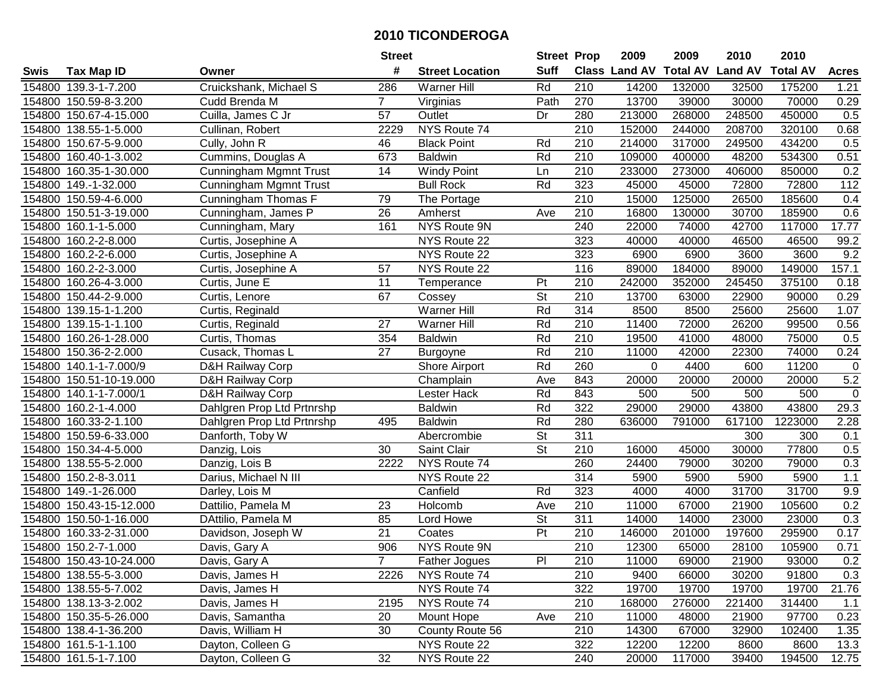|        |                         |                               | <b>Street</b>   |                        | <b>Street Prop</b>       |                  | 2009                 | 2009            | 2010           | 2010            |              |
|--------|-------------------------|-------------------------------|-----------------|------------------------|--------------------------|------------------|----------------------|-----------------|----------------|-----------------|--------------|
| Swis   | <b>Tax Map ID</b>       | Owner                         | #               | <b>Street Location</b> | <b>Suff</b>              |                  | <b>Class Land AV</b> | <b>Total AV</b> | <b>Land AV</b> | <b>Total AV</b> | <b>Acres</b> |
|        | 154800 139.3-1-7.200    | Cruickshank, Michael S        | 286             | <b>Warner Hill</b>     | Rd                       | 210              | 14200                | 132000          | 32500          | 175200          | 1.21         |
|        | 154800 150.59-8-3.200   | Cudd Brenda M                 | $7^{\circ}$     | Virginias              | Path                     | 270              | 13700                | 39000           | 30000          | 70000           | 0.29         |
|        | 154800 150.67-4-15.000  | Cuilla, James C Jr            | 57              | Outlet                 | Dr                       | 280              | 213000               | 268000          | 248500         | 450000          | 0.5          |
|        | 154800 138.55-1-5.000   | Cullinan, Robert              | 2229            | NYS Route 74           |                          | $\overline{210}$ | 152000               | 244000          | 208700         | 320100          | 0.68         |
|        | 154800 150.67-5-9.000   | Cully, John R                 | 46              | <b>Black Point</b>     | Rd                       | 210              | 214000               | 317000          | 249500         | 434200          | 0.5          |
|        | 154800 160.40-1-3.002   | Cummins, Douglas A            | 673             | <b>Baldwin</b>         | Rd                       | $\overline{210}$ | 109000               | 400000          | 48200          | 534300          | 0.51         |
|        | 154800 160.35-1-30.000  | Cunningham Mgmnt Trust        | 14              | <b>Windy Point</b>     | Ln                       | 210              | 233000               | 273000          | 406000         | 850000          | 0.2          |
|        | 154800 149.-1-32.000    | <b>Cunningham Mgmnt Trust</b> |                 | <b>Bull Rock</b>       | Rd                       | 323              | 45000                | 45000           | 72800          | 72800           | 112          |
|        | 154800 150.59-4-6.000   | Cunningham Thomas F           | 79              | The Portage            |                          | $\overline{210}$ | 15000                | 125000          | 26500          | 185600          | 0.4          |
|        | 154800 150.51-3-19.000  | Cunningham, James P           | 26              | Amherst                | Ave                      | 210              | 16800                | 130000          | 30700          | 185900          | 0.6          |
|        | 154800 160.1-1-5.000    | Cunningham, Mary              | 161             | NYS Route 9N           |                          | 240              | 22000                | 74000           | 42700          | 117000          | 17.77        |
|        | 154800 160.2-2-8.000    | Curtis, Josephine A           |                 | NYS Route 22           |                          | 323              | 40000                | 40000           | 46500          | 46500           | 99.2         |
|        | 154800 160.2-2-6.000    | Curtis, Josephine A           |                 | NYS Route 22           |                          | 323              | 6900                 | 6900            | 3600           | 3600            | 9.2          |
|        | 154800 160.2-2-3.000    | Curtis, Josephine A           | 57              | NYS Route 22           |                          | 116              | 89000                | 184000          | 89000          | 149000          | 157.1        |
|        | 154800 160.26-4-3.000   | Curtis, June E                | 11              | Temperance             | Pt                       | 210              | 242000               | 352000          | 245450         | 375100          | 0.18         |
|        | 154800 150.44-2-9.000   | Curtis, Lenore                | 67              | Cossey                 | St                       | 210              | 13700                | 63000           | 22900          | 90000           | 0.29         |
|        | 154800 139.15-1-1.200   | Curtis, Reginald              |                 | <b>Warner Hill</b>     | Rd                       | 314              | 8500                 | 8500            | 25600          | 25600           | 1.07         |
|        | 154800 139.15-1-1.100   | Curtis, Reginald              | 27              | <b>Warner Hill</b>     | Rd                       | 210              | 11400                | 72000           | 26200          | 99500           | 0.56         |
|        | 154800 160.26-1-28.000  | Curtis, Thomas                | 354             | <b>Baldwin</b>         | Rd                       | 210              | 19500                | 41000           | 48000          | 75000           | 0.5          |
|        | 154800 150.36-2-2.000   | Cusack, Thomas L              | 27              | Burgoyne               | Rd                       | 210              | 11000                | 42000           | 22300          | 74000           | 0.24         |
|        | 154800 140.1-1-7.000/9  | D&H Railway Corp              |                 | <b>Shore Airport</b>   | Rd                       | 260              | $\mathbf 0$          | 4400            | 600            | 11200           | $\mathbf 0$  |
|        | 154800 150.51-10-19.000 | D&H Railway Corp              |                 | Champlain              | Ave                      | 843              | 20000                | 20000           | 20000          | 20000           | $5.2\,$      |
| 154800 | 140.1-1-7.000/1         | D&H Railway Corp              |                 | Lester Hack            | Rd                       | 843              | 500                  | 500             | 500            | 500             | $\mathbf 0$  |
| 154800 | 160.2-1-4.000           | Dahlgren Prop Ltd Prtnrshp    |                 | <b>Baldwin</b>         | Rd                       | 322              | 29000                | 29000           | 43800          | 43800           | 29.3         |
|        | 154800 160.33-2-1.100   | Dahlgren Prop Ltd Prtnrshp    | 495             | <b>Baldwin</b>         | Rd                       | 280              | 636000               | 791000          | 617100         | 1223000         | 2.28         |
|        | 154800 150.59-6-33.000  | Danforth, Toby W              |                 | Abercrombie            | $\overline{\mathsf{St}}$ | 311              |                      |                 | 300            | 300             | 0.1          |
|        | 154800 150.34-4-5.000   | Danzig, Lois                  | 30              | Saint Clair            | St                       | 210              | 16000                | 45000           | 30000          | 77800           | 0.5          |
|        | 154800 138.55-5-2.000   | Danzig, Lois B                | 2222            | NYS Route 74           |                          | 260              | 24400                | 79000           | 30200          | 79000           | 0.3          |
|        | 154800 150.2-8-3.011    | Darius, Michael N III         |                 | NYS Route 22           |                          | $\overline{314}$ | 5900                 | 5900            | 5900           | 5900            | 1.1          |
|        | 154800 149.-1-26.000    | Darley, Lois M                |                 | Canfield               | Rd                       | 323              | 4000                 | 4000            | 31700          | 31700           | 9.9          |
|        | 154800 150.43-15-12.000 | Dattilio, Pamela M            | 23              | Holcomb                | Ave                      | 210              | 11000                | 67000           | 21900          | 105600          | 0.2          |
|        | 154800 150.50-1-16.000  | DAttilio, Pamela M            | 85              | Lord Howe              | $\overline{\mathsf{St}}$ | 311              | 14000                | 14000           | 23000          | 23000           | 0.3          |
|        | 154800 160.33-2-31.000  | Davidson, Joseph W            | $\overline{21}$ | Coates                 | Pt                       | 210              | 146000               | 201000          | 197600         | 295900          | 0.17         |
|        | 154800 150.2-7-1.000    | Davis, Gary A                 | 906             | NYS Route 9N           |                          | $\overline{210}$ | 12300                | 65000           | 28100          | 105900          | 0.71         |
|        | 154800 150.43-10-24.000 | Davis, Gary A                 |                 | <b>Father Jogues</b>   | PI                       | 210              | 11000                | 69000           | 21900          | 93000           | 0.2          |
|        | 154800 138.55-5-3.000   | Davis, James H                | 2226            | NYS Route 74           |                          | 210              | 9400                 | 66000           | 30200          | 91800           | 0.3          |
|        | 154800 138.55-5-7.002   | Davis, James H                |                 | NYS Route 74           |                          | 322              | 19700                | 19700           | 19700          | 19700           | 21.76        |
|        | 154800 138.13-3-2.002   | Davis, James H                | 2195            | NYS Route 74           |                          | 210              | 168000               | 276000          | 221400         | 314400          | 1.1          |
|        | 154800 150.35-5-26.000  | Davis, Samantha               | 20              | Mount Hope             | Ave                      | 210              | 11000                | 48000           | 21900          | 97700           | 0.23         |
|        | 154800 138.4-1-36.200   | Davis, William H              | 30              | County Route 56        |                          | 210              | 14300                | 67000           | 32900          | 102400          | 1.35         |
|        | 154800 161.5-1-1.100    | Dayton, Colleen G             |                 | NYS Route 22           |                          | 322              | 12200                | 12200           | 8600           | 8600            | 13.3         |
|        | 154800 161.5-1-7.100    | Dayton, Colleen G             | 32              | NYS Route 22           |                          | 240              | 20000                | 117000          | 39400          | 194500          | 12.75        |
|        |                         |                               |                 |                        |                          |                  |                      |                 |                |                 |              |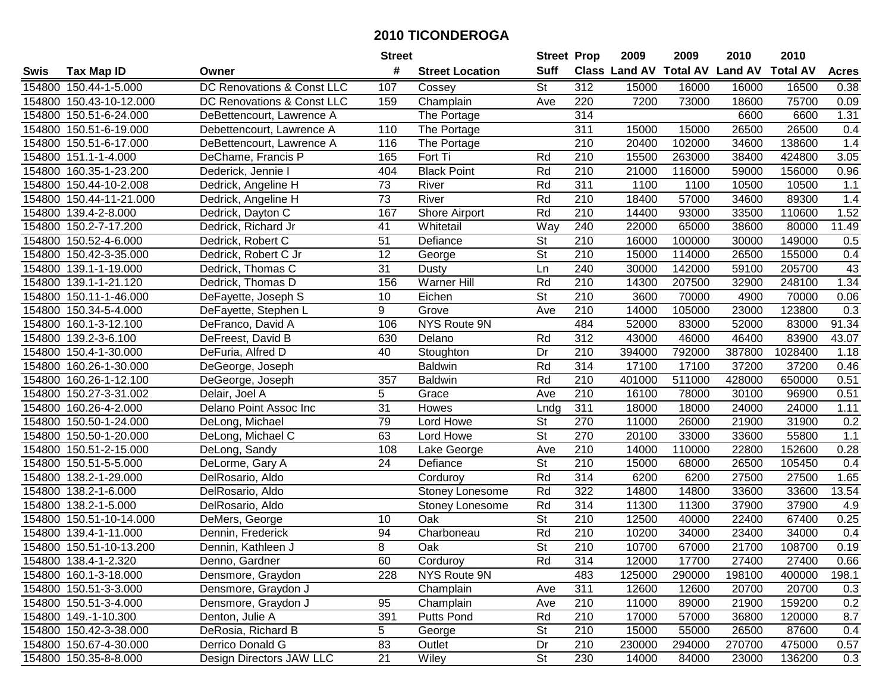|             |                         |                            | <b>Street</b>   |                        | <b>Street Prop</b>       |                  | 2009                          | 2009   | 2010           | 2010            |              |
|-------------|-------------------------|----------------------------|-----------------|------------------------|--------------------------|------------------|-------------------------------|--------|----------------|-----------------|--------------|
| <b>Swis</b> | <b>Tax Map ID</b>       | Owner                      | #               | <b>Street Location</b> | <b>Suff</b>              |                  | <b>Class Land AV Total AV</b> |        | <b>Land AV</b> | <b>Total AV</b> | <b>Acres</b> |
|             | 154800 150.44-1-5.000   | DC Renovations & Const LLC | 107             | Cossey                 | St                       | 312              | 15000                         | 16000  | 16000          | 16500           | 0.38         |
|             | 154800 150.43-10-12.000 | DC Renovations & Const LLC | 159             | Champlain              | Ave                      | 220              | 7200                          | 73000  | 18600          | 75700           | 0.09         |
|             | 154800 150.51-6-24.000  | DeBettencourt, Lawrence A  |                 | The Portage            |                          | 314              |                               |        | 6600           | 6600            | 1.31         |
|             | 154800 150.51-6-19.000  | Debettencourt, Lawrence A  | 110             | The Portage            |                          | 311              | 15000                         | 15000  | 26500          | 26500           | 0.4          |
|             | 154800 150.51-6-17.000  | DeBettencourt, Lawrence A  | 116             | The Portage            |                          | 210              | 20400                         | 102000 | 34600          | 138600          | 1.4          |
|             | 154800 151.1-1-4.000    | DeChame, Francis P         | 165             | Fort Ti                | Rd                       | $\overline{210}$ | 15500                         | 263000 | 38400          | 424800          | 3.05         |
|             | 154800 160.35-1-23.200  | Dederick, Jennie I         | 404             | <b>Black Point</b>     | Rd                       | 210              | 21000                         | 116000 | 59000          | 156000          | 0.96         |
|             | 154800 150.44-10-2.008  | Dedrick, Angeline H        | 73              | River                  | Rd                       | 311              | 1100                          | 1100   | 10500          | 10500           | 1.1          |
|             | 154800 150.44-11-21.000 | Dedrick, Angeline H        | 73              | River                  | Rd                       | $\overline{210}$ | 18400                         | 57000  | 34600          | 89300           | 1.4          |
|             | 154800 139.4-2-8.000    | Dedrick, Dayton C          | 167             | <b>Shore Airport</b>   | Rd                       | 210              | 14400                         | 93000  | 33500          | 110600          | 1.52         |
|             | 154800 150.2-7-17.200   | Dedrick, Richard Jr        | 41              | Whitetail              | Way                      | 240              | 22000                         | 65000  | 38600          | 80000           | 11.49        |
|             | 154800 150.52-4-6.000   | Dedrick, Robert C          | 51              | Defiance               | <b>St</b>                | 210              | 16000                         | 100000 | 30000          | 149000          | 0.5          |
|             | 154800 150.42-3-35.000  | Dedrick, Robert C Jr       | $\overline{12}$ | George                 | $\overline{\mathsf{St}}$ | 210              | 15000                         | 114000 | 26500          | 155000          | 0.4          |
|             | 154800 139.1-1-19.000   | Dedrick, Thomas C          | 31              | Dusty                  | Ln                       | 240              | 30000                         | 142000 | 59100          | 205700          | 43           |
|             | 154800 139.1-1-21.120   | Dedrick, Thomas D          | 156             | Warner Hill            | Rd                       | 210              | 14300                         | 207500 | 32900          | 248100          | 1.34         |
|             | 154800 150.11-1-46.000  | DeFayette, Joseph S        | 10              | Eichen                 | <b>St</b>                | 210              | 3600                          | 70000  | 4900           | 70000           | 0.06         |
|             | 154800 150.34-5-4.000   | DeFayette, Stephen L       | 9               | Grove                  | Ave                      | 210              | 14000                         | 105000 | 23000          | 123800          | 0.3          |
|             | 154800 160.1-3-12.100   | DeFranco, David A          | 106             | NYS Route 9N           |                          | 484              | 52000                         | 83000  | 52000          | 83000           | 91.34        |
|             | 154800 139.2-3-6.100    | DeFreest, David B          | 630             | Delano                 | Rd                       | 312              | 43000                         | 46000  | 46400          | 83900           | 43.07        |
|             | 154800 150.4-1-30.000   | DeFuria, Alfred D          | 40              | Stoughton              | Dr                       | 210              | 394000                        | 792000 | 387800         | 1028400         | 1.18         |
|             | 154800 160.26-1-30.000  | DeGeorge, Joseph           |                 | <b>Baldwin</b>         | Rd                       | 314              | 17100                         | 17100  | 37200          | 37200           | 0.46         |
| 154800      | 160.26-1-12.100         | DeGeorge, Joseph           | 357             | <b>Baldwin</b>         | Rd                       | 210              | 401000                        | 511000 | 428000         | 650000          | 0.51         |
| 154800      | 150.27-3-31.002         | Delair, Joel A             | 5               | Grace                  | Ave                      | 210              | 16100                         | 78000  | 30100          | 96900           | 0.51         |
|             | 154800 160.26-4-2.000   | Delano Point Assoc Inc     | 31              | Howes                  | Lndg                     | 311              | 18000                         | 18000  | 24000          | 24000           | 1.11         |
|             | 154800 150.50-1-24.000  | DeLong, Michael            | 79              | Lord Howe              | $\overline{\mathsf{St}}$ | 270              | 11000                         | 26000  | 21900          | 31900           | 0.2          |
|             | 154800 150.50-1-20.000  | DeLong, Michael C          | 63              | Lord Howe              | $\overline{\mathsf{St}}$ | 270              | 20100                         | 33000  | 33600          | 55800           | 1.1          |
|             | 154800 150.51-2-15.000  | DeLong, Sandy              | 108             | Lake George            | Ave                      | 210              | 14000                         | 110000 | 22800          | 152600          | 0.28         |
|             | 154800 150.51-5-5.000   | DeLorme, Gary A            | 24              | Defiance               | <b>St</b>                | 210              | 15000                         | 68000  | 26500          | 105450          | 0.4          |
|             | 154800 138.2-1-29.000   | DelRosario, Aldo           |                 | Corduroy               | Rd                       | 314              | 6200                          | 6200   | 27500          | 27500           | 1.65         |
|             | 154800 138.2-1-6.000    | DelRosario, Aldo           |                 | Stoney Lonesome        | Rd                       | $\overline{322}$ | 14800                         | 14800  | 33600          | 33600           | 13.54        |
|             | 154800 138.2-1-5.000    | DelRosario, Aldo           |                 | Stoney Lonesome        | Rd                       | 314              | 11300                         | 11300  | 37900          | 37900           | 4.9          |
|             | 154800 150.51-10-14.000 | DeMers, George             | 10              | Oak                    | $\overline{\mathsf{St}}$ | 210              | 12500                         | 40000  | 22400          | 67400           | 0.25         |
|             | 154800 139.4-1-11.000   | Dennin, Frederick          | 94              | Charboneau             | Rd                       | $\overline{210}$ | 10200                         | 34000  | 23400          | 34000           | 0.4          |
|             | 154800 150.51-10-13.200 | Dennin, Kathleen J         | 8               | Oak                    | $\overline{\mathsf{St}}$ | $\overline{210}$ | 10700                         | 67000  | 21700          | 108700          | 0.19         |
|             | 154800 138.4-1-2.320    | Denno, Gardner             | 60              | Corduroy               | Rd                       | 314              | 12000                         | 17700  | 27400          | 27400           | 0.66         |
|             | 154800 160.1-3-18.000   | Densmore, Graydon          | 228             | NYS Route 9N           |                          | 483              | 125000                        | 290000 | 198100         | 400000          | 198.1        |
|             | 154800 150.51-3-3.000   | Densmore, Graydon J        |                 | Champlain              | Ave                      | 311              | 12600                         | 12600  | 20700          | 20700           | 0.3          |
|             | 154800 150.51-3-4.000   | Densmore, Graydon J        | 95              | Champlain              | Ave                      | 210              | 11000                         | 89000  | 21900          | 159200          | 0.2          |
|             | 154800 149.-1-10.300    | Denton, Julie A            | 391             | <b>Putts Pond</b>      | Rd                       | 210              | 17000                         | 57000  | 36800          | 120000          | 8.7          |
|             | 154800 150.42-3-38.000  | DeRosia, Richard B         | 5               | George                 | <b>St</b>                | 210              | 15000                         | 55000  | 26500          | 87600           | 0.4          |
|             | 154800 150.67-4-30.000  | Derrico Donald G           | 83              | Outlet                 | Dr                       | 210              | 230000                        | 294000 | 270700         | 475000          | 0.57         |
|             | 154800 150.35-8-8.000   | Design Directors JAW LLC   | 21              | Wiley                  | St                       | 230              | 14000                         | 84000  | 23000          | 136200          | 0.3          |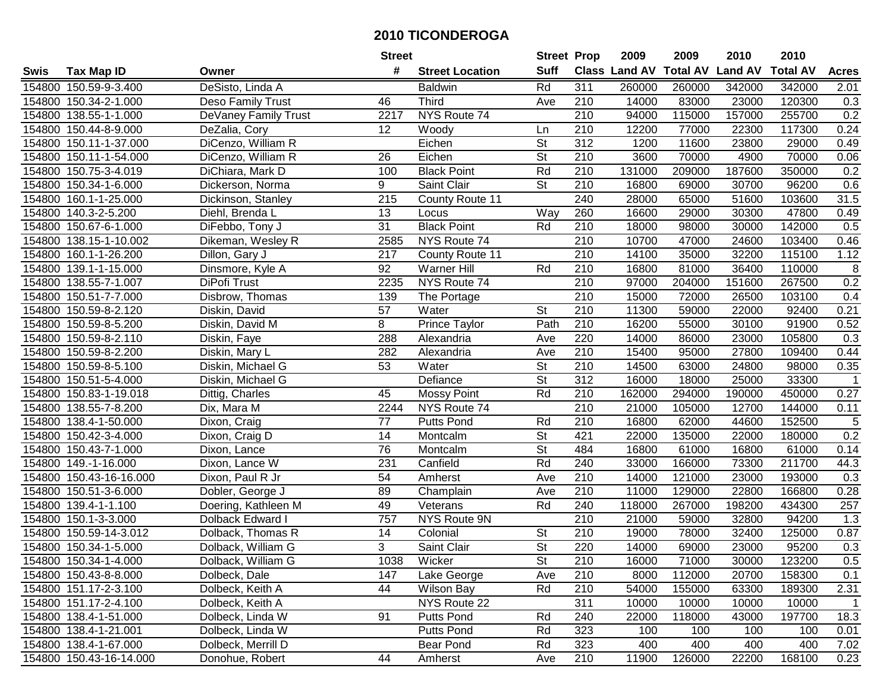| #<br><b>Suff</b><br><b>Class Land AV Total AV</b><br><b>Land AV</b><br><b>Total AV</b><br><b>Tax Map ID</b><br><b>Street Location</b><br><b>Acres</b><br>Swis<br>Owner<br>DeSisto, Linda A<br>Rd<br>311<br>154800 150.59-9-3.400<br><b>Baldwin</b><br>260000<br>260000<br>342000<br>342000<br>2.01<br>154800 150.34-2-1.000<br><b>Third</b><br>210<br>14000<br>83000<br>23000<br>120300<br>0.3<br>Deso Family Trust<br>46<br>Ave<br>255700<br>0.2<br>154800 138.55-1-1.000<br>DeVaney Family Trust<br>2217<br>NYS Route 74<br>210<br>94000<br>115000<br>157000<br>210<br>12200<br>117300<br>0.24<br>154800 150.44-8-9.000<br>DeZalia, Cory<br>12<br>Woody<br>77000<br>22300<br>Ln<br>$\overline{312}$<br>154800 150.11-1-37.000<br>DiCenzo, William R<br>Eichen<br><b>St</b><br>1200<br>11600<br>23800<br>29000<br>0.49<br>$\overline{\mathsf{St}}$<br>154800 150.11-1-54.000<br>DiCenzo, William R<br>26<br>Eichen<br>210<br>3600<br>70000<br>4900<br>70000<br>0.06<br>154800 150.75-3-4.019<br>Rd<br>210<br>131000<br>187600<br>0.2<br>DiChiara, Mark D<br>100<br><b>Black Point</b><br>209000<br>350000<br>9<br>$\overline{\mathsf{St}}$<br>$\overline{210}$<br>16800<br>30700<br>96200<br>0.6<br>154800 150.34-1-6.000<br>Dickerson, Norma<br>Saint Clair<br>69000<br>$\overline{215}$<br>240<br>31.5<br>154800 160.1-1-25.000<br>County Route 11<br>28000<br>65000<br>51600<br>103600<br>Dickinson, Stanley<br>13<br>260<br>16600<br>47800<br>154800 140.3-2-5.200<br>Diehl, Brenda L<br>Way<br>29000<br>30300<br>0.49<br>Locus<br>31<br><b>Black Point</b><br>DiFebbo, Tony J<br>Rd<br>210<br>18000<br>30000<br>142000<br>0.5<br>154800 150.67-6-1.000<br>98000<br>154800 138.15-1-10.002<br>Dikeman, Wesley R<br>2585<br>NYS Route 74<br>210<br>10700<br>47000<br>24600<br>103400<br>0.46<br>217<br>210<br>14100<br>32200<br>115100<br>1.12<br>154800 160.1-1-26.200<br>Dillon, Gary J<br>County Route 11<br>35000<br>Warner Hill<br>8<br>92<br>Rd<br>210<br>16800<br>81000<br>36400<br>110000<br>154800 139.1-1-15.000<br>Dinsmore, Kyle A<br>0.2<br>210<br>DiPofi Trust<br>2235<br>NYS Route 74<br>97000<br>204000<br>151600<br>267500<br>154800 138.55-7-1.007<br>154800 150.51-7-7.000<br>210<br>15000<br>72000<br>26500<br>103100<br>0.4<br>Disbrow, Thomas<br>139<br>The Portage<br>57<br><b>St</b><br>210<br>154800 150.59-8-2.120<br>Water<br>11300<br>59000<br>22000<br>92400<br>0.21<br>Diskin, David<br>8<br>154800 150.59-8-5.200<br>Prince Taylor<br>Path<br>210<br>16200<br>55000<br>30100<br>91900<br>0.52<br>Diskin, David M<br>288<br>154800 150.59-8-2.110<br>Diskin, Faye<br>Alexandria<br>220<br>14000<br>86000<br>23000<br>105800<br>0.3<br>Ave<br>154800 150.59-8-2.200<br>210<br>15400<br>95000<br>27800<br>109400<br>0.44<br>Diskin, Mary L<br>282<br>Alexandria<br>Ave<br>154800 150.59-8-5.100<br>53<br><b>St</b><br>210<br>14500<br>98000<br>0.35<br>Diskin, Michael G<br>Water<br>63000<br>24800<br>St<br>312<br>154800 150.51-5-4.000<br>Diskin, Michael G<br>Defiance<br>16000<br>25000<br>33300<br>$\mathbf{1}$<br>18000<br>Rd<br>210<br>45<br><b>Mossy Point</b><br>162000<br>294000<br>190000<br>450000<br>0.27<br>154800 150.83-1-19.018<br>Dittig, Charles<br>210<br>154800 138.55-7-8.200<br>NYS Route 74<br>21000<br>105000<br>12700<br>144000<br>Dix, Mara M<br>2244<br>0.11<br>$\sqrt{5}$<br>77<br>Rd<br>210<br>16800<br>152500<br>154800 138.4-1-50.000<br><b>Putts Pond</b><br>62000<br>44600<br>Dixon, Craig<br>$\overline{\mathsf{St}}$<br>0.2<br>421<br>22000<br>154800 150.42-3-4.000<br>14<br>135000<br>22000<br>180000<br>Dixon, Craig D<br>Montcalm<br>$\overline{\mathsf{St}}$<br>76<br>484<br>154800 150.43-7-1.000<br>16800<br>61000<br>16800<br>61000<br>0.14<br>Dixon, Lance<br>Montcalm<br>Rd<br>154800 149.-1-16.000<br>231<br>Canfield<br>240<br>33000<br>166000<br>73300<br>211700<br>44.3<br>Dixon, Lance W<br>Dixon, Paul R Jr<br>54<br>210<br>14000<br>121000<br>23000<br>0.3<br>154800 150.43-16-16.000<br>Ave<br>193000<br>Amherst<br>89<br>$\overline{210}$<br>154800 150.51-3-6.000<br>11000<br>129000<br>22800<br>166800<br>0.28<br>Dobler, George J<br>Champlain<br>Ave<br>49<br>Rd<br>240<br>267000<br>198200<br>434300<br>257<br>154800 139.4-1-1.100<br>Doering, Kathleen M<br>118000<br>Veterans<br>757<br>154800 150.1-3-3.000<br>Dolback Edward I<br>NYS Route 9N<br>210<br>59000<br>94200<br>1.3<br>21000<br>32800<br>14<br>$\overline{\mathsf{St}}$<br>$\overline{210}$<br>0.87<br>154800 150.59-14-3.012<br>Dolback, Thomas R<br>19000<br>78000<br>32400<br>125000<br>Colonial<br>$\overline{\mathsf{St}}$<br>3<br>154800 150.34-1-5.000<br>Saint Clair<br>220<br>14000<br>69000<br>23000<br>95200<br>0.3<br>Dolback, William G<br>154800 150.34-1-4.000<br>Dolback, William G<br>1038<br>Wicker<br>St<br>210<br>16000<br>71000<br>30000<br>123200<br>0.5<br>154800 150.43-8-8.000<br>147<br>210<br>8000<br>112000<br>20700<br>158300<br>0.1<br>Dolbeck, Dale<br>Lake George<br>Ave<br>54000<br>154800 151.17-2-3.100<br>44<br>Wilson Bay<br>Rd<br>210<br>155000<br>63300<br>189300<br>2.31<br>Dolbeck, Keith A<br>154800 151.17-2-4.100<br>NYS Route 22<br>311<br>10000<br>Dolbeck, Keith A<br>10000<br>10000<br>10000<br>$\overline{1}$<br>91<br>154800 138.4-1-51.000<br>Dolbeck, Linda W<br><b>Putts Pond</b><br>Rd<br>240<br>22000<br>118000<br>197700<br>18.3<br>43000<br>Rd<br>323<br>154800 138.4-1-21.001<br>Dolbeck, Linda W<br><b>Putts Pond</b><br>100<br>100<br>100<br>100<br>0.01<br>154800 138.4-1-67.000<br>Dolbeck, Merrill D<br>Rd<br>323<br>400<br>400<br>400<br>400<br>7.02<br>Bear Pond<br>210<br>154800 150.43-16-14.000<br>44<br>11900<br>126000<br>22200<br>168100<br>0.23<br>Donohue, Robert<br>Amherst<br>Ave |  | <b>Street</b> | <b>Street Prop</b> | 2009 | 2009 | 2010 | 2010 |  |
|---------------------------------------------------------------------------------------------------------------------------------------------------------------------------------------------------------------------------------------------------------------------------------------------------------------------------------------------------------------------------------------------------------------------------------------------------------------------------------------------------------------------------------------------------------------------------------------------------------------------------------------------------------------------------------------------------------------------------------------------------------------------------------------------------------------------------------------------------------------------------------------------------------------------------------------------------------------------------------------------------------------------------------------------------------------------------------------------------------------------------------------------------------------------------------------------------------------------------------------------------------------------------------------------------------------------------------------------------------------------------------------------------------------------------------------------------------------------------------------------------------------------------------------------------------------------------------------------------------------------------------------------------------------------------------------------------------------------------------------------------------------------------------------------------------------------------------------------------------------------------------------------------------------------------------------------------------------------------------------------------------------------------------------------------------------------------------------------------------------------------------------------------------------------------------------------------------------------------------------------------------------------------------------------------------------------------------------------------------------------------------------------------------------------------------------------------------------------------------------------------------------------------------------------------------------------------------------------------------------------------------------------------------------------------------------------------------------------------------------------------------------------------------------------------------------------------------------------------------------------------------------------------------------------------------------------------------------------------------------------------------------------------------------------------------------------------------------------------------------------------------------------------------------------------------------------------------------------------------------------------------------------------------------------------------------------------------------------------------------------------------------------------------------------------------------------------------------------------------------------------------------------------------------------------------------------------------------------------------------------------------------------------------------------------------------------------------------------------------------------------------------------------------------------------------------------------------------------------------------------------------------------------------------------------------------------------------------------------------------------------------------------------------------------------------------------------------------------------------------------------------------------------------------------------------------------------------------------------------------------------------------------------------------------------------------------------------------------------------------------------------------------------------------------------------------------------------------------------------------------------------------------------------------------------------------------------------------------------------------------------------------------------------------------------------------------------------------------------------------------------------------------------------------------------------------------------------------------------------------------------------------------------------------------------------------------------------------------------------------------------------------------------------------------------------------------------------------------------------------------------------------------------------------------------------------------------------------------------------------------------------------------------------------------------------------------------------------------------------------------------------------------------------------------------------------------------------------------------------------------------------------------------------------------------------------------------------------------------------------------------------------------------------------------------------------------------------------------------|--|---------------|--------------------|------|------|------|------|--|
|                                                                                                                                                                                                                                                                                                                                                                                                                                                                                                                                                                                                                                                                                                                                                                                                                                                                                                                                                                                                                                                                                                                                                                                                                                                                                                                                                                                                                                                                                                                                                                                                                                                                                                                                                                                                                                                                                                                                                                                                                                                                                                                                                                                                                                                                                                                                                                                                                                                                                                                                                                                                                                                                                                                                                                                                                                                                                                                                                                                                                                                                                                                                                                                                                                                                                                                                                                                                                                                                                                                                                                                                                                                                                                                                                                                                                                                                                                                                                                                                                                                                                                                                                                                                                                                                                                                                                                                                                                                                                                                                                                                                                                                                                                                                                                                                                                                                                                                                                                                                                                                                                                                                                                                                                                                                                                                                                                                                                                                                                                                                                                                                                                                                                                                           |  |               |                    |      |      |      |      |  |
|                                                                                                                                                                                                                                                                                                                                                                                                                                                                                                                                                                                                                                                                                                                                                                                                                                                                                                                                                                                                                                                                                                                                                                                                                                                                                                                                                                                                                                                                                                                                                                                                                                                                                                                                                                                                                                                                                                                                                                                                                                                                                                                                                                                                                                                                                                                                                                                                                                                                                                                                                                                                                                                                                                                                                                                                                                                                                                                                                                                                                                                                                                                                                                                                                                                                                                                                                                                                                                                                                                                                                                                                                                                                                                                                                                                                                                                                                                                                                                                                                                                                                                                                                                                                                                                                                                                                                                                                                                                                                                                                                                                                                                                                                                                                                                                                                                                                                                                                                                                                                                                                                                                                                                                                                                                                                                                                                                                                                                                                                                                                                                                                                                                                                                                           |  |               |                    |      |      |      |      |  |
|                                                                                                                                                                                                                                                                                                                                                                                                                                                                                                                                                                                                                                                                                                                                                                                                                                                                                                                                                                                                                                                                                                                                                                                                                                                                                                                                                                                                                                                                                                                                                                                                                                                                                                                                                                                                                                                                                                                                                                                                                                                                                                                                                                                                                                                                                                                                                                                                                                                                                                                                                                                                                                                                                                                                                                                                                                                                                                                                                                                                                                                                                                                                                                                                                                                                                                                                                                                                                                                                                                                                                                                                                                                                                                                                                                                                                                                                                                                                                                                                                                                                                                                                                                                                                                                                                                                                                                                                                                                                                                                                                                                                                                                                                                                                                                                                                                                                                                                                                                                                                                                                                                                                                                                                                                                                                                                                                                                                                                                                                                                                                                                                                                                                                                                           |  |               |                    |      |      |      |      |  |
|                                                                                                                                                                                                                                                                                                                                                                                                                                                                                                                                                                                                                                                                                                                                                                                                                                                                                                                                                                                                                                                                                                                                                                                                                                                                                                                                                                                                                                                                                                                                                                                                                                                                                                                                                                                                                                                                                                                                                                                                                                                                                                                                                                                                                                                                                                                                                                                                                                                                                                                                                                                                                                                                                                                                                                                                                                                                                                                                                                                                                                                                                                                                                                                                                                                                                                                                                                                                                                                                                                                                                                                                                                                                                                                                                                                                                                                                                                                                                                                                                                                                                                                                                                                                                                                                                                                                                                                                                                                                                                                                                                                                                                                                                                                                                                                                                                                                                                                                                                                                                                                                                                                                                                                                                                                                                                                                                                                                                                                                                                                                                                                                                                                                                                                           |  |               |                    |      |      |      |      |  |
|                                                                                                                                                                                                                                                                                                                                                                                                                                                                                                                                                                                                                                                                                                                                                                                                                                                                                                                                                                                                                                                                                                                                                                                                                                                                                                                                                                                                                                                                                                                                                                                                                                                                                                                                                                                                                                                                                                                                                                                                                                                                                                                                                                                                                                                                                                                                                                                                                                                                                                                                                                                                                                                                                                                                                                                                                                                                                                                                                                                                                                                                                                                                                                                                                                                                                                                                                                                                                                                                                                                                                                                                                                                                                                                                                                                                                                                                                                                                                                                                                                                                                                                                                                                                                                                                                                                                                                                                                                                                                                                                                                                                                                                                                                                                                                                                                                                                                                                                                                                                                                                                                                                                                                                                                                                                                                                                                                                                                                                                                                                                                                                                                                                                                                                           |  |               |                    |      |      |      |      |  |
|                                                                                                                                                                                                                                                                                                                                                                                                                                                                                                                                                                                                                                                                                                                                                                                                                                                                                                                                                                                                                                                                                                                                                                                                                                                                                                                                                                                                                                                                                                                                                                                                                                                                                                                                                                                                                                                                                                                                                                                                                                                                                                                                                                                                                                                                                                                                                                                                                                                                                                                                                                                                                                                                                                                                                                                                                                                                                                                                                                                                                                                                                                                                                                                                                                                                                                                                                                                                                                                                                                                                                                                                                                                                                                                                                                                                                                                                                                                                                                                                                                                                                                                                                                                                                                                                                                                                                                                                                                                                                                                                                                                                                                                                                                                                                                                                                                                                                                                                                                                                                                                                                                                                                                                                                                                                                                                                                                                                                                                                                                                                                                                                                                                                                                                           |  |               |                    |      |      |      |      |  |
|                                                                                                                                                                                                                                                                                                                                                                                                                                                                                                                                                                                                                                                                                                                                                                                                                                                                                                                                                                                                                                                                                                                                                                                                                                                                                                                                                                                                                                                                                                                                                                                                                                                                                                                                                                                                                                                                                                                                                                                                                                                                                                                                                                                                                                                                                                                                                                                                                                                                                                                                                                                                                                                                                                                                                                                                                                                                                                                                                                                                                                                                                                                                                                                                                                                                                                                                                                                                                                                                                                                                                                                                                                                                                                                                                                                                                                                                                                                                                                                                                                                                                                                                                                                                                                                                                                                                                                                                                                                                                                                                                                                                                                                                                                                                                                                                                                                                                                                                                                                                                                                                                                                                                                                                                                                                                                                                                                                                                                                                                                                                                                                                                                                                                                                           |  |               |                    |      |      |      |      |  |
|                                                                                                                                                                                                                                                                                                                                                                                                                                                                                                                                                                                                                                                                                                                                                                                                                                                                                                                                                                                                                                                                                                                                                                                                                                                                                                                                                                                                                                                                                                                                                                                                                                                                                                                                                                                                                                                                                                                                                                                                                                                                                                                                                                                                                                                                                                                                                                                                                                                                                                                                                                                                                                                                                                                                                                                                                                                                                                                                                                                                                                                                                                                                                                                                                                                                                                                                                                                                                                                                                                                                                                                                                                                                                                                                                                                                                                                                                                                                                                                                                                                                                                                                                                                                                                                                                                                                                                                                                                                                                                                                                                                                                                                                                                                                                                                                                                                                                                                                                                                                                                                                                                                                                                                                                                                                                                                                                                                                                                                                                                                                                                                                                                                                                                                           |  |               |                    |      |      |      |      |  |
|                                                                                                                                                                                                                                                                                                                                                                                                                                                                                                                                                                                                                                                                                                                                                                                                                                                                                                                                                                                                                                                                                                                                                                                                                                                                                                                                                                                                                                                                                                                                                                                                                                                                                                                                                                                                                                                                                                                                                                                                                                                                                                                                                                                                                                                                                                                                                                                                                                                                                                                                                                                                                                                                                                                                                                                                                                                                                                                                                                                                                                                                                                                                                                                                                                                                                                                                                                                                                                                                                                                                                                                                                                                                                                                                                                                                                                                                                                                                                                                                                                                                                                                                                                                                                                                                                                                                                                                                                                                                                                                                                                                                                                                                                                                                                                                                                                                                                                                                                                                                                                                                                                                                                                                                                                                                                                                                                                                                                                                                                                                                                                                                                                                                                                                           |  |               |                    |      |      |      |      |  |
|                                                                                                                                                                                                                                                                                                                                                                                                                                                                                                                                                                                                                                                                                                                                                                                                                                                                                                                                                                                                                                                                                                                                                                                                                                                                                                                                                                                                                                                                                                                                                                                                                                                                                                                                                                                                                                                                                                                                                                                                                                                                                                                                                                                                                                                                                                                                                                                                                                                                                                                                                                                                                                                                                                                                                                                                                                                                                                                                                                                                                                                                                                                                                                                                                                                                                                                                                                                                                                                                                                                                                                                                                                                                                                                                                                                                                                                                                                                                                                                                                                                                                                                                                                                                                                                                                                                                                                                                                                                                                                                                                                                                                                                                                                                                                                                                                                                                                                                                                                                                                                                                                                                                                                                                                                                                                                                                                                                                                                                                                                                                                                                                                                                                                                                           |  |               |                    |      |      |      |      |  |
|                                                                                                                                                                                                                                                                                                                                                                                                                                                                                                                                                                                                                                                                                                                                                                                                                                                                                                                                                                                                                                                                                                                                                                                                                                                                                                                                                                                                                                                                                                                                                                                                                                                                                                                                                                                                                                                                                                                                                                                                                                                                                                                                                                                                                                                                                                                                                                                                                                                                                                                                                                                                                                                                                                                                                                                                                                                                                                                                                                                                                                                                                                                                                                                                                                                                                                                                                                                                                                                                                                                                                                                                                                                                                                                                                                                                                                                                                                                                                                                                                                                                                                                                                                                                                                                                                                                                                                                                                                                                                                                                                                                                                                                                                                                                                                                                                                                                                                                                                                                                                                                                                                                                                                                                                                                                                                                                                                                                                                                                                                                                                                                                                                                                                                                           |  |               |                    |      |      |      |      |  |
|                                                                                                                                                                                                                                                                                                                                                                                                                                                                                                                                                                                                                                                                                                                                                                                                                                                                                                                                                                                                                                                                                                                                                                                                                                                                                                                                                                                                                                                                                                                                                                                                                                                                                                                                                                                                                                                                                                                                                                                                                                                                                                                                                                                                                                                                                                                                                                                                                                                                                                                                                                                                                                                                                                                                                                                                                                                                                                                                                                                                                                                                                                                                                                                                                                                                                                                                                                                                                                                                                                                                                                                                                                                                                                                                                                                                                                                                                                                                                                                                                                                                                                                                                                                                                                                                                                                                                                                                                                                                                                                                                                                                                                                                                                                                                                                                                                                                                                                                                                                                                                                                                                                                                                                                                                                                                                                                                                                                                                                                                                                                                                                                                                                                                                                           |  |               |                    |      |      |      |      |  |
|                                                                                                                                                                                                                                                                                                                                                                                                                                                                                                                                                                                                                                                                                                                                                                                                                                                                                                                                                                                                                                                                                                                                                                                                                                                                                                                                                                                                                                                                                                                                                                                                                                                                                                                                                                                                                                                                                                                                                                                                                                                                                                                                                                                                                                                                                                                                                                                                                                                                                                                                                                                                                                                                                                                                                                                                                                                                                                                                                                                                                                                                                                                                                                                                                                                                                                                                                                                                                                                                                                                                                                                                                                                                                                                                                                                                                                                                                                                                                                                                                                                                                                                                                                                                                                                                                                                                                                                                                                                                                                                                                                                                                                                                                                                                                                                                                                                                                                                                                                                                                                                                                                                                                                                                                                                                                                                                                                                                                                                                                                                                                                                                                                                                                                                           |  |               |                    |      |      |      |      |  |
|                                                                                                                                                                                                                                                                                                                                                                                                                                                                                                                                                                                                                                                                                                                                                                                                                                                                                                                                                                                                                                                                                                                                                                                                                                                                                                                                                                                                                                                                                                                                                                                                                                                                                                                                                                                                                                                                                                                                                                                                                                                                                                                                                                                                                                                                                                                                                                                                                                                                                                                                                                                                                                                                                                                                                                                                                                                                                                                                                                                                                                                                                                                                                                                                                                                                                                                                                                                                                                                                                                                                                                                                                                                                                                                                                                                                                                                                                                                                                                                                                                                                                                                                                                                                                                                                                                                                                                                                                                                                                                                                                                                                                                                                                                                                                                                                                                                                                                                                                                                                                                                                                                                                                                                                                                                                                                                                                                                                                                                                                                                                                                                                                                                                                                                           |  |               |                    |      |      |      |      |  |
|                                                                                                                                                                                                                                                                                                                                                                                                                                                                                                                                                                                                                                                                                                                                                                                                                                                                                                                                                                                                                                                                                                                                                                                                                                                                                                                                                                                                                                                                                                                                                                                                                                                                                                                                                                                                                                                                                                                                                                                                                                                                                                                                                                                                                                                                                                                                                                                                                                                                                                                                                                                                                                                                                                                                                                                                                                                                                                                                                                                                                                                                                                                                                                                                                                                                                                                                                                                                                                                                                                                                                                                                                                                                                                                                                                                                                                                                                                                                                                                                                                                                                                                                                                                                                                                                                                                                                                                                                                                                                                                                                                                                                                                                                                                                                                                                                                                                                                                                                                                                                                                                                                                                                                                                                                                                                                                                                                                                                                                                                                                                                                                                                                                                                                                           |  |               |                    |      |      |      |      |  |
|                                                                                                                                                                                                                                                                                                                                                                                                                                                                                                                                                                                                                                                                                                                                                                                                                                                                                                                                                                                                                                                                                                                                                                                                                                                                                                                                                                                                                                                                                                                                                                                                                                                                                                                                                                                                                                                                                                                                                                                                                                                                                                                                                                                                                                                                                                                                                                                                                                                                                                                                                                                                                                                                                                                                                                                                                                                                                                                                                                                                                                                                                                                                                                                                                                                                                                                                                                                                                                                                                                                                                                                                                                                                                                                                                                                                                                                                                                                                                                                                                                                                                                                                                                                                                                                                                                                                                                                                                                                                                                                                                                                                                                                                                                                                                                                                                                                                                                                                                                                                                                                                                                                                                                                                                                                                                                                                                                                                                                                                                                                                                                                                                                                                                                                           |  |               |                    |      |      |      |      |  |
|                                                                                                                                                                                                                                                                                                                                                                                                                                                                                                                                                                                                                                                                                                                                                                                                                                                                                                                                                                                                                                                                                                                                                                                                                                                                                                                                                                                                                                                                                                                                                                                                                                                                                                                                                                                                                                                                                                                                                                                                                                                                                                                                                                                                                                                                                                                                                                                                                                                                                                                                                                                                                                                                                                                                                                                                                                                                                                                                                                                                                                                                                                                                                                                                                                                                                                                                                                                                                                                                                                                                                                                                                                                                                                                                                                                                                                                                                                                                                                                                                                                                                                                                                                                                                                                                                                                                                                                                                                                                                                                                                                                                                                                                                                                                                                                                                                                                                                                                                                                                                                                                                                                                                                                                                                                                                                                                                                                                                                                                                                                                                                                                                                                                                                                           |  |               |                    |      |      |      |      |  |
|                                                                                                                                                                                                                                                                                                                                                                                                                                                                                                                                                                                                                                                                                                                                                                                                                                                                                                                                                                                                                                                                                                                                                                                                                                                                                                                                                                                                                                                                                                                                                                                                                                                                                                                                                                                                                                                                                                                                                                                                                                                                                                                                                                                                                                                                                                                                                                                                                                                                                                                                                                                                                                                                                                                                                                                                                                                                                                                                                                                                                                                                                                                                                                                                                                                                                                                                                                                                                                                                                                                                                                                                                                                                                                                                                                                                                                                                                                                                                                                                                                                                                                                                                                                                                                                                                                                                                                                                                                                                                                                                                                                                                                                                                                                                                                                                                                                                                                                                                                                                                                                                                                                                                                                                                                                                                                                                                                                                                                                                                                                                                                                                                                                                                                                           |  |               |                    |      |      |      |      |  |
|                                                                                                                                                                                                                                                                                                                                                                                                                                                                                                                                                                                                                                                                                                                                                                                                                                                                                                                                                                                                                                                                                                                                                                                                                                                                                                                                                                                                                                                                                                                                                                                                                                                                                                                                                                                                                                                                                                                                                                                                                                                                                                                                                                                                                                                                                                                                                                                                                                                                                                                                                                                                                                                                                                                                                                                                                                                                                                                                                                                                                                                                                                                                                                                                                                                                                                                                                                                                                                                                                                                                                                                                                                                                                                                                                                                                                                                                                                                                                                                                                                                                                                                                                                                                                                                                                                                                                                                                                                                                                                                                                                                                                                                                                                                                                                                                                                                                                                                                                                                                                                                                                                                                                                                                                                                                                                                                                                                                                                                                                                                                                                                                                                                                                                                           |  |               |                    |      |      |      |      |  |
|                                                                                                                                                                                                                                                                                                                                                                                                                                                                                                                                                                                                                                                                                                                                                                                                                                                                                                                                                                                                                                                                                                                                                                                                                                                                                                                                                                                                                                                                                                                                                                                                                                                                                                                                                                                                                                                                                                                                                                                                                                                                                                                                                                                                                                                                                                                                                                                                                                                                                                                                                                                                                                                                                                                                                                                                                                                                                                                                                                                                                                                                                                                                                                                                                                                                                                                                                                                                                                                                                                                                                                                                                                                                                                                                                                                                                                                                                                                                                                                                                                                                                                                                                                                                                                                                                                                                                                                                                                                                                                                                                                                                                                                                                                                                                                                                                                                                                                                                                                                                                                                                                                                                                                                                                                                                                                                                                                                                                                                                                                                                                                                                                                                                                                                           |  |               |                    |      |      |      |      |  |
|                                                                                                                                                                                                                                                                                                                                                                                                                                                                                                                                                                                                                                                                                                                                                                                                                                                                                                                                                                                                                                                                                                                                                                                                                                                                                                                                                                                                                                                                                                                                                                                                                                                                                                                                                                                                                                                                                                                                                                                                                                                                                                                                                                                                                                                                                                                                                                                                                                                                                                                                                                                                                                                                                                                                                                                                                                                                                                                                                                                                                                                                                                                                                                                                                                                                                                                                                                                                                                                                                                                                                                                                                                                                                                                                                                                                                                                                                                                                                                                                                                                                                                                                                                                                                                                                                                                                                                                                                                                                                                                                                                                                                                                                                                                                                                                                                                                                                                                                                                                                                                                                                                                                                                                                                                                                                                                                                                                                                                                                                                                                                                                                                                                                                                                           |  |               |                    |      |      |      |      |  |
|                                                                                                                                                                                                                                                                                                                                                                                                                                                                                                                                                                                                                                                                                                                                                                                                                                                                                                                                                                                                                                                                                                                                                                                                                                                                                                                                                                                                                                                                                                                                                                                                                                                                                                                                                                                                                                                                                                                                                                                                                                                                                                                                                                                                                                                                                                                                                                                                                                                                                                                                                                                                                                                                                                                                                                                                                                                                                                                                                                                                                                                                                                                                                                                                                                                                                                                                                                                                                                                                                                                                                                                                                                                                                                                                                                                                                                                                                                                                                                                                                                                                                                                                                                                                                                                                                                                                                                                                                                                                                                                                                                                                                                                                                                                                                                                                                                                                                                                                                                                                                                                                                                                                                                                                                                                                                                                                                                                                                                                                                                                                                                                                                                                                                                                           |  |               |                    |      |      |      |      |  |
|                                                                                                                                                                                                                                                                                                                                                                                                                                                                                                                                                                                                                                                                                                                                                                                                                                                                                                                                                                                                                                                                                                                                                                                                                                                                                                                                                                                                                                                                                                                                                                                                                                                                                                                                                                                                                                                                                                                                                                                                                                                                                                                                                                                                                                                                                                                                                                                                                                                                                                                                                                                                                                                                                                                                                                                                                                                                                                                                                                                                                                                                                                                                                                                                                                                                                                                                                                                                                                                                                                                                                                                                                                                                                                                                                                                                                                                                                                                                                                                                                                                                                                                                                                                                                                                                                                                                                                                                                                                                                                                                                                                                                                                                                                                                                                                                                                                                                                                                                                                                                                                                                                                                                                                                                                                                                                                                                                                                                                                                                                                                                                                                                                                                                                                           |  |               |                    |      |      |      |      |  |
|                                                                                                                                                                                                                                                                                                                                                                                                                                                                                                                                                                                                                                                                                                                                                                                                                                                                                                                                                                                                                                                                                                                                                                                                                                                                                                                                                                                                                                                                                                                                                                                                                                                                                                                                                                                                                                                                                                                                                                                                                                                                                                                                                                                                                                                                                                                                                                                                                                                                                                                                                                                                                                                                                                                                                                                                                                                                                                                                                                                                                                                                                                                                                                                                                                                                                                                                                                                                                                                                                                                                                                                                                                                                                                                                                                                                                                                                                                                                                                                                                                                                                                                                                                                                                                                                                                                                                                                                                                                                                                                                                                                                                                                                                                                                                                                                                                                                                                                                                                                                                                                                                                                                                                                                                                                                                                                                                                                                                                                                                                                                                                                                                                                                                                                           |  |               |                    |      |      |      |      |  |
|                                                                                                                                                                                                                                                                                                                                                                                                                                                                                                                                                                                                                                                                                                                                                                                                                                                                                                                                                                                                                                                                                                                                                                                                                                                                                                                                                                                                                                                                                                                                                                                                                                                                                                                                                                                                                                                                                                                                                                                                                                                                                                                                                                                                                                                                                                                                                                                                                                                                                                                                                                                                                                                                                                                                                                                                                                                                                                                                                                                                                                                                                                                                                                                                                                                                                                                                                                                                                                                                                                                                                                                                                                                                                                                                                                                                                                                                                                                                                                                                                                                                                                                                                                                                                                                                                                                                                                                                                                                                                                                                                                                                                                                                                                                                                                                                                                                                                                                                                                                                                                                                                                                                                                                                                                                                                                                                                                                                                                                                                                                                                                                                                                                                                                                           |  |               |                    |      |      |      |      |  |
|                                                                                                                                                                                                                                                                                                                                                                                                                                                                                                                                                                                                                                                                                                                                                                                                                                                                                                                                                                                                                                                                                                                                                                                                                                                                                                                                                                                                                                                                                                                                                                                                                                                                                                                                                                                                                                                                                                                                                                                                                                                                                                                                                                                                                                                                                                                                                                                                                                                                                                                                                                                                                                                                                                                                                                                                                                                                                                                                                                                                                                                                                                                                                                                                                                                                                                                                                                                                                                                                                                                                                                                                                                                                                                                                                                                                                                                                                                                                                                                                                                                                                                                                                                                                                                                                                                                                                                                                                                                                                                                                                                                                                                                                                                                                                                                                                                                                                                                                                                                                                                                                                                                                                                                                                                                                                                                                                                                                                                                                                                                                                                                                                                                                                                                           |  |               |                    |      |      |      |      |  |
|                                                                                                                                                                                                                                                                                                                                                                                                                                                                                                                                                                                                                                                                                                                                                                                                                                                                                                                                                                                                                                                                                                                                                                                                                                                                                                                                                                                                                                                                                                                                                                                                                                                                                                                                                                                                                                                                                                                                                                                                                                                                                                                                                                                                                                                                                                                                                                                                                                                                                                                                                                                                                                                                                                                                                                                                                                                                                                                                                                                                                                                                                                                                                                                                                                                                                                                                                                                                                                                                                                                                                                                                                                                                                                                                                                                                                                                                                                                                                                                                                                                                                                                                                                                                                                                                                                                                                                                                                                                                                                                                                                                                                                                                                                                                                                                                                                                                                                                                                                                                                                                                                                                                                                                                                                                                                                                                                                                                                                                                                                                                                                                                                                                                                                                           |  |               |                    |      |      |      |      |  |
|                                                                                                                                                                                                                                                                                                                                                                                                                                                                                                                                                                                                                                                                                                                                                                                                                                                                                                                                                                                                                                                                                                                                                                                                                                                                                                                                                                                                                                                                                                                                                                                                                                                                                                                                                                                                                                                                                                                                                                                                                                                                                                                                                                                                                                                                                                                                                                                                                                                                                                                                                                                                                                                                                                                                                                                                                                                                                                                                                                                                                                                                                                                                                                                                                                                                                                                                                                                                                                                                                                                                                                                                                                                                                                                                                                                                                                                                                                                                                                                                                                                                                                                                                                                                                                                                                                                                                                                                                                                                                                                                                                                                                                                                                                                                                                                                                                                                                                                                                                                                                                                                                                                                                                                                                                                                                                                                                                                                                                                                                                                                                                                                                                                                                                                           |  |               |                    |      |      |      |      |  |
|                                                                                                                                                                                                                                                                                                                                                                                                                                                                                                                                                                                                                                                                                                                                                                                                                                                                                                                                                                                                                                                                                                                                                                                                                                                                                                                                                                                                                                                                                                                                                                                                                                                                                                                                                                                                                                                                                                                                                                                                                                                                                                                                                                                                                                                                                                                                                                                                                                                                                                                                                                                                                                                                                                                                                                                                                                                                                                                                                                                                                                                                                                                                                                                                                                                                                                                                                                                                                                                                                                                                                                                                                                                                                                                                                                                                                                                                                                                                                                                                                                                                                                                                                                                                                                                                                                                                                                                                                                                                                                                                                                                                                                                                                                                                                                                                                                                                                                                                                                                                                                                                                                                                                                                                                                                                                                                                                                                                                                                                                                                                                                                                                                                                                                                           |  |               |                    |      |      |      |      |  |
|                                                                                                                                                                                                                                                                                                                                                                                                                                                                                                                                                                                                                                                                                                                                                                                                                                                                                                                                                                                                                                                                                                                                                                                                                                                                                                                                                                                                                                                                                                                                                                                                                                                                                                                                                                                                                                                                                                                                                                                                                                                                                                                                                                                                                                                                                                                                                                                                                                                                                                                                                                                                                                                                                                                                                                                                                                                                                                                                                                                                                                                                                                                                                                                                                                                                                                                                                                                                                                                                                                                                                                                                                                                                                                                                                                                                                                                                                                                                                                                                                                                                                                                                                                                                                                                                                                                                                                                                                                                                                                                                                                                                                                                                                                                                                                                                                                                                                                                                                                                                                                                                                                                                                                                                                                                                                                                                                                                                                                                                                                                                                                                                                                                                                                                           |  |               |                    |      |      |      |      |  |
|                                                                                                                                                                                                                                                                                                                                                                                                                                                                                                                                                                                                                                                                                                                                                                                                                                                                                                                                                                                                                                                                                                                                                                                                                                                                                                                                                                                                                                                                                                                                                                                                                                                                                                                                                                                                                                                                                                                                                                                                                                                                                                                                                                                                                                                                                                                                                                                                                                                                                                                                                                                                                                                                                                                                                                                                                                                                                                                                                                                                                                                                                                                                                                                                                                                                                                                                                                                                                                                                                                                                                                                                                                                                                                                                                                                                                                                                                                                                                                                                                                                                                                                                                                                                                                                                                                                                                                                                                                                                                                                                                                                                                                                                                                                                                                                                                                                                                                                                                                                                                                                                                                                                                                                                                                                                                                                                                                                                                                                                                                                                                                                                                                                                                                                           |  |               |                    |      |      |      |      |  |
|                                                                                                                                                                                                                                                                                                                                                                                                                                                                                                                                                                                                                                                                                                                                                                                                                                                                                                                                                                                                                                                                                                                                                                                                                                                                                                                                                                                                                                                                                                                                                                                                                                                                                                                                                                                                                                                                                                                                                                                                                                                                                                                                                                                                                                                                                                                                                                                                                                                                                                                                                                                                                                                                                                                                                                                                                                                                                                                                                                                                                                                                                                                                                                                                                                                                                                                                                                                                                                                                                                                                                                                                                                                                                                                                                                                                                                                                                                                                                                                                                                                                                                                                                                                                                                                                                                                                                                                                                                                                                                                                                                                                                                                                                                                                                                                                                                                                                                                                                                                                                                                                                                                                                                                                                                                                                                                                                                                                                                                                                                                                                                                                                                                                                                                           |  |               |                    |      |      |      |      |  |
|                                                                                                                                                                                                                                                                                                                                                                                                                                                                                                                                                                                                                                                                                                                                                                                                                                                                                                                                                                                                                                                                                                                                                                                                                                                                                                                                                                                                                                                                                                                                                                                                                                                                                                                                                                                                                                                                                                                                                                                                                                                                                                                                                                                                                                                                                                                                                                                                                                                                                                                                                                                                                                                                                                                                                                                                                                                                                                                                                                                                                                                                                                                                                                                                                                                                                                                                                                                                                                                                                                                                                                                                                                                                                                                                                                                                                                                                                                                                                                                                                                                                                                                                                                                                                                                                                                                                                                                                                                                                                                                                                                                                                                                                                                                                                                                                                                                                                                                                                                                                                                                                                                                                                                                                                                                                                                                                                                                                                                                                                                                                                                                                                                                                                                                           |  |               |                    |      |      |      |      |  |
|                                                                                                                                                                                                                                                                                                                                                                                                                                                                                                                                                                                                                                                                                                                                                                                                                                                                                                                                                                                                                                                                                                                                                                                                                                                                                                                                                                                                                                                                                                                                                                                                                                                                                                                                                                                                                                                                                                                                                                                                                                                                                                                                                                                                                                                                                                                                                                                                                                                                                                                                                                                                                                                                                                                                                                                                                                                                                                                                                                                                                                                                                                                                                                                                                                                                                                                                                                                                                                                                                                                                                                                                                                                                                                                                                                                                                                                                                                                                                                                                                                                                                                                                                                                                                                                                                                                                                                                                                                                                                                                                                                                                                                                                                                                                                                                                                                                                                                                                                                                                                                                                                                                                                                                                                                                                                                                                                                                                                                                                                                                                                                                                                                                                                                                           |  |               |                    |      |      |      |      |  |
|                                                                                                                                                                                                                                                                                                                                                                                                                                                                                                                                                                                                                                                                                                                                                                                                                                                                                                                                                                                                                                                                                                                                                                                                                                                                                                                                                                                                                                                                                                                                                                                                                                                                                                                                                                                                                                                                                                                                                                                                                                                                                                                                                                                                                                                                                                                                                                                                                                                                                                                                                                                                                                                                                                                                                                                                                                                                                                                                                                                                                                                                                                                                                                                                                                                                                                                                                                                                                                                                                                                                                                                                                                                                                                                                                                                                                                                                                                                                                                                                                                                                                                                                                                                                                                                                                                                                                                                                                                                                                                                                                                                                                                                                                                                                                                                                                                                                                                                                                                                                                                                                                                                                                                                                                                                                                                                                                                                                                                                                                                                                                                                                                                                                                                                           |  |               |                    |      |      |      |      |  |
|                                                                                                                                                                                                                                                                                                                                                                                                                                                                                                                                                                                                                                                                                                                                                                                                                                                                                                                                                                                                                                                                                                                                                                                                                                                                                                                                                                                                                                                                                                                                                                                                                                                                                                                                                                                                                                                                                                                                                                                                                                                                                                                                                                                                                                                                                                                                                                                                                                                                                                                                                                                                                                                                                                                                                                                                                                                                                                                                                                                                                                                                                                                                                                                                                                                                                                                                                                                                                                                                                                                                                                                                                                                                                                                                                                                                                                                                                                                                                                                                                                                                                                                                                                                                                                                                                                                                                                                                                                                                                                                                                                                                                                                                                                                                                                                                                                                                                                                                                                                                                                                                                                                                                                                                                                                                                                                                                                                                                                                                                                                                                                                                                                                                                                                           |  |               |                    |      |      |      |      |  |
|                                                                                                                                                                                                                                                                                                                                                                                                                                                                                                                                                                                                                                                                                                                                                                                                                                                                                                                                                                                                                                                                                                                                                                                                                                                                                                                                                                                                                                                                                                                                                                                                                                                                                                                                                                                                                                                                                                                                                                                                                                                                                                                                                                                                                                                                                                                                                                                                                                                                                                                                                                                                                                                                                                                                                                                                                                                                                                                                                                                                                                                                                                                                                                                                                                                                                                                                                                                                                                                                                                                                                                                                                                                                                                                                                                                                                                                                                                                                                                                                                                                                                                                                                                                                                                                                                                                                                                                                                                                                                                                                                                                                                                                                                                                                                                                                                                                                                                                                                                                                                                                                                                                                                                                                                                                                                                                                                                                                                                                                                                                                                                                                                                                                                                                           |  |               |                    |      |      |      |      |  |
|                                                                                                                                                                                                                                                                                                                                                                                                                                                                                                                                                                                                                                                                                                                                                                                                                                                                                                                                                                                                                                                                                                                                                                                                                                                                                                                                                                                                                                                                                                                                                                                                                                                                                                                                                                                                                                                                                                                                                                                                                                                                                                                                                                                                                                                                                                                                                                                                                                                                                                                                                                                                                                                                                                                                                                                                                                                                                                                                                                                                                                                                                                                                                                                                                                                                                                                                                                                                                                                                                                                                                                                                                                                                                                                                                                                                                                                                                                                                                                                                                                                                                                                                                                                                                                                                                                                                                                                                                                                                                                                                                                                                                                                                                                                                                                                                                                                                                                                                                                                                                                                                                                                                                                                                                                                                                                                                                                                                                                                                                                                                                                                                                                                                                                                           |  |               |                    |      |      |      |      |  |
|                                                                                                                                                                                                                                                                                                                                                                                                                                                                                                                                                                                                                                                                                                                                                                                                                                                                                                                                                                                                                                                                                                                                                                                                                                                                                                                                                                                                                                                                                                                                                                                                                                                                                                                                                                                                                                                                                                                                                                                                                                                                                                                                                                                                                                                                                                                                                                                                                                                                                                                                                                                                                                                                                                                                                                                                                                                                                                                                                                                                                                                                                                                                                                                                                                                                                                                                                                                                                                                                                                                                                                                                                                                                                                                                                                                                                                                                                                                                                                                                                                                                                                                                                                                                                                                                                                                                                                                                                                                                                                                                                                                                                                                                                                                                                                                                                                                                                                                                                                                                                                                                                                                                                                                                                                                                                                                                                                                                                                                                                                                                                                                                                                                                                                                           |  |               |                    |      |      |      |      |  |
|                                                                                                                                                                                                                                                                                                                                                                                                                                                                                                                                                                                                                                                                                                                                                                                                                                                                                                                                                                                                                                                                                                                                                                                                                                                                                                                                                                                                                                                                                                                                                                                                                                                                                                                                                                                                                                                                                                                                                                                                                                                                                                                                                                                                                                                                                                                                                                                                                                                                                                                                                                                                                                                                                                                                                                                                                                                                                                                                                                                                                                                                                                                                                                                                                                                                                                                                                                                                                                                                                                                                                                                                                                                                                                                                                                                                                                                                                                                                                                                                                                                                                                                                                                                                                                                                                                                                                                                                                                                                                                                                                                                                                                                                                                                                                                                                                                                                                                                                                                                                                                                                                                                                                                                                                                                                                                                                                                                                                                                                                                                                                                                                                                                                                                                           |  |               |                    |      |      |      |      |  |
|                                                                                                                                                                                                                                                                                                                                                                                                                                                                                                                                                                                                                                                                                                                                                                                                                                                                                                                                                                                                                                                                                                                                                                                                                                                                                                                                                                                                                                                                                                                                                                                                                                                                                                                                                                                                                                                                                                                                                                                                                                                                                                                                                                                                                                                                                                                                                                                                                                                                                                                                                                                                                                                                                                                                                                                                                                                                                                                                                                                                                                                                                                                                                                                                                                                                                                                                                                                                                                                                                                                                                                                                                                                                                                                                                                                                                                                                                                                                                                                                                                                                                                                                                                                                                                                                                                                                                                                                                                                                                                                                                                                                                                                                                                                                                                                                                                                                                                                                                                                                                                                                                                                                                                                                                                                                                                                                                                                                                                                                                                                                                                                                                                                                                                                           |  |               |                    |      |      |      |      |  |
|                                                                                                                                                                                                                                                                                                                                                                                                                                                                                                                                                                                                                                                                                                                                                                                                                                                                                                                                                                                                                                                                                                                                                                                                                                                                                                                                                                                                                                                                                                                                                                                                                                                                                                                                                                                                                                                                                                                                                                                                                                                                                                                                                                                                                                                                                                                                                                                                                                                                                                                                                                                                                                                                                                                                                                                                                                                                                                                                                                                                                                                                                                                                                                                                                                                                                                                                                                                                                                                                                                                                                                                                                                                                                                                                                                                                                                                                                                                                                                                                                                                                                                                                                                                                                                                                                                                                                                                                                                                                                                                                                                                                                                                                                                                                                                                                                                                                                                                                                                                                                                                                                                                                                                                                                                                                                                                                                                                                                                                                                                                                                                                                                                                                                                                           |  |               |                    |      |      |      |      |  |
|                                                                                                                                                                                                                                                                                                                                                                                                                                                                                                                                                                                                                                                                                                                                                                                                                                                                                                                                                                                                                                                                                                                                                                                                                                                                                                                                                                                                                                                                                                                                                                                                                                                                                                                                                                                                                                                                                                                                                                                                                                                                                                                                                                                                                                                                                                                                                                                                                                                                                                                                                                                                                                                                                                                                                                                                                                                                                                                                                                                                                                                                                                                                                                                                                                                                                                                                                                                                                                                                                                                                                                                                                                                                                                                                                                                                                                                                                                                                                                                                                                                                                                                                                                                                                                                                                                                                                                                                                                                                                                                                                                                                                                                                                                                                                                                                                                                                                                                                                                                                                                                                                                                                                                                                                                                                                                                                                                                                                                                                                                                                                                                                                                                                                                                           |  |               |                    |      |      |      |      |  |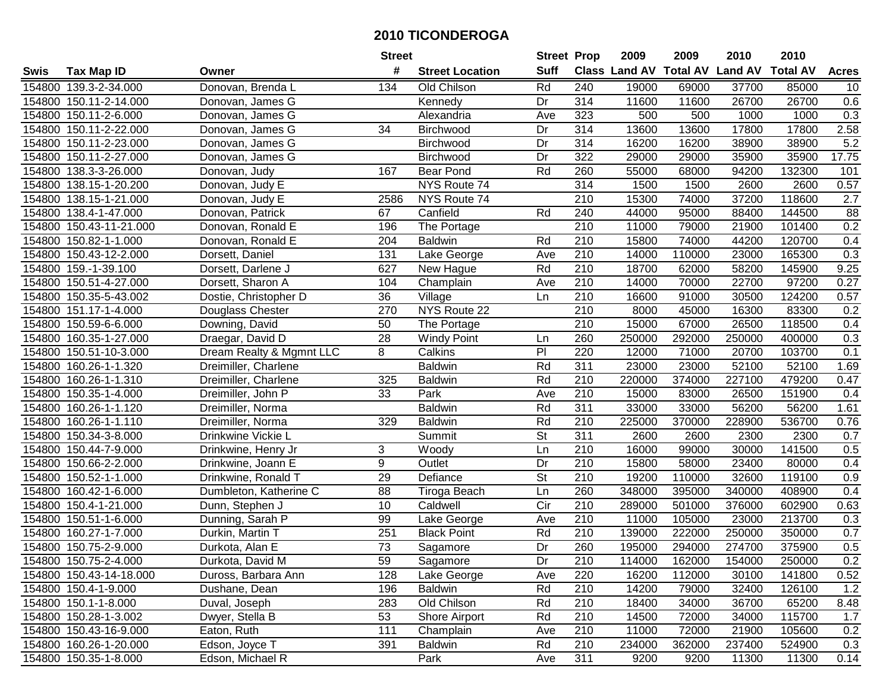| #<br><b>Suff</b><br><b>Class Land AV Total AV</b><br><b>Land AV</b><br><b>Total AV</b><br><b>Tax Map ID</b><br><b>Street Location</b><br>Swis<br>Owner<br>154800 139.3-2-34.000<br>Donovan, Brenda L<br>134<br>Old Chilson<br>Rd<br>240<br>19000<br>69000<br>37700<br>85000<br>Dr<br>314<br>11600<br>11600<br>26700<br>26700<br>154800 150.11-2-14.000<br>Donovan, James G<br>Kennedy<br>154800 150.11-2-6.000<br>323<br>500<br>1000<br>1000<br>Donovan, James G<br>Alexandria<br>Ave<br>500<br>34<br>Dr<br>314<br>13600<br>17800<br>17800<br>154800 150.11-2-22.000<br>Donovan, James G<br>Birchwood<br>13600<br>154800 150.11-2-23.000<br>Dr<br>314<br>16200<br>16200<br>38900<br>Donovan, James G<br><b>Birchwood</b><br>38900<br>154800 150.11-2-27.000<br>Dr<br>322<br>29000<br>29000<br>35900<br>35900<br>Donovan, James G<br>Birchwood<br>Rd<br>94200<br>154800 138.3-3-26.000<br>167<br><b>Bear Pond</b><br>260<br>55000<br>68000<br>132300<br>Donovan, Judy<br>314<br>NYS Route 74<br>1500<br>2600<br>2600<br>154800<br>138.15-1-20.200<br>1500<br>Donovan, Judy E<br>$\overline{210}$<br>37200<br>2586<br>NYS Route 74<br>15300<br>74000<br>118600<br>154800<br>138.15-1-21.000<br>Donovan, Judy E<br>240<br>67<br>Canfield<br>Rd<br>44000<br>88400<br>144500<br>154800 138.4-1-47.000<br>Donovan, Patrick<br>95000<br>210<br>154800 150.43-11-21.000<br>196<br>The Portage<br>11000<br>79000<br>21900<br>101400<br>Donovan, Ronald E<br>154800 150.82-1-1.000<br>204<br><b>Baldwin</b><br>Rd<br>210<br>15800<br>74000<br>44200<br>120700<br>Donovan, Ronald E<br>131<br>210<br>14000<br>23000<br>165300<br>154800 150.43-12-2.000<br>110000<br>Dorsett, Daniel<br>Lake George<br>Ave<br>627<br>210<br>Rd<br>18700<br>62000<br>58200<br>145900<br>154800 159.-1-39.100<br>New Hague<br>Dorsett, Darlene J<br>210<br>97200<br>154800 150.51-4-27.000<br>104<br>14000<br>70000<br>22700<br>Dorsett, Sharon A<br>Champlain<br>Ave<br>36<br>210<br>16600<br>30500<br>124200<br>154800 150.35-5-43.002<br>91000<br>Dostie, Christopher D<br>Village<br>Ln<br>270<br>NYS Route 22<br>210<br>154800 151.17-1-4.000<br>8000<br>45000<br>16300<br>83300<br>Douglass Chester<br>50<br>210<br>15000<br>67000<br>26500<br>154800 150.59-6-6.000<br>Downing, David<br>The Portage<br>118500<br>28<br>260<br>250000<br>292000<br>250000<br>154800 160.35-1-27.000<br>Draegar, David D<br><b>Windy Point</b><br>400000<br>Ln<br>154800 150.51-10-3.000<br>Dream Realty & Mgmnt LLC<br>8<br>PI<br>220<br>12000<br>71000<br>20700<br>103700<br>Calkins<br>Rd<br>23000<br>52100<br>154800 160.26-1-1.320<br>Dreimiller, Charlene<br><b>Baldwin</b><br>311<br>23000<br>52100 |                       |                      | <b>Street</b> |                | <b>Street Prop</b> |     | 2009   | 2009   | 2010   | 2010   |                  |
|---------------------------------------------------------------------------------------------------------------------------------------------------------------------------------------------------------------------------------------------------------------------------------------------------------------------------------------------------------------------------------------------------------------------------------------------------------------------------------------------------------------------------------------------------------------------------------------------------------------------------------------------------------------------------------------------------------------------------------------------------------------------------------------------------------------------------------------------------------------------------------------------------------------------------------------------------------------------------------------------------------------------------------------------------------------------------------------------------------------------------------------------------------------------------------------------------------------------------------------------------------------------------------------------------------------------------------------------------------------------------------------------------------------------------------------------------------------------------------------------------------------------------------------------------------------------------------------------------------------------------------------------------------------------------------------------------------------------------------------------------------------------------------------------------------------------------------------------------------------------------------------------------------------------------------------------------------------------------------------------------------------------------------------------------------------------------------------------------------------------------------------------------------------------------------------------------------------------------------------------------------------------------------------------------------------------------------------------------------------------------------------------------------------------------------------------------------------------------------------------------------------------------------------------------------------------------------------------------------------------------------------------------------------------|-----------------------|----------------------|---------------|----------------|--------------------|-----|--------|--------|--------|--------|------------------|
|                                                                                                                                                                                                                                                                                                                                                                                                                                                                                                                                                                                                                                                                                                                                                                                                                                                                                                                                                                                                                                                                                                                                                                                                                                                                                                                                                                                                                                                                                                                                                                                                                                                                                                                                                                                                                                                                                                                                                                                                                                                                                                                                                                                                                                                                                                                                                                                                                                                                                                                                                                                                                                                                     |                       |                      |               |                |                    |     |        |        |        |        | <b>Acres</b>     |
|                                                                                                                                                                                                                                                                                                                                                                                                                                                                                                                                                                                                                                                                                                                                                                                                                                                                                                                                                                                                                                                                                                                                                                                                                                                                                                                                                                                                                                                                                                                                                                                                                                                                                                                                                                                                                                                                                                                                                                                                                                                                                                                                                                                                                                                                                                                                                                                                                                                                                                                                                                                                                                                                     |                       |                      |               |                |                    |     |        |        |        |        | 10               |
|                                                                                                                                                                                                                                                                                                                                                                                                                                                                                                                                                                                                                                                                                                                                                                                                                                                                                                                                                                                                                                                                                                                                                                                                                                                                                                                                                                                                                                                                                                                                                                                                                                                                                                                                                                                                                                                                                                                                                                                                                                                                                                                                                                                                                                                                                                                                                                                                                                                                                                                                                                                                                                                                     |                       |                      |               |                |                    |     |        |        |        |        | 0.6              |
|                                                                                                                                                                                                                                                                                                                                                                                                                                                                                                                                                                                                                                                                                                                                                                                                                                                                                                                                                                                                                                                                                                                                                                                                                                                                                                                                                                                                                                                                                                                                                                                                                                                                                                                                                                                                                                                                                                                                                                                                                                                                                                                                                                                                                                                                                                                                                                                                                                                                                                                                                                                                                                                                     |                       |                      |               |                |                    |     |        |        |        |        | 0.3              |
|                                                                                                                                                                                                                                                                                                                                                                                                                                                                                                                                                                                                                                                                                                                                                                                                                                                                                                                                                                                                                                                                                                                                                                                                                                                                                                                                                                                                                                                                                                                                                                                                                                                                                                                                                                                                                                                                                                                                                                                                                                                                                                                                                                                                                                                                                                                                                                                                                                                                                                                                                                                                                                                                     |                       |                      |               |                |                    |     |        |        |        |        | 2.58             |
|                                                                                                                                                                                                                                                                                                                                                                                                                                                                                                                                                                                                                                                                                                                                                                                                                                                                                                                                                                                                                                                                                                                                                                                                                                                                                                                                                                                                                                                                                                                                                                                                                                                                                                                                                                                                                                                                                                                                                                                                                                                                                                                                                                                                                                                                                                                                                                                                                                                                                                                                                                                                                                                                     |                       |                      |               |                |                    |     |        |        |        |        | 5.2              |
|                                                                                                                                                                                                                                                                                                                                                                                                                                                                                                                                                                                                                                                                                                                                                                                                                                                                                                                                                                                                                                                                                                                                                                                                                                                                                                                                                                                                                                                                                                                                                                                                                                                                                                                                                                                                                                                                                                                                                                                                                                                                                                                                                                                                                                                                                                                                                                                                                                                                                                                                                                                                                                                                     |                       |                      |               |                |                    |     |        |        |        |        | 17.75            |
|                                                                                                                                                                                                                                                                                                                                                                                                                                                                                                                                                                                                                                                                                                                                                                                                                                                                                                                                                                                                                                                                                                                                                                                                                                                                                                                                                                                                                                                                                                                                                                                                                                                                                                                                                                                                                                                                                                                                                                                                                                                                                                                                                                                                                                                                                                                                                                                                                                                                                                                                                                                                                                                                     |                       |                      |               |                |                    |     |        |        |        |        | 101              |
|                                                                                                                                                                                                                                                                                                                                                                                                                                                                                                                                                                                                                                                                                                                                                                                                                                                                                                                                                                                                                                                                                                                                                                                                                                                                                                                                                                                                                                                                                                                                                                                                                                                                                                                                                                                                                                                                                                                                                                                                                                                                                                                                                                                                                                                                                                                                                                                                                                                                                                                                                                                                                                                                     |                       |                      |               |                |                    |     |        |        |        |        | 0.57             |
|                                                                                                                                                                                                                                                                                                                                                                                                                                                                                                                                                                                                                                                                                                                                                                                                                                                                                                                                                                                                                                                                                                                                                                                                                                                                                                                                                                                                                                                                                                                                                                                                                                                                                                                                                                                                                                                                                                                                                                                                                                                                                                                                                                                                                                                                                                                                                                                                                                                                                                                                                                                                                                                                     |                       |                      |               |                |                    |     |        |        |        |        | $\overline{2.7}$ |
|                                                                                                                                                                                                                                                                                                                                                                                                                                                                                                                                                                                                                                                                                                                                                                                                                                                                                                                                                                                                                                                                                                                                                                                                                                                                                                                                                                                                                                                                                                                                                                                                                                                                                                                                                                                                                                                                                                                                                                                                                                                                                                                                                                                                                                                                                                                                                                                                                                                                                                                                                                                                                                                                     |                       |                      |               |                |                    |     |        |        |        |        | 88               |
|                                                                                                                                                                                                                                                                                                                                                                                                                                                                                                                                                                                                                                                                                                                                                                                                                                                                                                                                                                                                                                                                                                                                                                                                                                                                                                                                                                                                                                                                                                                                                                                                                                                                                                                                                                                                                                                                                                                                                                                                                                                                                                                                                                                                                                                                                                                                                                                                                                                                                                                                                                                                                                                                     |                       |                      |               |                |                    |     |        |        |        |        | 0.2              |
|                                                                                                                                                                                                                                                                                                                                                                                                                                                                                                                                                                                                                                                                                                                                                                                                                                                                                                                                                                                                                                                                                                                                                                                                                                                                                                                                                                                                                                                                                                                                                                                                                                                                                                                                                                                                                                                                                                                                                                                                                                                                                                                                                                                                                                                                                                                                                                                                                                                                                                                                                                                                                                                                     |                       |                      |               |                |                    |     |        |        |        |        | 0.4              |
|                                                                                                                                                                                                                                                                                                                                                                                                                                                                                                                                                                                                                                                                                                                                                                                                                                                                                                                                                                                                                                                                                                                                                                                                                                                                                                                                                                                                                                                                                                                                                                                                                                                                                                                                                                                                                                                                                                                                                                                                                                                                                                                                                                                                                                                                                                                                                                                                                                                                                                                                                                                                                                                                     |                       |                      |               |                |                    |     |        |        |        |        | 0.3              |
|                                                                                                                                                                                                                                                                                                                                                                                                                                                                                                                                                                                                                                                                                                                                                                                                                                                                                                                                                                                                                                                                                                                                                                                                                                                                                                                                                                                                                                                                                                                                                                                                                                                                                                                                                                                                                                                                                                                                                                                                                                                                                                                                                                                                                                                                                                                                                                                                                                                                                                                                                                                                                                                                     |                       |                      |               |                |                    |     |        |        |        |        | 9.25             |
|                                                                                                                                                                                                                                                                                                                                                                                                                                                                                                                                                                                                                                                                                                                                                                                                                                                                                                                                                                                                                                                                                                                                                                                                                                                                                                                                                                                                                                                                                                                                                                                                                                                                                                                                                                                                                                                                                                                                                                                                                                                                                                                                                                                                                                                                                                                                                                                                                                                                                                                                                                                                                                                                     |                       |                      |               |                |                    |     |        |        |        |        | 0.27             |
|                                                                                                                                                                                                                                                                                                                                                                                                                                                                                                                                                                                                                                                                                                                                                                                                                                                                                                                                                                                                                                                                                                                                                                                                                                                                                                                                                                                                                                                                                                                                                                                                                                                                                                                                                                                                                                                                                                                                                                                                                                                                                                                                                                                                                                                                                                                                                                                                                                                                                                                                                                                                                                                                     |                       |                      |               |                |                    |     |        |        |        |        | 0.57             |
|                                                                                                                                                                                                                                                                                                                                                                                                                                                                                                                                                                                                                                                                                                                                                                                                                                                                                                                                                                                                                                                                                                                                                                                                                                                                                                                                                                                                                                                                                                                                                                                                                                                                                                                                                                                                                                                                                                                                                                                                                                                                                                                                                                                                                                                                                                                                                                                                                                                                                                                                                                                                                                                                     |                       |                      |               |                |                    |     |        |        |        |        | 0.2              |
|                                                                                                                                                                                                                                                                                                                                                                                                                                                                                                                                                                                                                                                                                                                                                                                                                                                                                                                                                                                                                                                                                                                                                                                                                                                                                                                                                                                                                                                                                                                                                                                                                                                                                                                                                                                                                                                                                                                                                                                                                                                                                                                                                                                                                                                                                                                                                                                                                                                                                                                                                                                                                                                                     |                       |                      |               |                |                    |     |        |        |        |        | 0.4              |
|                                                                                                                                                                                                                                                                                                                                                                                                                                                                                                                                                                                                                                                                                                                                                                                                                                                                                                                                                                                                                                                                                                                                                                                                                                                                                                                                                                                                                                                                                                                                                                                                                                                                                                                                                                                                                                                                                                                                                                                                                                                                                                                                                                                                                                                                                                                                                                                                                                                                                                                                                                                                                                                                     |                       |                      |               |                |                    |     |        |        |        |        | 0.3              |
|                                                                                                                                                                                                                                                                                                                                                                                                                                                                                                                                                                                                                                                                                                                                                                                                                                                                                                                                                                                                                                                                                                                                                                                                                                                                                                                                                                                                                                                                                                                                                                                                                                                                                                                                                                                                                                                                                                                                                                                                                                                                                                                                                                                                                                                                                                                                                                                                                                                                                                                                                                                                                                                                     |                       |                      |               |                |                    |     |        |        |        |        | 0.1              |
|                                                                                                                                                                                                                                                                                                                                                                                                                                                                                                                                                                                                                                                                                                                                                                                                                                                                                                                                                                                                                                                                                                                                                                                                                                                                                                                                                                                                                                                                                                                                                                                                                                                                                                                                                                                                                                                                                                                                                                                                                                                                                                                                                                                                                                                                                                                                                                                                                                                                                                                                                                                                                                                                     |                       |                      |               |                |                    |     |        |        |        |        | 1.69             |
|                                                                                                                                                                                                                                                                                                                                                                                                                                                                                                                                                                                                                                                                                                                                                                                                                                                                                                                                                                                                                                                                                                                                                                                                                                                                                                                                                                                                                                                                                                                                                                                                                                                                                                                                                                                                                                                                                                                                                                                                                                                                                                                                                                                                                                                                                                                                                                                                                                                                                                                                                                                                                                                                     | 154800 160.26-1-1.310 | Dreimiller, Charlene | 325           | <b>Baldwin</b> | Rd                 | 210 | 220000 | 374000 | 227100 | 479200 | 0.47             |
| Dreimiller, John P<br>33<br>Park<br>Ave<br>210<br>15000<br>83000<br>26500<br>151900<br>154800<br>150.35-1-4.000                                                                                                                                                                                                                                                                                                                                                                                                                                                                                                                                                                                                                                                                                                                                                                                                                                                                                                                                                                                                                                                                                                                                                                                                                                                                                                                                                                                                                                                                                                                                                                                                                                                                                                                                                                                                                                                                                                                                                                                                                                                                                                                                                                                                                                                                                                                                                                                                                                                                                                                                                     |                       |                      |               |                |                    |     |        |        |        |        | 0.4              |
| Rd<br>311<br>33000<br>33000<br>56200<br>56200<br>154800<br>160.26-1-1.120<br>Dreimiller, Norma<br><b>Baldwin</b>                                                                                                                                                                                                                                                                                                                                                                                                                                                                                                                                                                                                                                                                                                                                                                                                                                                                                                                                                                                                                                                                                                                                                                                                                                                                                                                                                                                                                                                                                                                                                                                                                                                                                                                                                                                                                                                                                                                                                                                                                                                                                                                                                                                                                                                                                                                                                                                                                                                                                                                                                    |                       |                      |               |                |                    |     |        |        |        |        | 1.61             |
| 329<br>Rd<br>210<br>225000<br>370000<br>154800<br>160.26-1-1.110<br><b>Baldwin</b><br>228900<br>536700<br>Dreimiller, Norma                                                                                                                                                                                                                                                                                                                                                                                                                                                                                                                                                                                                                                                                                                                                                                                                                                                                                                                                                                                                                                                                                                                                                                                                                                                                                                                                                                                                                                                                                                                                                                                                                                                                                                                                                                                                                                                                                                                                                                                                                                                                                                                                                                                                                                                                                                                                                                                                                                                                                                                                         |                       |                      |               |                |                    |     |        |        |        |        | 0.76             |
| $\overline{\mathsf{St}}$<br>311<br>2600<br>154800 150.34-3-8.000<br>Summit<br>2300<br>2300<br>Drinkwine Vickie L<br>2600                                                                                                                                                                                                                                                                                                                                                                                                                                                                                                                                                                                                                                                                                                                                                                                                                                                                                                                                                                                                                                                                                                                                                                                                                                                                                                                                                                                                                                                                                                                                                                                                                                                                                                                                                                                                                                                                                                                                                                                                                                                                                                                                                                                                                                                                                                                                                                                                                                                                                                                                            |                       |                      |               |                |                    |     |        |        |        |        | 0.7              |
| 3<br>210<br>16000<br>30000<br>141500<br>154800 150.44-7-9.000<br>Ln<br>99000<br>Drinkwine, Henry Jr<br>Woody                                                                                                                                                                                                                                                                                                                                                                                                                                                                                                                                                                                                                                                                                                                                                                                                                                                                                                                                                                                                                                                                                                                                                                                                                                                                                                                                                                                                                                                                                                                                                                                                                                                                                                                                                                                                                                                                                                                                                                                                                                                                                                                                                                                                                                                                                                                                                                                                                                                                                                                                                        |                       |                      |               |                |                    |     |        |        |        |        | 0.5              |
| 9<br>154800 150.66-2-2.000<br>Outlet<br>Dr<br>210<br>15800<br>58000<br>23400<br>80000<br>Drinkwine, Joann E                                                                                                                                                                                                                                                                                                                                                                                                                                                                                                                                                                                                                                                                                                                                                                                                                                                                                                                                                                                                                                                                                                                                                                                                                                                                                                                                                                                                                                                                                                                                                                                                                                                                                                                                                                                                                                                                                                                                                                                                                                                                                                                                                                                                                                                                                                                                                                                                                                                                                                                                                         |                       |                      |               |                |                    |     |        |        |        |        | 0.4              |
| 29<br>$\overline{\mathsf{St}}$<br>154800 150.52-1-1.000<br>210<br>19200<br>110000<br>32600<br>119100<br>Drinkwine, Ronald T<br>Defiance                                                                                                                                                                                                                                                                                                                                                                                                                                                                                                                                                                                                                                                                                                                                                                                                                                                                                                                                                                                                                                                                                                                                                                                                                                                                                                                                                                                                                                                                                                                                                                                                                                                                                                                                                                                                                                                                                                                                                                                                                                                                                                                                                                                                                                                                                                                                                                                                                                                                                                                             |                       |                      |               |                |                    |     |        |        |        |        | 0.9              |
| $\overline{88}$<br>260<br>154800 160.42-1-6.000<br>Ln<br>348000<br>395000<br>340000<br>408900<br>Dumbleton, Katherine C<br>Tiroga Beach                                                                                                                                                                                                                                                                                                                                                                                                                                                                                                                                                                                                                                                                                                                                                                                                                                                                                                                                                                                                                                                                                                                                                                                                                                                                                                                                                                                                                                                                                                                                                                                                                                                                                                                                                                                                                                                                                                                                                                                                                                                                                                                                                                                                                                                                                                                                                                                                                                                                                                                             |                       |                      |               |                |                    |     |        |        |        |        | 0.4              |
| 210<br>10<br>$\overline{C}$ ir<br>154800 150.4-1-21.000<br>Caldwell<br>289000<br>501000<br>376000<br>602900<br>Dunn, Stephen J                                                                                                                                                                                                                                                                                                                                                                                                                                                                                                                                                                                                                                                                                                                                                                                                                                                                                                                                                                                                                                                                                                                                                                                                                                                                                                                                                                                                                                                                                                                                                                                                                                                                                                                                                                                                                                                                                                                                                                                                                                                                                                                                                                                                                                                                                                                                                                                                                                                                                                                                      |                       |                      |               |                |                    |     |        |        |        |        | 0.63             |
| 154800 150.51-1-6.000<br>99<br>210<br>11000<br>105000<br>23000<br>213700<br>Dunning, Sarah P<br>Lake George<br>Ave                                                                                                                                                                                                                                                                                                                                                                                                                                                                                                                                                                                                                                                                                                                                                                                                                                                                                                                                                                                                                                                                                                                                                                                                                                                                                                                                                                                                                                                                                                                                                                                                                                                                                                                                                                                                                                                                                                                                                                                                                                                                                                                                                                                                                                                                                                                                                                                                                                                                                                                                                  |                       |                      |               |                |                    |     |        |        |        |        | 0.3              |
| 251<br>$\overline{210}$<br>154800<br>160.27-1-7.000<br>Durkin, Martin T<br><b>Black Point</b><br>Rd<br>139000<br>222000<br>250000<br>350000                                                                                                                                                                                                                                                                                                                                                                                                                                                                                                                                                                                                                                                                                                                                                                                                                                                                                                                                                                                                                                                                                                                                                                                                                                                                                                                                                                                                                                                                                                                                                                                                                                                                                                                                                                                                                                                                                                                                                                                                                                                                                                                                                                                                                                                                                                                                                                                                                                                                                                                         |                       |                      |               |                |                    |     |        |        |        |        | 0.7              |
| 73<br>$\overline{Dr}$<br>260<br>154800 150.75-2-9.000<br>195000<br>274700<br>375900<br>Sagamore<br>294000<br>Durkota, Alan E                                                                                                                                                                                                                                                                                                                                                                                                                                                                                                                                                                                                                                                                                                                                                                                                                                                                                                                                                                                                                                                                                                                                                                                                                                                                                                                                                                                                                                                                                                                                                                                                                                                                                                                                                                                                                                                                                                                                                                                                                                                                                                                                                                                                                                                                                                                                                                                                                                                                                                                                        |                       |                      |               |                |                    |     |        |        |        |        | 0.5              |
| 154800 150.75-2-4.000<br>Durkota, David M<br>59<br>Sagamore<br>Dr<br>210<br>114000<br>162000<br>154000<br>250000                                                                                                                                                                                                                                                                                                                                                                                                                                                                                                                                                                                                                                                                                                                                                                                                                                                                                                                                                                                                                                                                                                                                                                                                                                                                                                                                                                                                                                                                                                                                                                                                                                                                                                                                                                                                                                                                                                                                                                                                                                                                                                                                                                                                                                                                                                                                                                                                                                                                                                                                                    |                       |                      |               |                |                    |     |        |        |        |        | 0.2              |
| 154800 150.43-14-18.000<br>Duross, Barbara Ann<br>128<br>Lake George<br>220<br>16200<br>112000<br>30100<br>141800<br>Ave                                                                                                                                                                                                                                                                                                                                                                                                                                                                                                                                                                                                                                                                                                                                                                                                                                                                                                                                                                                                                                                                                                                                                                                                                                                                                                                                                                                                                                                                                                                                                                                                                                                                                                                                                                                                                                                                                                                                                                                                                                                                                                                                                                                                                                                                                                                                                                                                                                                                                                                                            |                       |                      |               |                |                    |     |        |        |        |        | 0.52             |
| 14200<br>154800 150.4-1-9.000<br>196<br><b>Baldwin</b><br>Rd<br>210<br>79000<br>32400<br>126100<br>Dushane, Dean                                                                                                                                                                                                                                                                                                                                                                                                                                                                                                                                                                                                                                                                                                                                                                                                                                                                                                                                                                                                                                                                                                                                                                                                                                                                                                                                                                                                                                                                                                                                                                                                                                                                                                                                                                                                                                                                                                                                                                                                                                                                                                                                                                                                                                                                                                                                                                                                                                                                                                                                                    |                       |                      |               |                |                    |     |        |        |        |        | 1.2              |
| 154800 150.1-1-8.000<br>283<br>Old Chilson<br>Rd<br>210<br>18400<br>36700<br>65200<br>Duval, Joseph<br>34000                                                                                                                                                                                                                                                                                                                                                                                                                                                                                                                                                                                                                                                                                                                                                                                                                                                                                                                                                                                                                                                                                                                                                                                                                                                                                                                                                                                                                                                                                                                                                                                                                                                                                                                                                                                                                                                                                                                                                                                                                                                                                                                                                                                                                                                                                                                                                                                                                                                                                                                                                        |                       |                      |               |                |                    |     |        |        |        |        | 8.48             |
| 154800 150.28-1-3.002<br>Dwyer, Stella B<br>53<br>Shore Airport<br>Rd<br>210<br>14500<br>72000<br>34000<br>115700                                                                                                                                                                                                                                                                                                                                                                                                                                                                                                                                                                                                                                                                                                                                                                                                                                                                                                                                                                                                                                                                                                                                                                                                                                                                                                                                                                                                                                                                                                                                                                                                                                                                                                                                                                                                                                                                                                                                                                                                                                                                                                                                                                                                                                                                                                                                                                                                                                                                                                                                                   |                       |                      |               |                |                    |     |        |        |        |        | 1.7              |
| 111<br>154800 150.43-16-9.000<br>Eaton, Ruth<br>Champlain<br>210<br>11000<br>72000<br>21900<br>105600<br>Ave                                                                                                                                                                                                                                                                                                                                                                                                                                                                                                                                                                                                                                                                                                                                                                                                                                                                                                                                                                                                                                                                                                                                                                                                                                                                                                                                                                                                                                                                                                                                                                                                                                                                                                                                                                                                                                                                                                                                                                                                                                                                                                                                                                                                                                                                                                                                                                                                                                                                                                                                                        |                       |                      |               |                |                    |     |        |        |        |        | 0.2              |
| 154800 160.26-1-20.000<br>Edson, Joyce T<br>391<br>Rd<br>210<br>234000<br>362000<br>237400<br>524900<br><b>Baldwin</b>                                                                                                                                                                                                                                                                                                                                                                                                                                                                                                                                                                                                                                                                                                                                                                                                                                                                                                                                                                                                                                                                                                                                                                                                                                                                                                                                                                                                                                                                                                                                                                                                                                                                                                                                                                                                                                                                                                                                                                                                                                                                                                                                                                                                                                                                                                                                                                                                                                                                                                                                              |                       |                      |               |                |                    |     |        |        |        |        | 0.3              |
| 154800 150.35-1-8.000<br>311<br>Edson, Michael R<br>Park<br>9200<br>9200<br>11300<br>11300<br>Ave                                                                                                                                                                                                                                                                                                                                                                                                                                                                                                                                                                                                                                                                                                                                                                                                                                                                                                                                                                                                                                                                                                                                                                                                                                                                                                                                                                                                                                                                                                                                                                                                                                                                                                                                                                                                                                                                                                                                                                                                                                                                                                                                                                                                                                                                                                                                                                                                                                                                                                                                                                   |                       |                      |               |                |                    |     |        |        |        |        | 0.14             |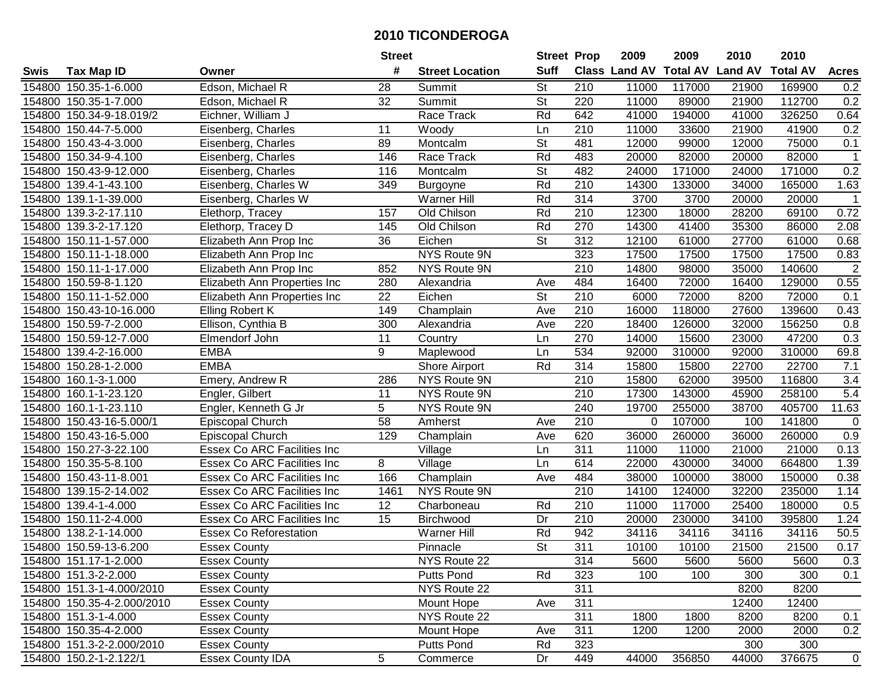|        |                            |                                    | <b>Street</b> |                        | <b>Street Prop</b>       |                  | 2009                          | 2009   | 2010           | 2010            |                   |
|--------|----------------------------|------------------------------------|---------------|------------------------|--------------------------|------------------|-------------------------------|--------|----------------|-----------------|-------------------|
| Swis   | <b>Tax Map ID</b>          | Owner                              | #             | <b>Street Location</b> | <b>Suff</b>              |                  | <b>Class Land AV Total AV</b> |        | <b>Land AV</b> | <b>Total AV</b> | <b>Acres</b>      |
|        | 154800 150.35-1-6.000      | Edson, Michael R                   | 28            | Summit                 | St                       | 210              | 11000                         | 117000 | 21900          | 169900          | 0.2               |
|        | 154800 150.35-1-7.000      | Edson, Michael R                   | 32            | Summit                 | <b>St</b>                | 220              | 11000                         | 89000  | 21900          | 112700          | 0.2               |
|        | 154800 150.34-9-18.019/2   | Eichner, William J                 |               | Race Track             | Rd                       | 642              | 41000                         | 194000 | 41000          | 326250          | 0.64              |
|        | 154800 150.44-7-5.000      | Eisenberg, Charles                 | 11            | Woody                  | Ln                       | 210              | 11000                         | 33600  | 21900          | 41900           | 0.2               |
|        | 154800 150.43-4-3.000      | Eisenberg, Charles                 | 89            | Montcalm               | <b>St</b>                | 481              | 12000                         | 99000  | 12000          | 75000           | 0.1               |
|        | 154800 150.34-9-4.100      | Eisenberg, Charles                 | 146           | Race Track             | Rd                       | 483              | 20000                         | 82000  | 20000          | 82000           | $\mathbf{1}$      |
|        | 154800 150.43-9-12.000     | Eisenberg, Charles                 | 116           | Montcalm               | <b>St</b>                | 482              | 24000                         | 171000 | 24000          | 171000          | 0.2               |
| 154800 | 139.4-1-43.100             | Eisenberg, Charles W               | 349           | Burgoyne               | Rd                       | 210              | 14300                         | 133000 | 34000          | 165000          | 1.63              |
|        | 154800 139.1-1-39.000      | Eisenberg, Charles W               |               | Warner Hill            | Rd                       | 314              | 3700                          | 3700   | 20000          | 20000           | $\mathbf 1$       |
|        | 154800 139.3-2-17.110      | Elethorp, Tracey                   | 157           | Old Chilson            | Rd                       | 210              | 12300                         | 18000  | 28200          | 69100           | 0.72              |
|        | 154800 139.3-2-17.120      | Elethorp, Tracey D                 | 145           | Old Chilson            | Rd                       | 270              | 14300                         | 41400  | 35300          | 86000           | 2.08              |
|        | 154800 150.11-1-57.000     | Elizabeth Ann Prop Inc             | 36            | Eichen                 | <b>St</b>                | 312              | 12100                         | 61000  | 27700          | 61000           | 0.68              |
|        | 154800 150.11-1-18.000     | Elizabeth Ann Prop Inc             |               | NYS Route 9N           |                          | 323              | 17500                         | 17500  | 17500          | 17500           | 0.83              |
|        | 154800 150.11-1-17.000     | Elizabeth Ann Prop Inc             | 852           | NYS Route 9N           |                          | 210              | 14800                         | 98000  | 35000          | 140600          | $\overline{c}$    |
|        | 154800 150.59-8-1.120      | Elizabeth Ann Properties Inc       | 280           | Alexandria             | Ave                      | 484              | 16400                         | 72000  | 16400          | 129000          | 0.55              |
|        | 154800 150.11-1-52.000     | Elizabeth Ann Properties Inc       | 22            | Eichen                 | <b>St</b>                | 210              | 6000                          | 72000  | 8200           | 72000           | 0.1               |
|        | 154800 150.43-10-16.000    | Elling Robert K                    | 149           | Champlain              | Ave                      | $\overline{210}$ | 16000                         | 118000 | 27600          | 139600          | 0.43              |
|        | 154800 150.59-7-2.000      | Ellison, Cynthia B                 | 300           | Alexandria             | Ave                      | 220              | 18400                         | 126000 | 32000          | 156250          | 0.8               |
|        | 154800 150.59-12-7.000     | Elmendorf John                     | 11            | Country                | Ln                       | 270              | 14000                         | 15600  | 23000          | 47200           | 0.3               |
|        | 154800 139.4-2-16.000      | <b>EMBA</b>                        | 9             | Maplewood              | Ln                       | 534              | 92000                         | 310000 | 92000          | 310000          | 69.8              |
|        | 154800 150.28-1-2.000      | <b>EMBA</b>                        |               | Shore Airport          | Rd                       | 314              | 15800                         | 15800  | 22700          | 22700           | 7.1               |
|        | 154800 160.1-3-1.000       | Emery, Andrew R                    | 286           | NYS Route 9N           |                          | 210              | 15800                         | 62000  | 39500          | 116800          | 3.4               |
| 154800 | 160.1-1-23.120             | Engler, Gilbert                    | 11            | NYS Route 9N           |                          | 210              | 17300                         | 143000 | 45900          | 258100          | 5.4               |
| 154800 | 160.1-1-23.110             | Engler, Kenneth G Jr               | 5             | NYS Route 9N           |                          | 240              | 19700                         | 255000 | 38700          | 405700          | 11.63             |
|        | 154800 150.43-16-5.000/1   | <b>Episcopal Church</b>            | 58            | Amherst                | Ave                      | $\overline{210}$ | $\Omega$                      | 107000 | 100            | 141800          | $\pmb{0}$         |
|        | 154800 150.43-16-5.000     | <b>Episcopal Church</b>            | 129           | Champlain              | Ave                      | 620              | 36000                         | 260000 | 36000          | 260000          | 0.9               |
|        | 154800 150.27-3-22.100     | <b>Essex Co ARC Facilities Inc</b> |               | Village                | Ln                       | 311              | 11000                         | 11000  | 21000          | 21000           | 0.13              |
|        | 154800 150.35-5-8.100      | <b>Essex Co ARC Facilities Inc</b> | 8             | Village                | Ln                       | 614              | 22000                         | 430000 | 34000          | 664800          | 1.39              |
|        | 154800 150.43-11-8.001     | Essex Co ARC Facilities Inc        | 166           | Champlain              | Ave                      | 484              | 38000                         | 100000 | 38000          | 150000          | 0.38              |
|        | 154800 139.15-2-14.002     | Essex Co ARC Facilities Inc        | 1461          | NYS Route 9N           |                          | $\overline{210}$ | 14100                         | 124000 | 32200          | 235000          | 1.14              |
|        | 154800 139.4-1-4.000       | <b>Essex Co ARC Facilities Inc</b> | 12            | Charboneau             | Rd                       | $\overline{210}$ | 11000                         | 117000 | 25400          | 180000          | 0.5               |
|        | 154800 150.11-2-4.000      | Essex Co ARC Facilities Inc        | 15            | Birchwood              | Dr                       | 210              | 20000                         | 230000 | 34100          | 395800          | 1.24              |
|        | 154800 138.2-1-14.000      | <b>Essex Co Reforestation</b>      |               | <b>Warner Hill</b>     | Rd                       | 942              | 34116                         | 34116  | 34116          | 34116           | $\overline{50.5}$ |
|        | 154800 150.59-13-6.200     | <b>Essex County</b>                |               | Pinnacle               | $\overline{\mathsf{St}}$ | 311              | 10100                         | 10100  | 21500          | 21500           | 0.17              |
|        | 154800 151.17-1-2.000      | <b>Essex County</b>                |               | NYS Route 22           |                          | 314              | 5600                          | 5600   | 5600           | 5600            | 0.3               |
|        | 154800 151.3-2-2.000       | <b>Essex County</b>                |               | Putts Pond             | Rd                       | 323              | 100                           | 100    | 300            | 300             | 0.1               |
|        | 154800 151.3-1-4.000/2010  | <b>Essex County</b>                |               | NYS Route 22           |                          | 311              |                               |        | 8200           | 8200            |                   |
|        | 154800 150.35-4-2.000/2010 | <b>Essex County</b>                |               | Mount Hope             | Ave                      | 311              |                               |        | 12400          | 12400           |                   |
|        | 154800 151.3-1-4.000       | <b>Essex County</b>                |               | NYS Route 22           |                          | 311              | 1800                          | 1800   | 8200           | 8200            | 0.1               |
|        | 154800 150.35-4-2.000      | <b>Essex County</b>                |               | Mount Hope             | Ave                      | 311              | 1200                          | 1200   | 2000           | 2000            | 0.2               |
|        | 154800 151.3-2-2.000/2010  | <b>Essex County</b>                |               | Putts Pond             | Rd                       | 323              |                               |        | 300            | 300             |                   |
|        | 154800 150.2-1-2.122/1     | <b>Essex County IDA</b>            | 5             | Commerce               | Dr                       | 449              | 44000                         | 356850 | 44000          | 376675          | $\overline{0}$    |
|        |                            |                                    |               |                        |                          |                  |                               |        |                |                 |                   |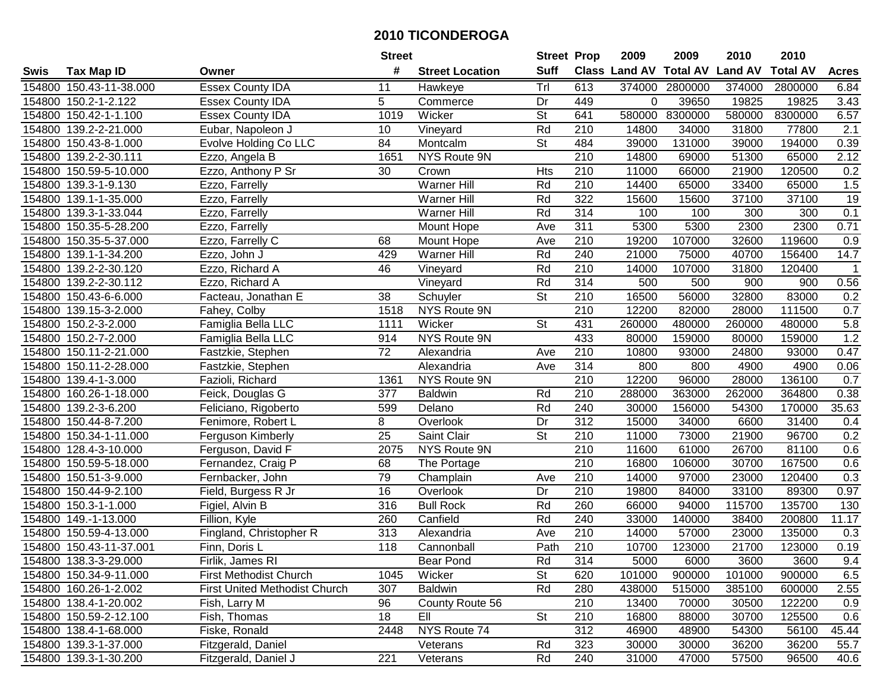| #<br><b>Suff</b><br><b>Class Land AV Total AV</b><br><b>Land AV</b><br><b>Total AV</b><br><b>Tax Map ID</b><br><b>Street Location</b><br><b>Acres</b><br>Swis<br>Owner<br>Trl<br>154800 150.43-11-38.000<br><b>Essex County IDA</b><br>613<br>374000<br>2800000<br>374000<br>2800000<br>6.84<br>11<br>Hawkeye<br>5<br>154800 150.2-1-2.122<br>Commerce<br>Dr<br>449<br>$\Omega$<br>39650<br>19825<br>19825<br>3.43<br><b>Essex County IDA</b><br>St<br>580000 8300000<br>8300000<br>154800 150.42-1-1.100<br><b>Essex County IDA</b><br>1019<br>Wicker<br>641<br>580000<br>6.57<br>Rd<br>210<br>14800<br>31800<br>2.1<br>154800 139.2-2-21.000<br>Eubar, Napoleon J<br>10<br>Vineyard<br>34000<br>77800<br>0.39<br>154800 150.43-8-1.000<br>Evolve Holding Co LLC<br>84<br><b>St</b><br>484<br>39000<br>131000<br>39000<br>194000<br>Montcalm<br><b>NYS Route 9N</b><br>$\overline{210}$<br>2.12<br>154800 139.2-2-30.111<br>Ezzo, Angela B<br>1651<br>14800<br>69000<br>51300<br>65000<br>0.2<br>Ezzo, Anthony P Sr<br>210<br>154800 150.59-5-10.000<br>30<br><b>Hts</b><br>11000<br>66000<br>21900<br>120500<br>Crown<br><b>Warner Hill</b><br>210<br>1.5<br>Rd<br>14400<br>33400<br>65000<br>154800<br>139.3-1-9.130<br>Ezzo, Farrelly<br>65000<br>Rd<br>322<br>15600<br>37100<br>37100<br>19<br>154800 139.1-1-35.000<br>Ezzo, Farrelly<br><b>Warner Hill</b><br>15600<br>Rd<br>314<br>0.1<br>154800 139.3-1-33.044<br>Ezzo, Farrelly<br><b>Warner Hill</b><br>100<br>100<br>300<br>300<br>311<br>5300<br>5300<br>2300<br>2300<br>0.71<br>154800 150.35-5-28.200<br>Ezzo, Farrelly<br>Mount Hope<br>Ave<br>154800 150.35-5-37.000<br>Mount Hope<br>210<br>19200<br>107000<br>32600<br>119600<br>0.9<br>Ezzo, Farrelly C<br>68<br>Ave<br>Warner Hill<br>Rd<br>240<br>21000<br>156400<br>14.7<br>154800 139.1-1-34.200<br>429<br>75000<br>40700<br>Ezzo, John J<br>Rd<br>154800 139.2-2-30.120<br>46<br>210<br>14000<br>107000<br>31800<br>120400<br>Ezzo, Richard A<br>Vineyard<br>$\overline{1}$<br>Rd<br>314<br>500<br>0.56<br>154800 139.2-2-30.112<br>500<br>900<br>900<br>Ezzo, Richard A<br>Vineyard<br>St<br>154800 150.43-6-6.000<br>38<br>210<br>16500<br>56000<br>32800<br>83000<br>0.2<br>Schuyler<br>Facteau, Jonathan E<br>$\overline{210}$<br>0.7<br>154800 139.15-3-2.000<br>1518<br>NYS Route 9N<br>12200<br>82000<br>28000<br>111500<br>Fahey, Colby<br><b>St</b><br>431<br>5.8<br>154800 150.2-3-2.000<br>Famiglia Bella LLC<br>Wicker<br>260000<br>480000<br>260000<br>1111<br>480000<br>1.2<br>433<br>154800 150.2-7-2.000<br>Famiglia Bella LLC<br>914<br>NYS Route 9N<br>80000<br>159000<br>80000<br>159000<br>154800 150.11-2-21.000<br>72<br>210<br>10800<br>24800<br>93000<br>0.47<br>Fastzkie, Stephen<br>Alexandria<br>93000<br>Ave<br>154800 150.11-2-28.000<br>314<br>800<br>800<br>4900<br>0.06<br>Alexandria<br>Ave<br>4900<br>Fastzkie, Stephen<br>210<br>0.7<br>154800 139.4-1-3.000<br>Fazioli, Richard<br>1361<br>NYS Route 9N<br>12200<br>96000<br>28000<br>136100<br>210<br>154800<br>377<br><b>Baldwin</b><br>Rd<br>288000<br>363000<br>262000<br>364800<br>0.38<br>160.26-1-18.000<br>Feick, Douglas G<br>35.63<br>154800<br>139.2-3-6.200<br>Rd<br>240<br>30000<br>156000<br>54300<br>170000<br>Feliciano, Rigoberto<br>599<br>Delano<br>8<br>$\overline{312}$<br>Dr<br>15000<br>31400<br>154800<br>150.44-8-7.200<br>34000<br>6600<br>0.4<br>Fenimore, Robert L<br>Overlook<br>$\overline{\mathsf{St}}$<br>25<br>Saint Clair<br>210<br>11000<br>96700<br>0.2<br>154800 150.34-1-11.000<br>73000<br>21900<br>Ferguson Kimberly<br>210<br>11600<br>81100<br>0.6<br>154800 128.4-3-10.000<br>2075<br>NYS Route 9N<br>61000<br>26700<br>Ferguson, David F<br>210<br>154800 150.59-5-18.000<br>68<br>16800<br>106000<br>30700<br>167500<br>0.6<br>Fernandez, Craig P<br>The Portage<br>0.3<br>154800 150.51-3-9.000<br>79<br>210<br>14000<br>23000<br>120400<br>Champlain<br>Ave<br>97000<br>Fernbacker, John<br>$\overline{210}$<br>33100<br>89300<br>154800 150.44-9-2.100<br>Field, Burgess R Jr<br>16<br>Dr<br>19800<br>84000<br>0.97<br>Overlook<br>316<br>Rd<br>260<br>115700<br>135700<br>154800 150.3-1-1.000<br>Figiel, Alvin B<br><b>Bull Rock</b><br>66000<br>94000<br>130<br>260<br>Canfield<br>Rd<br>240<br>140000<br>200800<br>11.17<br>154800 149.-1-13.000<br>Fillion, Kyle<br>33000<br>38400<br>210<br>313<br>154800 150.59-4-13.000<br>Fingland, Christopher R<br>14000<br>57000<br>23000<br>135000<br>0.3<br>Alexandria<br>Ave<br>Path<br>$\overline{210}$<br>0.19<br>154800 150.43-11-37.001<br>118<br>Cannonball<br>10700<br>123000<br>21700<br>123000<br>Finn, Doris L<br>154800 138.3-3-29.000<br>Firlik, James RI<br>Bear Pond<br>Rd<br>314<br>5000<br>6000<br>3600<br>3600<br>9.4<br><b>St</b><br>6.5<br>154800 150.34-9-11.000<br>First Methodist Church<br>Wicker<br>620<br>101000<br>900000<br>101000<br>900000<br>1045<br><b>Baldwin</b><br>Rd<br>154800 160.26-1-2.002<br><b>First United Methodist Church</b><br>307<br>280<br>438000<br>515000<br>385100<br>600000<br>2.55<br>154800 138.4-1-20.002<br>96<br>County Route 56<br>210<br>13400<br>0.9<br>Fish, Larry M<br>70000<br>30500<br>122200<br>EII<br>154800 150.59-2-12.100<br><b>St</b><br>Fish, Thomas<br>18<br>210<br>16800<br>30700<br>125500<br>0.6<br>88000<br>NYS Route 74<br>312<br>56100<br>154800 138.4-1-68.000<br>Fiske, Ronald<br>2448<br>46900<br>48900<br>54300<br>45.44<br>154800 139.3-1-37.000<br>Fitzgerald, Daniel<br>Rd<br>323<br>30000<br>36200<br>36200<br>Veterans<br>30000<br>55.7<br>221<br>Rd<br>154800 139.3-1-30.200<br>Fitzgerald, Daniel J<br>240<br>31000<br>57500<br>96500<br>40.6<br>Veterans<br>47000 |  | <b>Street</b> | <b>Street Prop</b> | 2009 | 2009 | 2010 | 2010 |  |
|-----------------------------------------------------------------------------------------------------------------------------------------------------------------------------------------------------------------------------------------------------------------------------------------------------------------------------------------------------------------------------------------------------------------------------------------------------------------------------------------------------------------------------------------------------------------------------------------------------------------------------------------------------------------------------------------------------------------------------------------------------------------------------------------------------------------------------------------------------------------------------------------------------------------------------------------------------------------------------------------------------------------------------------------------------------------------------------------------------------------------------------------------------------------------------------------------------------------------------------------------------------------------------------------------------------------------------------------------------------------------------------------------------------------------------------------------------------------------------------------------------------------------------------------------------------------------------------------------------------------------------------------------------------------------------------------------------------------------------------------------------------------------------------------------------------------------------------------------------------------------------------------------------------------------------------------------------------------------------------------------------------------------------------------------------------------------------------------------------------------------------------------------------------------------------------------------------------------------------------------------------------------------------------------------------------------------------------------------------------------------------------------------------------------------------------------------------------------------------------------------------------------------------------------------------------------------------------------------------------------------------------------------------------------------------------------------------------------------------------------------------------------------------------------------------------------------------------------------------------------------------------------------------------------------------------------------------------------------------------------------------------------------------------------------------------------------------------------------------------------------------------------------------------------------------------------------------------------------------------------------------------------------------------------------------------------------------------------------------------------------------------------------------------------------------------------------------------------------------------------------------------------------------------------------------------------------------------------------------------------------------------------------------------------------------------------------------------------------------------------------------------------------------------------------------------------------------------------------------------------------------------------------------------------------------------------------------------------------------------------------------------------------------------------------------------------------------------------------------------------------------------------------------------------------------------------------------------------------------------------------------------------------------------------------------------------------------------------------------------------------------------------------------------------------------------------------------------------------------------------------------------------------------------------------------------------------------------------------------------------------------------------------------------------------------------------------------------------------------------------------------------------------------------------------------------------------------------------------------------------------------------------------------------------------------------------------------------------------------------------------------------------------------------------------------------------------------------------------------------------------------------------------------------------------------------------------------------------------------------------------------------------------------------------------------------------------------------------------------------------------------------------------------------------------------------------------------------------------------------------------------------------------------------------------------------------------------------------------------------------------------------------------------------------------|--|---------------|--------------------|------|------|------|------|--|
|                                                                                                                                                                                                                                                                                                                                                                                                                                                                                                                                                                                                                                                                                                                                                                                                                                                                                                                                                                                                                                                                                                                                                                                                                                                                                                                                                                                                                                                                                                                                                                                                                                                                                                                                                                                                                                                                                                                                                                                                                                                                                                                                                                                                                                                                                                                                                                                                                                                                                                                                                                                                                                                                                                                                                                                                                                                                                                                                                                                                                                                                                                                                                                                                                                                                                                                                                                                                                                                                                                                                                                                                                                                                                                                                                                                                                                                                                                                                                                                                                                                                                                                                                                                                                                                                                                                                                                                                                                                                                                                                                                                                                                                                                                                                                                                                                                                                                                                                                                                                                                                                                                                                                                                                                                                                                                                                                                                                                                                                                                                                                                                                                                                                       |  |               |                    |      |      |      |      |  |
|                                                                                                                                                                                                                                                                                                                                                                                                                                                                                                                                                                                                                                                                                                                                                                                                                                                                                                                                                                                                                                                                                                                                                                                                                                                                                                                                                                                                                                                                                                                                                                                                                                                                                                                                                                                                                                                                                                                                                                                                                                                                                                                                                                                                                                                                                                                                                                                                                                                                                                                                                                                                                                                                                                                                                                                                                                                                                                                                                                                                                                                                                                                                                                                                                                                                                                                                                                                                                                                                                                                                                                                                                                                                                                                                                                                                                                                                                                                                                                                                                                                                                                                                                                                                                                                                                                                                                                                                                                                                                                                                                                                                                                                                                                                                                                                                                                                                                                                                                                                                                                                                                                                                                                                                                                                                                                                                                                                                                                                                                                                                                                                                                                                                       |  |               |                    |      |      |      |      |  |
|                                                                                                                                                                                                                                                                                                                                                                                                                                                                                                                                                                                                                                                                                                                                                                                                                                                                                                                                                                                                                                                                                                                                                                                                                                                                                                                                                                                                                                                                                                                                                                                                                                                                                                                                                                                                                                                                                                                                                                                                                                                                                                                                                                                                                                                                                                                                                                                                                                                                                                                                                                                                                                                                                                                                                                                                                                                                                                                                                                                                                                                                                                                                                                                                                                                                                                                                                                                                                                                                                                                                                                                                                                                                                                                                                                                                                                                                                                                                                                                                                                                                                                                                                                                                                                                                                                                                                                                                                                                                                                                                                                                                                                                                                                                                                                                                                                                                                                                                                                                                                                                                                                                                                                                                                                                                                                                                                                                                                                                                                                                                                                                                                                                                       |  |               |                    |      |      |      |      |  |
|                                                                                                                                                                                                                                                                                                                                                                                                                                                                                                                                                                                                                                                                                                                                                                                                                                                                                                                                                                                                                                                                                                                                                                                                                                                                                                                                                                                                                                                                                                                                                                                                                                                                                                                                                                                                                                                                                                                                                                                                                                                                                                                                                                                                                                                                                                                                                                                                                                                                                                                                                                                                                                                                                                                                                                                                                                                                                                                                                                                                                                                                                                                                                                                                                                                                                                                                                                                                                                                                                                                                                                                                                                                                                                                                                                                                                                                                                                                                                                                                                                                                                                                                                                                                                                                                                                                                                                                                                                                                                                                                                                                                                                                                                                                                                                                                                                                                                                                                                                                                                                                                                                                                                                                                                                                                                                                                                                                                                                                                                                                                                                                                                                                                       |  |               |                    |      |      |      |      |  |
|                                                                                                                                                                                                                                                                                                                                                                                                                                                                                                                                                                                                                                                                                                                                                                                                                                                                                                                                                                                                                                                                                                                                                                                                                                                                                                                                                                                                                                                                                                                                                                                                                                                                                                                                                                                                                                                                                                                                                                                                                                                                                                                                                                                                                                                                                                                                                                                                                                                                                                                                                                                                                                                                                                                                                                                                                                                                                                                                                                                                                                                                                                                                                                                                                                                                                                                                                                                                                                                                                                                                                                                                                                                                                                                                                                                                                                                                                                                                                                                                                                                                                                                                                                                                                                                                                                                                                                                                                                                                                                                                                                                                                                                                                                                                                                                                                                                                                                                                                                                                                                                                                                                                                                                                                                                                                                                                                                                                                                                                                                                                                                                                                                                                       |  |               |                    |      |      |      |      |  |
|                                                                                                                                                                                                                                                                                                                                                                                                                                                                                                                                                                                                                                                                                                                                                                                                                                                                                                                                                                                                                                                                                                                                                                                                                                                                                                                                                                                                                                                                                                                                                                                                                                                                                                                                                                                                                                                                                                                                                                                                                                                                                                                                                                                                                                                                                                                                                                                                                                                                                                                                                                                                                                                                                                                                                                                                                                                                                                                                                                                                                                                                                                                                                                                                                                                                                                                                                                                                                                                                                                                                                                                                                                                                                                                                                                                                                                                                                                                                                                                                                                                                                                                                                                                                                                                                                                                                                                                                                                                                                                                                                                                                                                                                                                                                                                                                                                                                                                                                                                                                                                                                                                                                                                                                                                                                                                                                                                                                                                                                                                                                                                                                                                                                       |  |               |                    |      |      |      |      |  |
|                                                                                                                                                                                                                                                                                                                                                                                                                                                                                                                                                                                                                                                                                                                                                                                                                                                                                                                                                                                                                                                                                                                                                                                                                                                                                                                                                                                                                                                                                                                                                                                                                                                                                                                                                                                                                                                                                                                                                                                                                                                                                                                                                                                                                                                                                                                                                                                                                                                                                                                                                                                                                                                                                                                                                                                                                                                                                                                                                                                                                                                                                                                                                                                                                                                                                                                                                                                                                                                                                                                                                                                                                                                                                                                                                                                                                                                                                                                                                                                                                                                                                                                                                                                                                                                                                                                                                                                                                                                                                                                                                                                                                                                                                                                                                                                                                                                                                                                                                                                                                                                                                                                                                                                                                                                                                                                                                                                                                                                                                                                                                                                                                                                                       |  |               |                    |      |      |      |      |  |
|                                                                                                                                                                                                                                                                                                                                                                                                                                                                                                                                                                                                                                                                                                                                                                                                                                                                                                                                                                                                                                                                                                                                                                                                                                                                                                                                                                                                                                                                                                                                                                                                                                                                                                                                                                                                                                                                                                                                                                                                                                                                                                                                                                                                                                                                                                                                                                                                                                                                                                                                                                                                                                                                                                                                                                                                                                                                                                                                                                                                                                                                                                                                                                                                                                                                                                                                                                                                                                                                                                                                                                                                                                                                                                                                                                                                                                                                                                                                                                                                                                                                                                                                                                                                                                                                                                                                                                                                                                                                                                                                                                                                                                                                                                                                                                                                                                                                                                                                                                                                                                                                                                                                                                                                                                                                                                                                                                                                                                                                                                                                                                                                                                                                       |  |               |                    |      |      |      |      |  |
|                                                                                                                                                                                                                                                                                                                                                                                                                                                                                                                                                                                                                                                                                                                                                                                                                                                                                                                                                                                                                                                                                                                                                                                                                                                                                                                                                                                                                                                                                                                                                                                                                                                                                                                                                                                                                                                                                                                                                                                                                                                                                                                                                                                                                                                                                                                                                                                                                                                                                                                                                                                                                                                                                                                                                                                                                                                                                                                                                                                                                                                                                                                                                                                                                                                                                                                                                                                                                                                                                                                                                                                                                                                                                                                                                                                                                                                                                                                                                                                                                                                                                                                                                                                                                                                                                                                                                                                                                                                                                                                                                                                                                                                                                                                                                                                                                                                                                                                                                                                                                                                                                                                                                                                                                                                                                                                                                                                                                                                                                                                                                                                                                                                                       |  |               |                    |      |      |      |      |  |
|                                                                                                                                                                                                                                                                                                                                                                                                                                                                                                                                                                                                                                                                                                                                                                                                                                                                                                                                                                                                                                                                                                                                                                                                                                                                                                                                                                                                                                                                                                                                                                                                                                                                                                                                                                                                                                                                                                                                                                                                                                                                                                                                                                                                                                                                                                                                                                                                                                                                                                                                                                                                                                                                                                                                                                                                                                                                                                                                                                                                                                                                                                                                                                                                                                                                                                                                                                                                                                                                                                                                                                                                                                                                                                                                                                                                                                                                                                                                                                                                                                                                                                                                                                                                                                                                                                                                                                                                                                                                                                                                                                                                                                                                                                                                                                                                                                                                                                                                                                                                                                                                                                                                                                                                                                                                                                                                                                                                                                                                                                                                                                                                                                                                       |  |               |                    |      |      |      |      |  |
|                                                                                                                                                                                                                                                                                                                                                                                                                                                                                                                                                                                                                                                                                                                                                                                                                                                                                                                                                                                                                                                                                                                                                                                                                                                                                                                                                                                                                                                                                                                                                                                                                                                                                                                                                                                                                                                                                                                                                                                                                                                                                                                                                                                                                                                                                                                                                                                                                                                                                                                                                                                                                                                                                                                                                                                                                                                                                                                                                                                                                                                                                                                                                                                                                                                                                                                                                                                                                                                                                                                                                                                                                                                                                                                                                                                                                                                                                                                                                                                                                                                                                                                                                                                                                                                                                                                                                                                                                                                                                                                                                                                                                                                                                                                                                                                                                                                                                                                                                                                                                                                                                                                                                                                                                                                                                                                                                                                                                                                                                                                                                                                                                                                                       |  |               |                    |      |      |      |      |  |
|                                                                                                                                                                                                                                                                                                                                                                                                                                                                                                                                                                                                                                                                                                                                                                                                                                                                                                                                                                                                                                                                                                                                                                                                                                                                                                                                                                                                                                                                                                                                                                                                                                                                                                                                                                                                                                                                                                                                                                                                                                                                                                                                                                                                                                                                                                                                                                                                                                                                                                                                                                                                                                                                                                                                                                                                                                                                                                                                                                                                                                                                                                                                                                                                                                                                                                                                                                                                                                                                                                                                                                                                                                                                                                                                                                                                                                                                                                                                                                                                                                                                                                                                                                                                                                                                                                                                                                                                                                                                                                                                                                                                                                                                                                                                                                                                                                                                                                                                                                                                                                                                                                                                                                                                                                                                                                                                                                                                                                                                                                                                                                                                                                                                       |  |               |                    |      |      |      |      |  |
|                                                                                                                                                                                                                                                                                                                                                                                                                                                                                                                                                                                                                                                                                                                                                                                                                                                                                                                                                                                                                                                                                                                                                                                                                                                                                                                                                                                                                                                                                                                                                                                                                                                                                                                                                                                                                                                                                                                                                                                                                                                                                                                                                                                                                                                                                                                                                                                                                                                                                                                                                                                                                                                                                                                                                                                                                                                                                                                                                                                                                                                                                                                                                                                                                                                                                                                                                                                                                                                                                                                                                                                                                                                                                                                                                                                                                                                                                                                                                                                                                                                                                                                                                                                                                                                                                                                                                                                                                                                                                                                                                                                                                                                                                                                                                                                                                                                                                                                                                                                                                                                                                                                                                                                                                                                                                                                                                                                                                                                                                                                                                                                                                                                                       |  |               |                    |      |      |      |      |  |
|                                                                                                                                                                                                                                                                                                                                                                                                                                                                                                                                                                                                                                                                                                                                                                                                                                                                                                                                                                                                                                                                                                                                                                                                                                                                                                                                                                                                                                                                                                                                                                                                                                                                                                                                                                                                                                                                                                                                                                                                                                                                                                                                                                                                                                                                                                                                                                                                                                                                                                                                                                                                                                                                                                                                                                                                                                                                                                                                                                                                                                                                                                                                                                                                                                                                                                                                                                                                                                                                                                                                                                                                                                                                                                                                                                                                                                                                                                                                                                                                                                                                                                                                                                                                                                                                                                                                                                                                                                                                                                                                                                                                                                                                                                                                                                                                                                                                                                                                                                                                                                                                                                                                                                                                                                                                                                                                                                                                                                                                                                                                                                                                                                                                       |  |               |                    |      |      |      |      |  |
|                                                                                                                                                                                                                                                                                                                                                                                                                                                                                                                                                                                                                                                                                                                                                                                                                                                                                                                                                                                                                                                                                                                                                                                                                                                                                                                                                                                                                                                                                                                                                                                                                                                                                                                                                                                                                                                                                                                                                                                                                                                                                                                                                                                                                                                                                                                                                                                                                                                                                                                                                                                                                                                                                                                                                                                                                                                                                                                                                                                                                                                                                                                                                                                                                                                                                                                                                                                                                                                                                                                                                                                                                                                                                                                                                                                                                                                                                                                                                                                                                                                                                                                                                                                                                                                                                                                                                                                                                                                                                                                                                                                                                                                                                                                                                                                                                                                                                                                                                                                                                                                                                                                                                                                                                                                                                                                                                                                                                                                                                                                                                                                                                                                                       |  |               |                    |      |      |      |      |  |
|                                                                                                                                                                                                                                                                                                                                                                                                                                                                                                                                                                                                                                                                                                                                                                                                                                                                                                                                                                                                                                                                                                                                                                                                                                                                                                                                                                                                                                                                                                                                                                                                                                                                                                                                                                                                                                                                                                                                                                                                                                                                                                                                                                                                                                                                                                                                                                                                                                                                                                                                                                                                                                                                                                                                                                                                                                                                                                                                                                                                                                                                                                                                                                                                                                                                                                                                                                                                                                                                                                                                                                                                                                                                                                                                                                                                                                                                                                                                                                                                                                                                                                                                                                                                                                                                                                                                                                                                                                                                                                                                                                                                                                                                                                                                                                                                                                                                                                                                                                                                                                                                                                                                                                                                                                                                                                                                                                                                                                                                                                                                                                                                                                                                       |  |               |                    |      |      |      |      |  |
|                                                                                                                                                                                                                                                                                                                                                                                                                                                                                                                                                                                                                                                                                                                                                                                                                                                                                                                                                                                                                                                                                                                                                                                                                                                                                                                                                                                                                                                                                                                                                                                                                                                                                                                                                                                                                                                                                                                                                                                                                                                                                                                                                                                                                                                                                                                                                                                                                                                                                                                                                                                                                                                                                                                                                                                                                                                                                                                                                                                                                                                                                                                                                                                                                                                                                                                                                                                                                                                                                                                                                                                                                                                                                                                                                                                                                                                                                                                                                                                                                                                                                                                                                                                                                                                                                                                                                                                                                                                                                                                                                                                                                                                                                                                                                                                                                                                                                                                                                                                                                                                                                                                                                                                                                                                                                                                                                                                                                                                                                                                                                                                                                                                                       |  |               |                    |      |      |      |      |  |
|                                                                                                                                                                                                                                                                                                                                                                                                                                                                                                                                                                                                                                                                                                                                                                                                                                                                                                                                                                                                                                                                                                                                                                                                                                                                                                                                                                                                                                                                                                                                                                                                                                                                                                                                                                                                                                                                                                                                                                                                                                                                                                                                                                                                                                                                                                                                                                                                                                                                                                                                                                                                                                                                                                                                                                                                                                                                                                                                                                                                                                                                                                                                                                                                                                                                                                                                                                                                                                                                                                                                                                                                                                                                                                                                                                                                                                                                                                                                                                                                                                                                                                                                                                                                                                                                                                                                                                                                                                                                                                                                                                                                                                                                                                                                                                                                                                                                                                                                                                                                                                                                                                                                                                                                                                                                                                                                                                                                                                                                                                                                                                                                                                                                       |  |               |                    |      |      |      |      |  |
|                                                                                                                                                                                                                                                                                                                                                                                                                                                                                                                                                                                                                                                                                                                                                                                                                                                                                                                                                                                                                                                                                                                                                                                                                                                                                                                                                                                                                                                                                                                                                                                                                                                                                                                                                                                                                                                                                                                                                                                                                                                                                                                                                                                                                                                                                                                                                                                                                                                                                                                                                                                                                                                                                                                                                                                                                                                                                                                                                                                                                                                                                                                                                                                                                                                                                                                                                                                                                                                                                                                                                                                                                                                                                                                                                                                                                                                                                                                                                                                                                                                                                                                                                                                                                                                                                                                                                                                                                                                                                                                                                                                                                                                                                                                                                                                                                                                                                                                                                                                                                                                                                                                                                                                                                                                                                                                                                                                                                                                                                                                                                                                                                                                                       |  |               |                    |      |      |      |      |  |
|                                                                                                                                                                                                                                                                                                                                                                                                                                                                                                                                                                                                                                                                                                                                                                                                                                                                                                                                                                                                                                                                                                                                                                                                                                                                                                                                                                                                                                                                                                                                                                                                                                                                                                                                                                                                                                                                                                                                                                                                                                                                                                                                                                                                                                                                                                                                                                                                                                                                                                                                                                                                                                                                                                                                                                                                                                                                                                                                                                                                                                                                                                                                                                                                                                                                                                                                                                                                                                                                                                                                                                                                                                                                                                                                                                                                                                                                                                                                                                                                                                                                                                                                                                                                                                                                                                                                                                                                                                                                                                                                                                                                                                                                                                                                                                                                                                                                                                                                                                                                                                                                                                                                                                                                                                                                                                                                                                                                                                                                                                                                                                                                                                                                       |  |               |                    |      |      |      |      |  |
|                                                                                                                                                                                                                                                                                                                                                                                                                                                                                                                                                                                                                                                                                                                                                                                                                                                                                                                                                                                                                                                                                                                                                                                                                                                                                                                                                                                                                                                                                                                                                                                                                                                                                                                                                                                                                                                                                                                                                                                                                                                                                                                                                                                                                                                                                                                                                                                                                                                                                                                                                                                                                                                                                                                                                                                                                                                                                                                                                                                                                                                                                                                                                                                                                                                                                                                                                                                                                                                                                                                                                                                                                                                                                                                                                                                                                                                                                                                                                                                                                                                                                                                                                                                                                                                                                                                                                                                                                                                                                                                                                                                                                                                                                                                                                                                                                                                                                                                                                                                                                                                                                                                                                                                                                                                                                                                                                                                                                                                                                                                                                                                                                                                                       |  |               |                    |      |      |      |      |  |
|                                                                                                                                                                                                                                                                                                                                                                                                                                                                                                                                                                                                                                                                                                                                                                                                                                                                                                                                                                                                                                                                                                                                                                                                                                                                                                                                                                                                                                                                                                                                                                                                                                                                                                                                                                                                                                                                                                                                                                                                                                                                                                                                                                                                                                                                                                                                                                                                                                                                                                                                                                                                                                                                                                                                                                                                                                                                                                                                                                                                                                                                                                                                                                                                                                                                                                                                                                                                                                                                                                                                                                                                                                                                                                                                                                                                                                                                                                                                                                                                                                                                                                                                                                                                                                                                                                                                                                                                                                                                                                                                                                                                                                                                                                                                                                                                                                                                                                                                                                                                                                                                                                                                                                                                                                                                                                                                                                                                                                                                                                                                                                                                                                                                       |  |               |                    |      |      |      |      |  |
|                                                                                                                                                                                                                                                                                                                                                                                                                                                                                                                                                                                                                                                                                                                                                                                                                                                                                                                                                                                                                                                                                                                                                                                                                                                                                                                                                                                                                                                                                                                                                                                                                                                                                                                                                                                                                                                                                                                                                                                                                                                                                                                                                                                                                                                                                                                                                                                                                                                                                                                                                                                                                                                                                                                                                                                                                                                                                                                                                                                                                                                                                                                                                                                                                                                                                                                                                                                                                                                                                                                                                                                                                                                                                                                                                                                                                                                                                                                                                                                                                                                                                                                                                                                                                                                                                                                                                                                                                                                                                                                                                                                                                                                                                                                                                                                                                                                                                                                                                                                                                                                                                                                                                                                                                                                                                                                                                                                                                                                                                                                                                                                                                                                                       |  |               |                    |      |      |      |      |  |
|                                                                                                                                                                                                                                                                                                                                                                                                                                                                                                                                                                                                                                                                                                                                                                                                                                                                                                                                                                                                                                                                                                                                                                                                                                                                                                                                                                                                                                                                                                                                                                                                                                                                                                                                                                                                                                                                                                                                                                                                                                                                                                                                                                                                                                                                                                                                                                                                                                                                                                                                                                                                                                                                                                                                                                                                                                                                                                                                                                                                                                                                                                                                                                                                                                                                                                                                                                                                                                                                                                                                                                                                                                                                                                                                                                                                                                                                                                                                                                                                                                                                                                                                                                                                                                                                                                                                                                                                                                                                                                                                                                                                                                                                                                                                                                                                                                                                                                                                                                                                                                                                                                                                                                                                                                                                                                                                                                                                                                                                                                                                                                                                                                                                       |  |               |                    |      |      |      |      |  |
|                                                                                                                                                                                                                                                                                                                                                                                                                                                                                                                                                                                                                                                                                                                                                                                                                                                                                                                                                                                                                                                                                                                                                                                                                                                                                                                                                                                                                                                                                                                                                                                                                                                                                                                                                                                                                                                                                                                                                                                                                                                                                                                                                                                                                                                                                                                                                                                                                                                                                                                                                                                                                                                                                                                                                                                                                                                                                                                                                                                                                                                                                                                                                                                                                                                                                                                                                                                                                                                                                                                                                                                                                                                                                                                                                                                                                                                                                                                                                                                                                                                                                                                                                                                                                                                                                                                                                                                                                                                                                                                                                                                                                                                                                                                                                                                                                                                                                                                                                                                                                                                                                                                                                                                                                                                                                                                                                                                                                                                                                                                                                                                                                                                                       |  |               |                    |      |      |      |      |  |
|                                                                                                                                                                                                                                                                                                                                                                                                                                                                                                                                                                                                                                                                                                                                                                                                                                                                                                                                                                                                                                                                                                                                                                                                                                                                                                                                                                                                                                                                                                                                                                                                                                                                                                                                                                                                                                                                                                                                                                                                                                                                                                                                                                                                                                                                                                                                                                                                                                                                                                                                                                                                                                                                                                                                                                                                                                                                                                                                                                                                                                                                                                                                                                                                                                                                                                                                                                                                                                                                                                                                                                                                                                                                                                                                                                                                                                                                                                                                                                                                                                                                                                                                                                                                                                                                                                                                                                                                                                                                                                                                                                                                                                                                                                                                                                                                                                                                                                                                                                                                                                                                                                                                                                                                                                                                                                                                                                                                                                                                                                                                                                                                                                                                       |  |               |                    |      |      |      |      |  |
|                                                                                                                                                                                                                                                                                                                                                                                                                                                                                                                                                                                                                                                                                                                                                                                                                                                                                                                                                                                                                                                                                                                                                                                                                                                                                                                                                                                                                                                                                                                                                                                                                                                                                                                                                                                                                                                                                                                                                                                                                                                                                                                                                                                                                                                                                                                                                                                                                                                                                                                                                                                                                                                                                                                                                                                                                                                                                                                                                                                                                                                                                                                                                                                                                                                                                                                                                                                                                                                                                                                                                                                                                                                                                                                                                                                                                                                                                                                                                                                                                                                                                                                                                                                                                                                                                                                                                                                                                                                                                                                                                                                                                                                                                                                                                                                                                                                                                                                                                                                                                                                                                                                                                                                                                                                                                                                                                                                                                                                                                                                                                                                                                                                                       |  |               |                    |      |      |      |      |  |
|                                                                                                                                                                                                                                                                                                                                                                                                                                                                                                                                                                                                                                                                                                                                                                                                                                                                                                                                                                                                                                                                                                                                                                                                                                                                                                                                                                                                                                                                                                                                                                                                                                                                                                                                                                                                                                                                                                                                                                                                                                                                                                                                                                                                                                                                                                                                                                                                                                                                                                                                                                                                                                                                                                                                                                                                                                                                                                                                                                                                                                                                                                                                                                                                                                                                                                                                                                                                                                                                                                                                                                                                                                                                                                                                                                                                                                                                                                                                                                                                                                                                                                                                                                                                                                                                                                                                                                                                                                                                                                                                                                                                                                                                                                                                                                                                                                                                                                                                                                                                                                                                                                                                                                                                                                                                                                                                                                                                                                                                                                                                                                                                                                                                       |  |               |                    |      |      |      |      |  |
|                                                                                                                                                                                                                                                                                                                                                                                                                                                                                                                                                                                                                                                                                                                                                                                                                                                                                                                                                                                                                                                                                                                                                                                                                                                                                                                                                                                                                                                                                                                                                                                                                                                                                                                                                                                                                                                                                                                                                                                                                                                                                                                                                                                                                                                                                                                                                                                                                                                                                                                                                                                                                                                                                                                                                                                                                                                                                                                                                                                                                                                                                                                                                                                                                                                                                                                                                                                                                                                                                                                                                                                                                                                                                                                                                                                                                                                                                                                                                                                                                                                                                                                                                                                                                                                                                                                                                                                                                                                                                                                                                                                                                                                                                                                                                                                                                                                                                                                                                                                                                                                                                                                                                                                                                                                                                                                                                                                                                                                                                                                                                                                                                                                                       |  |               |                    |      |      |      |      |  |
|                                                                                                                                                                                                                                                                                                                                                                                                                                                                                                                                                                                                                                                                                                                                                                                                                                                                                                                                                                                                                                                                                                                                                                                                                                                                                                                                                                                                                                                                                                                                                                                                                                                                                                                                                                                                                                                                                                                                                                                                                                                                                                                                                                                                                                                                                                                                                                                                                                                                                                                                                                                                                                                                                                                                                                                                                                                                                                                                                                                                                                                                                                                                                                                                                                                                                                                                                                                                                                                                                                                                                                                                                                                                                                                                                                                                                                                                                                                                                                                                                                                                                                                                                                                                                                                                                                                                                                                                                                                                                                                                                                                                                                                                                                                                                                                                                                                                                                                                                                                                                                                                                                                                                                                                                                                                                                                                                                                                                                                                                                                                                                                                                                                                       |  |               |                    |      |      |      |      |  |
|                                                                                                                                                                                                                                                                                                                                                                                                                                                                                                                                                                                                                                                                                                                                                                                                                                                                                                                                                                                                                                                                                                                                                                                                                                                                                                                                                                                                                                                                                                                                                                                                                                                                                                                                                                                                                                                                                                                                                                                                                                                                                                                                                                                                                                                                                                                                                                                                                                                                                                                                                                                                                                                                                                                                                                                                                                                                                                                                                                                                                                                                                                                                                                                                                                                                                                                                                                                                                                                                                                                                                                                                                                                                                                                                                                                                                                                                                                                                                                                                                                                                                                                                                                                                                                                                                                                                                                                                                                                                                                                                                                                                                                                                                                                                                                                                                                                                                                                                                                                                                                                                                                                                                                                                                                                                                                                                                                                                                                                                                                                                                                                                                                                                       |  |               |                    |      |      |      |      |  |
|                                                                                                                                                                                                                                                                                                                                                                                                                                                                                                                                                                                                                                                                                                                                                                                                                                                                                                                                                                                                                                                                                                                                                                                                                                                                                                                                                                                                                                                                                                                                                                                                                                                                                                                                                                                                                                                                                                                                                                                                                                                                                                                                                                                                                                                                                                                                                                                                                                                                                                                                                                                                                                                                                                                                                                                                                                                                                                                                                                                                                                                                                                                                                                                                                                                                                                                                                                                                                                                                                                                                                                                                                                                                                                                                                                                                                                                                                                                                                                                                                                                                                                                                                                                                                                                                                                                                                                                                                                                                                                                                                                                                                                                                                                                                                                                                                                                                                                                                                                                                                                                                                                                                                                                                                                                                                                                                                                                                                                                                                                                                                                                                                                                                       |  |               |                    |      |      |      |      |  |
|                                                                                                                                                                                                                                                                                                                                                                                                                                                                                                                                                                                                                                                                                                                                                                                                                                                                                                                                                                                                                                                                                                                                                                                                                                                                                                                                                                                                                                                                                                                                                                                                                                                                                                                                                                                                                                                                                                                                                                                                                                                                                                                                                                                                                                                                                                                                                                                                                                                                                                                                                                                                                                                                                                                                                                                                                                                                                                                                                                                                                                                                                                                                                                                                                                                                                                                                                                                                                                                                                                                                                                                                                                                                                                                                                                                                                                                                                                                                                                                                                                                                                                                                                                                                                                                                                                                                                                                                                                                                                                                                                                                                                                                                                                                                                                                                                                                                                                                                                                                                                                                                                                                                                                                                                                                                                                                                                                                                                                                                                                                                                                                                                                                                       |  |               |                    |      |      |      |      |  |
|                                                                                                                                                                                                                                                                                                                                                                                                                                                                                                                                                                                                                                                                                                                                                                                                                                                                                                                                                                                                                                                                                                                                                                                                                                                                                                                                                                                                                                                                                                                                                                                                                                                                                                                                                                                                                                                                                                                                                                                                                                                                                                                                                                                                                                                                                                                                                                                                                                                                                                                                                                                                                                                                                                                                                                                                                                                                                                                                                                                                                                                                                                                                                                                                                                                                                                                                                                                                                                                                                                                                                                                                                                                                                                                                                                                                                                                                                                                                                                                                                                                                                                                                                                                                                                                                                                                                                                                                                                                                                                                                                                                                                                                                                                                                                                                                                                                                                                                                                                                                                                                                                                                                                                                                                                                                                                                                                                                                                                                                                                                                                                                                                                                                       |  |               |                    |      |      |      |      |  |
|                                                                                                                                                                                                                                                                                                                                                                                                                                                                                                                                                                                                                                                                                                                                                                                                                                                                                                                                                                                                                                                                                                                                                                                                                                                                                                                                                                                                                                                                                                                                                                                                                                                                                                                                                                                                                                                                                                                                                                                                                                                                                                                                                                                                                                                                                                                                                                                                                                                                                                                                                                                                                                                                                                                                                                                                                                                                                                                                                                                                                                                                                                                                                                                                                                                                                                                                                                                                                                                                                                                                                                                                                                                                                                                                                                                                                                                                                                                                                                                                                                                                                                                                                                                                                                                                                                                                                                                                                                                                                                                                                                                                                                                                                                                                                                                                                                                                                                                                                                                                                                                                                                                                                                                                                                                                                                                                                                                                                                                                                                                                                                                                                                                                       |  |               |                    |      |      |      |      |  |
|                                                                                                                                                                                                                                                                                                                                                                                                                                                                                                                                                                                                                                                                                                                                                                                                                                                                                                                                                                                                                                                                                                                                                                                                                                                                                                                                                                                                                                                                                                                                                                                                                                                                                                                                                                                                                                                                                                                                                                                                                                                                                                                                                                                                                                                                                                                                                                                                                                                                                                                                                                                                                                                                                                                                                                                                                                                                                                                                                                                                                                                                                                                                                                                                                                                                                                                                                                                                                                                                                                                                                                                                                                                                                                                                                                                                                                                                                                                                                                                                                                                                                                                                                                                                                                                                                                                                                                                                                                                                                                                                                                                                                                                                                                                                                                                                                                                                                                                                                                                                                                                                                                                                                                                                                                                                                                                                                                                                                                                                                                                                                                                                                                                                       |  |               |                    |      |      |      |      |  |
|                                                                                                                                                                                                                                                                                                                                                                                                                                                                                                                                                                                                                                                                                                                                                                                                                                                                                                                                                                                                                                                                                                                                                                                                                                                                                                                                                                                                                                                                                                                                                                                                                                                                                                                                                                                                                                                                                                                                                                                                                                                                                                                                                                                                                                                                                                                                                                                                                                                                                                                                                                                                                                                                                                                                                                                                                                                                                                                                                                                                                                                                                                                                                                                                                                                                                                                                                                                                                                                                                                                                                                                                                                                                                                                                                                                                                                                                                                                                                                                                                                                                                                                                                                                                                                                                                                                                                                                                                                                                                                                                                                                                                                                                                                                                                                                                                                                                                                                                                                                                                                                                                                                                                                                                                                                                                                                                                                                                                                                                                                                                                                                                                                                                       |  |               |                    |      |      |      |      |  |
|                                                                                                                                                                                                                                                                                                                                                                                                                                                                                                                                                                                                                                                                                                                                                                                                                                                                                                                                                                                                                                                                                                                                                                                                                                                                                                                                                                                                                                                                                                                                                                                                                                                                                                                                                                                                                                                                                                                                                                                                                                                                                                                                                                                                                                                                                                                                                                                                                                                                                                                                                                                                                                                                                                                                                                                                                                                                                                                                                                                                                                                                                                                                                                                                                                                                                                                                                                                                                                                                                                                                                                                                                                                                                                                                                                                                                                                                                                                                                                                                                                                                                                                                                                                                                                                                                                                                                                                                                                                                                                                                                                                                                                                                                                                                                                                                                                                                                                                                                                                                                                                                                                                                                                                                                                                                                                                                                                                                                                                                                                                                                                                                                                                                       |  |               |                    |      |      |      |      |  |
|                                                                                                                                                                                                                                                                                                                                                                                                                                                                                                                                                                                                                                                                                                                                                                                                                                                                                                                                                                                                                                                                                                                                                                                                                                                                                                                                                                                                                                                                                                                                                                                                                                                                                                                                                                                                                                                                                                                                                                                                                                                                                                                                                                                                                                                                                                                                                                                                                                                                                                                                                                                                                                                                                                                                                                                                                                                                                                                                                                                                                                                                                                                                                                                                                                                                                                                                                                                                                                                                                                                                                                                                                                                                                                                                                                                                                                                                                                                                                                                                                                                                                                                                                                                                                                                                                                                                                                                                                                                                                                                                                                                                                                                                                                                                                                                                                                                                                                                                                                                                                                                                                                                                                                                                                                                                                                                                                                                                                                                                                                                                                                                                                                                                       |  |               |                    |      |      |      |      |  |
|                                                                                                                                                                                                                                                                                                                                                                                                                                                                                                                                                                                                                                                                                                                                                                                                                                                                                                                                                                                                                                                                                                                                                                                                                                                                                                                                                                                                                                                                                                                                                                                                                                                                                                                                                                                                                                                                                                                                                                                                                                                                                                                                                                                                                                                                                                                                                                                                                                                                                                                                                                                                                                                                                                                                                                                                                                                                                                                                                                                                                                                                                                                                                                                                                                                                                                                                                                                                                                                                                                                                                                                                                                                                                                                                                                                                                                                                                                                                                                                                                                                                                                                                                                                                                                                                                                                                                                                                                                                                                                                                                                                                                                                                                                                                                                                                                                                                                                                                                                                                                                                                                                                                                                                                                                                                                                                                                                                                                                                                                                                                                                                                                                                                       |  |               |                    |      |      |      |      |  |
|                                                                                                                                                                                                                                                                                                                                                                                                                                                                                                                                                                                                                                                                                                                                                                                                                                                                                                                                                                                                                                                                                                                                                                                                                                                                                                                                                                                                                                                                                                                                                                                                                                                                                                                                                                                                                                                                                                                                                                                                                                                                                                                                                                                                                                                                                                                                                                                                                                                                                                                                                                                                                                                                                                                                                                                                                                                                                                                                                                                                                                                                                                                                                                                                                                                                                                                                                                                                                                                                                                                                                                                                                                                                                                                                                                                                                                                                                                                                                                                                                                                                                                                                                                                                                                                                                                                                                                                                                                                                                                                                                                                                                                                                                                                                                                                                                                                                                                                                                                                                                                                                                                                                                                                                                                                                                                                                                                                                                                                                                                                                                                                                                                                                       |  |               |                    |      |      |      |      |  |
|                                                                                                                                                                                                                                                                                                                                                                                                                                                                                                                                                                                                                                                                                                                                                                                                                                                                                                                                                                                                                                                                                                                                                                                                                                                                                                                                                                                                                                                                                                                                                                                                                                                                                                                                                                                                                                                                                                                                                                                                                                                                                                                                                                                                                                                                                                                                                                                                                                                                                                                                                                                                                                                                                                                                                                                                                                                                                                                                                                                                                                                                                                                                                                                                                                                                                                                                                                                                                                                                                                                                                                                                                                                                                                                                                                                                                                                                                                                                                                                                                                                                                                                                                                                                                                                                                                                                                                                                                                                                                                                                                                                                                                                                                                                                                                                                                                                                                                                                                                                                                                                                                                                                                                                                                                                                                                                                                                                                                                                                                                                                                                                                                                                                       |  |               |                    |      |      |      |      |  |
|                                                                                                                                                                                                                                                                                                                                                                                                                                                                                                                                                                                                                                                                                                                                                                                                                                                                                                                                                                                                                                                                                                                                                                                                                                                                                                                                                                                                                                                                                                                                                                                                                                                                                                                                                                                                                                                                                                                                                                                                                                                                                                                                                                                                                                                                                                                                                                                                                                                                                                                                                                                                                                                                                                                                                                                                                                                                                                                                                                                                                                                                                                                                                                                                                                                                                                                                                                                                                                                                                                                                                                                                                                                                                                                                                                                                                                                                                                                                                                                                                                                                                                                                                                                                                                                                                                                                                                                                                                                                                                                                                                                                                                                                                                                                                                                                                                                                                                                                                                                                                                                                                                                                                                                                                                                                                                                                                                                                                                                                                                                                                                                                                                                                       |  |               |                    |      |      |      |      |  |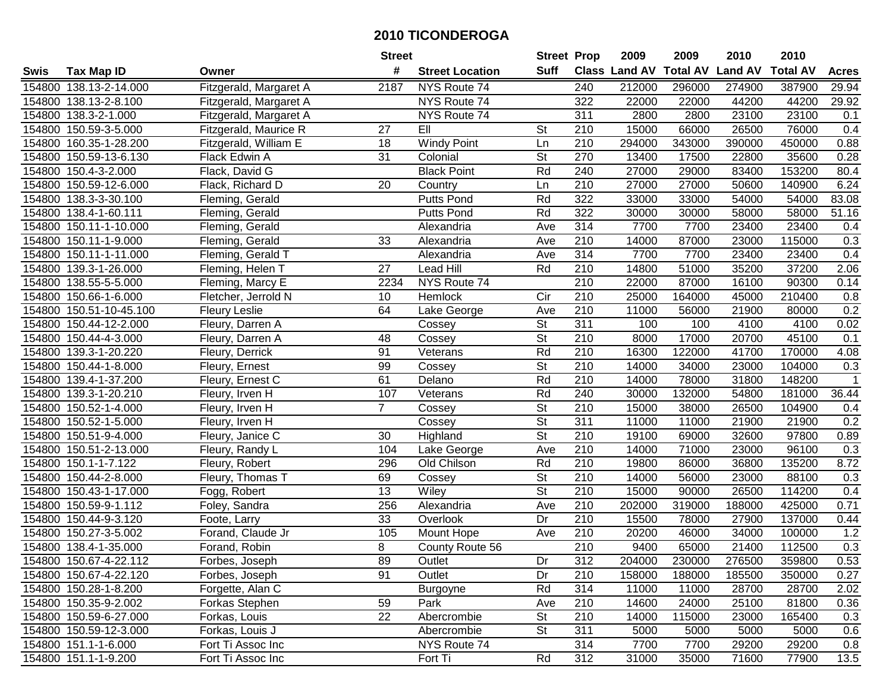|        |                         |                        | <b>Street</b>   |                        | <b>Street Prop</b>       |                  | 2009          | 2009            | 2010           | 2010            |                   |
|--------|-------------------------|------------------------|-----------------|------------------------|--------------------------|------------------|---------------|-----------------|----------------|-----------------|-------------------|
| Swis   | <b>Tax Map ID</b>       | Owner                  | #               | <b>Street Location</b> | Suff                     |                  | Class Land AV | <b>Total AV</b> | <b>Land AV</b> | <b>Total AV</b> | <b>Acres</b>      |
|        | 154800 138.13-2-14.000  | Fitzgerald, Margaret A | 2187            | NYS Route 74           |                          | 240              | 212000        | 296000          | 274900         | 387900          | 29.94             |
|        | 154800 138.13-2-8.100   | Fitzgerald, Margaret A |                 | NYS Route 74           |                          | 322              | 22000         | 22000           | 44200          | 44200           | 29.92             |
|        | 154800 138.3-2-1.000    | Fitzgerald, Margaret A |                 | NYS Route 74           |                          | 311              | 2800          | 2800            | 23100          | 23100           | 0.1               |
|        | 154800 150.59-3-5.000   | Fitzgerald, Maurice R  | 27              | EII                    | St                       | 210              | 15000         | 66000           | 26500          | 76000           | 0.4               |
|        | 154800 160.35-1-28.200  | Fitzgerald, William E  | 18              | <b>Windy Point</b>     | Ln                       | 210              | 294000        | 343000          | 390000         | 450000          | 0.88              |
|        | 154800 150.59-13-6.130  | Flack Edwin A          | 31              | Colonial               | $\overline{\mathsf{St}}$ | 270              | 13400         | 17500           | 22800          | 35600           | 0.28              |
|        | 154800 150.4-3-2.000    | Flack, David G         |                 | <b>Black Point</b>     | Rd                       | 240              | 27000         | 29000           | 83400          | 153200          | 80.4              |
|        | 154800 150.59-12-6.000  | Flack, Richard D       | 20              | Country                | Ln                       | $\overline{210}$ | 27000         | 27000           | 50600          | 140900          | 6.24              |
|        | 154800 138.3-3-30.100   | Fleming, Gerald        |                 | Putts Pond             | Rd                       | 322              | 33000         | 33000           | 54000          | 54000           | 83.08             |
|        | 154800 138.4-1-60.111   | Fleming, Gerald        |                 | <b>Putts Pond</b>      | Rd                       | 322              | 30000         | 30000           | 58000          | 58000           | 51.16             |
|        | 154800 150.11-1-10.000  | Fleming, Gerald        |                 | Alexandria             | Ave                      | 314              | 7700          | 7700            | 23400          | 23400           | 0.4               |
|        | 154800 150.11-1-9.000   | Fleming, Gerald        | 33              | Alexandria             | Ave                      | 210              | 14000         | 87000           | 23000          | 115000          | 0.3               |
|        | 154800 150.11-1-11.000  | Fleming, Gerald T      |                 | Alexandria             | Ave                      | 314              | 7700          | 7700            | 23400          | 23400           | 0.4               |
|        | 154800 139.3-1-26.000   | Fleming, Helen T       | 27              | <b>Lead Hill</b>       | Rd                       | 210              | 14800         | 51000           | 35200          | 37200           | 2.06              |
|        | 154800 138.55-5-5.000   | Fleming, Marcy E       | 2234            | NYS Route 74           |                          | 210              | 22000         | 87000           | 16100          | 90300           | 0.14              |
|        | 154800 150.66-1-6.000   | Fletcher, Jerrold N    | 10              | Hemlock                | Cir                      | 210              | 25000         | 164000          | 45000          | 210400          | 0.8               |
|        | 154800 150.51-10-45.100 | <b>Fleury Leslie</b>   | 64              | Lake George            | Ave                      | 210              | 11000         | 56000           | 21900          | 80000           | 0.2               |
|        | 154800 150.44-12-2.000  | Fleury, Darren A       |                 | Cossey                 | $\overline{\mathsf{St}}$ | 311              | 100           | 100             | 4100           | 4100            | 0.02              |
|        | 154800 150.44-4-3.000   | Fleury, Darren A       | 48              | Cossey                 | $\overline{\mathsf{St}}$ | 210              | 8000          | 17000           | 20700          | 45100           | 0.1               |
|        | 154800 139.3-1-20.220   | Fleury, Derrick        | 91              | Veterans               | Rd                       | 210              | 16300         | 122000          | 41700          | 170000          | 4.08              |
|        | 154800 150.44-1-8.000   | Fleury, Ernest         | 99              | Cossey                 | <b>St</b>                | 210              | 14000         | 34000           | 23000          | 104000          | 0.3               |
|        | 154800 139.4-1-37.200   | Fleury, Ernest C       | 61              | Delano                 | Rd                       | 210              | 14000         | 78000           | 31800          | 148200          | $\mathbf{1}$      |
| 154800 | 139.3-1-20.210          | Fleury, Irven H        | 107             | Veterans               | Rd                       | 240              | 30000         | 132000          | 54800          | 181000          | 36.44             |
| 154800 | 150.52-1-4.000          | Fleury, Irven H        | $\overline{7}$  | Cossey                 | St                       | 210              | 15000         | 38000           | 26500          | 104900          | 0.4               |
|        | 154800 150.52-1-5.000   | Fleury, Irven H        |                 | Cossey                 | $\overline{St}$          | $\overline{311}$ | 11000         | 11000           | 21900          | 21900           | 0.2               |
|        | 154800 150.51-9-4.000   | Fleury, Janice C       | 30              | Highland               | $\overline{\mathsf{St}}$ | 210              | 19100         | 69000           | 32600          | 97800           | 0.89              |
|        | 154800 150.51-2-13.000  | Fleury, Randy L        | 104             | Lake George            | Ave                      | 210              | 14000         | 71000           | 23000          | 96100           | 0.3               |
|        | 154800 150.1-1-7.122    | Fleury, Robert         | 296             | Old Chilson            | Rd                       | 210              | 19800         | 86000           | 36800          | 135200          | 8.72              |
|        | 154800 150.44-2-8.000   | Fleury, Thomas T       | 69              | Cossey                 | $\overline{\mathsf{St}}$ | 210              | 14000         | 56000           | 23000          | 88100           | 0.3               |
|        | 154800 150.43-1-17.000  | Fogg, Robert           | $\overline{13}$ | Wiley                  | $\overline{\mathsf{St}}$ | $\overline{210}$ | 15000         | 90000           | 26500          | 114200          | 0.4               |
|        | 154800 150.59-9-1.112   | Foley, Sandra          | 256             | Alexandria             | Ave                      | 210              | 202000        | 319000          | 188000         | 425000          | 0.71              |
|        | 154800 150.44-9-3.120   | Foote, Larry           | 33              | Overlook               | Dr                       | 210              | 15500         | 78000           | 27900          | 137000          | 0.44              |
|        | 154800 150.27-3-5.002   | Forand, Claude Jr      | 105             | Mount Hope             | Ave                      | $\overline{210}$ | 20200         | 46000           | 34000          | 100000          | 1.2               |
|        | 154800 138.4-1-35.000   | Forand, Robin          | 8               | County Route 56        |                          | $\overline{210}$ | 9400          | 65000           | 21400          | 112500          | 0.3               |
|        | 154800 150.67-4-22.112  | Forbes, Joseph         | 89              | Outlet                 | Dr                       | 312              | 204000        | 230000          | 276500         | 359800          | 0.53              |
|        | 154800 150.67-4-22.120  | Forbes, Joseph         | 91              | Outlet                 | Dr                       | 210              | 158000        | 188000          | 185500         | 350000          | 0.27              |
|        | 154800 150.28-1-8.200   | Forgette, Alan C       |                 | <b>Burgoyne</b>        | Rd                       | 314              | 11000         | 11000           | 28700          | 28700           | 2.02              |
|        | 154800 150.35-9-2.002   | Forkas Stephen         | 59              | Park                   | Ave                      | 210              | 14600         | 24000           | 25100          | 81800           | 0.36              |
|        | 154800 150.59-6-27.000  | Forkas, Louis          | 22              | Abercrombie            | <b>St</b>                | 210              | 14000         | 115000          | 23000          | 165400          | 0.3               |
|        | 154800 150.59-12-3.000  | Forkas, Louis J        |                 | Abercrombie            | <b>St</b>                | 311              | 5000          | 5000            | 5000           | 5000            | 0.6               |
|        | 154800 151.1-1-6.000    | Fort Ti Assoc Inc      |                 | NYS Route 74           |                          | 314              | 7700          | 7700            | 29200          | 29200           | 0.8               |
|        | 154800 151.1-1-9.200    | Fort Ti Assoc Inc      |                 | Fort Ti                | Rd                       | 312              | 31000         | 35000           | 71600          | 77900           | $\overline{13.5}$ |
|        |                         |                        |                 |                        |                          |                  |               |                 |                |                 |                   |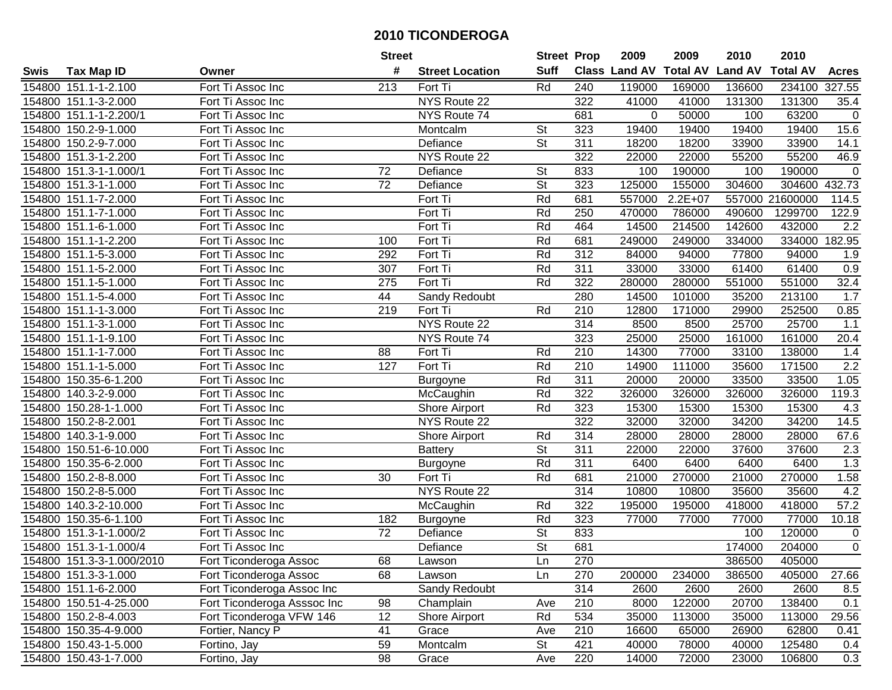|        |                           |                             | <b>Street</b>   |                        | <b>Street Prop</b>       |                  | 2009                 | 2009            | 2010           | 2010            |                  |
|--------|---------------------------|-----------------------------|-----------------|------------------------|--------------------------|------------------|----------------------|-----------------|----------------|-----------------|------------------|
| Swis   | <b>Tax Map ID</b>         | Owner                       | #               | <b>Street Location</b> | <b>Suff</b>              |                  | <b>Class Land AV</b> | <b>Total AV</b> | <b>Land AV</b> | <b>Total AV</b> | <b>Acres</b>     |
|        | 154800 151.1-1-2.100      | Fort Ti Assoc Inc           | 213             | Fort Ti                | Rd                       | 240              | 119000               | 169000          | 136600         | 234100          | 327.55           |
|        | 154800 151.1-3-2.000      | Fort Ti Assoc Inc           |                 | NYS Route 22           |                          | 322              | 41000                | 41000           | 131300         | 131300          | 35.4             |
|        | 154800 151.1-1-2.200/1    | Fort Ti Assoc Inc           |                 | NYS Route 74           |                          | 681              | $\Omega$             | 50000           | 100            | 63200           | $\mathbf 0$      |
|        | 154800 150.2-9-1.000      | Fort Ti Assoc Inc           |                 | Montcalm               | <b>St</b>                | 323              | 19400                | 19400           | 19400          | 19400           | 15.6             |
|        | 154800 150.2-9-7.000      | Fort Ti Assoc Inc           |                 | Defiance               | <b>St</b>                | 311              | 18200                | 18200           | 33900          | 33900           | 14.1             |
|        | 154800 151.3-1-2.200      | Fort Ti Assoc Inc           |                 | NYS Route 22           |                          | 322              | 22000                | 22000           | 55200          | 55200           | 46.9             |
|        | 154800 151.3-1-1.000/1    | Fort Ti Assoc Inc           | 72              | Defiance               | <b>St</b>                | 833              | 100                  | 190000          | 100            | 190000          | $\Omega$         |
|        | 154800 151.3-1-1.000      | Fort Ti Assoc Inc           | $\overline{72}$ | Defiance               | $\overline{St}$          | 323              | 125000               | 155000          | 304600         | 304600          | 432.73           |
|        | 154800 151.1-7-2.000      | Fort Ti Assoc Inc           |                 | Fort Ti                | Rd                       | 681              | 557000               | $2.2E + 07$     | 557000         | 21600000        | 114.5            |
|        | 154800 151.1-7-1.000      | Fort Ti Assoc Inc           |                 | Fort Ti                | Rd                       | 250              | 470000               | 786000          | 490600         | 1299700         | 122.9            |
|        | 154800 151.1-6-1.000      | Fort Ti Assoc Inc           |                 | Fort Ti                | Rd                       | 464              | 14500                | 214500          | 142600         | 432000          | 2.2              |
|        | 154800 151.1-1-2.200      | Fort Ti Assoc Inc           | 100             | Fort Ti                | Rd                       | 681              | 249000               | 249000          | 334000         | 334000          | 182.95           |
|        | 154800 151.1-5-3.000      | Fort Ti Assoc Inc           | 292             | Fort Ti                | Rd                       | $\overline{312}$ | 84000                | 94000           | 77800          | 94000           | 1.9              |
| 154800 | 151.1-5-2.000             | Fort Ti Assoc Inc           | 307             | Fort Ti                | Rd                       | 311              | 33000                | 33000           | 61400          | 61400           | 0.9              |
| 154800 | 151.1-5-1.000             | Fort Ti Assoc Inc           | 275             | Fort Ti                | Rd                       | 322              | 280000               | 280000          | 551000         | 551000          | 32.4             |
|        | 154800 151.1-5-4.000      | Fort Ti Assoc Inc           | 44              | Sandy Redoubt          |                          | 280              | 14500                | 101000          | 35200          | 213100          | 1.7              |
|        | 154800 151.1-1-3.000      | Fort Ti Assoc Inc           | 219             | Fort Ti                | Rd                       | 210              | 12800                | 171000          | 29900          | 252500          | 0.85             |
|        | 154800 151.1-3-1.000      | Fort Ti Assoc Inc           |                 | NYS Route 22           |                          | 314              | 8500                 | 8500            | 25700          | 25700           | 1.1              |
|        | 154800 151.1-1-9.100      | Fort Ti Assoc Inc           |                 | NYS Route 74           |                          | 323              | 25000                | 25000           | 161000         | 161000          | 20.4             |
|        | 154800 151.1-1-7.000      | Fort Ti Assoc Inc           | 88              | Fort Ti                | Rd                       | 210              | 14300                | 77000           | 33100          | 138000          | 1.4              |
|        | 154800 151.1-1-5.000      | Fort Ti Assoc Inc           | 127             | Fort Ti                | Rd                       | 210              | 14900                | 111000          | 35600          | 171500          | $\overline{2.2}$ |
| 154800 | 150.35-6-1.200            | Fort Ti Assoc Inc           |                 | Burgoyne               | Rd                       | 311              | 20000                | 20000           | 33500          | 33500           | 1.05             |
| 154800 | 140.3-2-9.000             | Fort Ti Assoc Inc           |                 | McCaughin              | Rd                       | 322              | 326000               | 326000          | 326000         | 326000          | 119.3            |
| 154800 | 150.28-1-1.000            | Fort Ti Assoc Inc           |                 | Shore Airport          | Rd                       | 323              | 15300                | 15300           | 15300          | 15300           | 4.3              |
| 154800 | 150.2-8-2.001             | Fort Ti Assoc Inc           |                 | NYS Route 22           |                          | 322              | 32000                | 32000           | 34200          | 34200           | 14.5             |
| 154800 | 140.3-1-9.000             | Fort Ti Assoc Inc           |                 | Shore Airport          | Rd                       | 314              | 28000                | 28000           | 28000          | 28000           | 67.6             |
| 154800 | 150.51-6-10.000           | Fort Ti Assoc Inc           |                 | <b>Battery</b>         | $\overline{\mathsf{St}}$ | 311              | 22000                | 22000           | 37600          | 37600           | 2.3              |
|        | 154800 150.35-6-2.000     | Fort Ti Assoc Inc           |                 | <b>Burgoyne</b>        | Rd                       | 311              | 6400                 | 6400            | 6400           | 6400            | 1.3              |
|        | 154800 150.2-8-8.000      | Fort Ti Assoc Inc           | 30              | Fort Ti                | Rd                       | 681              | 21000                | 270000          | 21000          | 270000          | 1.58             |
|        | 154800 150.2-8-5.000      | Fort Ti Assoc Inc           |                 | NYS Route 22           |                          | 314              | 10800                | 10800           | 35600          | 35600           | 4.2              |
|        | 154800 140.3-2-10.000     | Fort Ti Assoc Inc           |                 | McCaughin              | Rd                       | 322              | 195000               | 195000          | 418000         | 418000          | 57.2             |
|        | 154800 150.35-6-1.100     | Fort Ti Assoc Inc           | 182             | <b>Burgoyne</b>        | Rd                       | 323              | 77000                | 77000           | 77000          | 77000           | 10.18            |
|        | 154800 151.3-1-1.000/2    | Fort Ti Assoc Inc           | $\overline{72}$ | Defiance               | $\overline{\mathsf{St}}$ | 833              |                      |                 | 100            | 120000          | $\mathbf 0$      |
|        | 154800 151.3-1-1.000/4    | Fort Ti Assoc Inc           |                 | Defiance               | $\overline{\mathsf{St}}$ | 681              |                      |                 | 174000         | 204000          | $\overline{0}$   |
|        | 154800 151.3-3-1.000/2010 | Fort Ticonderoga Assoc      | 68              | Lawson                 | Ln                       | 270              |                      |                 | 386500         | 405000          |                  |
|        | 154800 151.3-3-1.000      | Fort Ticonderoga Assoc      | 68              | Lawson                 | Ln                       | 270              | 200000               | 234000          | 386500         | 405000          | 27.66            |
|        | 154800 151.1-6-2.000      | Fort Ticonderoga Assoc Inc  |                 | Sandy Redoubt          |                          | 314              | 2600                 | 2600            | 2600           | 2600            | 8.5              |
|        | 154800 150.51-4-25.000    | Fort Ticonderoga Asssoc Inc | 98              | Champlain              | Ave                      | 210              | 8000                 | 122000          | 20700          | 138400          | 0.1              |
|        | 154800 150.2-8-4.003      | Fort Ticonderoga VFW 146    | 12              | Shore Airport          | Rd                       | 534              | 35000                | 113000          | 35000          | 113000          | 29.56            |
|        | 154800 150.35-4-9.000     | Fortier, Nancy P            | 41              | Grace                  | Ave                      | 210              | 16600                | 65000           | 26900          | 62800           | 0.41             |
|        | 154800 150.43-1-5.000     | Fortino, Jay                | 59              | Montcalm               | <b>St</b>                | 421              | 40000                | 78000           | 40000          | 125480          | 0.4              |
|        | 154800 150.43-1-7.000     | Fortino, Jay                | 98              | Grace                  | Ave                      | 220              | 14000                | 72000           | 23000          | 106800          | 0.3              |
|        |                           |                             |                 |                        |                          |                  |                      |                 |                |                 |                  |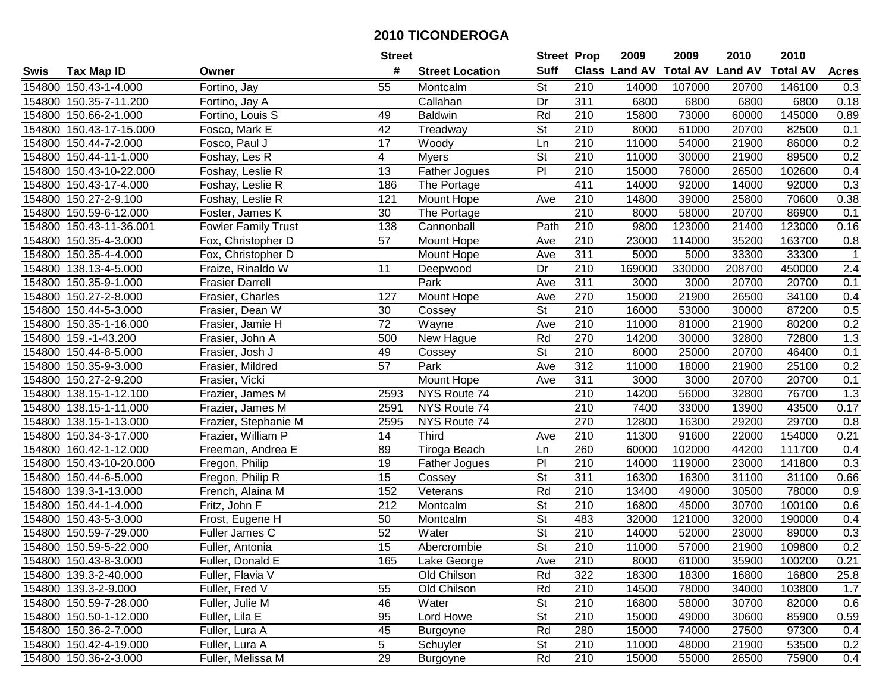|      |                         |                            | <b>Street</b>    |                        | <b>Street Prop</b>       |                  | 2009   | 2009   | 2010                           | 2010            |                |
|------|-------------------------|----------------------------|------------------|------------------------|--------------------------|------------------|--------|--------|--------------------------------|-----------------|----------------|
| Swis | <b>Tax Map ID</b>       | Owner                      | #                | <b>Street Location</b> | <b>Suff</b>              |                  |        |        | Class Land AV Total AV Land AV | <b>Total AV</b> | <b>Acres</b>   |
|      | 154800 150.43-1-4.000   | Fortino, Jay               | 55               | Montcalm               | St                       | 210              | 14000  | 107000 | 20700                          | 146100          | 0.3            |
|      | 154800 150.35-7-11.200  | Fortino, Jay A             |                  | Callahan               | Dr                       | 311              | 6800   | 6800   | 6800                           | 6800            | 0.18           |
|      | 154800 150.66-2-1.000   | Fortino, Louis S           | 49               | <b>Baldwin</b>         | Rd                       | 210              | 15800  | 73000  | 60000                          | 145000          | 0.89           |
|      | 154800 150.43-17-15.000 | Fosco, Mark E              | 42               | Treadway               | St                       | 210              | 8000   | 51000  | 20700                          | 82500           | 0.1            |
|      | 154800 150.44-7-2.000   | Fosco, Paul J              | 17               | Woody                  | Ln                       | 210              | 11000  | 54000  | 21900                          | 86000           | 0.2            |
|      | 154800 150.44-11-1.000  | Foshay, Les R              | 4                | <b>Myers</b>           | $\overline{\mathsf{St}}$ | 210              | 11000  | 30000  | 21900                          | 89500           | 0.2            |
|      | 154800 150.43-10-22.000 | Foshay, Leslie R           | 13               | Father Jogues          | $\overline{P}$           | 210              | 15000  | 76000  | 26500                          | 102600          | 0.4            |
|      | 154800 150.43-17-4.000  | Foshay, Leslie R           | 186              | The Portage            |                          | 411              | 14000  | 92000  | 14000                          | 92000           | 0.3            |
|      | 154800 150.27-2-9.100   | Foshay, Leslie R           | 121              | Mount Hope             | Ave                      | $\overline{210}$ | 14800  | 39000  | 25800                          | 70600           | 0.38           |
|      | 154800 150.59-6-12.000  | Foster, James K            | 30               | The Portage            |                          | $\overline{210}$ | 8000   | 58000  | 20700                          | 86900           | 0.1            |
|      | 154800 150.43-11-36.001 | <b>Fowler Family Trust</b> | 138              | Cannonball             | Path                     | 210              | 9800   | 123000 | 21400                          | 123000          | 0.16           |
|      | 154800 150.35-4-3.000   | Fox, Christopher D         | 57               | Mount Hope             | Ave                      | 210              | 23000  | 114000 | 35200                          | 163700          | 0.8            |
|      | 154800 150.35-4-4.000   | Fox, Christopher D         |                  | Mount Hope             | Ave                      | 311              | 5000   | 5000   | 33300                          | 33300           | $\overline{1}$ |
|      | 154800 138.13-4-5.000   | Fraize, Rinaldo W          | 11               | Deepwood               | Dr                       | 210              | 169000 | 330000 | 208700                         | 450000          | 2.4            |
|      | 154800 150.35-9-1.000   | <b>Frasier Darrell</b>     |                  | Park                   | Ave                      | 311              | 3000   | 3000   | 20700                          | 20700           | 0.1            |
|      | 154800 150.27-2-8.000   | Frasier, Charles           | 127              | Mount Hope             | Ave                      | 270              | 15000  | 21900  | 26500                          | 34100           | 0.4            |
|      | 154800 150.44-5-3.000   | Frasier, Dean W            | 30               | Cossey                 | $\overline{\mathsf{St}}$ | 210              | 16000  | 53000  | 30000                          | 87200           | 0.5            |
|      | 154800 150.35-1-16.000  | Frasier, Jamie H           | $\overline{72}$  | Wayne                  | Ave                      | 210              | 11000  | 81000  | 21900                          | 80200           | 0.2            |
|      | 154800 159.-1-43.200    | Frasier, John A            | 500              | New Hague              | Rd                       | 270              | 14200  | 30000  | 32800                          | 72800           | 1.3            |
|      | 154800 150.44-8-5.000   | Frasier, Josh J            | 49               | Cossey                 | St                       | 210              | 8000   | 25000  | 20700                          | 46400           | 0.1            |
|      | 154800 150.35-9-3.000   | Frasier, Mildred           | 57               | Park                   | Ave                      | 312              | 11000  | 18000  | 21900                          | 25100           | 0.2            |
|      | 154800 150.27-2-9.200   | Frasier, Vicki             |                  | Mount Hope             | Ave                      | 311              | 3000   | 3000   | 20700                          | 20700           | 0.1            |
|      | 154800 138.15-1-12.100  | Frazier, James M           | 2593             | NYS Route 74           |                          | 210              | 14200  | 56000  | 32800                          | 76700           | 1.3            |
|      | 154800 138.15-1-11.000  | Frazier, James M           | 2591             | NYS Route 74           |                          | 210              | 7400   | 33000  | 13900                          | 43500           | 0.17           |
|      | 154800 138.15-1-13.000  | Frazier, Stephanie M       | 2595             | NYS Route 74           |                          | 270              | 12800  | 16300  | 29200                          | 29700           | 0.8            |
|      | 154800 150.34-3-17.000  | Frazier, William P         | 14               | Third                  | Ave                      | 210              | 11300  | 91600  | 22000                          | 154000          | 0.21           |
|      | 154800 160.42-1-12.000  | Freeman, Andrea E          | 89               | Tiroga Beach           | Ln                       | 260              | 60000  | 102000 | 44200                          | 111700          | 0.4            |
|      | 154800 150.43-10-20.000 | Fregon, Philip             | 19               | <b>Father Jogues</b>   | P <sub>1</sub>           | 210              | 14000  | 119000 | 23000                          | 141800          | 0.3            |
|      | 154800 150.44-6-5.000   | Fregon, Philip R           | 15               | Cossey                 | $\overline{\mathsf{St}}$ | $\overline{311}$ | 16300  | 16300  | 31100                          | 31100           | 0.66           |
|      | 154800 139.3-1-13.000   | French, Alaina M           | 152              | Veterans               | Rd                       | $\overline{210}$ | 13400  | 49000  | 30500                          | 78000           | 0.9            |
|      | 154800 150.44-1-4.000   | Fritz, John F              | $\overline{212}$ | Montcalm               | $\overline{St}$          | $\overline{210}$ | 16800  | 45000  | 30700                          | 100100          | 0.6            |
|      | 154800 150.43-5-3.000   | Frost, Eugene H            | 50               | Montcalm               | $\overline{\mathsf{St}}$ | 483              | 32000  | 121000 | 32000                          | 190000          | 0.4            |
|      | 154800 150.59-7-29.000  | Fuller James C             | 52               | Water                  | $\overline{\mathsf{St}}$ | $\overline{210}$ | 14000  | 52000  | 23000                          | 89000           | 0.3            |
|      | 154800 150.59-5-22.000  | Fuller, Antonia            | $\overline{15}$  | Abercrombie            | $\overline{\mathsf{St}}$ | $\overline{210}$ | 11000  | 57000  | 21900                          | 109800          | 0.2            |
|      | 154800 150.43-8-3.000   | Fuller, Donald E           | 165              | Lake George            | Ave                      | 210              | 8000   | 61000  | 35900                          | 100200          | 0.21           |
|      | 154800 139.3-2-40.000   | Fuller, Flavia V           |                  | Old Chilson            | Rd                       | 322              | 18300  | 18300  | 16800                          | 16800           | 25.8           |
|      | 154800 139.3-2-9.000    | Fuller, Fred V             | 55               | Old Chilson            | Rd                       | 210              | 14500  | 78000  | 34000                          | 103800          | 1.7            |
|      | 154800 150.59-7-28.000  | Fuller, Julie M            | 46               | Water                  | <b>St</b>                | 210              | 16800  | 58000  | 30700                          | 82000           | 0.6            |
|      | 154800 150.50-1-12.000  | Fuller, Lila E             | 95               | Lord Howe              | <b>St</b>                | 210              | 15000  | 49000  | 30600                          | 85900           | 0.59           |
|      | 154800 150.36-2-7.000   | Fuller, Lura A             | 45               | <b>Burgoyne</b>        | Rd                       | 280              | 15000  | 74000  | 27500                          | 97300           | 0.4            |
|      | 154800 150.42-4-19.000  | Fuller, Lura A             | 5                | Schuyler               | St                       | 210              | 11000  | 48000  | 21900                          | 53500           | 0.2            |
|      | 154800 150.36-2-3.000   | Fuller, Melissa M          | 29               | <b>Burgoyne</b>        | Rd                       | 210              | 15000  | 55000  | 26500                          | 75900           | 0.4            |
|      |                         |                            |                  |                        |                          |                  |        |        |                                |                 |                |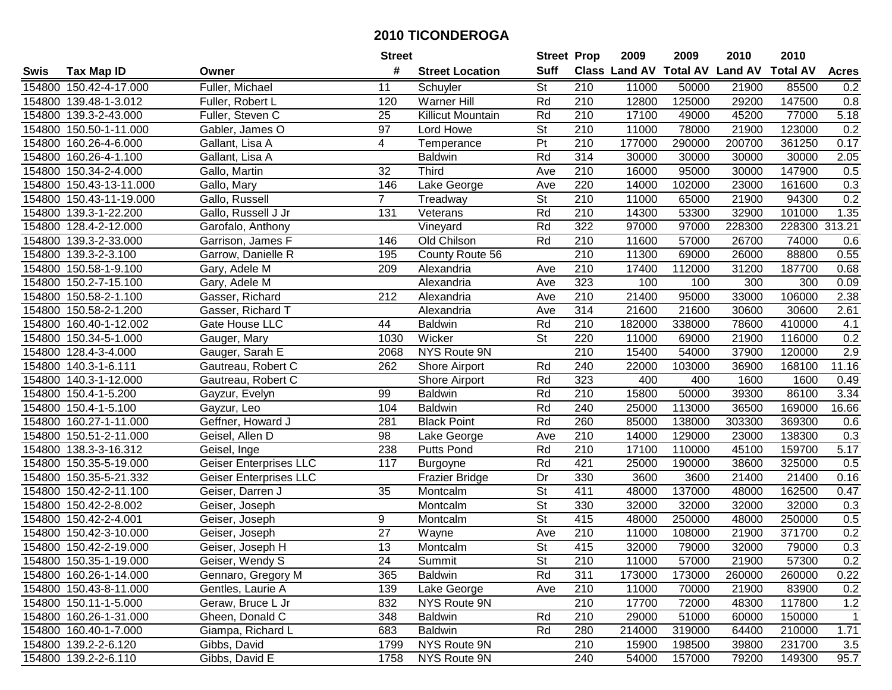|        |                         |                               | <b>Street</b>   |                          | <b>Street Prop</b>       |                  | 2009                          | 2009   | 2010           | 2010            |              |
|--------|-------------------------|-------------------------------|-----------------|--------------------------|--------------------------|------------------|-------------------------------|--------|----------------|-----------------|--------------|
| Swis   | <b>Tax Map ID</b>       | Owner                         | #               | <b>Street Location</b>   | <b>Suff</b>              |                  | <b>Class Land AV Total AV</b> |        | <b>Land AV</b> | <b>Total AV</b> | <b>Acres</b> |
|        | 154800 150.42-4-17.000  | Fuller, Michael               | 11              | Schuyler                 | St                       | 210              | 11000                         | 50000  | 21900          | 85500           | 0.2          |
|        | 154800 139.48-1-3.012   | Fuller, Robert L              | 120             | <b>Warner Hill</b>       | Rd                       | 210              | 12800                         | 125000 | 29200          | 147500          | 0.8          |
|        | 154800 139.3-2-43.000   | Fuller, Steven C              | 25              | <b>Killicut Mountain</b> | Rd                       | 210              | 17100                         | 49000  | 45200          | 77000           | 5.18         |
|        | 154800 150.50-1-11.000  | Gabler, James O               | 97              | Lord Howe                | <b>St</b>                | 210              | 11000                         | 78000  | 21900          | 123000          | 0.2          |
|        | 154800 160.26-4-6.000   | Gallant, Lisa A               | 4               | Temperance               | $\overline{P}$           | 210              | 177000                        | 290000 | 200700         | 361250          | 0.17         |
|        | 154800 160.26-4-1.100   | Gallant, Lisa A               |                 | <b>Baldwin</b>           | Rd                       | 314              | 30000                         | 30000  | 30000          | 30000           | 2.05         |
|        | 154800 150.34-2-4.000   | Gallo, Martin                 | 32              | <b>Third</b>             | Ave                      | 210              | 16000                         | 95000  | 30000          | 147900          | 0.5          |
|        | 154800 150.43-13-11.000 | Gallo, Mary                   | 146             | Lake George              | Ave                      | 220              | 14000                         | 102000 | 23000          | 161600          | 0.3          |
|        | 154800 150.43-11-19.000 | Gallo, Russell                | $\overline{7}$  | Treadway                 | $\overline{\mathsf{St}}$ | $\overline{210}$ | 11000                         | 65000  | 21900          | 94300           | 0.2          |
|        | 154800 139.3-1-22.200   | Gallo, Russell J Jr           | 131             | Veterans                 | Rd                       | 210              | 14300                         | 53300  | 32900          | 101000          | 1.35         |
|        | 154800 128.4-2-12.000   | Garofalo, Anthony             |                 | Vineyard                 | Rd                       | 322              | 97000                         | 97000  | 228300         | 228300          | 313.21       |
|        | 154800 139.3-2-33.000   | Garrison, James F             | 146             | Old Chilson              | Rd                       | 210              | 11600                         | 57000  | 26700          | 74000           | 0.6          |
|        | 154800 139.3-2-3.100    | Garrow, Danielle R            | 195             | County Route 56          |                          | 210              | 11300                         | 69000  | 26000          | 88800           | 0.55         |
|        | 154800 150.58-1-9.100   | Gary, Adele M                 | 209             | Alexandria               | Ave                      | 210              | 17400                         | 112000 | 31200          | 187700          | 0.68         |
|        | 154800 150.2-7-15.100   | Gary, Adele M                 |                 | Alexandria               | Ave                      | 323              | 100                           | 100    | 300            | 300             | 0.09         |
|        | 154800 150.58-2-1.100   | Gasser, Richard               | 212             | Alexandria               | Ave                      | 210              | 21400                         | 95000  | 33000          | 106000          | 2.38         |
|        | 154800 150.58-2-1.200   | Gasser, Richard T             |                 | Alexandria               | Ave                      | 314              | 21600                         | 21600  | 30600          | 30600           | 2.61         |
|        | 154800 160.40-1-12.002  | Gate House LLC                | 44              | <b>Baldwin</b>           | Rd                       | 210              | 182000                        | 338000 | 78600          | 410000          | 4.1          |
|        | 154800 150.34-5-1.000   | Gauger, Mary                  | 1030            | Wicker                   | <b>St</b>                | 220              | 11000                         | 69000  | 21900          | 116000          | 0.2          |
|        | 154800 128.4-3-4.000    | Gauger, Sarah E               | 2068            | NYS Route 9N             |                          | 210              | 15400                         | 54000  | 37900          | 120000          | 2.9          |
|        | 154800 140.3-1-6.111    | Gautreau, Robert C            | 262             | Shore Airport            | Rd                       | 240              | 22000                         | 103000 | 36900          | 168100          | 11.16        |
|        | 154800 140.3-1-12.000   | Gautreau, Robert C            |                 | Shore Airport            | Rd                       | 323              | 400                           | 400    | 1600           | 1600            | 0.49         |
|        | 154800 150.4-1-5.200    | Gayzur, Evelyn                | 99              | <b>Baldwin</b>           | Rd                       | 210              | 15800                         | 50000  | 39300          | 86100           | 3.34         |
| 154800 | 150.4-1-5.100           | Gayzur, Leo                   | 104             | <b>Baldwin</b>           | Rd                       | 240              | 25000                         | 113000 | 36500          | 169000          | 16.66        |
|        | 154800 160.27-1-11.000  | Geffner, Howard J             | 281             | <b>Black Point</b>       | Rd                       | 260              | 85000                         | 138000 | 303300         | 369300          | 0.6          |
|        | 154800 150.51-2-11.000  | Geisel, Allen D               | 98              | Lake George              | Ave                      | 210              | 14000                         | 129000 | 23000          | 138300          | 0.3          |
|        | 154800 138.3-3-16.312   | Geisel, Inge                  | 238             | <b>Putts Pond</b>        | Rd                       | 210              | 17100                         | 110000 | 45100          | 159700          | 5.17         |
|        | 154800 150.35-5-19.000  | Geiser Enterprises LLC        | 117             | Burgoyne                 | Rd                       | 421              | 25000                         | 190000 | 38600          | 325000          | 0.5          |
|        | 154800 150.35-5-21.332  | <b>Geiser Enterprises LLC</b> |                 | <b>Frazier Bridge</b>    | Dr                       | 330              | 3600                          | 3600   | 21400          | 21400           | 0.16         |
|        | 154800 150.42-2-11.100  | Geiser, Darren J              | $\overline{35}$ | Montcalm                 | $\overline{\mathsf{St}}$ | 411              | 48000                         | 137000 | 48000          | 162500          | 0.47         |
|        | 154800 150.42-2-8.002   | Geiser, Joseph                |                 | Montcalm                 | $\overline{\mathsf{St}}$ | 330              | 32000                         | 32000  | 32000          | 32000           | 0.3          |
|        | 154800 150.42-2-4.001   | Geiser, Joseph                | 9               | Montcalm                 | $\overline{\mathsf{St}}$ | 415              | 48000                         | 250000 | 48000          | 250000          | 0.5          |
|        | 154800 150.42-3-10.000  | Geiser, Joseph                | $\overline{27}$ | Wayne                    | Ave                      | $\overline{210}$ | 11000                         | 108000 | 21900          | 371700          | 0.2          |
|        | 154800 150.42-2-19.000  | Geiser, Joseph H              | $\overline{13}$ | Montcalm                 | $\overline{\mathsf{St}}$ | 415              | 32000                         | 79000  | 32000          | 79000           | 0.3          |
|        | 154800 150.35-1-19.000  | Geiser, Wendy S               | 24              | Summit                   | St                       | 210              | 11000                         | 57000  | 21900          | 57300           | 0.2          |
|        | 154800 160.26-1-14.000  | Gennaro, Gregory M            | 365             | <b>Baldwin</b>           | Rd                       | 311              | 173000                        | 173000 | 260000         | 260000          | 0.22         |
|        | 154800 150.43-8-11.000  | Gentles, Laurie A             | 139             | Lake George              | Ave                      | 210              | 11000                         | 70000  | 21900          | 83900           | 0.2          |
|        | 154800 150.11-1-5.000   | Geraw, Bruce L Jr             | 832             | NYS Route 9N             |                          | 210              | 17700                         | 72000  | 48300          | 117800          | 1.2          |
|        | 154800 160.26-1-31.000  | Gheen, Donald C               | 348             | <b>Baldwin</b>           | Rd                       | 210              | 29000                         | 51000  | 60000          | 150000          | $\mathbf{1}$ |
|        | 154800 160.40-1-7.000   | Giampa, Richard L             | 683             | <b>Baldwin</b>           | Rd                       | 280              | 214000                        | 319000 | 64400          | 210000          | 1.71         |
|        | 154800 139.2-2-6.120    | Gibbs, David                  | 1799            | NYS Route 9N             |                          | 210              | 15900                         | 198500 | 39800          | 231700          | 3.5          |
|        | 154800 139.2-2-6.110    | Gibbs, David E                | 1758            | NYS Route 9N             |                          | 240              | 54000                         | 157000 | 79200          | 149300          | 95.7         |
|        |                         |                               |                 |                          |                          |                  |                               |        |                |                 |              |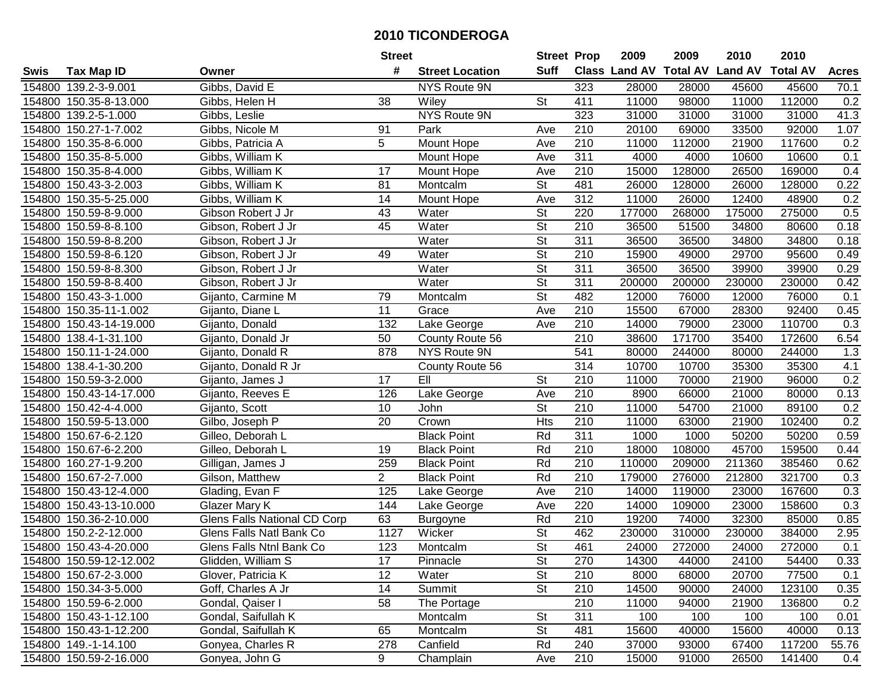|      |                         |                              | <b>Street</b>  |                        | <b>Street Prop</b>       |                  | 2009   | 2009   | 2010                           | 2010            |              |
|------|-------------------------|------------------------------|----------------|------------------------|--------------------------|------------------|--------|--------|--------------------------------|-----------------|--------------|
| Swis | <b>Tax Map ID</b>       | Owner                        | #              | <b>Street Location</b> | Suff                     |                  |        |        | Class Land AV Total AV Land AV | <b>Total AV</b> | <b>Acres</b> |
|      | 154800 139.2-3-9.001    | Gibbs, David E               |                | NYS Route 9N           |                          | 323              | 28000  | 28000  | 45600                          | 45600           | 70.1         |
|      | 154800 150.35-8-13.000  | Gibbs, Helen H               | 38             | Wiley                  | <b>St</b>                | 411              | 11000  | 98000  | 11000                          | 112000          | 0.2          |
|      | 154800 139.2-5-1.000    | Gibbs, Leslie                |                | NYS Route 9N           |                          | 323              | 31000  | 31000  | 31000                          | 31000           | 41.3         |
|      | 154800 150.27-1-7.002   | Gibbs, Nicole M              | 91             | Park                   | Ave                      | 210              | 20100  | 69000  | 33500                          | 92000           | 1.07         |
|      | 154800 150.35-8-6.000   | Gibbs, Patricia A            | 5              | Mount Hope             | Ave                      | 210              | 11000  | 112000 | 21900                          | 117600          | 0.2          |
|      | 154800 150.35-8-5.000   | Gibbs, William K             |                | Mount Hope             | Ave                      | 311              | 4000   | 4000   | 10600                          | 10600           | 0.1          |
|      | 154800 150.35-8-4.000   | Gibbs, William K             | 17             | Mount Hope             | Ave                      | 210              | 15000  | 128000 | 26500                          | 169000          | 0.4          |
|      | 154800 150.43-3-2.003   | Gibbs, William K             | 81             | Montcalm               | $\overline{\mathsf{St}}$ | 481              | 26000  | 128000 | 26000                          | 128000          | 0.22         |
|      | 154800 150.35-5-25.000  | Gibbs, William K             | 14             | Mount Hope             | Ave                      | 312              | 11000  | 26000  | 12400                          | 48900           | 0.2          |
|      | 154800 150.59-8-9.000   | Gibson Robert J Jr           | 43             | Water                  | $\overline{\mathsf{St}}$ | 220              | 177000 | 268000 | 175000                         | 275000          | 0.5          |
|      | 154800 150.59-8-8.100   | Gibson, Robert J Jr          | 45             | Water                  | St                       | 210              | 36500  | 51500  | 34800                          | 80600           | 0.18         |
|      | 154800 150.59-8-8.200   | Gibson, Robert J Jr          |                | Water                  | St                       | 311              | 36500  | 36500  | 34800                          | 34800           | 0.18         |
|      | 154800 150.59-8-6.120   | Gibson, Robert J Jr          | 49             | Water                  | $\overline{\mathsf{St}}$ | 210              | 15900  | 49000  | 29700                          | 95600           | 0.49         |
|      | 154800 150.59-8-8.300   | Gibson, Robert J Jr          |                | Water                  | $\overline{\mathsf{St}}$ | 311              | 36500  | 36500  | 39900                          | 39900           | 0.29         |
|      | 154800 150.59-8-8.400   | Gibson, Robert J Jr          |                | Water                  | $\overline{\mathsf{St}}$ | 311              | 200000 | 200000 | 230000                         | 230000          | 0.42         |
|      | 154800 150.43-3-1.000   | Gijanto, Carmine M           | 79             | Montcalm               | $\overline{\mathsf{St}}$ | 482              | 12000  | 76000  | 12000                          | 76000           | 0.1          |
|      | 154800 150.35-11-1.002  | Gijanto, Diane L             | 11             | Grace                  | Ave                      | 210              | 15500  | 67000  | 28300                          | 92400           | 0.45         |
|      | 154800 150.43-14-19.000 | Gijanto, Donald              | 132            | Lake George            | Ave                      | 210              | 14000  | 79000  | 23000                          | 110700          | 0.3          |
|      | 154800 138.4-1-31.100   | Gijanto, Donald Jr           | 50             | County Route 56        |                          | 210              | 38600  | 171700 | 35400                          | 172600          | 6.54         |
|      | 154800 150.11-1-24.000  | Gijanto, Donald R            | 878            | NYS Route 9N           |                          | 541              | 80000  | 244000 | 80000                          | 244000          | 1.3          |
|      | 154800 138.4-1-30.200   | Gijanto, Donald R Jr         |                | County Route 56        |                          | 314              | 10700  | 10700  | 35300                          | 35300           | 4.1          |
|      | 154800 150.59-3-2.000   | Gijanto, James J             | 17             | EII                    | St                       | 210              | 11000  | 70000  | 21900                          | 96000           | 0.2          |
|      | 154800 150.43-14-17.000 | Gijanto, Reeves E            | 126            | Lake George            | Ave                      | 210              | 8900   | 66000  | 21000                          | 80000           | 0.13         |
|      | 154800 150.42-4-4.000   | Gijanto, Scott               | 10             | John                   | St                       | 210              | 11000  | 54700  | 21000                          | 89100           | 0.2          |
|      | 154800 150.59-5-13.000  | Gilbo, Joseph P              | 20             | Crown                  | <b>Hts</b>               | $\overline{210}$ | 11000  | 63000  | 21900                          | 102400          | 0.2          |
|      | 154800 150.67-6-2.120   | Gilleo, Deborah L            |                | <b>Black Point</b>     | Rd                       | 311              | 1000   | 1000   | 50200                          | 50200           | 0.59         |
|      | 154800 150.67-6-2.200   | Gilleo, Deborah L            | 19             | <b>Black Point</b>     | Rd                       | 210              | 18000  | 108000 | 45700                          | 159500          | 0.44         |
|      | 154800 160.27-1-9.200   | Gilligan, James J            | 259            | <b>Black Point</b>     | Rd                       | 210              | 110000 | 209000 | 211360                         | 385460          | 0.62         |
|      | 154800 150.67-2-7.000   | Gilson, Matthew              | $\overline{2}$ | <b>Black Point</b>     | Rd                       | $\overline{210}$ | 179000 | 276000 | 212800                         | 321700          | 0.3          |
|      | 154800 150.43-12-4.000  | Glading, Evan F              | 125            | Lake George            | Ave                      | $\overline{210}$ | 14000  | 119000 | 23000                          | 167600          | 0.3          |
|      | 154800 150.43-13-10.000 | Glazer Mary K                | 144            | Lake George            | Ave                      | 220              | 14000  | 109000 | 23000                          | 158600          | 0.3          |
|      | 154800 150.36-2-10.000  | Glens Falls National CD Corp | 63             | Burgoyne               | Rd                       | 210              | 19200  | 74000  | 32300                          | 85000           | 0.85         |
|      | 154800 150.2-2-12.000   | Glens Falls Natl Bank Co     | 1127           | Wicker                 | $\overline{\mathsf{St}}$ | 462              | 230000 | 310000 | 230000                         | 384000          | 2.95         |
|      | 154800 150.43-4-20.000  | Glens Falls Ntnl Bank Co     | 123            | Montcalm               | $\overline{\mathsf{St}}$ | 461              | 24000  | 272000 | 24000                          | 272000          | 0.1          |
|      | 154800 150.59-12-12.002 | Glidden, William S           | 17             | Pinnacle               | St                       | 270              | 14300  | 44000  | 24100                          | 54400           | 0.33         |
|      | 154800 150.67-2-3.000   | Glover, Patricia K           | 12             | Water                  | <b>St</b>                | 210              | 8000   | 68000  | 20700                          | 77500           | 0.1          |
|      | 154800 150.34-3-5.000   | Goff, Charles A Jr           | 14             | Summit                 | <b>St</b>                | 210              | 14500  | 90000  | 24000                          | 123100          | 0.35         |
|      | 154800 150.59-6-2.000   | Gondal, Qaiser I             | 58             | The Portage            |                          | 210              | 11000  | 94000  | 21900                          | 136800          | 0.2          |
|      | 154800 150.43-1-12.100  | Gondal, Saifullah K          |                | Montcalm               | <b>St</b>                | 311              | 100    | 100    | 100                            | 100             | 0.01         |
|      | 154800 150.43-1-12.200  | Gondal, Saifullah K          | 65             | Montcalm               | <b>St</b>                | 481              | 15600  | 40000  | 15600                          | 40000           | 0.13         |
|      | 154800 149.-1-14.100    | Gonyea, Charles R            | 278            | Canfield               | Rd                       | 240              | 37000  | 93000  | 67400                          | 117200          | 55.76        |
|      | 154800 150.59-2-16.000  | Gonyea, John G               | 9              | Champlain              | Ave                      | 210              | 15000  | 91000  | 26500                          | 141400          | 0.4          |
|      |                         |                              |                |                        |                          |                  |        |        |                                |                 |              |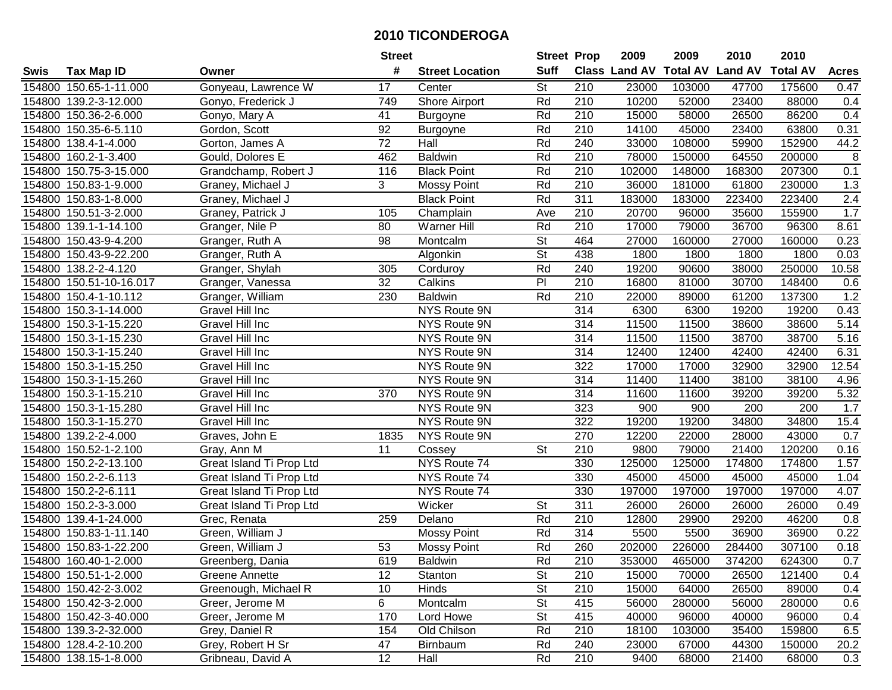|      |                         |                          | <b>Street</b>  |                        | <b>Street Prop</b>       |                  | 2009                 | 2009            | 2010           | 2010            |                  |
|------|-------------------------|--------------------------|----------------|------------------------|--------------------------|------------------|----------------------|-----------------|----------------|-----------------|------------------|
| Swis | <b>Tax Map ID</b>       | Owner                    | #              | <b>Street Location</b> | <b>Suff</b>              |                  | <b>Class Land AV</b> | <b>Total AV</b> | <b>Land AV</b> | <b>Total AV</b> | <b>Acres</b>     |
|      | 154800 150.65-1-11.000  | Gonyeau, Lawrence W      | 17             | Center                 | St                       | 210              | 23000                | 103000          | 47700          | 175600          | 0.47             |
|      | 154800 139.2-3-12.000   | Gonyo, Frederick J       | 749            | Shore Airport          | Rd                       | 210              | 10200                | 52000           | 23400          | 88000           | 0.4              |
|      | 154800 150.36-2-6.000   | Gonyo, Mary A            | 41             | <b>Burgoyne</b>        | Rd                       | 210              | 15000                | 58000           | 26500          | 86200           | 0.4              |
|      | 154800 150.35-6-5.110   | Gordon, Scott            | 92             | <b>Burgoyne</b>        | Rd                       | 210              | 14100                | 45000           | 23400          | 63800           | 0.31             |
|      | 154800 138.4-1-4.000    | Gorton, James A          | 72             | Hall                   | Rd                       | 240              | 33000                | 108000          | 59900          | 152900          | 44.2             |
|      | 154800 160.2-1-3.400    | Gould, Dolores E         | 462            | <b>Baldwin</b>         | Rd                       | 210              | 78000                | 150000          | 64550          | 200000          | $\overline{8}$   |
|      | 154800 150.75-3-15.000  | Grandchamp, Robert J     | 116            | <b>Black Point</b>     | Rd                       | 210              | 102000               | 148000          | 168300         | 207300          | 0.1              |
|      | 154800 150.83-1-9.000   | Graney, Michael J        | $\overline{3}$ | <b>Mossy Point</b>     | Rd                       | $\overline{210}$ | 36000                | 181000          | 61800          | 230000          | 1.3              |
|      | 154800 150.83-1-8.000   | Graney, Michael J        |                | <b>Black Point</b>     | Rd                       | 311              | 183000               | 183000          | 223400         | 223400          | $\overline{2.4}$ |
|      | 154800 150.51-3-2.000   | Graney, Patrick J        | 105            | Champlain              | Ave                      | 210              | 20700                | 96000           | 35600          | 155900          | 1.7              |
|      | 154800 139.1-1-14.100   | Granger, Nile P          | 80             | Warner Hill            | Rd                       | 210              | 17000                | 79000           | 36700          | 96300           | 8.61             |
|      | 154800 150.43-9-4.200   | Granger, Ruth A          | 98             | Montcalm               | St                       | 464              | 27000                | 160000          | 27000          | 160000          | 0.23             |
|      | 154800 150.43-9-22.200  | Granger, Ruth A          |                | Algonkin               | $\overline{\mathsf{St}}$ | 438              | 1800                 | 1800            | 1800           | 1800            | 0.03             |
|      | 154800 138.2-2-4.120    | Granger, Shylah          | 305            | Corduroy               | Rd                       | 240              | 19200                | 90600           | 38000          | 250000          | 10.58            |
|      | 154800 150.51-10-16.017 | Granger, Vanessa         | 32             | Calkins                | P                        | 210              | 16800                | 81000           | 30700          | 148400          | 0.6              |
|      | 154800 150.4-1-10.112   | Granger, William         | 230            | <b>Baldwin</b>         | Rd                       | 210              | 22000                | 89000           | 61200          | 137300          | 1.2              |
|      | 154800 150.3-1-14.000   | Gravel Hill Inc          |                | NYS Route 9N           |                          | 314              | 6300                 | 6300            | 19200          | 19200           | 0.43             |
|      | 154800 150.3-1-15.220   | Gravel Hill Inc          |                | NYS Route 9N           |                          | 314              | 11500                | 11500           | 38600          | 38600           | 5.14             |
|      | 154800 150.3-1-15.230   | Gravel Hill Inc          |                | NYS Route 9N           |                          | 314              | 11500                | 11500           | 38700          | 38700           | 5.16             |
|      | 154800 150.3-1-15.240   | Gravel Hill Inc          |                | NYS Route 9N           |                          | 314              | 12400                | 12400           | 42400          | 42400           | 6.31             |
|      | 154800 150.3-1-15.250   | Gravel Hill Inc          |                | NYS Route 9N           |                          | 322              | 17000                | 17000           | 32900          | 32900           | 12.54            |
|      | 154800 150.3-1-15.260   | Gravel Hill Inc          |                | NYS Route 9N           |                          | 314              | 11400                | 11400           | 38100          | 38100           | 4.96             |
|      | 154800 150.3-1-15.210   | Gravel Hill Inc          | 370            | NYS Route 9N           |                          | 314              | 11600                | 11600           | 39200          | 39200           | 5.32             |
|      | 154800 150.3-1-15.280   | Gravel Hill Inc          |                | NYS Route 9N           |                          | 323              | 900                  | 900             | 200            | 200             | 1.7              |
|      | 154800 150.3-1-15.270   | Gravel Hill Inc          |                | NYS Route 9N           |                          | 322              | 19200                | 19200           | 34800          | 34800           | 15.4             |
|      | 154800 139.2-2-4.000    | Graves, John E           | 1835           | NYS Route 9N           |                          | 270              | 12200                | 22000           | 28000          | 43000           | 0.7              |
|      | 154800 150.52-1-2.100   | Gray, Ann M              | 11             | Cossey                 | St                       | 210              | 9800                 | 79000           | 21400          | 120200          | 0.16             |
|      | 154800 150.2-2-13.100   | Great Island Ti Prop Ltd |                | NYS Route 74           |                          | 330              | 125000               | 125000          | 174800         | 174800          | 1.57             |
|      | 154800 150.2-2-6.113    | Great Island Ti Prop Ltd |                | NYS Route 74           |                          | 330              | 45000                | 45000           | 45000          | 45000           | 1.04             |
|      | 154800 150.2-2-6.111    | Great Island Ti Prop Ltd |                | NYS Route 74           |                          | 330              | 197000               | 197000          | 197000         | 197000          | 4.07             |
|      | 154800 150.2-3-3.000    | Great Island Ti Prop Ltd |                | Wicker                 | $\overline{\mathsf{St}}$ | $\overline{311}$ | 26000                | 26000           | 26000          | 26000           | 0.49             |
|      | 154800 139.4-1-24.000   | Grec, Renata             | 259            | Delano                 | Rd                       | 210              | 12800                | 29900           | 29200          | 46200           | 0.8              |
|      | 154800 150.83-1-11.140  | Green, William J         |                | <b>Mossy Point</b>     | Rd                       | 314              | 5500                 | 5500            | 36900          | 36900           | 0.22             |
|      | 154800 150.83-1-22.200  | Green, William J         | 53             | <b>Mossy Point</b>     | Rd                       | 260              | 202000               | 226000          | 284400         | 307100          | 0.18             |
|      | 154800 160.40-1-2.000   | Greenberg, Dania         | 619            | <b>Baldwin</b>         | Rd                       | 210              | 353000               | 465000          | 374200         | 624300          | 0.7              |
|      | 154800 150.51-1-2.000   | Greene Annette           | 12             | Stanton                | <b>St</b>                | 210              | 15000                | 70000           | 26500          | 121400          | 0.4              |
|      | 154800 150.42-2-3.002   | Greenough, Michael R     | 10             | Hinds                  | <b>St</b>                | 210              | 15000                | 64000           | 26500          | 89000           | 0.4              |
|      | 154800 150.42-3-2.000   | Greer, Jerome M          | 6              | Montcalm               | <b>St</b>                | 415              | 56000                | 280000          | 56000          | 280000          | 0.6              |
|      | 154800 150.42-3-40.000  | Greer, Jerome M          | 170            | Lord Howe              | <b>St</b>                | 415              | 40000                | 96000           | 40000          | 96000           | 0.4              |
|      | 154800 139.3-2-32.000   | Grey, Daniel R           | 154            | Old Chilson            | Rd                       | 210              | 18100                | 103000          | 35400          | 159800          | 6.5              |
|      | 154800 128.4-2-10.200   | Grey, Robert H Sr        | 47             | <b>Birnbaum</b>        | Rd                       | 240              | 23000                | 67000           | 44300          | 150000          | 20.2             |
|      | 154800 138.15-1-8.000   | Gribneau, David A        | 12             | Hall                   | Rd                       | 210              | 9400                 | 68000           | 21400          | 68000           | 0.3              |
|      |                         |                          |                |                        |                          |                  |                      |                 |                |                 |                  |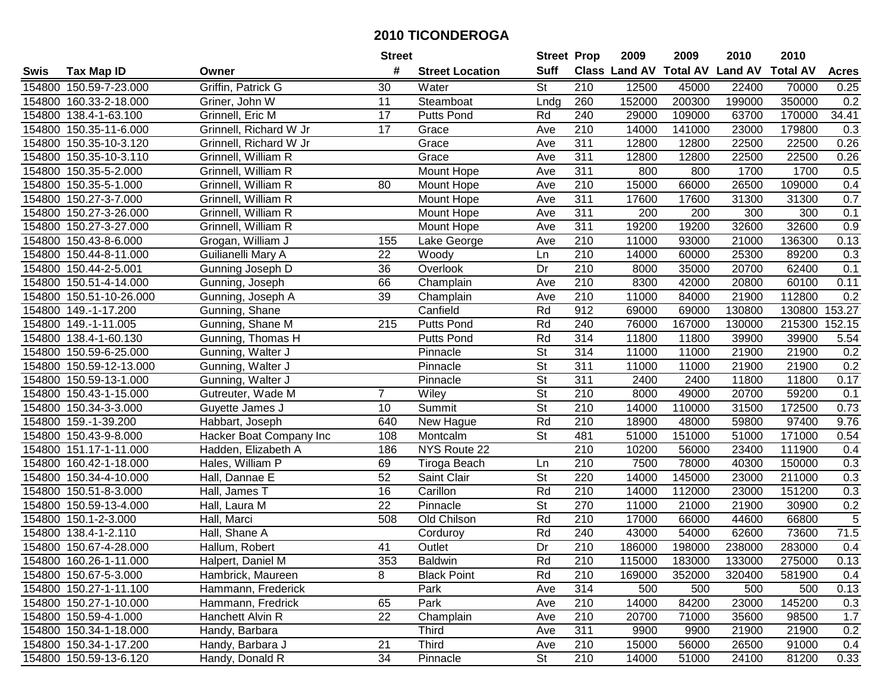|        |                         |                         | <b>Street</b>   |                        | <b>Street Prop</b>       |                  | 2009                          | 2009   | 2010           | 2010            |                |
|--------|-------------------------|-------------------------|-----------------|------------------------|--------------------------|------------------|-------------------------------|--------|----------------|-----------------|----------------|
| Swis   | <b>Tax Map ID</b>       | Owner                   | #               | <b>Street Location</b> | <b>Suff</b>              |                  | <b>Class Land AV Total AV</b> |        | <b>Land AV</b> | <b>Total AV</b> | <b>Acres</b>   |
|        | 154800 150.59-7-23.000  | Griffin, Patrick G      | 30              | Water                  | St                       | 210              | 12500                         | 45000  | 22400          | 70000           | 0.25           |
|        | 154800 160.33-2-18.000  | Griner, John W          | 11              | Steamboat              | Lndg                     | 260              | 152000                        | 200300 | 199000         | 350000          | 0.2            |
|        | 154800 138.4-1-63.100   | Grinnell, Eric M        | 17              | <b>Putts Pond</b>      | Rd                       | 240              | 29000                         | 109000 | 63700          | 170000          | 34.41          |
|        | 154800 150.35-11-6.000  | Grinnell, Richard W Jr  | 17              | Grace                  | Ave                      | 210              | 14000                         | 141000 | 23000          | 179800          | 0.3            |
|        | 154800 150.35-10-3.120  | Grinnell, Richard W Jr  |                 | Grace                  | Ave                      | 311              | 12800                         | 12800  | 22500          | 22500           | 0.26           |
|        | 154800 150.35-10-3.110  | Grinnell, William R     |                 | Grace                  | Ave                      | 311              | 12800                         | 12800  | 22500          | 22500           | 0.26           |
|        | 154800 150.35-5-2.000   | Grinnell, William R     |                 | Mount Hope             | Ave                      | 311              | 800                           | 800    | 1700           | 1700            | 0.5            |
|        | 154800 150.35-5-1.000   | Grinnell, William R     | 80              | Mount Hope             | Ave                      | 210              | 15000                         | 66000  | 26500          | 109000          | 0.4            |
|        | 154800 150.27-3-7.000   | Grinnell, William R     |                 | Mount Hope             | Ave                      | 311              | 17600                         | 17600  | 31300          | 31300           | 0.7            |
|        | 154800 150.27-3-26.000  | Grinnell, William R     |                 | Mount Hope             | Ave                      | 311              | 200                           | 200    | 300            | 300             | 0.1            |
|        | 154800 150.27-3-27.000  | Grinnell, William R     |                 | Mount Hope             | Ave                      | 311              | 19200                         | 19200  | 32600          | 32600           | 0.9            |
|        | 154800 150.43-8-6.000   | Grogan, William J       | 155             | Lake George            | Ave                      | 210              | 11000                         | 93000  | 21000          | 136300          | 0.13           |
|        | 154800 150.44-8-11.000  | Guilianelli Mary A      | 22              | Woody                  | Ln                       | 210              | 14000                         | 60000  | 25300          | 89200           | 0.3            |
|        | 154800 150.44-2-5.001   | Gunning Joseph D        | 36              | Overlook               | Dr                       | 210              | 8000                          | 35000  | 20700          | 62400           | 0.1            |
|        | 154800 150.51-4-14.000  | Gunning, Joseph         | 66              | Champlain              | Ave                      | 210              | 8300                          | 42000  | 20800          | 60100           | 0.11           |
|        | 154800 150.51-10-26.000 | Gunning, Joseph A       | 39              | Champlain              | Ave                      | 210              | 11000                         | 84000  | 21900          | 112800          | 0.2            |
|        | 154800 149.-1-17.200    | Gunning, Shane          |                 | Canfield               | Rd                       | 912              | 69000                         | 69000  | 130800         | 130800          | 153.27         |
|        | 154800 149.-1-11.005    | Gunning, Shane M        | 215             | Putts Pond             | Rd                       | 240              | 76000                         | 167000 | 130000         | 215300          | 152.15         |
|        | 154800 138.4-1-60.130   | Gunning, Thomas H       |                 | <b>Putts Pond</b>      | Rd                       | 314              | 11800                         | 11800  | 39900          | 39900           | 5.54           |
|        | 154800 150.59-6-25.000  | Gunning, Walter J       |                 | Pinnacle               | <b>St</b>                | 314              | 11000                         | 11000  | 21900          | 21900           | 0.2            |
|        | 154800 150.59-12-13.000 | Gunning, Walter J       |                 | Pinnacle               | <b>St</b>                | 311              | 11000                         | 11000  | 21900          | 21900           | 0.2            |
|        | 154800 150.59-13-1.000  | Gunning, Walter J       |                 | Pinnacle               | <b>St</b>                | 311              | 2400                          | 2400   | 11800          | 11800           | 0.17           |
|        | 154800 150.43-1-15.000  | Gutreuter, Wade M       | $\overline{7}$  | Wiley                  | <b>St</b>                | 210              | 8000                          | 49000  | 20700          | 59200           | 0.1            |
| 154800 | 150.34-3-3.000          | Guyette James J         | 10              | Summit                 | <b>St</b>                | 210              | 14000                         | 110000 | 31500          | 172500          | 0.73           |
|        | 154800 159.-1-39.200    | Habbart, Joseph         | 640             | New Hague              | Rd                       | 210              | 18900                         | 48000  | 59800          | 97400           | 9.76           |
|        | 154800 150.43-9-8.000   | Hacker Boat Company Inc | 108             | Montcalm               | $\overline{\mathsf{St}}$ | 481              | 51000                         | 151000 | 51000          | 171000          | 0.54           |
|        | 154800 151.17-1-11.000  | Hadden, Elizabeth A     | 186             | NYS Route 22           |                          | 210              | 10200                         | 56000  | 23400          | 111900          | 0.4            |
|        | 154800 160.42-1-18.000  | Hales, William P        | 69              | Tiroga Beach           | Ln                       | 210              | 7500                          | 78000  | 40300          | 150000          | 0.3            |
|        | 154800 150.34-4-10.000  | Hall, Dannae E          | 52              | Saint Clair            | $\overline{\mathsf{St}}$ | 220              | 14000                         | 145000 | 23000          | 211000          | 0.3            |
|        | 154800 150.51-8-3.000   | Hall, James T           | 16              | Carillon               | Rd                       | $\overline{210}$ | 14000                         | 112000 | 23000          | 151200          | 0.3            |
|        | 154800 150.59-13-4.000  | Hall, Laura M           | $\overline{22}$ | Pinnacle               | $\overline{\mathsf{St}}$ | 270              | 11000                         | 21000  | 21900          | 30900           | 0.2            |
|        | 154800 150.1-2-3.000    | Hall, Marci             | 508             | Old Chilson            | Rd                       | 210              | 17000                         | 66000  | 44600          | 66800           | $\overline{5}$ |
|        | 154800 138.4-1-2.110    | Hall, Shane A           |                 | Corduroy               | Rd                       | 240              | 43000                         | 54000  | 62600          | 73600           | 71.5           |
|        | 154800 150.67-4-28.000  | Hallum, Robert          | 41              | Outlet                 | $\overline{Dr}$          | $\overline{210}$ | 186000                        | 198000 | 238000         | 283000          | 0.4            |
|        | 154800 160.26-1-11.000  | Halpert, Daniel M       | 353             | <b>Baldwin</b>         | Rd                       | 210              | 115000                        | 183000 | 133000         | 275000          | 0.13           |
|        | 154800 150.67-5-3.000   | Hambrick, Maureen       | 8               | <b>Black Point</b>     | Rd                       | 210              | 169000                        | 352000 | 320400         | 581900          | 0.4            |
|        | 154800 150.27-1-11.100  | Hammann, Frederick      |                 | Park                   | Ave                      | 314              | 500                           | 500    | 500            | 500             | 0.13           |
|        | 154800 150.27-1-10.000  | Hammann, Fredrick       | 65              | Park                   | Ave                      | 210              | 14000                         | 84200  | 23000          | 145200          | 0.3            |
|        | 154800 150.59-4-1.000   | Hanchett Alvin R        | 22              | Champlain              | Ave                      | 210              | 20700                         | 71000  | 35600          | 98500           | 1.7            |
|        | 154800 150.34-1-18.000  | Handy, Barbara          |                 | <b>Third</b>           | Ave                      | 311              | 9900                          | 9900   | 21900          | 21900           | 0.2            |
|        | 154800 150.34-1-17.200  | Handy, Barbara J        | 21              | <b>Third</b>           | Ave                      | 210              | 15000                         | 56000  | 26500          | 91000           | 0.4            |
|        | 154800 150.59-13-6.120  | Handy, Donald R         | 34              | Pinnacle               | St                       | 210              | 14000                         | 51000  | 24100          | 81200           | 0.33           |
|        |                         |                         |                 |                        |                          |                  |                               |        |                |                 |                |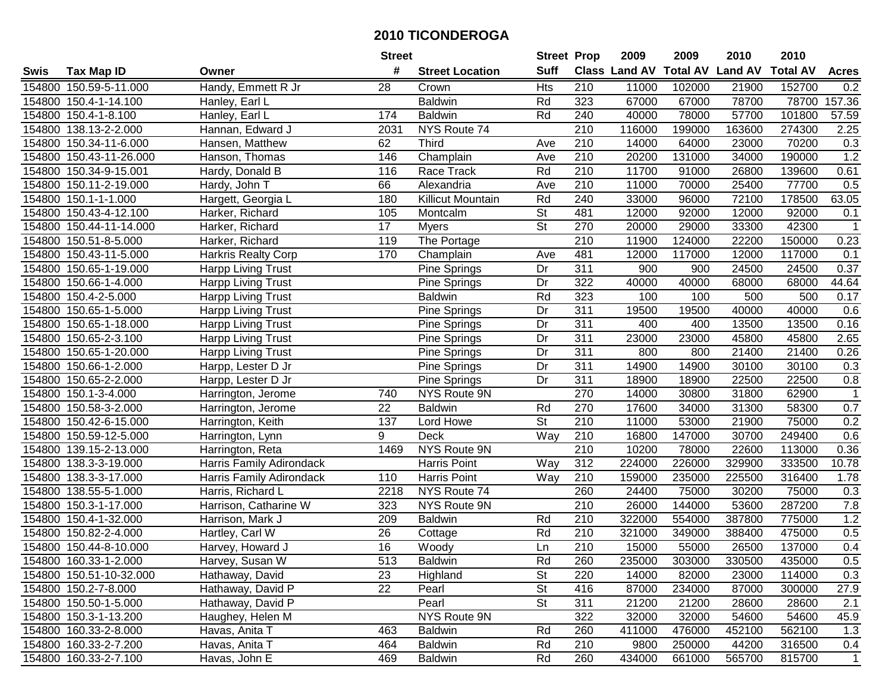|        |                         |                           | <b>Street</b>   |                          | <b>Street Prop</b>       |                  | 2009                          | 2009   | 2010           | 2010            |                |
|--------|-------------------------|---------------------------|-----------------|--------------------------|--------------------------|------------------|-------------------------------|--------|----------------|-----------------|----------------|
| Swis   | <b>Tax Map ID</b>       | Owner                     | #               | <b>Street Location</b>   | <b>Suff</b>              |                  | <b>Class Land AV Total AV</b> |        | <b>Land AV</b> | <b>Total AV</b> | <b>Acres</b>   |
|        | 154800 150.59-5-11.000  | Handy, Emmett R Jr        | 28              | Crown                    | <b>Hts</b>               | 210              | 11000                         | 102000 | 21900          | 152700          | 0.2            |
|        | 154800 150.4-1-14.100   | Hanley, Earl L            |                 | <b>Baldwin</b>           | Rd                       | 323              | 67000                         | 67000  | 78700          | 78700           | 157.36         |
|        | 154800 150.4-1-8.100    | Hanley, Earl L            | 174             | <b>Baldwin</b>           | Rd                       | 240              | 40000                         | 78000  | 57700          | 101800          | 57.59          |
|        | 154800 138.13-2-2.000   | Hannan, Edward J          | 2031            | NYS Route 74             |                          | 210              | 116000                        | 199000 | 163600         | 274300          | 2.25           |
|        | 154800 150.34-11-6.000  | Hansen, Matthew           | 62              | Third                    | Ave                      | 210              | 14000                         | 64000  | 23000          | 70200           | 0.3            |
|        | 154800 150.43-11-26.000 | Hanson, Thomas            | 146             | Champlain                | Ave                      | $\overline{210}$ | 20200                         | 131000 | 34000          | 190000          | 1.2            |
|        | 154800 150.34-9-15.001  | Hardy, Donald B           | 116             | Race Track               | Rd                       | 210              | 11700                         | 91000  | 26800          | 139600          | 0.61           |
|        | 154800 150.11-2-19.000  | Hardy, John T             | 66              | Alexandria               | Ave                      | 210              | 11000                         | 70000  | 25400          | 77700           | 0.5            |
|        | 154800 150.1-1-1.000    | Hargett, Georgia L        | 180             | <b>Killicut Mountain</b> | Rd                       | 240              | 33000                         | 96000  | 72100          | 178500          | 63.05          |
|        | 154800 150.43-4-12.100  | Harker, Richard           | 105             | Montcalm                 | St                       | 481              | 12000                         | 92000  | 12000          | 92000           | 0.1            |
|        | 154800 150.44-11-14.000 | Harker, Richard           | 17              | <b>Myers</b>             | St                       | 270              | 20000                         | 29000  | 33300          | 42300           | -1             |
|        | 154800 150.51-8-5.000   | Harker, Richard           | 119             | The Portage              |                          | 210              | 11900                         | 124000 | 22200          | 150000          | 0.23           |
|        | 154800 150.43-11-5.000  | Harkris Realty Corp       | 170             | Champlain                | Ave                      | 481              | 12000                         | 117000 | 12000          | 117000          | 0.1            |
|        | 154800 150.65-1-19.000  | <b>Harpp Living Trust</b> |                 | Pine Springs             | Dr                       | 311              | 900                           | 900    | 24500          | 24500           | 0.37           |
|        | 154800 150.66-1-4.000   | Harpp Living Trust        |                 | Pine Springs             | Dr                       | 322              | 40000                         | 40000  | 68000          | 68000           | 44.64          |
|        | 154800 150.4-2-5.000    | <b>Harpp Living Trust</b> |                 | <b>Baldwin</b>           | Rd                       | 323              | 100                           | 100    | 500            | 500             | 0.17           |
|        | 154800 150.65-1-5.000   | <b>Harpp Living Trust</b> |                 | Pine Springs             | Dr                       | $\overline{311}$ | 19500                         | 19500  | 40000          | 40000           | 0.6            |
|        | 154800 150.65-1-18.000  | <b>Harpp Living Trust</b> |                 | <b>Pine Springs</b>      | Dr                       | 311              | 400                           | 400    | 13500          | 13500           | 0.16           |
|        | 154800 150.65-2-3.100   | Harpp Living Trust        |                 | Pine Springs             | Dr                       | 311              | 23000                         | 23000  | 45800          | 45800           | 2.65           |
|        | 154800 150.65-1-20.000  | Harpp Living Trust        |                 | Pine Springs             | Dr                       | 311              | 800                           | 800    | 21400          | 21400           | 0.26           |
|        | 154800 150.66-1-2.000   | Harpp, Lester D Jr        |                 | Pine Springs             | Dr                       | 311              | 14900                         | 14900  | 30100          | 30100           | 0.3            |
| 154800 | 150.65-2-2.000          | Harpp, Lester D Jr        |                 | Pine Springs             | Dr                       | 311              | 18900                         | 18900  | 22500          | 22500           | $0.8\,$        |
| 154800 | 150.1-3-4.000           | Harrington, Jerome        | 740             | NYS Route 9N             |                          | 270              | 14000                         | 30800  | 31800          | 62900           | $\mathbf{1}$   |
|        | 154800 150.58-3-2.000   | Harrington, Jerome        | 22              | <b>Baldwin</b>           | Rd                       | 270              | 17600                         | 34000  | 31300          | 58300           | 0.7            |
| 154800 | 150.42-6-15.000         | Harrington, Keith         | 137             | Lord Howe                | $\overline{\mathsf{St}}$ | $\overline{210}$ | 11000                         | 53000  | 21900          | 75000           | 0.2            |
|        | 154800 150.59-12-5.000  | Harrington, Lynn          | 9               | Deck                     | Way                      | 210              | 16800                         | 147000 | 30700          | 249400          | 0.6            |
|        | 154800 139.15-2-13.000  | Harrington, Reta          | 1469            | NYS Route 9N             |                          | 210              | 10200                         | 78000  | 22600          | 113000          | 0.36           |
|        | 154800 138.3-3-19.000   | Harris Family Adirondack  |                 | Harris Point             | Way                      | 312              | 224000                        | 226000 | 329900         | 333500          | 10.78          |
|        | 154800 138.3-3-17.000   | Harris Family Adirondack  | 110             | Harris Point             | Way                      | 210              | 159000                        | 235000 | 225500         | 316400          | 1.78           |
|        | 154800 138.55-5-1.000   | Harris, Richard L         | 2218            | NYS Route 74             |                          | 260              | 24400                         | 75000  | 30200          | 75000           | 0.3            |
|        | 154800 150.3-1-17.000   | Harrison, Catharine W     | 323             | NYS Route 9N             |                          | $\overline{210}$ | 26000                         | 144000 | 53600          | 287200          | 7.8            |
|        | 154800 150.4-1-32.000   | Harrison, Mark J          | 209             | <b>Baldwin</b>           | Rd                       | 210              | 322000                        | 554000 | 387800         | 775000          | 1.2            |
|        | 154800 150.82-2-4.000   | Hartley, Carl W           | $\overline{26}$ | Cottage                  | Rd                       | $\overline{210}$ | 321000                        | 349000 | 388400         | 475000          | 0.5            |
|        | 154800 150.44-8-10.000  | Harvey, Howard J          | 16              | Woody                    | Ln                       | $\overline{210}$ | 15000                         | 55000  | 26500          | 137000          | 0.4            |
|        | 154800 160.33-1-2.000   | Harvey, Susan W           | 513             | <b>Baldwin</b>           | Rd                       | 260              | 235000                        | 303000 | 330500         | 435000          | 0.5            |
|        | 154800 150.51-10-32.000 | Hathaway, David           | 23              | Highland                 | <b>St</b>                | 220              | 14000                         | 82000  | 23000          | 114000          | 0.3            |
|        | 154800 150.2-7-8.000    | Hathaway, David P         | 22              | Pearl                    | <b>St</b>                | 416              | 87000                         | 234000 | 87000          | 300000          | 27.9           |
|        | 154800 150.50-1-5.000   | Hathaway, David P         |                 | Pearl                    | <b>St</b>                | 311              | 21200                         | 21200  | 28600          | 28600           | 2.1            |
|        | 154800 150.3-1-13.200   | Haughey, Helen M          |                 | NYS Route 9N             |                          | 322              | 32000                         | 32000  | 54600          | 54600           | 45.9           |
|        | 154800 160.33-2-8.000   | Havas, Anita T            | 463             | <b>Baldwin</b>           | Rd                       | 260              | 411000                        | 476000 | 452100         | 562100          | 1.3            |
|        | 154800 160.33-2-7.200   | Havas, Anita T            | 464             | <b>Baldwin</b>           | Rd                       | 210              | 9800                          | 250000 | 44200          | 316500          | 0.4            |
|        | 154800 160.33-2-7.100   | Havas, John E             | 469             | <b>Baldwin</b>           | Rd                       | 260              | 434000                        | 661000 | 565700         | 815700          | $\overline{1}$ |
|        |                         |                           |                 |                          |                          |                  |                               |        |                |                 |                |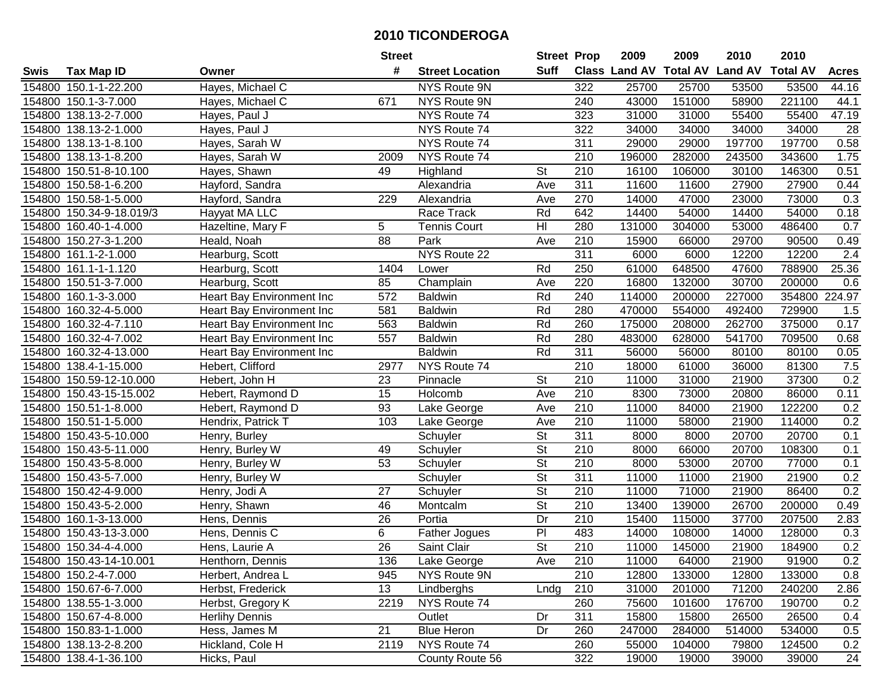|        |                          |                                  | <b>Street</b>   |                        | <b>Street Prop</b>       |                  | 2009                          | 2009   | 2010           | 2010            |              |
|--------|--------------------------|----------------------------------|-----------------|------------------------|--------------------------|------------------|-------------------------------|--------|----------------|-----------------|--------------|
| Swis   | <b>Tax Map ID</b>        | Owner                            | #               | <b>Street Location</b> | Suff                     |                  | <b>Class Land AV Total AV</b> |        | <b>Land AV</b> | <b>Total AV</b> | <b>Acres</b> |
|        | 154800 150.1-1-22.200    | Hayes, Michael C                 |                 | NYS Route 9N           |                          | 322              | 25700                         | 25700  | 53500          | 53500           | 44.16        |
|        | 154800 150.1-3-7.000     | Hayes, Michael C                 | 671             | NYS Route 9N           |                          | 240              | 43000                         | 151000 | 58900          | 221100          | 44.1         |
|        | 154800 138.13-2-7.000    | Hayes, Paul J                    |                 | NYS Route 74           |                          | 323              | 31000                         | 31000  | 55400          | 55400           | 47.19        |
|        | 154800 138.13-2-1.000    | Hayes, Paul J                    |                 | NYS Route 74           |                          | 322              | 34000                         | 34000  | 34000          | 34000           | 28           |
|        | 154800 138.13-1-8.100    | Hayes, Sarah W                   |                 | NYS Route 74           |                          | 311              | 29000                         | 29000  | 197700         | 197700          | 0.58         |
|        | 154800 138.13-1-8.200    | Hayes, Sarah W                   | 2009            | NYS Route 74           |                          | 210              | 196000                        | 282000 | 243500         | 343600          | 1.75         |
|        | 154800 150.51-8-10.100   | Hayes, Shawn                     | 49              | Highland               | St                       | 210              | 16100                         | 106000 | 30100          | 146300          | 0.51         |
|        | 154800 150.58-1-6.200    | Hayford, Sandra                  |                 | Alexandria             | Ave                      | 311              | 11600                         | 11600  | 27900          | 27900           | 0.44         |
|        | 154800 150.58-1-5.000    | Hayford, Sandra                  | 229             | Alexandria             | Ave                      | 270              | 14000                         | 47000  | 23000          | 73000           | 0.3          |
|        | 154800 150.34-9-18.019/3 | Hayyat MA LLC                    |                 | Race Track             | Rd                       | 642              | 14400                         | 54000  | 14400          | 54000           | 0.18         |
|        | 154800 160.40-1-4.000    | Hazeltine, Mary F                | 5               | <b>Tennis Court</b>    | H <sub>l</sub>           | 280              | 131000                        | 304000 | 53000          | 486400          | 0.7          |
|        | 154800 150.27-3-1.200    | Heald, Noah                      | 88              | Park                   | Ave                      | 210              | 15900                         | 66000  | 29700          | 90500           | 0.49         |
|        | 154800 161.1-2-1.000     | Hearburg, Scott                  |                 | NYS Route 22           |                          | 311              | 6000                          | 6000   | 12200          | 12200           | 2.4          |
|        | 154800 161.1-1-1.120     | Hearburg, Scott                  | 1404            | Lower                  | Rd                       | 250              | 61000                         | 648500 | 47600          | 788900          | 25.36        |
|        | 154800 150.51-3-7.000    | Hearburg, Scott                  | 85              | Champlain              | Ave                      | 220              | 16800                         | 132000 | 30700          | 200000          | 0.6          |
|        | 154800 160.1-3-3.000     | Heart Bay Environment Inc        | 572             | <b>Baldwin</b>         | Rd                       | 240              | 114000                        | 200000 | 227000         | 354800 224.97   |              |
|        | 154800 160.32-4-5.000    | Heart Bay Environment Inc        | 581             | <b>Baldwin</b>         | Rd                       | 280              | 470000                        | 554000 | 492400         | 729900          | 1.5          |
|        | 154800 160.32-4-7.110    | <b>Heart Bay Environment Inc</b> | 563             | <b>Baldwin</b>         | Rd                       | 260              | 175000                        | 208000 | 262700         | 375000          | 0.17         |
|        | 154800 160.32-4-7.002    | Heart Bay Environment Inc        | 557             | <b>Baldwin</b>         | Rd                       | 280              | 483000                        | 628000 | 541700         | 709500          | 0.68         |
|        | 154800 160.32-4-13.000   | Heart Bay Environment Inc        |                 | <b>Baldwin</b>         | Rd                       | 311              | 56000                         | 56000  | 80100          | 80100           | 0.05         |
|        | 154800 138.4-1-15.000    | Hebert, Clifford                 | 2977            | NYS Route 74           |                          | 210              | 18000                         | 61000  | 36000          | 81300           | 7.5          |
| 154800 | 150.59-12-10.000         | Hebert, John H                   | 23              | Pinnacle               | <b>St</b>                | 210              | 11000                         | 31000  | 21900          | 37300           | 0.2          |
| 154800 | 150.43-15-15.002         | Hebert, Raymond D                | 15              | Holcomb                | Ave                      | 210              | 8300                          | 73000  | 20800          | 86000           | 0.11         |
| 154800 | 150.51-1-8.000           | Hebert, Raymond D                | 93              | Lake George            | Ave                      | 210              | 11000                         | 84000  | 21900          | 122200          | 0.2          |
|        | 154800 150.51-1-5.000    | Hendrix, Patrick T               | 103             | Lake George            | Ave                      | $\overline{210}$ | 11000                         | 58000  | 21900          | 114000          | 0.2          |
|        | 154800 150.43-5-10.000   | Henry, Burley                    |                 | Schuyler               | $\overline{\mathsf{St}}$ | 311              | 8000                          | 8000   | 20700          | 20700           | 0.1          |
|        | 154800 150.43-5-11.000   | Henry, Burley W                  | 49              | Schuyler               | $\overline{\mathsf{St}}$ | 210              | 8000                          | 66000  | 20700          | 108300          | 0.1          |
|        | 154800 150.43-5-8.000    | Henry, Burley W                  | 53              | Schuyler               | <b>St</b>                | 210              | 8000                          | 53000  | 20700          | 77000           | 0.1          |
|        | 154800 150.43-5-7.000    | Henry, Burley W                  |                 | Schuyler               | $\overline{\mathsf{St}}$ | 311              | 11000                         | 11000  | 21900          | 21900           | 0.2          |
|        | 154800 150.42-4-9.000    | Henry, Jodi A                    | $\overline{27}$ | Schuyler               | $\overline{St}$          | $\overline{210}$ | 11000                         | 71000  | 21900          | 86400           | 0.2          |
|        | 154800 150.43-5-2.000    | Henry, Shawn                     | 46              | Montcalm               | $\overline{\mathsf{St}}$ | $\overline{210}$ | 13400                         | 139000 | 26700          | 200000          | 0.49         |
|        | 154800 160.1-3-13.000    | Hens, Dennis                     | 26              | Portia                 | Dr                       | 210              | 15400                         | 115000 | 37700          | 207500          | 2.83         |
|        | 154800 150.43-13-3.000   | Hens, Dennis C                   | 6               | Father Jogues          | $\overline{P}$           | 483              | 14000                         | 108000 | 14000          | 128000          | 0.3          |
|        | 154800 150.34-4-4.000    | Hens, Laurie A                   | 26              | Saint Clair            | $\overline{\mathsf{St}}$ | $\overline{210}$ | 11000                         | 145000 | 21900          | 184900          | 0.2          |
|        | 154800 150.43-14-10.001  | Henthorn, Dennis                 | 136             | Lake George            | Ave                      | 210              | 11000                         | 64000  | 21900          | 91900           | 0.2          |
|        | 154800 150.2-4-7.000     | Herbert, Andrea L                | 945             | NYS Route 9N           |                          | 210              | 12800                         | 133000 | 12800          | 133000          | 0.8          |
|        | 154800 150.67-6-7.000    | Herbst, Frederick                | 13              | Lindberghs             | Lndg                     | 210              | 31000                         | 201000 | 71200          | 240200          | 2.86         |
|        | 154800 138.55-1-3.000    | Herbst, Gregory K                | 2219            | NYS Route 74           |                          | 260              | 75600                         | 101600 | 176700         | 190700          | 0.2          |
|        | 154800 150.67-4-8.000    | <b>Herlihy Dennis</b>            |                 | Outlet                 | Dr                       | 311              | 15800                         | 15800  | 26500          | 26500           | 0.4          |
|        | 154800 150.83-1-1.000    | Hess, James M                    | 21              | <b>Blue Heron</b>      | Dr                       | 260              | 247000                        | 284000 | 514000         | 534000          | 0.5          |
|        | 154800 138.13-2-8.200    | Hickland, Cole H                 | 2119            | NYS Route 74           |                          | 260              | 55000                         | 104000 | 79800          | 124500          | 0.2          |
|        | 154800 138.4-1-36.100    | Hicks, Paul                      |                 | County Route 56        |                          | 322              | 19000                         | 19000  | 39000          | 39000           | 24           |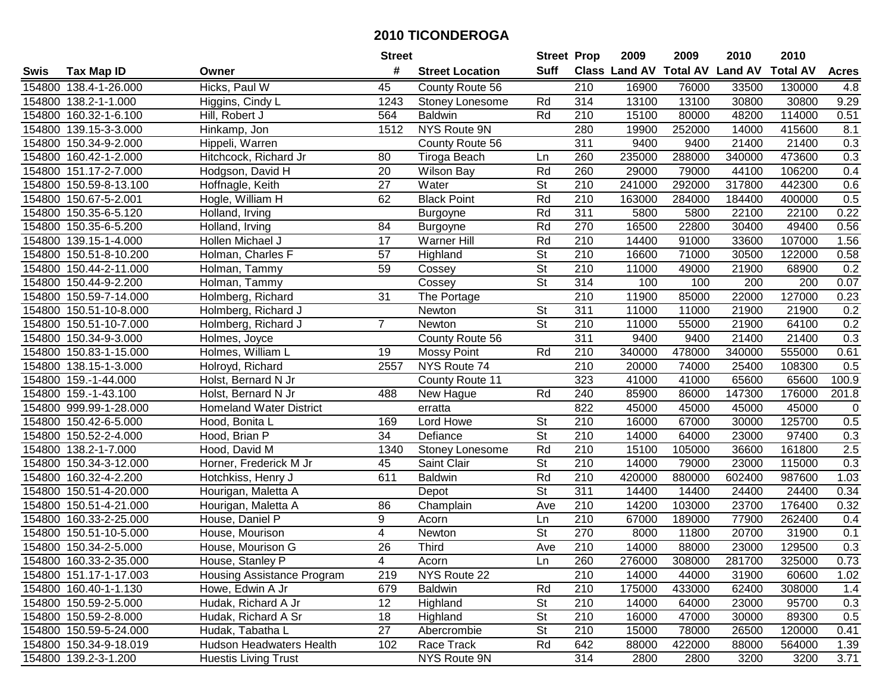|      |                        |                                 | <b>Street</b>   |                        | <b>Street Prop</b>       |                  | 2009   | 2009   | 2010                           | 2010            |              |
|------|------------------------|---------------------------------|-----------------|------------------------|--------------------------|------------------|--------|--------|--------------------------------|-----------------|--------------|
| Swis | <b>Tax Map ID</b>      | Owner                           | #               | <b>Street Location</b> | <b>Suff</b>              |                  |        |        | Class Land AV Total AV Land AV | <b>Total AV</b> | <b>Acres</b> |
|      | 154800 138.4-1-26.000  | Hicks, Paul W                   | 45              | County Route 56        |                          | 210              | 16900  | 76000  | 33500                          | 130000          | 4.8          |
|      | 154800 138.2-1-1.000   | Higgins, Cindy L                | 1243            | Stoney Lonesome        | Rd                       | 314              | 13100  | 13100  | 30800                          | 30800           | 9.29         |
|      | 154800 160.32-1-6.100  | Hill, Robert J                  | 564             | <b>Baldwin</b>         | Rd                       | 210              | 15100  | 80000  | 48200                          | 114000          | 0.51         |
|      | 154800 139.15-3-3.000  | Hinkamp, Jon                    | 1512            | NYS Route 9N           |                          | 280              | 19900  | 252000 | 14000                          | 415600          | 8.1          |
|      | 154800 150.34-9-2.000  | Hippeli, Warren                 |                 | County Route 56        |                          | 311              | 9400   | 9400   | 21400                          | 21400           | 0.3          |
|      | 154800 160.42-1-2.000  | Hitchcock, Richard Jr           | 80              | Tiroga Beach           | Ln                       | 260              | 235000 | 288000 | 340000                         | 473600          | 0.3          |
|      | 154800 151.17-2-7.000  | Hodgson, David H                | 20              | <b>Wilson Bay</b>      | Rd                       | 260              | 29000  | 79000  | 44100                          | 106200          | 0.4          |
|      | 154800 150.59-8-13.100 | Hoffnagle, Keith                | $\overline{27}$ | Water                  | $\overline{\mathsf{St}}$ | $\overline{210}$ | 241000 | 292000 | 317800                         | 442300          | 0.6          |
|      | 154800 150.67-5-2.001  | Hogle, William H                | 62              | <b>Black Point</b>     | Rd                       | $\overline{210}$ | 163000 | 284000 | 184400                         | 400000          | 0.5          |
|      | 154800 150.35-6-5.120  | Holland, Irving                 |                 | Burgoyne               | Rd                       | 311              | 5800   | 5800   | 22100                          | 22100           | 0.22         |
|      | 154800 150.35-6-5.200  | Holland, Irving                 | 84              | <b>Burgoyne</b>        | Rd                       | 270              | 16500  | 22800  | 30400                          | 49400           | 0.56         |
|      | 154800 139.15-1-4.000  | Hollen Michael J                | 17              | <b>Warner Hill</b>     | Rd                       | 210              | 14400  | 91000  | 33600                          | 107000          | 1.56         |
|      | 154800 150.51-8-10.200 | Holman, Charles F               | 57              | Highland               | $\overline{\mathsf{St}}$ | 210              | 16600  | 71000  | 30500                          | 122000          | 0.58         |
|      | 154800 150.44-2-11.000 | Holman, Tammy                   | 59              | Cossey                 | $\overline{\mathsf{St}}$ | 210              | 11000  | 49000  | 21900                          | 68900           | 0.2          |
|      | 154800 150.44-9-2.200  | Holman, Tammy                   |                 | Cossey                 | $\overline{\mathsf{St}}$ | 314              | 100    | 100    | 200                            | 200             | 0.07         |
|      | 154800 150.59-7-14.000 | Holmberg, Richard               | 31              | The Portage            |                          | 210              | 11900  | 85000  | 22000                          | 127000          | 0.23         |
|      | 154800 150.51-10-8.000 | Holmberg, Richard J             |                 | Newton                 | <b>St</b>                | 311              | 11000  | 11000  | 21900                          | 21900           | 0.2          |
|      | 154800 150.51-10-7.000 | Holmberg, Richard J             | $\overline{7}$  | Newton                 | $\overline{St}$          | 210              | 11000  | 55000  | 21900                          | 64100           | 0.2          |
|      | 154800 150.34-9-3.000  | Holmes, Joyce                   |                 | County Route 56        |                          | 311              | 9400   | 9400   | 21400                          | 21400           | 0.3          |
|      | 154800 150.83-1-15.000 | Holmes, William L               | 19              | <b>Mossy Point</b>     | Rd                       | 210              | 340000 | 478000 | 340000                         | 555000          | 0.61         |
|      | 154800 138.15-1-3.000  | Holroyd, Richard                | 2557            | NYS Route 74           |                          | 210              | 20000  | 74000  | 25400                          | 108300          | 0.5          |
|      | 154800 159.-1-44.000   | Holst, Bernard N Jr             |                 | County Route 11        |                          | 323              | 41000  | 41000  | 65600                          | 65600           | 100.9        |
|      | 154800 159.-1-43.100   | Holst, Bernard N Jr             | 488             | New Hague              | Rd                       | 240              | 85900  | 86000  | 147300                         | 176000          | 201.8        |
|      | 154800 999.99-1-28.000 | <b>Homeland Water District</b>  |                 | erratta                |                          | 822              | 45000  | 45000  | 45000                          | 45000           | $\mathbf 0$  |
|      | 154800 150.42-6-5.000  | Hood, Bonita L                  | 169             | Lord Howe              | $\overline{\mathsf{St}}$ | 210              | 16000  | 67000  | 30000                          | 125700          | 0.5          |
|      | 154800 150.52-2-4.000  | Hood, Brian P                   | 34              | Defiance               | $\overline{\mathsf{St}}$ | 210              | 14000  | 64000  | 23000                          | 97400           | 0.3          |
|      | 154800 138.2-1-7.000   | Hood, David M                   | 1340            | Stoney Lonesome        | Rd                       | 210              | 15100  | 105000 | 36600                          | 161800          | 2.5          |
|      | 154800 150.34-3-12.000 | Horner, Frederick M Jr          | 45              | Saint Clair            | St                       | 210              | 14000  | 79000  | 23000                          | 115000          | 0.3          |
|      | 154800 160.32-4-2.200  | Hotchkiss, Henry J              | 611             | <b>Baldwin</b>         | Rd                       | 210              | 420000 | 880000 | 602400                         | 987600          | 1.03         |
|      | 154800 150.51-4-20.000 | Hourigan, Maletta A             |                 | Depot                  | $\overline{\mathsf{St}}$ | $\overline{311}$ | 14400  | 14400  | 24400                          | 24400           | 0.34         |
|      | 154800 150.51-4-21.000 | Hourigan, Maletta A             | 86              | Champlain              | Ave                      | $\overline{210}$ | 14200  | 103000 | 23700                          | 176400          | 0.32         |
|      | 154800 160.33-2-25.000 | House, Daniel P                 | 9               | Acorn                  | Ln                       | 210              | 67000  | 189000 | 77900                          | 262400          | 0.4          |
|      | 154800 150.51-10-5.000 | House, Mourison                 | $\overline{4}$  | Newton                 | $\overline{\mathsf{St}}$ | 270              | 8000   | 11800  | 20700                          | 31900           | 0.1          |
|      | 154800 150.34-2-5.000  | House, Mourison G               | $\overline{26}$ | <b>Third</b>           | Ave                      | $\overline{210}$ | 14000  | 88000  | 23000                          | 129500          | 0.3          |
|      | 154800 160.33-2-35.000 | House, Stanley P                | 4               | Acorn                  | Ln                       | 260              | 276000 | 308000 | 281700                         | 325000          | 0.73         |
|      | 154800 151.17-1-17.003 | Housing Assistance Program      | 219             | NYS Route 22           |                          | 210              | 14000  | 44000  | 31900                          | 60600           | 1.02         |
|      | 154800 160.40-1-1.130  | Howe, Edwin A Jr                | 679             | <b>Baldwin</b>         | Rd                       | 210              | 175000 | 433000 | 62400                          | 308000          | 1.4          |
|      | 154800 150.59-2-5.000  | Hudak, Richard A Jr             | 12              | Highland               | <b>St</b>                | 210              | 14000  | 64000  | 23000                          | 95700           | 0.3          |
|      | 154800 150.59-2-8.000  | Hudak, Richard A Sr             | 18              | Highland               | <b>St</b>                | 210              | 16000  | 47000  | 30000                          | 89300           | 0.5          |
|      | 154800 150.59-5-24.000 | Hudak, Tabatha L                | 27              | Abercrombie            | <b>St</b>                | 210              | 15000  | 78000  | 26500                          | 120000          | 0.41         |
|      | 154800 150.34-9-18.019 | <b>Hudson Headwaters Health</b> | 102             | Race Track             | Rd                       | 642              | 88000  | 422000 | 88000                          | 564000          | 1.39         |
|      | 154800 139.2-3-1.200   | <b>Huestis Living Trust</b>     |                 | NYS Route 9N           |                          | 314              | 2800   | 2800   | 3200                           | 3200            | 3.71         |
|      |                        |                                 |                 |                        |                          |                  |        |        |                                |                 |              |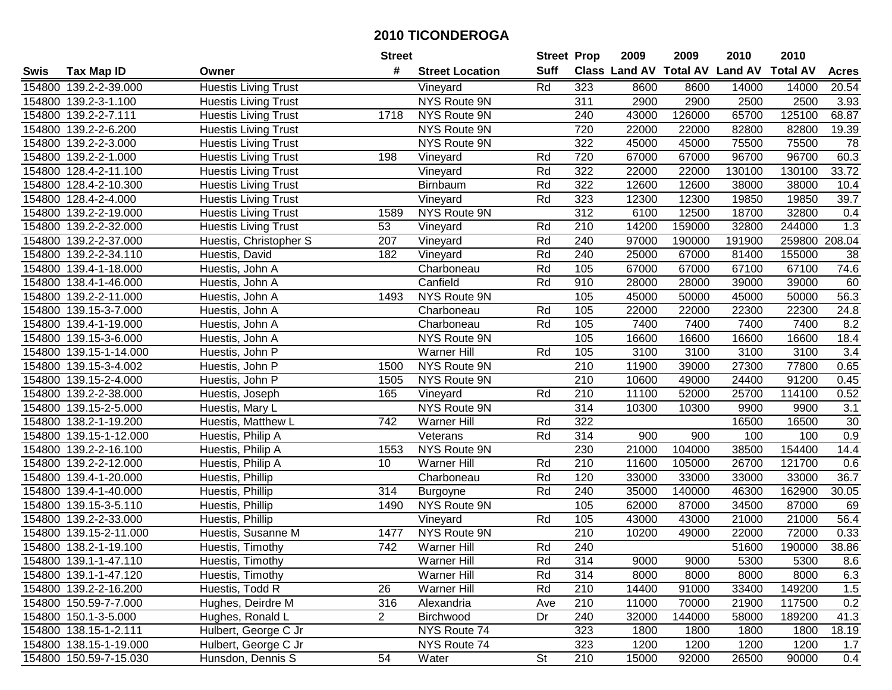|        |                        |                             | <b>Street</b>  |                        | <b>Street Prop</b>       |                  | 2009  | 2009   | 2010                           | 2010            |              |
|--------|------------------------|-----------------------------|----------------|------------------------|--------------------------|------------------|-------|--------|--------------------------------|-----------------|--------------|
| Swis   | <b>Tax Map ID</b>      | Owner                       | #              | <b>Street Location</b> | <b>Suff</b>              |                  |       |        | Class Land AV Total AV Land AV | <b>Total AV</b> | <b>Acres</b> |
|        | 154800 139.2-2-39.000  | <b>Huestis Living Trust</b> |                | Vineyard               | Rd                       | 323              | 8600  | 8600   | 14000                          | 14000           | 20.54        |
|        | 154800 139.2-3-1.100   | <b>Huestis Living Trust</b> |                | NYS Route 9N           |                          | 311              | 2900  | 2900   | 2500                           | 2500            | 3.93         |
|        | 154800 139.2-2-7.111   | <b>Huestis Living Trust</b> | 1718           | NYS Route 9N           |                          | 240              | 43000 | 126000 | 65700                          | 125100          | 68.87        |
|        | 154800 139.2-2-6.200   | Huestis Living Trust        |                | NYS Route 9N           |                          | 720              | 22000 | 22000  | 82800                          | 82800           | 19.39        |
|        | 154800 139.2-2-3.000   | <b>Huestis Living Trust</b> |                | NYS Route 9N           |                          | 322              | 45000 | 45000  | 75500                          | 75500           | 78           |
|        | 154800 139.2-2-1.000   | <b>Huestis Living Trust</b> | 198            | Vineyard               | Rd                       | 720              | 67000 | 67000  | 96700                          | 96700           | 60.3         |
|        | 154800 128.4-2-11.100  | Huestis Living Trust        |                | Vineyard               | Rd                       | 322              | 22000 | 22000  | 130100                         | 130100          | 33.72        |
| 154800 | 128.4-2-10.300         | <b>Huestis Living Trust</b> |                | <b>Birnbaum</b>        | Rd                       | 322              | 12600 | 12600  | 38000                          | 38000           | 10.4         |
|        | 154800 128.4-2-4.000   | <b>Huestis Living Trust</b> |                | Vineyard               | Rd                       | 323              | 12300 | 12300  | 19850                          | 19850           | 39.7         |
|        | 154800 139.2-2-19.000  | <b>Huestis Living Trust</b> | 1589           | NYS Route 9N           |                          | 312              | 6100  | 12500  | 18700                          | 32800           | 0.4          |
|        | 154800 139.2-2-32.000  | <b>Huestis Living Trust</b> | 53             | Vineyard               | Rd                       | 210              | 14200 | 159000 | 32800                          | 244000          | 1.3          |
|        | 154800 139.2-2-37.000  | Huestis, Christopher S      | 207            | Vineyard               | Rd                       | 240              | 97000 | 190000 | 191900                         | 259800          | 208.04       |
|        | 154800 139.2-2-34.110  | Huestis, David              | 182            | Vineyard               | Rd                       | 240              | 25000 | 67000  | 81400                          | 155000          | 38           |
|        | 154800 139.4-1-18.000  | Huestis, John A             |                | Charboneau             | Rd                       | 105              | 67000 | 67000  | 67100                          | 67100           | 74.6         |
|        | 154800 138.4-1-46.000  | Huestis, John A             |                | Canfield               | Rd                       | 910              | 28000 | 28000  | 39000                          | 39000           | 60           |
|        | 154800 139.2-2-11.000  | Huestis, John A             | 1493           | NYS Route 9N           |                          | 105              | 45000 | 50000  | 45000                          | 50000           | 56.3         |
| 154800 | 139.15-3-7.000         | Huestis, John A             |                | Charboneau             | Rd                       | 105              | 22000 | 22000  | 22300                          | 22300           | 24.8         |
| 154800 | 139.4-1-19.000         | Huestis, John A             |                | Charboneau             | Rd                       | 105              | 7400  | 7400   | 7400                           | 7400            | 8.2          |
|        | 154800 139.15-3-6.000  | Huestis, John A             |                | NYS Route 9N           |                          | 105              | 16600 | 16600  | 16600                          | 16600           | 18.4         |
|        | 154800 139.15-1-14.000 | Huestis, John P             |                | <b>Warner Hill</b>     | Rd                       | 105              | 3100  | 3100   | 3100                           | 3100            | 3.4          |
|        | 154800 139.15-3-4.002  | Huestis, John P             | 1500           | NYS Route 9N           |                          | 210              | 11900 | 39000  | 27300                          | 77800           | 0.65         |
| 154800 | 139.15-2-4.000         | Huestis, John P             | 1505           | NYS Route 9N           |                          | 210              | 10600 | 49000  | 24400                          | 91200           | 0.45         |
| 154800 | 139.2-2-38.000         | Huestis, Joseph             | 165            | Vineyard               | Rd                       | 210              | 11100 | 52000  | 25700                          | 114100          | 0.52         |
| 154800 | 139.15-2-5.000         | Huestis, Mary L             |                | NYS Route 9N           |                          | 314              | 10300 | 10300  | 9900                           | 9900            | 3.1          |
| 154800 | 138.2-1-19.200         | Huestis, Matthew L          | 742            | Warner Hill            | Rd                       | 322              |       |        | 16500                          | 16500           | $30\,$       |
| 154800 | 139.15-1-12.000        | Huestis, Philip A           |                | Veterans               | Rd                       | 314              | 900   | 900    | 100                            | 100             | 0.9          |
|        | 154800 139.2-2-16.100  | Huestis, Philip A           | 1553           | NYS Route 9N           |                          | 230              | 21000 | 104000 | 38500                          | 154400          | 14.4         |
|        | 154800 139.2-2-12.000  | Huestis, Philip A           | 10             | <b>Warner Hill</b>     | Rd                       | 210              | 11600 | 105000 | 26700                          | 121700          | 0.6          |
|        | 154800 139.4-1-20.000  | Huestis, Phillip            |                | Charboneau             | Rd                       | 120              | 33000 | 33000  | 33000                          | 33000           | 36.7         |
|        | 154800 139.4-1-40.000  | Huestis, Phillip            | 314            | Burgoyne               | Rd                       | 240              | 35000 | 140000 | 46300                          | 162900          | 30.05        |
|        | 154800 139.15-3-5.110  | Huestis, Phillip            | 1490           | NYS Route 9N           |                          | 105              | 62000 | 87000  | 34500                          | 87000           | 69           |
|        | 154800 139.2-2-33.000  | Huestis, Phillip            |                | Vineyard               | Rd                       | 105              | 43000 | 43000  | 21000                          | 21000           | 56.4         |
| 154800 | 139.15-2-11.000        | Huestis, Susanne M          | 1477           | NYS Route 9N           |                          | $\overline{210}$ | 10200 | 49000  | 22000                          | 72000           | 0.33         |
|        | 154800 138.2-1-19.100  | Huestis, Timothy            | 742            | Warner Hill            | Rd                       | 240              |       |        | 51600                          | 190000          | 38.86        |
|        | 154800 139.1-1-47.110  | Huestis, Timothy            |                | Warner Hill            | Rd                       | 314              | 9000  | 9000   | 5300                           | 5300            | 8.6          |
|        | 154800 139.1-1-47.120  | Huestis, Timothy            |                | Warner Hill            | Rd                       | 314              | 8000  | 8000   | 8000                           | 8000            | 6.3          |
|        | 154800 139.2-2-16.200  | Huestis, Todd R             | 26             | <b>Warner Hill</b>     | Rd                       | 210              | 14400 | 91000  | 33400                          | 149200          | 1.5          |
|        | 154800 150.59-7-7.000  | Hughes, Deirdre M           | 316            | Alexandria             | Ave                      | 210              | 11000 | 70000  | 21900                          | 117500          | 0.2          |
|        | 154800 150.1-3-5.000   | Hughes, Ronald L            | $\overline{2}$ | Birchwood              | Dr                       | 240              | 32000 | 144000 | 58000                          | 189200          | 41.3         |
|        | 154800 138.15-1-2.111  | Hulbert, George C Jr        |                | NYS Route 74           |                          | 323              | 1800  | 1800   | 1800                           | 1800            | 18.19        |
|        | 154800 138.15-1-19.000 | Hulbert, George C Jr        |                | NYS Route 74           |                          | 323              | 1200  | 1200   | 1200                           | 1200            | 1.7          |
|        | 154800 150.59-7-15.030 | Hunsdon, Dennis S           | 54             | Water                  | $\overline{\mathsf{St}}$ | 210              | 15000 | 92000  | 26500                          | 90000           | 0.4          |
|        |                        |                             |                |                        |                          |                  |       |        |                                |                 |              |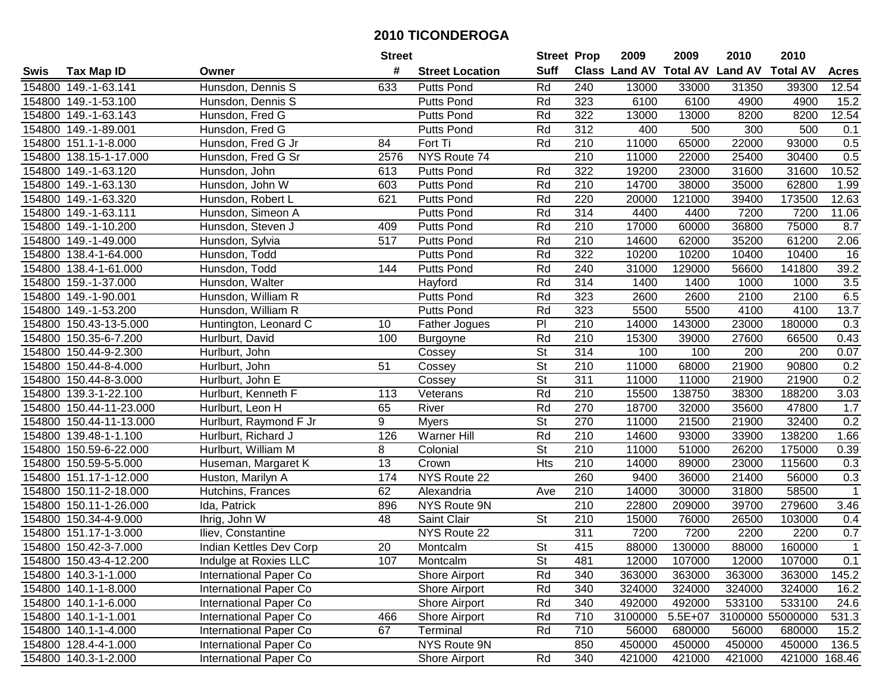|        |                         |                         | <b>Street</b> |                        | <b>Street Prop</b>       |                  | 2009                          | 2009    | 2010           | 2010             |                   |
|--------|-------------------------|-------------------------|---------------|------------------------|--------------------------|------------------|-------------------------------|---------|----------------|------------------|-------------------|
| Swis   | <b>Tax Map ID</b>       | Owner                   | #             | <b>Street Location</b> | <b>Suff</b>              |                  | <b>Class Land AV Total AV</b> |         | <b>Land AV</b> | <b>Total AV</b>  | <b>Acres</b>      |
|        | 154800 149.-1-63.141    | Hunsdon, Dennis S       | 633           | <b>Putts Pond</b>      | Rd                       | 240              | 13000                         | 33000   | 31350          | 39300            | 12.54             |
|        | 154800 149.-1-53.100    | Hunsdon, Dennis S       |               | <b>Putts Pond</b>      | Rd                       | 323              | 6100                          | 6100    | 4900           | 4900             | $\overline{15.2}$ |
|        | 154800 149.-1-63.143    | Hunsdon, Fred G         |               | <b>Putts Pond</b>      | Rd                       | 322              | 13000                         | 13000   | 8200           | 8200             | 12.54             |
|        | 154800 149.-1-89.001    | Hunsdon, Fred G         |               | <b>Putts Pond</b>      | Rd                       | 312              | 400                           | 500     | 300            | 500              | 0.1               |
|        | 154800 151.1-1-8.000    | Hunsdon, Fred G Jr      | 84            | Fort Ti                | Rd                       | 210              | 11000                         | 65000   | 22000          | 93000            | 0.5               |
|        | 154800 138.15-1-17.000  | Hunsdon, Fred G Sr      | 2576          | NYS Route 74           |                          | $\overline{210}$ | 11000                         | 22000   | 25400          | 30400            | 0.5               |
|        | 154800 149.-1-63.120    | Hunsdon, John           | 613           | <b>Putts Pond</b>      | Rd                       | 322              | 19200                         | 23000   | 31600          | 31600            | 10.52             |
|        | 154800 149.-1-63.130    | Hunsdon, John W         | 603           | <b>Putts Pond</b>      | Rd                       | 210              | 14700                         | 38000   | 35000          | 62800            | 1.99              |
|        | 154800 149.-1-63.320    | Hunsdon, Robert L       | 621           | <b>Putts Pond</b>      | Rd                       | 220              | 20000                         | 121000  | 39400          | 173500           | 12.63             |
|        | 154800 149.-1-63.111    | Hunsdon, Simeon A       |               | <b>Putts Pond</b>      | Rd                       | 314              | 4400                          | 4400    | 7200           | 7200             | 11.06             |
|        | 154800 149.-1-10.200    | Hunsdon, Steven J       | 409           | <b>Putts Pond</b>      | Rd                       | 210              | 17000                         | 60000   | 36800          | 75000            | 8.7               |
|        | 154800 149.-1-49.000    | Hunsdon, Sylvia         | 517           | <b>Putts Pond</b>      | Rd                       | 210              | 14600                         | 62000   | 35200          | 61200            | 2.06              |
|        | 154800 138.4-1-64.000   | Hunsdon, Todd           |               | <b>Putts Pond</b>      | Rd                       | 322              | 10200                         | 10200   | 10400          | 10400            | 16                |
|        | 154800 138.4-1-61.000   | Hunsdon, Todd           | 144           | <b>Putts Pond</b>      | Rd                       | 240              | 31000                         | 129000  | 56600          | 141800           | 39.2              |
|        | 154800 159.-1-37.000    | Hunsdon, Walter         |               | Hayford                | Rd                       | 314              | 1400                          | 1400    | 1000           | 1000             | 3.5               |
|        | 154800 149.-1-90.001    | Hunsdon, William R      |               | <b>Putts Pond</b>      | Rd                       | 323              | 2600                          | 2600    | 2100           | 2100             | 6.5               |
|        | 154800 149.-1-53.200    | Hunsdon, William R      |               | <b>Putts Pond</b>      | Rd                       | 323              | 5500                          | 5500    | 4100           | 4100             | 13.7              |
|        | 154800 150.43-13-5.000  | Huntington, Leonard C   | 10            | Father Jogues          | PI                       | 210              | 14000                         | 143000  | 23000          | 180000           | 0.3               |
|        | 154800 150.35-6-7.200   | Hurlburt, David         | 100           | Burgoyne               | Rd                       | 210              | 15300                         | 39000   | 27600          | 66500            | 0.43              |
|        | 154800 150.44-9-2.300   | Hurlburt, John          |               | Cossey                 | <b>St</b>                | 314              | 100                           | 100     | 200            | 200              | 0.07              |
|        | 154800 150.44-8-4.000   | Hurlburt, John          | 51            | Cossey                 | <b>St</b>                | 210              | 11000                         | 68000   | 21900          | 90800            | 0.2               |
|        | 154800 150.44-8-3.000   | Hurlburt, John E        |               | Cossey                 | <b>St</b>                | 311              | 11000                         | 11000   | 21900          | 21900            | 0.2               |
|        | 154800 139.3-1-22.100   | Hurlburt, Kenneth F     | 113           | Veterans               | Rd                       | 210              | 15500                         | 138750  | 38300          | 188200           | 3.03              |
| 154800 | 150.44-11-23.000        | Hurlburt, Leon H        | 65            | River                  | Rd                       | 270              | 18700                         | 32000   | 35600          | 47800            | 1.7               |
|        | 154800 150.44-11-13.000 | Hurlburt, Raymond F Jr  | 9             | <b>Myers</b>           | $\overline{\mathsf{St}}$ | 270              | 11000                         | 21500   | 21900          | 32400            | 0.2               |
|        | 154800 139.48-1-1.100   | Hurlburt, Richard J     | 126           | Warner Hill            | Rd                       | 210              | 14600                         | 93000   | 33900          | 138200           | 1.66              |
|        | 154800 150.59-6-22.000  | Hurlburt, William M     | 8             | Colonial               | $\overline{\mathsf{St}}$ | 210              | 11000                         | 51000   | 26200          | 175000           | 0.39              |
|        | 154800 150.59-5-5.000   | Huseman, Margaret K     | 13            | Crown                  | <b>Hts</b>               | 210              | 14000                         | 89000   | 23000          | 115600           | 0.3               |
|        | 154800 151.17-1-12.000  | Huston, Marilyn A       | 174           | NYS Route 22           |                          | 260              | 9400                          | 36000   | 21400          | 56000            | 0.3               |
|        | 154800 150.11-2-18.000  | Hutchins, Frances       | 62            | Alexandria             | Ave                      | $\overline{210}$ | 14000                         | 30000   | 31800          | 58500            | $\overline{1}$    |
|        | 154800 150.11-1-26.000  | Ida, Patrick            | 896           | <b>NYS Route 9N</b>    |                          | $\overline{210}$ | 22800                         | 209000  | 39700          | 279600           | 3.46              |
|        | 154800 150.34-4-9.000   | Ihrig, John W           | 48            | Saint Clair            | <b>St</b>                | 210              | 15000                         | 76000   | 26500          | 103000           | 0.4               |
|        | 154800 151.17-1-3.000   | Iliev, Constantine      |               | NYS Route 22           |                          | 311              | 7200                          | 7200    | 2200           | 2200             | 0.7               |
|        | 154800 150.42-3-7.000   | Indian Kettles Dev Corp | 20            | Montcalm               | $\overline{\mathsf{St}}$ | 415              | 88000                         | 130000  | 88000          | 160000           | $\mathbf{1}$      |
|        | 154800 150.43-4-12.200  | Indulge at Roxies LLC   | 107           | Montcalm               | St                       | 481              | 12000                         | 107000  | 12000          | 107000           | 0.1               |
|        | 154800 140.3-1-1.000    | International Paper Co  |               | Shore Airport          | Rd                       | 340              | 363000                        | 363000  | 363000         | 363000           | 145.2             |
|        | 154800 140.1-1-8.000    | International Paper Co  |               | Shore Airport          | Rd                       | 340              | 324000                        | 324000  | 324000         | 324000           | 16.2              |
|        | 154800 140.1-1-6.000    | International Paper Co  |               | Shore Airport          | Rd                       | 340              | 492000                        | 492000  | 533100         | 533100           | 24.6              |
|        | 154800 140.1-1-1.001    | International Paper Co  | 466           | Shore Airport          | Rd                       | 710              | 3100000                       | 5.5E+07 |                | 3100000 55000000 | 531.3             |
|        | 154800 140.1-1-4.000    | International Paper Co  | 67            | Terminal               | Rd                       | 710              | 56000                         | 680000  | 56000          | 680000           | 15.2              |
|        | 154800 128.4-4-1.000    | International Paper Co  |               | NYS Route 9N           |                          | 850              | 450000                        | 450000  | 450000         | 450000           | 136.5             |
|        | 154800 140.3-1-2.000    | International Paper Co  |               | Shore Airport          | Rd                       | $\overline{3}40$ | 421000                        | 421000  | 421000         | 421000           | 168.46            |
|        |                         |                         |               |                        |                          |                  |                               |         |                |                  |                   |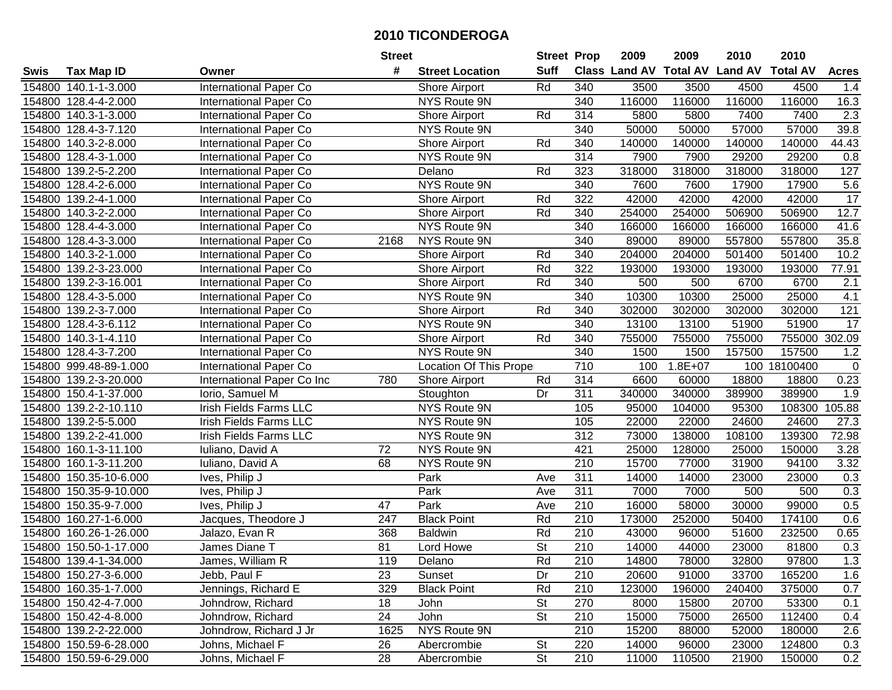|        |                        |                               | <b>Street</b> |                        | <b>Street Prop</b>       |                  | 2009   | 2009        | 2010                           | 2010            |                 |
|--------|------------------------|-------------------------------|---------------|------------------------|--------------------------|------------------|--------|-------------|--------------------------------|-----------------|-----------------|
| Swis   | <b>Tax Map ID</b>      | Owner                         | #             | <b>Street Location</b> | <b>Suff</b>              |                  |        |             | Class Land AV Total AV Land AV | <b>Total AV</b> | <b>Acres</b>    |
|        | 154800 140.1-1-3.000   | International Paper Co        |               | <b>Shore Airport</b>   | Rd                       | 340              | 3500   | 3500        | 4500                           | 4500            | 1.4             |
|        | 154800 128.4-4-2.000   | International Paper Co        |               | NYS Route 9N           |                          | 340              | 116000 | 116000      | 116000                         | 116000          | 16.3            |
|        | 154800 140.3-1-3.000   | International Paper Co        |               | Shore Airport          | Rd                       | 314              | 5800   | 5800        | 7400                           | 7400            | 2.3             |
|        | 154800 128.4-3-7.120   | International Paper Co        |               | NYS Route 9N           |                          | 340              | 50000  | 50000       | 57000                          | 57000           | 39.8            |
|        | 154800 140.3-2-8.000   | International Paper Co        |               | Shore Airport          | Rd                       | 340              | 140000 | 140000      | 140000                         | 140000          | 44.43           |
|        | 154800 128.4-3-1.000   | International Paper Co        |               | NYS Route 9N           |                          | 314              | 7900   | 7900        | 29200                          | 29200           | 0.8             |
|        | 154800 139.2-5-2.200   | International Paper Co        |               | Delano                 | Rd                       | 323              | 318000 | 318000      | 318000                         | 318000          | 127             |
| 154800 | 128.4-2-6.000          | International Paper Co        |               | <b>NYS Route 9N</b>    |                          | 340              | 7600   | 7600        | 17900                          | 17900           | 5.6             |
|        | 154800 139.2-4-1.000   | International Paper Co        |               | Shore Airport          | Rd                       | 322              | 42000  | 42000       | 42000                          | 42000           | $\overline{17}$ |
|        | 154800 140.3-2-2.000   | International Paper Co        |               | <b>Shore Airport</b>   | Rd                       | 340              | 254000 | 254000      | 506900                         | 506900          | 12.7            |
|        | 154800 128.4-4-3.000   | International Paper Co        |               | NYS Route 9N           |                          | 340              | 166000 | 166000      | 166000                         | 166000          | 41.6            |
|        | 154800 128.4-3-3.000   | International Paper Co        | 2168          | NYS Route 9N           |                          | 340              | 89000  | 89000       | 557800                         | 557800          | 35.8            |
|        | 154800 140.3-2-1.000   | <b>International Paper Co</b> |               | Shore Airport          | Rd                       | 340              | 204000 | 204000      | 501400                         | 501400          | 10.2            |
|        | 154800 139.2-3-23.000  | International Paper Co        |               | Shore Airport          | Rd                       | 322              | 193000 | 193000      | 193000                         | 193000          | 77.91           |
|        | 154800 139.2-3-16.001  | International Paper Co        |               | Shore Airport          | Rd                       | 340              | 500    | 500         | 6700                           | 6700            | 2.1             |
|        | 154800 128.4-3-5.000   | International Paper Co        |               | NYS Route 9N           |                          | 340              | 10300  | 10300       | 25000                          | 25000           | 4.1             |
|        | 154800 139.2-3-7.000   | International Paper Co        |               | Shore Airport          | Rd                       | 340              | 302000 | 302000      | 302000                         | 302000          | 121             |
|        | 154800 128.4-3-6.112   | International Paper Co        |               | NYS Route 9N           |                          | 340              | 13100  | 13100       | 51900                          | 51900           | 17              |
|        | 154800 140.3-1-4.110   | International Paper Co        |               | Shore Airport          | Rd                       | 340              | 755000 | 755000      | 755000                         | 755000 302.09   |                 |
|        | 154800 128.4-3-7.200   | International Paper Co        |               | NYS Route 9N           |                          | 340              | 1500   | 1500        | 157500                         | 157500          | 1.2             |
|        | 154800 999.48-89-1.000 | <b>International Paper Co</b> |               | Location Of This Prope |                          | 710              | 100    | $1.8E + 07$ |                                | 100 18100400    | $\mathbf 0$     |
|        | 154800 139.2-3-20.000  | International Paper Co Inc    | 780           | Shore Airport          | Rd                       | 314              | 6600   | 60000       | 18800                          | 18800           | 0.23            |
| 154800 | 150.4-1-37.000         | Iorio, Samuel M               |               | Stoughton              | Dr                       | 311              | 340000 | 340000      | 389900                         | 389900          | 1.9             |
| 154800 | 139.2-2-10.110         | <b>Irish Fields Farms LLC</b> |               | NYS Route 9N           |                          | 105              | 95000  | 104000      | 95300                          | 108300          | 105.88          |
| 154800 | 139.2-5-5.000          | Irish Fields Farms LLC        |               | NYS Route 9N           |                          | 105              | 22000  | 22000       | 24600                          | 24600           | 27.3            |
|        | 154800 139.2-2-41.000  | Irish Fields Farms LLC        |               | NYS Route 9N           |                          | 312              | 73000  | 138000      | 108100                         | 139300          | 72.98           |
|        | 154800 160.1-3-11.100  | Iuliano, David A              | 72            | NYS Route 9N           |                          | 421              | 25000  | 128000      | 25000                          | 150000          | 3.28            |
|        | 154800 160.1-3-11.200  | Iuliano, David A              | 68            | NYS Route 9N           |                          | 210              | 15700  | 77000       | 31900                          | 94100           | 3.32            |
|        | 154800 150.35-10-6.000 | Ives, Philip J                |               | Park                   | Ave                      | 311              | 14000  | 14000       | 23000                          | 23000           | 0.3             |
|        | 154800 150.35-9-10.000 | Ives, Philip J                |               | Park                   | Ave                      | $\overline{311}$ | 7000   | 7000        | 500                            | 500             | 0.3             |
|        | 154800 150.35-9-7.000  | Ives, Philip J                | 47            | Park                   | Ave                      | 210              | 16000  | 58000       | 30000                          | 99000           | 0.5             |
|        | 154800 160.27-1-6.000  | Jacques, Theodore J           | 247           | <b>Black Point</b>     | Rd                       | 210              | 173000 | 252000      | 50400                          | 174100          | 0.6             |
|        | 154800 160.26-1-26.000 | Jalazo, Evan R                | 368           | <b>Baldwin</b>         | Rd                       | $\overline{210}$ | 43000  | 96000       | 51600                          | 232500          | 0.65            |
|        | 154800 150.50-1-17.000 | James Diane T                 | 81            | Lord Howe              | $\overline{\mathsf{St}}$ | 210              | 14000  | 44000       | 23000                          | 81800           | 0.3             |
|        | 154800 139.4-1-34.000  | James, William R              | 119           | Delano                 | Rd                       | 210              | 14800  | 78000       | 32800                          | 97800           | 1.3             |
|        | 154800 150.27-3-6.000  | Jebb, Paul F                  | 23            | Sunset                 | Dr                       | 210              | 20600  | 91000       | 33700                          | 165200          | 1.6             |
|        | 154800 160.35-1-7.000  | Jennings, Richard E           | 329           | <b>Black Point</b>     | Rd                       | 210              | 123000 | 196000      | 240400                         | 375000          | 0.7             |
|        | 154800 150.42-4-7.000  | Johndrow, Richard             | 18            | John                   | <b>St</b>                | 270              | 8000   | 15800       | 20700                          | 53300           | 0.1             |
|        | 154800 150.42-4-8.000  | Johndrow, Richard             | 24            | John                   | <b>St</b>                | 210              | 15000  | 75000       | 26500                          | 112400          | 0.4             |
|        | 154800 139.2-2-22.000  | Johndrow, Richard J Jr        | 1625          | NYS Route 9N           |                          | 210              | 15200  | 88000       | 52000                          | 180000          | 2.6             |
|        | 154800 150.59-6-28.000 | Johns, Michael F              | 26            | Abercrombie            | <b>St</b>                | 220              | 14000  | 96000       | 23000                          | 124800          | 0.3             |
|        | 154800 150.59-6-29.000 | Johns, Michael F              | 28            | Abercrombie            | $\overline{\mathsf{St}}$ | 210              | 11000  | 110500      | 21900                          | 150000          | 0.2             |
|        |                        |                               |               |                        |                          |                  |        |             |                                |                 |                 |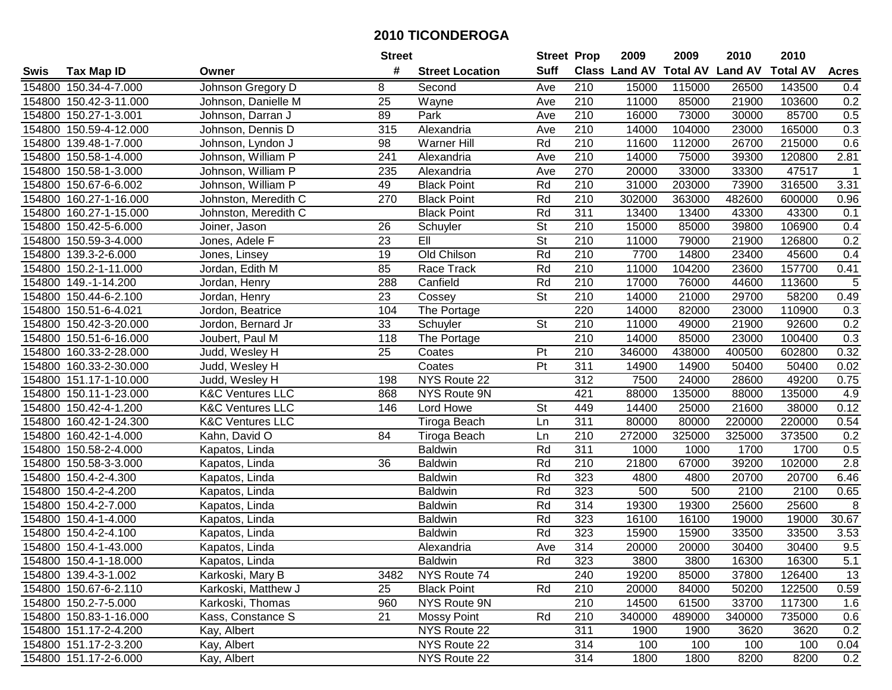|        |                        |                             | <b>Street</b>   |                        | <b>Street Prop</b>       |                  | 2009                          | 2009   | 2010           | 2010            |                |
|--------|------------------------|-----------------------------|-----------------|------------------------|--------------------------|------------------|-------------------------------|--------|----------------|-----------------|----------------|
| Swis   | <b>Tax Map ID</b>      | Owner                       | #               | <b>Street Location</b> | <b>Suff</b>              |                  | <b>Class Land AV Total AV</b> |        | <b>Land AV</b> | <b>Total AV</b> | <b>Acres</b>   |
|        | 154800 150.34-4-7.000  | Johnson Gregory D           | 8               | Second                 | Ave                      | 210              | 15000                         | 115000 | 26500          | 143500          | 0.4            |
|        | 154800 150.42-3-11.000 | Johnson, Danielle M         | 25              | Wayne                  | Ave                      | 210              | 11000                         | 85000  | 21900          | 103600          | 0.2            |
|        | 154800 150.27-1-3.001  | Johnson, Darran J           | 89              | Park                   | Ave                      | 210              | 16000                         | 73000  | 30000          | 85700           | 0.5            |
|        | 154800 150.59-4-12.000 | Johnson, Dennis D           | 315             | Alexandria             | Ave                      | 210              | 14000                         | 104000 | 23000          | 165000          | 0.3            |
|        | 154800 139.48-1-7.000  | Johnson, Lyndon J           | 98              | Warner Hill            | Rd                       | 210              | 11600                         | 112000 | 26700          | 215000          | 0.6            |
|        | 154800 150.58-1-4.000  | Johnson, William P          | 241             | Alexandria             | Ave                      | 210              | 14000                         | 75000  | 39300          | 120800          | 2.81           |
|        | 154800 150.58-1-3.000  | Johnson, William P          | 235             | Alexandria             | Ave                      | 270              | 20000                         | 33000  | 33300          | 47517           | -1             |
| 154800 | 150.67-6-6.002         | Johnson, William P          | 49              | <b>Black Point</b>     | Rd                       | 210              | 31000                         | 203000 | 73900          | 316500          | 3.31           |
|        | 154800 160.27-1-16.000 | Johnston, Meredith C        | 270             | <b>Black Point</b>     | Rd                       | $\overline{210}$ | 302000                        | 363000 | 482600         | 600000          | 0.96           |
|        | 154800 160.27-1-15.000 | Johnston, Meredith C        |                 | <b>Black Point</b>     | Rd                       | 311              | 13400                         | 13400  | 43300          | 43300           | 0.1            |
|        | 154800 150.42-5-6.000  | Joiner, Jason               | 26              | Schuyler               | $\overline{\mathsf{St}}$ | 210              | 15000                         | 85000  | 39800          | 106900          | 0.4            |
|        | 154800 150.59-3-4.000  | Jones, Adele F              | 23              | EII                    | <b>St</b>                | 210              | 11000                         | 79000  | 21900          | 126800          | 0.2            |
|        | 154800 139.3-2-6.000   | Jones, Linsey               | $\overline{19}$ | Old Chilson            | Rd                       | 210              | 7700                          | 14800  | 23400          | 45600           | 0.4            |
|        | 154800 150.2-1-11.000  | Jordan, Edith M             | 85              | Race Track             | Rd                       | 210              | 11000                         | 104200 | 23600          | 157700          | 0.41           |
|        | 154800 149.-1-14.200   | Jordan, Henry               | 288             | Canfield               | Rd                       | 210              | 17000                         | 76000  | 44600          | 113600          | 5              |
|        | 154800 150.44-6-2.100  | Jordan, Henry               | 23              | Cossey                 | <b>St</b>                | 210              | 14000                         | 21000  | 29700          | 58200           | 0.49           |
|        | 154800 150.51-6-4.021  | Jordon, Beatrice            | 104             | The Portage            |                          | 220              | 14000                         | 82000  | 23000          | 110900          | 0.3            |
|        | 154800 150.42-3-20.000 | Jordon, Bernard Jr          | 33              | Schuyler               | <b>St</b>                | 210              | 11000                         | 49000  | 21900          | 92600           | 0.2            |
|        | 154800 150.51-6-16.000 | Joubert, Paul M             | 118             | The Portage            |                          | 210              | 14000                         | 85000  | 23000          | 100400          | 0.3            |
|        | 154800 160.33-2-28.000 | Judd, Wesley H              | 25              | Coates                 | Pt                       | 210              | 346000                        | 438000 | 400500         | 602800          | 0.32           |
|        | 154800 160.33-2-30.000 | Judd, Wesley H              |                 | Coates                 | $\overline{Pt}$          | 311              | 14900                         | 14900  | 50400          | 50400           | 0.02           |
|        | 154800 151.17-1-10.000 | Judd, Wesley H              | 198             | NYS Route 22           |                          | 312              | 7500                          | 24000  | 28600          | 49200           | 0.75           |
| 154800 | 150.11-1-23.000        | <b>K&amp;C Ventures LLC</b> | 868             | NYS Route 9N           |                          | 421              | 88000                         | 135000 | 88000          | 135000          | 4.9            |
| 154800 | 150.42-4-1.200         | <b>K&amp;C Ventures LLC</b> | 146             | Lord Howe              | <b>St</b>                | 449              | 14400                         | 25000  | 21600          | 38000           | 0.12           |
|        | 154800 160.42-1-24.300 | <b>K&amp;C Ventures LLC</b> |                 | Tiroga Beach           | Ln                       | 311              | 80000                         | 80000  | 220000         | 220000          | 0.54           |
|        | 154800 160.42-1-4.000  | Kahn, David O               | 84              | Tiroga Beach           | Ln                       | 210              | 272000                        | 325000 | 325000         | 373500          | 0.2            |
|        | 154800 150.58-2-4.000  | Kapatos, Linda              |                 | <b>Baldwin</b>         | Rd                       | $\overline{311}$ | 1000                          | 1000   | 1700           | 1700            | 0.5            |
|        | 154800 150.58-3-3.000  | Kapatos, Linda              | 36              | <b>Baldwin</b>         | Rd                       | 210              | 21800                         | 67000  | 39200          | 102000          | 2.8            |
|        | 154800 150.4-2-4.300   | Kapatos, Linda              |                 | <b>Baldwin</b>         | Rd                       | 323              | 4800                          | 4800   | 20700          | 20700           | 6.46           |
|        | 154800 150.4-2-4.200   | Kapatos, Linda              |                 | <b>Baldwin</b>         | Rd                       | 323              | 500                           | 500    | 2100           | 2100            | 0.65           |
|        | 154800 150.4-2-7.000   | Kapatos, Linda              |                 | <b>Baldwin</b>         | Rd                       | 314              | 19300                         | 19300  | 25600          | 25600           | $\overline{8}$ |
|        | 154800 150.4-1-4.000   | Kapatos, Linda              |                 | <b>Baldwin</b>         | Rd                       | 323              | 16100                         | 16100  | 19000          | 19000           | 30.67          |
|        | 154800 150.4-2-4.100   | Kapatos, Linda              |                 | <b>Baldwin</b>         | Rd                       | 323              | 15900                         | 15900  | 33500          | 33500           | 3.53           |
|        | 154800 150.4-1-43.000  | Kapatos, Linda              |                 | Alexandria             | Ave                      | 314              | 20000                         | 20000  | 30400          | 30400           | 9.5            |
|        | 154800 150.4-1-18.000  | Kapatos, Linda              |                 | <b>Baldwin</b>         | Rd                       | 323              | 3800                          | 3800   | 16300          | 16300           | $5.1$          |
|        | 154800 139.4-3-1.002   | Karkoski, Mary B            | 3482            | NYS Route 74           |                          | 240              | 19200                         | 85000  | 37800          | 126400          | 13             |
|        | 154800 150.67-6-2.110  | Karkoski, Matthew J         | 25              | <b>Black Point</b>     | Rd                       | 210              | 20000                         | 84000  | 50200          | 122500          | 0.59           |
|        | 154800 150.2-7-5.000   | Karkoski, Thomas            | 960             | NYS Route 9N           |                          | 210              | 14500                         | 61500  | 33700          | 117300          | 1.6            |
|        | 154800 150.83-1-16.000 | Kass, Constance S           | 21              | <b>Mossy Point</b>     | Rd                       | 210              | 340000                        | 489000 | 340000         | 735000          | 0.6            |
|        | 154800 151.17-2-4.200  | Kay, Albert                 |                 | NYS Route 22           |                          | 311              | 1900                          | 1900   | 3620           | 3620            | 0.2            |
|        | 154800 151.17-2-3.200  | Kay, Albert                 |                 | NYS Route 22           |                          | 314              | 100                           | 100    | 100            | 100             | 0.04           |
|        | 154800 151.17-2-6.000  | Kay, Albert                 |                 | NYS Route 22           |                          | 314              | 1800                          | 1800   | 8200           | 8200            | 0.2            |
|        |                        |                             |                 |                        |                          |                  |                               |        |                |                 |                |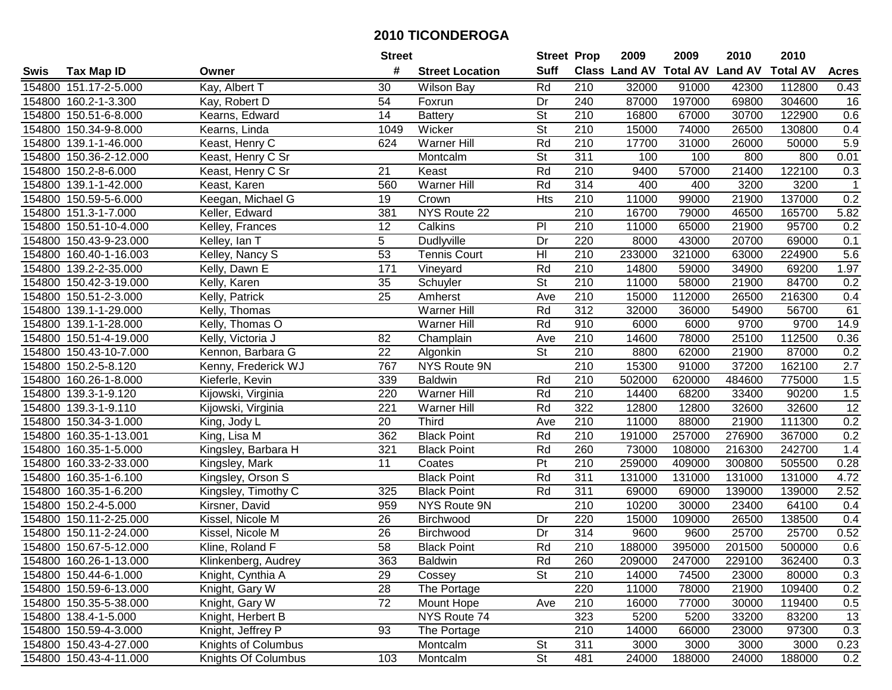| #<br><b>Suff</b><br><b>Class Land AV Total AV</b><br><b>Land AV</b><br><b>Total AV</b><br><b>Tax Map ID</b><br><b>Street Location</b><br><b>Acres</b><br>Swis<br>Owner<br>30<br>Rd<br>210<br>154800 151.17-2-5.000<br>Kay, Albert T<br>32000<br>91000<br>42300<br>112800<br>0.43<br><b>Wilson Bay</b><br>154800 160.2-1-3.300<br>54<br>Foxrun<br>Dr<br>240<br>87000<br>197000<br>69800<br>304600<br>16<br>Kay, Robert D<br><b>St</b><br>154800 150.51-6-8.000<br>Kearns, Edward<br>14<br><b>Battery</b><br>210<br>16800<br>67000<br>30700<br>122900<br>0.6<br>$\overline{\mathsf{St}}$<br>Wicker<br>210<br>15000<br>26500<br>130800<br>154800 150.34-9-8.000<br>Kearns, Linda<br>1049<br>74000<br>0.4<br>5.9<br>154800 139.1-1-46.000<br>Keast, Henry C<br>624<br>Warner Hill<br>Rd<br>210<br>17700<br>31000<br>26000<br>50000<br>311<br>154800 150.36-2-12.000<br>Keast, Henry C Sr<br><b>St</b><br>100<br>100<br>800<br>800<br>0.01<br>Montcalm<br>122100<br>21<br>Rd<br>210<br>9400<br>57000<br>21400<br>0.3<br>154800 150.2-8-6.000<br>Keast, Henry C Sr<br>Keast<br><b>Warner Hill</b><br>314<br>Rd<br>400<br>400<br>3200<br>3200<br>154800 139.1-1-42.000<br>Keast, Karen<br>560<br>$\mathbf{1}$<br>$\overline{210}$<br>137000<br>0.2<br>154800 150.59-5-6.000<br>Keegan, Michael G<br>19<br>Crown<br><b>Hts</b><br>11000<br>99000<br>21900<br>NYS Route 22<br>210<br>154800 151.3-1-7.000<br>Keller, Edward<br>381<br>16700<br>79000<br>46500<br>165700<br>5.82<br>12<br>Calkins<br>PI<br>210<br>154800 150.51-10-4.000<br>Kelley, Frances<br>11000<br>65000<br>21900<br>95700<br>0.2<br>5<br>154800 150.43-9-23.000<br>Kelley, Ian T<br><b>Dudlyville</b><br>Dr<br>220<br>8000<br>43000<br>20700<br>69000<br>0.1<br>53<br>$\overline{H}$<br>210<br>5.6<br>233000<br>321000<br>63000<br>224900<br>154800 160.40-1-16.003<br>Kelley, Nancy S<br><b>Tennis Court</b><br>171<br>Rd<br>210<br>154800 139.2-2-35.000<br>14800<br>34900<br>69200<br>1.97<br>Kelly, Dawn E<br>Vineyard<br>59000<br>$\overline{\mathsf{St}}$<br>35<br>210<br>84700<br>154800 150.42-3-19.000<br>Kelly, Karen<br>11000<br>58000<br>21900<br>0.2<br>Schuyler<br>25<br>210<br>154800 150.51-2-3.000<br>Ave<br>15000<br>112000<br>26500<br>216300<br>0.4<br>Kelly, Patrick<br>Amherst<br>$\overline{312}$<br>Rd<br>61<br>154800 139.1-1-29.000<br>Warner Hill<br>32000<br>36000<br>54900<br>56700<br>Kelly, Thomas<br>Rd<br>14.9<br>910<br>6000<br>6000<br>9700<br>9700<br>154800 139.1-1-28.000<br>Kelly, Thomas O<br><b>Warner Hill</b><br>154800 150.51-4-19.000<br>82<br>210<br>14600<br>78000<br>25100<br>112500<br>0.36<br>Kelly, Victoria J<br>Champlain<br>Ave<br>154800 150.43-10-7.000<br>Kennon, Barbara G<br>22<br><b>St</b><br>210<br>8800<br>62000<br>21900<br>87000<br>0.2<br>Algonkin<br>154800 150.2-5-8.120<br>NYS Route 9N<br>210<br>15300<br>91000<br>37200<br>162100<br>2.7<br>Kenny, Frederick WJ<br>767<br>1.5<br>154800 160.26-1-8.000<br>Kieferle, Kevin<br>339<br><b>Baldwin</b><br>Rd<br>210<br>502000<br>620000<br>484600<br>775000<br>1.5<br>Rd<br>154800 139.3-1-9.120<br>220<br><b>Warner Hill</b><br>210<br>14400<br>68200<br>33400<br>90200<br>Kijowski, Virginia<br>12<br>154800<br>139.3-1-9.110<br>221<br>Rd<br>322<br>12800<br>12800<br>32600<br>32600<br>Kijowski, Virginia<br>Warner Hill<br>Third<br>$\overline{210}$<br>0.2<br>20<br>11000<br>21900<br>154800 150.34-3-1.000<br>Ave<br>88000<br>111300<br>King, Jody L<br>King, Lisa M<br>362<br><b>Black Point</b><br>Rd<br>210<br>257000<br>276900<br>0.2<br>154800 160.35-1-13.001<br>191000<br>367000<br>321<br>Rd<br>260<br>216300<br>1.4<br>154800 160.35-1-5.000<br>Kingsley, Barbara H<br><b>Black Point</b><br>73000<br>108000<br>242700<br>Pt<br>154800 160.33-2-33.000<br>11<br>210<br>259000<br>409000<br>300800<br>505500<br>0.28<br>Kingsley, Mark<br>Coates<br>Rd<br>$\overline{311}$<br>154800 160.35-1-6.100<br><b>Black Point</b><br>131000<br>131000<br>131000<br>4.72<br>Kingsley, Orson S<br>131000<br>Rd<br>311<br>154800 160.35-1-6.200<br>325<br><b>Black Point</b><br>69000<br>69000<br>139000<br>139000<br>2.52<br>Kingsley, Timothy C<br>$\overline{210}$<br>10200<br>23400<br>154800 150.2-4-5.000<br>959<br>NYS Route 9N<br>30000<br>64100<br>0.4<br>Kirsner, David<br>154800 150.11-2-25.000<br>26<br>220<br>26500<br>138500<br>0.4<br>Kissel, Nicole M<br>Dr<br>15000<br>109000<br>Birchwood<br>$\overline{26}$<br>314<br>9600<br>25700<br>25700<br>154800 150.11-2-24.000<br>Dr<br>9600<br>0.52<br>Kissel, Nicole M<br><b>Birchwood</b><br>58<br>Rd<br>$\overline{210}$<br>154800 150.67-5-12.000<br>188000<br>395000<br>201500<br>500000<br>0.6<br>Kline, Roland F<br><b>Black Point</b><br>154800 160.26-1-13.000<br>Klinkenberg, Audrey<br>363<br><b>Baldwin</b><br>Rd<br>260<br>209000<br>247000<br>229100<br>362400<br>0.3<br><b>St</b><br>154800 150.44-6-1.000<br>Knight, Cynthia A<br>29<br>Cossey<br>210<br>14000<br>74500<br>23000<br>80000<br>0.3<br>28<br>The Portage<br>220<br>11000<br>109400<br>0.2<br>154800 150.59-6-13.000<br>Knight, Gary W<br>78000<br>21900<br>72<br>154800 150.35-5-38.000<br>Knight, Gary W<br>Mount Hope<br>210<br>16000<br>77000<br>30000<br>119400<br>0.5<br>Ave<br>NYS Route 74<br>323<br>5200<br>83200<br>13<br>154800 138.4-1-5.000<br>Knight, Herbert B<br>5200<br>33200<br>Knight, Jeffrey P<br>93<br>210<br>0.3<br>154800 150.59-4-3.000<br>The Portage<br>14000<br>66000<br>23000<br>97300<br><b>St</b><br>154800 150.43-4-27.000<br>Knights of Columbus<br>Montcalm<br>311<br>3000<br>3000<br>3000<br>3000<br>0.23<br>$\overline{\mathsf{St}}$<br>154800 150.43-4-11.000<br>481<br>Knights Of Columbus<br>103<br>Montcalm<br>24000<br>188000<br>24000<br>188000<br>0.2 |  | <b>Street</b> | <b>Street Prop</b> | 2009 | 2009 | 2010 | 2010 |  |
|------------------------------------------------------------------------------------------------------------------------------------------------------------------------------------------------------------------------------------------------------------------------------------------------------------------------------------------------------------------------------------------------------------------------------------------------------------------------------------------------------------------------------------------------------------------------------------------------------------------------------------------------------------------------------------------------------------------------------------------------------------------------------------------------------------------------------------------------------------------------------------------------------------------------------------------------------------------------------------------------------------------------------------------------------------------------------------------------------------------------------------------------------------------------------------------------------------------------------------------------------------------------------------------------------------------------------------------------------------------------------------------------------------------------------------------------------------------------------------------------------------------------------------------------------------------------------------------------------------------------------------------------------------------------------------------------------------------------------------------------------------------------------------------------------------------------------------------------------------------------------------------------------------------------------------------------------------------------------------------------------------------------------------------------------------------------------------------------------------------------------------------------------------------------------------------------------------------------------------------------------------------------------------------------------------------------------------------------------------------------------------------------------------------------------------------------------------------------------------------------------------------------------------------------------------------------------------------------------------------------------------------------------------------------------------------------------------------------------------------------------------------------------------------------------------------------------------------------------------------------------------------------------------------------------------------------------------------------------------------------------------------------------------------------------------------------------------------------------------------------------------------------------------------------------------------------------------------------------------------------------------------------------------------------------------------------------------------------------------------------------------------------------------------------------------------------------------------------------------------------------------------------------------------------------------------------------------------------------------------------------------------------------------------------------------------------------------------------------------------------------------------------------------------------------------------------------------------------------------------------------------------------------------------------------------------------------------------------------------------------------------------------------------------------------------------------------------------------------------------------------------------------------------------------------------------------------------------------------------------------------------------------------------------------------------------------------------------------------------------------------------------------------------------------------------------------------------------------------------------------------------------------------------------------------------------------------------------------------------------------------------------------------------------------------------------------------------------------------------------------------------------------------------------------------------------------------------------------------------------------------------------------------------------------------------------------------------------------------------------------------------------------------------------------------------------------------------------------------------------------------------------------------------------------------------------------------------------------------------------------------------------------------------------------------------------------------------------------------------------------------------------------------------------------------------------------------------------------------------------------------------------------------------------------------------------------------------------------------------------------------------------------------------------------------------------------------------------------------|--|---------------|--------------------|------|------|------|------|--|
|                                                                                                                                                                                                                                                                                                                                                                                                                                                                                                                                                                                                                                                                                                                                                                                                                                                                                                                                                                                                                                                                                                                                                                                                                                                                                                                                                                                                                                                                                                                                                                                                                                                                                                                                                                                                                                                                                                                                                                                                                                                                                                                                                                                                                                                                                                                                                                                                                                                                                                                                                                                                                                                                                                                                                                                                                                                                                                                                                                                                                                                                                                                                                                                                                                                                                                                                                                                                                                                                                                                                                                                                                                                                                                                                                                                                                                                                                                                                                                                                                                                                                                                                                                                                                                                                                                                                                                                                                                                                                                                                                                                                                                                                                                                                                                                                                                                                                                                                                                                                                                                                                                                                                                                                                                                                                                                                                                                                                                                                                                                                                                                                                                                                                                                              |  |               |                    |      |      |      |      |  |
|                                                                                                                                                                                                                                                                                                                                                                                                                                                                                                                                                                                                                                                                                                                                                                                                                                                                                                                                                                                                                                                                                                                                                                                                                                                                                                                                                                                                                                                                                                                                                                                                                                                                                                                                                                                                                                                                                                                                                                                                                                                                                                                                                                                                                                                                                                                                                                                                                                                                                                                                                                                                                                                                                                                                                                                                                                                                                                                                                                                                                                                                                                                                                                                                                                                                                                                                                                                                                                                                                                                                                                                                                                                                                                                                                                                                                                                                                                                                                                                                                                                                                                                                                                                                                                                                                                                                                                                                                                                                                                                                                                                                                                                                                                                                                                                                                                                                                                                                                                                                                                                                                                                                                                                                                                                                                                                                                                                                                                                                                                                                                                                                                                                                                                                              |  |               |                    |      |      |      |      |  |
|                                                                                                                                                                                                                                                                                                                                                                                                                                                                                                                                                                                                                                                                                                                                                                                                                                                                                                                                                                                                                                                                                                                                                                                                                                                                                                                                                                                                                                                                                                                                                                                                                                                                                                                                                                                                                                                                                                                                                                                                                                                                                                                                                                                                                                                                                                                                                                                                                                                                                                                                                                                                                                                                                                                                                                                                                                                                                                                                                                                                                                                                                                                                                                                                                                                                                                                                                                                                                                                                                                                                                                                                                                                                                                                                                                                                                                                                                                                                                                                                                                                                                                                                                                                                                                                                                                                                                                                                                                                                                                                                                                                                                                                                                                                                                                                                                                                                                                                                                                                                                                                                                                                                                                                                                                                                                                                                                                                                                                                                                                                                                                                                                                                                                                                              |  |               |                    |      |      |      |      |  |
|                                                                                                                                                                                                                                                                                                                                                                                                                                                                                                                                                                                                                                                                                                                                                                                                                                                                                                                                                                                                                                                                                                                                                                                                                                                                                                                                                                                                                                                                                                                                                                                                                                                                                                                                                                                                                                                                                                                                                                                                                                                                                                                                                                                                                                                                                                                                                                                                                                                                                                                                                                                                                                                                                                                                                                                                                                                                                                                                                                                                                                                                                                                                                                                                                                                                                                                                                                                                                                                                                                                                                                                                                                                                                                                                                                                                                                                                                                                                                                                                                                                                                                                                                                                                                                                                                                                                                                                                                                                                                                                                                                                                                                                                                                                                                                                                                                                                                                                                                                                                                                                                                                                                                                                                                                                                                                                                                                                                                                                                                                                                                                                                                                                                                                                              |  |               |                    |      |      |      |      |  |
|                                                                                                                                                                                                                                                                                                                                                                                                                                                                                                                                                                                                                                                                                                                                                                                                                                                                                                                                                                                                                                                                                                                                                                                                                                                                                                                                                                                                                                                                                                                                                                                                                                                                                                                                                                                                                                                                                                                                                                                                                                                                                                                                                                                                                                                                                                                                                                                                                                                                                                                                                                                                                                                                                                                                                                                                                                                                                                                                                                                                                                                                                                                                                                                                                                                                                                                                                                                                                                                                                                                                                                                                                                                                                                                                                                                                                                                                                                                                                                                                                                                                                                                                                                                                                                                                                                                                                                                                                                                                                                                                                                                                                                                                                                                                                                                                                                                                                                                                                                                                                                                                                                                                                                                                                                                                                                                                                                                                                                                                                                                                                                                                                                                                                                                              |  |               |                    |      |      |      |      |  |
|                                                                                                                                                                                                                                                                                                                                                                                                                                                                                                                                                                                                                                                                                                                                                                                                                                                                                                                                                                                                                                                                                                                                                                                                                                                                                                                                                                                                                                                                                                                                                                                                                                                                                                                                                                                                                                                                                                                                                                                                                                                                                                                                                                                                                                                                                                                                                                                                                                                                                                                                                                                                                                                                                                                                                                                                                                                                                                                                                                                                                                                                                                                                                                                                                                                                                                                                                                                                                                                                                                                                                                                                                                                                                                                                                                                                                                                                                                                                                                                                                                                                                                                                                                                                                                                                                                                                                                                                                                                                                                                                                                                                                                                                                                                                                                                                                                                                                                                                                                                                                                                                                                                                                                                                                                                                                                                                                                                                                                                                                                                                                                                                                                                                                                                              |  |               |                    |      |      |      |      |  |
|                                                                                                                                                                                                                                                                                                                                                                                                                                                                                                                                                                                                                                                                                                                                                                                                                                                                                                                                                                                                                                                                                                                                                                                                                                                                                                                                                                                                                                                                                                                                                                                                                                                                                                                                                                                                                                                                                                                                                                                                                                                                                                                                                                                                                                                                                                                                                                                                                                                                                                                                                                                                                                                                                                                                                                                                                                                                                                                                                                                                                                                                                                                                                                                                                                                                                                                                                                                                                                                                                                                                                                                                                                                                                                                                                                                                                                                                                                                                                                                                                                                                                                                                                                                                                                                                                                                                                                                                                                                                                                                                                                                                                                                                                                                                                                                                                                                                                                                                                                                                                                                                                                                                                                                                                                                                                                                                                                                                                                                                                                                                                                                                                                                                                                                              |  |               |                    |      |      |      |      |  |
|                                                                                                                                                                                                                                                                                                                                                                                                                                                                                                                                                                                                                                                                                                                                                                                                                                                                                                                                                                                                                                                                                                                                                                                                                                                                                                                                                                                                                                                                                                                                                                                                                                                                                                                                                                                                                                                                                                                                                                                                                                                                                                                                                                                                                                                                                                                                                                                                                                                                                                                                                                                                                                                                                                                                                                                                                                                                                                                                                                                                                                                                                                                                                                                                                                                                                                                                                                                                                                                                                                                                                                                                                                                                                                                                                                                                                                                                                                                                                                                                                                                                                                                                                                                                                                                                                                                                                                                                                                                                                                                                                                                                                                                                                                                                                                                                                                                                                                                                                                                                                                                                                                                                                                                                                                                                                                                                                                                                                                                                                                                                                                                                                                                                                                                              |  |               |                    |      |      |      |      |  |
|                                                                                                                                                                                                                                                                                                                                                                                                                                                                                                                                                                                                                                                                                                                                                                                                                                                                                                                                                                                                                                                                                                                                                                                                                                                                                                                                                                                                                                                                                                                                                                                                                                                                                                                                                                                                                                                                                                                                                                                                                                                                                                                                                                                                                                                                                                                                                                                                                                                                                                                                                                                                                                                                                                                                                                                                                                                                                                                                                                                                                                                                                                                                                                                                                                                                                                                                                                                                                                                                                                                                                                                                                                                                                                                                                                                                                                                                                                                                                                                                                                                                                                                                                                                                                                                                                                                                                                                                                                                                                                                                                                                                                                                                                                                                                                                                                                                                                                                                                                                                                                                                                                                                                                                                                                                                                                                                                                                                                                                                                                                                                                                                                                                                                                                              |  |               |                    |      |      |      |      |  |
|                                                                                                                                                                                                                                                                                                                                                                                                                                                                                                                                                                                                                                                                                                                                                                                                                                                                                                                                                                                                                                                                                                                                                                                                                                                                                                                                                                                                                                                                                                                                                                                                                                                                                                                                                                                                                                                                                                                                                                                                                                                                                                                                                                                                                                                                                                                                                                                                                                                                                                                                                                                                                                                                                                                                                                                                                                                                                                                                                                                                                                                                                                                                                                                                                                                                                                                                                                                                                                                                                                                                                                                                                                                                                                                                                                                                                                                                                                                                                                                                                                                                                                                                                                                                                                                                                                                                                                                                                                                                                                                                                                                                                                                                                                                                                                                                                                                                                                                                                                                                                                                                                                                                                                                                                                                                                                                                                                                                                                                                                                                                                                                                                                                                                                                              |  |               |                    |      |      |      |      |  |
|                                                                                                                                                                                                                                                                                                                                                                                                                                                                                                                                                                                                                                                                                                                                                                                                                                                                                                                                                                                                                                                                                                                                                                                                                                                                                                                                                                                                                                                                                                                                                                                                                                                                                                                                                                                                                                                                                                                                                                                                                                                                                                                                                                                                                                                                                                                                                                                                                                                                                                                                                                                                                                                                                                                                                                                                                                                                                                                                                                                                                                                                                                                                                                                                                                                                                                                                                                                                                                                                                                                                                                                                                                                                                                                                                                                                                                                                                                                                                                                                                                                                                                                                                                                                                                                                                                                                                                                                                                                                                                                                                                                                                                                                                                                                                                                                                                                                                                                                                                                                                                                                                                                                                                                                                                                                                                                                                                                                                                                                                                                                                                                                                                                                                                                              |  |               |                    |      |      |      |      |  |
|                                                                                                                                                                                                                                                                                                                                                                                                                                                                                                                                                                                                                                                                                                                                                                                                                                                                                                                                                                                                                                                                                                                                                                                                                                                                                                                                                                                                                                                                                                                                                                                                                                                                                                                                                                                                                                                                                                                                                                                                                                                                                                                                                                                                                                                                                                                                                                                                                                                                                                                                                                                                                                                                                                                                                                                                                                                                                                                                                                                                                                                                                                                                                                                                                                                                                                                                                                                                                                                                                                                                                                                                                                                                                                                                                                                                                                                                                                                                                                                                                                                                                                                                                                                                                                                                                                                                                                                                                                                                                                                                                                                                                                                                                                                                                                                                                                                                                                                                                                                                                                                                                                                                                                                                                                                                                                                                                                                                                                                                                                                                                                                                                                                                                                                              |  |               |                    |      |      |      |      |  |
|                                                                                                                                                                                                                                                                                                                                                                                                                                                                                                                                                                                                                                                                                                                                                                                                                                                                                                                                                                                                                                                                                                                                                                                                                                                                                                                                                                                                                                                                                                                                                                                                                                                                                                                                                                                                                                                                                                                                                                                                                                                                                                                                                                                                                                                                                                                                                                                                                                                                                                                                                                                                                                                                                                                                                                                                                                                                                                                                                                                                                                                                                                                                                                                                                                                                                                                                                                                                                                                                                                                                                                                                                                                                                                                                                                                                                                                                                                                                                                                                                                                                                                                                                                                                                                                                                                                                                                                                                                                                                                                                                                                                                                                                                                                                                                                                                                                                                                                                                                                                                                                                                                                                                                                                                                                                                                                                                                                                                                                                                                                                                                                                                                                                                                                              |  |               |                    |      |      |      |      |  |
|                                                                                                                                                                                                                                                                                                                                                                                                                                                                                                                                                                                                                                                                                                                                                                                                                                                                                                                                                                                                                                                                                                                                                                                                                                                                                                                                                                                                                                                                                                                                                                                                                                                                                                                                                                                                                                                                                                                                                                                                                                                                                                                                                                                                                                                                                                                                                                                                                                                                                                                                                                                                                                                                                                                                                                                                                                                                                                                                                                                                                                                                                                                                                                                                                                                                                                                                                                                                                                                                                                                                                                                                                                                                                                                                                                                                                                                                                                                                                                                                                                                                                                                                                                                                                                                                                                                                                                                                                                                                                                                                                                                                                                                                                                                                                                                                                                                                                                                                                                                                                                                                                                                                                                                                                                                                                                                                                                                                                                                                                                                                                                                                                                                                                                                              |  |               |                    |      |      |      |      |  |
|                                                                                                                                                                                                                                                                                                                                                                                                                                                                                                                                                                                                                                                                                                                                                                                                                                                                                                                                                                                                                                                                                                                                                                                                                                                                                                                                                                                                                                                                                                                                                                                                                                                                                                                                                                                                                                                                                                                                                                                                                                                                                                                                                                                                                                                                                                                                                                                                                                                                                                                                                                                                                                                                                                                                                                                                                                                                                                                                                                                                                                                                                                                                                                                                                                                                                                                                                                                                                                                                                                                                                                                                                                                                                                                                                                                                                                                                                                                                                                                                                                                                                                                                                                                                                                                                                                                                                                                                                                                                                                                                                                                                                                                                                                                                                                                                                                                                                                                                                                                                                                                                                                                                                                                                                                                                                                                                                                                                                                                                                                                                                                                                                                                                                                                              |  |               |                    |      |      |      |      |  |
|                                                                                                                                                                                                                                                                                                                                                                                                                                                                                                                                                                                                                                                                                                                                                                                                                                                                                                                                                                                                                                                                                                                                                                                                                                                                                                                                                                                                                                                                                                                                                                                                                                                                                                                                                                                                                                                                                                                                                                                                                                                                                                                                                                                                                                                                                                                                                                                                                                                                                                                                                                                                                                                                                                                                                                                                                                                                                                                                                                                                                                                                                                                                                                                                                                                                                                                                                                                                                                                                                                                                                                                                                                                                                                                                                                                                                                                                                                                                                                                                                                                                                                                                                                                                                                                                                                                                                                                                                                                                                                                                                                                                                                                                                                                                                                                                                                                                                                                                                                                                                                                                                                                                                                                                                                                                                                                                                                                                                                                                                                                                                                                                                                                                                                                              |  |               |                    |      |      |      |      |  |
|                                                                                                                                                                                                                                                                                                                                                                                                                                                                                                                                                                                                                                                                                                                                                                                                                                                                                                                                                                                                                                                                                                                                                                                                                                                                                                                                                                                                                                                                                                                                                                                                                                                                                                                                                                                                                                                                                                                                                                                                                                                                                                                                                                                                                                                                                                                                                                                                                                                                                                                                                                                                                                                                                                                                                                                                                                                                                                                                                                                                                                                                                                                                                                                                                                                                                                                                                                                                                                                                                                                                                                                                                                                                                                                                                                                                                                                                                                                                                                                                                                                                                                                                                                                                                                                                                                                                                                                                                                                                                                                                                                                                                                                                                                                                                                                                                                                                                                                                                                                                                                                                                                                                                                                                                                                                                                                                                                                                                                                                                                                                                                                                                                                                                                                              |  |               |                    |      |      |      |      |  |
|                                                                                                                                                                                                                                                                                                                                                                                                                                                                                                                                                                                                                                                                                                                                                                                                                                                                                                                                                                                                                                                                                                                                                                                                                                                                                                                                                                                                                                                                                                                                                                                                                                                                                                                                                                                                                                                                                                                                                                                                                                                                                                                                                                                                                                                                                                                                                                                                                                                                                                                                                                                                                                                                                                                                                                                                                                                                                                                                                                                                                                                                                                                                                                                                                                                                                                                                                                                                                                                                                                                                                                                                                                                                                                                                                                                                                                                                                                                                                                                                                                                                                                                                                                                                                                                                                                                                                                                                                                                                                                                                                                                                                                                                                                                                                                                                                                                                                                                                                                                                                                                                                                                                                                                                                                                                                                                                                                                                                                                                                                                                                                                                                                                                                                                              |  |               |                    |      |      |      |      |  |
|                                                                                                                                                                                                                                                                                                                                                                                                                                                                                                                                                                                                                                                                                                                                                                                                                                                                                                                                                                                                                                                                                                                                                                                                                                                                                                                                                                                                                                                                                                                                                                                                                                                                                                                                                                                                                                                                                                                                                                                                                                                                                                                                                                                                                                                                                                                                                                                                                                                                                                                                                                                                                                                                                                                                                                                                                                                                                                                                                                                                                                                                                                                                                                                                                                                                                                                                                                                                                                                                                                                                                                                                                                                                                                                                                                                                                                                                                                                                                                                                                                                                                                                                                                                                                                                                                                                                                                                                                                                                                                                                                                                                                                                                                                                                                                                                                                                                                                                                                                                                                                                                                                                                                                                                                                                                                                                                                                                                                                                                                                                                                                                                                                                                                                                              |  |               |                    |      |      |      |      |  |
|                                                                                                                                                                                                                                                                                                                                                                                                                                                                                                                                                                                                                                                                                                                                                                                                                                                                                                                                                                                                                                                                                                                                                                                                                                                                                                                                                                                                                                                                                                                                                                                                                                                                                                                                                                                                                                                                                                                                                                                                                                                                                                                                                                                                                                                                                                                                                                                                                                                                                                                                                                                                                                                                                                                                                                                                                                                                                                                                                                                                                                                                                                                                                                                                                                                                                                                                                                                                                                                                                                                                                                                                                                                                                                                                                                                                                                                                                                                                                                                                                                                                                                                                                                                                                                                                                                                                                                                                                                                                                                                                                                                                                                                                                                                                                                                                                                                                                                                                                                                                                                                                                                                                                                                                                                                                                                                                                                                                                                                                                                                                                                                                                                                                                                                              |  |               |                    |      |      |      |      |  |
|                                                                                                                                                                                                                                                                                                                                                                                                                                                                                                                                                                                                                                                                                                                                                                                                                                                                                                                                                                                                                                                                                                                                                                                                                                                                                                                                                                                                                                                                                                                                                                                                                                                                                                                                                                                                                                                                                                                                                                                                                                                                                                                                                                                                                                                                                                                                                                                                                                                                                                                                                                                                                                                                                                                                                                                                                                                                                                                                                                                                                                                                                                                                                                                                                                                                                                                                                                                                                                                                                                                                                                                                                                                                                                                                                                                                                                                                                                                                                                                                                                                                                                                                                                                                                                                                                                                                                                                                                                                                                                                                                                                                                                                                                                                                                                                                                                                                                                                                                                                                                                                                                                                                                                                                                                                                                                                                                                                                                                                                                                                                                                                                                                                                                                                              |  |               |                    |      |      |      |      |  |
|                                                                                                                                                                                                                                                                                                                                                                                                                                                                                                                                                                                                                                                                                                                                                                                                                                                                                                                                                                                                                                                                                                                                                                                                                                                                                                                                                                                                                                                                                                                                                                                                                                                                                                                                                                                                                                                                                                                                                                                                                                                                                                                                                                                                                                                                                                                                                                                                                                                                                                                                                                                                                                                                                                                                                                                                                                                                                                                                                                                                                                                                                                                                                                                                                                                                                                                                                                                                                                                                                                                                                                                                                                                                                                                                                                                                                                                                                                                                                                                                                                                                                                                                                                                                                                                                                                                                                                                                                                                                                                                                                                                                                                                                                                                                                                                                                                                                                                                                                                                                                                                                                                                                                                                                                                                                                                                                                                                                                                                                                                                                                                                                                                                                                                                              |  |               |                    |      |      |      |      |  |
|                                                                                                                                                                                                                                                                                                                                                                                                                                                                                                                                                                                                                                                                                                                                                                                                                                                                                                                                                                                                                                                                                                                                                                                                                                                                                                                                                                                                                                                                                                                                                                                                                                                                                                                                                                                                                                                                                                                                                                                                                                                                                                                                                                                                                                                                                                                                                                                                                                                                                                                                                                                                                                                                                                                                                                                                                                                                                                                                                                                                                                                                                                                                                                                                                                                                                                                                                                                                                                                                                                                                                                                                                                                                                                                                                                                                                                                                                                                                                                                                                                                                                                                                                                                                                                                                                                                                                                                                                                                                                                                                                                                                                                                                                                                                                                                                                                                                                                                                                                                                                                                                                                                                                                                                                                                                                                                                                                                                                                                                                                                                                                                                                                                                                                                              |  |               |                    |      |      |      |      |  |
|                                                                                                                                                                                                                                                                                                                                                                                                                                                                                                                                                                                                                                                                                                                                                                                                                                                                                                                                                                                                                                                                                                                                                                                                                                                                                                                                                                                                                                                                                                                                                                                                                                                                                                                                                                                                                                                                                                                                                                                                                                                                                                                                                                                                                                                                                                                                                                                                                                                                                                                                                                                                                                                                                                                                                                                                                                                                                                                                                                                                                                                                                                                                                                                                                                                                                                                                                                                                                                                                                                                                                                                                                                                                                                                                                                                                                                                                                                                                                                                                                                                                                                                                                                                                                                                                                                                                                                                                                                                                                                                                                                                                                                                                                                                                                                                                                                                                                                                                                                                                                                                                                                                                                                                                                                                                                                                                                                                                                                                                                                                                                                                                                                                                                                                              |  |               |                    |      |      |      |      |  |
|                                                                                                                                                                                                                                                                                                                                                                                                                                                                                                                                                                                                                                                                                                                                                                                                                                                                                                                                                                                                                                                                                                                                                                                                                                                                                                                                                                                                                                                                                                                                                                                                                                                                                                                                                                                                                                                                                                                                                                                                                                                                                                                                                                                                                                                                                                                                                                                                                                                                                                                                                                                                                                                                                                                                                                                                                                                                                                                                                                                                                                                                                                                                                                                                                                                                                                                                                                                                                                                                                                                                                                                                                                                                                                                                                                                                                                                                                                                                                                                                                                                                                                                                                                                                                                                                                                                                                                                                                                                                                                                                                                                                                                                                                                                                                                                                                                                                                                                                                                                                                                                                                                                                                                                                                                                                                                                                                                                                                                                                                                                                                                                                                                                                                                                              |  |               |                    |      |      |      |      |  |
|                                                                                                                                                                                                                                                                                                                                                                                                                                                                                                                                                                                                                                                                                                                                                                                                                                                                                                                                                                                                                                                                                                                                                                                                                                                                                                                                                                                                                                                                                                                                                                                                                                                                                                                                                                                                                                                                                                                                                                                                                                                                                                                                                                                                                                                                                                                                                                                                                                                                                                                                                                                                                                                                                                                                                                                                                                                                                                                                                                                                                                                                                                                                                                                                                                                                                                                                                                                                                                                                                                                                                                                                                                                                                                                                                                                                                                                                                                                                                                                                                                                                                                                                                                                                                                                                                                                                                                                                                                                                                                                                                                                                                                                                                                                                                                                                                                                                                                                                                                                                                                                                                                                                                                                                                                                                                                                                                                                                                                                                                                                                                                                                                                                                                                                              |  |               |                    |      |      |      |      |  |
|                                                                                                                                                                                                                                                                                                                                                                                                                                                                                                                                                                                                                                                                                                                                                                                                                                                                                                                                                                                                                                                                                                                                                                                                                                                                                                                                                                                                                                                                                                                                                                                                                                                                                                                                                                                                                                                                                                                                                                                                                                                                                                                                                                                                                                                                                                                                                                                                                                                                                                                                                                                                                                                                                                                                                                                                                                                                                                                                                                                                                                                                                                                                                                                                                                                                                                                                                                                                                                                                                                                                                                                                                                                                                                                                                                                                                                                                                                                                                                                                                                                                                                                                                                                                                                                                                                                                                                                                                                                                                                                                                                                                                                                                                                                                                                                                                                                                                                                                                                                                                                                                                                                                                                                                                                                                                                                                                                                                                                                                                                                                                                                                                                                                                                                              |  |               |                    |      |      |      |      |  |
|                                                                                                                                                                                                                                                                                                                                                                                                                                                                                                                                                                                                                                                                                                                                                                                                                                                                                                                                                                                                                                                                                                                                                                                                                                                                                                                                                                                                                                                                                                                                                                                                                                                                                                                                                                                                                                                                                                                                                                                                                                                                                                                                                                                                                                                                                                                                                                                                                                                                                                                                                                                                                                                                                                                                                                                                                                                                                                                                                                                                                                                                                                                                                                                                                                                                                                                                                                                                                                                                                                                                                                                                                                                                                                                                                                                                                                                                                                                                                                                                                                                                                                                                                                                                                                                                                                                                                                                                                                                                                                                                                                                                                                                                                                                                                                                                                                                                                                                                                                                                                                                                                                                                                                                                                                                                                                                                                                                                                                                                                                                                                                                                                                                                                                                              |  |               |                    |      |      |      |      |  |
|                                                                                                                                                                                                                                                                                                                                                                                                                                                                                                                                                                                                                                                                                                                                                                                                                                                                                                                                                                                                                                                                                                                                                                                                                                                                                                                                                                                                                                                                                                                                                                                                                                                                                                                                                                                                                                                                                                                                                                                                                                                                                                                                                                                                                                                                                                                                                                                                                                                                                                                                                                                                                                                                                                                                                                                                                                                                                                                                                                                                                                                                                                                                                                                                                                                                                                                                                                                                                                                                                                                                                                                                                                                                                                                                                                                                                                                                                                                                                                                                                                                                                                                                                                                                                                                                                                                                                                                                                                                                                                                                                                                                                                                                                                                                                                                                                                                                                                                                                                                                                                                                                                                                                                                                                                                                                                                                                                                                                                                                                                                                                                                                                                                                                                                              |  |               |                    |      |      |      |      |  |
|                                                                                                                                                                                                                                                                                                                                                                                                                                                                                                                                                                                                                                                                                                                                                                                                                                                                                                                                                                                                                                                                                                                                                                                                                                                                                                                                                                                                                                                                                                                                                                                                                                                                                                                                                                                                                                                                                                                                                                                                                                                                                                                                                                                                                                                                                                                                                                                                                                                                                                                                                                                                                                                                                                                                                                                                                                                                                                                                                                                                                                                                                                                                                                                                                                                                                                                                                                                                                                                                                                                                                                                                                                                                                                                                                                                                                                                                                                                                                                                                                                                                                                                                                                                                                                                                                                                                                                                                                                                                                                                                                                                                                                                                                                                                                                                                                                                                                                                                                                                                                                                                                                                                                                                                                                                                                                                                                                                                                                                                                                                                                                                                                                                                                                                              |  |               |                    |      |      |      |      |  |
|                                                                                                                                                                                                                                                                                                                                                                                                                                                                                                                                                                                                                                                                                                                                                                                                                                                                                                                                                                                                                                                                                                                                                                                                                                                                                                                                                                                                                                                                                                                                                                                                                                                                                                                                                                                                                                                                                                                                                                                                                                                                                                                                                                                                                                                                                                                                                                                                                                                                                                                                                                                                                                                                                                                                                                                                                                                                                                                                                                                                                                                                                                                                                                                                                                                                                                                                                                                                                                                                                                                                                                                                                                                                                                                                                                                                                                                                                                                                                                                                                                                                                                                                                                                                                                                                                                                                                                                                                                                                                                                                                                                                                                                                                                                                                                                                                                                                                                                                                                                                                                                                                                                                                                                                                                                                                                                                                                                                                                                                                                                                                                                                                                                                                                                              |  |               |                    |      |      |      |      |  |
|                                                                                                                                                                                                                                                                                                                                                                                                                                                                                                                                                                                                                                                                                                                                                                                                                                                                                                                                                                                                                                                                                                                                                                                                                                                                                                                                                                                                                                                                                                                                                                                                                                                                                                                                                                                                                                                                                                                                                                                                                                                                                                                                                                                                                                                                                                                                                                                                                                                                                                                                                                                                                                                                                                                                                                                                                                                                                                                                                                                                                                                                                                                                                                                                                                                                                                                                                                                                                                                                                                                                                                                                                                                                                                                                                                                                                                                                                                                                                                                                                                                                                                                                                                                                                                                                                                                                                                                                                                                                                                                                                                                                                                                                                                                                                                                                                                                                                                                                                                                                                                                                                                                                                                                                                                                                                                                                                                                                                                                                                                                                                                                                                                                                                                                              |  |               |                    |      |      |      |      |  |
|                                                                                                                                                                                                                                                                                                                                                                                                                                                                                                                                                                                                                                                                                                                                                                                                                                                                                                                                                                                                                                                                                                                                                                                                                                                                                                                                                                                                                                                                                                                                                                                                                                                                                                                                                                                                                                                                                                                                                                                                                                                                                                                                                                                                                                                                                                                                                                                                                                                                                                                                                                                                                                                                                                                                                                                                                                                                                                                                                                                                                                                                                                                                                                                                                                                                                                                                                                                                                                                                                                                                                                                                                                                                                                                                                                                                                                                                                                                                                                                                                                                                                                                                                                                                                                                                                                                                                                                                                                                                                                                                                                                                                                                                                                                                                                                                                                                                                                                                                                                                                                                                                                                                                                                                                                                                                                                                                                                                                                                                                                                                                                                                                                                                                                                              |  |               |                    |      |      |      |      |  |
|                                                                                                                                                                                                                                                                                                                                                                                                                                                                                                                                                                                                                                                                                                                                                                                                                                                                                                                                                                                                                                                                                                                                                                                                                                                                                                                                                                                                                                                                                                                                                                                                                                                                                                                                                                                                                                                                                                                                                                                                                                                                                                                                                                                                                                                                                                                                                                                                                                                                                                                                                                                                                                                                                                                                                                                                                                                                                                                                                                                                                                                                                                                                                                                                                                                                                                                                                                                                                                                                                                                                                                                                                                                                                                                                                                                                                                                                                                                                                                                                                                                                                                                                                                                                                                                                                                                                                                                                                                                                                                                                                                                                                                                                                                                                                                                                                                                                                                                                                                                                                                                                                                                                                                                                                                                                                                                                                                                                                                                                                                                                                                                                                                                                                                                              |  |               |                    |      |      |      |      |  |
|                                                                                                                                                                                                                                                                                                                                                                                                                                                                                                                                                                                                                                                                                                                                                                                                                                                                                                                                                                                                                                                                                                                                                                                                                                                                                                                                                                                                                                                                                                                                                                                                                                                                                                                                                                                                                                                                                                                                                                                                                                                                                                                                                                                                                                                                                                                                                                                                                                                                                                                                                                                                                                                                                                                                                                                                                                                                                                                                                                                                                                                                                                                                                                                                                                                                                                                                                                                                                                                                                                                                                                                                                                                                                                                                                                                                                                                                                                                                                                                                                                                                                                                                                                                                                                                                                                                                                                                                                                                                                                                                                                                                                                                                                                                                                                                                                                                                                                                                                                                                                                                                                                                                                                                                                                                                                                                                                                                                                                                                                                                                                                                                                                                                                                                              |  |               |                    |      |      |      |      |  |
|                                                                                                                                                                                                                                                                                                                                                                                                                                                                                                                                                                                                                                                                                                                                                                                                                                                                                                                                                                                                                                                                                                                                                                                                                                                                                                                                                                                                                                                                                                                                                                                                                                                                                                                                                                                                                                                                                                                                                                                                                                                                                                                                                                                                                                                                                                                                                                                                                                                                                                                                                                                                                                                                                                                                                                                                                                                                                                                                                                                                                                                                                                                                                                                                                                                                                                                                                                                                                                                                                                                                                                                                                                                                                                                                                                                                                                                                                                                                                                                                                                                                                                                                                                                                                                                                                                                                                                                                                                                                                                                                                                                                                                                                                                                                                                                                                                                                                                                                                                                                                                                                                                                                                                                                                                                                                                                                                                                                                                                                                                                                                                                                                                                                                                                              |  |               |                    |      |      |      |      |  |
|                                                                                                                                                                                                                                                                                                                                                                                                                                                                                                                                                                                                                                                                                                                                                                                                                                                                                                                                                                                                                                                                                                                                                                                                                                                                                                                                                                                                                                                                                                                                                                                                                                                                                                                                                                                                                                                                                                                                                                                                                                                                                                                                                                                                                                                                                                                                                                                                                                                                                                                                                                                                                                                                                                                                                                                                                                                                                                                                                                                                                                                                                                                                                                                                                                                                                                                                                                                                                                                                                                                                                                                                                                                                                                                                                                                                                                                                                                                                                                                                                                                                                                                                                                                                                                                                                                                                                                                                                                                                                                                                                                                                                                                                                                                                                                                                                                                                                                                                                                                                                                                                                                                                                                                                                                                                                                                                                                                                                                                                                                                                                                                                                                                                                                                              |  |               |                    |      |      |      |      |  |
|                                                                                                                                                                                                                                                                                                                                                                                                                                                                                                                                                                                                                                                                                                                                                                                                                                                                                                                                                                                                                                                                                                                                                                                                                                                                                                                                                                                                                                                                                                                                                                                                                                                                                                                                                                                                                                                                                                                                                                                                                                                                                                                                                                                                                                                                                                                                                                                                                                                                                                                                                                                                                                                                                                                                                                                                                                                                                                                                                                                                                                                                                                                                                                                                                                                                                                                                                                                                                                                                                                                                                                                                                                                                                                                                                                                                                                                                                                                                                                                                                                                                                                                                                                                                                                                                                                                                                                                                                                                                                                                                                                                                                                                                                                                                                                                                                                                                                                                                                                                                                                                                                                                                                                                                                                                                                                                                                                                                                                                                                                                                                                                                                                                                                                                              |  |               |                    |      |      |      |      |  |
|                                                                                                                                                                                                                                                                                                                                                                                                                                                                                                                                                                                                                                                                                                                                                                                                                                                                                                                                                                                                                                                                                                                                                                                                                                                                                                                                                                                                                                                                                                                                                                                                                                                                                                                                                                                                                                                                                                                                                                                                                                                                                                                                                                                                                                                                                                                                                                                                                                                                                                                                                                                                                                                                                                                                                                                                                                                                                                                                                                                                                                                                                                                                                                                                                                                                                                                                                                                                                                                                                                                                                                                                                                                                                                                                                                                                                                                                                                                                                                                                                                                                                                                                                                                                                                                                                                                                                                                                                                                                                                                                                                                                                                                                                                                                                                                                                                                                                                                                                                                                                                                                                                                                                                                                                                                                                                                                                                                                                                                                                                                                                                                                                                                                                                                              |  |               |                    |      |      |      |      |  |
|                                                                                                                                                                                                                                                                                                                                                                                                                                                                                                                                                                                                                                                                                                                                                                                                                                                                                                                                                                                                                                                                                                                                                                                                                                                                                                                                                                                                                                                                                                                                                                                                                                                                                                                                                                                                                                                                                                                                                                                                                                                                                                                                                                                                                                                                                                                                                                                                                                                                                                                                                                                                                                                                                                                                                                                                                                                                                                                                                                                                                                                                                                                                                                                                                                                                                                                                                                                                                                                                                                                                                                                                                                                                                                                                                                                                                                                                                                                                                                                                                                                                                                                                                                                                                                                                                                                                                                                                                                                                                                                                                                                                                                                                                                                                                                                                                                                                                                                                                                                                                                                                                                                                                                                                                                                                                                                                                                                                                                                                                                                                                                                                                                                                                                                              |  |               |                    |      |      |      |      |  |
|                                                                                                                                                                                                                                                                                                                                                                                                                                                                                                                                                                                                                                                                                                                                                                                                                                                                                                                                                                                                                                                                                                                                                                                                                                                                                                                                                                                                                                                                                                                                                                                                                                                                                                                                                                                                                                                                                                                                                                                                                                                                                                                                                                                                                                                                                                                                                                                                                                                                                                                                                                                                                                                                                                                                                                                                                                                                                                                                                                                                                                                                                                                                                                                                                                                                                                                                                                                                                                                                                                                                                                                                                                                                                                                                                                                                                                                                                                                                                                                                                                                                                                                                                                                                                                                                                                                                                                                                                                                                                                                                                                                                                                                                                                                                                                                                                                                                                                                                                                                                                                                                                                                                                                                                                                                                                                                                                                                                                                                                                                                                                                                                                                                                                                                              |  |               |                    |      |      |      |      |  |
|                                                                                                                                                                                                                                                                                                                                                                                                                                                                                                                                                                                                                                                                                                                                                                                                                                                                                                                                                                                                                                                                                                                                                                                                                                                                                                                                                                                                                                                                                                                                                                                                                                                                                                                                                                                                                                                                                                                                                                                                                                                                                                                                                                                                                                                                                                                                                                                                                                                                                                                                                                                                                                                                                                                                                                                                                                                                                                                                                                                                                                                                                                                                                                                                                                                                                                                                                                                                                                                                                                                                                                                                                                                                                                                                                                                                                                                                                                                                                                                                                                                                                                                                                                                                                                                                                                                                                                                                                                                                                                                                                                                                                                                                                                                                                                                                                                                                                                                                                                                                                                                                                                                                                                                                                                                                                                                                                                                                                                                                                                                                                                                                                                                                                                                              |  |               |                    |      |      |      |      |  |
|                                                                                                                                                                                                                                                                                                                                                                                                                                                                                                                                                                                                                                                                                                                                                                                                                                                                                                                                                                                                                                                                                                                                                                                                                                                                                                                                                                                                                                                                                                                                                                                                                                                                                                                                                                                                                                                                                                                                                                                                                                                                                                                                                                                                                                                                                                                                                                                                                                                                                                                                                                                                                                                                                                                                                                                                                                                                                                                                                                                                                                                                                                                                                                                                                                                                                                                                                                                                                                                                                                                                                                                                                                                                                                                                                                                                                                                                                                                                                                                                                                                                                                                                                                                                                                                                                                                                                                                                                                                                                                                                                                                                                                                                                                                                                                                                                                                                                                                                                                                                                                                                                                                                                                                                                                                                                                                                                                                                                                                                                                                                                                                                                                                                                                                              |  |               |                    |      |      |      |      |  |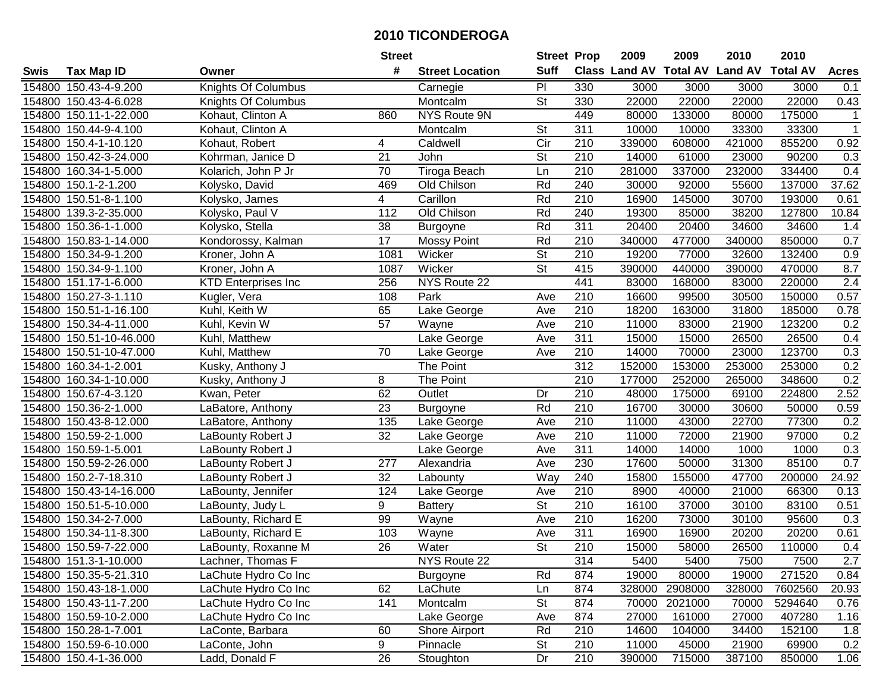|        |                         |                            | <b>Street</b>   |                        | <b>Street Prop</b>       |                  | 2009                          | 2009           | 2010           | 2010            |              |
|--------|-------------------------|----------------------------|-----------------|------------------------|--------------------------|------------------|-------------------------------|----------------|----------------|-----------------|--------------|
| Swis   | <b>Tax Map ID</b>       | Owner                      | #               | <b>Street Location</b> | <b>Suff</b>              |                  | <b>Class Land AV Total AV</b> |                | <b>Land AV</b> | <b>Total AV</b> | <b>Acres</b> |
|        | 154800 150.43-4-9.200   | Knights Of Columbus        |                 | Carnegie               | PI                       | 330              | 3000                          | 3000           | 3000           | 3000            | 0.1          |
|        | 154800 150.43-4-6.028   | Knights Of Columbus        |                 | Montcalm               | St                       | 330              | 22000                         | 22000          | 22000          | 22000           | 0.43         |
|        | 154800 150.11-1-22.000  | Kohaut, Clinton A          | 860             | NYS Route 9N           |                          | 449              | 80000                         | 133000         | 80000          | 175000          | $\mathbf{1}$ |
|        | 154800 150.44-9-4.100   | Kohaut, Clinton A          |                 | Montcalm               | St                       | 311              | 10000                         | 10000          | 33300          | 33300           | $\mathbf{1}$ |
|        | 154800 150.4-1-10.120   | Kohaut, Robert             | 4               | Caldwell               | Cir                      | 210              | 339000                        | 608000         | 421000         | 855200          | 0.92         |
|        | 154800 150.42-3-24.000  | Kohrman, Janice D          | 21              | John                   | $\overline{\mathsf{St}}$ | $\overline{210}$ | 14000                         | 61000          | 23000          | 90200           | 0.3          |
|        | 154800 160.34-1-5.000   | Kolarich, John P Jr        | 70              | <b>Tiroga Beach</b>    | Ln                       | 210              | 281000                        | 337000         | 232000         | 334400          | 0.4          |
|        | 154800 150.1-2-1.200    | Kolysko, David             | 469             | Old Chilson            | Rd                       | $\overline{240}$ | 30000                         | 92000          | 55600          | 137000          | 37.62        |
|        | 154800 150.51-8-1.100   | Kolysko, James             | 4               | Carillon               | Rd                       | $\overline{210}$ | 16900                         | 145000         | 30700          | 193000          | 0.61         |
|        | 154800 139.3-2-35.000   | Kolysko, Paul V            | 112             | Old Chilson            | Rd                       | 240              | 19300                         | 85000          | 38200          | 127800          | 10.84        |
|        | 154800 150.36-1-1.000   | Kolysko, Stella            | 38              | <b>Burgoyne</b>        | Rd                       | 311              | 20400                         | 20400          | 34600          | 34600           | 1.4          |
|        | 154800 150.83-1-14.000  | Kondorossy, Kalman         | 17              | <b>Mossy Point</b>     | Rd                       | 210              | 340000                        | 477000         | 340000         | 850000          | 0.7          |
|        | 154800 150.34-9-1.200   | Kroner, John A             | 1081            | Wicker                 | $\overline{\mathsf{St}}$ | 210              | 19200                         | 77000          | 32600          | 132400          | 0.9          |
|        | 154800 150.34-9-1.100   | Kroner, John A             | 1087            | Wicker                 | $\overline{\mathsf{St}}$ | 415              | 390000                        | 440000         | 390000         | 470000          | 8.7          |
|        | 154800 151.17-1-6.000   | <b>KTD Enterprises Inc</b> | 256             | NYS Route 22           |                          | 441              | 83000                         | 168000         | 83000          | 220000          | 2.4          |
|        | 154800 150.27-3-1.110   | Kugler, Vera               | 108             | Park                   | Ave                      | 210              | 16600                         | 99500          | 30500          | 150000          | 0.57         |
|        | 154800 150.51-1-16.100  | Kuhl, Keith W              | 65              | Lake George            | Ave                      | 210              | 18200                         | 163000         | 31800          | 185000          | 0.78         |
|        | 154800 150.34-4-11.000  | Kuhl, Kevin W              | $\overline{57}$ | Wayne                  | Ave                      | 210              | 11000                         | 83000          | 21900          | 123200          | 0.2          |
|        | 154800 150.51-10-46.000 | Kuhl, Matthew              |                 | Lake George            | Ave                      | 311              | 15000                         | 15000          | 26500          | 26500           | 0.4          |
|        | 154800 150.51-10-47.000 | Kuhl, Matthew              | 70              | Lake George            | Ave                      | 210              | 14000                         | 70000          | 23000          | 123700          | 0.3          |
|        | 154800 160.34-1-2.001   | Kusky, Anthony J           |                 | The Point              |                          | 312              | 152000                        | 153000         | 253000         | 253000          | 0.2          |
| 154800 | 160.34-1-10.000         | Kusky, Anthony J           | 8               | The Point              |                          | 210              | 177000                        | 252000         | 265000         | 348600          | 0.2          |
| 154800 | 150.67-4-3.120          | Kwan, Peter                | 62              | Outlet                 | Dr                       | 210              | 48000                         | 175000         | 69100          | 224800          | 2.52         |
| 154800 | 150.36-2-1.000          | LaBatore, Anthony          | 23              | <b>Burgoyne</b>        | Rd                       | 210              | 16700                         | 30000          | 30600          | 50000           | 0.59         |
| 154800 | 150.43-8-12.000         | LaBatore, Anthony          | 135             | Lake George            | Ave                      | $\overline{210}$ | 11000                         | 43000          | 22700          | 77300           | 0.2          |
|        | 154800 150.59-2-1.000   | LaBounty Robert J          | 32              | Lake George            | Ave                      | 210              | 11000                         | 72000          | 21900          | 97000           | 0.2          |
|        | 154800 150.59-1-5.001   | LaBounty Robert J          |                 | Lake George            | Ave                      | 311              | 14000                         | 14000          | 1000           | 1000            | 0.3          |
|        | 154800 150.59-2-26.000  | LaBounty Robert J          | 277             | Alexandria             | Ave                      | 230              | 17600                         | 50000          | 31300          | 85100           | 0.7          |
|        | 154800 150.2-7-18.310   | LaBounty Robert J          | 32              | Labounty               | Way                      | 240              | 15800                         | 155000         | 47700          | 200000          | 24.92        |
|        | 154800 150.43-14-16.000 | LaBounty, Jennifer         | 124             | Lake George            | Ave                      | $\overline{210}$ | 8900                          | 40000          | 21000          | 66300           | 0.13         |
|        | 154800 150.51-5-10.000  | LaBounty, Judy L           | 9               | <b>Battery</b>         | $\overline{\mathsf{St}}$ | 210              | 16100                         | 37000          | 30100          | 83100           | 0.51         |
|        | 154800 150.34-2-7.000   | LaBounty, Richard E        | 99              | Wayne                  | Ave                      | 210              | 16200                         | 73000          | 30100          | 95600           | 0.3          |
|        | 154800 150.34-11-8.300  | LaBounty, Richard E        | 103             | Wayne                  | Ave                      | 311              | 16900                         | 16900          | 20200          | 20200           | 0.61         |
|        | 154800 150.59-7-22.000  | LaBounty, Roxanne M        | $\overline{26}$ | Water                  | $\overline{St}$          | 210              | 15000                         | 58000          | 26500          | 110000          | 0.4          |
|        | 154800 151.3-1-10.000   | Lachner, Thomas F          |                 | NYS Route 22           |                          | 314              | 5400                          | 5400           | 7500           | 7500            | 2.7          |
|        | 154800 150.35-5-21.310  | LaChute Hydro Co Inc       |                 | Burgoyne               | Rd                       | 874              | 19000                         | 80000          | 19000          | 271520          | 0.84         |
|        | 154800 150.43-18-1.000  | LaChute Hydro Co Inc       | 62              | LaChute                | Ln                       | 874              |                               | 328000 2908000 | 328000         | 7602560         | 20.93        |
|        | 154800 150.43-11-7.200  | LaChute Hydro Co Inc       | 141             | Montcalm               | <b>St</b>                | 874              | 70000                         | 2021000        | 70000          | 5294640         | 0.76         |
|        | 154800 150.59-10-2.000  | LaChute Hydro Co Inc       |                 | Lake George            | Ave                      | 874              | 27000                         | 161000         | 27000          | 407280          | 1.16         |
|        | 154800 150.28-1-7.001   | LaConte, Barbara           | 60              | Shore Airport          | Rd                       | 210              | 14600                         | 104000         | 34400          | 152100          | 1.8          |
|        | 154800 150.59-6-10.000  | LaConte, John              | 9               | Pinnacle               | St                       | 210              | 11000                         | 45000          | 21900          | 69900           | 0.2          |
|        | 154800 150.4-1-36.000   | Ladd, Donald F             | 26              | Stoughton              | Dr                       | 210              | 390000                        | 715000         | 387100         | 850000          | 1.06         |
|        |                         |                            |                 |                        |                          |                  |                               |                |                |                 |              |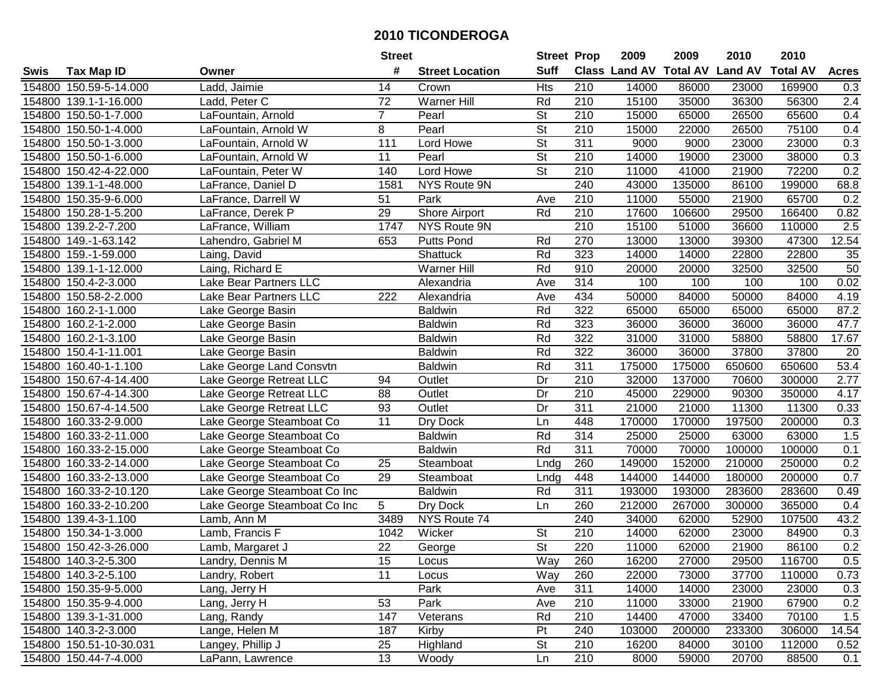|        |                         |                              | <b>Street</b>   |                        | <b>Street Prop</b>       |                  | 2009          | 2009            | 2010           | 2010            |                    |
|--------|-------------------------|------------------------------|-----------------|------------------------|--------------------------|------------------|---------------|-----------------|----------------|-----------------|--------------------|
| Swis   | <b>Tax Map ID</b>       | Owner                        | #               | <b>Street Location</b> | <b>Suff</b>              |                  | Class Land AV | <b>Total AV</b> | <b>Land AV</b> | <b>Total AV</b> | <b>Acres</b>       |
| 154800 | 150.59-5-14.000         | Ladd, Jaimie                 | 14              | Crown                  | Hts                      | 210              | 14000         | 86000           | 23000          | 169900          | 0.3                |
|        | 154800 139.1-1-16.000   | Ladd, Peter C                | 72              | Warner Hill            | Rd                       | 210              | 15100         | 35000           | 36300          | 56300           | 2.4                |
| 154800 | 150.50-1-7.000          | LaFountain, Arnold           | $\overline{7}$  | Pearl                  | St                       | 210              | 15000         | 65000           | 26500          | 65600           | 0.4                |
| 154800 | 150.50-1-4.000          | LaFountain, Arnold W         | 8               | Pearl                  | $\overline{\mathsf{St}}$ | 210              | 15000         | 22000           | 26500          | 75100           | 0.4                |
| 154800 | 150.50-1-3.000          | LaFountain, Arnold W         | 111             | Lord Howe              | <b>St</b>                | 311              | 9000          | 9000            | 23000          | 23000           | 0.3                |
| 154800 | 150.50-1-6.000          | LaFountain, Arnold W         | 11              | Pearl                  | $\overline{\mathsf{St}}$ | 210              | 14000         | 19000           | 23000          | 38000           | 0.3                |
| 154800 | 150.42-4-22.000         | LaFountain, Peter W          | 140             | Lord Howe              | St                       | 210              | 11000         | 41000           | 21900          | 72200           | 0.2                |
| 154800 | 139.1-1-48.000          | LaFrance, Daniel D           | 1581            | <b>NYS Route 9N</b>    |                          | 240              | 43000         | 135000          | 86100          | 199000          | 68.8               |
| 154800 | 150.35-9-6.000          | LaFrance, Darrell W          | $\overline{51}$ | Park                   | Ave                      | $\overline{210}$ | 11000         | 55000           | 21900          | 65700           | 0.2                |
| 154800 | 150.28-1-5.200          | LaFrance, Derek P            | 29              | Shore Airport          | Rd                       | 210              | 17600         | 106600          | 29500          | 166400          | 0.82               |
| 154800 | 139.2-2-7.200           | LaFrance, William            | 1747            | NYS Route 9N           |                          | 210              | 15100         | 51000           | 36600          | 110000          | 2.5                |
|        | 154800 149.-1-63.142    | Lahendro, Gabriel M          | 653             | <b>Putts Pond</b>      | Rd                       | 270              | 13000         | 13000           | 39300          | 47300           | $\overline{12.54}$ |
| 154800 | 159.-1-59.000           | Laing, David                 |                 | Shattuck               | Rd                       | 323              | 14000         | 14000           | 22800          | 22800           | 35                 |
| 154800 | 139.1-1-12.000          | Laing, Richard E             |                 | Warner Hill            | Rd                       | 910              | 20000         | 20000           | 32500          | 32500           | 50                 |
| 154800 | 150.4-2-3.000           | Lake Bear Partners LLC       |                 | Alexandria             | Ave                      | 314              | 100           | 100             | 100            | 100             | 0.02               |
| 154800 | 150.58-2-2.000          | Lake Bear Partners LLC       | 222             | Alexandria             | Ave                      | 434              | 50000         | 84000           | 50000          | 84000           | 4.19               |
| 154800 | 160.2-1-1.000           | Lake George Basin            |                 | <b>Baldwin</b>         | Rd                       | 322              | 65000         | 65000           | 65000          | 65000           | 87.2               |
| 154800 | 160.2-1-2.000           | Lake George Basin            |                 | <b>Baldwin</b>         | Rd                       | 323              | 36000         | 36000           | 36000          | 36000           | 47.7               |
| 154800 | 160.2-1-3.100           | Lake George Basin            |                 | <b>Baldwin</b>         | Rd                       | 322              | 31000         | 31000           | 58800          | 58800           | 17.67              |
| 154800 | 150.4-1-11.001          | Lake George Basin            |                 | <b>Baldwin</b>         | Rd                       | 322              | 36000         | 36000           | 37800          | 37800           | 20                 |
| 154800 | 160.40-1-1.100          | Lake George Land Consvtn     |                 | <b>Baldwin</b>         | Rd                       | $\overline{311}$ | 175000        | 175000          | 650600         | 650600          | 53.4               |
| 154800 | 150.67-4-14.400         | Lake George Retreat LLC      | 94              | Outlet                 | Dr                       | 210              | 32000         | 137000          | 70600          | 300000          | 2.77               |
| 154800 | 150.67-4-14.300         | Lake George Retreat LLC      | 88              | Outlet                 | Dr                       | 210              | 45000         | 229000          | 90300          | 350000          | 4.17               |
| 154800 | 150.67-4-14.500         | Lake George Retreat LLC      | 93              | Outlet                 | Dr                       | 311              | 21000         | 21000           | 11300          | 11300           | 0.33               |
| 154800 | 160.33-2-9.000          | Lake George Steamboat Co     | 11              | Dry Dock               | Ln                       | 448              | 170000        | 170000          | 197500         | 200000          | 0.3                |
| 154800 | 160.33-2-11.000         | Lake George Steamboat Co     |                 | <b>Baldwin</b>         | Rd                       | 314              | 25000         | 25000           | 63000          | 63000           | 1.5                |
| 154800 | 160.33-2-15.000         | Lake George Steamboat Co     |                 | <b>Baldwin</b>         | Rd                       | 311              | 70000         | 70000           | 100000         | 100000          | 0.1                |
| 154800 | 160.33-2-14.000         | Lake George Steamboat Co     | 25              | Steamboat              | Lndg                     | 260              | 149000        | 152000          | 210000         | 250000          | 0.2                |
| 154800 | 160.33-2-13.000         | Lake George Steamboat Co     | 29              | Steamboat              | Lndg                     | 448              | 144000        | 144000          | 180000         | 200000          | 0.7                |
| 154800 | 160.33-2-10.120         | Lake George Steamboat Co Inc |                 | <b>Baldwin</b>         | Rd                       | $\overline{311}$ | 193000        | 193000          | 283600         | 283600          | 0.49               |
| 154800 | 160.33-2-10.200         | Lake George Steamboat Co Inc | 5               | Dry Dock               | Ln                       | 260              | 212000        | 267000          | 300000         | 365000          | 0.4                |
|        | 154800 139.4-3-1.100    | Lamb, Ann M                  | 3489            | NYS Route 74           |                          | 240              | 34000         | 62000           | 52900          | 107500          | 43.2               |
| 154800 | $150.34 - 1 - 3.000$    | Lamb, Francis F              | 1042            | Wicker                 | $\overline{\mathsf{St}}$ | 210              | 14000         | 62000           | 23000          | 84900           | $\overline{0.3}$   |
|        | 154800 150.42-3-26.000  | Lamb, Margaret J             | $\overline{22}$ | George                 | $\overline{\mathsf{St}}$ | 220              | 11000         | 62000           | 21900          | 86100           | 0.2                |
|        | 154800 140.3-2-5.300    | Landry, Dennis M             | 15              | Locus                  | Way                      | 260              | 16200         | 27000           | 29500          | 116700          | 0.5                |
|        | 154800 140.3-2-5.100    | Landry, Robert               | 11              | Locus                  | Way                      | 260              | 22000         | 73000           | 37700          | 110000          | 0.73               |
|        | 154800 150.35-9-5.000   | Lang, Jerry H                |                 | Park                   | Ave                      | 311              | 14000         | 14000           | 23000          | 23000           | 0.3                |
|        | 154800 150.35-9-4.000   | Lang, Jerry H                | 53              | Park                   | Ave                      | 210              | 11000         | 33000           | 21900          | 67900           | 0.2                |
|        | 154800 139.3-1-31.000   | Lang, Randy                  | 147             | Veterans               | Rd                       | 210              | 14400         | 47000           | 33400          | 70100           | 1.5                |
|        | 154800 140.3-2-3.000    | Lange, Helen M               | 187             | Kirby                  | Pt                       | 240              | 103000        | 200000          | 233300         | 306000          | 14.54              |
|        | 154800 150.51-10-30.031 | Langey, Phillip J            | 25              | Highland               | <b>St</b>                | 210              | 16200         | 84000           | 30100          | 112000          | 0.52               |
|        | 154800 150.44-7-4.000   | LaPann, Lawrence             | 13              | Woody                  | Ln                       | 210              | 8000          | 59000           | 20700          | 88500           | 0.1                |
|        |                         |                              |                 |                        |                          |                  |               |                 |                |                 |                    |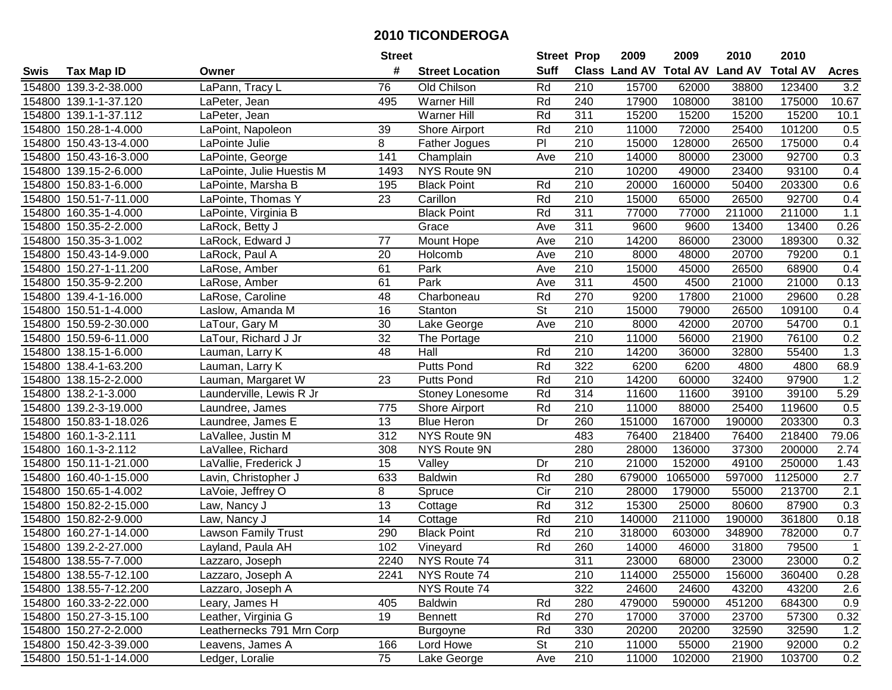|        |                        |                           | <b>Street</b> |                        | <b>Street Prop</b>       |                  | 2009                          | 2009    | 2010           | 2010            |              |
|--------|------------------------|---------------------------|---------------|------------------------|--------------------------|------------------|-------------------------------|---------|----------------|-----------------|--------------|
| Swis   | <b>Tax Map ID</b>      | Owner                     | #             | <b>Street Location</b> | <b>Suff</b>              |                  | <b>Class Land AV Total AV</b> |         | <b>Land AV</b> | <b>Total AV</b> | <b>Acres</b> |
|        | 154800 139.3-2-38.000  | LaPann, Tracy L           | 76            | Old Chilson            | Rd                       | 210              | 15700                         | 62000   | 38800          | 123400          | 3.2          |
|        | 154800 139.1-1-37.120  | LaPeter, Jean             | 495           | Warner Hill            | Rd                       | 240              | 17900                         | 108000  | 38100          | 175000          | 10.67        |
|        | 154800 139.1-1-37.112  | LaPeter, Jean             |               | Warner Hill            | Rd                       | 311              | 15200                         | 15200   | 15200          | 15200           | 10.1         |
|        | 154800 150.28-1-4.000  | LaPoint, Napoleon         | 39            | Shore Airport          | Rd                       | 210              | 11000                         | 72000   | 25400          | 101200          | 0.5          |
|        | 154800 150.43-13-4.000 | LaPointe Julie            | 8             | Father Jogues          | $\overline{P}$           | 210              | 15000                         | 128000  | 26500          | 175000          | 0.4          |
|        | 154800 150.43-16-3.000 | LaPointe, George          | 141           | Champlain              | Ave                      | 210              | 14000                         | 80000   | 23000          | 92700           | 0.3          |
|        | 154800 139.15-2-6.000  | LaPointe, Julie Huestis M | 1493          | NYS Route 9N           |                          | $\overline{210}$ | 10200                         | 49000   | 23400          | 93100           | 0.4          |
|        | 154800 150.83-1-6.000  | LaPointe, Marsha B        | 195           | <b>Black Point</b>     | Rd                       | $\overline{210}$ | 20000                         | 160000  | 50400          | 203300          | 0.6          |
|        | 154800 150.51-7-11.000 | LaPointe, Thomas Y        | 23            | Carillon               | Rd                       | $\overline{210}$ | 15000                         | 65000   | 26500          | 92700           | 0.4          |
|        | 154800 160.35-1-4.000  | LaPointe, Virginia B      |               | <b>Black Point</b>     | Rd                       | 311              | 77000                         | 77000   | 211000         | 211000          | 1.1          |
|        | 154800 150.35-2-2.000  | LaRock, Betty J           |               | Grace                  | Ave                      | 311              | 9600                          | 9600    | 13400          | 13400           | 0.26         |
|        | 154800 150.35-3-1.002  | LaRock, Edward J          | 77            | Mount Hope             | Ave                      | 210              | 14200                         | 86000   | 23000          | 189300          | 0.32         |
|        | 154800 150.43-14-9.000 | LaRock, Paul A            | 20            | Holcomb                | Ave                      | 210              | 8000                          | 48000   | 20700          | 79200           | 0.1          |
|        | 154800 150.27-1-11.200 | LaRose, Amber             | 61            | Park                   | Ave                      | 210              | 15000                         | 45000   | 26500          | 68900           | 0.4          |
|        | 154800 150.35-9-2.200  | LaRose, Amber             | 61            | Park                   | Ave                      | 311              | 4500                          | 4500    | 21000          | 21000           | 0.13         |
|        | 154800 139.4-1-16.000  | LaRose, Caroline          | 48            | Charboneau             | Rd                       | 270              | 9200                          | 17800   | 21000          | 29600           | 0.28         |
|        | 154800 150.51-1-4.000  | Laslow, Amanda M          | 16            | Stanton                | $\overline{\mathsf{St}}$ | 210              | 15000                         | 79000   | 26500          | 109100          | 0.4          |
|        | 154800 150.59-2-30.000 | LaTour, Gary M            | 30            | Lake George            | Ave                      | 210              | 8000                          | 42000   | 20700          | 54700           | 0.1          |
|        | 154800 150.59-6-11.000 | LaTour, Richard J Jr      | 32            | The Portage            |                          | 210              | 11000                         | 56000   | 21900          | 76100           | 0.2          |
|        | 154800 138.15-1-6.000  | Lauman, Larry K           | 48            | Hall                   | Rd                       | 210              | 14200                         | 36000   | 32800          | 55400           | 1.3          |
|        | 154800 138.4-1-63.200  | Lauman, Larry K           |               | Putts Pond             | Rd                       | 322              | 6200                          | 6200    | 4800           | 4800            | 68.9         |
|        | 154800 138.15-2-2.000  | Lauman, Margaret W        | 23            | <b>Putts Pond</b>      | Rd                       | 210              | 14200                         | 60000   | 32400          | 97900           | 1.2          |
|        | 154800 138.2-1-3.000   | Launderville, Lewis R Jr  |               | Stoney Lonesome        | Rd                       | 314              | 11600                         | 11600   | 39100          | 39100           | 5.29         |
| 154800 | 139.2-3-19.000         | Laundree, James           | 775           | Shore Airport          | Rd                       | 210              | 11000                         | 88000   | 25400          | 119600          | 0.5          |
|        | 154800 150.83-1-18.026 | Laundree, James E         | 13            | <b>Blue Heron</b>      | Dr                       | 260              | 151000                        | 167000  | 190000         | 203300          | 0.3          |
|        | 154800 160.1-3-2.111   | LaVallee, Justin M        | 312           | NYS Route 9N           |                          | 483              | 76400                         | 218400  | 76400          | 218400          | 79.06        |
|        | 154800 160.1-3-2.112   | LaVallee, Richard         | 308           | NYS Route 9N           |                          | 280              | 28000                         | 136000  | 37300          | 200000          | 2.74         |
|        | 154800 150.11-1-21.000 | LaVallie, Frederick J     | 15            | $\overline{V}$ alley   | Dr                       | 210              | 21000                         | 152000  | 49100          | 250000          | 1.43         |
|        | 154800 160.40-1-15.000 | Lavin, Christopher J      | 633           | <b>Baldwin</b>         | Rd                       | 280              | 679000                        | 1065000 | 597000         | 1125000         | 2.7          |
|        | 154800 150.65-1-4.002  | LaVoie, Jeffrey O         | 8             | Spruce                 | $\overline{C}$ ir        | $\overline{210}$ | 28000                         | 179000  | 55000          | 213700          | 2.1          |
|        | 154800 150.82-2-15.000 | Law, Nancy J              | 13            | Cottage                | Rd                       | $\overline{312}$ | 15300                         | 25000   | 80600          | 87900           | 0.3          |
|        | 154800 150.82-2-9.000  | Law, Nancy J              | 14            | Cottage                | Rd                       | 210              | 140000                        | 211000  | 190000         | 361800          | 0.18         |
|        | 154800 160.27-1-14.000 | Lawson Family Trust       | 290           | <b>Black Point</b>     | Rd                       | $\overline{210}$ | 318000                        | 603000  | 348900         | 782000          | 0.7          |
|        | 154800 139.2-2-27.000  | Layland, Paula AH         | 102           | Vineyard               | Rd                       | 260              | 14000                         | 46000   | 31800          | 79500           | $\mathbf{1}$ |
|        | 154800 138.55-7-7.000  | Lazzaro, Joseph           | 2240          | NYS Route 74           |                          | 311              | 23000                         | 68000   | 23000          | 23000           | 0.2          |
|        | 154800 138.55-7-12.100 | Lazzaro, Joseph A         | 2241          | NYS Route 74           |                          | 210              | 114000                        | 255000  | 156000         | 360400          | 0.28         |
|        | 154800 138.55-7-12.200 | Lazzaro, Joseph A         |               | NYS Route 74           |                          | 322              | 24600                         | 24600   | 43200          | 43200           | 2.6          |
|        | 154800 160.33-2-22.000 | Leary, James H            | 405           | <b>Baldwin</b>         | Rd                       | 280              | 479000                        | 590000  | 451200         | 684300          | 0.9          |
|        | 154800 150.27-3-15.100 | Leather, Virginia G       | 19            | <b>Bennett</b>         | Rd                       | 270              | 17000                         | 37000   | 23700          | 57300           | 0.32         |
|        | 154800 150.27-2-2.000  | Leathernecks 791 Mrn Corp |               | Burgoyne               | Rd                       | 330              | 20200                         | 20200   | 32590          | 32590           | 1.2          |
|        | 154800 150.42-3-39.000 | Leavens, James A          | 166           | Lord Howe              | St                       | 210              | 11000                         | 55000   | 21900          | 92000           | 0.2          |
|        | 154800 150.51-1-14.000 | Ledger, Loralie           | 75            | Lake George            | Ave                      | 210              | 11000                         | 102000  | 21900          | 103700          | 0.2          |
|        |                        |                           |               |                        |                          |                  |                               |         |                |                 |              |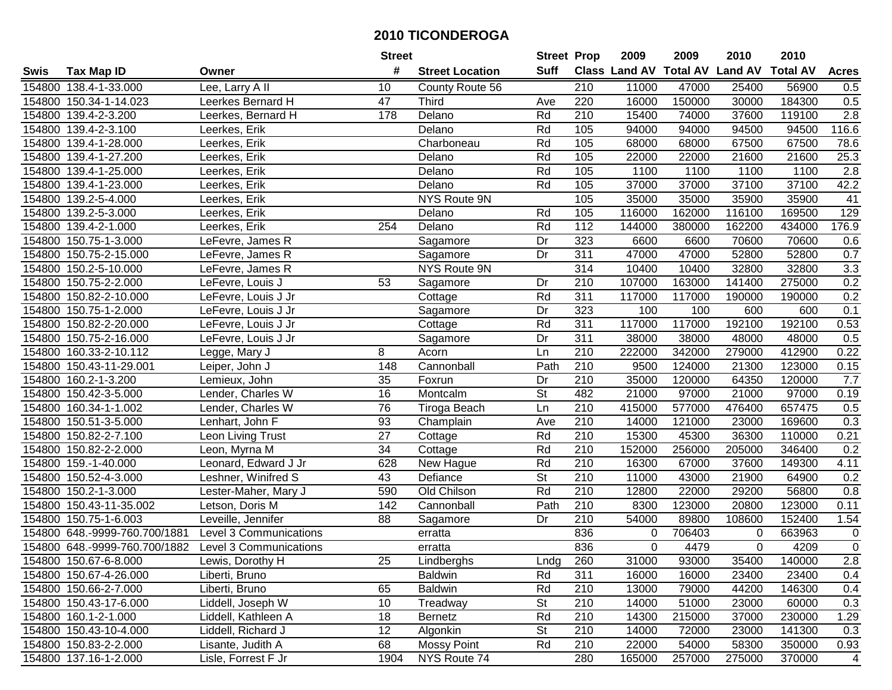|        |                               |                               | <b>Street</b>   |                        | <b>Street Prop</b>       |                  | 2009          | 2009            | 2010           | 2010            |                  |
|--------|-------------------------------|-------------------------------|-----------------|------------------------|--------------------------|------------------|---------------|-----------------|----------------|-----------------|------------------|
| Swis   | <b>Tax Map ID</b>             | Owner                         | #               | <b>Street Location</b> | <b>Suff</b>              |                  | Class Land AV | <b>Total AV</b> | <b>Land AV</b> | <b>Total AV</b> | <b>Acres</b>     |
|        | 154800 138.4-1-33.000         | Lee, Larry A II               | 10              | County Route 56        |                          | 210              | 11000         | 47000           | 25400          | 56900           | 0.5              |
|        | 154800 150.34-1-14.023        | Leerkes Bernard H             | 47              | <b>Third</b>           | Ave                      | 220              | 16000         | 150000          | 30000          | 184300          | 0.5              |
|        | 154800 139.4-2-3.200          | Leerkes, Bernard H            | 178             | Delano                 | Rd                       | 210              | 15400         | 74000           | 37600          | 119100          | 2.8              |
|        | 154800 139.4-2-3.100          | Leerkes, Erik                 |                 | Delano                 | Rd                       | 105              | 94000         | 94000           | 94500          | 94500           | 116.6            |
|        | 154800 139.4-1-28.000         | Leerkes, Erik                 |                 | Charboneau             | Rd                       | 105              | 68000         | 68000           | 67500          | 67500           | 78.6             |
|        | 154800 139.4-1-27.200         | Leerkes, Erik                 |                 | Delano                 | Rd                       | 105              | 22000         | 22000           | 21600          | 21600           | 25.3             |
|        | 154800 139.4-1-25.000         | Leerkes, Erik                 |                 | Delano                 | Rd                       | 105              | 1100          | 1100            | 1100           | 1100            | $\overline{2.8}$ |
| 154800 | 139.4-1-23.000                | Leerkes, Erik                 |                 | Delano                 | Rd                       | 105              | 37000         | 37000           | 37100          | 37100           | 42.2             |
| 154800 | 139.2-5-4.000                 | Leerkes, Erik                 |                 | <b>NYS Route 9N</b>    |                          | 105              | 35000         | 35000           | 35900          | 35900           | 41               |
|        | 154800 139.2-5-3.000          | Leerkes, Erik                 |                 | Delano                 | Rd                       | 105              | 116000        | 162000          | 116100         | 169500          | 129              |
|        | 154800 139.4-2-1.000          | Leerkes, Erik                 | 254             | Delano                 | Rd                       | 112              | 144000        | 380000          | 162200         | 434000          | 176.9            |
|        | 154800 150.75-1-3.000         | LeFevre, James R              |                 | Sagamore               | Dr                       | 323              | 6600          | 6600            | 70600          | 70600           | 0.6              |
|        | 154800 150.75-2-15.000        | LeFevre, James R              |                 | Sagamore               | Dr                       | 311              | 47000         | 47000           | 52800          | 52800           | 0.7              |
|        | 154800 150.2-5-10.000         | LeFevre, James R              |                 | NYS Route 9N           |                          | 314              | 10400         | 10400           | 32800          | 32800           | 3.3              |
|        | 154800 150.75-2-2.000         | LeFevre, Louis J              | 53              | Sagamore               | Dr                       | 210              | 107000        | 163000          | 141400         | 275000          | 0.2              |
| 154800 | 150.82-2-10.000               | LeFevre, Louis J Jr           |                 | Cottage                | Rd                       | 311              | 117000        | 117000          | 190000         | 190000          | 0.2              |
|        | 154800 150.75-1-2.000         | LeFevre, Louis J Jr           |                 | Sagamore               | Dr                       | 323              | 100           | 100             | 600            | 600             | 0.1              |
|        | 154800 150.82-2-20.000        | LeFevre, Louis J Jr           |                 | Cottage                | Rd                       | 311              | 117000        | 117000          | 192100         | 192100          | 0.53             |
|        | 154800 150.75-2-16.000        | LeFevre, Louis J Jr           |                 | Sagamore               | Dr                       | 311              | 38000         | 38000           | 48000          | 48000           | 0.5              |
|        | 154800 160.33-2-10.112        | Legge, Mary J                 | 8               | Acorn                  | Ln                       | 210              | 222000        | 342000          | 279000         | 412900          | 0.22             |
|        | 154800 150.43-11-29.001       | Leiper, John J                | 148             | Cannonball             | Path                     | 210              | 9500          | 124000          | 21300          | 123000          | 0.15             |
|        | 154800 160.2-1-3.200          | Lemieux, John                 | 35              | Foxrun                 | Dr                       | 210              | 35000         | 120000          | 64350          | 120000          | 7.7              |
| 154800 | 150.42-3-5.000                | Lender, Charles W             | 16              | Montcalm               | St                       | 482              | 21000         | 97000           | 21000          | 97000           | 0.19             |
| 154800 | 160.34-1-1.002                | Lender, Charles W             | 76              | Tiroga Beach           | Ln                       | 210              | 415000        | 577000          | 476400         | 657475          | 0.5              |
| 154800 | 150.51-3-5.000                | Lenhart, John F               | 93              | Champlain              | Ave                      | 210              | 14000         | 121000          | 23000          | 169600          | 0.3              |
|        | 154800 150.82-2-7.100         | Leon Living Trust             | $\overline{27}$ | Cottage                | Rd                       | 210              | 15300         | 45300           | 36300          | 110000          | 0.21             |
|        | 154800 150.82-2-2.000         | Leon, Myrna M                 | 34              | Cottage                | Rd                       | 210              | 152000        | 256000          | 205000         | 346400          | 0.2              |
|        | 154800 159.-1-40.000          | Leonard, Edward J Jr          | 628             | New Hague              | Rd                       | 210              | 16300         | 67000           | 37600          | 149300          | 4.11             |
|        | 154800 150.52-4-3.000         | Leshner, Winifred S           | 43              | Defiance               | $\overline{\mathsf{St}}$ | $\overline{210}$ | 11000         | 43000           | 21900          | 64900           | 0.2              |
|        | 154800 150.2-1-3.000          | Lester-Maher, Mary J          | 590             | Old Chilson            | Rd                       | $\overline{210}$ | 12800         | 22000           | 29200          | 56800           | 0.8              |
|        | 154800 150.43-11-35.002       | Letson, Doris M               | 142             | Cannonball             | Path                     | 210              | 8300          | 123000          | 20800          | 123000          | 0.11             |
|        | 154800 150.75-1-6.003         | Leveille, Jennifer            | 88              | Sagamore               | Dr                       | 210              | 54000         | 89800           | 108600         | 152400          | 1.54             |
|        | 154800 648.-9999-760.700/1881 | <b>Level 3 Communications</b> |                 | erratta                |                          | 836              | $\mathbf 0$   | 706403          | 0              | 663963          | $\mathbf 0$      |
|        | 154800 648.-9999-760.700/1882 | Level 3 Communications        |                 | erratta                |                          | 836              | 0             | 4479            | $\Omega$       | 4209            | $\overline{0}$   |
|        | 154800 150.67-6-8.000         | Lewis, Dorothy H              | 25              | Lindberghs             | Lndg                     | 260              | 31000         | 93000           | 35400          | 140000          | 2.8              |
|        | 154800 150.67-4-26.000        | Liberti, Bruno                |                 | <b>Baldwin</b>         | Rd                       | 311              | 16000         | 16000           | 23400          | 23400           | 0.4              |
|        | 154800 150.66-2-7.000         | Liberti, Bruno                | 65              | <b>Baldwin</b>         | Rd                       | 210              | 13000         | 79000           | 44200          | 146300          | 0.4              |
|        | 154800 150.43-17-6.000        | Liddell, Joseph W             | 10              | Treadway               | <b>St</b>                | 210              | 14000         | 51000           | 23000          | 60000           | 0.3              |
|        | 154800 160.1-2-1.000          | Liddell, Kathleen A           | 18              | Bernetz                | Rd                       | 210              | 14300         | 215000          | 37000          | 230000          | 1.29             |
|        | 154800 150.43-10-4.000        | Liddell, Richard J            | 12              | Algonkin               | <b>St</b>                | 210              | 14000         | 72000           | 23000          | 141300          | 0.3              |
|        | 154800 150.83-2-2.000         | Lisante, Judith A             | 68              | <b>Mossy Point</b>     | Rd                       | 210              | 22000         | 54000           | 58300          | 350000          | 0.93             |
|        | 154800 137.16-1-2.000         | Lisle, Forrest F Jr           | 1904            | NYS Route 74           |                          | 280              | 165000        | 257000          | 275000         | 370000          | $\overline{4}$   |
|        |                               |                               |                 |                        |                          |                  |               |                 |                |                 |                  |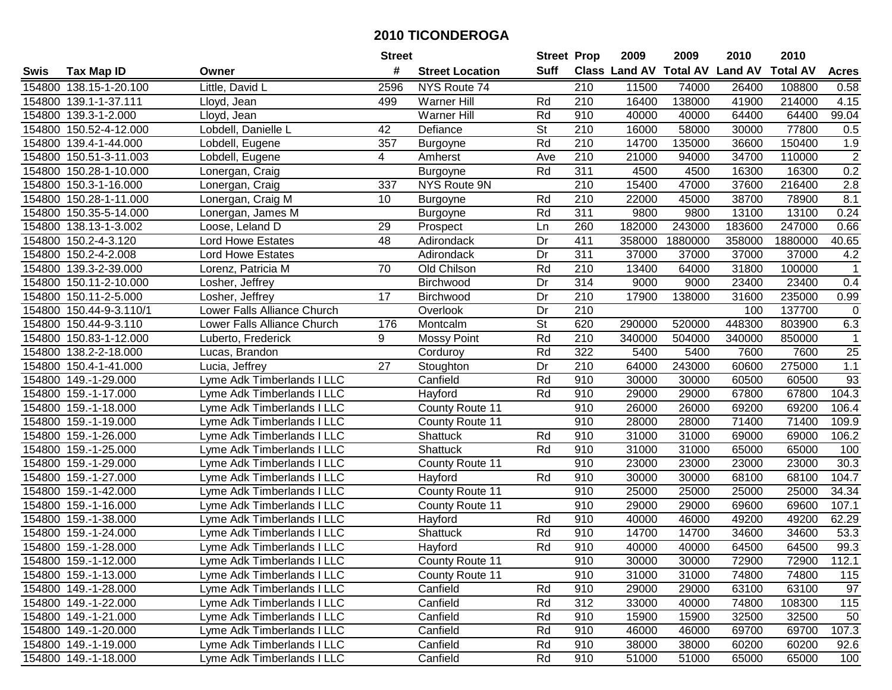|        |                         |                             | <b>Street</b> |                        | <b>Street Prop</b>       |                  | 2009                 | 2009            | 2010           | 2010            |                   |
|--------|-------------------------|-----------------------------|---------------|------------------------|--------------------------|------------------|----------------------|-----------------|----------------|-----------------|-------------------|
| Swis   | <b>Tax Map ID</b>       | Owner                       | #             | <b>Street Location</b> | <b>Suff</b>              |                  | <b>Class Land AV</b> | <b>Total AV</b> | <b>Land AV</b> | <b>Total AV</b> | <b>Acres</b>      |
|        | 154800 138.15-1-20.100  | Little, David L             | 2596          | NYS Route 74           |                          | 210              | 11500                | 74000           | 26400          | 108800          | 0.58              |
|        | 154800 139.1-1-37.111   | Lloyd, Jean                 | 499           | <b>Warner Hill</b>     | Rd                       | 210              | 16400                | 138000          | 41900          | 214000          | 4.15              |
|        | 154800 139.3-1-2.000    | Lloyd, Jean                 |               | <b>Warner Hill</b>     | Rd                       | 910              | 40000                | 40000           | 64400          | 64400           | 99.04             |
|        | 154800 150.52-4-12.000  | Lobdell, Danielle L         | 42            | Defiance               | St                       | 210              | 16000                | 58000           | 30000          | 77800           | 0.5               |
|        | 154800 139.4-1-44.000   | Lobdell, Eugene             | 357           | Burgoyne               | Rd                       | 210              | 14700                | 135000          | 36600          | 150400          | 1.9               |
|        | 154800 150.51-3-11.003  | Lobdell, Eugene             | 4             | Amherst                | Ave                      | $\overline{210}$ | 21000                | 94000           | 34700          | 110000          | $\overline{2}$    |
|        | 154800 150.28-1-10.000  | Lonergan, Craig             |               | Burgoyne               | Rd                       | 311              | 4500                 | 4500            | 16300          | 16300           | 0.2               |
| 154800 | 150.3-1-16.000          | Lonergan, Craig             | 337           | NYS Route 9N           |                          | 210              | 15400                | 47000           | 37600          | 216400          | 2.8               |
|        | 154800 150.28-1-11.000  | Lonergan, Craig M           | 10            | Burgoyne               | Rd                       | $\overline{210}$ | 22000                | 45000           | 38700          | 78900           | 8.1               |
|        | 154800 150.35-5-14.000  | Lonergan, James M           |               | <b>Burgoyne</b>        | Rd                       | 311              | 9800                 | 9800            | 13100          | 13100           | 0.24              |
|        | 154800 138.13-1-3.002   | Loose, Leland D             | 29            | Prospect               | Ln                       | 260              | 182000               | 243000          | 183600         | 247000          | 0.66              |
|        | 154800 150.2-4-3.120    | <b>Lord Howe Estates</b>    | 48            | Adirondack             | Dr                       | 411              | 358000               | 1880000         | 358000         | 1880000         | 40.65             |
|        | 154800 150.2-4-2.008    | Lord Howe Estates           |               | Adirondack             | Dr                       | $\overline{311}$ | 37000                | 37000           | 37000          | 37000           | 4.2               |
|        | 154800 139.3-2-39.000   | Lorenz, Patricia M          | 70            | Old Chilson            | Rd                       | 210              | 13400                | 64000           | 31800          | 100000          | $\mathbf{1}$      |
|        | 154800 150.11-2-10.000  | Losher, Jeffrey             |               | Birchwood              | Dr                       | 314              | 9000                 | 9000            | 23400          | 23400           | 0.4               |
|        | 154800 150.11-2-5.000   | Losher, Jeffrey             | 17            | Birchwood              | Dr                       | 210              | 17900                | 138000          | 31600          | 235000          | 0.99              |
|        | 154800 150.44-9-3.110/1 | Lower Falls Alliance Church |               | Overlook               | Dr                       | $\overline{210}$ |                      |                 | 100            | 137700          | $\mathbf 0$       |
|        | 154800 150.44-9-3.110   | Lower Falls Alliance Church | 176           | Montcalm               | $\overline{\mathsf{St}}$ | 620              | 290000               | 520000          | 448300         | 803900          | 6.3               |
|        | 154800 150.83-1-12.000  | Luberto, Frederick          | 9             | <b>Mossy Point</b>     | Rd                       | 210              | 340000               | 504000          | 340000         | 850000          | $\mathbf{1}$      |
|        | 154800 138.2-2-18.000   | Lucas, Brandon              |               | Corduroy               | Rd                       | 322              | 5400                 | 5400            | 7600           | 7600            | 25                |
|        | 154800 150.4-1-41.000   | Lucia, Jeffrey              | 27            | Stoughton              | Dr                       | 210              | 64000                | 243000          | 60600          | 275000          | 1.1               |
|        | 154800 149.-1-29.000    | Lyme Adk Timberlands I LLC  |               | Canfield               | Rd                       | 910              | 30000                | 30000           | 60500          | 60500           | 93                |
| 154800 | 159.-1-17.000           | Lyme Adk Timberlands I LLC  |               | Hayford                | Rd                       | 910              | 29000                | 29000           | 67800          | 67800           | 104.3             |
| 154800 | 159.-1-18.000           | Lyme Adk Timberlands I LLC  |               | County Route 11        |                          | 910              | 26000                | 26000           | 69200          | 69200           | 106.4             |
|        | 154800 159.-1-19.000    | Lyme Adk Timberlands I LLC  |               | County Route 11        |                          | 910              | 28000                | 28000           | 71400          | 71400           | 109.9             |
|        | 154800 159.-1-26.000    | Lyme Adk Timberlands I LLC  |               | Shattuck               | Rd                       | 910              | 31000                | 31000           | 69000          | 69000           | 106.2             |
|        | 154800 159.-1-25.000    | Lyme Adk Timberlands I LLC  |               | Shattuck               | Rd                       | 910              | 31000                | 31000           | 65000          | 65000           | 100               |
|        | 154800 159.-1-29.000    | Lyme Adk Timberlands I LLC  |               | County Route 11        |                          | 910              | 23000                | 23000           | 23000          | 23000           | $\overline{30.3}$ |
|        | 154800 159.-1-27.000    | Lyme Adk Timberlands I LLC  |               | Hayford                | Rd                       | 910              | 30000                | 30000           | 68100          | 68100           | 104.7             |
|        | 154800 159.-1-42.000    | Lyme Adk Timberlands I LLC  |               | County Route 11        |                          | 910              | 25000                | 25000           | 25000          | 25000           | 34.34             |
|        | 154800 159.-1-16.000    | Lyme Adk Timberlands I LLC  |               | <b>County Route 11</b> |                          | 910              | 29000                | 29000           | 69600          | 69600           | 107.1             |
|        | 154800 159.-1-38.000    | Lyme Adk Timberlands I LLC  |               | Hayford                | Rd                       | 910              | 40000                | 46000           | 49200          | 49200           | 62.29             |
|        | 154800 159.-1-24.000    | Lyme Adk Timberlands I LLC  |               | Shattuck               | Rd                       | 910              | 14700                | 14700           | 34600          | 34600           | 53.3              |
|        | 154800 159.-1-28.000    | Lyme Adk Timberlands I LLC  |               | Hayford                | Rd                       | 910              | 40000                | 40000           | 64500          | 64500           | 99.3              |
|        | 154800 159.-1-12.000    | Lyme Adk Timberlands I LLC  |               | County Route 11        |                          | 910              | 30000                | 30000           | 72900          | 72900           | 112.1             |
|        | 154800 159.-1-13.000    | Lyme Adk Timberlands I LLC  |               | County Route 11        |                          | 910              | 31000                | 31000           | 74800          | 74800           | 115               |
|        | 154800 149.-1-28.000    | Lyme Adk Timberlands I LLC  |               | Canfield               | Rd                       | 910              | 29000                | 29000           | 63100          | 63100           | 97                |
|        | 154800 149.-1-22.000    | Lyme Adk Timberlands I LLC  |               | Canfield               | Rd                       | 312              | 33000                | 40000           | 74800          | 108300          | 115               |
|        | 154800 149.-1-21.000    | Lyme Adk Timberlands I LLC  |               | Canfield               | Rd                       | 910              | 15900                | 15900           | 32500          | 32500           | 50                |
|        | 154800 149.-1-20.000    | Lyme Adk Timberlands I LLC  |               | Canfield               | Rd                       | 910              | 46000                | 46000           | 69700          | 69700           | 107.3             |
|        | 154800 149.-1-19.000    | Lyme Adk Timberlands I LLC  |               | Canfield               | Rd                       | 910              | 38000                | 38000           | 60200          | 60200           | 92.6              |
|        | 154800 149.-1-18.000    | Lyme Adk Timberlands I LLC  |               | Canfield               | Rd                       | 910              | 51000                | 51000           | 65000          | 65000           | 100               |
|        |                         |                             |               |                        |                          |                  |                      |                 |                |                 |                   |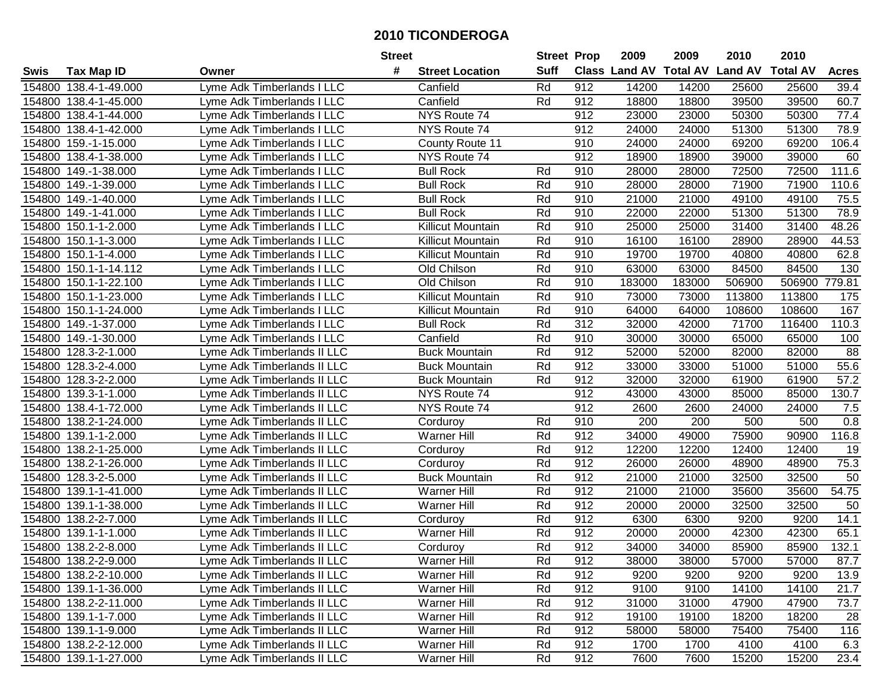|             |                       |                             | <b>Street</b>               | <b>Street Prop</b> |     | 2009                          | 2009   | 2010           | 2010            |              |
|-------------|-----------------------|-----------------------------|-----------------------------|--------------------|-----|-------------------------------|--------|----------------|-----------------|--------------|
| <b>Swis</b> | <b>Tax Map ID</b>     | Owner                       | #<br><b>Street Location</b> | <b>Suff</b>        |     | <b>Class Land AV Total AV</b> |        | <b>Land AV</b> | <b>Total AV</b> | <b>Acres</b> |
|             | 154800 138.4-1-49.000 | Lyme Adk Timberlands I LLC  | Canfield                    | Rd                 | 912 | 14200                         | 14200  | 25600          | 25600           | 39.4         |
|             | 154800 138.4-1-45.000 | Lyme Adk Timberlands I LLC  | Canfield                    | Rd                 | 912 | 18800                         | 18800  | 39500          | 39500           | 60.7         |
|             | 154800 138.4-1-44.000 | Lyme Adk Timberlands I LLC  | NYS Route 74                |                    | 912 | 23000                         | 23000  | 50300          | 50300           | 77.4         |
|             | 154800 138.4-1-42.000 | Lyme Adk Timberlands I LLC  | NYS Route 74                |                    | 912 | 24000                         | 24000  | 51300          | 51300           | 78.9         |
|             | 154800 159.-1-15.000  | Lyme Adk Timberlands I LLC  | County Route 11             |                    | 910 | 24000                         | 24000  | 69200          | 69200           | 106.4        |
| 154800      | 138.4-1-38.000        | Lyme Adk Timberlands I LLC  | NYS Route 74                |                    | 912 | 18900                         | 18900  | 39000          | 39000           | 60           |
|             | 154800 149.-1-38.000  | Lyme Adk Timberlands I LLC  | <b>Bull Rock</b>            | Rd                 | 910 | 28000                         | 28000  | 72500          | 72500           | 111.6        |
|             | 154800 149.-1-39.000  | Lyme Adk Timberlands I LLC  | <b>Bull Rock</b>            | Rd                 | 910 | 28000                         | 28000  | 71900          | 71900           | 110.6        |
|             | 154800 149.-1-40.000  | Lyme Adk Timberlands I LLC  | <b>Bull Rock</b>            | Rd                 | 910 | 21000                         | 21000  | 49100          | 49100           | 75.5         |
|             | 154800 149.-1-41.000  | Lyme Adk Timberlands I LLC  | <b>Bull Rock</b>            | Rd                 | 910 | 22000                         | 22000  | 51300          | 51300           | 78.9         |
|             | 154800 150.1-1-2.000  | Lyme Adk Timberlands I LLC  | Killicut Mountain           | Rd                 | 910 | 25000                         | 25000  | 31400          | 31400           | 48.26        |
|             | 154800 150.1-1-3.000  | Lyme Adk Timberlands I LLC  | Killicut Mountain           | Rd                 | 910 | 16100                         | 16100  | 28900          | 28900           | 44.53        |
|             | 154800 150.1-1-4.000  | Lyme Adk Timberlands I LLC  | Killicut Mountain           | Rd                 | 910 | 19700                         | 19700  | 40800          | 40800           | 62.8         |
|             | 154800 150.1-1-14.112 | Lyme Adk Timberlands I LLC  | Old Chilson                 | Rd                 | 910 | 63000                         | 63000  | 84500          | 84500           | 130          |
| 154800      | 150.1-1-22.100        | Lyme Adk Timberlands I LLC  | Old Chilson                 | Rd                 | 910 | 183000                        | 183000 | 506900         | 506900          | 779.81       |
| 154800      | 150.1-1-23.000        | Lyme Adk Timberlands I LLC  | Killicut Mountain           | Rd                 | 910 | 73000                         | 73000  | 113800         | 113800          | 175          |
| 154800      | 150.1-1-24.000        | Lyme Adk Timberlands I LLC  | Killicut Mountain           | Rd                 | 910 | 64000                         | 64000  | 108600         | 108600          | 167          |
|             | 154800 149.-1-37.000  | Lyme Adk Timberlands I LLC  | <b>Bull Rock</b>            | Rd                 | 312 | 32000                         | 42000  | 71700          | 116400          | 110.3        |
| 154800      | 149.-1-30.000         | Lyme Adk Timberlands I LLC  | Canfield                    | Rd                 | 910 | 30000                         | 30000  | 65000          | 65000           | 100          |
|             | 154800 128.3-2-1.000  | Lyme Adk Timberlands II LLC | <b>Buck Mountain</b>        | Rd                 | 912 | 52000                         | 52000  | 82000          | 82000           | 88           |
| 154800      | 128.3-2-4.000         | Lyme Adk Timberlands II LLC | <b>Buck Mountain</b>        | Rd                 | 912 | 33000                         | 33000  | 51000          | 51000           | 55.6         |
| 154800      | 128.3-2-2.000         | Lyme Adk Timberlands II LLC | <b>Buck Mountain</b>        | Rd                 | 912 | 32000                         | 32000  | 61900          | 61900           | 57.2         |
| 154800      | 139.3-1-1.000         | Lyme Adk Timberlands II LLC | NYS Route 74                |                    | 912 | 43000                         | 43000  | 85000          | 85000           | 130.7        |
| 154800      | 138.4-1-72.000        | Lyme Adk Timberlands II LLC | NYS Route 74                |                    | 912 | 2600                          | 2600   | 24000          | 24000           | 7.5          |
| 154800      | 138.2-1-24.000        | Lyme Adk Timberlands II LLC | Corduroy                    | Rd                 | 910 | 200                           | 200    | 500            | 500             | 0.8          |
| 154800      | 139.1-1-2.000         | Lyme Adk Timberlands II LLC | <b>Warner Hill</b>          | Rd                 | 912 | 34000                         | 49000  | 75900          | 90900           | 116.8        |
| 154800      | 138.2-1-25.000        | Lyme Adk Timberlands II LLC | Corduroy                    | Rd                 | 912 | 12200                         | 12200  | 12400          | 12400           | 19           |
| 154800      | 138.2-1-26.000        | Lyme Adk Timberlands II LLC | Corduroy                    | Rd                 | 912 | 26000                         | 26000  | 48900          | 48900           | 75.3         |
|             | 154800 128.3-2-5.000  | Lyme Adk Timberlands II LLC | <b>Buck Mountain</b>        | Rd                 | 912 | 21000                         | 21000  | 32500          | 32500           | 50           |
|             | 154800 139.1-1-41.000 | Lyme Adk Timberlands II LLC | <b>Warner Hill</b>          | Rd                 | 912 | 21000                         | 21000  | 35600          | 35600           | 54.75        |
|             | 154800 139.1-1-38.000 | Lyme Adk Timberlands II LLC | <b>Warner Hill</b>          | Rd                 | 912 | 20000                         | 20000  | 32500          | 32500           | 50           |
|             | 154800 138.2-2-7.000  | Lyme Adk Timberlands II LLC | Corduroy                    | Rd                 | 912 | 6300                          | 6300   | 9200           | 9200            | 14.1         |
|             | 154800 139.1-1-1.000  | Lyme Adk Timberlands II LLC | <b>Warner Hill</b>          | Rd                 | 912 | 20000                         | 20000  | 42300          | 42300           | 65.1         |
|             | 154800 138.2-2-8.000  | Lyme Adk Timberlands II LLC | Corduroy                    | Rd                 | 912 | 34000                         | 34000  | 85900          | 85900           | 132.1        |
|             | 154800 138.2-2-9.000  | Lyme Adk Timberlands II LLC | Warner Hill                 | Rd                 | 912 | 38000                         | 38000  | 57000          | 57000           | 87.7         |
|             | 154800 138.2-2-10.000 | Lyme Adk Timberlands II LLC | Warner Hill                 | Rd                 | 912 | 9200                          | 9200   | 9200           | 9200            | 13.9         |
|             | 154800 139.1-1-36.000 | Lyme Adk Timberlands II LLC | <b>Warner Hill</b>          | Rd                 | 912 | 9100                          | 9100   | 14100          | 14100           | 21.7         |
|             | 154800 138.2-2-11.000 | Lyme Adk Timberlands II LLC | Warner Hill                 | Rd                 | 912 | 31000                         | 31000  | 47900          | 47900           | 73.7         |
|             | 154800 139.1-1-7.000  | Lyme Adk Timberlands II LLC | <b>Warner Hill</b>          | Rd                 | 912 | 19100                         | 19100  | 18200          | 18200           | 28           |
|             | 154800 139.1-1-9.000  | Lyme Adk Timberlands II LLC | <b>Warner Hill</b>          | Rd                 | 912 | 58000                         | 58000  | 75400          | 75400           | 116          |
|             | 154800 138.2-2-12.000 | Lyme Adk Timberlands II LLC | Warner Hill                 | Rd                 | 912 | 1700                          | 1700   | 4100           | 4100            | 6.3          |
|             | 154800 139.1-1-27.000 | Lyme Adk Timberlands II LLC | Warner Hill                 | Rd                 | 912 | 7600                          | 7600   | 15200          | 15200           | 23.4         |
|             |                       |                             |                             |                    |     |                               |        |                |                 |              |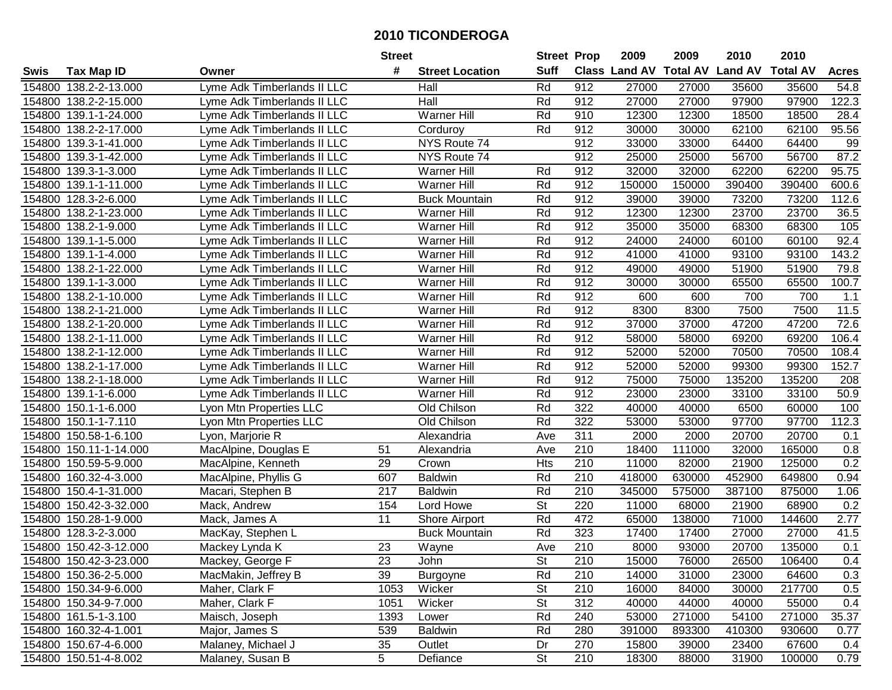|        |                        |                             | <b>Street</b>    |                        | <b>Street Prop</b>       |                  | 2009          | 2009            | 2010           | 2010            |              |
|--------|------------------------|-----------------------------|------------------|------------------------|--------------------------|------------------|---------------|-----------------|----------------|-----------------|--------------|
| Swis   | <b>Tax Map ID</b>      | Owner                       | #                | <b>Street Location</b> | <b>Suff</b>              |                  | Class Land AV | <b>Total AV</b> | <b>Land AV</b> | <b>Total AV</b> | <b>Acres</b> |
| 154800 | 138.2-2-13.000         | Lyme Adk Timberlands II LLC |                  | Hall                   | Rd                       | 912              | 27000         | 27000           | 35600          | 35600           | 54.8         |
|        | 154800 138.2-2-15.000  | Lyme Adk Timberlands II LLC |                  | Hall                   | Rd                       | 912              | 27000         | 27000           | 97900          | 97900           | 122.3        |
| 154800 | 139.1-1-24.000         | Lyme Adk Timberlands II LLC |                  | <b>Warner Hill</b>     | Rd                       | 910              | 12300         | 12300           | 18500          | 18500           | 28.4         |
| 154800 | 138.2-2-17.000         | Lyme Adk Timberlands II LLC |                  | Corduroy               | Rd                       | 912              | 30000         | 30000           | 62100          | 62100           | 95.56        |
| 154800 | 139.3-1-41.000         | Lyme Adk Timberlands II LLC |                  | NYS Route 74           |                          | 912              | 33000         | 33000           | 64400          | 64400           | 99           |
| 154800 | 139.3-1-42.000         | Lyme Adk Timberlands II LLC |                  | NYS Route 74           |                          | 912              | 25000         | 25000           | 56700          | 56700           | 87.2         |
| 154800 | 139.3-1-3.000          | Lyme Adk Timberlands II LLC |                  | <b>Warner Hill</b>     | Rd                       | 912              | 32000         | 32000           | 62200          | 62200           | 95.75        |
| 154800 | 139.1-1-11.000         | Lyme Adk Timberlands II LLC |                  | <b>Warner Hill</b>     | Rd                       | 912              | 150000        | 150000          | 390400         | 390400          | 600.6        |
| 154800 | 128.3-2-6.000          | Lyme Adk Timberlands II LLC |                  | <b>Buck Mountain</b>   | Rd                       | 912              | 39000         | 39000           | 73200          | 73200           | 112.6        |
| 154800 | 138.2-1-23.000         | Lyme Adk Timberlands II LLC |                  | Warner Hill            | Rd                       | 912              | 12300         | 12300           | 23700          | 23700           | 36.5         |
| 154800 | 138.2-1-9.000          | Lyme Adk Timberlands II LLC |                  | Warner Hill            | Rd                       | 912              | 35000         | 35000           | 68300          | 68300           | 105          |
| 154800 | 139.1-1-5.000          | Lyme Adk Timberlands II LLC |                  | <b>Warner Hill</b>     | Rd                       | 912              | 24000         | 24000           | 60100          | 60100           | 92.4         |
| 154800 | 139.1-1-4.000          | Lyme Adk Timberlands II LLC |                  | Warner Hill            | Rd                       | 912              | 41000         | 41000           | 93100          | 93100           | 143.2        |
| 154800 | 138.2-1-22.000         | Lyme Adk Timberlands II LLC |                  | Warner Hill            | Rd                       | 912              | 49000         | 49000           | 51900          | 51900           | 79.8         |
| 154800 | 139.1-1-3.000          | Lyme Adk Timberlands II LLC |                  | <b>Warner Hill</b>     | Rd                       | 912              | 30000         | 30000           | 65500          | 65500           | 100.7        |
| 154800 | 138.2-1-10.000         | Lyme Adk Timberlands II LLC |                  | <b>Warner Hill</b>     | Rd                       | 912              | 600           | 600             | 700            | 700             | 1.1          |
| 154800 | 138.2-1-21.000         | Lyme Adk Timberlands II LLC |                  | Warner Hill            | Rd                       | 912              | 8300          | 8300            | 7500           | 7500            | 11.5         |
| 154800 | 138.2-1-20.000         | Lyme Adk Timberlands II LLC |                  | <b>Warner Hill</b>     | Rd                       | 912              | 37000         | 37000           | 47200          | 47200           | 72.6         |
| 154800 | 138.2-1-11.000         | Lyme Adk Timberlands II LLC |                  | Warner Hill            | Rd                       | 912              | 58000         | 58000           | 69200          | 69200           | 106.4        |
| 154800 | 138.2-1-12.000         | Lyme Adk Timberlands II LLC |                  | <b>Warner Hill</b>     | Rd                       | 912              | 52000         | 52000           | 70500          | 70500           | 108.4        |
| 154800 | 138.2-1-17.000         | Lyme Adk Timberlands II LLC |                  | <b>Warner Hill</b>     | Rd                       | 912              | 52000         | 52000           | 99300          | 99300           | 152.7        |
| 154800 | 138.2-1-18.000         | Lyme Adk Timberlands II LLC |                  | <b>Warner Hill</b>     | Rd                       | 912              | 75000         | 75000           | 135200         | 135200          | 208          |
| 154800 | 139.1-1-6.000          | Lyme Adk Timberlands II LLC |                  | Warner Hill            | Rd                       | 912              | 23000         | 23000           | 33100          | 33100           | 50.9         |
| 154800 | 150.1-1-6.000          | Lyon Mtn Properties LLC     |                  | Old Chilson            | Rd                       | 322              | 40000         | 40000           | 6500           | 60000           | 100          |
| 154800 | 150.1-1-7.110          | Lyon Mtn Properties LLC     |                  | Old Chilson            | Rd                       | 322              | 53000         | 53000           | 97700          | 97700           | 112.3        |
| 154800 | 150.58-1-6.100         | Lyon, Marjorie R            |                  | Alexandria             | Ave                      | 311              | 2000          | 2000            | 20700          | 20700           | 0.1          |
| 154800 | 150.11-1-14.000        | MacAlpine, Douglas E        | 51               | Alexandria             | Ave                      | 210              | 18400         | 111000          | 32000          | 165000          | 0.8          |
| 154800 | 150.59-5-9.000         | MacAlpine, Kenneth          | 29               | Crown                  | Hts                      | 210              | 11000         | 82000           | 21900          | 125000          | 0.2          |
| 154800 | 160.32-4-3.000         | MacAlpine, Phyllis G        | 607              | <b>Baldwin</b>         | Rd                       | 210              | 418000        | 630000          | 452900         | 649800          | 0.94         |
| 154800 | 150.4-1-31.000         | Macari, Stephen B           | $\overline{217}$ | <b>Baldwin</b>         | Rd                       | $\overline{210}$ | 345000        | 575000          | 387100         | 875000          | 1.06         |
| 154800 | 150.42-3-32.000        | Mack, Andrew                | 154              | Lord Howe              | $\overline{\mathsf{St}}$ | 220              | 11000         | 68000           | 21900          | 68900           | 0.2          |
|        | 154800 150.28-1-9.000  | Mack, James A               | 11               | Shore Airport          | Rd                       | 472              | 65000         | 138000          | 71000          | 144600          | 2.77         |
| 154800 | 128.3-2-3.000          | MacKay, Stephen L           |                  | <b>Buck Mountain</b>   | Rd                       | 323              | 17400         | 17400           | 27000          | 27000           | 41.5         |
|        | 154800 150.42-3-12.000 | Mackey Lynda K              | $\overline{23}$  | Wayne                  | Ave                      | $\overline{210}$ | 8000          | 93000           | 20700          | 135000          | 0.1          |
|        | 154800 150.42-3-23.000 | Mackey, George F            | 23               | John                   | St                       | 210              | 15000         | 76000           | 26500          | 106400          | 0.4          |
|        | 154800 150.36-2-5.000  | MacMakin, Jeffrey B         | 39               | Burgoyne               | Rd                       | 210              | 14000         | 31000           | 23000          | 64600           | 0.3          |
|        | 154800 150.34-9-6.000  | Maher, Clark F              | 1053             | Wicker                 | <b>St</b>                | 210              | 16000         | 84000           | 30000          | 217700          | 0.5          |
|        | 154800 150.34-9-7.000  | Maher, Clark F              | 1051             | Wicker                 | <b>St</b>                | 312              | 40000         | 44000           | 40000          | 55000           | 0.4          |
|        | 154800 161.5-1-3.100   | Maisch, Joseph              | 1393             | Lower                  | Rd                       | 240              | 53000         | 271000          | 54100          | 271000          | 35.37        |
|        | 154800 160.32-4-1.001  | Major, James S              | 539              | <b>Baldwin</b>         | Rd                       | 280              | 391000        | 893300          | 410300         | 930600          | 0.77         |
|        | 154800 150.67-4-6.000  | Malaney, Michael J          | 35               | Outlet                 | Dr                       | 270              | 15800         | 39000           | 23400          | 67600           | 0.4          |
|        | 154800 150.51-4-8.002  | Malaney, Susan B            | 5                | Defiance               | St                       | 210              | 18300         | 88000           | 31900          | 100000          | 0.79         |
|        |                        |                             |                  |                        |                          |                  |               |                 |                |                 |              |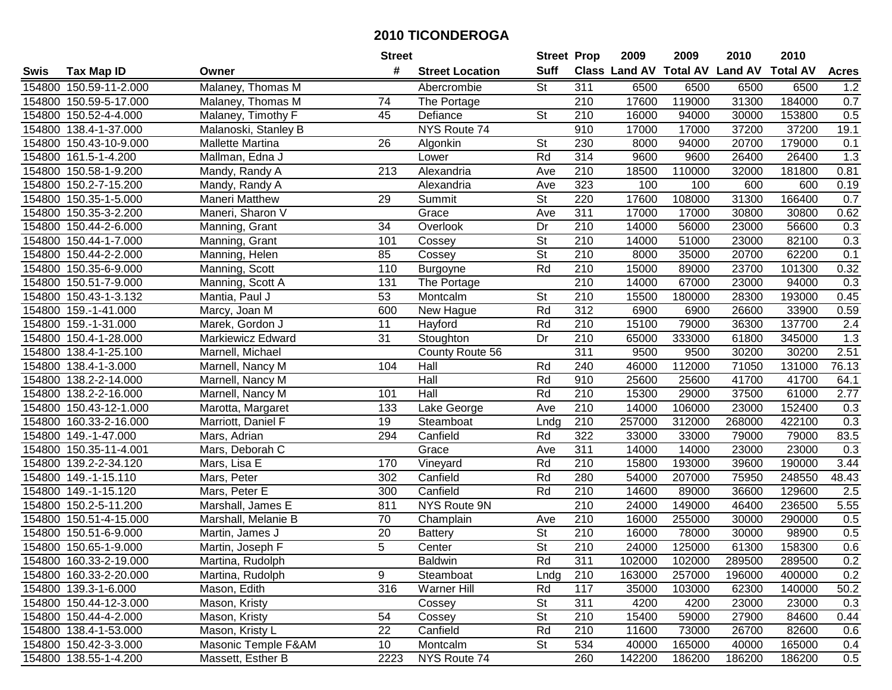|        |                        |                       | <b>Street</b>   |                        | <b>Street Prop</b>       |                  | 2009                           | 2009   | 2010   | 2010            |              |
|--------|------------------------|-----------------------|-----------------|------------------------|--------------------------|------------------|--------------------------------|--------|--------|-----------------|--------------|
| Swis   | <b>Tax Map ID</b>      | Owner                 | #               | <b>Street Location</b> | <b>Suff</b>              |                  | Class Land AV Total AV Land AV |        |        | <b>Total AV</b> | <b>Acres</b> |
|        | 154800 150.59-11-2.000 | Malaney, Thomas M     |                 | Abercrombie            | St                       | 311              | 6500                           | 6500   | 6500   | 6500            | 1.2          |
|        | 154800 150.59-5-17.000 | Malaney, Thomas M     | 74              | The Portage            |                          | 210              | 17600                          | 119000 | 31300  | 184000          | 0.7          |
|        | 154800 150.52-4-4.000  | Malaney, Timothy F    | 45              | Defiance               | <b>St</b>                | 210              | 16000                          | 94000  | 30000  | 153800          | 0.5          |
|        | 154800 138.4-1-37.000  | Malanoski, Stanley B  |                 | NYS Route 74           |                          | 910              | 17000                          | 17000  | 37200  | 37200           | 19.1         |
|        | 154800 150.43-10-9.000 | Mallette Martina      | 26              | Algonkin               | <b>St</b>                | 230              | 8000                           | 94000  | 20700  | 179000          | 0.1          |
|        | 154800 161.5-1-4.200   | Mallman, Edna J       |                 | Lower                  | Rd                       | 314              | 9600                           | 9600   | 26400  | 26400           | 1.3          |
|        | 154800 150.58-1-9.200  | Mandy, Randy A        | 213             | Alexandria             | Ave                      | 210              | 18500                          | 110000 | 32000  | 181800          | 0.81         |
|        | 154800 150.2-7-15.200  | Mandy, Randy A        |                 | Alexandria             | Ave                      | 323              | 100                            | 100    | 600    | 600             | 0.19         |
|        | 154800 150.35-1-5.000  | <b>Maneri Matthew</b> | 29              | Summit                 | $\overline{\mathsf{St}}$ | 220              | 17600                          | 108000 | 31300  | 166400          | 0.7          |
|        | 154800 150.35-3-2.200  | Maneri, Sharon V      |                 | Grace                  | Ave                      | 311              | 17000                          | 17000  | 30800  | 30800           | 0.62         |
|        | 154800 150.44-2-6.000  | Manning, Grant        | 34              | Overlook               | Dr                       | 210              | 14000                          | 56000  | 23000  | 56600           | 0.3          |
|        | 154800 150.44-1-7.000  | Manning, Grant        | 101             | Cossey                 | St                       | 210              | 14000                          | 51000  | 23000  | 82100           | 0.3          |
|        | 154800 150.44-2-2.000  | Manning, Helen        | 85              | Cossey                 | $\overline{\mathsf{St}}$ | 210              | 8000                           | 35000  | 20700  | 62200           | 0.1          |
|        | 154800 150.35-6-9.000  | Manning, Scott        | 110             | <b>Burgoyne</b>        | Rd                       | 210              | 15000                          | 89000  | 23700  | 101300          | 0.32         |
|        | 154800 150.51-7-9.000  | Manning, Scott A      | 131             | The Portage            |                          | 210              | 14000                          | 67000  | 23000  | 94000           | 0.3          |
|        | 154800 150.43-1-3.132  | Mantia, Paul J        | 53              | Montcalm               | St                       | 210              | 15500                          | 180000 | 28300  | 193000          | 0.45         |
|        | 154800 159.-1-41.000   | Marcy, Joan M         | 600             | New Hague              | Rd                       | $\overline{312}$ | 6900                           | 6900   | 26600  | 33900           | 0.59         |
|        | 154800 159.-1-31.000   | Marek, Gordon J       | 11              | Hayford                | Rd                       | 210              | 15100                          | 79000  | 36300  | 137700          | 2.4          |
|        | 154800 150.4-1-28.000  | Markiewicz Edward     | 31              | Stoughton              | Dr                       | 210              | 65000                          | 333000 | 61800  | 345000          | 1.3          |
|        | 154800 138.4-1-25.100  | Marnell, Michael      |                 | County Route 56        |                          | 311              | 9500                           | 9500   | 30200  | 30200           | 2.51         |
|        | 154800 138.4-1-3.000   | Marnell, Nancy M      | 104             | Hall                   | Rd                       | 240              | 46000                          | 112000 | 71050  | 131000          | 76.13        |
|        | 154800 138.2-2-14.000  | Marnell, Nancy M      |                 | Hall                   | Rd                       | 910              | 25600                          | 25600  | 41700  | 41700           | 64.1         |
| 154800 | 138.2-2-16.000         | Marnell, Nancy M      | 101             | Hall                   | Rd                       | 210              | 15300                          | 29000  | 37500  | 61000           | 2.77         |
| 154800 | 150.43-12-1.000        | Marotta, Margaret     | 133             | Lake George            | Ave                      | 210              | 14000                          | 106000 | 23000  | 152400          | 0.3          |
|        | 154800 160.33-2-16.000 | Marriott, Daniel F    | 19              | Steamboat              | Lndg                     | 210              | 257000                         | 312000 | 268000 | 422100          | 0.3          |
|        | 154800 149.-1-47.000   | Mars, Adrian          | 294             | Canfield               | Rd                       | 322              | 33000                          | 33000  | 79000  | 79000           | 83.5         |
|        | 154800 150.35-11-4.001 | Mars, Deborah C       |                 | Grace                  | Ave                      | 311              | 14000                          | 14000  | 23000  | 23000           | 0.3          |
|        | 154800 139.2-2-34.120  | Mars, Lisa E          | 170             | Vineyard               | Rd                       | 210              | 15800                          | 193000 | 39600  | 190000          | 3.44         |
|        | 154800 149.-1-15.110   | Mars, Peter           | 302             | Canfield               | Rd                       | 280              | 54000                          | 207000 | 75950  | 248550          | 48.43        |
|        | 154800 149.-1-15.120   | Mars, Peter E         | 300             | Canfield               | Rd                       | $\overline{210}$ | 14600                          | 89000  | 36600  | 129600          | 2.5          |
|        | 154800 150.2-5-11.200  | Marshall, James E     | 811             | NYS Route 9N           |                          | 210              | 24000                          | 149000 | 46400  | 236500          | 5.55         |
|        | 154800 150.51-4-15.000 | Marshall, Melanie B   | $\overline{70}$ | Champlain              | Ave                      | 210              | 16000                          | 255000 | 30000  | 290000          | 0.5          |
|        | 154800 150.51-6-9.000  | Martin, James J       | $\overline{20}$ | <b>Battery</b>         | $\overline{\mathsf{St}}$ | $\overline{210}$ | 16000                          | 78000  | 30000  | 98900           | 0.5          |
|        | 154800 150.65-1-9.000  | Martin, Joseph F      | $\overline{5}$  | Center                 | $\overline{\mathsf{St}}$ | $\overline{210}$ | 24000                          | 125000 | 61300  | 158300          | 0.6          |
|        | 154800 160.33-2-19.000 | Martina, Rudolph      |                 | <b>Baldwin</b>         | Rd                       | 311              | 102000                         | 102000 | 289500 | 289500          | 0.2          |
|        | 154800 160.33-2-20.000 | Martina, Rudolph      | 9               | Steamboat              | Lndg                     | 210              | 163000                         | 257000 | 196000 | 400000          | 0.2          |
|        | 154800 139.3-1-6.000   | Mason, Edith          | 316             | <b>Warner Hill</b>     | Rd                       | 117              | 35000                          | 103000 | 62300  | 140000          | 50.2         |
|        | 154800 150.44-12-3.000 | Mason, Kristy         |                 | Cossey                 | <b>St</b>                | 311              | 4200                           | 4200   | 23000  | 23000           | 0.3          |
|        | 154800 150.44-4-2.000  | Mason, Kristy         | 54              | Cossey                 | <b>St</b>                | 210              | 15400                          | 59000  | 27900  | 84600           | 0.44         |
|        | 154800 138.4-1-53.000  | Mason, Kristy L       | 22              | Canfield               | Rd                       | 210              | 11600                          | 73000  | 26700  | 82600           | 0.6          |
|        | 154800 150.42-3-3.000  | Masonic Temple F&AM   | 10              | Montcalm               | St                       | 534              | 40000                          | 165000 | 40000  | 165000          | 0.4          |
|        | 154800 138.55-1-4.200  | Massett, Esther B     | 2223            | NYS Route 74           |                          | 260              | 142200                         | 186200 | 186200 | 186200          | 0.5          |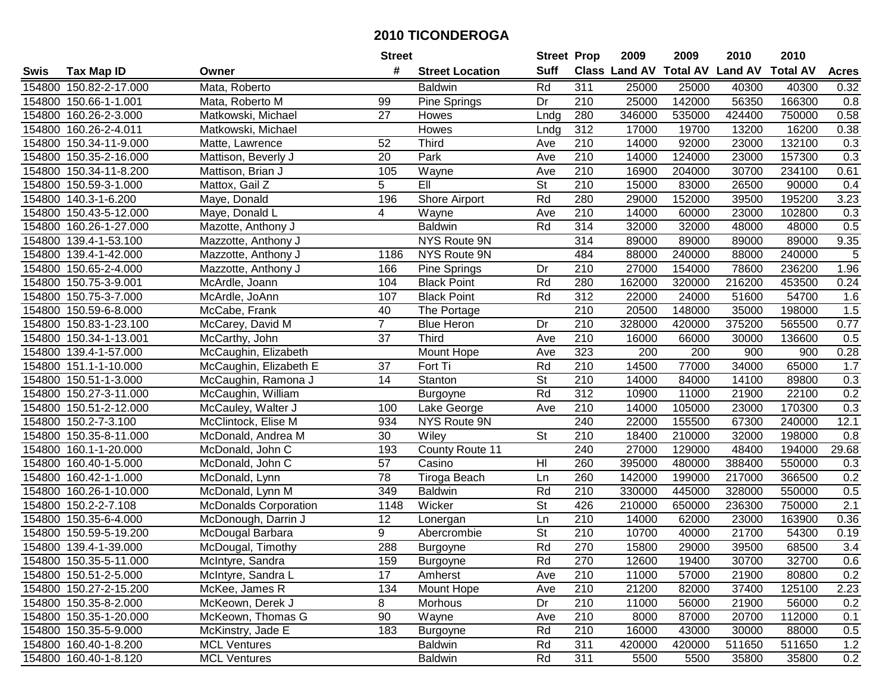|        |                        |                              | <b>Street</b>   |                        | <b>Street Prop</b>       |                  | 2009          | 2009            | 2010           | 2010            |                |
|--------|------------------------|------------------------------|-----------------|------------------------|--------------------------|------------------|---------------|-----------------|----------------|-----------------|----------------|
| Swis   | <b>Tax Map ID</b>      | Owner                        | #               | <b>Street Location</b> | <b>Suff</b>              |                  | Class Land AV | <b>Total AV</b> | <b>Land AV</b> | <b>Total AV</b> | <b>Acres</b>   |
|        | 154800 150.82-2-17.000 | Mata, Roberto                |                 | <b>Baldwin</b>         | Rd                       | 311              | 25000         | 25000           | 40300          | 40300           | 0.32           |
|        | 154800 150.66-1-1.001  | Mata, Roberto M              | 99              | Pine Springs           | Dr                       | 210              | 25000         | 142000          | 56350          | 166300          | 0.8            |
|        | 154800 160.26-2-3.000  | Matkowski, Michael           | 27              | Howes                  | Lndg                     | 280              | 346000        | 535000          | 424400         | 750000          | 0.58           |
|        | 154800 160.26-2-4.011  | Matkowski, Michael           |                 | Howes                  | Lndg                     | 312              | 17000         | 19700           | 13200          | 16200           | 0.38           |
|        | 154800 150.34-11-9.000 | Matte, Lawrence              | 52              | <b>Third</b>           | Ave                      | 210              | 14000         | 92000           | 23000          | 132100          | 0.3            |
|        | 154800 150.35-2-16.000 | Mattison, Beverly J          | 20              | Park                   | Ave                      | 210              | 14000         | 124000          | 23000          | 157300          | 0.3            |
|        | 154800 150.34-11-8.200 | Mattison, Brian J            | 105             | Wayne                  | Ave                      | 210              | 16900         | 204000          | 30700          | 234100          | 0.61           |
|        | 154800 150.59-3-1.000  | Mattox, Gail Z               | $\overline{5}$  | EII                    | $\overline{\mathsf{St}}$ | 210              | 15000         | 83000           | 26500          | 90000           | 0.4            |
|        | 154800 140.3-1-6.200   | Maye, Donald                 | 196             | <b>Shore Airport</b>   | Rd                       | 280              | 29000         | 152000          | 39500          | 195200          | 3.23           |
|        | 154800 150.43-5-12.000 | Maye, Donald L               | 4               | Wayne                  | Ave                      | 210              | 14000         | 60000           | 23000          | 102800          | 0.3            |
|        | 154800 160.26-1-27.000 | Mazotte, Anthony J           |                 | <b>Baldwin</b>         | Rd                       | 314              | 32000         | 32000           | 48000          | 48000           | 0.5            |
|        | 154800 139.4-1-53.100  | Mazzotte, Anthony J          |                 | NYS Route 9N           |                          | 314              | 89000         | 89000           | 89000          | 89000           | 9.35           |
|        | 154800 139.4-1-42.000  | Mazzotte, Anthony J          | 1186            | NYS Route 9N           |                          | 484              | 88000         | 240000          | 88000          | 240000          | $\overline{5}$ |
|        | 154800 150.65-2-4.000  | Mazzotte, Anthony J          | 166             | Pine Springs           | Dr                       | 210              | 27000         | 154000          | 78600          | 236200          | 1.96           |
|        | 154800 150.75-3-9.001  | McArdle, Joann               | 104             | <b>Black Point</b>     | Rd                       | 280              | 162000        | 320000          | 216200         | 453500          | 0.24           |
|        | 154800 150.75-3-7.000  | McArdle, JoAnn               | 107             | <b>Black Point</b>     | Rd                       | 312              | 22000         | 24000           | 51600          | 54700           | 1.6            |
|        | 154800 150.59-6-8.000  | McCabe, Frank                | 40              | The Portage            |                          | 210              | 20500         | 148000          | 35000          | 198000          | 1.5            |
|        | 154800 150.83-1-23.100 | McCarey, David M             | $\overline{7}$  | <b>Blue Heron</b>      | Dr                       | 210              | 328000        | 420000          | 375200         | 565500          | 0.77           |
|        | 154800 150.34-1-13.001 | McCarthy, John               | 37              | <b>Third</b>           | Ave                      | 210              | 16000         | 66000           | 30000          | 136600          | 0.5            |
|        | 154800 139.4-1-57.000  | McCaughin, Elizabeth         |                 | Mount Hope             | Ave                      | 323              | 200           | 200             | 900            | 900             | 0.28           |
|        | 154800 151.1-1-10.000  | McCaughin, Elizabeth E       | 37              | Fort Ti                | Rd                       | 210              | 14500         | 77000           | 34000          | 65000           | 1.7            |
|        | 154800 150.51-1-3.000  | McCaughin, Ramona J          | 14              | Stanton                | <b>St</b>                | 210              | 14000         | 84000           | 14100          | 89800           | 0.3            |
| 154800 | 150.27-3-11.000        | McCaughin, William           |                 | Burgoyne               | Rd                       | 312              | 10900         | 11000           | 21900          | 22100           | 0.2            |
| 154800 | 150.51-2-12.000        | McCauley, Walter J           | 100             | Lake George            | Ave                      | 210              | 14000         | 105000          | 23000          | 170300          | 0.3            |
|        | 154800 150.2-7-3.100   | McClintock, Elise M          | 934             | NYS Route 9N           |                          | 240              | 22000         | 155500          | 67300          | 240000          | 12.1           |
|        | 154800 150.35-8-11.000 | McDonald, Andrea M           | 30              | Wiley                  | St                       | 210              | 18400         | 210000          | 32000          | 198000          | 0.8            |
|        | 154800 160.1-1-20.000  | McDonald, John C             | 193             | County Route 11        |                          | 240              | 27000         | 129000          | 48400          | 194000          | 29.68          |
|        | 154800 160.40-1-5.000  | McDonald, John C             | 57              | Casino                 | H <sub>l</sub>           | 260              | 395000        | 480000          | 388400         | 550000          | 0.3            |
|        | 154800 160.42-1-1.000  | McDonald, Lynn               | $\overline{78}$ | Tiroga Beach           | Ln                       | 260              | 142000        | 199000          | 217000         | 366500          | 0.2            |
|        | 154800 160.26-1-10.000 | McDonald, Lynn M             | 349             | <b>Baldwin</b>         | Rd                       | $\overline{210}$ | 330000        | 445000          | 328000         | 550000          | 0.5            |
|        | 154800 150.2-2-7.108   | <b>McDonalds Corporation</b> | 1148            | Wicker                 | $\overline{\mathsf{St}}$ | 426              | 210000        | 650000          | 236300         | 750000          | 2.1            |
|        | 154800 150.35-6-4.000  | McDonough, Darrin J          | 12              | Lonergan               | Ln                       | 210              | 14000         | 62000           | 23000          | 163900          | 0.36           |
|        | 154800 150.59-5-19.200 | McDougal Barbara             | 9               | Abercrombie            | $\overline{\mathsf{St}}$ | $\overline{210}$ | 10700         | 40000           | 21700          | 54300           | 0.19           |
|        | 154800 139.4-1-39.000  | McDougal, Timothy            | 288             | Burgoyne               | Rd                       | 270              | 15800         | 29000           | 39500          | 68500           | 3.4            |
|        | 154800 150.35-5-11.000 | McIntyre, Sandra             | 159             | Burgoyne               | Rd                       | 270              | 12600         | 19400           | 30700          | 32700           | 0.6            |
|        | 154800 150.51-2-5.000  | McIntyre, Sandra L           | 17              | Amherst                | Ave                      | 210              | 11000         | 57000           | 21900          | 80800           | 0.2            |
|        | 154800 150.27-2-15.200 | McKee, James R               | 134             | Mount Hope             | Ave                      | 210              | 21200         | 82000           | 37400          | 125100          | 2.23           |
|        | 154800 150.35-8-2.000  | McKeown, Derek J             | 8               | Morhous                | Dr                       | 210              | 11000         | 56000           | 21900          | 56000           | 0.2            |
|        | 154800 150.35-1-20.000 | McKeown, Thomas G            | 90              | Wayne                  | Ave                      | 210              | 8000          | 87000           | 20700          | 112000          | 0.1            |
|        | 154800 150.35-5-9.000  | McKinstry, Jade E            | 183             | Burgoyne               | Rd                       | 210              | 16000         | 43000           | 30000          | 88000           | 0.5            |
|        | 154800 160.40-1-8.200  | <b>MCL Ventures</b>          |                 | <b>Baldwin</b>         | Rd                       | 311              | 420000        | 420000          | 511650         | 511650          | 1.2            |
|        | 154800 160.40-1-8.120  | <b>MCL Ventures</b>          |                 | <b>Baldwin</b>         | Rd                       | 311              | 5500          | 5500            | 35800          | 35800           | 0.2            |
|        |                        |                              |                 |                        |                          |                  |               |                 |                |                 |                |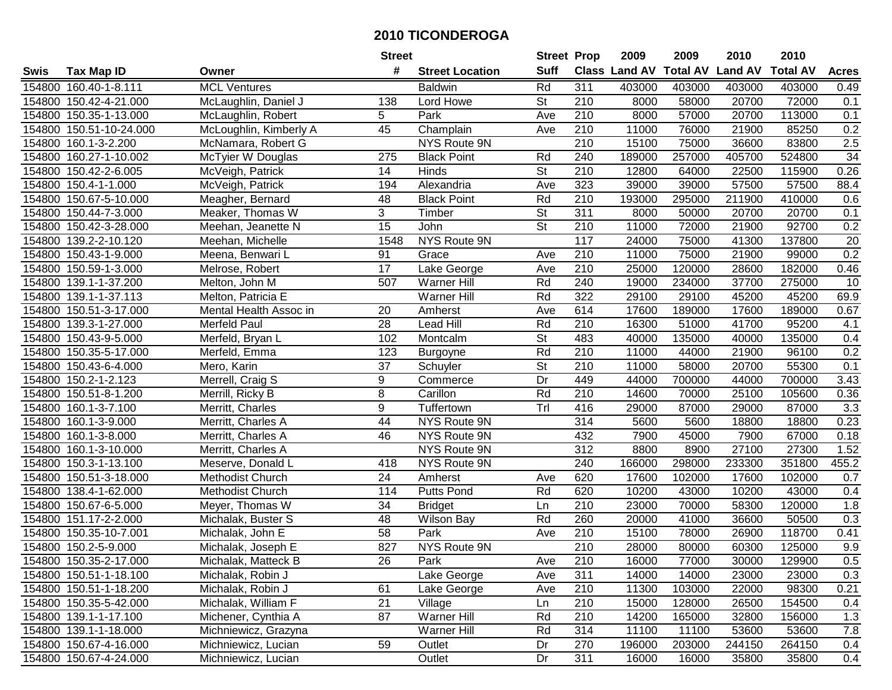|        |                         |                        | <b>Street</b>   |                        | <b>Street Prop</b>       |                  | 2009          | 2009            | 2010           | 2010            |              |
|--------|-------------------------|------------------------|-----------------|------------------------|--------------------------|------------------|---------------|-----------------|----------------|-----------------|--------------|
| Swis   | <b>Tax Map ID</b>       | Owner                  | #               | <b>Street Location</b> | <b>Suff</b>              |                  | Class Land AV | <b>Total AV</b> | <b>Land AV</b> | <b>Total AV</b> | <b>Acres</b> |
|        | 154800 160.40-1-8.111   | <b>MCL Ventures</b>    |                 | <b>Baldwin</b>         | Rd                       | 311              | 403000        | 403000          | 403000         | 403000          | 0.49         |
|        | 154800 150.42-4-21.000  | McLaughlin, Daniel J   | 138             | Lord Howe              | St                       | 210              | 8000          | 58000           | 20700          | 72000           | 0.1          |
|        | 154800 150.35-1-13.000  | McLaughlin, Robert     | 5               | Park                   | Ave                      | 210              | 8000          | 57000           | 20700          | 113000          | 0.1          |
|        | 154800 150.51-10-24.000 | McLoughlin, Kimberly A | 45              | Champlain              | Ave                      | 210              | 11000         | 76000           | 21900          | 85250           | 0.2          |
|        | 154800 160.1-3-2.200    | McNamara, Robert G     |                 | NYS Route 9N           |                          | $\overline{210}$ | 15100         | 75000           | 36600          | 83800           | 2.5          |
|        | 154800 160.27-1-10.002  | McTyier W Douglas      | 275             | <b>Black Point</b>     | Rd                       | 240              | 189000        | 257000          | 405700         | 524800          | 34           |
|        | 154800 150.42-2-6.005   | McVeigh, Patrick       | 14              | Hinds                  | <b>St</b>                | 210              | 12800         | 64000           | 22500          | 115900          | 0.26         |
|        | 154800 150.4-1-1.000    | McVeigh, Patrick       | 194             | Alexandria             | Ave                      | 323              | 39000         | 39000           | 57500          | 57500           | 88.4         |
|        | 154800 150.67-5-10.000  | Meagher, Bernard       | 48              | <b>Black Point</b>     | Rd                       | $\overline{210}$ | 193000        | 295000          | 211900         | 410000          | 0.6          |
|        | 154800 150.44-7-3.000   | Meaker, Thomas W       | 3               | Timber                 | <b>St</b>                | 311              | 8000          | 50000           | 20700          | 20700           | 0.1          |
|        | 154800 150.42-3-28.000  | Meehan, Jeanette N     | 15              | John                   | <b>St</b>                | 210              | 11000         | 72000           | 21900          | 92700           | 0.2          |
|        | 154800 139.2-2-10.120   | Meehan, Michelle       | 1548            | NYS Route 9N           |                          | 117              | 24000         | 75000           | 41300          | 137800          | 20           |
|        | 154800 150.43-1-9.000   | Meena, Benwari L       | 91              | Grace                  | Ave                      | 210              | 11000         | 75000           | 21900          | 99000           | 0.2          |
|        | 154800 150.59-1-3.000   | Melrose, Robert        | 17              | Lake George            | Ave                      | 210              | 25000         | 120000          | 28600          | 182000          | 0.46         |
|        | 154800 139.1-1-37.200   | Melton, John M         | 507             | Warner Hill            | Rd                       | 240              | 19000         | 234000          | 37700          | 275000          | 10           |
|        | 154800 139.1-1-37.113   | Melton, Patricia E     |                 | <b>Warner Hill</b>     | Rd                       | 322              | 29100         | 29100           | 45200          | 45200           | 69.9         |
|        | 154800 150.51-3-17.000  | Mental Health Assoc in | 20              | Amherst                | Ave                      | 614              | 17600         | 189000          | 17600          | 189000          | 0.67         |
|        | 154800 139.3-1-27.000   | <b>Merfeld Paul</b>    | 28              | <b>Lead Hill</b>       | Rd                       | 210              | 16300         | 51000           | 41700          | 95200           | 4.1          |
|        | 154800 150.43-9-5.000   | Merfeld, Bryan L       | 102             | Montcalm               | <b>St</b>                | 483              | 40000         | 135000          | 40000          | 135000          | 0.4          |
|        | 154800 150.35-5-17.000  | Merfeld, Emma          | 123             | Burgoyne               | Rd                       | 210              | 11000         | 44000           | 21900          | 96100           | 0.2          |
|        | 154800 150.43-6-4.000   | Mero, Karin            | 37              | Schuyler               | $\overline{\mathsf{St}}$ | 210              | 11000         | 58000           | 20700          | 55300           | 0.1          |
|        | 154800 150.2-1-2.123    | Merrell, Craig S       | 9               | Commerce               | Dr                       | 449              | 44000         | 700000          | 44000          | 700000          | 3.43         |
|        | 154800 150.51-8-1.200   | Merrill, Ricky B       | 8               | Carillon               | Rd                       | 210              | 14600         | 70000           | 25100          | 105600          | 0.36         |
| 154800 | 160.1-3-7.100           | Merritt, Charles       | 9               | Tuffertown             | Trl                      | 416              | 29000         | 87000           | 29000          | 87000           | 3.3          |
|        | 154800 160.1-3-9.000    | Merritt, Charles A     | 44              | NYS Route 9N           |                          | 314              | 5600          | 5600            | 18800          | 18800           | 0.23         |
|        | 154800 160.1-3-8.000    | Merritt, Charles A     | 46              | NYS Route 9N           |                          | 432              | 7900          | 45000           | 7900           | 67000           | 0.18         |
|        | 154800 160.1-3-10.000   | Merritt, Charles A     |                 | NYS Route 9N           |                          | $\overline{312}$ | 8800          | 8900            | 27100          | 27300           | 1.52         |
|        | 154800 150.3-1-13.100   | Meserve, Donald L      | 418             | NYS Route 9N           |                          | 240              | 166000        | 298000          | 233300         | 351800          | 455.2        |
|        | 154800 150.51-3-18.000  | Methodist Church       | 24              | Amherst                | Ave                      | 620              | 17600         | 102000          | 17600          | 102000          | 0.7          |
|        | 154800 138.4-1-62.000   | Methodist Church       | 114             | <b>Putts Pond</b>      | Rd                       | 620              | 10200         | 43000           | 10200          | 43000           | 0.4          |
|        | 154800 150.67-6-5.000   | Meyer, Thomas W        | $\overline{34}$ | <b>Bridget</b>         | Ln                       | $\overline{210}$ | 23000         | 70000           | 58300          | 120000          | 1.8          |
|        | 154800 151.17-2-2.000   | Michalak, Buster S     | 48              | <b>Wilson Bay</b>      | Rd                       | 260              | 20000         | 41000           | 36600          | 50500           | 0.3          |
|        | 154800 150.35-10-7.001  | Michalak, John E       | $\overline{58}$ | Park                   | Ave                      | $\overline{210}$ | 15100         | 78000           | 26900          | 118700          | 0.41         |
|        | 154800 150.2-5-9.000    | Michalak, Joseph E     | 827             | NYS Route 9N           |                          | $\overline{210}$ | 28000         | 80000           | 60300          | 125000          | 9.9          |
|        | 154800 150.35-2-17.000  | Michalak, Matteck B    | 26              | Park                   | Ave                      | 210              | 16000         | 77000           | 30000          | 129900          | 0.5          |
|        | 154800 150.51-1-18.100  | Michalak, Robin J      |                 | Lake George            | Ave                      | 311              | 14000         | 14000           | 23000          | 23000           | 0.3          |
|        | 154800 150.51-1-18.200  | Michalak, Robin J      | 61              | Lake George            | Ave                      | 210              | 11300         | 103000          | 22000          | 98300           | 0.21         |
|        | 154800 150.35-5-42.000  | Michalak, William F    | 21              | Village                | Ln                       | 210              | 15000         | 128000          | 26500          | 154500          | 0.4          |
|        | 154800 139.1-1-17.100   | Michener, Cynthia A    | 87              | Warner Hill            | Rd                       | 210              | 14200         | 165000          | 32800          | 156000          | 1.3          |
|        | 154800 139.1-1-18.000   | Michniewicz, Grazyna   |                 | Warner Hill            | Rd                       | 314              | 11100         | 11100           | 53600          | 53600           | 7.8          |
|        | 154800 150.67-4-16.000  | Michniewicz, Lucian    | 59              | Outlet                 | Dr                       | 270              | 196000        | 203000          | 244150         | 264150          | 0.4          |
|        | 154800 150.67-4-24.000  | Michniewicz, Lucian    |                 | Outlet                 | Dr                       | 311              | 16000         | 16000           | 35800          | 35800           | 0.4          |
|        |                         |                        |                 |                        |                          |                  |               |                 |                |                 |              |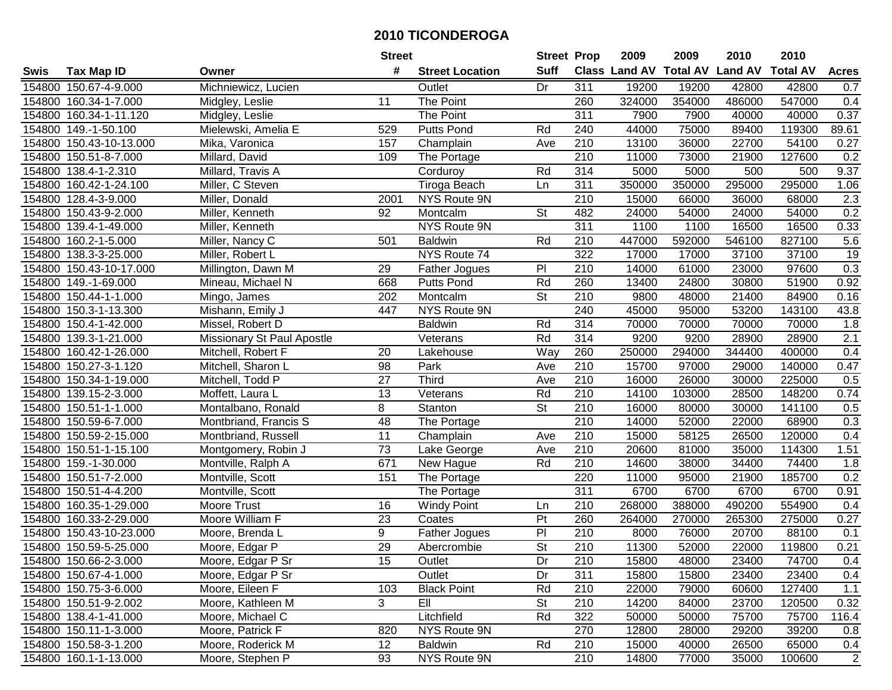|        |                         |                            | <b>Street</b>   |                        | <b>Street Prop</b>       |                  | 2009                          | 2009   | 2010           | 2010            |                  |
|--------|-------------------------|----------------------------|-----------------|------------------------|--------------------------|------------------|-------------------------------|--------|----------------|-----------------|------------------|
| Swis   | <b>Tax Map ID</b>       | Owner                      | #               | <b>Street Location</b> | <b>Suff</b>              |                  | <b>Class Land AV Total AV</b> |        | <b>Land AV</b> | <b>Total AV</b> | <b>Acres</b>     |
|        | 154800 150.67-4-9.000   | Michniewicz, Lucien        |                 | Outlet                 | Dr                       | 311              | 19200                         | 19200  | 42800          | 42800           | 0.7              |
|        | 154800 160.34-1-7.000   | Midgley, Leslie            | 11              | The Point              |                          | 260              | 324000                        | 354000 | 486000         | 547000          | 0.4              |
|        | 154800 160.34-1-11.120  | Midgley, Leslie            |                 | The Point              |                          | 311              | 7900                          | 7900   | 40000          | 40000           | 0.37             |
|        | 154800 149.-1-50.100    | Mielewski, Amelia E        | 529             | <b>Putts Pond</b>      | Rd                       | 240              | 44000                         | 75000  | 89400          | 119300          | 89.61            |
|        | 154800 150.43-10-13.000 | Mika, Varonica             | 157             | Champlain              | Ave                      | 210              | 13100                         | 36000  | 22700          | 54100           | 0.27             |
|        | 154800 150.51-8-7.000   | Millard, David             | 109             | The Portage            |                          | $\overline{210}$ | 11000                         | 73000  | 21900          | 127600          | 0.2              |
|        | 154800 138.4-1-2.310    | Millard, Travis A          |                 | Corduroy               | Rd                       | 314              | 5000                          | 5000   | 500            | 500             | 9.37             |
| 154800 | 160.42-1-24.100         | Miller, C Steven           |                 | <b>Tiroga Beach</b>    | Ln                       | 311              | 350000                        | 350000 | 295000         | 295000          | 1.06             |
|        | 154800 128.4-3-9.000    | Miller, Donald             | 2001            | NYS Route 9N           |                          | $\overline{210}$ | 15000                         | 66000  | 36000          | 68000           | $\overline{2.3}$ |
|        | 154800 150.43-9-2.000   | Miller, Kenneth            | 92              | Montcalm               | <b>St</b>                | 482              | 24000                         | 54000  | 24000          | 54000           | 0.2              |
|        | 154800 139.4-1-49.000   | Miller, Kenneth            |                 | NYS Route 9N           |                          | 311              | 1100                          | 1100   | 16500          | 16500           | 0.33             |
|        | 154800 160.2-1-5.000    | Miller, Nancy C            | 501             | <b>Baldwin</b>         | Rd                       | 210              | 447000                        | 592000 | 546100         | 827100          | 5.6              |
|        | 154800 138.3-3-25.000   | Miller, Robert L           |                 | NYS Route 74           |                          | 322              | 17000                         | 17000  | 37100          | 37100           | $\overline{19}$  |
|        | 154800 150.43-10-17.000 | Millington, Dawn M         | 29              | <b>Father Jogues</b>   | PI                       | 210              | 14000                         | 61000  | 23000          | 97600           | 0.3              |
|        | 154800 149.-1-69.000    | Mineau, Michael N          | 668             | <b>Putts Pond</b>      | Rd                       | 260              | 13400                         | 24800  | 30800          | 51900           | 0.92             |
|        | 154800 150.44-1-1.000   | Mingo, James               | 202             | Montcalm               | <b>St</b>                | 210              | 9800                          | 48000  | 21400          | 84900           | 0.16             |
|        | 154800 150.3-1-13.300   | Mishann, Emily J           | 447             | NYS Route 9N           |                          | 240              | 45000                         | 95000  | 53200          | 143100          | 43.8             |
|        | 154800 150.4-1-42.000   | Missel, Robert D           |                 | <b>Baldwin</b>         | Rd                       | 314              | 70000                         | 70000  | 70000          | 70000           | 1.8              |
|        | 154800 139.3-1-21.000   | Missionary St Paul Apostle |                 | Veterans               | Rd                       | 314              | 9200                          | 9200   | 28900          | 28900           | 2.1              |
|        | 154800 160.42-1-26.000  | Mitchell, Robert F         | 20              | Lakehouse              | Way                      | 260              | 250000                        | 294000 | 344400         | 400000          | 0.4              |
|        | 154800 150.27-3-1.120   | Mitchell, Sharon L         | 98              | Park                   | Ave                      | 210              | 15700                         | 97000  | 29000          | 140000          | 0.47             |
|        | 154800 150.34-1-19.000  | Mitchell, Todd P           | 27              | <b>Third</b>           | Ave                      | 210              | 16000                         | 26000  | 30000          | 225000          | 0.5              |
| 154800 | 139.15-2-3.000          | Moffett, Laura L           | 13              | Veterans               | Rd                       | 210              | 14100                         | 103000 | 28500          | 148200          | 0.74             |
| 154800 | 150.51-1-1.000          | Montalbano, Ronald         | 8               | Stanton                | <b>St</b>                | 210              | 16000                         | 80000  | 30000          | 141100          | 0.5              |
| 154800 | 150.59-6-7.000          | Montbriand, Francis S      | $\overline{48}$ | The Portage            |                          | $\overline{210}$ | 14000                         | 52000  | 22000          | 68900           | 0.3              |
|        | 154800 150.59-2-15.000  | Montbriand, Russell        | 11              | Champlain              | Ave                      | 210              | 15000                         | 58125  | 26500          | 120000          | 0.4              |
|        | 154800 150.51-1-15.100  | Montgomery, Robin J        | 73              | Lake George            | Ave                      | 210              | 20600                         | 81000  | 35000          | 114300          | 1.51             |
|        | 154800 159.-1-30.000    | Montville, Ralph A         | 671             | New Hague              | Rd                       | 210              | 14600                         | 38000  | 34400          | 74400           | 1.8              |
|        | 154800 150.51-7-2.000   | Montville, Scott           | 151             | The Portage            |                          | 220              | 11000                         | 95000  | 21900          | 185700          | 0.2              |
|        | 154800 150.51-4-4.200   | Montville, Scott           |                 | The Portage            |                          | 311              | 6700                          | 6700   | 6700           | 6700            | 0.91             |
|        | 154800 160.35-1-29.000  | <b>Moore Trust</b>         | 16              | <b>Windy Point</b>     | Ln                       | $\overline{210}$ | 268000                        | 388000 | 490200         | 554900          | 0.4              |
|        | 154800 160.33-2-29.000  | Moore William F            | 23              | Coates                 | Pt                       | 260              | 264000                        | 270000 | 265300         | 275000          | 0.27             |
|        | 154800 150.43-10-23.000 | Moore, Brenda L            | 9               | Father Jogues          | $\overline{P}$           | $\overline{210}$ | 8000                          | 76000  | 20700          | 88100           | 0.1              |
|        | 154800 150.59-5-25.000  | Moore, Edgar P             | 29              | Abercrombie            | $\overline{\mathsf{St}}$ | $\overline{210}$ | 11300                         | 52000  | 22000          | 119800          | 0.21             |
|        | 154800 150.66-2-3.000   | Moore, Edgar P Sr          | 15              | Outlet                 | Dr                       | 210              | 15800                         | 48000  | 23400          | 74700           | 0.4              |
|        | 154800 150.67-4-1.000   | Moore, Edgar P Sr          |                 | Outlet                 | Dr                       | 311              | 15800                         | 15800  | 23400          | 23400           | 0.4              |
|        | 154800 150.75-3-6.000   | Moore, Eileen F            | 103             | <b>Black Point</b>     | Rd                       | 210              | 22000                         | 79000  | 60600          | 127400          | 1.1              |
|        | 154800 150.51-9-2.002   | Moore, Kathleen M          | 3               | EII                    | <b>St</b>                | 210              | 14200                         | 84000  | 23700          | 120500          | 0.32             |
|        | 154800 138.4-1-41.000   | Moore, Michael C           |                 | Litchfield             | Rd                       | 322              | 50000                         | 50000  | 75700          | 75700           | 116.4            |
|        | 154800 150.11-1-3.000   | Moore, Patrick F           | 820             | NYS Route 9N           |                          | 270              | 12800                         | 28000  | 29200          | 39200           | 0.8              |
|        | 154800 150.58-3-1.200   | Moore, Roderick M          | 12              | <b>Baldwin</b>         | Rd                       | 210              | 15000                         | 40000  | 26500          | 65000           | 0.4              |
|        | 154800 160.1-1-13.000   | Moore, Stephen P           | 93              | NYS Route 9N           |                          | 210              | 14800                         | 77000  | 35000          | 100600          | 2                |
|        |                         |                            |                 |                        |                          |                  |                               |        |                |                 |                  |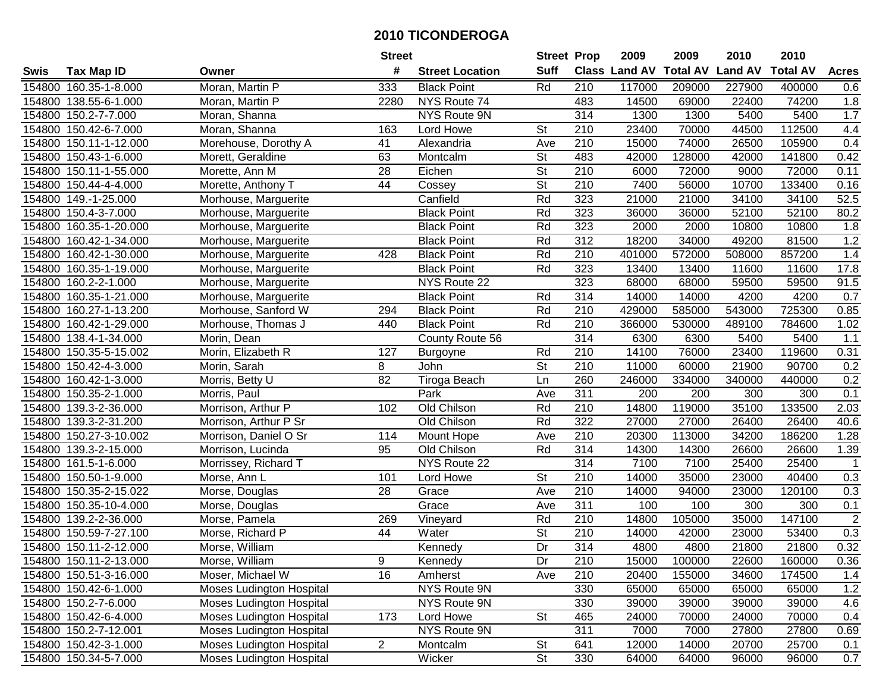|        |                        |                                 | <b>Street</b>   |                        | <b>Street Prop</b>       |                  | 2009                 | 2009            | 2010           | 2010            |                   |
|--------|------------------------|---------------------------------|-----------------|------------------------|--------------------------|------------------|----------------------|-----------------|----------------|-----------------|-------------------|
| Swis   | <b>Tax Map ID</b>      | Owner                           | #               | <b>Street Location</b> | <b>Suff</b>              |                  | <b>Class Land AV</b> | <b>Total AV</b> | <b>Land AV</b> | <b>Total AV</b> | <b>Acres</b>      |
|        | 154800 160.35-1-8.000  | Moran, Martin P                 | 333             | <b>Black Point</b>     | Rd                       | 210              | 117000               | 209000          | 227900         | 400000          | 0.6               |
|        | 154800 138.55-6-1.000  | Moran, Martin P                 | 2280            | NYS Route 74           |                          | 483              | 14500                | 69000           | 22400          | 74200           | 1.8               |
|        | 154800 150.2-7-7.000   | Moran, Shanna                   |                 | NYS Route 9N           |                          | 314              | 1300                 | 1300            | 5400           | 5400            | 1.7               |
|        | 154800 150.42-6-7.000  | Moran, Shanna                   | 163             | Lord Howe              | St                       | 210              | 23400                | 70000           | 44500          | 112500          | 4.4               |
|        | 154800 150.11-1-12.000 | Morehouse, Dorothy A            | 41              | Alexandria             | Ave                      | 210              | 15000                | 74000           | 26500          | 105900          | 0.4               |
|        | 154800 150.43-1-6.000  | Morett, Geraldine               | 63              | Montcalm               | $\overline{\mathsf{St}}$ | 483              | 42000                | 128000          | 42000          | 141800          | 0.42              |
|        | 154800 150.11-1-55.000 | Morette, Ann M                  | 28              | Eichen                 | St                       | 210              | 6000                 | 72000           | 9000           | 72000           | $0.\overline{11}$ |
|        | 154800 150.44-4-4.000  | Morette, Anthony T              | $\overline{44}$ | Cossey                 | $\overline{\mathsf{St}}$ | $\overline{210}$ | 7400                 | 56000           | 10700          | 133400          | 0.16              |
|        | 154800 149.-1-25.000   | Morhouse, Marguerite            |                 | Canfield               | Rd                       | 323              | 21000                | 21000           | 34100          | 34100           | 52.5              |
|        | 154800 150.4-3-7.000   | Morhouse, Marguerite            |                 | <b>Black Point</b>     | Rd                       | 323              | 36000                | 36000           | 52100          | 52100           | 80.2              |
|        | 154800 160.35-1-20.000 | Morhouse, Marguerite            |                 | <b>Black Point</b>     | Rd                       | 323              | 2000                 | 2000            | 10800          | 10800           | 1.8               |
|        | 154800 160.42-1-34.000 | Morhouse, Marguerite            |                 | <b>Black Point</b>     | Rd                       | 312              | 18200                | 34000           | 49200          | 81500           | 1.2               |
|        | 154800 160.42-1-30.000 | Morhouse, Marguerite            | 428             | <b>Black Point</b>     | Rd                       | 210              | 401000               | 572000          | 508000         | 857200          | 1.4               |
|        | 154800 160.35-1-19.000 | Morhouse, Marguerite            |                 | <b>Black Point</b>     | Rd                       | 323              | 13400                | 13400           | 11600          | 11600           | 17.8              |
|        | 154800 160.2-2-1.000   | Morhouse, Marguerite            |                 | NYS Route 22           |                          | 323              | 68000                | 68000           | 59500          | 59500           | 91.5              |
|        | 154800 160.35-1-21.000 | Morhouse, Marguerite            |                 | <b>Black Point</b>     | Rd                       | 314              | 14000                | 14000           | 4200           | 4200            | 0.7               |
|        | 154800 160.27-1-13.200 | Morhouse, Sanford W             | 294             | <b>Black Point</b>     | Rd                       | 210              | 429000               | 585000          | 543000         | 725300          | 0.85              |
|        | 154800 160.42-1-29.000 | Morhouse, Thomas J              | 440             | <b>Black Point</b>     | Rd                       | 210              | 366000               | 530000          | 489100         | 784600          | 1.02              |
|        | 154800 138.4-1-34.000  | Morin, Dean                     |                 | County Route 56        |                          | 314              | 6300                 | 6300            | 5400           | 5400            | 1.1               |
|        | 154800 150.35-5-15.002 | Morin, Elizabeth R              | 127             | Burgoyne               | Rd                       | 210              | 14100                | 76000           | 23400          | 119600          | 0.31              |
|        | 154800 150.42-4-3.000  | Morin, Sarah                    | 8               | John                   | $\overline{\mathsf{St}}$ | 210              | 11000                | 60000           | 21900          | 90700           | 0.2               |
|        | 154800 160.42-1-3.000  | Morris, Betty U                 | 82              | Tiroga Beach           | Ln                       | 260              | 246000               | 334000          | 340000         | 440000          | 0.2               |
| 154800 | 150.35-2-1.000         | Morris, Paul                    |                 | Park                   | Ave                      | 311              | 200                  | 200             | 300            | 300             | 0.1               |
| 154800 | 139.3-2-36.000         | Morrison, Arthur P              | 102             | Old Chilson            | Rd                       | 210              | 14800                | 119000          | 35100          | 133500          | 2.03              |
| 154800 | 139.3-2-31.200         | Morrison, Arthur P Sr           |                 | Old Chilson            | Rd                       | 322              | 27000                | 27000           | 26400          | 26400           | 40.6              |
|        | 154800 150.27-3-10.002 | Morrison, Daniel O Sr           | 114             | Mount Hope             | Ave                      | 210              | 20300                | 113000          | 34200          | 186200          | 1.28              |
|        | 154800 139.3-2-15.000  | Morrison, Lucinda               | 95              | Old Chilson            | Rd                       | 314              | 14300                | 14300           | 26600          | 26600           | 1.39              |
|        | 154800 161.5-1-6.000   | Morrissey, Richard T            |                 | NYS Route 22           |                          | 314              | 7100                 | 7100            | 25400          | 25400           |                   |
|        | 154800 150.50-1-9.000  | Morse, Ann L                    | 101             | Lord Howe              | $\overline{\mathsf{St}}$ | 210              | 14000                | 35000           | 23000          | 40400           | 0.3               |
|        | 154800 150.35-2-15.022 | Morse, Douglas                  | 28              | Grace                  | Ave                      | 210              | 14000                | 94000           | 23000          | 120100          | 0.3               |
|        | 154800 150.35-10-4.000 | Morse, Douglas                  |                 | Grace                  | Ave                      | 311              | 100                  | 100             | 300            | 300             | 0.1               |
|        | 154800 139.2-2-36.000  | Morse, Pamela                   | 269             | Vineyard               | Rd                       | 210              | 14800                | 105000          | 35000          | 147100          | $\overline{2}$    |
|        | 154800 150.59-7-27.100 | Morse, Richard P                | 44              | Water                  | $\overline{\mathsf{St}}$ | $\overline{210}$ | 14000                | 42000           | 23000          | 53400           | 0.3               |
|        | 154800 150.11-2-12.000 | Morse, William                  |                 | Kennedy                | $\overline{Dr}$          | 314              | 4800                 | 4800            | 21800          | 21800           | 0.32              |
|        | 154800 150.11-2-13.000 | Morse, William                  | 9               | Kennedy                | Dr                       | 210              | 15000                | 100000          | 22600          | 160000          | 0.36              |
|        | 154800 150.51-3-16.000 | Moser, Michael W                | 16              | Amherst                | Ave                      | 210              | 20400                | 155000          | 34600          | 174500          | 1.4               |
|        | 154800 150.42-6-1.000  | <b>Moses Ludington Hospital</b> |                 | NYS Route 9N           |                          | 330              | 65000                | 65000           | 65000          | 65000           | 1.2               |
|        | 154800 150.2-7-6.000   | <b>Moses Ludington Hospital</b> |                 | NYS Route 9N           |                          | 330              | 39000                | 39000           | 39000          | 39000           | 4.6               |
|        | 154800 150.42-6-4.000  | <b>Moses Ludington Hospital</b> | 173             | Lord Howe              | <b>St</b>                | 465              | 24000                | 70000           | 24000          | 70000           | 0.4               |
|        | 154800 150.2-7-12.001  | <b>Moses Ludington Hospital</b> |                 | NYS Route 9N           |                          | 311              | 7000                 | 7000            | 27800          | 27800           | 0.69              |
|        | 154800 150.42-3-1.000  | Moses Ludington Hospital        | $\overline{2}$  | Montcalm               | <b>St</b>                | 641              | 12000                | 14000           | 20700          | 25700           | 0.1               |
|        | 154800 150.34-5-7.000  | Moses Ludington Hospital        |                 | Wicker                 | $\overline{\mathsf{St}}$ | 330              | 64000                | 64000           | 96000          | 96000           | 0.7               |
|        |                        |                                 |                 |                        |                          |                  |                      |                 |                |                 |                   |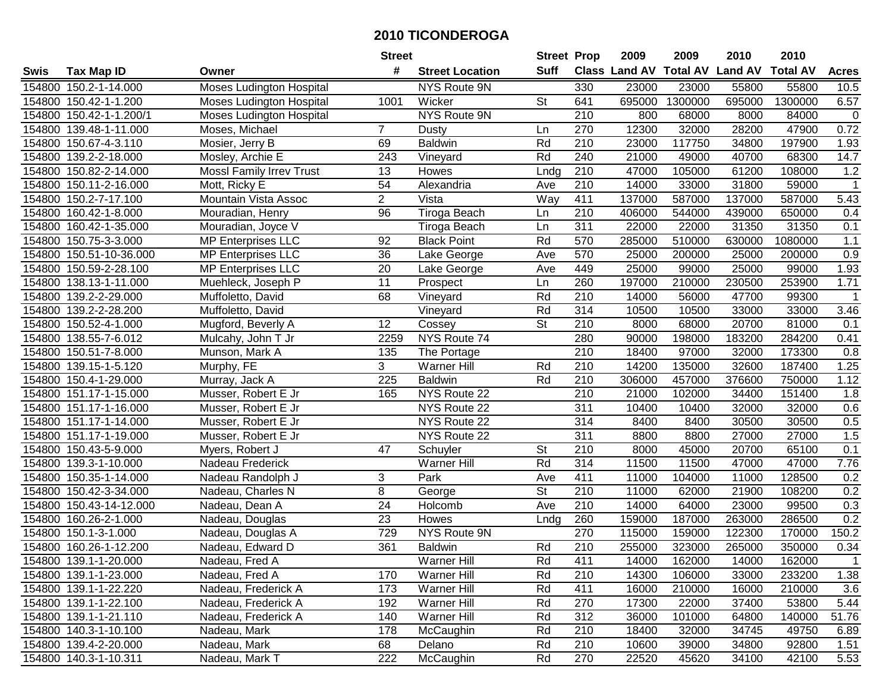| #<br><b>Suff</b><br><b>Class Land AV Total AV</b><br><b>Land AV</b><br><b>Total AV</b><br><b>Tax Map ID</b><br><b>Street Location</b><br><b>Acres</b><br>Swis<br>Owner<br>154800 150.2-1-14.000<br><b>Moses Ludington Hospital</b><br>NYS Route 9N<br>330<br>23000<br>23000<br>55800<br>55800<br>10.5<br>1300000<br>695000<br>1300000<br>6.57<br>154800 150.42-1-1.200<br>Wicker<br><b>St</b><br>641<br>695000<br><b>Moses Ludington Hospital</b><br>1001<br>154800 150.42-1-1.200/1<br>Moses Ludington Hospital<br>NYS Route 9N<br>210<br>800<br>68000<br>8000<br>84000<br>$\mathbf 0$<br>0.72<br>270<br>12300<br>28200<br>47900<br>154800 139.48-1-11.000<br>Moses, Michael<br>$\overline{7}$<br>32000<br><b>Dusty</b><br>Ln<br>154800 150.67-4-3.110<br>Rd<br>210<br>23000<br>117750<br>34800<br>197900<br>1.93<br>Mosier, Jerry B<br>69<br><b>Baldwin</b><br>Rd<br>14.7<br>154800 139.2-2-18.000<br>Mosley, Archie E<br>243<br>Vineyard<br>240<br>21000<br>49000<br>40700<br>68300<br><b>MossI Family Irrev Trust</b><br>210<br>47000<br>105000<br>61200<br>1.2<br>154800 150.82-2-14.000<br>13<br>108000<br>Howes<br>Lndg<br>210<br>$\overline{54}$<br>14000<br>31800<br>59000<br>$\overline{1}$<br>154800<br>150.11-2-16.000<br>Mott, Ricky E<br>Ave<br>33000<br>Alexandria<br>$\overline{2}$<br>411<br>137000<br>587000<br>137000<br>154800 150.2-7-17.100<br>Vista<br>Way<br>587000<br>5.43<br>Mountain Vista Assoc<br>96<br>210<br>154800 160.42-1-8.000<br>Tiroga Beach<br>406000<br>544000<br>439000<br>650000<br>0.4<br>Mouradian, Henry<br>Ln<br>311<br>31350<br>31350<br>154800 160.42-1-35.000<br>Mouradian, Joyce V<br>22000<br>22000<br>0.1<br>Tiroga Beach<br>Ln<br><b>MP Enterprises LLC</b><br><b>Black Point</b><br>Rd<br>570<br>285000<br>510000<br>630000<br>1080000<br>1.1<br>154800 150.75-3-3.000<br>92<br>$\overline{36}$<br>570<br>25000<br>0.9<br>154800 150.51-10-36.000<br><b>MP Enterprises LLC</b><br>Ave<br>25000<br>200000<br>200000<br>Lake George<br>20<br>154800 150.59-2-28.100<br><b>MP Enterprises LLC</b><br>449<br>25000<br>99000<br>25000<br>99000<br>1.93<br>Lake George<br>Ave<br>11<br>260<br>1.71<br>154800 138.13-1-11.000<br>197000<br>210000<br>230500<br>253900<br>Muehleck, Joseph P<br>Prospect<br>Ln<br>210<br>139.2-2-29.000<br>68<br>Rd<br>14000<br>56000<br>47700<br>99300<br>154800<br>Muffoletto, David<br>Vineyard<br>-1<br>314<br>Rd<br>154800 139.2-2-28.200<br>10500<br>10500<br>33000<br>33000<br>3.46<br>Muffoletto, David<br>Vineyard<br>$\overline{\mathsf{St}}$<br>154800 150.52-4-1.000<br>12<br>Cossey<br>210<br>8000<br>68000<br>20700<br>81000<br>Mugford, Beverly A<br>0.1<br>NYS Route 74<br>154800 138.55-7-6.012<br>Mulcahy, John T Jr<br>2259<br>280<br>90000<br>198000<br>183200<br>284200<br>0.41<br>154800 150.51-7-8.000<br>135<br>The Portage<br>210<br>18400<br>97000<br>32000<br>173300<br>0.8<br>Munson, Mark A<br>1.25<br>3<br>Rd<br>210<br>14200<br>135000<br>32600<br>187400<br>154800 139.15-1-5.120<br>Murphy, FE<br>Warner Hill<br>Rd<br>1.12<br>225<br><b>Baldwin</b><br>210<br>306000<br>457000<br>376600<br>750000<br>154800 150.4-1-29.000<br>Murray, Jack A<br>NYS Route 22<br>210<br>1.8<br>154800<br>151.17-1-15.000<br>Musser, Robert E Jr<br>165<br>21000<br>102000<br>34400<br>151400<br>154800 151.17-1-16.000<br>NYS Route 22<br>311<br>10400<br>10400<br>32000<br>32000<br>0.6<br>Musser, Robert E Jr<br>314<br>0.5<br>154800 151.17-1-14.000<br>NYS Route 22<br>8400<br>8400<br>30500<br>30500<br>Musser, Robert E Jr<br>311<br>1.5<br>154800 151.17-1-19.000<br>NYS Route 22<br>8800<br>8800<br>27000<br>27000<br>Musser, Robert E Jr<br>47<br>St<br>210<br>65100<br>0.1<br>154800 150.43-5-9.000<br>8000<br>45000<br>20700<br>Myers, Robert J<br>Schuyler<br>Rd<br>314<br>11500<br>7.76<br>154800 139.3-1-10.000<br>Nadeau Frederick<br>Warner Hill<br>11500<br>47000<br>47000<br>411<br>3<br>Park<br>11000<br>11000<br>128500<br>0.2<br>154800 150.35-1-14.000<br>Nadeau Randolph J<br>Ave<br>104000<br>8<br>$\overline{\mathsf{St}}$<br>$\overline{210}$<br>0.2<br>154800 150.42-3-34.000<br>11000<br>62000<br>21900<br>108200<br>Nadeau, Charles N<br>George<br>24<br>210<br>23000<br>99500<br>0.3<br>154800 150.43-14-12.000<br>Ave<br>14000<br>64000<br>Nadeau, Dean A<br>Holcomb<br>0.2<br>154800 160.26-2-1.000<br>23<br>260<br>159000<br>187000<br>263000<br>286500<br>Nadeau, Douglas<br>Howes<br>Lndg<br>729<br>NYS Route 9N<br>270<br>150.2<br>154800 150.1-3-1.000<br>115000<br>159000<br>122300<br>170000<br>Nadeau, Douglas A<br>361<br>Rd<br>$\overline{210}$<br>154800 160.26-1-12.200<br>255000<br>323000<br>265000<br>350000<br>0.34<br>Nadeau, Edward D<br><b>Baldwin</b><br>154800 139.1-1-20.000<br>Nadeau, Fred A<br>Warner Hill<br>Rd<br>411<br>14000<br>162000<br>14000<br>162000<br>1<br>Warner Hill<br>Rd<br>210<br>14300<br>106000<br>233200<br>1.38<br>154800 139.1-1-23.000<br>Nadeau, Fred A<br>170<br>33000<br>16000<br>154800 139.1-1-22.220<br>173<br><b>Warner Hill</b><br>Rd<br>411<br>210000<br>16000<br>210000<br>3.6<br>Nadeau, Frederick A<br>Rd<br>270<br>17300<br>53800<br>5.44<br>154800 139.1-1-22.100<br>192<br>Warner Hill<br>22000<br>37400<br>Nadeau, Frederick A<br>Rd<br>312<br>51.76<br>154800 139.1-1-21.110<br>Nadeau, Frederick A<br>140<br><b>Warner Hill</b><br>36000<br>101000<br>64800<br>140000<br>154800 140.3-1-10.100<br>178<br>McCaughin<br>Rd<br>210<br>18400<br>32000<br>34745<br>49750<br>Nadeau, Mark<br>6.89<br>154800 139.4-2-20.000<br>Rd<br>210<br>10600<br>34800<br>92800<br>Nadeau, Mark<br>68<br>Delano<br>39000<br>1.51<br>154800 140.3-1-10.311<br>222<br>Rd<br>270<br>22520<br>34100<br>42100<br>5.53<br>Nadeau, Mark T<br>McCaughin<br>45620 |  | <b>Street</b> | <b>Street Prop</b> | 2009 | 2009 | 2010 | 2010 |  |
|---------------------------------------------------------------------------------------------------------------------------------------------------------------------------------------------------------------------------------------------------------------------------------------------------------------------------------------------------------------------------------------------------------------------------------------------------------------------------------------------------------------------------------------------------------------------------------------------------------------------------------------------------------------------------------------------------------------------------------------------------------------------------------------------------------------------------------------------------------------------------------------------------------------------------------------------------------------------------------------------------------------------------------------------------------------------------------------------------------------------------------------------------------------------------------------------------------------------------------------------------------------------------------------------------------------------------------------------------------------------------------------------------------------------------------------------------------------------------------------------------------------------------------------------------------------------------------------------------------------------------------------------------------------------------------------------------------------------------------------------------------------------------------------------------------------------------------------------------------------------------------------------------------------------------------------------------------------------------------------------------------------------------------------------------------------------------------------------------------------------------------------------------------------------------------------------------------------------------------------------------------------------------------------------------------------------------------------------------------------------------------------------------------------------------------------------------------------------------------------------------------------------------------------------------------------------------------------------------------------------------------------------------------------------------------------------------------------------------------------------------------------------------------------------------------------------------------------------------------------------------------------------------------------------------------------------------------------------------------------------------------------------------------------------------------------------------------------------------------------------------------------------------------------------------------------------------------------------------------------------------------------------------------------------------------------------------------------------------------------------------------------------------------------------------------------------------------------------------------------------------------------------------------------------------------------------------------------------------------------------------------------------------------------------------------------------------------------------------------------------------------------------------------------------------------------------------------------------------------------------------------------------------------------------------------------------------------------------------------------------------------------------------------------------------------------------------------------------------------------------------------------------------------------------------------------------------------------------------------------------------------------------------------------------------------------------------------------------------------------------------------------------------------------------------------------------------------------------------------------------------------------------------------------------------------------------------------------------------------------------------------------------------------------------------------------------------------------------------------------------------------------------------------------------------------------------------------------------------------------------------------------------------------------------------------------------------------------------------------------------------------------------------------------------------------------------------------------------------------------------------------------------------------------------------------------------------------------------------------------------------------------------------------------------------------------------------------------------------------------------------------------------------------------------------------------------------------------------------------------------------------------------------------------------------------------------------------------------------------------------------------------------------------------------------------------------------------------------------------------|--|---------------|--------------------|------|------|------|------|--|
|                                                                                                                                                                                                                                                                                                                                                                                                                                                                                                                                                                                                                                                                                                                                                                                                                                                                                                                                                                                                                                                                                                                                                                                                                                                                                                                                                                                                                                                                                                                                                                                                                                                                                                                                                                                                                                                                                                                                                                                                                                                                                                                                                                                                                                                                                                                                                                                                                                                                                                                                                                                                                                                                                                                                                                                                                                                                                                                                                                                                                                                                                                                                                                                                                                                                                                                                                                                                                                                                                                                                                                                                                                                                                                                                                                                                                                                                                                                                                                                                                                                                                                                                                                                                                                                                                                                                                                                                                                                                                                                                                                                                                                                                                                                                                                                                                                                                                                                                                                                                                                                                                                                                                                                                                                                                                                                                                                                                                                                                                                                                                                                                                                                                                                                                       |  |               |                    |      |      |      |      |  |
|                                                                                                                                                                                                                                                                                                                                                                                                                                                                                                                                                                                                                                                                                                                                                                                                                                                                                                                                                                                                                                                                                                                                                                                                                                                                                                                                                                                                                                                                                                                                                                                                                                                                                                                                                                                                                                                                                                                                                                                                                                                                                                                                                                                                                                                                                                                                                                                                                                                                                                                                                                                                                                                                                                                                                                                                                                                                                                                                                                                                                                                                                                                                                                                                                                                                                                                                                                                                                                                                                                                                                                                                                                                                                                                                                                                                                                                                                                                                                                                                                                                                                                                                                                                                                                                                                                                                                                                                                                                                                                                                                                                                                                                                                                                                                                                                                                                                                                                                                                                                                                                                                                                                                                                                                                                                                                                                                                                                                                                                                                                                                                                                                                                                                                                                       |  |               |                    |      |      |      |      |  |
|                                                                                                                                                                                                                                                                                                                                                                                                                                                                                                                                                                                                                                                                                                                                                                                                                                                                                                                                                                                                                                                                                                                                                                                                                                                                                                                                                                                                                                                                                                                                                                                                                                                                                                                                                                                                                                                                                                                                                                                                                                                                                                                                                                                                                                                                                                                                                                                                                                                                                                                                                                                                                                                                                                                                                                                                                                                                                                                                                                                                                                                                                                                                                                                                                                                                                                                                                                                                                                                                                                                                                                                                                                                                                                                                                                                                                                                                                                                                                                                                                                                                                                                                                                                                                                                                                                                                                                                                                                                                                                                                                                                                                                                                                                                                                                                                                                                                                                                                                                                                                                                                                                                                                                                                                                                                                                                                                                                                                                                                                                                                                                                                                                                                                                                                       |  |               |                    |      |      |      |      |  |
|                                                                                                                                                                                                                                                                                                                                                                                                                                                                                                                                                                                                                                                                                                                                                                                                                                                                                                                                                                                                                                                                                                                                                                                                                                                                                                                                                                                                                                                                                                                                                                                                                                                                                                                                                                                                                                                                                                                                                                                                                                                                                                                                                                                                                                                                                                                                                                                                                                                                                                                                                                                                                                                                                                                                                                                                                                                                                                                                                                                                                                                                                                                                                                                                                                                                                                                                                                                                                                                                                                                                                                                                                                                                                                                                                                                                                                                                                                                                                                                                                                                                                                                                                                                                                                                                                                                                                                                                                                                                                                                                                                                                                                                                                                                                                                                                                                                                                                                                                                                                                                                                                                                                                                                                                                                                                                                                                                                                                                                                                                                                                                                                                                                                                                                                       |  |               |                    |      |      |      |      |  |
|                                                                                                                                                                                                                                                                                                                                                                                                                                                                                                                                                                                                                                                                                                                                                                                                                                                                                                                                                                                                                                                                                                                                                                                                                                                                                                                                                                                                                                                                                                                                                                                                                                                                                                                                                                                                                                                                                                                                                                                                                                                                                                                                                                                                                                                                                                                                                                                                                                                                                                                                                                                                                                                                                                                                                                                                                                                                                                                                                                                                                                                                                                                                                                                                                                                                                                                                                                                                                                                                                                                                                                                                                                                                                                                                                                                                                                                                                                                                                                                                                                                                                                                                                                                                                                                                                                                                                                                                                                                                                                                                                                                                                                                                                                                                                                                                                                                                                                                                                                                                                                                                                                                                                                                                                                                                                                                                                                                                                                                                                                                                                                                                                                                                                                                                       |  |               |                    |      |      |      |      |  |
|                                                                                                                                                                                                                                                                                                                                                                                                                                                                                                                                                                                                                                                                                                                                                                                                                                                                                                                                                                                                                                                                                                                                                                                                                                                                                                                                                                                                                                                                                                                                                                                                                                                                                                                                                                                                                                                                                                                                                                                                                                                                                                                                                                                                                                                                                                                                                                                                                                                                                                                                                                                                                                                                                                                                                                                                                                                                                                                                                                                                                                                                                                                                                                                                                                                                                                                                                                                                                                                                                                                                                                                                                                                                                                                                                                                                                                                                                                                                                                                                                                                                                                                                                                                                                                                                                                                                                                                                                                                                                                                                                                                                                                                                                                                                                                                                                                                                                                                                                                                                                                                                                                                                                                                                                                                                                                                                                                                                                                                                                                                                                                                                                                                                                                                                       |  |               |                    |      |      |      |      |  |
|                                                                                                                                                                                                                                                                                                                                                                                                                                                                                                                                                                                                                                                                                                                                                                                                                                                                                                                                                                                                                                                                                                                                                                                                                                                                                                                                                                                                                                                                                                                                                                                                                                                                                                                                                                                                                                                                                                                                                                                                                                                                                                                                                                                                                                                                                                                                                                                                                                                                                                                                                                                                                                                                                                                                                                                                                                                                                                                                                                                                                                                                                                                                                                                                                                                                                                                                                                                                                                                                                                                                                                                                                                                                                                                                                                                                                                                                                                                                                                                                                                                                                                                                                                                                                                                                                                                                                                                                                                                                                                                                                                                                                                                                                                                                                                                                                                                                                                                                                                                                                                                                                                                                                                                                                                                                                                                                                                                                                                                                                                                                                                                                                                                                                                                                       |  |               |                    |      |      |      |      |  |
|                                                                                                                                                                                                                                                                                                                                                                                                                                                                                                                                                                                                                                                                                                                                                                                                                                                                                                                                                                                                                                                                                                                                                                                                                                                                                                                                                                                                                                                                                                                                                                                                                                                                                                                                                                                                                                                                                                                                                                                                                                                                                                                                                                                                                                                                                                                                                                                                                                                                                                                                                                                                                                                                                                                                                                                                                                                                                                                                                                                                                                                                                                                                                                                                                                                                                                                                                                                                                                                                                                                                                                                                                                                                                                                                                                                                                                                                                                                                                                                                                                                                                                                                                                                                                                                                                                                                                                                                                                                                                                                                                                                                                                                                                                                                                                                                                                                                                                                                                                                                                                                                                                                                                                                                                                                                                                                                                                                                                                                                                                                                                                                                                                                                                                                                       |  |               |                    |      |      |      |      |  |
|                                                                                                                                                                                                                                                                                                                                                                                                                                                                                                                                                                                                                                                                                                                                                                                                                                                                                                                                                                                                                                                                                                                                                                                                                                                                                                                                                                                                                                                                                                                                                                                                                                                                                                                                                                                                                                                                                                                                                                                                                                                                                                                                                                                                                                                                                                                                                                                                                                                                                                                                                                                                                                                                                                                                                                                                                                                                                                                                                                                                                                                                                                                                                                                                                                                                                                                                                                                                                                                                                                                                                                                                                                                                                                                                                                                                                                                                                                                                                                                                                                                                                                                                                                                                                                                                                                                                                                                                                                                                                                                                                                                                                                                                                                                                                                                                                                                                                                                                                                                                                                                                                                                                                                                                                                                                                                                                                                                                                                                                                                                                                                                                                                                                                                                                       |  |               |                    |      |      |      |      |  |
|                                                                                                                                                                                                                                                                                                                                                                                                                                                                                                                                                                                                                                                                                                                                                                                                                                                                                                                                                                                                                                                                                                                                                                                                                                                                                                                                                                                                                                                                                                                                                                                                                                                                                                                                                                                                                                                                                                                                                                                                                                                                                                                                                                                                                                                                                                                                                                                                                                                                                                                                                                                                                                                                                                                                                                                                                                                                                                                                                                                                                                                                                                                                                                                                                                                                                                                                                                                                                                                                                                                                                                                                                                                                                                                                                                                                                                                                                                                                                                                                                                                                                                                                                                                                                                                                                                                                                                                                                                                                                                                                                                                                                                                                                                                                                                                                                                                                                                                                                                                                                                                                                                                                                                                                                                                                                                                                                                                                                                                                                                                                                                                                                                                                                                                                       |  |               |                    |      |      |      |      |  |
|                                                                                                                                                                                                                                                                                                                                                                                                                                                                                                                                                                                                                                                                                                                                                                                                                                                                                                                                                                                                                                                                                                                                                                                                                                                                                                                                                                                                                                                                                                                                                                                                                                                                                                                                                                                                                                                                                                                                                                                                                                                                                                                                                                                                                                                                                                                                                                                                                                                                                                                                                                                                                                                                                                                                                                                                                                                                                                                                                                                                                                                                                                                                                                                                                                                                                                                                                                                                                                                                                                                                                                                                                                                                                                                                                                                                                                                                                                                                                                                                                                                                                                                                                                                                                                                                                                                                                                                                                                                                                                                                                                                                                                                                                                                                                                                                                                                                                                                                                                                                                                                                                                                                                                                                                                                                                                                                                                                                                                                                                                                                                                                                                                                                                                                                       |  |               |                    |      |      |      |      |  |
|                                                                                                                                                                                                                                                                                                                                                                                                                                                                                                                                                                                                                                                                                                                                                                                                                                                                                                                                                                                                                                                                                                                                                                                                                                                                                                                                                                                                                                                                                                                                                                                                                                                                                                                                                                                                                                                                                                                                                                                                                                                                                                                                                                                                                                                                                                                                                                                                                                                                                                                                                                                                                                                                                                                                                                                                                                                                                                                                                                                                                                                                                                                                                                                                                                                                                                                                                                                                                                                                                                                                                                                                                                                                                                                                                                                                                                                                                                                                                                                                                                                                                                                                                                                                                                                                                                                                                                                                                                                                                                                                                                                                                                                                                                                                                                                                                                                                                                                                                                                                                                                                                                                                                                                                                                                                                                                                                                                                                                                                                                                                                                                                                                                                                                                                       |  |               |                    |      |      |      |      |  |
|                                                                                                                                                                                                                                                                                                                                                                                                                                                                                                                                                                                                                                                                                                                                                                                                                                                                                                                                                                                                                                                                                                                                                                                                                                                                                                                                                                                                                                                                                                                                                                                                                                                                                                                                                                                                                                                                                                                                                                                                                                                                                                                                                                                                                                                                                                                                                                                                                                                                                                                                                                                                                                                                                                                                                                                                                                                                                                                                                                                                                                                                                                                                                                                                                                                                                                                                                                                                                                                                                                                                                                                                                                                                                                                                                                                                                                                                                                                                                                                                                                                                                                                                                                                                                                                                                                                                                                                                                                                                                                                                                                                                                                                                                                                                                                                                                                                                                                                                                                                                                                                                                                                                                                                                                                                                                                                                                                                                                                                                                                                                                                                                                                                                                                                                       |  |               |                    |      |      |      |      |  |
|                                                                                                                                                                                                                                                                                                                                                                                                                                                                                                                                                                                                                                                                                                                                                                                                                                                                                                                                                                                                                                                                                                                                                                                                                                                                                                                                                                                                                                                                                                                                                                                                                                                                                                                                                                                                                                                                                                                                                                                                                                                                                                                                                                                                                                                                                                                                                                                                                                                                                                                                                                                                                                                                                                                                                                                                                                                                                                                                                                                                                                                                                                                                                                                                                                                                                                                                                                                                                                                                                                                                                                                                                                                                                                                                                                                                                                                                                                                                                                                                                                                                                                                                                                                                                                                                                                                                                                                                                                                                                                                                                                                                                                                                                                                                                                                                                                                                                                                                                                                                                                                                                                                                                                                                                                                                                                                                                                                                                                                                                                                                                                                                                                                                                                                                       |  |               |                    |      |      |      |      |  |
|                                                                                                                                                                                                                                                                                                                                                                                                                                                                                                                                                                                                                                                                                                                                                                                                                                                                                                                                                                                                                                                                                                                                                                                                                                                                                                                                                                                                                                                                                                                                                                                                                                                                                                                                                                                                                                                                                                                                                                                                                                                                                                                                                                                                                                                                                                                                                                                                                                                                                                                                                                                                                                                                                                                                                                                                                                                                                                                                                                                                                                                                                                                                                                                                                                                                                                                                                                                                                                                                                                                                                                                                                                                                                                                                                                                                                                                                                                                                                                                                                                                                                                                                                                                                                                                                                                                                                                                                                                                                                                                                                                                                                                                                                                                                                                                                                                                                                                                                                                                                                                                                                                                                                                                                                                                                                                                                                                                                                                                                                                                                                                                                                                                                                                                                       |  |               |                    |      |      |      |      |  |
|                                                                                                                                                                                                                                                                                                                                                                                                                                                                                                                                                                                                                                                                                                                                                                                                                                                                                                                                                                                                                                                                                                                                                                                                                                                                                                                                                                                                                                                                                                                                                                                                                                                                                                                                                                                                                                                                                                                                                                                                                                                                                                                                                                                                                                                                                                                                                                                                                                                                                                                                                                                                                                                                                                                                                                                                                                                                                                                                                                                                                                                                                                                                                                                                                                                                                                                                                                                                                                                                                                                                                                                                                                                                                                                                                                                                                                                                                                                                                                                                                                                                                                                                                                                                                                                                                                                                                                                                                                                                                                                                                                                                                                                                                                                                                                                                                                                                                                                                                                                                                                                                                                                                                                                                                                                                                                                                                                                                                                                                                                                                                                                                                                                                                                                                       |  |               |                    |      |      |      |      |  |
|                                                                                                                                                                                                                                                                                                                                                                                                                                                                                                                                                                                                                                                                                                                                                                                                                                                                                                                                                                                                                                                                                                                                                                                                                                                                                                                                                                                                                                                                                                                                                                                                                                                                                                                                                                                                                                                                                                                                                                                                                                                                                                                                                                                                                                                                                                                                                                                                                                                                                                                                                                                                                                                                                                                                                                                                                                                                                                                                                                                                                                                                                                                                                                                                                                                                                                                                                                                                                                                                                                                                                                                                                                                                                                                                                                                                                                                                                                                                                                                                                                                                                                                                                                                                                                                                                                                                                                                                                                                                                                                                                                                                                                                                                                                                                                                                                                                                                                                                                                                                                                                                                                                                                                                                                                                                                                                                                                                                                                                                                                                                                                                                                                                                                                                                       |  |               |                    |      |      |      |      |  |
|                                                                                                                                                                                                                                                                                                                                                                                                                                                                                                                                                                                                                                                                                                                                                                                                                                                                                                                                                                                                                                                                                                                                                                                                                                                                                                                                                                                                                                                                                                                                                                                                                                                                                                                                                                                                                                                                                                                                                                                                                                                                                                                                                                                                                                                                                                                                                                                                                                                                                                                                                                                                                                                                                                                                                                                                                                                                                                                                                                                                                                                                                                                                                                                                                                                                                                                                                                                                                                                                                                                                                                                                                                                                                                                                                                                                                                                                                                                                                                                                                                                                                                                                                                                                                                                                                                                                                                                                                                                                                                                                                                                                                                                                                                                                                                                                                                                                                                                                                                                                                                                                                                                                                                                                                                                                                                                                                                                                                                                                                                                                                                                                                                                                                                                                       |  |               |                    |      |      |      |      |  |
|                                                                                                                                                                                                                                                                                                                                                                                                                                                                                                                                                                                                                                                                                                                                                                                                                                                                                                                                                                                                                                                                                                                                                                                                                                                                                                                                                                                                                                                                                                                                                                                                                                                                                                                                                                                                                                                                                                                                                                                                                                                                                                                                                                                                                                                                                                                                                                                                                                                                                                                                                                                                                                                                                                                                                                                                                                                                                                                                                                                                                                                                                                                                                                                                                                                                                                                                                                                                                                                                                                                                                                                                                                                                                                                                                                                                                                                                                                                                                                                                                                                                                                                                                                                                                                                                                                                                                                                                                                                                                                                                                                                                                                                                                                                                                                                                                                                                                                                                                                                                                                                                                                                                                                                                                                                                                                                                                                                                                                                                                                                                                                                                                                                                                                                                       |  |               |                    |      |      |      |      |  |
|                                                                                                                                                                                                                                                                                                                                                                                                                                                                                                                                                                                                                                                                                                                                                                                                                                                                                                                                                                                                                                                                                                                                                                                                                                                                                                                                                                                                                                                                                                                                                                                                                                                                                                                                                                                                                                                                                                                                                                                                                                                                                                                                                                                                                                                                                                                                                                                                                                                                                                                                                                                                                                                                                                                                                                                                                                                                                                                                                                                                                                                                                                                                                                                                                                                                                                                                                                                                                                                                                                                                                                                                                                                                                                                                                                                                                                                                                                                                                                                                                                                                                                                                                                                                                                                                                                                                                                                                                                                                                                                                                                                                                                                                                                                                                                                                                                                                                                                                                                                                                                                                                                                                                                                                                                                                                                                                                                                                                                                                                                                                                                                                                                                                                                                                       |  |               |                    |      |      |      |      |  |
|                                                                                                                                                                                                                                                                                                                                                                                                                                                                                                                                                                                                                                                                                                                                                                                                                                                                                                                                                                                                                                                                                                                                                                                                                                                                                                                                                                                                                                                                                                                                                                                                                                                                                                                                                                                                                                                                                                                                                                                                                                                                                                                                                                                                                                                                                                                                                                                                                                                                                                                                                                                                                                                                                                                                                                                                                                                                                                                                                                                                                                                                                                                                                                                                                                                                                                                                                                                                                                                                                                                                                                                                                                                                                                                                                                                                                                                                                                                                                                                                                                                                                                                                                                                                                                                                                                                                                                                                                                                                                                                                                                                                                                                                                                                                                                                                                                                                                                                                                                                                                                                                                                                                                                                                                                                                                                                                                                                                                                                                                                                                                                                                                                                                                                                                       |  |               |                    |      |      |      |      |  |
|                                                                                                                                                                                                                                                                                                                                                                                                                                                                                                                                                                                                                                                                                                                                                                                                                                                                                                                                                                                                                                                                                                                                                                                                                                                                                                                                                                                                                                                                                                                                                                                                                                                                                                                                                                                                                                                                                                                                                                                                                                                                                                                                                                                                                                                                                                                                                                                                                                                                                                                                                                                                                                                                                                                                                                                                                                                                                                                                                                                                                                                                                                                                                                                                                                                                                                                                                                                                                                                                                                                                                                                                                                                                                                                                                                                                                                                                                                                                                                                                                                                                                                                                                                                                                                                                                                                                                                                                                                                                                                                                                                                                                                                                                                                                                                                                                                                                                                                                                                                                                                                                                                                                                                                                                                                                                                                                                                                                                                                                                                                                                                                                                                                                                                                                       |  |               |                    |      |      |      |      |  |
|                                                                                                                                                                                                                                                                                                                                                                                                                                                                                                                                                                                                                                                                                                                                                                                                                                                                                                                                                                                                                                                                                                                                                                                                                                                                                                                                                                                                                                                                                                                                                                                                                                                                                                                                                                                                                                                                                                                                                                                                                                                                                                                                                                                                                                                                                                                                                                                                                                                                                                                                                                                                                                                                                                                                                                                                                                                                                                                                                                                                                                                                                                                                                                                                                                                                                                                                                                                                                                                                                                                                                                                                                                                                                                                                                                                                                                                                                                                                                                                                                                                                                                                                                                                                                                                                                                                                                                                                                                                                                                                                                                                                                                                                                                                                                                                                                                                                                                                                                                                                                                                                                                                                                                                                                                                                                                                                                                                                                                                                                                                                                                                                                                                                                                                                       |  |               |                    |      |      |      |      |  |
|                                                                                                                                                                                                                                                                                                                                                                                                                                                                                                                                                                                                                                                                                                                                                                                                                                                                                                                                                                                                                                                                                                                                                                                                                                                                                                                                                                                                                                                                                                                                                                                                                                                                                                                                                                                                                                                                                                                                                                                                                                                                                                                                                                                                                                                                                                                                                                                                                                                                                                                                                                                                                                                                                                                                                                                                                                                                                                                                                                                                                                                                                                                                                                                                                                                                                                                                                                                                                                                                                                                                                                                                                                                                                                                                                                                                                                                                                                                                                                                                                                                                                                                                                                                                                                                                                                                                                                                                                                                                                                                                                                                                                                                                                                                                                                                                                                                                                                                                                                                                                                                                                                                                                                                                                                                                                                                                                                                                                                                                                                                                                                                                                                                                                                                                       |  |               |                    |      |      |      |      |  |
|                                                                                                                                                                                                                                                                                                                                                                                                                                                                                                                                                                                                                                                                                                                                                                                                                                                                                                                                                                                                                                                                                                                                                                                                                                                                                                                                                                                                                                                                                                                                                                                                                                                                                                                                                                                                                                                                                                                                                                                                                                                                                                                                                                                                                                                                                                                                                                                                                                                                                                                                                                                                                                                                                                                                                                                                                                                                                                                                                                                                                                                                                                                                                                                                                                                                                                                                                                                                                                                                                                                                                                                                                                                                                                                                                                                                                                                                                                                                                                                                                                                                                                                                                                                                                                                                                                                                                                                                                                                                                                                                                                                                                                                                                                                                                                                                                                                                                                                                                                                                                                                                                                                                                                                                                                                                                                                                                                                                                                                                                                                                                                                                                                                                                                                                       |  |               |                    |      |      |      |      |  |
|                                                                                                                                                                                                                                                                                                                                                                                                                                                                                                                                                                                                                                                                                                                                                                                                                                                                                                                                                                                                                                                                                                                                                                                                                                                                                                                                                                                                                                                                                                                                                                                                                                                                                                                                                                                                                                                                                                                                                                                                                                                                                                                                                                                                                                                                                                                                                                                                                                                                                                                                                                                                                                                                                                                                                                                                                                                                                                                                                                                                                                                                                                                                                                                                                                                                                                                                                                                                                                                                                                                                                                                                                                                                                                                                                                                                                                                                                                                                                                                                                                                                                                                                                                                                                                                                                                                                                                                                                                                                                                                                                                                                                                                                                                                                                                                                                                                                                                                                                                                                                                                                                                                                                                                                                                                                                                                                                                                                                                                                                                                                                                                                                                                                                                                                       |  |               |                    |      |      |      |      |  |
|                                                                                                                                                                                                                                                                                                                                                                                                                                                                                                                                                                                                                                                                                                                                                                                                                                                                                                                                                                                                                                                                                                                                                                                                                                                                                                                                                                                                                                                                                                                                                                                                                                                                                                                                                                                                                                                                                                                                                                                                                                                                                                                                                                                                                                                                                                                                                                                                                                                                                                                                                                                                                                                                                                                                                                                                                                                                                                                                                                                                                                                                                                                                                                                                                                                                                                                                                                                                                                                                                                                                                                                                                                                                                                                                                                                                                                                                                                                                                                                                                                                                                                                                                                                                                                                                                                                                                                                                                                                                                                                                                                                                                                                                                                                                                                                                                                                                                                                                                                                                                                                                                                                                                                                                                                                                                                                                                                                                                                                                                                                                                                                                                                                                                                                                       |  |               |                    |      |      |      |      |  |
|                                                                                                                                                                                                                                                                                                                                                                                                                                                                                                                                                                                                                                                                                                                                                                                                                                                                                                                                                                                                                                                                                                                                                                                                                                                                                                                                                                                                                                                                                                                                                                                                                                                                                                                                                                                                                                                                                                                                                                                                                                                                                                                                                                                                                                                                                                                                                                                                                                                                                                                                                                                                                                                                                                                                                                                                                                                                                                                                                                                                                                                                                                                                                                                                                                                                                                                                                                                                                                                                                                                                                                                                                                                                                                                                                                                                                                                                                                                                                                                                                                                                                                                                                                                                                                                                                                                                                                                                                                                                                                                                                                                                                                                                                                                                                                                                                                                                                                                                                                                                                                                                                                                                                                                                                                                                                                                                                                                                                                                                                                                                                                                                                                                                                                                                       |  |               |                    |      |      |      |      |  |
|                                                                                                                                                                                                                                                                                                                                                                                                                                                                                                                                                                                                                                                                                                                                                                                                                                                                                                                                                                                                                                                                                                                                                                                                                                                                                                                                                                                                                                                                                                                                                                                                                                                                                                                                                                                                                                                                                                                                                                                                                                                                                                                                                                                                                                                                                                                                                                                                                                                                                                                                                                                                                                                                                                                                                                                                                                                                                                                                                                                                                                                                                                                                                                                                                                                                                                                                                                                                                                                                                                                                                                                                                                                                                                                                                                                                                                                                                                                                                                                                                                                                                                                                                                                                                                                                                                                                                                                                                                                                                                                                                                                                                                                                                                                                                                                                                                                                                                                                                                                                                                                                                                                                                                                                                                                                                                                                                                                                                                                                                                                                                                                                                                                                                                                                       |  |               |                    |      |      |      |      |  |
|                                                                                                                                                                                                                                                                                                                                                                                                                                                                                                                                                                                                                                                                                                                                                                                                                                                                                                                                                                                                                                                                                                                                                                                                                                                                                                                                                                                                                                                                                                                                                                                                                                                                                                                                                                                                                                                                                                                                                                                                                                                                                                                                                                                                                                                                                                                                                                                                                                                                                                                                                                                                                                                                                                                                                                                                                                                                                                                                                                                                                                                                                                                                                                                                                                                                                                                                                                                                                                                                                                                                                                                                                                                                                                                                                                                                                                                                                                                                                                                                                                                                                                                                                                                                                                                                                                                                                                                                                                                                                                                                                                                                                                                                                                                                                                                                                                                                                                                                                                                                                                                                                                                                                                                                                                                                                                                                                                                                                                                                                                                                                                                                                                                                                                                                       |  |               |                    |      |      |      |      |  |
|                                                                                                                                                                                                                                                                                                                                                                                                                                                                                                                                                                                                                                                                                                                                                                                                                                                                                                                                                                                                                                                                                                                                                                                                                                                                                                                                                                                                                                                                                                                                                                                                                                                                                                                                                                                                                                                                                                                                                                                                                                                                                                                                                                                                                                                                                                                                                                                                                                                                                                                                                                                                                                                                                                                                                                                                                                                                                                                                                                                                                                                                                                                                                                                                                                                                                                                                                                                                                                                                                                                                                                                                                                                                                                                                                                                                                                                                                                                                                                                                                                                                                                                                                                                                                                                                                                                                                                                                                                                                                                                                                                                                                                                                                                                                                                                                                                                                                                                                                                                                                                                                                                                                                                                                                                                                                                                                                                                                                                                                                                                                                                                                                                                                                                                                       |  |               |                    |      |      |      |      |  |
|                                                                                                                                                                                                                                                                                                                                                                                                                                                                                                                                                                                                                                                                                                                                                                                                                                                                                                                                                                                                                                                                                                                                                                                                                                                                                                                                                                                                                                                                                                                                                                                                                                                                                                                                                                                                                                                                                                                                                                                                                                                                                                                                                                                                                                                                                                                                                                                                                                                                                                                                                                                                                                                                                                                                                                                                                                                                                                                                                                                                                                                                                                                                                                                                                                                                                                                                                                                                                                                                                                                                                                                                                                                                                                                                                                                                                                                                                                                                                                                                                                                                                                                                                                                                                                                                                                                                                                                                                                                                                                                                                                                                                                                                                                                                                                                                                                                                                                                                                                                                                                                                                                                                                                                                                                                                                                                                                                                                                                                                                                                                                                                                                                                                                                                                       |  |               |                    |      |      |      |      |  |
|                                                                                                                                                                                                                                                                                                                                                                                                                                                                                                                                                                                                                                                                                                                                                                                                                                                                                                                                                                                                                                                                                                                                                                                                                                                                                                                                                                                                                                                                                                                                                                                                                                                                                                                                                                                                                                                                                                                                                                                                                                                                                                                                                                                                                                                                                                                                                                                                                                                                                                                                                                                                                                                                                                                                                                                                                                                                                                                                                                                                                                                                                                                                                                                                                                                                                                                                                                                                                                                                                                                                                                                                                                                                                                                                                                                                                                                                                                                                                                                                                                                                                                                                                                                                                                                                                                                                                                                                                                                                                                                                                                                                                                                                                                                                                                                                                                                                                                                                                                                                                                                                                                                                                                                                                                                                                                                                                                                                                                                                                                                                                                                                                                                                                                                                       |  |               |                    |      |      |      |      |  |
|                                                                                                                                                                                                                                                                                                                                                                                                                                                                                                                                                                                                                                                                                                                                                                                                                                                                                                                                                                                                                                                                                                                                                                                                                                                                                                                                                                                                                                                                                                                                                                                                                                                                                                                                                                                                                                                                                                                                                                                                                                                                                                                                                                                                                                                                                                                                                                                                                                                                                                                                                                                                                                                                                                                                                                                                                                                                                                                                                                                                                                                                                                                                                                                                                                                                                                                                                                                                                                                                                                                                                                                                                                                                                                                                                                                                                                                                                                                                                                                                                                                                                                                                                                                                                                                                                                                                                                                                                                                                                                                                                                                                                                                                                                                                                                                                                                                                                                                                                                                                                                                                                                                                                                                                                                                                                                                                                                                                                                                                                                                                                                                                                                                                                                                                       |  |               |                    |      |      |      |      |  |
|                                                                                                                                                                                                                                                                                                                                                                                                                                                                                                                                                                                                                                                                                                                                                                                                                                                                                                                                                                                                                                                                                                                                                                                                                                                                                                                                                                                                                                                                                                                                                                                                                                                                                                                                                                                                                                                                                                                                                                                                                                                                                                                                                                                                                                                                                                                                                                                                                                                                                                                                                                                                                                                                                                                                                                                                                                                                                                                                                                                                                                                                                                                                                                                                                                                                                                                                                                                                                                                                                                                                                                                                                                                                                                                                                                                                                                                                                                                                                                                                                                                                                                                                                                                                                                                                                                                                                                                                                                                                                                                                                                                                                                                                                                                                                                                                                                                                                                                                                                                                                                                                                                                                                                                                                                                                                                                                                                                                                                                                                                                                                                                                                                                                                                                                       |  |               |                    |      |      |      |      |  |
|                                                                                                                                                                                                                                                                                                                                                                                                                                                                                                                                                                                                                                                                                                                                                                                                                                                                                                                                                                                                                                                                                                                                                                                                                                                                                                                                                                                                                                                                                                                                                                                                                                                                                                                                                                                                                                                                                                                                                                                                                                                                                                                                                                                                                                                                                                                                                                                                                                                                                                                                                                                                                                                                                                                                                                                                                                                                                                                                                                                                                                                                                                                                                                                                                                                                                                                                                                                                                                                                                                                                                                                                                                                                                                                                                                                                                                                                                                                                                                                                                                                                                                                                                                                                                                                                                                                                                                                                                                                                                                                                                                                                                                                                                                                                                                                                                                                                                                                                                                                                                                                                                                                                                                                                                                                                                                                                                                                                                                                                                                                                                                                                                                                                                                                                       |  |               |                    |      |      |      |      |  |
|                                                                                                                                                                                                                                                                                                                                                                                                                                                                                                                                                                                                                                                                                                                                                                                                                                                                                                                                                                                                                                                                                                                                                                                                                                                                                                                                                                                                                                                                                                                                                                                                                                                                                                                                                                                                                                                                                                                                                                                                                                                                                                                                                                                                                                                                                                                                                                                                                                                                                                                                                                                                                                                                                                                                                                                                                                                                                                                                                                                                                                                                                                                                                                                                                                                                                                                                                                                                                                                                                                                                                                                                                                                                                                                                                                                                                                                                                                                                                                                                                                                                                                                                                                                                                                                                                                                                                                                                                                                                                                                                                                                                                                                                                                                                                                                                                                                                                                                                                                                                                                                                                                                                                                                                                                                                                                                                                                                                                                                                                                                                                                                                                                                                                                                                       |  |               |                    |      |      |      |      |  |
|                                                                                                                                                                                                                                                                                                                                                                                                                                                                                                                                                                                                                                                                                                                                                                                                                                                                                                                                                                                                                                                                                                                                                                                                                                                                                                                                                                                                                                                                                                                                                                                                                                                                                                                                                                                                                                                                                                                                                                                                                                                                                                                                                                                                                                                                                                                                                                                                                                                                                                                                                                                                                                                                                                                                                                                                                                                                                                                                                                                                                                                                                                                                                                                                                                                                                                                                                                                                                                                                                                                                                                                                                                                                                                                                                                                                                                                                                                                                                                                                                                                                                                                                                                                                                                                                                                                                                                                                                                                                                                                                                                                                                                                                                                                                                                                                                                                                                                                                                                                                                                                                                                                                                                                                                                                                                                                                                                                                                                                                                                                                                                                                                                                                                                                                       |  |               |                    |      |      |      |      |  |
|                                                                                                                                                                                                                                                                                                                                                                                                                                                                                                                                                                                                                                                                                                                                                                                                                                                                                                                                                                                                                                                                                                                                                                                                                                                                                                                                                                                                                                                                                                                                                                                                                                                                                                                                                                                                                                                                                                                                                                                                                                                                                                                                                                                                                                                                                                                                                                                                                                                                                                                                                                                                                                                                                                                                                                                                                                                                                                                                                                                                                                                                                                                                                                                                                                                                                                                                                                                                                                                                                                                                                                                                                                                                                                                                                                                                                                                                                                                                                                                                                                                                                                                                                                                                                                                                                                                                                                                                                                                                                                                                                                                                                                                                                                                                                                                                                                                                                                                                                                                                                                                                                                                                                                                                                                                                                                                                                                                                                                                                                                                                                                                                                                                                                                                                       |  |               |                    |      |      |      |      |  |
|                                                                                                                                                                                                                                                                                                                                                                                                                                                                                                                                                                                                                                                                                                                                                                                                                                                                                                                                                                                                                                                                                                                                                                                                                                                                                                                                                                                                                                                                                                                                                                                                                                                                                                                                                                                                                                                                                                                                                                                                                                                                                                                                                                                                                                                                                                                                                                                                                                                                                                                                                                                                                                                                                                                                                                                                                                                                                                                                                                                                                                                                                                                                                                                                                                                                                                                                                                                                                                                                                                                                                                                                                                                                                                                                                                                                                                                                                                                                                                                                                                                                                                                                                                                                                                                                                                                                                                                                                                                                                                                                                                                                                                                                                                                                                                                                                                                                                                                                                                                                                                                                                                                                                                                                                                                                                                                                                                                                                                                                                                                                                                                                                                                                                                                                       |  |               |                    |      |      |      |      |  |
|                                                                                                                                                                                                                                                                                                                                                                                                                                                                                                                                                                                                                                                                                                                                                                                                                                                                                                                                                                                                                                                                                                                                                                                                                                                                                                                                                                                                                                                                                                                                                                                                                                                                                                                                                                                                                                                                                                                                                                                                                                                                                                                                                                                                                                                                                                                                                                                                                                                                                                                                                                                                                                                                                                                                                                                                                                                                                                                                                                                                                                                                                                                                                                                                                                                                                                                                                                                                                                                                                                                                                                                                                                                                                                                                                                                                                                                                                                                                                                                                                                                                                                                                                                                                                                                                                                                                                                                                                                                                                                                                                                                                                                                                                                                                                                                                                                                                                                                                                                                                                                                                                                                                                                                                                                                                                                                                                                                                                                                                                                                                                                                                                                                                                                                                       |  |               |                    |      |      |      |      |  |
|                                                                                                                                                                                                                                                                                                                                                                                                                                                                                                                                                                                                                                                                                                                                                                                                                                                                                                                                                                                                                                                                                                                                                                                                                                                                                                                                                                                                                                                                                                                                                                                                                                                                                                                                                                                                                                                                                                                                                                                                                                                                                                                                                                                                                                                                                                                                                                                                                                                                                                                                                                                                                                                                                                                                                                                                                                                                                                                                                                                                                                                                                                                                                                                                                                                                                                                                                                                                                                                                                                                                                                                                                                                                                                                                                                                                                                                                                                                                                                                                                                                                                                                                                                                                                                                                                                                                                                                                                                                                                                                                                                                                                                                                                                                                                                                                                                                                                                                                                                                                                                                                                                                                                                                                                                                                                                                                                                                                                                                                                                                                                                                                                                                                                                                                       |  |               |                    |      |      |      |      |  |
|                                                                                                                                                                                                                                                                                                                                                                                                                                                                                                                                                                                                                                                                                                                                                                                                                                                                                                                                                                                                                                                                                                                                                                                                                                                                                                                                                                                                                                                                                                                                                                                                                                                                                                                                                                                                                                                                                                                                                                                                                                                                                                                                                                                                                                                                                                                                                                                                                                                                                                                                                                                                                                                                                                                                                                                                                                                                                                                                                                                                                                                                                                                                                                                                                                                                                                                                                                                                                                                                                                                                                                                                                                                                                                                                                                                                                                                                                                                                                                                                                                                                                                                                                                                                                                                                                                                                                                                                                                                                                                                                                                                                                                                                                                                                                                                                                                                                                                                                                                                                                                                                                                                                                                                                                                                                                                                                                                                                                                                                                                                                                                                                                                                                                                                                       |  |               |                    |      |      |      |      |  |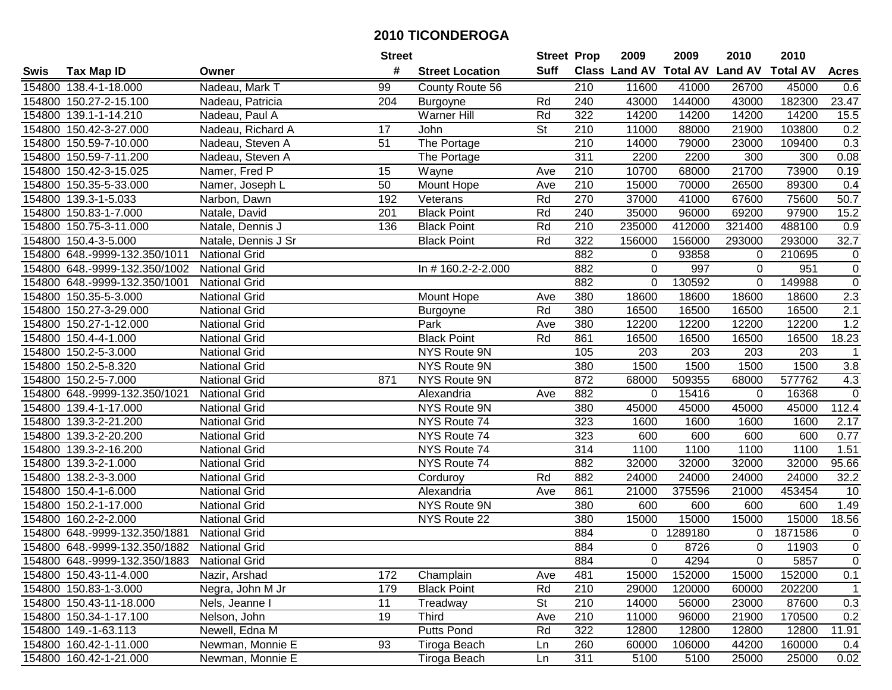| #<br><b>Suff</b><br><b>Class Land AV Total AV</b><br><b>Land AV</b><br><b>Total AV</b><br><b>Tax Map ID</b><br><b>Street Location</b><br><b>Acres</b><br>Swis<br>Owner<br>Nadeau, Mark T<br>99<br>154800 138.4-1-18.000<br>County Route 56<br>210<br>11600<br>41000<br>26700<br>45000<br>0.6<br>43000<br>144000<br>23.47<br>154800 150.27-2-15.100<br>204<br>240<br>43000<br>182300<br>Nadeau, Patricia<br>Burgoyne<br>Rd<br><b>Warner Hill</b><br>14200<br>154800 139.1-1-14.210<br>Nadeau, Paul A<br>Rd<br>322<br>14200<br>14200<br>14200<br>15.5<br>154800 150.42-3-27.000<br>St<br>210<br>11000<br>103800<br>0.2<br>Nadeau, Richard A<br>17<br>John<br>88000<br>21900<br>154800 150.59-7-10.000<br>Nadeau, Steven A<br>51<br>The Portage<br>210<br>14000<br>79000<br>23000<br>109400<br>0.3<br>311<br>2200<br>300<br>0.08<br>154800 150.59-7-11.200<br>Nadeau, Steven A<br>The Portage<br>2200<br>300<br>154800 150.42-3-15.025<br>Namer, Fred P<br>15<br>210<br>10700<br>21700<br>73900<br>0.19<br>Wayne<br>Ave<br>68000<br>210<br><b>Mount Hope</b><br>15000<br>70000<br>89300<br>0.4<br>154800 150.35-5-33.000<br>Namer, Joseph L<br>50<br>Ave<br>26500<br>192<br>Rd<br>270<br>37000<br>41000<br>75600<br>$\overline{50.7}$<br>154800 139.3-1-5.033<br>Veterans<br>67600<br>Narbon, Dawn<br><b>Black Point</b><br>Rd<br>35000<br>69200<br>97900<br>154800 150.83-1-7.000<br>Natale, David<br>201<br>240<br>96000<br>15.2<br>210<br>235000<br>321400<br>154800 150.75-3-11.000<br>Natale, Dennis J<br>136<br><b>Black Point</b><br>Rd<br>412000<br>488100<br>0.9<br>154800 150.4-3-5.000<br><b>Black Point</b><br>Rd<br>322<br>156000<br>156000<br>293000<br>293000<br>32.7<br>Natale, Dennis J Sr<br>882<br>154800 648.-9999-132.350/1011<br><b>National Grid</b><br>93858<br>210695<br>$\mathbf 0$<br>$\mathbf 0$<br>0<br>154800 648.-9999-132.350/1002<br>882<br>997<br>$\mathbf 0$<br><b>National Grid</b><br>In #160.2-2-2.000<br>0<br>951<br>0<br>$\mathsf 0$<br>154800 648.-9999-132.350/1001<br>882<br>130592<br>149988<br><b>National Grid</b><br>0<br>$\Omega$<br>$2.3\,$<br>154800 150.35-5-3.000<br><b>National Grid</b><br>Mount Hope<br>380<br>18600<br>18600<br>18600<br>18600<br>Ave<br>2.1<br>National Grid<br>Rd<br>380<br>16500<br>154800 150.27-3-29.000<br>16500<br>16500<br>16500<br>Burgoyne<br>380<br>1.2<br>154800 150.27-1-12.000<br><b>National Grid</b><br>Park<br>12200<br>12200<br>12200<br>12200<br>Ave<br><b>Black Point</b><br>Rd<br>861<br>18.23<br>154800 150.4-4-1.000<br><b>National Grid</b><br>16500<br>16500<br>16500<br>16500<br>154800 150.2-5-3.000<br><b>National Grid</b><br>NYS Route 9N<br>105<br>203<br>203<br>203<br>203<br>$\mathbf 1$<br>3.8<br>154800 150.2-5-8.320<br>NYS Route 9N<br>380<br>1500<br>1500<br>1500<br>1500<br><b>National Grid</b><br>872<br>509355<br>577762<br>4.3<br>154800 150.2-5-7.000<br><b>National Grid</b><br>871<br>NYS Route 9N<br>68000<br>68000<br>$\overline{0}$<br>882<br>154800 648.-9999-132.350/1021<br><b>National Grid</b><br>Alexandria<br>0<br>15416<br>16368<br>Ave<br>0<br>NYS Route 9N<br>45000<br>45000<br>112.4<br>154800 139.4-1-17.000<br><b>National Grid</b><br>380<br>45000<br>45000<br>154800 139.3-2-21.200<br><b>National Grid</b><br>NYS Route 74<br>323<br>1600<br>1600<br>1600<br>2.17<br>1600<br>154800 139.3-2-20.200<br><b>National Grid</b><br>NYS Route 74<br>323<br>600<br>600<br>600<br>600<br>0.77<br>1100<br>1100<br>154800 139.3-2-16.200<br><b>National Grid</b><br>314<br>1100<br>1100<br>NYS Route 74<br>1.51<br>882<br>32000<br>32000<br>95.66<br>154800 139.3-2-1.000<br><b>National Grid</b><br>NYS Route 74<br>32000<br>32000<br>154800 138.2-3-3.000<br><b>National Grid</b><br>Rd<br>882<br>24000<br>24000<br>24000<br>32.2<br>24000<br>Corduroy<br>861<br>453454<br>154800 150.4-1-6.000<br><b>National Grid</b><br>Alexandria<br>21000<br>375596<br>21000<br>10<br>Ave<br><b>National Grid</b><br><b>NYS Route 9N</b><br>380<br>600<br>600<br>1.49<br>154800 150.2-1-17.000<br>600<br>600<br>154800 160.2-2-2.000<br><b>National Grid</b><br>380<br>15000<br>15000<br>15000<br>15000<br>18.56<br>NYS Route 22<br><b>National Grid</b><br>884<br>1289180<br>1871586<br>154800 648.-9999-132.350/1881<br>$\mathbf 0$<br>$\mathbf 0$<br>0<br>$\overline{0}$<br>154800 648.-9999-132.350/1882<br><b>National Grid</b><br>884<br>$\Omega$<br>8726<br>$\Omega$<br>11903<br>154800 648.-9999-132.350/1883<br><b>National Grid</b><br>884<br>0<br>4294<br>0<br>5857<br>0<br>481<br>0.1<br>154800 150.43-11-4.000<br>172<br>Champlain<br>15000<br>152000<br>15000<br>152000<br>Nazir, Arshad<br>Ave<br>29000<br>202200<br>154800 150.83-1-3.000<br>179<br><b>Black Point</b><br>Rd<br>210<br>120000<br>60000<br>Negra, John M Jr<br>$\mathbf{1}$<br>154800 150.43-11-18.000<br>11<br><b>St</b><br>210<br>14000<br>23000<br>87600<br>0.3<br>Nels, Jeanne I<br>Treadway<br>56000<br>154800 150.34-1-17.100<br>0.2<br>Nelson, John<br>19<br>Third<br>210<br>11000<br>21900<br>170500<br>Ave<br>96000<br>Newell, Edna M<br>Putts Pond<br>Rd<br>322<br>11.91<br>154800 149.-1-63.113<br>12800<br>12800<br>12800<br>12800<br>93<br>154800 160.42-1-11.000<br>Newman, Monnie E<br>Tiroga Beach<br>260<br>60000<br>106000<br>44200<br>160000<br>0.4<br>Ln<br>154800 160.42-1-21.000<br>311<br>Newman, Monnie E<br>5100<br>5100<br>25000<br>25000<br>0.02<br>Tiroga Beach<br>Ln |  | <b>Street</b> | <b>Street Prop</b> | 2009 | 2009 | 2010 | 2010 |  |
|-----------------------------------------------------------------------------------------------------------------------------------------------------------------------------------------------------------------------------------------------------------------------------------------------------------------------------------------------------------------------------------------------------------------------------------------------------------------------------------------------------------------------------------------------------------------------------------------------------------------------------------------------------------------------------------------------------------------------------------------------------------------------------------------------------------------------------------------------------------------------------------------------------------------------------------------------------------------------------------------------------------------------------------------------------------------------------------------------------------------------------------------------------------------------------------------------------------------------------------------------------------------------------------------------------------------------------------------------------------------------------------------------------------------------------------------------------------------------------------------------------------------------------------------------------------------------------------------------------------------------------------------------------------------------------------------------------------------------------------------------------------------------------------------------------------------------------------------------------------------------------------------------------------------------------------------------------------------------------------------------------------------------------------------------------------------------------------------------------------------------------------------------------------------------------------------------------------------------------------------------------------------------------------------------------------------------------------------------------------------------------------------------------------------------------------------------------------------------------------------------------------------------------------------------------------------------------------------------------------------------------------------------------------------------------------------------------------------------------------------------------------------------------------------------------------------------------------------------------------------------------------------------------------------------------------------------------------------------------------------------------------------------------------------------------------------------------------------------------------------------------------------------------------------------------------------------------------------------------------------------------------------------------------------------------------------------------------------------------------------------------------------------------------------------------------------------------------------------------------------------------------------------------------------------------------------------------------------------------------------------------------------------------------------------------------------------------------------------------------------------------------------------------------------------------------------------------------------------------------------------------------------------------------------------------------------------------------------------------------------------------------------------------------------------------------------------------------------------------------------------------------------------------------------------------------------------------------------------------------------------------------------------------------------------------------------------------------------------------------------------------------------------------------------------------------------------------------------------------------------------------------------------------------------------------------------------------------------------------------------------------------------------------------------------------------------------------------------------------------------------------------------------------------------------------------------------------------------------------------------------------------------------------------------------------------------------------------------------------------------------------------------------------------------------------------------------------------------------------------------------------------------------------------------------------------------------------------------------------------------------------------------------------------------------------------------------------------------------------------------------------------------------------|--|---------------|--------------------|------|------|------|------|--|
|                                                                                                                                                                                                                                                                                                                                                                                                                                                                                                                                                                                                                                                                                                                                                                                                                                                                                                                                                                                                                                                                                                                                                                                                                                                                                                                                                                                                                                                                                                                                                                                                                                                                                                                                                                                                                                                                                                                                                                                                                                                                                                                                                                                                                                                                                                                                                                                                                                                                                                                                                                                                                                                                                                                                                                                                                                                                                                                                                                                                                                                                                                                                                                                                                                                                                                                                                                                                                                                                                                                                                                                                                                                                                                                                                                                                                                                                                                                                                                                                                                                                                                                                                                                                                                                                                                                                                                                                                                                                                                                                                                                                                                                                                                                                                                                                                                                                                                                                                                                                                                                                                                                                                                                                                                                                                                                                                                                                     |  |               |                    |      |      |      |      |  |
|                                                                                                                                                                                                                                                                                                                                                                                                                                                                                                                                                                                                                                                                                                                                                                                                                                                                                                                                                                                                                                                                                                                                                                                                                                                                                                                                                                                                                                                                                                                                                                                                                                                                                                                                                                                                                                                                                                                                                                                                                                                                                                                                                                                                                                                                                                                                                                                                                                                                                                                                                                                                                                                                                                                                                                                                                                                                                                                                                                                                                                                                                                                                                                                                                                                                                                                                                                                                                                                                                                                                                                                                                                                                                                                                                                                                                                                                                                                                                                                                                                                                                                                                                                                                                                                                                                                                                                                                                                                                                                                                                                                                                                                                                                                                                                                                                                                                                                                                                                                                                                                                                                                                                                                                                                                                                                                                                                                                     |  |               |                    |      |      |      |      |  |
|                                                                                                                                                                                                                                                                                                                                                                                                                                                                                                                                                                                                                                                                                                                                                                                                                                                                                                                                                                                                                                                                                                                                                                                                                                                                                                                                                                                                                                                                                                                                                                                                                                                                                                                                                                                                                                                                                                                                                                                                                                                                                                                                                                                                                                                                                                                                                                                                                                                                                                                                                                                                                                                                                                                                                                                                                                                                                                                                                                                                                                                                                                                                                                                                                                                                                                                                                                                                                                                                                                                                                                                                                                                                                                                                                                                                                                                                                                                                                                                                                                                                                                                                                                                                                                                                                                                                                                                                                                                                                                                                                                                                                                                                                                                                                                                                                                                                                                                                                                                                                                                                                                                                                                                                                                                                                                                                                                                                     |  |               |                    |      |      |      |      |  |
|                                                                                                                                                                                                                                                                                                                                                                                                                                                                                                                                                                                                                                                                                                                                                                                                                                                                                                                                                                                                                                                                                                                                                                                                                                                                                                                                                                                                                                                                                                                                                                                                                                                                                                                                                                                                                                                                                                                                                                                                                                                                                                                                                                                                                                                                                                                                                                                                                                                                                                                                                                                                                                                                                                                                                                                                                                                                                                                                                                                                                                                                                                                                                                                                                                                                                                                                                                                                                                                                                                                                                                                                                                                                                                                                                                                                                                                                                                                                                                                                                                                                                                                                                                                                                                                                                                                                                                                                                                                                                                                                                                                                                                                                                                                                                                                                                                                                                                                                                                                                                                                                                                                                                                                                                                                                                                                                                                                                     |  |               |                    |      |      |      |      |  |
|                                                                                                                                                                                                                                                                                                                                                                                                                                                                                                                                                                                                                                                                                                                                                                                                                                                                                                                                                                                                                                                                                                                                                                                                                                                                                                                                                                                                                                                                                                                                                                                                                                                                                                                                                                                                                                                                                                                                                                                                                                                                                                                                                                                                                                                                                                                                                                                                                                                                                                                                                                                                                                                                                                                                                                                                                                                                                                                                                                                                                                                                                                                                                                                                                                                                                                                                                                                                                                                                                                                                                                                                                                                                                                                                                                                                                                                                                                                                                                                                                                                                                                                                                                                                                                                                                                                                                                                                                                                                                                                                                                                                                                                                                                                                                                                                                                                                                                                                                                                                                                                                                                                                                                                                                                                                                                                                                                                                     |  |               |                    |      |      |      |      |  |
|                                                                                                                                                                                                                                                                                                                                                                                                                                                                                                                                                                                                                                                                                                                                                                                                                                                                                                                                                                                                                                                                                                                                                                                                                                                                                                                                                                                                                                                                                                                                                                                                                                                                                                                                                                                                                                                                                                                                                                                                                                                                                                                                                                                                                                                                                                                                                                                                                                                                                                                                                                                                                                                                                                                                                                                                                                                                                                                                                                                                                                                                                                                                                                                                                                                                                                                                                                                                                                                                                                                                                                                                                                                                                                                                                                                                                                                                                                                                                                                                                                                                                                                                                                                                                                                                                                                                                                                                                                                                                                                                                                                                                                                                                                                                                                                                                                                                                                                                                                                                                                                                                                                                                                                                                                                                                                                                                                                                     |  |               |                    |      |      |      |      |  |
|                                                                                                                                                                                                                                                                                                                                                                                                                                                                                                                                                                                                                                                                                                                                                                                                                                                                                                                                                                                                                                                                                                                                                                                                                                                                                                                                                                                                                                                                                                                                                                                                                                                                                                                                                                                                                                                                                                                                                                                                                                                                                                                                                                                                                                                                                                                                                                                                                                                                                                                                                                                                                                                                                                                                                                                                                                                                                                                                                                                                                                                                                                                                                                                                                                                                                                                                                                                                                                                                                                                                                                                                                                                                                                                                                                                                                                                                                                                                                                                                                                                                                                                                                                                                                                                                                                                                                                                                                                                                                                                                                                                                                                                                                                                                                                                                                                                                                                                                                                                                                                                                                                                                                                                                                                                                                                                                                                                                     |  |               |                    |      |      |      |      |  |
|                                                                                                                                                                                                                                                                                                                                                                                                                                                                                                                                                                                                                                                                                                                                                                                                                                                                                                                                                                                                                                                                                                                                                                                                                                                                                                                                                                                                                                                                                                                                                                                                                                                                                                                                                                                                                                                                                                                                                                                                                                                                                                                                                                                                                                                                                                                                                                                                                                                                                                                                                                                                                                                                                                                                                                                                                                                                                                                                                                                                                                                                                                                                                                                                                                                                                                                                                                                                                                                                                                                                                                                                                                                                                                                                                                                                                                                                                                                                                                                                                                                                                                                                                                                                                                                                                                                                                                                                                                                                                                                                                                                                                                                                                                                                                                                                                                                                                                                                                                                                                                                                                                                                                                                                                                                                                                                                                                                                     |  |               |                    |      |      |      |      |  |
|                                                                                                                                                                                                                                                                                                                                                                                                                                                                                                                                                                                                                                                                                                                                                                                                                                                                                                                                                                                                                                                                                                                                                                                                                                                                                                                                                                                                                                                                                                                                                                                                                                                                                                                                                                                                                                                                                                                                                                                                                                                                                                                                                                                                                                                                                                                                                                                                                                                                                                                                                                                                                                                                                                                                                                                                                                                                                                                                                                                                                                                                                                                                                                                                                                                                                                                                                                                                                                                                                                                                                                                                                                                                                                                                                                                                                                                                                                                                                                                                                                                                                                                                                                                                                                                                                                                                                                                                                                                                                                                                                                                                                                                                                                                                                                                                                                                                                                                                                                                                                                                                                                                                                                                                                                                                                                                                                                                                     |  |               |                    |      |      |      |      |  |
|                                                                                                                                                                                                                                                                                                                                                                                                                                                                                                                                                                                                                                                                                                                                                                                                                                                                                                                                                                                                                                                                                                                                                                                                                                                                                                                                                                                                                                                                                                                                                                                                                                                                                                                                                                                                                                                                                                                                                                                                                                                                                                                                                                                                                                                                                                                                                                                                                                                                                                                                                                                                                                                                                                                                                                                                                                                                                                                                                                                                                                                                                                                                                                                                                                                                                                                                                                                                                                                                                                                                                                                                                                                                                                                                                                                                                                                                                                                                                                                                                                                                                                                                                                                                                                                                                                                                                                                                                                                                                                                                                                                                                                                                                                                                                                                                                                                                                                                                                                                                                                                                                                                                                                                                                                                                                                                                                                                                     |  |               |                    |      |      |      |      |  |
|                                                                                                                                                                                                                                                                                                                                                                                                                                                                                                                                                                                                                                                                                                                                                                                                                                                                                                                                                                                                                                                                                                                                                                                                                                                                                                                                                                                                                                                                                                                                                                                                                                                                                                                                                                                                                                                                                                                                                                                                                                                                                                                                                                                                                                                                                                                                                                                                                                                                                                                                                                                                                                                                                                                                                                                                                                                                                                                                                                                                                                                                                                                                                                                                                                                                                                                                                                                                                                                                                                                                                                                                                                                                                                                                                                                                                                                                                                                                                                                                                                                                                                                                                                                                                                                                                                                                                                                                                                                                                                                                                                                                                                                                                                                                                                                                                                                                                                                                                                                                                                                                                                                                                                                                                                                                                                                                                                                                     |  |               |                    |      |      |      |      |  |
|                                                                                                                                                                                                                                                                                                                                                                                                                                                                                                                                                                                                                                                                                                                                                                                                                                                                                                                                                                                                                                                                                                                                                                                                                                                                                                                                                                                                                                                                                                                                                                                                                                                                                                                                                                                                                                                                                                                                                                                                                                                                                                                                                                                                                                                                                                                                                                                                                                                                                                                                                                                                                                                                                                                                                                                                                                                                                                                                                                                                                                                                                                                                                                                                                                                                                                                                                                                                                                                                                                                                                                                                                                                                                                                                                                                                                                                                                                                                                                                                                                                                                                                                                                                                                                                                                                                                                                                                                                                                                                                                                                                                                                                                                                                                                                                                                                                                                                                                                                                                                                                                                                                                                                                                                                                                                                                                                                                                     |  |               |                    |      |      |      |      |  |
|                                                                                                                                                                                                                                                                                                                                                                                                                                                                                                                                                                                                                                                                                                                                                                                                                                                                                                                                                                                                                                                                                                                                                                                                                                                                                                                                                                                                                                                                                                                                                                                                                                                                                                                                                                                                                                                                                                                                                                                                                                                                                                                                                                                                                                                                                                                                                                                                                                                                                                                                                                                                                                                                                                                                                                                                                                                                                                                                                                                                                                                                                                                                                                                                                                                                                                                                                                                                                                                                                                                                                                                                                                                                                                                                                                                                                                                                                                                                                                                                                                                                                                                                                                                                                                                                                                                                                                                                                                                                                                                                                                                                                                                                                                                                                                                                                                                                                                                                                                                                                                                                                                                                                                                                                                                                                                                                                                                                     |  |               |                    |      |      |      |      |  |
|                                                                                                                                                                                                                                                                                                                                                                                                                                                                                                                                                                                                                                                                                                                                                                                                                                                                                                                                                                                                                                                                                                                                                                                                                                                                                                                                                                                                                                                                                                                                                                                                                                                                                                                                                                                                                                                                                                                                                                                                                                                                                                                                                                                                                                                                                                                                                                                                                                                                                                                                                                                                                                                                                                                                                                                                                                                                                                                                                                                                                                                                                                                                                                                                                                                                                                                                                                                                                                                                                                                                                                                                                                                                                                                                                                                                                                                                                                                                                                                                                                                                                                                                                                                                                                                                                                                                                                                                                                                                                                                                                                                                                                                                                                                                                                                                                                                                                                                                                                                                                                                                                                                                                                                                                                                                                                                                                                                                     |  |               |                    |      |      |      |      |  |
|                                                                                                                                                                                                                                                                                                                                                                                                                                                                                                                                                                                                                                                                                                                                                                                                                                                                                                                                                                                                                                                                                                                                                                                                                                                                                                                                                                                                                                                                                                                                                                                                                                                                                                                                                                                                                                                                                                                                                                                                                                                                                                                                                                                                                                                                                                                                                                                                                                                                                                                                                                                                                                                                                                                                                                                                                                                                                                                                                                                                                                                                                                                                                                                                                                                                                                                                                                                                                                                                                                                                                                                                                                                                                                                                                                                                                                                                                                                                                                                                                                                                                                                                                                                                                                                                                                                                                                                                                                                                                                                                                                                                                                                                                                                                                                                                                                                                                                                                                                                                                                                                                                                                                                                                                                                                                                                                                                                                     |  |               |                    |      |      |      |      |  |
|                                                                                                                                                                                                                                                                                                                                                                                                                                                                                                                                                                                                                                                                                                                                                                                                                                                                                                                                                                                                                                                                                                                                                                                                                                                                                                                                                                                                                                                                                                                                                                                                                                                                                                                                                                                                                                                                                                                                                                                                                                                                                                                                                                                                                                                                                                                                                                                                                                                                                                                                                                                                                                                                                                                                                                                                                                                                                                                                                                                                                                                                                                                                                                                                                                                                                                                                                                                                                                                                                                                                                                                                                                                                                                                                                                                                                                                                                                                                                                                                                                                                                                                                                                                                                                                                                                                                                                                                                                                                                                                                                                                                                                                                                                                                                                                                                                                                                                                                                                                                                                                                                                                                                                                                                                                                                                                                                                                                     |  |               |                    |      |      |      |      |  |
|                                                                                                                                                                                                                                                                                                                                                                                                                                                                                                                                                                                                                                                                                                                                                                                                                                                                                                                                                                                                                                                                                                                                                                                                                                                                                                                                                                                                                                                                                                                                                                                                                                                                                                                                                                                                                                                                                                                                                                                                                                                                                                                                                                                                                                                                                                                                                                                                                                                                                                                                                                                                                                                                                                                                                                                                                                                                                                                                                                                                                                                                                                                                                                                                                                                                                                                                                                                                                                                                                                                                                                                                                                                                                                                                                                                                                                                                                                                                                                                                                                                                                                                                                                                                                                                                                                                                                                                                                                                                                                                                                                                                                                                                                                                                                                                                                                                                                                                                                                                                                                                                                                                                                                                                                                                                                                                                                                                                     |  |               |                    |      |      |      |      |  |
|                                                                                                                                                                                                                                                                                                                                                                                                                                                                                                                                                                                                                                                                                                                                                                                                                                                                                                                                                                                                                                                                                                                                                                                                                                                                                                                                                                                                                                                                                                                                                                                                                                                                                                                                                                                                                                                                                                                                                                                                                                                                                                                                                                                                                                                                                                                                                                                                                                                                                                                                                                                                                                                                                                                                                                                                                                                                                                                                                                                                                                                                                                                                                                                                                                                                                                                                                                                                                                                                                                                                                                                                                                                                                                                                                                                                                                                                                                                                                                                                                                                                                                                                                                                                                                                                                                                                                                                                                                                                                                                                                                                                                                                                                                                                                                                                                                                                                                                                                                                                                                                                                                                                                                                                                                                                                                                                                                                                     |  |               |                    |      |      |      |      |  |
|                                                                                                                                                                                                                                                                                                                                                                                                                                                                                                                                                                                                                                                                                                                                                                                                                                                                                                                                                                                                                                                                                                                                                                                                                                                                                                                                                                                                                                                                                                                                                                                                                                                                                                                                                                                                                                                                                                                                                                                                                                                                                                                                                                                                                                                                                                                                                                                                                                                                                                                                                                                                                                                                                                                                                                                                                                                                                                                                                                                                                                                                                                                                                                                                                                                                                                                                                                                                                                                                                                                                                                                                                                                                                                                                                                                                                                                                                                                                                                                                                                                                                                                                                                                                                                                                                                                                                                                                                                                                                                                                                                                                                                                                                                                                                                                                                                                                                                                                                                                                                                                                                                                                                                                                                                                                                                                                                                                                     |  |               |                    |      |      |      |      |  |
|                                                                                                                                                                                                                                                                                                                                                                                                                                                                                                                                                                                                                                                                                                                                                                                                                                                                                                                                                                                                                                                                                                                                                                                                                                                                                                                                                                                                                                                                                                                                                                                                                                                                                                                                                                                                                                                                                                                                                                                                                                                                                                                                                                                                                                                                                                                                                                                                                                                                                                                                                                                                                                                                                                                                                                                                                                                                                                                                                                                                                                                                                                                                                                                                                                                                                                                                                                                                                                                                                                                                                                                                                                                                                                                                                                                                                                                                                                                                                                                                                                                                                                                                                                                                                                                                                                                                                                                                                                                                                                                                                                                                                                                                                                                                                                                                                                                                                                                                                                                                                                                                                                                                                                                                                                                                                                                                                                                                     |  |               |                    |      |      |      |      |  |
|                                                                                                                                                                                                                                                                                                                                                                                                                                                                                                                                                                                                                                                                                                                                                                                                                                                                                                                                                                                                                                                                                                                                                                                                                                                                                                                                                                                                                                                                                                                                                                                                                                                                                                                                                                                                                                                                                                                                                                                                                                                                                                                                                                                                                                                                                                                                                                                                                                                                                                                                                                                                                                                                                                                                                                                                                                                                                                                                                                                                                                                                                                                                                                                                                                                                                                                                                                                                                                                                                                                                                                                                                                                                                                                                                                                                                                                                                                                                                                                                                                                                                                                                                                                                                                                                                                                                                                                                                                                                                                                                                                                                                                                                                                                                                                                                                                                                                                                                                                                                                                                                                                                                                                                                                                                                                                                                                                                                     |  |               |                    |      |      |      |      |  |
|                                                                                                                                                                                                                                                                                                                                                                                                                                                                                                                                                                                                                                                                                                                                                                                                                                                                                                                                                                                                                                                                                                                                                                                                                                                                                                                                                                                                                                                                                                                                                                                                                                                                                                                                                                                                                                                                                                                                                                                                                                                                                                                                                                                                                                                                                                                                                                                                                                                                                                                                                                                                                                                                                                                                                                                                                                                                                                                                                                                                                                                                                                                                                                                                                                                                                                                                                                                                                                                                                                                                                                                                                                                                                                                                                                                                                                                                                                                                                                                                                                                                                                                                                                                                                                                                                                                                                                                                                                                                                                                                                                                                                                                                                                                                                                                                                                                                                                                                                                                                                                                                                                                                                                                                                                                                                                                                                                                                     |  |               |                    |      |      |      |      |  |
|                                                                                                                                                                                                                                                                                                                                                                                                                                                                                                                                                                                                                                                                                                                                                                                                                                                                                                                                                                                                                                                                                                                                                                                                                                                                                                                                                                                                                                                                                                                                                                                                                                                                                                                                                                                                                                                                                                                                                                                                                                                                                                                                                                                                                                                                                                                                                                                                                                                                                                                                                                                                                                                                                                                                                                                                                                                                                                                                                                                                                                                                                                                                                                                                                                                                                                                                                                                                                                                                                                                                                                                                                                                                                                                                                                                                                                                                                                                                                                                                                                                                                                                                                                                                                                                                                                                                                                                                                                                                                                                                                                                                                                                                                                                                                                                                                                                                                                                                                                                                                                                                                                                                                                                                                                                                                                                                                                                                     |  |               |                    |      |      |      |      |  |
|                                                                                                                                                                                                                                                                                                                                                                                                                                                                                                                                                                                                                                                                                                                                                                                                                                                                                                                                                                                                                                                                                                                                                                                                                                                                                                                                                                                                                                                                                                                                                                                                                                                                                                                                                                                                                                                                                                                                                                                                                                                                                                                                                                                                                                                                                                                                                                                                                                                                                                                                                                                                                                                                                                                                                                                                                                                                                                                                                                                                                                                                                                                                                                                                                                                                                                                                                                                                                                                                                                                                                                                                                                                                                                                                                                                                                                                                                                                                                                                                                                                                                                                                                                                                                                                                                                                                                                                                                                                                                                                                                                                                                                                                                                                                                                                                                                                                                                                                                                                                                                                                                                                                                                                                                                                                                                                                                                                                     |  |               |                    |      |      |      |      |  |
|                                                                                                                                                                                                                                                                                                                                                                                                                                                                                                                                                                                                                                                                                                                                                                                                                                                                                                                                                                                                                                                                                                                                                                                                                                                                                                                                                                                                                                                                                                                                                                                                                                                                                                                                                                                                                                                                                                                                                                                                                                                                                                                                                                                                                                                                                                                                                                                                                                                                                                                                                                                                                                                                                                                                                                                                                                                                                                                                                                                                                                                                                                                                                                                                                                                                                                                                                                                                                                                                                                                                                                                                                                                                                                                                                                                                                                                                                                                                                                                                                                                                                                                                                                                                                                                                                                                                                                                                                                                                                                                                                                                                                                                                                                                                                                                                                                                                                                                                                                                                                                                                                                                                                                                                                                                                                                                                                                                                     |  |               |                    |      |      |      |      |  |
|                                                                                                                                                                                                                                                                                                                                                                                                                                                                                                                                                                                                                                                                                                                                                                                                                                                                                                                                                                                                                                                                                                                                                                                                                                                                                                                                                                                                                                                                                                                                                                                                                                                                                                                                                                                                                                                                                                                                                                                                                                                                                                                                                                                                                                                                                                                                                                                                                                                                                                                                                                                                                                                                                                                                                                                                                                                                                                                                                                                                                                                                                                                                                                                                                                                                                                                                                                                                                                                                                                                                                                                                                                                                                                                                                                                                                                                                                                                                                                                                                                                                                                                                                                                                                                                                                                                                                                                                                                                                                                                                                                                                                                                                                                                                                                                                                                                                                                                                                                                                                                                                                                                                                                                                                                                                                                                                                                                                     |  |               |                    |      |      |      |      |  |
|                                                                                                                                                                                                                                                                                                                                                                                                                                                                                                                                                                                                                                                                                                                                                                                                                                                                                                                                                                                                                                                                                                                                                                                                                                                                                                                                                                                                                                                                                                                                                                                                                                                                                                                                                                                                                                                                                                                                                                                                                                                                                                                                                                                                                                                                                                                                                                                                                                                                                                                                                                                                                                                                                                                                                                                                                                                                                                                                                                                                                                                                                                                                                                                                                                                                                                                                                                                                                                                                                                                                                                                                                                                                                                                                                                                                                                                                                                                                                                                                                                                                                                                                                                                                                                                                                                                                                                                                                                                                                                                                                                                                                                                                                                                                                                                                                                                                                                                                                                                                                                                                                                                                                                                                                                                                                                                                                                                                     |  |               |                    |      |      |      |      |  |
|                                                                                                                                                                                                                                                                                                                                                                                                                                                                                                                                                                                                                                                                                                                                                                                                                                                                                                                                                                                                                                                                                                                                                                                                                                                                                                                                                                                                                                                                                                                                                                                                                                                                                                                                                                                                                                                                                                                                                                                                                                                                                                                                                                                                                                                                                                                                                                                                                                                                                                                                                                                                                                                                                                                                                                                                                                                                                                                                                                                                                                                                                                                                                                                                                                                                                                                                                                                                                                                                                                                                                                                                                                                                                                                                                                                                                                                                                                                                                                                                                                                                                                                                                                                                                                                                                                                                                                                                                                                                                                                                                                                                                                                                                                                                                                                                                                                                                                                                                                                                                                                                                                                                                                                                                                                                                                                                                                                                     |  |               |                    |      |      |      |      |  |
|                                                                                                                                                                                                                                                                                                                                                                                                                                                                                                                                                                                                                                                                                                                                                                                                                                                                                                                                                                                                                                                                                                                                                                                                                                                                                                                                                                                                                                                                                                                                                                                                                                                                                                                                                                                                                                                                                                                                                                                                                                                                                                                                                                                                                                                                                                                                                                                                                                                                                                                                                                                                                                                                                                                                                                                                                                                                                                                                                                                                                                                                                                                                                                                                                                                                                                                                                                                                                                                                                                                                                                                                                                                                                                                                                                                                                                                                                                                                                                                                                                                                                                                                                                                                                                                                                                                                                                                                                                                                                                                                                                                                                                                                                                                                                                                                                                                                                                                                                                                                                                                                                                                                                                                                                                                                                                                                                                                                     |  |               |                    |      |      |      |      |  |
|                                                                                                                                                                                                                                                                                                                                                                                                                                                                                                                                                                                                                                                                                                                                                                                                                                                                                                                                                                                                                                                                                                                                                                                                                                                                                                                                                                                                                                                                                                                                                                                                                                                                                                                                                                                                                                                                                                                                                                                                                                                                                                                                                                                                                                                                                                                                                                                                                                                                                                                                                                                                                                                                                                                                                                                                                                                                                                                                                                                                                                                                                                                                                                                                                                                                                                                                                                                                                                                                                                                                                                                                                                                                                                                                                                                                                                                                                                                                                                                                                                                                                                                                                                                                                                                                                                                                                                                                                                                                                                                                                                                                                                                                                                                                                                                                                                                                                                                                                                                                                                                                                                                                                                                                                                                                                                                                                                                                     |  |               |                    |      |      |      |      |  |
|                                                                                                                                                                                                                                                                                                                                                                                                                                                                                                                                                                                                                                                                                                                                                                                                                                                                                                                                                                                                                                                                                                                                                                                                                                                                                                                                                                                                                                                                                                                                                                                                                                                                                                                                                                                                                                                                                                                                                                                                                                                                                                                                                                                                                                                                                                                                                                                                                                                                                                                                                                                                                                                                                                                                                                                                                                                                                                                                                                                                                                                                                                                                                                                                                                                                                                                                                                                                                                                                                                                                                                                                                                                                                                                                                                                                                                                                                                                                                                                                                                                                                                                                                                                                                                                                                                                                                                                                                                                                                                                                                                                                                                                                                                                                                                                                                                                                                                                                                                                                                                                                                                                                                                                                                                                                                                                                                                                                     |  |               |                    |      |      |      |      |  |
|                                                                                                                                                                                                                                                                                                                                                                                                                                                                                                                                                                                                                                                                                                                                                                                                                                                                                                                                                                                                                                                                                                                                                                                                                                                                                                                                                                                                                                                                                                                                                                                                                                                                                                                                                                                                                                                                                                                                                                                                                                                                                                                                                                                                                                                                                                                                                                                                                                                                                                                                                                                                                                                                                                                                                                                                                                                                                                                                                                                                                                                                                                                                                                                                                                                                                                                                                                                                                                                                                                                                                                                                                                                                                                                                                                                                                                                                                                                                                                                                                                                                                                                                                                                                                                                                                                                                                                                                                                                                                                                                                                                                                                                                                                                                                                                                                                                                                                                                                                                                                                                                                                                                                                                                                                                                                                                                                                                                     |  |               |                    |      |      |      |      |  |
|                                                                                                                                                                                                                                                                                                                                                                                                                                                                                                                                                                                                                                                                                                                                                                                                                                                                                                                                                                                                                                                                                                                                                                                                                                                                                                                                                                                                                                                                                                                                                                                                                                                                                                                                                                                                                                                                                                                                                                                                                                                                                                                                                                                                                                                                                                                                                                                                                                                                                                                                                                                                                                                                                                                                                                                                                                                                                                                                                                                                                                                                                                                                                                                                                                                                                                                                                                                                                                                                                                                                                                                                                                                                                                                                                                                                                                                                                                                                                                                                                                                                                                                                                                                                                                                                                                                                                                                                                                                                                                                                                                                                                                                                                                                                                                                                                                                                                                                                                                                                                                                                                                                                                                                                                                                                                                                                                                                                     |  |               |                    |      |      |      |      |  |
|                                                                                                                                                                                                                                                                                                                                                                                                                                                                                                                                                                                                                                                                                                                                                                                                                                                                                                                                                                                                                                                                                                                                                                                                                                                                                                                                                                                                                                                                                                                                                                                                                                                                                                                                                                                                                                                                                                                                                                                                                                                                                                                                                                                                                                                                                                                                                                                                                                                                                                                                                                                                                                                                                                                                                                                                                                                                                                                                                                                                                                                                                                                                                                                                                                                                                                                                                                                                                                                                                                                                                                                                                                                                                                                                                                                                                                                                                                                                                                                                                                                                                                                                                                                                                                                                                                                                                                                                                                                                                                                                                                                                                                                                                                                                                                                                                                                                                                                                                                                                                                                                                                                                                                                                                                                                                                                                                                                                     |  |               |                    |      |      |      |      |  |
|                                                                                                                                                                                                                                                                                                                                                                                                                                                                                                                                                                                                                                                                                                                                                                                                                                                                                                                                                                                                                                                                                                                                                                                                                                                                                                                                                                                                                                                                                                                                                                                                                                                                                                                                                                                                                                                                                                                                                                                                                                                                                                                                                                                                                                                                                                                                                                                                                                                                                                                                                                                                                                                                                                                                                                                                                                                                                                                                                                                                                                                                                                                                                                                                                                                                                                                                                                                                                                                                                                                                                                                                                                                                                                                                                                                                                                                                                                                                                                                                                                                                                                                                                                                                                                                                                                                                                                                                                                                                                                                                                                                                                                                                                                                                                                                                                                                                                                                                                                                                                                                                                                                                                                                                                                                                                                                                                                                                     |  |               |                    |      |      |      |      |  |
|                                                                                                                                                                                                                                                                                                                                                                                                                                                                                                                                                                                                                                                                                                                                                                                                                                                                                                                                                                                                                                                                                                                                                                                                                                                                                                                                                                                                                                                                                                                                                                                                                                                                                                                                                                                                                                                                                                                                                                                                                                                                                                                                                                                                                                                                                                                                                                                                                                                                                                                                                                                                                                                                                                                                                                                                                                                                                                                                                                                                                                                                                                                                                                                                                                                                                                                                                                                                                                                                                                                                                                                                                                                                                                                                                                                                                                                                                                                                                                                                                                                                                                                                                                                                                                                                                                                                                                                                                                                                                                                                                                                                                                                                                                                                                                                                                                                                                                                                                                                                                                                                                                                                                                                                                                                                                                                                                                                                     |  |               |                    |      |      |      |      |  |
|                                                                                                                                                                                                                                                                                                                                                                                                                                                                                                                                                                                                                                                                                                                                                                                                                                                                                                                                                                                                                                                                                                                                                                                                                                                                                                                                                                                                                                                                                                                                                                                                                                                                                                                                                                                                                                                                                                                                                                                                                                                                                                                                                                                                                                                                                                                                                                                                                                                                                                                                                                                                                                                                                                                                                                                                                                                                                                                                                                                                                                                                                                                                                                                                                                                                                                                                                                                                                                                                                                                                                                                                                                                                                                                                                                                                                                                                                                                                                                                                                                                                                                                                                                                                                                                                                                                                                                                                                                                                                                                                                                                                                                                                                                                                                                                                                                                                                                                                                                                                                                                                                                                                                                                                                                                                                                                                                                                                     |  |               |                    |      |      |      |      |  |
|                                                                                                                                                                                                                                                                                                                                                                                                                                                                                                                                                                                                                                                                                                                                                                                                                                                                                                                                                                                                                                                                                                                                                                                                                                                                                                                                                                                                                                                                                                                                                                                                                                                                                                                                                                                                                                                                                                                                                                                                                                                                                                                                                                                                                                                                                                                                                                                                                                                                                                                                                                                                                                                                                                                                                                                                                                                                                                                                                                                                                                                                                                                                                                                                                                                                                                                                                                                                                                                                                                                                                                                                                                                                                                                                                                                                                                                                                                                                                                                                                                                                                                                                                                                                                                                                                                                                                                                                                                                                                                                                                                                                                                                                                                                                                                                                                                                                                                                                                                                                                                                                                                                                                                                                                                                                                                                                                                                                     |  |               |                    |      |      |      |      |  |
|                                                                                                                                                                                                                                                                                                                                                                                                                                                                                                                                                                                                                                                                                                                                                                                                                                                                                                                                                                                                                                                                                                                                                                                                                                                                                                                                                                                                                                                                                                                                                                                                                                                                                                                                                                                                                                                                                                                                                                                                                                                                                                                                                                                                                                                                                                                                                                                                                                                                                                                                                                                                                                                                                                                                                                                                                                                                                                                                                                                                                                                                                                                                                                                                                                                                                                                                                                                                                                                                                                                                                                                                                                                                                                                                                                                                                                                                                                                                                                                                                                                                                                                                                                                                                                                                                                                                                                                                                                                                                                                                                                                                                                                                                                                                                                                                                                                                                                                                                                                                                                                                                                                                                                                                                                                                                                                                                                                                     |  |               |                    |      |      |      |      |  |
|                                                                                                                                                                                                                                                                                                                                                                                                                                                                                                                                                                                                                                                                                                                                                                                                                                                                                                                                                                                                                                                                                                                                                                                                                                                                                                                                                                                                                                                                                                                                                                                                                                                                                                                                                                                                                                                                                                                                                                                                                                                                                                                                                                                                                                                                                                                                                                                                                                                                                                                                                                                                                                                                                                                                                                                                                                                                                                                                                                                                                                                                                                                                                                                                                                                                                                                                                                                                                                                                                                                                                                                                                                                                                                                                                                                                                                                                                                                                                                                                                                                                                                                                                                                                                                                                                                                                                                                                                                                                                                                                                                                                                                                                                                                                                                                                                                                                                                                                                                                                                                                                                                                                                                                                                                                                                                                                                                                                     |  |               |                    |      |      |      |      |  |
|                                                                                                                                                                                                                                                                                                                                                                                                                                                                                                                                                                                                                                                                                                                                                                                                                                                                                                                                                                                                                                                                                                                                                                                                                                                                                                                                                                                                                                                                                                                                                                                                                                                                                                                                                                                                                                                                                                                                                                                                                                                                                                                                                                                                                                                                                                                                                                                                                                                                                                                                                                                                                                                                                                                                                                                                                                                                                                                                                                                                                                                                                                                                                                                                                                                                                                                                                                                                                                                                                                                                                                                                                                                                                                                                                                                                                                                                                                                                                                                                                                                                                                                                                                                                                                                                                                                                                                                                                                                                                                                                                                                                                                                                                                                                                                                                                                                                                                                                                                                                                                                                                                                                                                                                                                                                                                                                                                                                     |  |               |                    |      |      |      |      |  |
|                                                                                                                                                                                                                                                                                                                                                                                                                                                                                                                                                                                                                                                                                                                                                                                                                                                                                                                                                                                                                                                                                                                                                                                                                                                                                                                                                                                                                                                                                                                                                                                                                                                                                                                                                                                                                                                                                                                                                                                                                                                                                                                                                                                                                                                                                                                                                                                                                                                                                                                                                                                                                                                                                                                                                                                                                                                                                                                                                                                                                                                                                                                                                                                                                                                                                                                                                                                                                                                                                                                                                                                                                                                                                                                                                                                                                                                                                                                                                                                                                                                                                                                                                                                                                                                                                                                                                                                                                                                                                                                                                                                                                                                                                                                                                                                                                                                                                                                                                                                                                                                                                                                                                                                                                                                                                                                                                                                                     |  |               |                    |      |      |      |      |  |
|                                                                                                                                                                                                                                                                                                                                                                                                                                                                                                                                                                                                                                                                                                                                                                                                                                                                                                                                                                                                                                                                                                                                                                                                                                                                                                                                                                                                                                                                                                                                                                                                                                                                                                                                                                                                                                                                                                                                                                                                                                                                                                                                                                                                                                                                                                                                                                                                                                                                                                                                                                                                                                                                                                                                                                                                                                                                                                                                                                                                                                                                                                                                                                                                                                                                                                                                                                                                                                                                                                                                                                                                                                                                                                                                                                                                                                                                                                                                                                                                                                                                                                                                                                                                                                                                                                                                                                                                                                                                                                                                                                                                                                                                                                                                                                                                                                                                                                                                                                                                                                                                                                                                                                                                                                                                                                                                                                                                     |  |               |                    |      |      |      |      |  |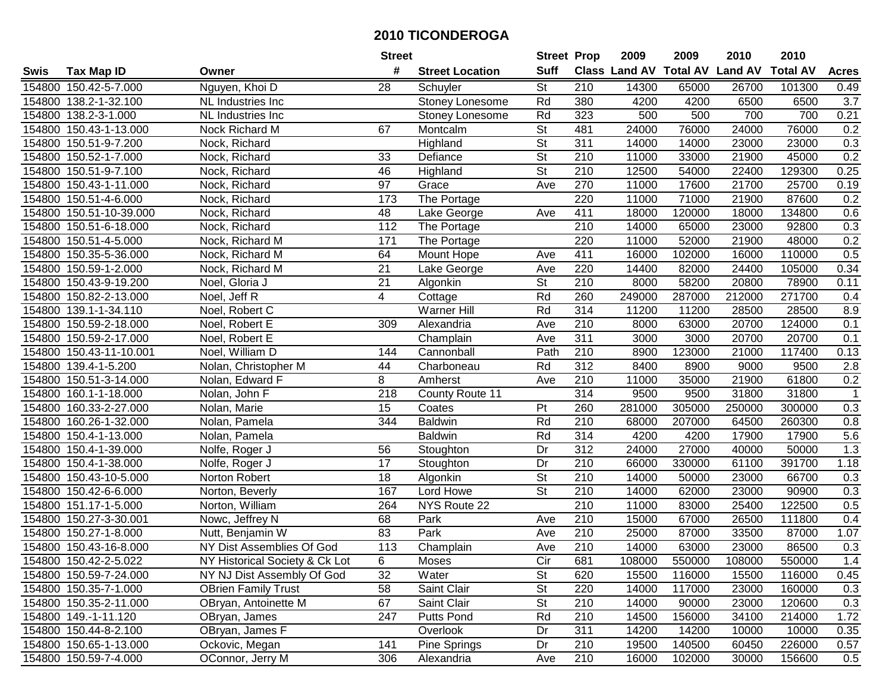| #<br><b>Suff</b><br>Class Land AV Total AV Land AV<br><b>Total AV</b><br><b>Tax Map ID</b><br><b>Street Location</b><br><b>Acres</b><br>Swis<br>Owner<br>Nguyen, Khoi D<br>St<br>154800 150.42-5-7.000<br>28<br>210<br>14300<br>65000<br>26700<br>101300<br>0.49<br>Schuyler<br>Rd<br>380<br>3.7<br>154800 138.2-1-32.100<br>4200<br>4200<br>6500<br>6500<br>NL Industries Inc<br>Stoney Lonesome<br>Rd<br>154800 138.2-3-1.000<br>323<br>500<br>500<br>700<br>700<br>0.21<br>NL Industries Inc<br>Stoney Lonesome<br>$\overline{\mathsf{St}}$<br>0.2<br>154800 150.43-1-13.000<br>67<br>481<br>24000<br>24000<br>76000<br>Nock Richard M<br>Montcalm<br>76000<br>$\overline{\mathsf{St}}$<br>$\overline{311}$<br>154800 150.51-9-7.200<br>Nock, Richard<br>Highland<br>14000<br>14000<br>23000<br>23000<br>0.3<br>0.2<br>$\overline{\mathsf{St}}$<br>154800 150.52-1-7.000<br>33<br>Defiance<br>210<br>11000<br>33000<br>21900<br>45000<br>Nock, Richard<br>154800 150.51-9-7.100<br>St<br>210<br>12500<br>22400<br>129300<br>0.25<br>Nock, Richard<br>46<br>Highland<br>54000<br>97<br>270<br>21700<br>25700<br>0.19<br>154800 150.43-1-11.000<br>Nock, Richard<br>Grace<br>Ave<br>11000<br>17600<br>173<br>220<br>71000<br>87600<br>0.2<br>154800 150.51-4-6.000<br>The Portage<br>11000<br>21900<br>Nock, Richard<br>48<br>411<br>134800<br>0.6<br>154800 150.51-10-39.000<br>18000<br>120000<br>18000<br>Nock, Richard<br>Lake George<br>Ave<br>112<br>210<br>0.3<br>154800 150.51-6-18.000<br>The Portage<br>14000<br>23000<br>92800<br>Nock, Richard<br>65000<br>0.2<br>154800 150.51-4-5.000<br>The Portage<br>220<br>11000<br>52000<br>21900<br>48000<br>Nock, Richard M<br>171<br>0.5<br>64<br>411<br>16000<br>102000<br>110000<br>154800 150.35-5-36.000<br>Nock, Richard M<br>Mount Hope<br>16000<br>Ave<br>21<br>220<br>154800 150.59-1-2.000<br>Nock, Richard M<br>14400<br>82000<br>24400<br>105000<br>0.34<br>Lake George<br>Ave<br>21<br>St<br>210<br>154800 150.43-9-19.200<br>8000<br>58200<br>20800<br>78900<br>0.11<br>Noel, Gloria J<br>Algonkin<br>Rd<br>260<br>154800 150.82-2-13.000<br>4<br>249000<br>287000<br>212000<br>271700<br>Noel, Jeff R<br>Cottage<br>0.4<br>314<br>Rd<br>8.9<br>154800 139.1-1-34.110<br><b>Warner Hill</b><br>11200<br>11200<br>28500<br>28500<br>Noel, Robert C<br>210<br>154800 150.59-2-18.000<br>309<br>8000<br>63000<br>20700<br>124000<br>0.1<br>Noel, Robert E<br>Alexandria<br>Ave<br>311<br>3000<br>0.1<br>154800 150.59-2-17.000<br>Noel, Robert E<br>Champlain<br>Ave<br>3000<br>20700<br>20700<br>154800 150.43-11-10.001<br>Cannonball<br>Path<br>210<br>8900<br>123000<br>21000<br>117400<br>0.13<br>Noel, William D<br>144<br>2.8<br>154800 139.4-1-5.200<br>Rd<br>312<br>8400<br>9500<br>Nolan, Christopher M<br>44<br>Charboneau<br>8900<br>9000<br>0.2<br>154800 150.51-3-14.000<br>Nolan, Edward F<br>8<br>210<br>11000<br>35000<br>21900<br>61800<br>Amherst<br>Ave<br>314<br>9500<br>$\mathbf{1}$<br>154800<br>160.1-1-18.000<br>218<br>County Route 11<br>9500<br>31800<br>31800<br>Nolan, John F<br>260<br>154800<br>160.33-2-27.000<br>15<br>Pt<br>281000<br>305000<br>250000<br>300000<br>0.3<br>Nolan, Marie<br>Coates<br>Rd<br>$\overline{210}$<br>154800 160.26-1-32.000<br>344<br>68000<br>207000<br>260300<br>0.8<br><b>Baldwin</b><br>64500<br>Nolan, Pamela<br>Rd<br>314<br>4200<br>17900<br>$5.6\,$<br>154800 150.4-1-13.000<br><b>Baldwin</b><br>4200<br>17900<br>Nolan, Pamela<br>$\overline{312}$<br>1.3<br>Dr<br>24000<br>27000<br>50000<br>154800 150.4-1-39.000<br>Nolfe, Roger J<br>56<br>40000<br>Stoughton<br>17<br>Dr<br>210<br>391700<br>154800 150.4-1-38.000<br>Nolfe, Roger J<br>66000<br>330000<br>61100<br>1.18<br>Stoughton<br>$\overline{\mathsf{St}}$<br>$\overline{18}$<br>154800 150.43-10-5.000<br>210<br>14000<br>23000<br>66700<br>0.3<br>Norton Robert<br>Algonkin<br>50000<br>$\overline{\mathsf{St}}$<br>167<br>$\overline{210}$<br>90900<br>154800 150.42-6-6.000<br>Norton, Beverly<br>Lord Howe<br>14000<br>62000<br>23000<br>0.3<br>210<br>NYS Route 22<br>25400<br>122500<br>0.5<br>154800 151.17-1-5.000<br>Norton, William<br>264<br>11000<br>83000<br>154800 150.27-3-30.001<br>68<br>Park<br>210<br>15000<br>67000<br>26500<br>111800<br>0.4<br>Nowc, Jeffrey N<br>Ave<br>154800 150.27-1-8.000<br>83<br>Park<br>$\overline{210}$<br>87000<br>Nutt, Benjamin W<br>25000<br>87000<br>33500<br>1.07<br>Ave<br>113<br>$\overline{210}$<br>154800 150.43-16-8.000<br>NY Dist Assemblies Of God<br>Champlain<br>14000<br>63000<br>23000<br>86500<br>0.3<br>Ave<br>154800 150.42-2-5.022<br>NY Historical Society & Ck Lot<br>6<br>Moses<br>Cir<br>681<br>108000<br>550000<br>108000<br>550000<br>1.4<br>32<br><b>St</b><br>154800 150.59-7-24.000<br>NY NJ Dist Assembly Of God<br>Water<br>620<br>15500<br>116000<br>15500<br>116000<br>0.45<br>58<br><b>St</b><br>220<br>14000<br>117000<br>154800 150.35-7-1.000<br><b>OBrien Family Trust</b><br>Saint Clair<br>23000<br>160000<br>0.3<br><b>St</b><br>154800 150.35-2-11.000<br>67<br>Saint Clair<br>210<br>14000<br>23000<br>120600<br>0.3<br>OBryan, Antoinette M<br>90000<br>Rd<br>34100<br>1.72<br>154800 149.-1-11.120<br>OBryan, James<br>247<br><b>Putts Pond</b><br>210<br>14500<br>156000<br>214000<br>OBryan, James F<br>311<br>154800 150.44-8-2.100<br>Overlook<br>Dr<br>14200<br>14200<br>10000<br>10000<br>0.35<br>Ockovic, Megan<br>154800 150.65-1-13.000<br>141<br>Pine Springs<br>210<br>19500<br>140500<br>60450<br>226000<br>Dr<br>0.57<br>210<br>154800 150.59-7-4.000<br>OConnor, Jerry M<br>306<br>16000<br>102000<br>156600<br>0.5<br>Alexandria<br>30000<br>Ave |  | <b>Street</b> | <b>Street Prop</b> | 2009 | 2009 | 2010 | 2010 |  |
|--------------------------------------------------------------------------------------------------------------------------------------------------------------------------------------------------------------------------------------------------------------------------------------------------------------------------------------------------------------------------------------------------------------------------------------------------------------------------------------------------------------------------------------------------------------------------------------------------------------------------------------------------------------------------------------------------------------------------------------------------------------------------------------------------------------------------------------------------------------------------------------------------------------------------------------------------------------------------------------------------------------------------------------------------------------------------------------------------------------------------------------------------------------------------------------------------------------------------------------------------------------------------------------------------------------------------------------------------------------------------------------------------------------------------------------------------------------------------------------------------------------------------------------------------------------------------------------------------------------------------------------------------------------------------------------------------------------------------------------------------------------------------------------------------------------------------------------------------------------------------------------------------------------------------------------------------------------------------------------------------------------------------------------------------------------------------------------------------------------------------------------------------------------------------------------------------------------------------------------------------------------------------------------------------------------------------------------------------------------------------------------------------------------------------------------------------------------------------------------------------------------------------------------------------------------------------------------------------------------------------------------------------------------------------------------------------------------------------------------------------------------------------------------------------------------------------------------------------------------------------------------------------------------------------------------------------------------------------------------------------------------------------------------------------------------------------------------------------------------------------------------------------------------------------------------------------------------------------------------------------------------------------------------------------------------------------------------------------------------------------------------------------------------------------------------------------------------------------------------------------------------------------------------------------------------------------------------------------------------------------------------------------------------------------------------------------------------------------------------------------------------------------------------------------------------------------------------------------------------------------------------------------------------------------------------------------------------------------------------------------------------------------------------------------------------------------------------------------------------------------------------------------------------------------------------------------------------------------------------------------------------------------------------------------------------------------------------------------------------------------------------------------------------------------------------------------------------------------------------------------------------------------------------------------------------------------------------------------------------------------------------------------------------------------------------------------------------------------------------------------------------------------------------------------------------------------------------------------------------------------------------------------------------------------------------------------------------------------------------------------------------------------------------------------------------------------------------------------------------------------------------------------------------------------------------------------------------------------------------------------------------------------------------------------------------------------------------------------------------------------------------------------------------------------------------------------------------------------------------------------------------------------------------------------------------------------------------------------------------------------------------------------------------------|--|---------------|--------------------|------|------|------|------|--|
|                                                                                                                                                                                                                                                                                                                                                                                                                                                                                                                                                                                                                                                                                                                                                                                                                                                                                                                                                                                                                                                                                                                                                                                                                                                                                                                                                                                                                                                                                                                                                                                                                                                                                                                                                                                                                                                                                                                                                                                                                                                                                                                                                                                                                                                                                                                                                                                                                                                                                                                                                                                                                                                                                                                                                                                                                                                                                                                                                                                                                                                                                                                                                                                                                                                                                                                                                                                                                                                                                                                                                                                                                                                                                                                                                                                                                                                                                                                                                                                                                                                                                                                                                                                                                                                                                                                                                                                                                                                                                                                                                                                                                                                                                                                                                                                                                                                                                                                                                                                                                                                                                                                                                                                                                                                                                                                                                                                                                                                                                                                                                                                                                                                                    |  |               |                    |      |      |      |      |  |
|                                                                                                                                                                                                                                                                                                                                                                                                                                                                                                                                                                                                                                                                                                                                                                                                                                                                                                                                                                                                                                                                                                                                                                                                                                                                                                                                                                                                                                                                                                                                                                                                                                                                                                                                                                                                                                                                                                                                                                                                                                                                                                                                                                                                                                                                                                                                                                                                                                                                                                                                                                                                                                                                                                                                                                                                                                                                                                                                                                                                                                                                                                                                                                                                                                                                                                                                                                                                                                                                                                                                                                                                                                                                                                                                                                                                                                                                                                                                                                                                                                                                                                                                                                                                                                                                                                                                                                                                                                                                                                                                                                                                                                                                                                                                                                                                                                                                                                                                                                                                                                                                                                                                                                                                                                                                                                                                                                                                                                                                                                                                                                                                                                                                    |  |               |                    |      |      |      |      |  |
|                                                                                                                                                                                                                                                                                                                                                                                                                                                                                                                                                                                                                                                                                                                                                                                                                                                                                                                                                                                                                                                                                                                                                                                                                                                                                                                                                                                                                                                                                                                                                                                                                                                                                                                                                                                                                                                                                                                                                                                                                                                                                                                                                                                                                                                                                                                                                                                                                                                                                                                                                                                                                                                                                                                                                                                                                                                                                                                                                                                                                                                                                                                                                                                                                                                                                                                                                                                                                                                                                                                                                                                                                                                                                                                                                                                                                                                                                                                                                                                                                                                                                                                                                                                                                                                                                                                                                                                                                                                                                                                                                                                                                                                                                                                                                                                                                                                                                                                                                                                                                                                                                                                                                                                                                                                                                                                                                                                                                                                                                                                                                                                                                                                                    |  |               |                    |      |      |      |      |  |
|                                                                                                                                                                                                                                                                                                                                                                                                                                                                                                                                                                                                                                                                                                                                                                                                                                                                                                                                                                                                                                                                                                                                                                                                                                                                                                                                                                                                                                                                                                                                                                                                                                                                                                                                                                                                                                                                                                                                                                                                                                                                                                                                                                                                                                                                                                                                                                                                                                                                                                                                                                                                                                                                                                                                                                                                                                                                                                                                                                                                                                                                                                                                                                                                                                                                                                                                                                                                                                                                                                                                                                                                                                                                                                                                                                                                                                                                                                                                                                                                                                                                                                                                                                                                                                                                                                                                                                                                                                                                                                                                                                                                                                                                                                                                                                                                                                                                                                                                                                                                                                                                                                                                                                                                                                                                                                                                                                                                                                                                                                                                                                                                                                                                    |  |               |                    |      |      |      |      |  |
|                                                                                                                                                                                                                                                                                                                                                                                                                                                                                                                                                                                                                                                                                                                                                                                                                                                                                                                                                                                                                                                                                                                                                                                                                                                                                                                                                                                                                                                                                                                                                                                                                                                                                                                                                                                                                                                                                                                                                                                                                                                                                                                                                                                                                                                                                                                                                                                                                                                                                                                                                                                                                                                                                                                                                                                                                                                                                                                                                                                                                                                                                                                                                                                                                                                                                                                                                                                                                                                                                                                                                                                                                                                                                                                                                                                                                                                                                                                                                                                                                                                                                                                                                                                                                                                                                                                                                                                                                                                                                                                                                                                                                                                                                                                                                                                                                                                                                                                                                                                                                                                                                                                                                                                                                                                                                                                                                                                                                                                                                                                                                                                                                                                                    |  |               |                    |      |      |      |      |  |
|                                                                                                                                                                                                                                                                                                                                                                                                                                                                                                                                                                                                                                                                                                                                                                                                                                                                                                                                                                                                                                                                                                                                                                                                                                                                                                                                                                                                                                                                                                                                                                                                                                                                                                                                                                                                                                                                                                                                                                                                                                                                                                                                                                                                                                                                                                                                                                                                                                                                                                                                                                                                                                                                                                                                                                                                                                                                                                                                                                                                                                                                                                                                                                                                                                                                                                                                                                                                                                                                                                                                                                                                                                                                                                                                                                                                                                                                                                                                                                                                                                                                                                                                                                                                                                                                                                                                                                                                                                                                                                                                                                                                                                                                                                                                                                                                                                                                                                                                                                                                                                                                                                                                                                                                                                                                                                                                                                                                                                                                                                                                                                                                                                                                    |  |               |                    |      |      |      |      |  |
|                                                                                                                                                                                                                                                                                                                                                                                                                                                                                                                                                                                                                                                                                                                                                                                                                                                                                                                                                                                                                                                                                                                                                                                                                                                                                                                                                                                                                                                                                                                                                                                                                                                                                                                                                                                                                                                                                                                                                                                                                                                                                                                                                                                                                                                                                                                                                                                                                                                                                                                                                                                                                                                                                                                                                                                                                                                                                                                                                                                                                                                                                                                                                                                                                                                                                                                                                                                                                                                                                                                                                                                                                                                                                                                                                                                                                                                                                                                                                                                                                                                                                                                                                                                                                                                                                                                                                                                                                                                                                                                                                                                                                                                                                                                                                                                                                                                                                                                                                                                                                                                                                                                                                                                                                                                                                                                                                                                                                                                                                                                                                                                                                                                                    |  |               |                    |      |      |      |      |  |
|                                                                                                                                                                                                                                                                                                                                                                                                                                                                                                                                                                                                                                                                                                                                                                                                                                                                                                                                                                                                                                                                                                                                                                                                                                                                                                                                                                                                                                                                                                                                                                                                                                                                                                                                                                                                                                                                                                                                                                                                                                                                                                                                                                                                                                                                                                                                                                                                                                                                                                                                                                                                                                                                                                                                                                                                                                                                                                                                                                                                                                                                                                                                                                                                                                                                                                                                                                                                                                                                                                                                                                                                                                                                                                                                                                                                                                                                                                                                                                                                                                                                                                                                                                                                                                                                                                                                                                                                                                                                                                                                                                                                                                                                                                                                                                                                                                                                                                                                                                                                                                                                                                                                                                                                                                                                                                                                                                                                                                                                                                                                                                                                                                                                    |  |               |                    |      |      |      |      |  |
|                                                                                                                                                                                                                                                                                                                                                                                                                                                                                                                                                                                                                                                                                                                                                                                                                                                                                                                                                                                                                                                                                                                                                                                                                                                                                                                                                                                                                                                                                                                                                                                                                                                                                                                                                                                                                                                                                                                                                                                                                                                                                                                                                                                                                                                                                                                                                                                                                                                                                                                                                                                                                                                                                                                                                                                                                                                                                                                                                                                                                                                                                                                                                                                                                                                                                                                                                                                                                                                                                                                                                                                                                                                                                                                                                                                                                                                                                                                                                                                                                                                                                                                                                                                                                                                                                                                                                                                                                                                                                                                                                                                                                                                                                                                                                                                                                                                                                                                                                                                                                                                                                                                                                                                                                                                                                                                                                                                                                                                                                                                                                                                                                                                                    |  |               |                    |      |      |      |      |  |
|                                                                                                                                                                                                                                                                                                                                                                                                                                                                                                                                                                                                                                                                                                                                                                                                                                                                                                                                                                                                                                                                                                                                                                                                                                                                                                                                                                                                                                                                                                                                                                                                                                                                                                                                                                                                                                                                                                                                                                                                                                                                                                                                                                                                                                                                                                                                                                                                                                                                                                                                                                                                                                                                                                                                                                                                                                                                                                                                                                                                                                                                                                                                                                                                                                                                                                                                                                                                                                                                                                                                                                                                                                                                                                                                                                                                                                                                                                                                                                                                                                                                                                                                                                                                                                                                                                                                                                                                                                                                                                                                                                                                                                                                                                                                                                                                                                                                                                                                                                                                                                                                                                                                                                                                                                                                                                                                                                                                                                                                                                                                                                                                                                                                    |  |               |                    |      |      |      |      |  |
|                                                                                                                                                                                                                                                                                                                                                                                                                                                                                                                                                                                                                                                                                                                                                                                                                                                                                                                                                                                                                                                                                                                                                                                                                                                                                                                                                                                                                                                                                                                                                                                                                                                                                                                                                                                                                                                                                                                                                                                                                                                                                                                                                                                                                                                                                                                                                                                                                                                                                                                                                                                                                                                                                                                                                                                                                                                                                                                                                                                                                                                                                                                                                                                                                                                                                                                                                                                                                                                                                                                                                                                                                                                                                                                                                                                                                                                                                                                                                                                                                                                                                                                                                                                                                                                                                                                                                                                                                                                                                                                                                                                                                                                                                                                                                                                                                                                                                                                                                                                                                                                                                                                                                                                                                                                                                                                                                                                                                                                                                                                                                                                                                                                                    |  |               |                    |      |      |      |      |  |
|                                                                                                                                                                                                                                                                                                                                                                                                                                                                                                                                                                                                                                                                                                                                                                                                                                                                                                                                                                                                                                                                                                                                                                                                                                                                                                                                                                                                                                                                                                                                                                                                                                                                                                                                                                                                                                                                                                                                                                                                                                                                                                                                                                                                                                                                                                                                                                                                                                                                                                                                                                                                                                                                                                                                                                                                                                                                                                                                                                                                                                                                                                                                                                                                                                                                                                                                                                                                                                                                                                                                                                                                                                                                                                                                                                                                                                                                                                                                                                                                                                                                                                                                                                                                                                                                                                                                                                                                                                                                                                                                                                                                                                                                                                                                                                                                                                                                                                                                                                                                                                                                                                                                                                                                                                                                                                                                                                                                                                                                                                                                                                                                                                                                    |  |               |                    |      |      |      |      |  |
|                                                                                                                                                                                                                                                                                                                                                                                                                                                                                                                                                                                                                                                                                                                                                                                                                                                                                                                                                                                                                                                                                                                                                                                                                                                                                                                                                                                                                                                                                                                                                                                                                                                                                                                                                                                                                                                                                                                                                                                                                                                                                                                                                                                                                                                                                                                                                                                                                                                                                                                                                                                                                                                                                                                                                                                                                                                                                                                                                                                                                                                                                                                                                                                                                                                                                                                                                                                                                                                                                                                                                                                                                                                                                                                                                                                                                                                                                                                                                                                                                                                                                                                                                                                                                                                                                                                                                                                                                                                                                                                                                                                                                                                                                                                                                                                                                                                                                                                                                                                                                                                                                                                                                                                                                                                                                                                                                                                                                                                                                                                                                                                                                                                                    |  |               |                    |      |      |      |      |  |
|                                                                                                                                                                                                                                                                                                                                                                                                                                                                                                                                                                                                                                                                                                                                                                                                                                                                                                                                                                                                                                                                                                                                                                                                                                                                                                                                                                                                                                                                                                                                                                                                                                                                                                                                                                                                                                                                                                                                                                                                                                                                                                                                                                                                                                                                                                                                                                                                                                                                                                                                                                                                                                                                                                                                                                                                                                                                                                                                                                                                                                                                                                                                                                                                                                                                                                                                                                                                                                                                                                                                                                                                                                                                                                                                                                                                                                                                                                                                                                                                                                                                                                                                                                                                                                                                                                                                                                                                                                                                                                                                                                                                                                                                                                                                                                                                                                                                                                                                                                                                                                                                                                                                                                                                                                                                                                                                                                                                                                                                                                                                                                                                                                                                    |  |               |                    |      |      |      |      |  |
|                                                                                                                                                                                                                                                                                                                                                                                                                                                                                                                                                                                                                                                                                                                                                                                                                                                                                                                                                                                                                                                                                                                                                                                                                                                                                                                                                                                                                                                                                                                                                                                                                                                                                                                                                                                                                                                                                                                                                                                                                                                                                                                                                                                                                                                                                                                                                                                                                                                                                                                                                                                                                                                                                                                                                                                                                                                                                                                                                                                                                                                                                                                                                                                                                                                                                                                                                                                                                                                                                                                                                                                                                                                                                                                                                                                                                                                                                                                                                                                                                                                                                                                                                                                                                                                                                                                                                                                                                                                                                                                                                                                                                                                                                                                                                                                                                                                                                                                                                                                                                                                                                                                                                                                                                                                                                                                                                                                                                                                                                                                                                                                                                                                                    |  |               |                    |      |      |      |      |  |
|                                                                                                                                                                                                                                                                                                                                                                                                                                                                                                                                                                                                                                                                                                                                                                                                                                                                                                                                                                                                                                                                                                                                                                                                                                                                                                                                                                                                                                                                                                                                                                                                                                                                                                                                                                                                                                                                                                                                                                                                                                                                                                                                                                                                                                                                                                                                                                                                                                                                                                                                                                                                                                                                                                                                                                                                                                                                                                                                                                                                                                                                                                                                                                                                                                                                                                                                                                                                                                                                                                                                                                                                                                                                                                                                                                                                                                                                                                                                                                                                                                                                                                                                                                                                                                                                                                                                                                                                                                                                                                                                                                                                                                                                                                                                                                                                                                                                                                                                                                                                                                                                                                                                                                                                                                                                                                                                                                                                                                                                                                                                                                                                                                                                    |  |               |                    |      |      |      |      |  |
|                                                                                                                                                                                                                                                                                                                                                                                                                                                                                                                                                                                                                                                                                                                                                                                                                                                                                                                                                                                                                                                                                                                                                                                                                                                                                                                                                                                                                                                                                                                                                                                                                                                                                                                                                                                                                                                                                                                                                                                                                                                                                                                                                                                                                                                                                                                                                                                                                                                                                                                                                                                                                                                                                                                                                                                                                                                                                                                                                                                                                                                                                                                                                                                                                                                                                                                                                                                                                                                                                                                                                                                                                                                                                                                                                                                                                                                                                                                                                                                                                                                                                                                                                                                                                                                                                                                                                                                                                                                                                                                                                                                                                                                                                                                                                                                                                                                                                                                                                                                                                                                                                                                                                                                                                                                                                                                                                                                                                                                                                                                                                                                                                                                                    |  |               |                    |      |      |      |      |  |
|                                                                                                                                                                                                                                                                                                                                                                                                                                                                                                                                                                                                                                                                                                                                                                                                                                                                                                                                                                                                                                                                                                                                                                                                                                                                                                                                                                                                                                                                                                                                                                                                                                                                                                                                                                                                                                                                                                                                                                                                                                                                                                                                                                                                                                                                                                                                                                                                                                                                                                                                                                                                                                                                                                                                                                                                                                                                                                                                                                                                                                                                                                                                                                                                                                                                                                                                                                                                                                                                                                                                                                                                                                                                                                                                                                                                                                                                                                                                                                                                                                                                                                                                                                                                                                                                                                                                                                                                                                                                                                                                                                                                                                                                                                                                                                                                                                                                                                                                                                                                                                                                                                                                                                                                                                                                                                                                                                                                                                                                                                                                                                                                                                                                    |  |               |                    |      |      |      |      |  |
|                                                                                                                                                                                                                                                                                                                                                                                                                                                                                                                                                                                                                                                                                                                                                                                                                                                                                                                                                                                                                                                                                                                                                                                                                                                                                                                                                                                                                                                                                                                                                                                                                                                                                                                                                                                                                                                                                                                                                                                                                                                                                                                                                                                                                                                                                                                                                                                                                                                                                                                                                                                                                                                                                                                                                                                                                                                                                                                                                                                                                                                                                                                                                                                                                                                                                                                                                                                                                                                                                                                                                                                                                                                                                                                                                                                                                                                                                                                                                                                                                                                                                                                                                                                                                                                                                                                                                                                                                                                                                                                                                                                                                                                                                                                                                                                                                                                                                                                                                                                                                                                                                                                                                                                                                                                                                                                                                                                                                                                                                                                                                                                                                                                                    |  |               |                    |      |      |      |      |  |
|                                                                                                                                                                                                                                                                                                                                                                                                                                                                                                                                                                                                                                                                                                                                                                                                                                                                                                                                                                                                                                                                                                                                                                                                                                                                                                                                                                                                                                                                                                                                                                                                                                                                                                                                                                                                                                                                                                                                                                                                                                                                                                                                                                                                                                                                                                                                                                                                                                                                                                                                                                                                                                                                                                                                                                                                                                                                                                                                                                                                                                                                                                                                                                                                                                                                                                                                                                                                                                                                                                                                                                                                                                                                                                                                                                                                                                                                                                                                                                                                                                                                                                                                                                                                                                                                                                                                                                                                                                                                                                                                                                                                                                                                                                                                                                                                                                                                                                                                                                                                                                                                                                                                                                                                                                                                                                                                                                                                                                                                                                                                                                                                                                                                    |  |               |                    |      |      |      |      |  |
|                                                                                                                                                                                                                                                                                                                                                                                                                                                                                                                                                                                                                                                                                                                                                                                                                                                                                                                                                                                                                                                                                                                                                                                                                                                                                                                                                                                                                                                                                                                                                                                                                                                                                                                                                                                                                                                                                                                                                                                                                                                                                                                                                                                                                                                                                                                                                                                                                                                                                                                                                                                                                                                                                                                                                                                                                                                                                                                                                                                                                                                                                                                                                                                                                                                                                                                                                                                                                                                                                                                                                                                                                                                                                                                                                                                                                                                                                                                                                                                                                                                                                                                                                                                                                                                                                                                                                                                                                                                                                                                                                                                                                                                                                                                                                                                                                                                                                                                                                                                                                                                                                                                                                                                                                                                                                                                                                                                                                                                                                                                                                                                                                                                                    |  |               |                    |      |      |      |      |  |
|                                                                                                                                                                                                                                                                                                                                                                                                                                                                                                                                                                                                                                                                                                                                                                                                                                                                                                                                                                                                                                                                                                                                                                                                                                                                                                                                                                                                                                                                                                                                                                                                                                                                                                                                                                                                                                                                                                                                                                                                                                                                                                                                                                                                                                                                                                                                                                                                                                                                                                                                                                                                                                                                                                                                                                                                                                                                                                                                                                                                                                                                                                                                                                                                                                                                                                                                                                                                                                                                                                                                                                                                                                                                                                                                                                                                                                                                                                                                                                                                                                                                                                                                                                                                                                                                                                                                                                                                                                                                                                                                                                                                                                                                                                                                                                                                                                                                                                                                                                                                                                                                                                                                                                                                                                                                                                                                                                                                                                                                                                                                                                                                                                                                    |  |               |                    |      |      |      |      |  |
|                                                                                                                                                                                                                                                                                                                                                                                                                                                                                                                                                                                                                                                                                                                                                                                                                                                                                                                                                                                                                                                                                                                                                                                                                                                                                                                                                                                                                                                                                                                                                                                                                                                                                                                                                                                                                                                                                                                                                                                                                                                                                                                                                                                                                                                                                                                                                                                                                                                                                                                                                                                                                                                                                                                                                                                                                                                                                                                                                                                                                                                                                                                                                                                                                                                                                                                                                                                                                                                                                                                                                                                                                                                                                                                                                                                                                                                                                                                                                                                                                                                                                                                                                                                                                                                                                                                                                                                                                                                                                                                                                                                                                                                                                                                                                                                                                                                                                                                                                                                                                                                                                                                                                                                                                                                                                                                                                                                                                                                                                                                                                                                                                                                                    |  |               |                    |      |      |      |      |  |
|                                                                                                                                                                                                                                                                                                                                                                                                                                                                                                                                                                                                                                                                                                                                                                                                                                                                                                                                                                                                                                                                                                                                                                                                                                                                                                                                                                                                                                                                                                                                                                                                                                                                                                                                                                                                                                                                                                                                                                                                                                                                                                                                                                                                                                                                                                                                                                                                                                                                                                                                                                                                                                                                                                                                                                                                                                                                                                                                                                                                                                                                                                                                                                                                                                                                                                                                                                                                                                                                                                                                                                                                                                                                                                                                                                                                                                                                                                                                                                                                                                                                                                                                                                                                                                                                                                                                                                                                                                                                                                                                                                                                                                                                                                                                                                                                                                                                                                                                                                                                                                                                                                                                                                                                                                                                                                                                                                                                                                                                                                                                                                                                                                                                    |  |               |                    |      |      |      |      |  |
|                                                                                                                                                                                                                                                                                                                                                                                                                                                                                                                                                                                                                                                                                                                                                                                                                                                                                                                                                                                                                                                                                                                                                                                                                                                                                                                                                                                                                                                                                                                                                                                                                                                                                                                                                                                                                                                                                                                                                                                                                                                                                                                                                                                                                                                                                                                                                                                                                                                                                                                                                                                                                                                                                                                                                                                                                                                                                                                                                                                                                                                                                                                                                                                                                                                                                                                                                                                                                                                                                                                                                                                                                                                                                                                                                                                                                                                                                                                                                                                                                                                                                                                                                                                                                                                                                                                                                                                                                                                                                                                                                                                                                                                                                                                                                                                                                                                                                                                                                                                                                                                                                                                                                                                                                                                                                                                                                                                                                                                                                                                                                                                                                                                                    |  |               |                    |      |      |      |      |  |
|                                                                                                                                                                                                                                                                                                                                                                                                                                                                                                                                                                                                                                                                                                                                                                                                                                                                                                                                                                                                                                                                                                                                                                                                                                                                                                                                                                                                                                                                                                                                                                                                                                                                                                                                                                                                                                                                                                                                                                                                                                                                                                                                                                                                                                                                                                                                                                                                                                                                                                                                                                                                                                                                                                                                                                                                                                                                                                                                                                                                                                                                                                                                                                                                                                                                                                                                                                                                                                                                                                                                                                                                                                                                                                                                                                                                                                                                                                                                                                                                                                                                                                                                                                                                                                                                                                                                                                                                                                                                                                                                                                                                                                                                                                                                                                                                                                                                                                                                                                                                                                                                                                                                                                                                                                                                                                                                                                                                                                                                                                                                                                                                                                                                    |  |               |                    |      |      |      |      |  |
|                                                                                                                                                                                                                                                                                                                                                                                                                                                                                                                                                                                                                                                                                                                                                                                                                                                                                                                                                                                                                                                                                                                                                                                                                                                                                                                                                                                                                                                                                                                                                                                                                                                                                                                                                                                                                                                                                                                                                                                                                                                                                                                                                                                                                                                                                                                                                                                                                                                                                                                                                                                                                                                                                                                                                                                                                                                                                                                                                                                                                                                                                                                                                                                                                                                                                                                                                                                                                                                                                                                                                                                                                                                                                                                                                                                                                                                                                                                                                                                                                                                                                                                                                                                                                                                                                                                                                                                                                                                                                                                                                                                                                                                                                                                                                                                                                                                                                                                                                                                                                                                                                                                                                                                                                                                                                                                                                                                                                                                                                                                                                                                                                                                                    |  |               |                    |      |      |      |      |  |
|                                                                                                                                                                                                                                                                                                                                                                                                                                                                                                                                                                                                                                                                                                                                                                                                                                                                                                                                                                                                                                                                                                                                                                                                                                                                                                                                                                                                                                                                                                                                                                                                                                                                                                                                                                                                                                                                                                                                                                                                                                                                                                                                                                                                                                                                                                                                                                                                                                                                                                                                                                                                                                                                                                                                                                                                                                                                                                                                                                                                                                                                                                                                                                                                                                                                                                                                                                                                                                                                                                                                                                                                                                                                                                                                                                                                                                                                                                                                                                                                                                                                                                                                                                                                                                                                                                                                                                                                                                                                                                                                                                                                                                                                                                                                                                                                                                                                                                                                                                                                                                                                                                                                                                                                                                                                                                                                                                                                                                                                                                                                                                                                                                                                    |  |               |                    |      |      |      |      |  |
|                                                                                                                                                                                                                                                                                                                                                                                                                                                                                                                                                                                                                                                                                                                                                                                                                                                                                                                                                                                                                                                                                                                                                                                                                                                                                                                                                                                                                                                                                                                                                                                                                                                                                                                                                                                                                                                                                                                                                                                                                                                                                                                                                                                                                                                                                                                                                                                                                                                                                                                                                                                                                                                                                                                                                                                                                                                                                                                                                                                                                                                                                                                                                                                                                                                                                                                                                                                                                                                                                                                                                                                                                                                                                                                                                                                                                                                                                                                                                                                                                                                                                                                                                                                                                                                                                                                                                                                                                                                                                                                                                                                                                                                                                                                                                                                                                                                                                                                                                                                                                                                                                                                                                                                                                                                                                                                                                                                                                                                                                                                                                                                                                                                                    |  |               |                    |      |      |      |      |  |
|                                                                                                                                                                                                                                                                                                                                                                                                                                                                                                                                                                                                                                                                                                                                                                                                                                                                                                                                                                                                                                                                                                                                                                                                                                                                                                                                                                                                                                                                                                                                                                                                                                                                                                                                                                                                                                                                                                                                                                                                                                                                                                                                                                                                                                                                                                                                                                                                                                                                                                                                                                                                                                                                                                                                                                                                                                                                                                                                                                                                                                                                                                                                                                                                                                                                                                                                                                                                                                                                                                                                                                                                                                                                                                                                                                                                                                                                                                                                                                                                                                                                                                                                                                                                                                                                                                                                                                                                                                                                                                                                                                                                                                                                                                                                                                                                                                                                                                                                                                                                                                                                                                                                                                                                                                                                                                                                                                                                                                                                                                                                                                                                                                                                    |  |               |                    |      |      |      |      |  |
|                                                                                                                                                                                                                                                                                                                                                                                                                                                                                                                                                                                                                                                                                                                                                                                                                                                                                                                                                                                                                                                                                                                                                                                                                                                                                                                                                                                                                                                                                                                                                                                                                                                                                                                                                                                                                                                                                                                                                                                                                                                                                                                                                                                                                                                                                                                                                                                                                                                                                                                                                                                                                                                                                                                                                                                                                                                                                                                                                                                                                                                                                                                                                                                                                                                                                                                                                                                                                                                                                                                                                                                                                                                                                                                                                                                                                                                                                                                                                                                                                                                                                                                                                                                                                                                                                                                                                                                                                                                                                                                                                                                                                                                                                                                                                                                                                                                                                                                                                                                                                                                                                                                                                                                                                                                                                                                                                                                                                                                                                                                                                                                                                                                                    |  |               |                    |      |      |      |      |  |
|                                                                                                                                                                                                                                                                                                                                                                                                                                                                                                                                                                                                                                                                                                                                                                                                                                                                                                                                                                                                                                                                                                                                                                                                                                                                                                                                                                                                                                                                                                                                                                                                                                                                                                                                                                                                                                                                                                                                                                                                                                                                                                                                                                                                                                                                                                                                                                                                                                                                                                                                                                                                                                                                                                                                                                                                                                                                                                                                                                                                                                                                                                                                                                                                                                                                                                                                                                                                                                                                                                                                                                                                                                                                                                                                                                                                                                                                                                                                                                                                                                                                                                                                                                                                                                                                                                                                                                                                                                                                                                                                                                                                                                                                                                                                                                                                                                                                                                                                                                                                                                                                                                                                                                                                                                                                                                                                                                                                                                                                                                                                                                                                                                                                    |  |               |                    |      |      |      |      |  |
|                                                                                                                                                                                                                                                                                                                                                                                                                                                                                                                                                                                                                                                                                                                                                                                                                                                                                                                                                                                                                                                                                                                                                                                                                                                                                                                                                                                                                                                                                                                                                                                                                                                                                                                                                                                                                                                                                                                                                                                                                                                                                                                                                                                                                                                                                                                                                                                                                                                                                                                                                                                                                                                                                                                                                                                                                                                                                                                                                                                                                                                                                                                                                                                                                                                                                                                                                                                                                                                                                                                                                                                                                                                                                                                                                                                                                                                                                                                                                                                                                                                                                                                                                                                                                                                                                                                                                                                                                                                                                                                                                                                                                                                                                                                                                                                                                                                                                                                                                                                                                                                                                                                                                                                                                                                                                                                                                                                                                                                                                                                                                                                                                                                                    |  |               |                    |      |      |      |      |  |
|                                                                                                                                                                                                                                                                                                                                                                                                                                                                                                                                                                                                                                                                                                                                                                                                                                                                                                                                                                                                                                                                                                                                                                                                                                                                                                                                                                                                                                                                                                                                                                                                                                                                                                                                                                                                                                                                                                                                                                                                                                                                                                                                                                                                                                                                                                                                                                                                                                                                                                                                                                                                                                                                                                                                                                                                                                                                                                                                                                                                                                                                                                                                                                                                                                                                                                                                                                                                                                                                                                                                                                                                                                                                                                                                                                                                                                                                                                                                                                                                                                                                                                                                                                                                                                                                                                                                                                                                                                                                                                                                                                                                                                                                                                                                                                                                                                                                                                                                                                                                                                                                                                                                                                                                                                                                                                                                                                                                                                                                                                                                                                                                                                                                    |  |               |                    |      |      |      |      |  |
|                                                                                                                                                                                                                                                                                                                                                                                                                                                                                                                                                                                                                                                                                                                                                                                                                                                                                                                                                                                                                                                                                                                                                                                                                                                                                                                                                                                                                                                                                                                                                                                                                                                                                                                                                                                                                                                                                                                                                                                                                                                                                                                                                                                                                                                                                                                                                                                                                                                                                                                                                                                                                                                                                                                                                                                                                                                                                                                                                                                                                                                                                                                                                                                                                                                                                                                                                                                                                                                                                                                                                                                                                                                                                                                                                                                                                                                                                                                                                                                                                                                                                                                                                                                                                                                                                                                                                                                                                                                                                                                                                                                                                                                                                                                                                                                                                                                                                                                                                                                                                                                                                                                                                                                                                                                                                                                                                                                                                                                                                                                                                                                                                                                                    |  |               |                    |      |      |      |      |  |
|                                                                                                                                                                                                                                                                                                                                                                                                                                                                                                                                                                                                                                                                                                                                                                                                                                                                                                                                                                                                                                                                                                                                                                                                                                                                                                                                                                                                                                                                                                                                                                                                                                                                                                                                                                                                                                                                                                                                                                                                                                                                                                                                                                                                                                                                                                                                                                                                                                                                                                                                                                                                                                                                                                                                                                                                                                                                                                                                                                                                                                                                                                                                                                                                                                                                                                                                                                                                                                                                                                                                                                                                                                                                                                                                                                                                                                                                                                                                                                                                                                                                                                                                                                                                                                                                                                                                                                                                                                                                                                                                                                                                                                                                                                                                                                                                                                                                                                                                                                                                                                                                                                                                                                                                                                                                                                                                                                                                                                                                                                                                                                                                                                                                    |  |               |                    |      |      |      |      |  |
|                                                                                                                                                                                                                                                                                                                                                                                                                                                                                                                                                                                                                                                                                                                                                                                                                                                                                                                                                                                                                                                                                                                                                                                                                                                                                                                                                                                                                                                                                                                                                                                                                                                                                                                                                                                                                                                                                                                                                                                                                                                                                                                                                                                                                                                                                                                                                                                                                                                                                                                                                                                                                                                                                                                                                                                                                                                                                                                                                                                                                                                                                                                                                                                                                                                                                                                                                                                                                                                                                                                                                                                                                                                                                                                                                                                                                                                                                                                                                                                                                                                                                                                                                                                                                                                                                                                                                                                                                                                                                                                                                                                                                                                                                                                                                                                                                                                                                                                                                                                                                                                                                                                                                                                                                                                                                                                                                                                                                                                                                                                                                                                                                                                                    |  |               |                    |      |      |      |      |  |
|                                                                                                                                                                                                                                                                                                                                                                                                                                                                                                                                                                                                                                                                                                                                                                                                                                                                                                                                                                                                                                                                                                                                                                                                                                                                                                                                                                                                                                                                                                                                                                                                                                                                                                                                                                                                                                                                                                                                                                                                                                                                                                                                                                                                                                                                                                                                                                                                                                                                                                                                                                                                                                                                                                                                                                                                                                                                                                                                                                                                                                                                                                                                                                                                                                                                                                                                                                                                                                                                                                                                                                                                                                                                                                                                                                                                                                                                                                                                                                                                                                                                                                                                                                                                                                                                                                                                                                                                                                                                                                                                                                                                                                                                                                                                                                                                                                                                                                                                                                                                                                                                                                                                                                                                                                                                                                                                                                                                                                                                                                                                                                                                                                                                    |  |               |                    |      |      |      |      |  |
|                                                                                                                                                                                                                                                                                                                                                                                                                                                                                                                                                                                                                                                                                                                                                                                                                                                                                                                                                                                                                                                                                                                                                                                                                                                                                                                                                                                                                                                                                                                                                                                                                                                                                                                                                                                                                                                                                                                                                                                                                                                                                                                                                                                                                                                                                                                                                                                                                                                                                                                                                                                                                                                                                                                                                                                                                                                                                                                                                                                                                                                                                                                                                                                                                                                                                                                                                                                                                                                                                                                                                                                                                                                                                                                                                                                                                                                                                                                                                                                                                                                                                                                                                                                                                                                                                                                                                                                                                                                                                                                                                                                                                                                                                                                                                                                                                                                                                                                                                                                                                                                                                                                                                                                                                                                                                                                                                                                                                                                                                                                                                                                                                                                                    |  |               |                    |      |      |      |      |  |
|                                                                                                                                                                                                                                                                                                                                                                                                                                                                                                                                                                                                                                                                                                                                                                                                                                                                                                                                                                                                                                                                                                                                                                                                                                                                                                                                                                                                                                                                                                                                                                                                                                                                                                                                                                                                                                                                                                                                                                                                                                                                                                                                                                                                                                                                                                                                                                                                                                                                                                                                                                                                                                                                                                                                                                                                                                                                                                                                                                                                                                                                                                                                                                                                                                                                                                                                                                                                                                                                                                                                                                                                                                                                                                                                                                                                                                                                                                                                                                                                                                                                                                                                                                                                                                                                                                                                                                                                                                                                                                                                                                                                                                                                                                                                                                                                                                                                                                                                                                                                                                                                                                                                                                                                                                                                                                                                                                                                                                                                                                                                                                                                                                                                    |  |               |                    |      |      |      |      |  |
|                                                                                                                                                                                                                                                                                                                                                                                                                                                                                                                                                                                                                                                                                                                                                                                                                                                                                                                                                                                                                                                                                                                                                                                                                                                                                                                                                                                                                                                                                                                                                                                                                                                                                                                                                                                                                                                                                                                                                                                                                                                                                                                                                                                                                                                                                                                                                                                                                                                                                                                                                                                                                                                                                                                                                                                                                                                                                                                                                                                                                                                                                                                                                                                                                                                                                                                                                                                                                                                                                                                                                                                                                                                                                                                                                                                                                                                                                                                                                                                                                                                                                                                                                                                                                                                                                                                                                                                                                                                                                                                                                                                                                                                                                                                                                                                                                                                                                                                                                                                                                                                                                                                                                                                                                                                                                                                                                                                                                                                                                                                                                                                                                                                                    |  |               |                    |      |      |      |      |  |
|                                                                                                                                                                                                                                                                                                                                                                                                                                                                                                                                                                                                                                                                                                                                                                                                                                                                                                                                                                                                                                                                                                                                                                                                                                                                                                                                                                                                                                                                                                                                                                                                                                                                                                                                                                                                                                                                                                                                                                                                                                                                                                                                                                                                                                                                                                                                                                                                                                                                                                                                                                                                                                                                                                                                                                                                                                                                                                                                                                                                                                                                                                                                                                                                                                                                                                                                                                                                                                                                                                                                                                                                                                                                                                                                                                                                                                                                                                                                                                                                                                                                                                                                                                                                                                                                                                                                                                                                                                                                                                                                                                                                                                                                                                                                                                                                                                                                                                                                                                                                                                                                                                                                                                                                                                                                                                                                                                                                                                                                                                                                                                                                                                                                    |  |               |                    |      |      |      |      |  |
|                                                                                                                                                                                                                                                                                                                                                                                                                                                                                                                                                                                                                                                                                                                                                                                                                                                                                                                                                                                                                                                                                                                                                                                                                                                                                                                                                                                                                                                                                                                                                                                                                                                                                                                                                                                                                                                                                                                                                                                                                                                                                                                                                                                                                                                                                                                                                                                                                                                                                                                                                                                                                                                                                                                                                                                                                                                                                                                                                                                                                                                                                                                                                                                                                                                                                                                                                                                                                                                                                                                                                                                                                                                                                                                                                                                                                                                                                                                                                                                                                                                                                                                                                                                                                                                                                                                                                                                                                                                                                                                                                                                                                                                                                                                                                                                                                                                                                                                                                                                                                                                                                                                                                                                                                                                                                                                                                                                                                                                                                                                                                                                                                                                                    |  |               |                    |      |      |      |      |  |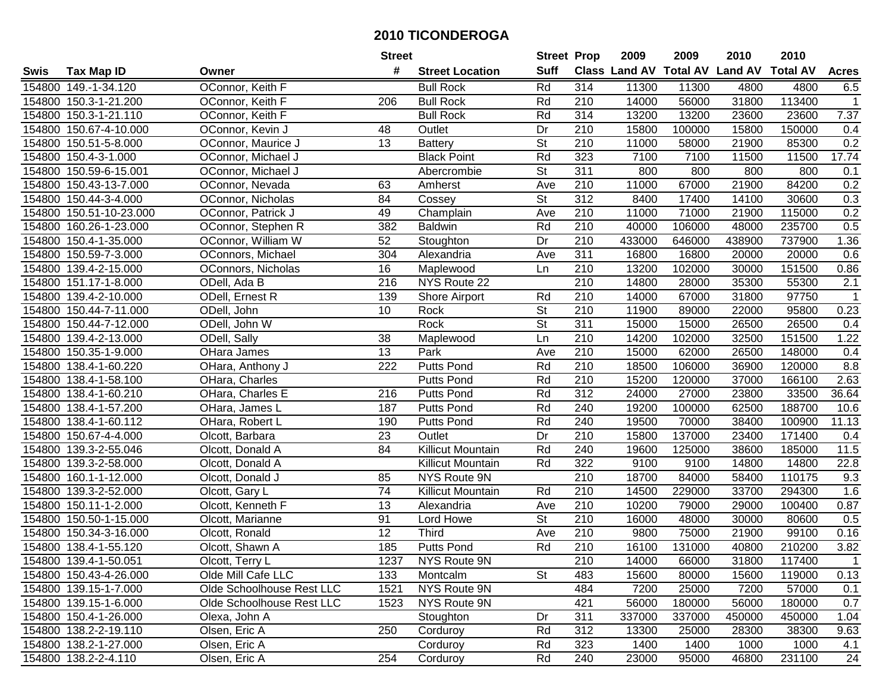|        |                         |                           | <b>Street</b>   |                          | <b>Street Prop</b>       |                  | 2009   | 2009   | 2010                           | 2010            |              |
|--------|-------------------------|---------------------------|-----------------|--------------------------|--------------------------|------------------|--------|--------|--------------------------------|-----------------|--------------|
| Swis   | <b>Tax Map ID</b>       | Owner                     | #               | <b>Street Location</b>   | <b>Suff</b>              |                  |        |        | Class Land AV Total AV Land AV | <b>Total AV</b> | <b>Acres</b> |
|        | 154800 149.-1-34.120    | OConnor, Keith F          |                 | <b>Bull Rock</b>         | Rd                       | 314              | 11300  | 11300  | 4800                           | 4800            | 6.5          |
|        | 154800 150.3-1-21.200   | OConnor, Keith F          | 206             | <b>Bull Rock</b>         | Rd                       | 210              | 14000  | 56000  | 31800                          | 113400          | $\mathbf{1}$ |
|        | 154800 150.3-1-21.110   | OConnor, Keith F          |                 | <b>Bull Rock</b>         | Rd                       | 314              | 13200  | 13200  | 23600                          | 23600           | 7.37         |
|        | 154800 150.67-4-10.000  | OConnor, Kevin J          | 48              | Outlet                   | Dr                       | 210              | 15800  | 100000 | 15800                          | 150000          | 0.4          |
|        | 154800 150.51-5-8.000   | OConnor, Maurice J        | 13              | <b>Battery</b>           | <b>St</b>                | 210              | 11000  | 58000  | 21900                          | 85300           | 0.2          |
|        | 154800 150.4-3-1.000    | OConnor, Michael J        |                 | <b>Black Point</b>       | Rd                       | 323              | 7100   | 7100   | 11500                          | 11500           | 17.74        |
|        | 154800 150.59-6-15.001  | OConnor, Michael J        |                 | Abercrombie              | <b>St</b>                | 311              | 800    | 800    | 800                            | 800             | 0.1          |
|        | 154800 150.43-13-7.000  | OConnor, Nevada           | 63              | Amherst                  | Ave                      | $\overline{210}$ | 11000  | 67000  | 21900                          | 84200           | 0.2          |
|        | 154800 150.44-3-4.000   | OConnor, Nicholas         | 84              | Cossey                   | $\overline{\mathsf{St}}$ | $\overline{312}$ | 8400   | 17400  | 14100                          | 30600           | 0.3          |
|        | 154800 150.51-10-23.000 | OConnor, Patrick J        | 49              | Champlain                | Ave                      | 210              | 11000  | 71000  | 21900                          | 115000          | 0.2          |
|        | 154800 160.26-1-23.000  | OConnor, Stephen R        | 382             | <b>Baldwin</b>           | Rd                       | 210              | 40000  | 106000 | 48000                          | 235700          | 0.5          |
|        | 154800 150.4-1-35.000   | OConnor, William W        | 52              | Stoughton                | Dr                       | 210              | 433000 | 646000 | 438900                         | 737900          | 1.36         |
|        | 154800 150.59-7-3.000   | OConnors, Michael         | 304             | Alexandria               | Ave                      | 311              | 16800  | 16800  | 20000                          | 20000           | 0.6          |
|        | 154800 139.4-2-15.000   | OConnors, Nicholas        | 16              | Maplewood                | Ln                       | 210              | 13200  | 102000 | 30000                          | 151500          | 0.86         |
|        | 154800 151.17-1-8.000   | ODell, Ada B              | 216             | NYS Route 22             |                          | 210              | 14800  | 28000  | 35300                          | 55300           | 2.1          |
|        | 154800 139.4-2-10.000   | ODell, Ernest R           | 139             | Shore Airport            | Rd                       | 210              | 14000  | 67000  | 31800                          | 97750           | -1           |
|        | 154800 150.44-7-11.000  | ODell, John               | 10              | Rock                     | $\overline{\mathsf{St}}$ | 210              | 11900  | 89000  | 22000                          | 95800           | 0.23         |
|        | 154800 150.44-7-12.000  | ODell, John W             |                 | Rock                     | $\overline{St}$          | 311              | 15000  | 15000  | 26500                          | 26500           | 0.4          |
|        | 154800 139.4-2-13.000   | ODell, Sally              | 38              | Maplewood                | Ln                       | 210              | 14200  | 102000 | 32500                          | 151500          | 1.22         |
|        | 154800 150.35-1-9.000   | OHara James               | 13              | Park                     | Ave                      | 210              | 15000  | 62000  | 26500                          | 148000          | 0.4          |
|        | 154800 138.4-1-60.220   | OHara, Anthony J          | 222             | <b>Putts Pond</b>        | Rd                       | 210              | 18500  | 106000 | 36900                          | 120000          | 8.8          |
|        | 154800 138.4-1-58.100   | OHara, Charles            |                 | <b>Putts Pond</b>        | Rd                       | 210              | 15200  | 120000 | 37000                          | 166100          | 2.63         |
| 154800 | 138.4-1-60.210          | OHara, Charles E          | 216             | <b>Putts Pond</b>        | Rd                       | 312              | 24000  | 27000  | 23800                          | 33500           | 36.64        |
| 154800 | 138.4-1-57.200          | OHara, James L            | 187             | <b>Putts Pond</b>        | Rd                       | 240              | 19200  | 100000 | 62500                          | 188700          | 10.6         |
|        | 154800 138.4-1-60.112   | OHara, Robert L           | 190             | <b>Putts Pond</b>        | Rd                       | 240              | 19500  | 70000  | 38400                          | 100900          | 11.13        |
|        | 154800 150.67-4-4.000   | Olcott, Barbara           | 23              | Outlet                   | Dr                       | 210              | 15800  | 137000 | 23400                          | 171400          | 0.4          |
|        | 154800 139.3-2-55.046   | Olcott, Donald A          | 84              | Killicut Mountain        | Rd                       | 240              | 19600  | 125000 | 38600                          | 185000          | 11.5         |
|        | 154800 139.3-2-58.000   | Olcott, Donald A          |                 | Killicut Mountain        | Rd                       | 322              | 9100   | 9100   | 14800                          | 14800           | 22.8         |
|        | 154800 160.1-1-12.000   | Olcott, Donald J          | 85              | NYS Route 9N             |                          | 210              | 18700  | 84000  | 58400                          | 110175          | 9.3          |
|        | 154800 139.3-2-52.000   | Olcott, Gary L            | $\overline{74}$ | <b>Killicut Mountain</b> | Rd                       | $\overline{210}$ | 14500  | 229000 | 33700                          | 294300          | 1.6          |
|        | 154800 150.11-1-2.000   | Olcott, Kenneth F         | $\overline{13}$ | Alexandria               | Ave                      | 210              | 10200  | 79000  | 29000                          | 100400          | 0.87         |
|        | 154800 150.50-1-15.000  | Olcott, Marianne          | 91              | Lord Howe                | $\overline{\mathsf{St}}$ | 210              | 16000  | 48000  | 30000                          | 80600           | 0.5          |
|        | 154800 150.34-3-16.000  | Olcott, Ronald            | $\overline{12}$ | Third                    | Ave                      | $\overline{210}$ | 9800   | 75000  | 21900                          | 99100           | 0.16         |
|        | 154800 138.4-1-55.120   | Olcott, Shawn A           | 185             | <b>Putts Pond</b>        | Rd                       | 210              | 16100  | 131000 | 40800                          | 210200          | 3.82         |
|        | 154800 139.4-1-50.051   | Olcott, Terry L           | 1237            | NYS Route 9N             |                          | 210              | 14000  | 66000  | 31800                          | 117400          | $\mathbf{1}$ |
|        | 154800 150.43-4-26.000  | Olde Mill Cafe LLC        | 133             | Montcalm                 | <b>St</b>                | 483              | 15600  | 80000  | 15600                          | 119000          | 0.13         |
|        | 154800 139.15-1-7.000   | Olde Schoolhouse Rest LLC | 1521            | NYS Route 9N             |                          | 484              | 7200   | 25000  | 7200                           | 57000           | 0.1          |
|        | 154800 139.15-1-6.000   | Olde Schoolhouse Rest LLC | 1523            | NYS Route 9N             |                          | 421              | 56000  | 180000 | 56000                          | 180000          | 0.7          |
|        | 154800 150.4-1-26.000   | Olexa, John A             |                 | Stoughton                | Dr                       | 311              | 337000 | 337000 | 450000                         | 450000          | 1.04         |
|        | 154800 138.2-2-19.110   | Olsen, Eric A             | 250             | Corduroy                 | Rd                       | 312              | 13300  | 25000  | 28300                          | 38300           | 9.63         |
|        | 154800 138.2-1-27.000   | Olsen, Eric A             |                 | Corduroy                 | Rd                       | 323              | 1400   | 1400   | 1000                           | 1000            | 4.1          |
|        | 154800 138.2-2-4.110    | Olsen, Eric A             | 254             | Corduroy                 | Rd                       | 240              | 23000  | 95000  | 46800                          | 231100          | 24           |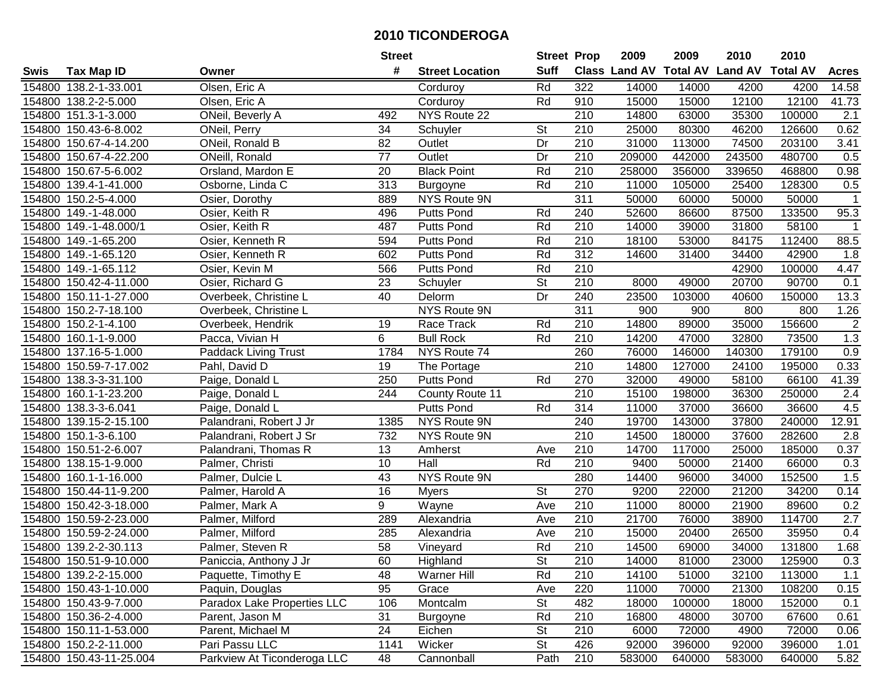|      |                         |                             | <b>Street</b>   |                        | <b>Street Prop</b>       |                  | 2009   | 2009   | 2010                           | 2010            |              |
|------|-------------------------|-----------------------------|-----------------|------------------------|--------------------------|------------------|--------|--------|--------------------------------|-----------------|--------------|
| Swis | <b>Tax Map ID</b>       | Owner                       | #               | <b>Street Location</b> | <b>Suff</b>              |                  |        |        | Class Land AV Total AV Land AV | <b>Total AV</b> | <b>Acres</b> |
|      | 154800 138.2-1-33.001   | Olsen, Eric A               |                 | Corduroy               | Rd                       | 322              | 14000  | 14000  | 4200                           | 4200            | 14.58        |
|      | 154800 138.2-2-5.000    | Olsen, Eric A               |                 | Corduroy               | Rd                       | 910              | 15000  | 15000  | 12100                          | 12100           | 41.73        |
|      | 154800 151.3-1-3.000    | ONeil, Beverly A            | 492             | NYS Route 22           |                          | 210              | 14800  | 63000  | 35300                          | 100000          | 2.1          |
|      | 154800 150.43-6-8.002   | ONeil, Perry                | 34              | Schuyler               | St                       | 210              | 25000  | 80300  | 46200                          | 126600          | 0.62         |
|      | 154800 150.67-4-14.200  | ONeil, Ronald B             | 82              | Outlet                 | Dr                       | 210              | 31000  | 113000 | 74500                          | 203100          | 3.41         |
|      | 154800 150.67-4-22.200  | ONeill, Ronald              | $\overline{77}$ | Outlet                 | Dr                       | 210              | 209000 | 442000 | 243500                         | 480700          | 0.5          |
|      | 154800 150.67-5-6.002   | Orsland, Mardon E           | 20              | <b>Black Point</b>     | Rd                       | 210              | 258000 | 356000 | 339650                         | 468800          | 0.98         |
|      | 154800 139.4-1-41.000   | Osborne, Linda C            | 313             | <b>Burgoyne</b>        | Rd                       | $\overline{210}$ | 11000  | 105000 | 25400                          | 128300          | 0.5          |
|      | 154800 150.2-5-4.000    | Osier, Dorothy              | 889             | NYS Route 9N           |                          | 311              | 50000  | 60000  | 50000                          | 50000           | $\mathbf{1}$ |
|      | 154800 149.-1-48.000    | Osier, Keith R              | 496             | <b>Putts Pond</b>      | Rd                       | 240              | 52600  | 86600  | 87500                          | 133500          | 95.3         |
|      | 154800 149.-1-48.000/1  | Osier, Keith R              | 487             | Putts Pond             | Rd                       | 210              | 14000  | 39000  | 31800                          | 58100           | 1            |
|      | 154800 149.-1-65.200    | Osier, Kenneth R            | 594             | Putts Pond             | Rd                       | 210              | 18100  | 53000  | 84175                          | 112400          | 88.5         |
|      | 154800 149.-1-65.120    | Osier, Kenneth R            | 602             | Putts Pond             | Rd                       | $\overline{312}$ | 14600  | 31400  | 34400                          | 42900           | 1.8          |
|      | 154800 149.-1-65.112    | Osier, Kevin M              | 566             | <b>Putts Pond</b>      | Rd                       | 210              |        |        | 42900                          | 100000          | 4.47         |
|      | 154800 150.42-4-11.000  | Osier, Richard G            | 23              | Schuyler               | St                       | 210              | 8000   | 49000  | 20700                          | 90700           | 0.1          |
|      | 154800 150.11-1-27.000  | Overbeek, Christine L       | 40              | Delorm                 | Dr                       | 240              | 23500  | 103000 | 40600                          | 150000          | 13.3         |
|      | 154800 150.2-7-18.100   | Overbeek, Christine L       |                 | NYS Route 9N           |                          | $\overline{311}$ | 900    | 900    | 800                            | 800             | 1.26         |
|      | 154800 150.2-1-4.100    | Overbeek, Hendrik           | 19              | Race Track             | Rd                       | 210              | 14800  | 89000  | 35000                          | 156600          | $\sqrt{2}$   |
|      | 154800 160.1-1-9.000    | Pacca, Vivian H             | 6               | <b>Bull Rock</b>       | Rd                       | 210              | 14200  | 47000  | 32800                          | 73500           | 1.3          |
|      | 154800 137.16-5-1.000   | <b>Paddack Living Trust</b> | 1784            | NYS Route 74           |                          | 260              | 76000  | 146000 | 140300                         | 179100          | 0.9          |
|      | 154800 150.59-7-17.002  | Pahl, David D               | 19              | The Portage            |                          | 210              | 14800  | 127000 | 24100                          | 195000          | 0.33         |
|      | 154800 138.3-3-31.100   | Paige, Donald L             | 250             | <b>Putts Pond</b>      | Rd                       | 270              | 32000  | 49000  | 58100                          | 66100           | 41.39        |
|      | 154800 160.1-1-23.200   | Paige, Donald L             | 244             | County Route 11        |                          | 210              | 15100  | 198000 | 36300                          | 250000          | 2.4          |
|      | 154800 138.3-3-6.041    | Paige, Donald L             |                 | <b>Putts Pond</b>      | Rd                       | 314              | 11000  | 37000  | 36600                          | 36600           | 4.5          |
|      | 154800 139.15-2-15.100  | Palandrani, Robert J Jr     | 1385            | NYS Route 9N           |                          | 240              | 19700  | 143000 | 37800                          | 240000          | 12.91        |
|      | 154800 150.1-3-6.100    | Palandrani, Robert J Sr     | 732             | NYS Route 9N           |                          | 210              | 14500  | 180000 | 37600                          | 282600          | 2.8          |
|      | 154800 150.51-2-6.007   | Palandrani, Thomas R        | 13              | Amherst                | Ave                      | 210              | 14700  | 117000 | 25000                          | 185000          | 0.37         |
|      | 154800 138.15-1-9.000   | Palmer, Christi             | 10              | Hall                   | Rd                       | 210              | 9400   | 50000  | 21400                          | 66000           | 0.3          |
|      | 154800 160.1-1-16.000   | Palmer, Dulcie L            | 43              | NYS Route 9N           |                          | 280              | 14400  | 96000  | 34000                          | 152500          | 1.5          |
|      | 154800 150.44-11-9.200  | Palmer, Harold A            | 16              | <b>Myers</b>           | $\overline{\mathsf{St}}$ | 270              | 9200   | 22000  | 21200                          | 34200           | 0.14         |
|      | 154800 150.42-3-18.000  | Palmer, Mark A              | 9               | Wayne                  | Ave                      | 210              | 11000  | 80000  | 21900                          | 89600           | 0.2          |
|      | 154800 150.59-2-23.000  | Palmer, Milford             | 289             | Alexandria             | Ave                      | 210              | 21700  | 76000  | 38900                          | 114700          | 2.7          |
|      | 154800 150.59-2-24.000  | Palmer, Milford             | 285             | Alexandria             | Ave                      | $\overline{210}$ | 15000  | 20400  | 26500                          | 35950           | 0.4          |
|      | 154800 139.2-2-30.113   | Palmer, Steven R            | 58              | Vineyard               | Rd                       | $\overline{210}$ | 14500  | 69000  | 34000                          | 131800          | 1.68         |
|      | 154800 150.51-9-10.000  | Paniccia, Anthony J Jr      | 60              | Highland               | St                       | 210              | 14000  | 81000  | 23000                          | 125900          | 0.3          |
|      | 154800 139.2-2-15.000   | Paquette, Timothy E         | 48              | Warner Hill            | Rd                       | 210              | 14100  | 51000  | 32100                          | 113000          | 1.1          |
|      | 154800 150.43-1-10.000  | Paquin, Douglas             | 95              | Grace                  | Ave                      | 220              | 11000  | 70000  | 21300                          | 108200          | 0.15         |
|      | 154800 150.43-9-7.000   | Paradox Lake Properties LLC | 106             | Montcalm               | <b>St</b>                | 482              | 18000  | 100000 | 18000                          | 152000          | 0.1          |
|      | 154800 150.36-2-4.000   | Parent, Jason M             | 31              | <b>Burgoyne</b>        | Rd                       | 210              | 16800  | 48000  | 30700                          | 67600           | 0.61         |
|      | 154800 150.11-1-53.000  | Parent, Michael M           | 24              | Eichen                 | <b>St</b>                | 210              | 6000   | 72000  | 4900                           | 72000           | 0.06         |
|      | 154800 150.2-2-11.000   | Pari Passu LLC              | 1141            | Wicker                 | <b>St</b>                | 426              | 92000  | 396000 | 92000                          | 396000          | 1.01         |
|      | 154800 150.43-11-25.004 | Parkview At Ticonderoga LLC | 48              | Cannonball             | Path                     | 210              | 583000 | 640000 | 583000                         | 640000          | 5.82         |
|      |                         |                             |                 |                        |                          |                  |        |        |                                |                 |              |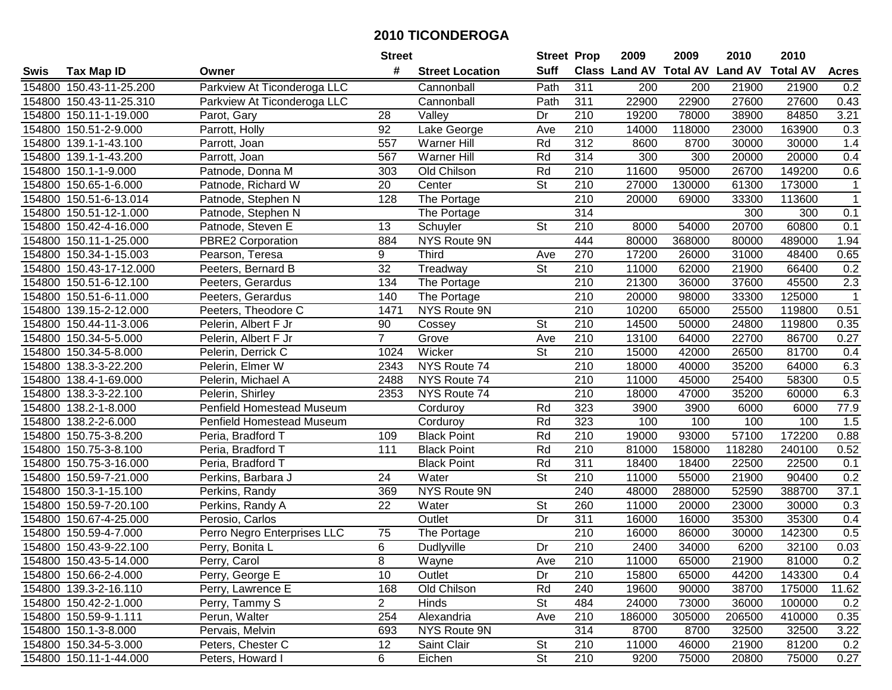| <b>Suff</b><br><b>Class Land AV Total AV</b><br><b>Land AV</b><br>#<br><b>Total AV</b><br><b>Tax Map ID</b><br><b>Street Location</b><br><b>Acres</b><br>Swis<br>Owner<br>Parkview At Ticonderoga LLC<br>Path<br>311<br>Cannonball<br>200<br>200<br>21900<br>21900<br>0.2<br>154800 150.43-11-25.200<br>311<br>22900<br>Parkview At Ticonderoga LLC<br>Cannonball<br>Path<br>22900<br>27600<br>27600<br>0.43<br>154800 150.43-11-25.310<br>154800 150.11-1-19.000<br>Dr<br>210<br>19200<br>78000<br>38900<br>84850<br>3.21<br>Parot, Gary<br>28<br>Valley<br>Parrott, Holly<br>92<br>210<br>14000<br>163900<br>0.3<br>154800 150.51-2-9.000<br>Lake George<br>Ave<br>118000<br>23000<br>$\overline{312}$<br>154800 139.1-1-43.100<br>Parrott, Joan<br>557<br><b>Warner Hill</b><br>Rd<br>8600<br>8700<br>30000<br>30000<br>1.4<br>Rd<br>314<br>0.4<br>154800 139.1-1-43.200<br>567<br><b>Warner Hill</b><br>300<br>300<br>20000<br>20000<br>Parrott, Joan<br>Old Chilson<br>Rd<br>210<br>11600<br>95000<br>149200<br>0.6<br>154800 150.1-1-9.000<br>Patnode, Donna M<br>303<br>26700<br>$\overline{20}$<br>$\overline{\mathsf{St}}$<br>$\overline{210}$<br>27000<br>61300<br>154800<br>150.65-1-6.000<br>Patnode, Richard W<br>Center<br>130000<br>173000<br>$\mathbf{1}$<br>128<br>$\overline{210}$<br>20000<br>154800 150.51-6-13.014<br>The Portage<br>69000<br>33300<br>113600<br>Patnode, Stephen N<br>$\overline{1}$<br>314<br>154800 150.51-12-1.000<br>300<br>300<br>0.1<br>Patnode, Stephen N<br>The Portage<br>St<br>60800<br>0.1<br>154800 150.42-4-16.000<br>Patnode, Steven E<br>13<br>210<br>8000<br>54000<br>20700<br>Schuyler<br>154800 150.11-1-25.000<br>884<br>NYS Route 9N<br>444<br>80000<br>368000<br>80000<br>489000<br>1.94<br><b>PBRE2 Corporation</b><br>9<br>270<br>17200<br>31000<br>48400<br>0.65<br>154800 150.34-1-15.003<br>Pearson, Teresa<br><b>Third</b><br>26000<br>Ave<br>32<br>154800 150.43-17-12.000<br><b>St</b><br>210<br>11000<br>62000<br>21900<br>66400<br>0.2<br>Peeters, Bernard B<br>Treadway<br>2.3<br>210<br>154800 150.51-6-12.100<br>Peeters, Gerardus<br>134<br>21300<br>36000<br>37600<br>45500<br>The Portage<br>154800 150.51-6-11.000<br>210<br>20000<br>98000<br>33300<br>125000<br>Peeters, Gerardus<br>140<br>The Portage<br>$\mathbf 1$<br>210<br>0.51<br>154800 139.15-2-12.000<br>1471<br>NYS Route 9N<br>10200<br>65000<br>25500<br>119800<br>Peeters, Theodore C<br>St<br>Cossey<br>210<br>14500<br>50000<br>24800<br>119800<br>154800 150.44-11-3.006<br>Pelerin, Albert F Jr<br>90<br>0.35<br>$\overline{7}$<br>Grove<br>154800 150.34-5-5.000<br>Ave<br>210<br>13100<br>64000<br>22700<br>86700<br>0.27<br>Pelerin, Albert F Jr<br>154800 150.34-5-8.000<br>1024<br>Wicker<br><b>St</b><br>210<br>15000<br>42000<br>26500<br>81700<br>0.4<br>Pelerin, Derrick C<br>6.3<br>NYS Route 74<br>210<br>18000<br>35200<br>64000<br>154800 138.3-3-22.200<br>Pelerin, Elmer W<br>2343<br>40000<br>NYS Route 74<br>0.5<br>2488<br>210<br>11000<br>45000<br>25400<br>58300<br>154800<br>138.4-1-69.000<br>Pelerin, Michael A<br>210<br>6.3<br>138.3-3-22.100<br>Pelerin, Shirley<br>2353<br>NYS Route 74<br>18000<br>47000<br>35200<br>60000<br>154800<br>Penfield Homestead Museum<br>77.9<br>138.2-1-8.000<br>Rd<br>323<br>3900<br>3900<br>154800<br>6000<br>6000<br>Corduroy<br>Rd<br>323<br>1.5<br>100<br>100<br>100<br>100<br>154800<br>138.2-2-6.000<br>Corduroy<br>Penfield Homestead Museum<br>Rd<br>210<br>19000<br>93000<br>172200<br>Peria, Bradford T<br>109<br><b>Black Point</b><br>57100<br>0.88<br>154800 150.75-3-8.200<br>111<br>Rd<br>210<br>118280<br>240100<br>154800 150.75-3-8.100<br><b>Black Point</b><br>81000<br>158000<br>0.52<br>Peria, Bradford T<br>Rd<br>311<br>154800 150.75-3-16.000<br><b>Black Point</b><br>18400<br>18400<br>22500<br>22500<br>0.1<br>Peria, Bradford T<br>$\overline{\mathsf{St}}$<br>0.2<br>24<br>210<br>11000<br>90400<br>154800 150.59-7-21.000<br>Perkins, Barbara J<br>Water<br>55000<br>21900<br>240<br>388700<br>37.1<br>154800 150.3-1-15.100<br>369<br><b>NYS Route 9N</b><br>48000<br>288000<br>52590<br>Perkins, Randy<br>$\overline{22}$<br>$\overline{\mathsf{St}}$<br>260<br>23000<br>154800 150.59-7-20.100<br>Water<br>11000<br>20000<br>30000<br>0.3<br>Perkins, Randy A<br>154800 150.67-4-25.000<br>Dr<br>311<br>35300<br>35300<br>0.4<br>Perosio, Carlos<br>Outlet<br>16000<br>16000<br>210<br>142300<br>0.5<br>154800<br>150.59-4-7.000<br>Perro Negro Enterprises LLC<br>75<br>16000<br>86000<br>30000<br>The Portage<br>6<br>$\overline{210}$<br>154800 150.43-9-22.100<br>Dr<br>2400<br>34000<br>6200<br>32100<br>0.03<br>Perry, Bonita L<br>Dudlyville<br>154800 150.43-5-14.000<br>Perry, Carol<br>8<br>Wayne<br>Ave<br>210<br>11000<br>65000<br>21900<br>81000<br>0.2<br>10<br>0.4<br>154800 150.66-2-4.000<br>Perry, George E<br>Outlet<br>Dr<br>210<br>15800<br>65000<br>44200<br>143300<br>154800 139.3-2-16.110<br>Old Chilson<br>Rd<br>19600<br>38700<br>175000<br>Perry, Lawrence E<br>168<br>240<br>90000<br>11.62<br>2 <sup>7</sup><br>154800 150.42-2-1.000<br>Perry, Tammy S<br>Hinds<br><b>St</b><br>484<br>24000<br>36000<br>100000<br>0.2<br>73000<br>154800 150.59-9-1.111<br>Perun, Walter<br>210<br>254<br>Alexandria<br>186000<br>305000<br>206500<br>410000<br>0.35<br>Ave<br>NYS Route 9N<br>314<br>154800 150.1-3-8.000<br>3.22<br>Pervais, Melvin<br>693<br>8700<br>8700<br>32500<br>32500<br>154800 150.34-5-3.000<br><b>St</b><br>Peters, Chester C<br>12<br>Saint Clair<br>210<br>11000<br>46000<br>21900<br>81200<br>0.2<br>$\overline{\mathsf{St}}$<br>154800 150.11-1-44.000<br>6<br>210<br>Peters, Howard I<br>Eichen<br>9200<br>75000<br>20800<br>75000<br>0.27 |  | <b>Street</b> | <b>Street Prop</b> | 2009 | 2009 | 2010 | 2010 |  |
|-----------------------------------------------------------------------------------------------------------------------------------------------------------------------------------------------------------------------------------------------------------------------------------------------------------------------------------------------------------------------------------------------------------------------------------------------------------------------------------------------------------------------------------------------------------------------------------------------------------------------------------------------------------------------------------------------------------------------------------------------------------------------------------------------------------------------------------------------------------------------------------------------------------------------------------------------------------------------------------------------------------------------------------------------------------------------------------------------------------------------------------------------------------------------------------------------------------------------------------------------------------------------------------------------------------------------------------------------------------------------------------------------------------------------------------------------------------------------------------------------------------------------------------------------------------------------------------------------------------------------------------------------------------------------------------------------------------------------------------------------------------------------------------------------------------------------------------------------------------------------------------------------------------------------------------------------------------------------------------------------------------------------------------------------------------------------------------------------------------------------------------------------------------------------------------------------------------------------------------------------------------------------------------------------------------------------------------------------------------------------------------------------------------------------------------------------------------------------------------------------------------------------------------------------------------------------------------------------------------------------------------------------------------------------------------------------------------------------------------------------------------------------------------------------------------------------------------------------------------------------------------------------------------------------------------------------------------------------------------------------------------------------------------------------------------------------------------------------------------------------------------------------------------------------------------------------------------------------------------------------------------------------------------------------------------------------------------------------------------------------------------------------------------------------------------------------------------------------------------------------------------------------------------------------------------------------------------------------------------------------------------------------------------------------------------------------------------------------------------------------------------------------------------------------------------------------------------------------------------------------------------------------------------------------------------------------------------------------------------------------------------------------------------------------------------------------------------------------------------------------------------------------------------------------------------------------------------------------------------------------------------------------------------------------------------------------------------------------------------------------------------------------------------------------------------------------------------------------------------------------------------------------------------------------------------------------------------------------------------------------------------------------------------------------------------------------------------------------------------------------------------------------------------------------------------------------------------------------------------------------------------------------------------------------------------------------------------------------------------------------------------------------------------------------------------------------------------------------------------------------------------------------------------------------------------------------------------------------------------------------------------------------------------------------------------------------------------------------------------------------------------------------------------------------------------------------------------------------------------------------------------------------------------------------------------------------------------------------------------------------------------------------------------------------------------------------------------------------------------------|--|---------------|--------------------|------|------|------|------|--|
|                                                                                                                                                                                                                                                                                                                                                                                                                                                                                                                                                                                                                                                                                                                                                                                                                                                                                                                                                                                                                                                                                                                                                                                                                                                                                                                                                                                                                                                                                                                                                                                                                                                                                                                                                                                                                                                                                                                                                                                                                                                                                                                                                                                                                                                                                                                                                                                                                                                                                                                                                                                                                                                                                                                                                                                                                                                                                                                                                                                                                                                                                                                                                                                                                                                                                                                                                                                                                                                                                                                                                                                                                                                                                                                                                                                                                                                                                                                                                                                                                                                                                                                                                                                                                                                                                                                                                                                                                                                                                                                                                                                                                                                                                                                                                                                                                                                                                                                                                                                                                                                                                                                                                                                                                                                                                                                                                                                                                                                                                                                                                                                                                                                                                                                                         |  |               |                    |      |      |      |      |  |
|                                                                                                                                                                                                                                                                                                                                                                                                                                                                                                                                                                                                                                                                                                                                                                                                                                                                                                                                                                                                                                                                                                                                                                                                                                                                                                                                                                                                                                                                                                                                                                                                                                                                                                                                                                                                                                                                                                                                                                                                                                                                                                                                                                                                                                                                                                                                                                                                                                                                                                                                                                                                                                                                                                                                                                                                                                                                                                                                                                                                                                                                                                                                                                                                                                                                                                                                                                                                                                                                                                                                                                                                                                                                                                                                                                                                                                                                                                                                                                                                                                                                                                                                                                                                                                                                                                                                                                                                                                                                                                                                                                                                                                                                                                                                                                                                                                                                                                                                                                                                                                                                                                                                                                                                                                                                                                                                                                                                                                                                                                                                                                                                                                                                                                                                         |  |               |                    |      |      |      |      |  |
|                                                                                                                                                                                                                                                                                                                                                                                                                                                                                                                                                                                                                                                                                                                                                                                                                                                                                                                                                                                                                                                                                                                                                                                                                                                                                                                                                                                                                                                                                                                                                                                                                                                                                                                                                                                                                                                                                                                                                                                                                                                                                                                                                                                                                                                                                                                                                                                                                                                                                                                                                                                                                                                                                                                                                                                                                                                                                                                                                                                                                                                                                                                                                                                                                                                                                                                                                                                                                                                                                                                                                                                                                                                                                                                                                                                                                                                                                                                                                                                                                                                                                                                                                                                                                                                                                                                                                                                                                                                                                                                                                                                                                                                                                                                                                                                                                                                                                                                                                                                                                                                                                                                                                                                                                                                                                                                                                                                                                                                                                                                                                                                                                                                                                                                                         |  |               |                    |      |      |      |      |  |
|                                                                                                                                                                                                                                                                                                                                                                                                                                                                                                                                                                                                                                                                                                                                                                                                                                                                                                                                                                                                                                                                                                                                                                                                                                                                                                                                                                                                                                                                                                                                                                                                                                                                                                                                                                                                                                                                                                                                                                                                                                                                                                                                                                                                                                                                                                                                                                                                                                                                                                                                                                                                                                                                                                                                                                                                                                                                                                                                                                                                                                                                                                                                                                                                                                                                                                                                                                                                                                                                                                                                                                                                                                                                                                                                                                                                                                                                                                                                                                                                                                                                                                                                                                                                                                                                                                                                                                                                                                                                                                                                                                                                                                                                                                                                                                                                                                                                                                                                                                                                                                                                                                                                                                                                                                                                                                                                                                                                                                                                                                                                                                                                                                                                                                                                         |  |               |                    |      |      |      |      |  |
|                                                                                                                                                                                                                                                                                                                                                                                                                                                                                                                                                                                                                                                                                                                                                                                                                                                                                                                                                                                                                                                                                                                                                                                                                                                                                                                                                                                                                                                                                                                                                                                                                                                                                                                                                                                                                                                                                                                                                                                                                                                                                                                                                                                                                                                                                                                                                                                                                                                                                                                                                                                                                                                                                                                                                                                                                                                                                                                                                                                                                                                                                                                                                                                                                                                                                                                                                                                                                                                                                                                                                                                                                                                                                                                                                                                                                                                                                                                                                                                                                                                                                                                                                                                                                                                                                                                                                                                                                                                                                                                                                                                                                                                                                                                                                                                                                                                                                                                                                                                                                                                                                                                                                                                                                                                                                                                                                                                                                                                                                                                                                                                                                                                                                                                                         |  |               |                    |      |      |      |      |  |
|                                                                                                                                                                                                                                                                                                                                                                                                                                                                                                                                                                                                                                                                                                                                                                                                                                                                                                                                                                                                                                                                                                                                                                                                                                                                                                                                                                                                                                                                                                                                                                                                                                                                                                                                                                                                                                                                                                                                                                                                                                                                                                                                                                                                                                                                                                                                                                                                                                                                                                                                                                                                                                                                                                                                                                                                                                                                                                                                                                                                                                                                                                                                                                                                                                                                                                                                                                                                                                                                                                                                                                                                                                                                                                                                                                                                                                                                                                                                                                                                                                                                                                                                                                                                                                                                                                                                                                                                                                                                                                                                                                                                                                                                                                                                                                                                                                                                                                                                                                                                                                                                                                                                                                                                                                                                                                                                                                                                                                                                                                                                                                                                                                                                                                                                         |  |               |                    |      |      |      |      |  |
|                                                                                                                                                                                                                                                                                                                                                                                                                                                                                                                                                                                                                                                                                                                                                                                                                                                                                                                                                                                                                                                                                                                                                                                                                                                                                                                                                                                                                                                                                                                                                                                                                                                                                                                                                                                                                                                                                                                                                                                                                                                                                                                                                                                                                                                                                                                                                                                                                                                                                                                                                                                                                                                                                                                                                                                                                                                                                                                                                                                                                                                                                                                                                                                                                                                                                                                                                                                                                                                                                                                                                                                                                                                                                                                                                                                                                                                                                                                                                                                                                                                                                                                                                                                                                                                                                                                                                                                                                                                                                                                                                                                                                                                                                                                                                                                                                                                                                                                                                                                                                                                                                                                                                                                                                                                                                                                                                                                                                                                                                                                                                                                                                                                                                                                                         |  |               |                    |      |      |      |      |  |
|                                                                                                                                                                                                                                                                                                                                                                                                                                                                                                                                                                                                                                                                                                                                                                                                                                                                                                                                                                                                                                                                                                                                                                                                                                                                                                                                                                                                                                                                                                                                                                                                                                                                                                                                                                                                                                                                                                                                                                                                                                                                                                                                                                                                                                                                                                                                                                                                                                                                                                                                                                                                                                                                                                                                                                                                                                                                                                                                                                                                                                                                                                                                                                                                                                                                                                                                                                                                                                                                                                                                                                                                                                                                                                                                                                                                                                                                                                                                                                                                                                                                                                                                                                                                                                                                                                                                                                                                                                                                                                                                                                                                                                                                                                                                                                                                                                                                                                                                                                                                                                                                                                                                                                                                                                                                                                                                                                                                                                                                                                                                                                                                                                                                                                                                         |  |               |                    |      |      |      |      |  |
|                                                                                                                                                                                                                                                                                                                                                                                                                                                                                                                                                                                                                                                                                                                                                                                                                                                                                                                                                                                                                                                                                                                                                                                                                                                                                                                                                                                                                                                                                                                                                                                                                                                                                                                                                                                                                                                                                                                                                                                                                                                                                                                                                                                                                                                                                                                                                                                                                                                                                                                                                                                                                                                                                                                                                                                                                                                                                                                                                                                                                                                                                                                                                                                                                                                                                                                                                                                                                                                                                                                                                                                                                                                                                                                                                                                                                                                                                                                                                                                                                                                                                                                                                                                                                                                                                                                                                                                                                                                                                                                                                                                                                                                                                                                                                                                                                                                                                                                                                                                                                                                                                                                                                                                                                                                                                                                                                                                                                                                                                                                                                                                                                                                                                                                                         |  |               |                    |      |      |      |      |  |
|                                                                                                                                                                                                                                                                                                                                                                                                                                                                                                                                                                                                                                                                                                                                                                                                                                                                                                                                                                                                                                                                                                                                                                                                                                                                                                                                                                                                                                                                                                                                                                                                                                                                                                                                                                                                                                                                                                                                                                                                                                                                                                                                                                                                                                                                                                                                                                                                                                                                                                                                                                                                                                                                                                                                                                                                                                                                                                                                                                                                                                                                                                                                                                                                                                                                                                                                                                                                                                                                                                                                                                                                                                                                                                                                                                                                                                                                                                                                                                                                                                                                                                                                                                                                                                                                                                                                                                                                                                                                                                                                                                                                                                                                                                                                                                                                                                                                                                                                                                                                                                                                                                                                                                                                                                                                                                                                                                                                                                                                                                                                                                                                                                                                                                                                         |  |               |                    |      |      |      |      |  |
|                                                                                                                                                                                                                                                                                                                                                                                                                                                                                                                                                                                                                                                                                                                                                                                                                                                                                                                                                                                                                                                                                                                                                                                                                                                                                                                                                                                                                                                                                                                                                                                                                                                                                                                                                                                                                                                                                                                                                                                                                                                                                                                                                                                                                                                                                                                                                                                                                                                                                                                                                                                                                                                                                                                                                                                                                                                                                                                                                                                                                                                                                                                                                                                                                                                                                                                                                                                                                                                                                                                                                                                                                                                                                                                                                                                                                                                                                                                                                                                                                                                                                                                                                                                                                                                                                                                                                                                                                                                                                                                                                                                                                                                                                                                                                                                                                                                                                                                                                                                                                                                                                                                                                                                                                                                                                                                                                                                                                                                                                                                                                                                                                                                                                                                                         |  |               |                    |      |      |      |      |  |
|                                                                                                                                                                                                                                                                                                                                                                                                                                                                                                                                                                                                                                                                                                                                                                                                                                                                                                                                                                                                                                                                                                                                                                                                                                                                                                                                                                                                                                                                                                                                                                                                                                                                                                                                                                                                                                                                                                                                                                                                                                                                                                                                                                                                                                                                                                                                                                                                                                                                                                                                                                                                                                                                                                                                                                                                                                                                                                                                                                                                                                                                                                                                                                                                                                                                                                                                                                                                                                                                                                                                                                                                                                                                                                                                                                                                                                                                                                                                                                                                                                                                                                                                                                                                                                                                                                                                                                                                                                                                                                                                                                                                                                                                                                                                                                                                                                                                                                                                                                                                                                                                                                                                                                                                                                                                                                                                                                                                                                                                                                                                                                                                                                                                                                                                         |  |               |                    |      |      |      |      |  |
|                                                                                                                                                                                                                                                                                                                                                                                                                                                                                                                                                                                                                                                                                                                                                                                                                                                                                                                                                                                                                                                                                                                                                                                                                                                                                                                                                                                                                                                                                                                                                                                                                                                                                                                                                                                                                                                                                                                                                                                                                                                                                                                                                                                                                                                                                                                                                                                                                                                                                                                                                                                                                                                                                                                                                                                                                                                                                                                                                                                                                                                                                                                                                                                                                                                                                                                                                                                                                                                                                                                                                                                                                                                                                                                                                                                                                                                                                                                                                                                                                                                                                                                                                                                                                                                                                                                                                                                                                                                                                                                                                                                                                                                                                                                                                                                                                                                                                                                                                                                                                                                                                                                                                                                                                                                                                                                                                                                                                                                                                                                                                                                                                                                                                                                                         |  |               |                    |      |      |      |      |  |
|                                                                                                                                                                                                                                                                                                                                                                                                                                                                                                                                                                                                                                                                                                                                                                                                                                                                                                                                                                                                                                                                                                                                                                                                                                                                                                                                                                                                                                                                                                                                                                                                                                                                                                                                                                                                                                                                                                                                                                                                                                                                                                                                                                                                                                                                                                                                                                                                                                                                                                                                                                                                                                                                                                                                                                                                                                                                                                                                                                                                                                                                                                                                                                                                                                                                                                                                                                                                                                                                                                                                                                                                                                                                                                                                                                                                                                                                                                                                                                                                                                                                                                                                                                                                                                                                                                                                                                                                                                                                                                                                                                                                                                                                                                                                                                                                                                                                                                                                                                                                                                                                                                                                                                                                                                                                                                                                                                                                                                                                                                                                                                                                                                                                                                                                         |  |               |                    |      |      |      |      |  |
|                                                                                                                                                                                                                                                                                                                                                                                                                                                                                                                                                                                                                                                                                                                                                                                                                                                                                                                                                                                                                                                                                                                                                                                                                                                                                                                                                                                                                                                                                                                                                                                                                                                                                                                                                                                                                                                                                                                                                                                                                                                                                                                                                                                                                                                                                                                                                                                                                                                                                                                                                                                                                                                                                                                                                                                                                                                                                                                                                                                                                                                                                                                                                                                                                                                                                                                                                                                                                                                                                                                                                                                                                                                                                                                                                                                                                                                                                                                                                                                                                                                                                                                                                                                                                                                                                                                                                                                                                                                                                                                                                                                                                                                                                                                                                                                                                                                                                                                                                                                                                                                                                                                                                                                                                                                                                                                                                                                                                                                                                                                                                                                                                                                                                                                                         |  |               |                    |      |      |      |      |  |
|                                                                                                                                                                                                                                                                                                                                                                                                                                                                                                                                                                                                                                                                                                                                                                                                                                                                                                                                                                                                                                                                                                                                                                                                                                                                                                                                                                                                                                                                                                                                                                                                                                                                                                                                                                                                                                                                                                                                                                                                                                                                                                                                                                                                                                                                                                                                                                                                                                                                                                                                                                                                                                                                                                                                                                                                                                                                                                                                                                                                                                                                                                                                                                                                                                                                                                                                                                                                                                                                                                                                                                                                                                                                                                                                                                                                                                                                                                                                                                                                                                                                                                                                                                                                                                                                                                                                                                                                                                                                                                                                                                                                                                                                                                                                                                                                                                                                                                                                                                                                                                                                                                                                                                                                                                                                                                                                                                                                                                                                                                                                                                                                                                                                                                                                         |  |               |                    |      |      |      |      |  |
|                                                                                                                                                                                                                                                                                                                                                                                                                                                                                                                                                                                                                                                                                                                                                                                                                                                                                                                                                                                                                                                                                                                                                                                                                                                                                                                                                                                                                                                                                                                                                                                                                                                                                                                                                                                                                                                                                                                                                                                                                                                                                                                                                                                                                                                                                                                                                                                                                                                                                                                                                                                                                                                                                                                                                                                                                                                                                                                                                                                                                                                                                                                                                                                                                                                                                                                                                                                                                                                                                                                                                                                                                                                                                                                                                                                                                                                                                                                                                                                                                                                                                                                                                                                                                                                                                                                                                                                                                                                                                                                                                                                                                                                                                                                                                                                                                                                                                                                                                                                                                                                                                                                                                                                                                                                                                                                                                                                                                                                                                                                                                                                                                                                                                                                                         |  |               |                    |      |      |      |      |  |
|                                                                                                                                                                                                                                                                                                                                                                                                                                                                                                                                                                                                                                                                                                                                                                                                                                                                                                                                                                                                                                                                                                                                                                                                                                                                                                                                                                                                                                                                                                                                                                                                                                                                                                                                                                                                                                                                                                                                                                                                                                                                                                                                                                                                                                                                                                                                                                                                                                                                                                                                                                                                                                                                                                                                                                                                                                                                                                                                                                                                                                                                                                                                                                                                                                                                                                                                                                                                                                                                                                                                                                                                                                                                                                                                                                                                                                                                                                                                                                                                                                                                                                                                                                                                                                                                                                                                                                                                                                                                                                                                                                                                                                                                                                                                                                                                                                                                                                                                                                                                                                                                                                                                                                                                                                                                                                                                                                                                                                                                                                                                                                                                                                                                                                                                         |  |               |                    |      |      |      |      |  |
|                                                                                                                                                                                                                                                                                                                                                                                                                                                                                                                                                                                                                                                                                                                                                                                                                                                                                                                                                                                                                                                                                                                                                                                                                                                                                                                                                                                                                                                                                                                                                                                                                                                                                                                                                                                                                                                                                                                                                                                                                                                                                                                                                                                                                                                                                                                                                                                                                                                                                                                                                                                                                                                                                                                                                                                                                                                                                                                                                                                                                                                                                                                                                                                                                                                                                                                                                                                                                                                                                                                                                                                                                                                                                                                                                                                                                                                                                                                                                                                                                                                                                                                                                                                                                                                                                                                                                                                                                                                                                                                                                                                                                                                                                                                                                                                                                                                                                                                                                                                                                                                                                                                                                                                                                                                                                                                                                                                                                                                                                                                                                                                                                                                                                                                                         |  |               |                    |      |      |      |      |  |
|                                                                                                                                                                                                                                                                                                                                                                                                                                                                                                                                                                                                                                                                                                                                                                                                                                                                                                                                                                                                                                                                                                                                                                                                                                                                                                                                                                                                                                                                                                                                                                                                                                                                                                                                                                                                                                                                                                                                                                                                                                                                                                                                                                                                                                                                                                                                                                                                                                                                                                                                                                                                                                                                                                                                                                                                                                                                                                                                                                                                                                                                                                                                                                                                                                                                                                                                                                                                                                                                                                                                                                                                                                                                                                                                                                                                                                                                                                                                                                                                                                                                                                                                                                                                                                                                                                                                                                                                                                                                                                                                                                                                                                                                                                                                                                                                                                                                                                                                                                                                                                                                                                                                                                                                                                                                                                                                                                                                                                                                                                                                                                                                                                                                                                                                         |  |               |                    |      |      |      |      |  |
|                                                                                                                                                                                                                                                                                                                                                                                                                                                                                                                                                                                                                                                                                                                                                                                                                                                                                                                                                                                                                                                                                                                                                                                                                                                                                                                                                                                                                                                                                                                                                                                                                                                                                                                                                                                                                                                                                                                                                                                                                                                                                                                                                                                                                                                                                                                                                                                                                                                                                                                                                                                                                                                                                                                                                                                                                                                                                                                                                                                                                                                                                                                                                                                                                                                                                                                                                                                                                                                                                                                                                                                                                                                                                                                                                                                                                                                                                                                                                                                                                                                                                                                                                                                                                                                                                                                                                                                                                                                                                                                                                                                                                                                                                                                                                                                                                                                                                                                                                                                                                                                                                                                                                                                                                                                                                                                                                                                                                                                                                                                                                                                                                                                                                                                                         |  |               |                    |      |      |      |      |  |
|                                                                                                                                                                                                                                                                                                                                                                                                                                                                                                                                                                                                                                                                                                                                                                                                                                                                                                                                                                                                                                                                                                                                                                                                                                                                                                                                                                                                                                                                                                                                                                                                                                                                                                                                                                                                                                                                                                                                                                                                                                                                                                                                                                                                                                                                                                                                                                                                                                                                                                                                                                                                                                                                                                                                                                                                                                                                                                                                                                                                                                                                                                                                                                                                                                                                                                                                                                                                                                                                                                                                                                                                                                                                                                                                                                                                                                                                                                                                                                                                                                                                                                                                                                                                                                                                                                                                                                                                                                                                                                                                                                                                                                                                                                                                                                                                                                                                                                                                                                                                                                                                                                                                                                                                                                                                                                                                                                                                                                                                                                                                                                                                                                                                                                                                         |  |               |                    |      |      |      |      |  |
|                                                                                                                                                                                                                                                                                                                                                                                                                                                                                                                                                                                                                                                                                                                                                                                                                                                                                                                                                                                                                                                                                                                                                                                                                                                                                                                                                                                                                                                                                                                                                                                                                                                                                                                                                                                                                                                                                                                                                                                                                                                                                                                                                                                                                                                                                                                                                                                                                                                                                                                                                                                                                                                                                                                                                                                                                                                                                                                                                                                                                                                                                                                                                                                                                                                                                                                                                                                                                                                                                                                                                                                                                                                                                                                                                                                                                                                                                                                                                                                                                                                                                                                                                                                                                                                                                                                                                                                                                                                                                                                                                                                                                                                                                                                                                                                                                                                                                                                                                                                                                                                                                                                                                                                                                                                                                                                                                                                                                                                                                                                                                                                                                                                                                                                                         |  |               |                    |      |      |      |      |  |
|                                                                                                                                                                                                                                                                                                                                                                                                                                                                                                                                                                                                                                                                                                                                                                                                                                                                                                                                                                                                                                                                                                                                                                                                                                                                                                                                                                                                                                                                                                                                                                                                                                                                                                                                                                                                                                                                                                                                                                                                                                                                                                                                                                                                                                                                                                                                                                                                                                                                                                                                                                                                                                                                                                                                                                                                                                                                                                                                                                                                                                                                                                                                                                                                                                                                                                                                                                                                                                                                                                                                                                                                                                                                                                                                                                                                                                                                                                                                                                                                                                                                                                                                                                                                                                                                                                                                                                                                                                                                                                                                                                                                                                                                                                                                                                                                                                                                                                                                                                                                                                                                                                                                                                                                                                                                                                                                                                                                                                                                                                                                                                                                                                                                                                                                         |  |               |                    |      |      |      |      |  |
|                                                                                                                                                                                                                                                                                                                                                                                                                                                                                                                                                                                                                                                                                                                                                                                                                                                                                                                                                                                                                                                                                                                                                                                                                                                                                                                                                                                                                                                                                                                                                                                                                                                                                                                                                                                                                                                                                                                                                                                                                                                                                                                                                                                                                                                                                                                                                                                                                                                                                                                                                                                                                                                                                                                                                                                                                                                                                                                                                                                                                                                                                                                                                                                                                                                                                                                                                                                                                                                                                                                                                                                                                                                                                                                                                                                                                                                                                                                                                                                                                                                                                                                                                                                                                                                                                                                                                                                                                                                                                                                                                                                                                                                                                                                                                                                                                                                                                                                                                                                                                                                                                                                                                                                                                                                                                                                                                                                                                                                                                                                                                                                                                                                                                                                                         |  |               |                    |      |      |      |      |  |
|                                                                                                                                                                                                                                                                                                                                                                                                                                                                                                                                                                                                                                                                                                                                                                                                                                                                                                                                                                                                                                                                                                                                                                                                                                                                                                                                                                                                                                                                                                                                                                                                                                                                                                                                                                                                                                                                                                                                                                                                                                                                                                                                                                                                                                                                                                                                                                                                                                                                                                                                                                                                                                                                                                                                                                                                                                                                                                                                                                                                                                                                                                                                                                                                                                                                                                                                                                                                                                                                                                                                                                                                                                                                                                                                                                                                                                                                                                                                                                                                                                                                                                                                                                                                                                                                                                                                                                                                                                                                                                                                                                                                                                                                                                                                                                                                                                                                                                                                                                                                                                                                                                                                                                                                                                                                                                                                                                                                                                                                                                                                                                                                                                                                                                                                         |  |               |                    |      |      |      |      |  |
|                                                                                                                                                                                                                                                                                                                                                                                                                                                                                                                                                                                                                                                                                                                                                                                                                                                                                                                                                                                                                                                                                                                                                                                                                                                                                                                                                                                                                                                                                                                                                                                                                                                                                                                                                                                                                                                                                                                                                                                                                                                                                                                                                                                                                                                                                                                                                                                                                                                                                                                                                                                                                                                                                                                                                                                                                                                                                                                                                                                                                                                                                                                                                                                                                                                                                                                                                                                                                                                                                                                                                                                                                                                                                                                                                                                                                                                                                                                                                                                                                                                                                                                                                                                                                                                                                                                                                                                                                                                                                                                                                                                                                                                                                                                                                                                                                                                                                                                                                                                                                                                                                                                                                                                                                                                                                                                                                                                                                                                                                                                                                                                                                                                                                                                                         |  |               |                    |      |      |      |      |  |
|                                                                                                                                                                                                                                                                                                                                                                                                                                                                                                                                                                                                                                                                                                                                                                                                                                                                                                                                                                                                                                                                                                                                                                                                                                                                                                                                                                                                                                                                                                                                                                                                                                                                                                                                                                                                                                                                                                                                                                                                                                                                                                                                                                                                                                                                                                                                                                                                                                                                                                                                                                                                                                                                                                                                                                                                                                                                                                                                                                                                                                                                                                                                                                                                                                                                                                                                                                                                                                                                                                                                                                                                                                                                                                                                                                                                                                                                                                                                                                                                                                                                                                                                                                                                                                                                                                                                                                                                                                                                                                                                                                                                                                                                                                                                                                                                                                                                                                                                                                                                                                                                                                                                                                                                                                                                                                                                                                                                                                                                                                                                                                                                                                                                                                                                         |  |               |                    |      |      |      |      |  |
|                                                                                                                                                                                                                                                                                                                                                                                                                                                                                                                                                                                                                                                                                                                                                                                                                                                                                                                                                                                                                                                                                                                                                                                                                                                                                                                                                                                                                                                                                                                                                                                                                                                                                                                                                                                                                                                                                                                                                                                                                                                                                                                                                                                                                                                                                                                                                                                                                                                                                                                                                                                                                                                                                                                                                                                                                                                                                                                                                                                                                                                                                                                                                                                                                                                                                                                                                                                                                                                                                                                                                                                                                                                                                                                                                                                                                                                                                                                                                                                                                                                                                                                                                                                                                                                                                                                                                                                                                                                                                                                                                                                                                                                                                                                                                                                                                                                                                                                                                                                                                                                                                                                                                                                                                                                                                                                                                                                                                                                                                                                                                                                                                                                                                                                                         |  |               |                    |      |      |      |      |  |
|                                                                                                                                                                                                                                                                                                                                                                                                                                                                                                                                                                                                                                                                                                                                                                                                                                                                                                                                                                                                                                                                                                                                                                                                                                                                                                                                                                                                                                                                                                                                                                                                                                                                                                                                                                                                                                                                                                                                                                                                                                                                                                                                                                                                                                                                                                                                                                                                                                                                                                                                                                                                                                                                                                                                                                                                                                                                                                                                                                                                                                                                                                                                                                                                                                                                                                                                                                                                                                                                                                                                                                                                                                                                                                                                                                                                                                                                                                                                                                                                                                                                                                                                                                                                                                                                                                                                                                                                                                                                                                                                                                                                                                                                                                                                                                                                                                                                                                                                                                                                                                                                                                                                                                                                                                                                                                                                                                                                                                                                                                                                                                                                                                                                                                                                         |  |               |                    |      |      |      |      |  |
|                                                                                                                                                                                                                                                                                                                                                                                                                                                                                                                                                                                                                                                                                                                                                                                                                                                                                                                                                                                                                                                                                                                                                                                                                                                                                                                                                                                                                                                                                                                                                                                                                                                                                                                                                                                                                                                                                                                                                                                                                                                                                                                                                                                                                                                                                                                                                                                                                                                                                                                                                                                                                                                                                                                                                                                                                                                                                                                                                                                                                                                                                                                                                                                                                                                                                                                                                                                                                                                                                                                                                                                                                                                                                                                                                                                                                                                                                                                                                                                                                                                                                                                                                                                                                                                                                                                                                                                                                                                                                                                                                                                                                                                                                                                                                                                                                                                                                                                                                                                                                                                                                                                                                                                                                                                                                                                                                                                                                                                                                                                                                                                                                                                                                                                                         |  |               |                    |      |      |      |      |  |
|                                                                                                                                                                                                                                                                                                                                                                                                                                                                                                                                                                                                                                                                                                                                                                                                                                                                                                                                                                                                                                                                                                                                                                                                                                                                                                                                                                                                                                                                                                                                                                                                                                                                                                                                                                                                                                                                                                                                                                                                                                                                                                                                                                                                                                                                                                                                                                                                                                                                                                                                                                                                                                                                                                                                                                                                                                                                                                                                                                                                                                                                                                                                                                                                                                                                                                                                                                                                                                                                                                                                                                                                                                                                                                                                                                                                                                                                                                                                                                                                                                                                                                                                                                                                                                                                                                                                                                                                                                                                                                                                                                                                                                                                                                                                                                                                                                                                                                                                                                                                                                                                                                                                                                                                                                                                                                                                                                                                                                                                                                                                                                                                                                                                                                                                         |  |               |                    |      |      |      |      |  |
|                                                                                                                                                                                                                                                                                                                                                                                                                                                                                                                                                                                                                                                                                                                                                                                                                                                                                                                                                                                                                                                                                                                                                                                                                                                                                                                                                                                                                                                                                                                                                                                                                                                                                                                                                                                                                                                                                                                                                                                                                                                                                                                                                                                                                                                                                                                                                                                                                                                                                                                                                                                                                                                                                                                                                                                                                                                                                                                                                                                                                                                                                                                                                                                                                                                                                                                                                                                                                                                                                                                                                                                                                                                                                                                                                                                                                                                                                                                                                                                                                                                                                                                                                                                                                                                                                                                                                                                                                                                                                                                                                                                                                                                                                                                                                                                                                                                                                                                                                                                                                                                                                                                                                                                                                                                                                                                                                                                                                                                                                                                                                                                                                                                                                                                                         |  |               |                    |      |      |      |      |  |
|                                                                                                                                                                                                                                                                                                                                                                                                                                                                                                                                                                                                                                                                                                                                                                                                                                                                                                                                                                                                                                                                                                                                                                                                                                                                                                                                                                                                                                                                                                                                                                                                                                                                                                                                                                                                                                                                                                                                                                                                                                                                                                                                                                                                                                                                                                                                                                                                                                                                                                                                                                                                                                                                                                                                                                                                                                                                                                                                                                                                                                                                                                                                                                                                                                                                                                                                                                                                                                                                                                                                                                                                                                                                                                                                                                                                                                                                                                                                                                                                                                                                                                                                                                                                                                                                                                                                                                                                                                                                                                                                                                                                                                                                                                                                                                                                                                                                                                                                                                                                                                                                                                                                                                                                                                                                                                                                                                                                                                                                                                                                                                                                                                                                                                                                         |  |               |                    |      |      |      |      |  |
|                                                                                                                                                                                                                                                                                                                                                                                                                                                                                                                                                                                                                                                                                                                                                                                                                                                                                                                                                                                                                                                                                                                                                                                                                                                                                                                                                                                                                                                                                                                                                                                                                                                                                                                                                                                                                                                                                                                                                                                                                                                                                                                                                                                                                                                                                                                                                                                                                                                                                                                                                                                                                                                                                                                                                                                                                                                                                                                                                                                                                                                                                                                                                                                                                                                                                                                                                                                                                                                                                                                                                                                                                                                                                                                                                                                                                                                                                                                                                                                                                                                                                                                                                                                                                                                                                                                                                                                                                                                                                                                                                                                                                                                                                                                                                                                                                                                                                                                                                                                                                                                                                                                                                                                                                                                                                                                                                                                                                                                                                                                                                                                                                                                                                                                                         |  |               |                    |      |      |      |      |  |
|                                                                                                                                                                                                                                                                                                                                                                                                                                                                                                                                                                                                                                                                                                                                                                                                                                                                                                                                                                                                                                                                                                                                                                                                                                                                                                                                                                                                                                                                                                                                                                                                                                                                                                                                                                                                                                                                                                                                                                                                                                                                                                                                                                                                                                                                                                                                                                                                                                                                                                                                                                                                                                                                                                                                                                                                                                                                                                                                                                                                                                                                                                                                                                                                                                                                                                                                                                                                                                                                                                                                                                                                                                                                                                                                                                                                                                                                                                                                                                                                                                                                                                                                                                                                                                                                                                                                                                                                                                                                                                                                                                                                                                                                                                                                                                                                                                                                                                                                                                                                                                                                                                                                                                                                                                                                                                                                                                                                                                                                                                                                                                                                                                                                                                                                         |  |               |                    |      |      |      |      |  |
|                                                                                                                                                                                                                                                                                                                                                                                                                                                                                                                                                                                                                                                                                                                                                                                                                                                                                                                                                                                                                                                                                                                                                                                                                                                                                                                                                                                                                                                                                                                                                                                                                                                                                                                                                                                                                                                                                                                                                                                                                                                                                                                                                                                                                                                                                                                                                                                                                                                                                                                                                                                                                                                                                                                                                                                                                                                                                                                                                                                                                                                                                                                                                                                                                                                                                                                                                                                                                                                                                                                                                                                                                                                                                                                                                                                                                                                                                                                                                                                                                                                                                                                                                                                                                                                                                                                                                                                                                                                                                                                                                                                                                                                                                                                                                                                                                                                                                                                                                                                                                                                                                                                                                                                                                                                                                                                                                                                                                                                                                                                                                                                                                                                                                                                                         |  |               |                    |      |      |      |      |  |
|                                                                                                                                                                                                                                                                                                                                                                                                                                                                                                                                                                                                                                                                                                                                                                                                                                                                                                                                                                                                                                                                                                                                                                                                                                                                                                                                                                                                                                                                                                                                                                                                                                                                                                                                                                                                                                                                                                                                                                                                                                                                                                                                                                                                                                                                                                                                                                                                                                                                                                                                                                                                                                                                                                                                                                                                                                                                                                                                                                                                                                                                                                                                                                                                                                                                                                                                                                                                                                                                                                                                                                                                                                                                                                                                                                                                                                                                                                                                                                                                                                                                                                                                                                                                                                                                                                                                                                                                                                                                                                                                                                                                                                                                                                                                                                                                                                                                                                                                                                                                                                                                                                                                                                                                                                                                                                                                                                                                                                                                                                                                                                                                                                                                                                                                         |  |               |                    |      |      |      |      |  |
|                                                                                                                                                                                                                                                                                                                                                                                                                                                                                                                                                                                                                                                                                                                                                                                                                                                                                                                                                                                                                                                                                                                                                                                                                                                                                                                                                                                                                                                                                                                                                                                                                                                                                                                                                                                                                                                                                                                                                                                                                                                                                                                                                                                                                                                                                                                                                                                                                                                                                                                                                                                                                                                                                                                                                                                                                                                                                                                                                                                                                                                                                                                                                                                                                                                                                                                                                                                                                                                                                                                                                                                                                                                                                                                                                                                                                                                                                                                                                                                                                                                                                                                                                                                                                                                                                                                                                                                                                                                                                                                                                                                                                                                                                                                                                                                                                                                                                                                                                                                                                                                                                                                                                                                                                                                                                                                                                                                                                                                                                                                                                                                                                                                                                                                                         |  |               |                    |      |      |      |      |  |
|                                                                                                                                                                                                                                                                                                                                                                                                                                                                                                                                                                                                                                                                                                                                                                                                                                                                                                                                                                                                                                                                                                                                                                                                                                                                                                                                                                                                                                                                                                                                                                                                                                                                                                                                                                                                                                                                                                                                                                                                                                                                                                                                                                                                                                                                                                                                                                                                                                                                                                                                                                                                                                                                                                                                                                                                                                                                                                                                                                                                                                                                                                                                                                                                                                                                                                                                                                                                                                                                                                                                                                                                                                                                                                                                                                                                                                                                                                                                                                                                                                                                                                                                                                                                                                                                                                                                                                                                                                                                                                                                                                                                                                                                                                                                                                                                                                                                                                                                                                                                                                                                                                                                                                                                                                                                                                                                                                                                                                                                                                                                                                                                                                                                                                                                         |  |               |                    |      |      |      |      |  |
|                                                                                                                                                                                                                                                                                                                                                                                                                                                                                                                                                                                                                                                                                                                                                                                                                                                                                                                                                                                                                                                                                                                                                                                                                                                                                                                                                                                                                                                                                                                                                                                                                                                                                                                                                                                                                                                                                                                                                                                                                                                                                                                                                                                                                                                                                                                                                                                                                                                                                                                                                                                                                                                                                                                                                                                                                                                                                                                                                                                                                                                                                                                                                                                                                                                                                                                                                                                                                                                                                                                                                                                                                                                                                                                                                                                                                                                                                                                                                                                                                                                                                                                                                                                                                                                                                                                                                                                                                                                                                                                                                                                                                                                                                                                                                                                                                                                                                                                                                                                                                                                                                                                                                                                                                                                                                                                                                                                                                                                                                                                                                                                                                                                                                                                                         |  |               |                    |      |      |      |      |  |
|                                                                                                                                                                                                                                                                                                                                                                                                                                                                                                                                                                                                                                                                                                                                                                                                                                                                                                                                                                                                                                                                                                                                                                                                                                                                                                                                                                                                                                                                                                                                                                                                                                                                                                                                                                                                                                                                                                                                                                                                                                                                                                                                                                                                                                                                                                                                                                                                                                                                                                                                                                                                                                                                                                                                                                                                                                                                                                                                                                                                                                                                                                                                                                                                                                                                                                                                                                                                                                                                                                                                                                                                                                                                                                                                                                                                                                                                                                                                                                                                                                                                                                                                                                                                                                                                                                                                                                                                                                                                                                                                                                                                                                                                                                                                                                                                                                                                                                                                                                                                                                                                                                                                                                                                                                                                                                                                                                                                                                                                                                                                                                                                                                                                                                                                         |  |               |                    |      |      |      |      |  |
|                                                                                                                                                                                                                                                                                                                                                                                                                                                                                                                                                                                                                                                                                                                                                                                                                                                                                                                                                                                                                                                                                                                                                                                                                                                                                                                                                                                                                                                                                                                                                                                                                                                                                                                                                                                                                                                                                                                                                                                                                                                                                                                                                                                                                                                                                                                                                                                                                                                                                                                                                                                                                                                                                                                                                                                                                                                                                                                                                                                                                                                                                                                                                                                                                                                                                                                                                                                                                                                                                                                                                                                                                                                                                                                                                                                                                                                                                                                                                                                                                                                                                                                                                                                                                                                                                                                                                                                                                                                                                                                                                                                                                                                                                                                                                                                                                                                                                                                                                                                                                                                                                                                                                                                                                                                                                                                                                                                                                                                                                                                                                                                                                                                                                                                                         |  |               |                    |      |      |      |      |  |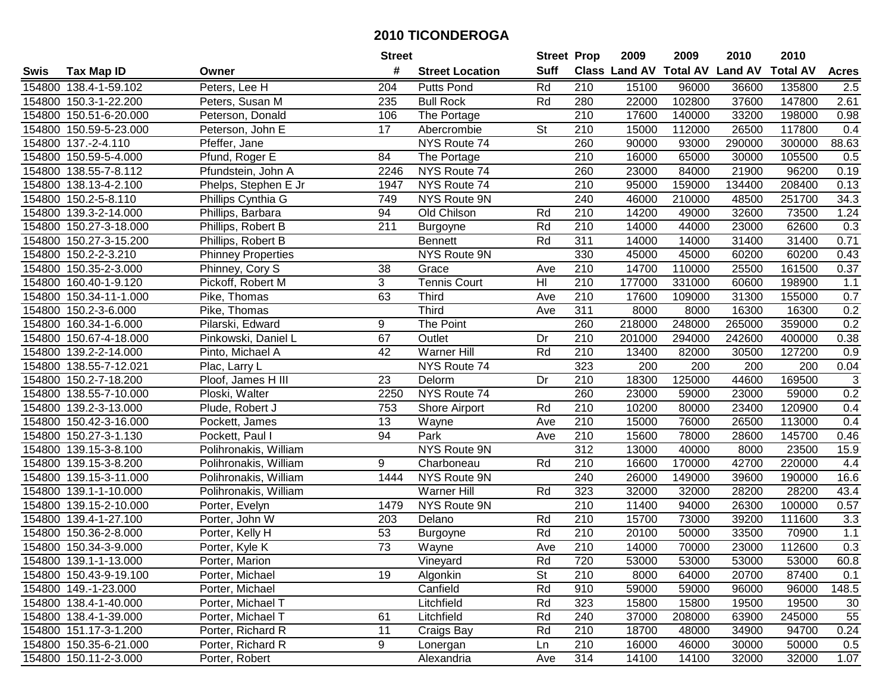|      |                        |                           | <b>Street</b> |                        | <b>Street Prop</b> |                  | 2009                           | 2009   | 2010   | 2010            |              |
|------|------------------------|---------------------------|---------------|------------------------|--------------------|------------------|--------------------------------|--------|--------|-----------------|--------------|
| Swis | <b>Tax Map ID</b>      | Owner                     | #             | <b>Street Location</b> | <b>Suff</b>        |                  | Class Land AV Total AV Land AV |        |        | <b>Total AV</b> | <b>Acres</b> |
|      | 154800 138.4-1-59.102  | Peters, Lee H             | 204           | <b>Putts Pond</b>      | Rd                 | 210              | 15100                          | 96000  | 36600  | 135800          | 2.5          |
|      | 154800 150.3-1-22.200  | Peters, Susan M           | 235           | <b>Bull Rock</b>       | Rd                 | 280              | 22000                          | 102800 | 37600  | 147800          | 2.61         |
|      | 154800 150.51-6-20.000 | Peterson, Donald          | 106           | The Portage            |                    | 210              | 17600                          | 140000 | 33200  | 198000          | 0.98         |
|      | 154800 150.59-5-23.000 | Peterson, John E          | 17            | Abercrombie            | <b>St</b>          | 210              | 15000                          | 112000 | 26500  | 117800          | 0.4          |
|      | 154800 137.-2-4.110    | Pfeffer, Jane             |               | NYS Route 74           |                    | 260              | 90000                          | 93000  | 290000 | 300000          | 88.63        |
|      | 154800 150.59-5-4.000  | Pfund, Roger E            | 84            | The Portage            |                    | 210              | 16000                          | 65000  | 30000  | 105500          | 0.5          |
|      | 154800 138.55-7-8.112  | Pfundstein, John A        | 2246          | NYS Route 74           |                    | 260              | 23000                          | 84000  | 21900  | 96200           | 0.19         |
|      | 154800 138.13-4-2.100  | Phelps, Stephen E Jr      | 1947          | NYS Route 74           |                    | $\overline{210}$ | 95000                          | 159000 | 134400 | 208400          | 0.13         |
|      | 154800 150.2-5-8.110   | Phillips Cynthia G        | 749           | <b>NYS Route 9N</b>    |                    | 240              | 46000                          | 210000 | 48500  | 251700          | 34.3         |
|      | 154800 139.3-2-14.000  | Phillips, Barbara         | 94            | Old Chilson            | Rd                 | 210              | 14200                          | 49000  | 32600  | 73500           | 1.24         |
|      | 154800 150.27-3-18.000 | Phillips, Robert B        | 211           | Burgoyne               | Rd                 | 210              | 14000                          | 44000  | 23000  | 62600           | 0.3          |
|      | 154800 150.27-3-15.200 | Phillips, Robert B        |               | <b>Bennett</b>         | Rd                 | 311              | 14000                          | 14000  | 31400  | 31400           | 0.71         |
|      | 154800 150.2-2-3.210   | <b>Phinney Properties</b> |               | NYS Route 9N           |                    | 330              | 45000                          | 45000  | 60200  | 60200           | 0.43         |
|      | 154800 150.35-2-3.000  | Phinney, Cory S           | 38            | Grace                  | Ave                | 210              | 14700                          | 110000 | 25500  | 161500          | 0.37         |
|      | 154800 160.40-1-9.120  | Pickoff, Robert M         | 3             | <b>Tennis Court</b>    | HI                 | 210              | 177000                         | 331000 | 60600  | 198900          | 1.1          |
|      | 154800 150.34-11-1.000 | Pike, Thomas              | 63            | <b>Third</b>           | Ave                | 210              | 17600                          | 109000 | 31300  | 155000          | 0.7          |
|      | 154800 150.2-3-6.000   | Pike, Thomas              |               | <b>Third</b>           | Ave                | 311              | 8000                           | 8000   | 16300  | 16300           | 0.2          |
|      | 154800 160.34-1-6.000  | Pilarski, Edward          | 9             | The Point              |                    | 260              | 218000                         | 248000 | 265000 | 359000          | 0.2          |
|      | 154800 150.67-4-18.000 | Pinkowski, Daniel L       | 67            | Outlet                 | Dr                 | 210              | 201000                         | 294000 | 242600 | 400000          | 0.38         |
|      | 154800 139.2-2-14.000  | Pinto, Michael A          | 42            | <b>Warner Hill</b>     | Rd                 | 210              | 13400                          | 82000  | 30500  | 127200          | 0.9          |
|      | 154800 138.55-7-12.021 | Plac, Larry L             |               | NYS Route 74           |                    | 323              | 200                            | 200    | 200    | 200             | 0.04         |
|      | 154800 150.2-7-18.200  | Ploof, James H III        | 23            | Delorm                 | Dr                 | 210              | 18300                          | 125000 | 44600  | 169500          | $\sqrt{3}$   |
|      | 154800 138.55-7-10.000 | Ploski, Walter            | 2250          | NYS Route 74           |                    | 260              | 23000                          | 59000  | 23000  | 59000           | 0.2          |
|      | 154800 139.2-3-13.000  | Plude, Robert J           | 753           | Shore Airport          | Rd                 | 210              | 10200                          | 80000  | 23400  | 120900          | 0.4          |
|      | 154800 150.42-3-16.000 | Pockett, James            | 13            | Wayne                  | Ave                | 210              | 15000                          | 76000  | 26500  | 113000          | 0.4          |
|      | 154800 150.27-3-1.130  | Pockett, Paul I           | 94            | Park                   | Ave                | 210              | 15600                          | 78000  | 28600  | 145700          | 0.46         |
|      | 154800 139.15-3-8.100  | Polihronakis, William     |               | NYS Route 9N           |                    | $\overline{312}$ | 13000                          | 40000  | 8000   | 23500           | 15.9         |
|      | 154800 139.15-3-8.200  | Polihronakis, William     | 9             | Charboneau             | Rd                 | 210              | 16600                          | 170000 | 42700  | 220000          | 4.4          |
|      | 154800 139.15-3-11.000 | Polihronakis, William     | 1444          | NYS Route 9N           |                    | 240              | 26000                          | 149000 | 39600  | 190000          | 16.6         |
|      | 154800 139.1-1-10.000  | Polihronakis, William     |               | <b>Warner Hill</b>     | Rd                 | 323              | 32000                          | 32000  | 28200  | 28200           | 43.4         |
|      | 154800 139.15-2-10.000 | Porter, Evelyn            | 1479          | NYS Route 9N           |                    | 210              | 11400                          | 94000  | 26300  | 100000          | 0.57         |
|      | 154800 139.4-1-27.100  | Porter, John W            | 203           | Delano                 | Rd                 | 210              | 15700                          | 73000  | 39200  | 111600          | 3.3          |
|      | 154800 150.36-2-8.000  | Porter, Kelly H           | 53            | Burgoyne               | Rd                 | $\overline{210}$ | 20100                          | 50000  | 33500  | 70900           | 1.1          |
|      | 154800 150.34-3-9.000  | Porter, Kyle K            | 73            | Wayne                  | Ave                | $\overline{210}$ | 14000                          | 70000  | 23000  | 112600          | 0.3          |
|      | 154800 139.1-1-13.000  | Porter, Marion            |               | Vineyard               | Rd                 | 720              | 53000                          | 53000  | 53000  | 53000           | 60.8         |
|      | 154800 150.43-9-19.100 | Porter, Michael           | 19            | Algonkin               | <b>St</b>          | 210              | 8000                           | 64000  | 20700  | 87400           | 0.1          |
|      | 154800 149.-1-23.000   | Porter, Michael           |               | Canfield               | Rd                 | 910              | 59000                          | 59000  | 96000  | 96000           | 148.5        |
|      | 154800 138.4-1-40.000  | Porter, Michael T         |               | Litchfield             | Rd                 | 323              | 15800                          | 15800  | 19500  | 19500           | 30           |
|      | 154800 138.4-1-39.000  | Porter, Michael T         | 61            | Litchfield             | Rd                 | 240              | 37000                          | 208000 | 63900  | 245000          | 55           |
|      | 154800 151.17-3-1.200  | Porter, Richard R         | 11            | Craigs Bay             | Rd                 | 210              | 18700                          | 48000  | 34900  | 94700           | 0.24         |
|      | 154800 150.35-6-21.000 | Porter, Richard R         | 9             | Lonergan               | Ln                 | 210              | 16000                          | 46000  | 30000  | 50000           | 0.5          |
|      | 154800 150.11-2-3.000  | Porter, Robert            |               | Alexandria             | Ave                | 314              | 14100                          | 14100  | 32000  | 32000           | 1.07         |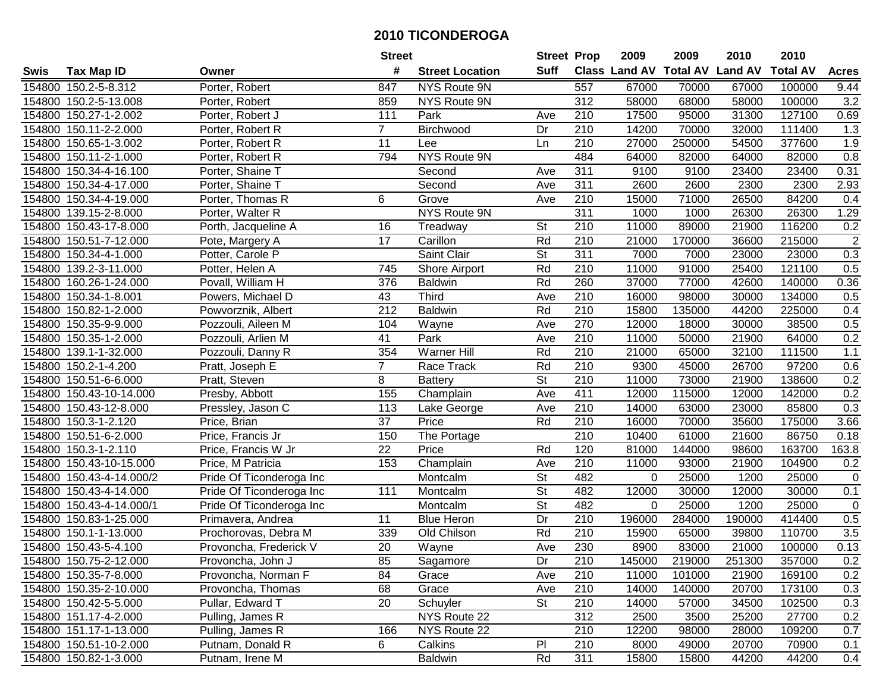|        |                          |                          | <b>Street</b>   |                        | <b>Street Prop</b>       |                  | 2009                          | 2009   | 2010           | 2010            |                |
|--------|--------------------------|--------------------------|-----------------|------------------------|--------------------------|------------------|-------------------------------|--------|----------------|-----------------|----------------|
| Swis   | <b>Tax Map ID</b>        | Owner                    | #               | <b>Street Location</b> | <b>Suff</b>              |                  | <b>Class Land AV Total AV</b> |        | <b>Land AV</b> | <b>Total AV</b> | <b>Acres</b>   |
|        | 154800 150.2-5-8.312     | Porter, Robert           | 847             | NYS Route 9N           |                          | 557              | 67000                         | 70000  | 67000          | 100000          | 9.44           |
|        | 154800 150.2-5-13.008    | Porter, Robert           | 859             | NYS Route 9N           |                          | 312              | 58000                         | 68000  | 58000          | 100000          | 3.2            |
|        | 154800 150.27-1-2.002    | Porter, Robert J         | 111             | Park                   | Ave                      | 210              | 17500                         | 95000  | 31300          | 127100          | 0.69           |
|        | 154800 150.11-2-2.000    | Porter, Robert R         | $\overline{7}$  | Birchwood              | Dr                       | 210              | 14200                         | 70000  | 32000          | 111400          | 1.3            |
|        | 154800 150.65-1-3.002    | Porter, Robert R         | 11              | Lee                    | Ln                       | 210              | 27000                         | 250000 | 54500          | 377600          | 1.9            |
|        | 154800 150.11-2-1.000    | Porter, Robert R         | 794             | <b>NYS Route 9N</b>    |                          | 484              | 64000                         | 82000  | 64000          | 82000           | 0.8            |
|        | 154800 150.34-4-16.100   | Porter, Shaine T         |                 | Second                 | Ave                      | 311              | 9100                          | 9100   | 23400          | 23400           | 0.31           |
| 154800 | 150.34-4-17.000          | Porter, Shaine T         |                 | Second                 | Ave                      | 311              | 2600                          | 2600   | 2300           | 2300            | 2.93           |
|        | 154800 150.34-4-19.000   | Porter, Thomas R         | 6               | Grove                  | Ave                      | $\overline{210}$ | 15000                         | 71000  | 26500          | 84200           | 0.4            |
|        | 154800 139.15-2-8.000    | Porter, Walter R         |                 | NYS Route 9N           |                          | $\overline{311}$ | 1000                          | 1000   | 26300          | 26300           | 1.29           |
|        | 154800 150.43-17-8.000   | Porth, Jacqueline A      | 16              | Treadway               | St                       | 210              | 11000                         | 89000  | 21900          | 116200          | 0.2            |
|        | 154800 150.51-7-12.000   | Pote, Margery A          | 17              | Carillon               | Rd                       | 210              | 21000                         | 170000 | 36600          | 215000          | $\overline{c}$ |
|        | 154800 150.34-4-1.000    | Potter, Carole P         |                 | Saint Clair            | $\overline{\mathsf{St}}$ | 311              | 7000                          | 7000   | 23000          | 23000           | 0.3            |
| 154800 | 139.2-3-11.000           | Potter, Helen A          | 745             | <b>Shore Airport</b>   | Rd                       | 210              | 11000                         | 91000  | 25400          | 121100          | 0.5            |
| 154800 | 160.26-1-24.000          | Povall, William H        | 376             | <b>Baldwin</b>         | Rd                       | 260              | 37000                         | 77000  | 42600          | 140000          | 0.36           |
|        | 154800 150.34-1-8.001    | Powers, Michael D        | 43              | <b>Third</b>           | Ave                      | 210              | 16000                         | 98000  | 30000          | 134000          | 0.5            |
|        | 154800 150.82-1-2.000    | Powvorznik, Albert       | 212             | <b>Baldwin</b>         | Rd                       | 210              | 15800                         | 135000 | 44200          | 225000          | 0.4            |
|        | 154800 150.35-9-9.000    | Pozzouli, Aileen M       | 104             | Wayne                  | Ave                      | 270              | 12000                         | 18000  | 30000          | 38500           | 0.5            |
|        | 154800 150.35-1-2.000    | Pozzouli, Arlien M       | 41              | Park                   | Ave                      | 210              | 11000                         | 50000  | 21900          | 64000           | 0.2            |
|        | 154800 139.1-1-32.000    | Pozzouli, Danny R        | 354             | <b>Warner Hill</b>     | Rd                       | 210              | 21000                         | 65000  | 32100          | 111500          | $1.1$          |
|        | 154800 150.2-1-4.200     | Pratt, Joseph E          | $\overline{7}$  | Race Track             | Rd                       | 210              | 9300                          | 45000  | 26700          | 97200           | 0.6            |
| 154800 | 150.51-6-6.000           | Pratt, Steven            | 8               | <b>Battery</b>         | <b>St</b>                | 210              | 11000                         | 73000  | 21900          | 138600          | 0.2            |
| 154800 | 150.43-10-14.000         | Presby, Abbott           | 155             | Champlain              | Ave                      | 411              | 12000                         | 115000 | 12000          | 142000          | 0.2            |
| 154800 | 150.43-12-8.000          | Pressley, Jason C        | 113             | Lake George            | Ave                      | 210              | 14000                         | 63000  | 23000          | 85800           | 0.3            |
|        | 154800 150.3-1-2.120     | Price, Brian             | 37              | Price                  | Rd                       | $\overline{210}$ | 16000                         | 70000  | 35600          | 175000          | 3.66           |
|        | 154800 150.51-6-2.000    | Price, Francis Jr        | 150             | The Portage            |                          | 210              | 10400                         | 61000  | 21600          | 86750           | 0.18           |
|        | 154800 150.3-1-2.110     | Price, Francis W Jr      | $\overline{22}$ | Price                  | Rd                       | 120              | 81000                         | 144000 | 98600          | 163700          | 163.8          |
|        | 154800 150.43-10-15.000  | Price, M Patricia        | 153             | Champlain              | Ave                      | 210              | 11000                         | 93000  | 21900          | 104900          | 0.2            |
|        | 154800 150.43-4-14.000/2 | Pride Of Ticonderoga Inc |                 | Montcalm               | $\overline{\mathsf{St}}$ | 482              | 0                             | 25000  | 1200           | 25000           | $\pmb{0}$      |
|        | 154800 150.43-4-14.000   | Pride Of Ticonderoga Inc | 111             | Montcalm               | $\overline{St}$          | 482              | 12000                         | 30000  | 12000          | 30000           | 0.1            |
|        | 154800 150.43-4-14.000/1 | Pride Of Ticonderoga Inc |                 | Montcalm               | $\overline{\mathsf{St}}$ | 482              | 0                             | 25000  | 1200           | 25000           | $\mathbf 0$    |
|        | 154800 150.83-1-25.000   | Primavera, Andrea        | 11              | <b>Blue Heron</b>      | Dr                       | 210              | 196000                        | 284000 | 190000         | 414400          | 0.5            |
|        | 154800 150.1-1-13.000    | Prochorovas, Debra M     | 339             | Old Chilson            | Rd                       | $\overline{210}$ | 15900                         | 65000  | 39800          | 110700          | 3.5            |
|        | 154800 150.43-5-4.100    | Provoncha, Frederick V   | $\overline{20}$ | Wayne                  | Ave                      | 230              | 8900                          | 83000  | 21000          | 100000          | 0.13           |
|        | 154800 150.75-2-12.000   | Provoncha, John J        | 85              | Sagamore               | Dr                       | 210              | 145000                        | 219000 | 251300         | 357000          | 0.2            |
|        | 154800 150.35-7-8.000    | Provoncha, Norman F      | 84              | Grace                  | Ave                      | 210              | 11000                         | 101000 | 21900          | 169100          | 0.2            |
|        | 154800 150.35-2-10.000   | Provoncha, Thomas        | 68              | Grace                  | Ave                      | 210              | 14000                         | 140000 | 20700          | 173100          | 0.3            |
|        | 154800 150.42-5-5.000    | Pullar, Edward T         | 20              | Schuyler               | St                       | 210              | 14000                         | 57000  | 34500          | 102500          | 0.3            |
|        | 154800 151.17-4-2.000    | Pulling, James R         |                 | NYS Route 22           |                          | 312              | 2500                          | 3500   | 25200          | 27700           | 0.2            |
|        | 154800 151.17-1-13.000   | Pulling, James R         | 166             | NYS Route 22           |                          | 210              | 12200                         | 98000  | 28000          | 109200          | 0.7            |
|        | 154800 150.51-10-2.000   | Putnam, Donald R         | 6               | Calkins                | P <sub>l</sub>           | 210              | 8000                          | 49000  | 20700          | 70900           | 0.1            |
|        | 154800 150.82-1-3.000    | Putnam, Irene M          |                 | <b>Baldwin</b>         | Rd                       | 311              | 15800                         | 15800  | 44200          | 44200           | 0.4            |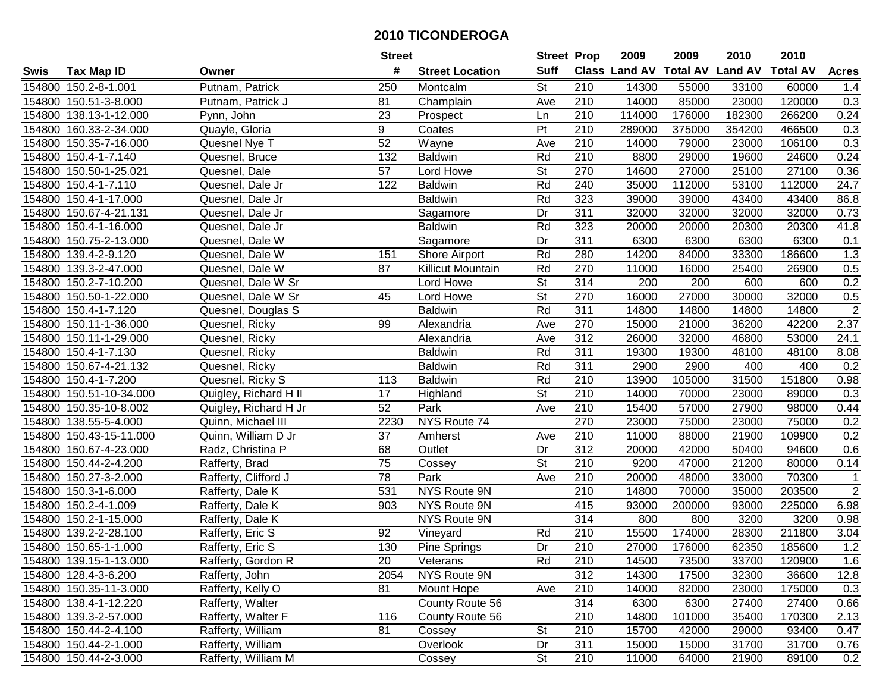|        |                         |                       | <b>Street</b>    |                        | <b>Street Prop</b> |                  | 2009                          | 2009   | 2010           | 2010            |                |
|--------|-------------------------|-----------------------|------------------|------------------------|--------------------|------------------|-------------------------------|--------|----------------|-----------------|----------------|
| Swis   | <b>Tax Map ID</b>       | Owner                 | #                | <b>Street Location</b> | <b>Suff</b>        |                  | <b>Class Land AV Total AV</b> |        | <b>Land AV</b> | <b>Total AV</b> | <b>Acres</b>   |
|        | 154800 150.2-8-1.001    | Putnam, Patrick       | 250              | Montcalm               | St                 | 210              | 14300                         | 55000  | 33100          | 60000           | 1.4            |
|        | 154800 150.51-3-8.000   | Putnam, Patrick J     | 81               | Champlain              | Ave                | 210              | 14000                         | 85000  | 23000          | 120000          | 0.3            |
|        | 154800 138.13-1-12.000  | Pynn, John            | 23               | Prospect               | Ln                 | 210              | 114000                        | 176000 | 182300         | 266200          | 0.24           |
|        | 154800 160.33-2-34.000  | Quayle, Gloria        | 9                | Coates                 | $\overline{Pt}$    | 210              | 289000                        | 375000 | 354200         | 466500          | 0.3            |
|        | 154800 150.35-7-16.000  | Quesnel Nye T         | 52               | Wayne                  | Ave                | 210              | 14000                         | 79000  | 23000          | 106100          | 0.3            |
|        | 154800 150.4-1-7.140    | Quesnel, Bruce        | 132              | <b>Baldwin</b>         | Rd                 | 210              | 8800                          | 29000  | 19600          | 24600           | 0.24           |
|        | 154800 150.50-1-25.021  | Quesnel, Dale         | 57               | Lord Howe              | <b>St</b>          | 270              | 14600                         | 27000  | 25100          | 27100           | 0.36           |
|        | 154800 150.4-1-7.110    | Quesnel, Dale Jr      | $\overline{122}$ | <b>Baldwin</b>         | Rd                 | 240              | 35000                         | 112000 | 53100          | 112000          | 24.7           |
|        | 154800 150.4-1-17.000   | Quesnel, Dale Jr      |                  | <b>Baldwin</b>         | Rd                 | 323              | 39000                         | 39000  | 43400          | 43400           | 86.8           |
|        | 154800 150.67-4-21.131  | Quesnel, Dale Jr      |                  | Sagamore               | Dr                 | 311              | 32000                         | 32000  | 32000          | 32000           | 0.73           |
|        | 154800 150.4-1-16.000   | Quesnel, Dale Jr      |                  | <b>Baldwin</b>         | Rd                 | 323              | 20000                         | 20000  | 20300          | 20300           | 41.8           |
|        | 154800 150.75-2-13.000  | Quesnel, Dale W       |                  | Sagamore               | Dr                 | 311              | 6300                          | 6300   | 6300           | 6300            | 0.1            |
|        | 154800 139.4-2-9.120    | Quesnel, Dale W       | 151              | Shore Airport          | Rd                 | 280              | 14200                         | 84000  | 33300          | 186600          | 1.3            |
|        | 154800 139.3-2-47.000   | Quesnel, Dale W       | 87               | Killicut Mountain      | Rd                 | 270              | 11000                         | 16000  | 25400          | 26900           | 0.5            |
|        | 154800 150.2-7-10.200   | Quesnel, Dale W Sr    |                  | Lord Howe              | <b>St</b>          | 314              | 200                           | 200    | 600            | 600             | 0.2            |
|        | 154800 150.50-1-22.000  | Quesnel, Dale W Sr    | 45               | Lord Howe              | <b>St</b>          | 270              | 16000                         | 27000  | 30000          | 32000           | 0.5            |
|        | 154800 150.4-1-7.120    | Quesnel, Douglas S    |                  | <b>Baldwin</b>         | Rd                 | $\overline{311}$ | 14800                         | 14800  | 14800          | 14800           | $\overline{2}$ |
|        | 154800 150.11-1-36.000  | Quesnel, Ricky        | 99               | Alexandria             | Ave                | 270              | 15000                         | 21000  | 36200          | 42200           | 2.37           |
|        | 154800 150.11-1-29.000  | Quesnel, Ricky        |                  | Alexandria             | Ave                | 312              | 26000                         | 32000  | 46800          | 53000           | 24.1           |
|        | 154800 150.4-1-7.130    | Quesnel, Ricky        |                  | <b>Baldwin</b>         | Rd                 | 311              | 19300                         | 19300  | 48100          | 48100           | 8.08           |
|        | 154800 150.67-4-21.132  | Quesnel, Ricky        |                  | <b>Baldwin</b>         | Rd                 | 311              | 2900                          | 2900   | 400            | 400             | 0.2            |
|        | 154800 150.4-1-7.200    | Quesnel, Ricky S      | 113              | <b>Baldwin</b>         | Rd                 | 210              | 13900                         | 105000 | 31500          | 151800          | 0.98           |
| 154800 | 150.51-10-34.000        | Quigley, Richard H II | 17               | Highland               | <b>St</b>          | 210              | 14000                         | 70000  | 23000          | 89000           | 0.3            |
| 154800 | 150.35-10-8.002         | Quigley, Richard H Jr | 52               | Park                   | Ave                | 210              | 15400                         | 57000  | 27900          | 98000           | 0.44           |
|        | 154800 138.55-5-4.000   | Quinn, Michael III    | 2230             | NYS Route 74           |                    | 270              | 23000                         | 75000  | 23000          | 75000           | 0.2            |
|        | 154800 150.43-15-11.000 | Quinn, William D Jr   | 37               | Amherst                | Ave                | 210              | 11000                         | 88000  | 21900          | 109900          | 0.2            |
|        | 154800 150.67-4-23.000  | Radz, Christina P     | 68               | Outlet                 | Dr                 | $\overline{312}$ | 20000                         | 42000  | 50400          | 94600           | 0.6            |
|        | 154800 150.44-2-4.200   | Rafferty, Brad        | 75               | Cossey                 | <b>St</b>          | 210              | 9200                          | 47000  | 21200          | 80000           | 0.14           |
|        | 154800 150.27-3-2.000   | Rafferty, Clifford J  | $\overline{78}$  | Park                   | Ave                | 210              | 20000                         | 48000  | 33000          | 70300           | $\mathbf 1$    |
|        | 154800 150.3-1-6.000    | Rafferty, Dale K      | 531              | <b>NYS Route 9N</b>    |                    | $\overline{210}$ | 14800                         | 70000  | 35000          | 203500          | $\overline{2}$ |
|        | 154800 150.2-4-1.009    | Rafferty, Dale K      | 903              | <b>NYS Route 9N</b>    |                    | 415              | 93000                         | 200000 | 93000          | 225000          | 6.98           |
|        | 154800 150.2-1-15.000   | Rafferty, Dale K      |                  | NYS Route 9N           |                    | 314              | 800                           | 800    | 3200           | 3200            | 0.98           |
|        | 154800 139.2-2-28.100   | Rafferty, Eric S      | $\overline{92}$  | Vineyard               | Rd                 | 210              | 15500                         | 174000 | 28300          | 211800          | 3.04           |
|        | 154800 150.65-1-1.000   | Rafferty, Eric S      | 130              | Pine Springs           | $\overline{Dr}$    | $\overline{210}$ | 27000                         | 176000 | 62350          | 185600          | 1.2            |
|        | 154800 139.15-1-13.000  | Rafferty, Gordon R    | 20               | Veterans               | Rd                 | 210              | 14500                         | 73500  | 33700          | 120900          | 1.6            |
|        | 154800 128.4-3-6.200    | Rafferty, John        | 2054             | NYS Route 9N           |                    | 312              | 14300                         | 17500  | 32300          | 36600           | 12.8           |
|        | 154800 150.35-11-3.000  | Rafferty, Kelly O     | 81               | Mount Hope             | Ave                | 210              | 14000                         | 82000  | 23000          | 175000          | 0.3            |
|        | 154800 138.4-1-12.220   | Rafferty, Walter      |                  | County Route 56        |                    | 314              | 6300                          | 6300   | 27400          | 27400           | 0.66           |
|        | 154800 139.3-2-57.000   | Rafferty, Walter F    | 116              | County Route 56        |                    | 210              | 14800                         | 101000 | 35400          | 170300          | 2.13           |
|        | 154800 150.44-2-4.100   | Rafferty, William     | 81               | Cossey                 | <b>St</b>          | 210              | 15700                         | 42000  | 29000          | 93400           | 0.47           |
|        | 154800 150.44-2-1.000   | Rafferty, William     |                  | Overlook               | Dr                 | 311              | 15000                         | 15000  | 31700          | 31700           | 0.76           |
|        | 154800 150.44-2-3.000   | Rafferty, William M   |                  | Cossey                 | St                 | 210              | 11000                         | 64000  | 21900          | 89100           | 0.2            |
|        |                         |                       |                  |                        |                    |                  |                               |        |                |                 |                |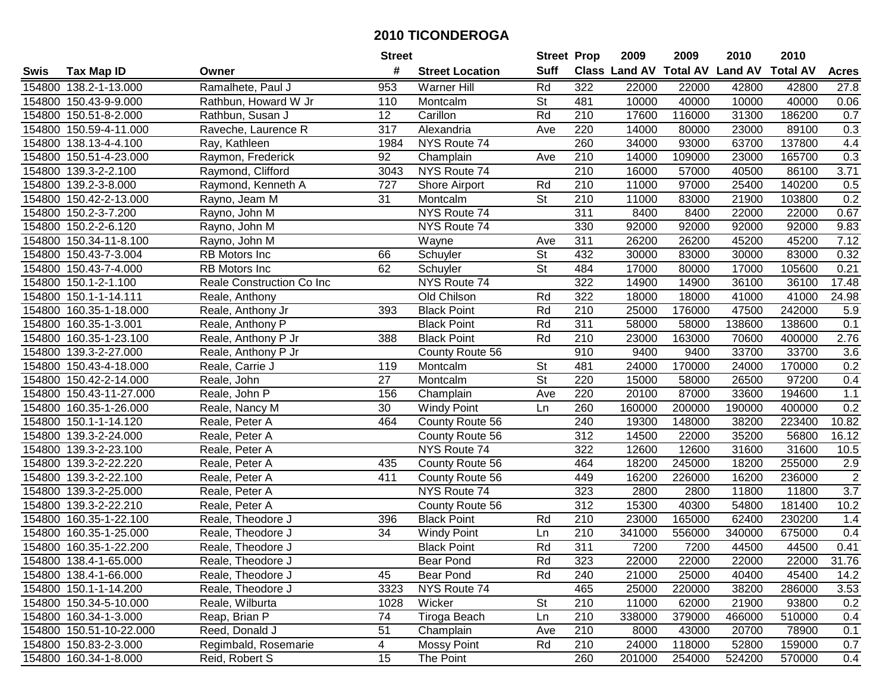|      |                         |                           | <b>Street</b>    |                        | <b>Street Prop</b>       |                  | 2009   | 2009   | 2010                           | 2010            |                  |
|------|-------------------------|---------------------------|------------------|------------------------|--------------------------|------------------|--------|--------|--------------------------------|-----------------|------------------|
| Swis | <b>Tax Map ID</b>       | Owner                     | #                | <b>Street Location</b> | <b>Suff</b>              |                  |        |        | Class Land AV Total AV Land AV | <b>Total AV</b> | <b>Acres</b>     |
|      | 154800 138.2-1-13.000   | Ramalhete, Paul J         | 953              | <b>Warner Hill</b>     | Rd                       | 322              | 22000  | 22000  | 42800                          | 42800           | 27.8             |
|      | 154800 150.43-9-9.000   | Rathbun, Howard W Jr      | 110              | Montcalm               | <b>St</b>                | 481              | 10000  | 40000  | 10000                          | 40000           | 0.06             |
|      | 154800 150.51-8-2.000   | Rathbun, Susan J          | 12               | Carillon               | Rd                       | 210              | 17600  | 116000 | 31300                          | 186200          | 0.7              |
|      | 154800 150.59-4-11.000  | Raveche, Laurence R       | 317              | Alexandria             | Ave                      | 220              | 14000  | 80000  | 23000                          | 89100           | 0.3              |
|      | 154800 138.13-4-4.100   | Ray, Kathleen             | 1984             | NYS Route 74           |                          | 260              | 34000  | 93000  | 63700                          | 137800          | 4.4              |
|      | 154800 150.51-4-23.000  | Raymon, Frederick         | 92               | Champlain              | Ave                      | 210              | 14000  | 109000 | 23000                          | 165700          | 0.3              |
|      | 154800 139.3-2-2.100    | Raymond, Clifford         | 3043             | NYS Route 74           |                          | $\overline{210}$ | 16000  | 57000  | 40500                          | 86100           | 3.71             |
|      | 154800 139.2-3-8.000    | Raymond, Kenneth A        | $\overline{727}$ | Shore Airport          | Rd                       | $\overline{210}$ | 11000  | 97000  | 25400                          | 140200          | 0.5              |
|      | 154800 150.42-2-13.000  | Rayno, Jeam M             | 31               | Montcalm               | $\overline{\mathsf{St}}$ | $\overline{210}$ | 11000  | 83000  | 21900                          | 103800          | 0.2              |
|      | 154800 150.2-3-7.200    | Rayno, John M             |                  | NYS Route 74           |                          | 311              | 8400   | 8400   | 22000                          | 22000           | 0.67             |
|      | 154800 150.2-2-6.120    | Rayno, John M             |                  | NYS Route 74           |                          | 330              | 92000  | 92000  | 92000                          | 92000           | 9.83             |
|      | 154800 150.34-11-8.100  | Rayno, John M             |                  | Wayne                  | Ave                      | 311              | 26200  | 26200  | 45200                          | 45200           | 7.12             |
|      | 154800 150.43-7-3.004   | RB Motors Inc             | 66               | Schuyler               | $\overline{\mathsf{St}}$ | 432              | 30000  | 83000  | 30000                          | 83000           | 0.32             |
|      | 154800 150.43-7-4.000   | RB Motors Inc             | 62               | Schuyler               | <b>St</b>                | 484              | 17000  | 80000  | 17000                          | 105600          | 0.21             |
|      | 154800 150.1-2-1.100    | Reale Construction Co Inc |                  | NYS Route 74           |                          | 322              | 14900  | 14900  | 36100                          | 36100           | 17.48            |
|      | 154800 150.1-1-14.111   | Reale, Anthony            |                  | Old Chilson            | Rd                       | 322              | 18000  | 18000  | 41000                          | 41000           | 24.98            |
|      | 154800 160.35-1-18.000  | Reale, Anthony Jr         | 393              | <b>Black Point</b>     | Rd                       | 210              | 25000  | 176000 | 47500                          | 242000          | 5.9              |
|      | 154800 160.35-1-3.001   | Reale, Anthony P          |                  | <b>Black Point</b>     | Rd                       | 311              | 58000  | 58000  | 138600                         | 138600          | 0.1              |
|      | 154800 160.35-1-23.100  | Reale, Anthony P Jr       | 388              | <b>Black Point</b>     | Rd                       | 210              | 23000  | 163000 | 70600                          | 400000          | 2.76             |
|      | 154800 139.3-2-27.000   | Reale, Anthony P Jr       |                  | County Route 56        |                          | 910              | 9400   | 9400   | 33700                          | 33700           | 3.6              |
|      | 154800 150.43-4-18.000  | Reale, Carrie J           | 119              | Montcalm               | <b>St</b>                | 481              | 24000  | 170000 | 24000                          | 170000          | 0.2              |
|      | 154800 150.42-2-14.000  | Reale, John               | 27               | Montcalm               | <b>St</b>                | 220              | 15000  | 58000  | 26500                          | 97200           | 0.4              |
|      | 154800 150.43-11-27.000 | Reale, John P             | 156              | Champlain              | Ave                      | 220              | 20100  | 87000  | 33600                          | 194600          | 1.1              |
|      | 154800 160.35-1-26.000  | Reale, Nancy M            | 30               | <b>Windy Point</b>     | Ln                       | 260              | 160000 | 200000 | 190000                         | 400000          | 0.2              |
|      | 154800 150.1-1-14.120   | Reale, Peter A            | 464              | County Route 56        |                          | 240              | 19300  | 148000 | 38200                          | 223400          | 10.82            |
|      | 154800 139.3-2-24.000   | Reale, Peter A            |                  | County Route 56        |                          | 312              | 14500  | 22000  | 35200                          | 56800           | 16.12            |
|      | 154800 139.3-2-23.100   | Reale, Peter A            |                  | NYS Route 74           |                          | 322              | 12600  | 12600  | 31600                          | 31600           | 10.5             |
|      | 154800 139.3-2-22.220   | Reale, Peter A            | 435              | County Route 56        |                          | 464              | 18200  | 245000 | 18200                          | 255000          | 2.9              |
|      | 154800 139.3-2-22.100   | Reale, Peter A            | 411              | County Route 56        |                          | 449              | 16200  | 226000 | 16200                          | 236000          | $\overline{2}$   |
|      | 154800 139.3-2-25.000   | Reale, Peter A            |                  | NYS Route 74           |                          | 323              | 2800   | 2800   | 11800                          | 11800           | $\overline{3.7}$ |
|      | 154800 139.3-2-22.210   | Reale, Peter A            |                  | County Route 56        |                          | 312              | 15300  | 40300  | 54800                          | 181400          | 10.2             |
|      | 154800 160.35-1-22.100  | Reale, Theodore J         | 396              | <b>Black Point</b>     | Rd                       | 210              | 23000  | 165000 | 62400                          | 230200          | 1.4              |
|      | 154800 160.35-1-25.000  | Reale, Theodore J         | $\overline{34}$  | <b>Windy Point</b>     | Ln                       | $\overline{210}$ | 341000 | 556000 | 340000                         | 675000          | 0.4              |
|      | 154800 160.35-1-22.200  | Reale, Theodore J         |                  | <b>Black Point</b>     | Rd                       | 311              | 7200   | 7200   | 44500                          | 44500           | 0.41             |
|      | 154800 138.4-1-65.000   | Reale, Theodore J         |                  | <b>Bear Pond</b>       | Rd                       | 323              | 22000  | 22000  | 22000                          | 22000           | 31.76            |
|      | 154800 138.4-1-66.000   | Reale, Theodore J         | 45               | Bear Pond              | Rd                       | 240              | 21000  | 25000  | 40400                          | 45400           | 14.2             |
|      | 154800 150.1-1-14.200   | Reale, Theodore J         | 3323             | NYS Route 74           |                          | 465              | 25000  | 220000 | 38200                          | 286000          | 3.53             |
|      | 154800 150.34-5-10.000  | Reale, Wilburta           | 1028             | Wicker                 | <b>St</b>                | 210              | 11000  | 62000  | 21900                          | 93800           | 0.2              |
|      | 154800 160.34-1-3.000   | Reap, Brian P             | 74               | Tiroga Beach           | Ln                       | 210              | 338000 | 379000 | 466000                         | 510000          | 0.4              |
|      | 154800 150.51-10-22.000 | Reed, Donald J            | 51               | Champlain              | Ave                      | 210              | 8000   | 43000  | 20700                          | 78900           | 0.1              |
|      | 154800 150.83-2-3.000   | Regimbald, Rosemarie      | 4                | <b>Mossy Point</b>     | Rd                       | 210              | 24000  | 118000 | 52800                          | 159000          | 0.7              |
|      | 154800 160.34-1-8.000   | Reid, Robert S            | 15               | The Point              |                          | 260              | 201000 | 254000 | 524200                         | 570000          | 0.4              |
|      |                         |                           |                  |                        |                          |                  |        |        |                                |                 |                  |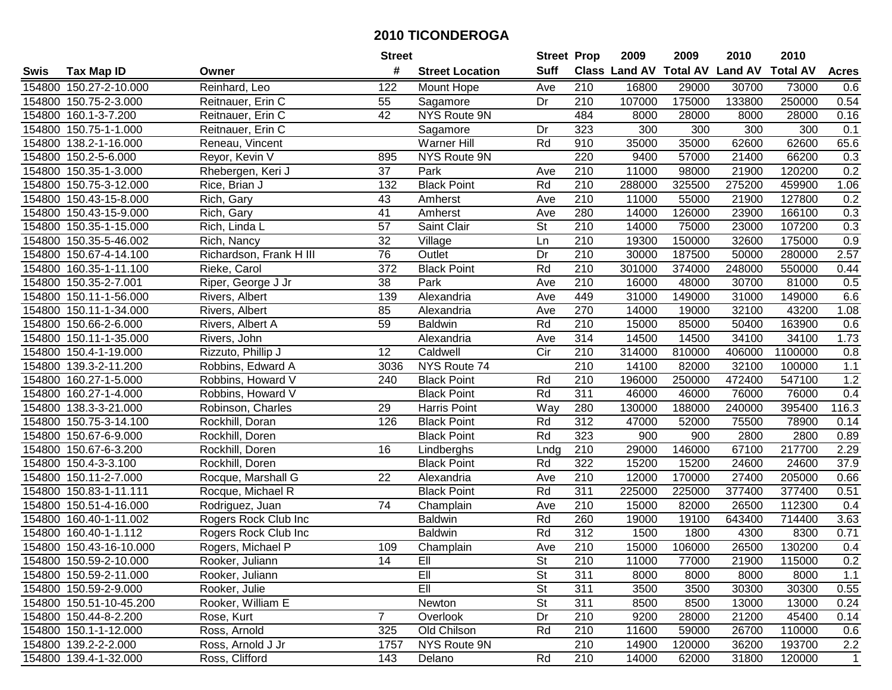|        |                         |                         | <b>Street</b>   |                        | <b>Street Prop</b> |                  | 2009                          | 2009   | 2010           | 2010            |              |
|--------|-------------------------|-------------------------|-----------------|------------------------|--------------------|------------------|-------------------------------|--------|----------------|-----------------|--------------|
| Swis   | <b>Tax Map ID</b>       | Owner                   | #               | <b>Street Location</b> | <b>Suff</b>        |                  | <b>Class Land AV Total AV</b> |        | <b>Land AV</b> | <b>Total AV</b> | <b>Acres</b> |
|        | 154800 150.27-2-10.000  | Reinhard, Leo           | 122             | Mount Hope             | Ave                | 210              | 16800                         | 29000  | 30700          | 73000           | 0.6          |
|        | 154800 150.75-2-3.000   | Reitnauer, Erin C       | 55              | Sagamore               | Dr                 | 210              | 107000                        | 175000 | 133800         | 250000          | 0.54         |
|        | 154800 160.1-3-7.200    | Reitnauer, Erin C       | 42              | NYS Route 9N           |                    | 484              | 8000                          | 28000  | 8000           | 28000           | 0.16         |
|        | 154800 150.75-1-1.000   | Reitnauer, Erin C       |                 | Sagamore               | Dr                 | 323              | 300                           | 300    | 300            | 300             | 0.1          |
|        | 154800 138.2-1-16.000   | Reneau, Vincent         |                 | <b>Warner Hill</b>     | Rd                 | 910              | 35000                         | 35000  | 62600          | 62600           | 65.6         |
|        | 154800 150.2-5-6.000    | Reyor, Kevin V          | 895             | NYS Route 9N           |                    | 220              | 9400                          | 57000  | 21400          | 66200           | 0.3          |
|        | 154800 150.35-1-3.000   | Rhebergen, Keri J       | 37              | Park                   | Ave                | 210              | 11000                         | 98000  | 21900          | 120200          | 0.2          |
| 154800 | 150.75-3-12.000         | Rice, Brian J           | 132             | <b>Black Point</b>     | Rd                 | 210              | 288000                        | 325500 | 275200         | 459900          | 1.06         |
|        | 154800 150.43-15-8.000  | Rich, Gary              | 43              | Amherst                | Ave                | $\overline{210}$ | 11000                         | 55000  | 21900          | 127800          | 0.2          |
|        | 154800 150.43-15-9.000  | Rich, Gary              | 41              | Amherst                | Ave                | 280              | 14000                         | 126000 | 23900          | 166100          | 0.3          |
|        | 154800 150.35-1-15.000  | Rich, Linda L           | 57              | Saint Clair            | St                 | 210              | 14000                         | 75000  | 23000          | 107200          | 0.3          |
|        | 154800 150.35-5-46.002  | Rich, Nancy             | 32              | Village                | Ln                 | 210              | 19300                         | 150000 | 32600          | 175000          | 0.9          |
|        | 154800 150.67-4-14.100  | Richardson, Frank H III | $\overline{76}$ | Outlet                 | Dr                 | $\overline{210}$ | 30000                         | 187500 | 50000          | 280000          | 2.57         |
|        | 154800 160.35-1-11.100  | Rieke, Carol            | 372             | <b>Black Point</b>     | Rd                 | 210              | 301000                        | 374000 | 248000         | 550000          | 0.44         |
|        | 154800 150.35-2-7.001   | Riper, George J Jr      | 38              | Park                   | Ave                | 210              | 16000                         | 48000  | 30700          | 81000           | 0.5          |
|        | 154800 150.11-1-56.000  | Rivers, Albert          | 139             | Alexandria             | Ave                | 449              | 31000                         | 149000 | 31000          | 149000          | 6.6          |
| 154800 | 150.11-1-34.000         | Rivers, Albert          | 85              | Alexandria             | Ave                | 270              | 14000                         | 19000  | 32100          | 43200           | 1.08         |
|        | 154800 150.66-2-6.000   | Rivers, Albert A        | 59              | <b>Baldwin</b>         | Rd                 | 210              | 15000                         | 85000  | 50400          | 163900          | 0.6          |
|        | 154800 150.11-1-35.000  | Rivers, John            |                 | Alexandria             | Ave                | 314              | 14500                         | 14500  | 34100          | 34100           | 1.73         |
|        | 154800 150.4-1-19.000   | Rizzuto, Phillip J      | 12              | Caldwell               | Cir                | 210              | 314000                        | 810000 | 406000         | 1100000         | 0.8          |
|        | 154800 139.3-2-11.200   | Robbins, Edward A       | 3036            | NYS Route 74           |                    | 210              | 14100                         | 82000  | 32100          | 100000          | 1.1          |
| 154800 | 160.27-1-5.000          | Robbins, Howard V       | 240             | <b>Black Point</b>     | Rd                 | 210              | 196000                        | 250000 | 472400         | 547100          | 1.2          |
| 154800 | 160.27-1-4.000          | Robbins, Howard V       |                 | <b>Black Point</b>     | Rd                 | 311              | 46000                         | 46000  | 76000          | 76000           | 0.4          |
| 154800 | 138.3-3-21.000          | Robinson, Charles       | 29              | Harris Point           | Way                | 280              | 130000                        | 188000 | 240000         | 395400          | 116.3        |
| 154800 | 150.75-3-14.100         | Rockhill, Doran         | 126             | <b>Black Point</b>     | Rd                 | $\overline{312}$ | 47000                         | 52000  | 75500          | 78900           | 0.14         |
|        | 154800 150.67-6-9.000   | Rockhill, Doren         |                 | <b>Black Point</b>     | Rd                 | 323              | 900                           | 900    | 2800           | 2800            | 0.89         |
|        | 154800 150.67-6-3.200   | Rockhill, Doren         | 16              | Lindberghs             | Lndg               | 210              | 29000                         | 146000 | 67100          | 217700          | 2.29         |
|        | 154800 150.4-3-3.100    | Rockhill, Doren         |                 | <b>Black Point</b>     | Rd                 | 322              | 15200                         | 15200  | 24600          | 24600           | 37.9         |
|        | 154800 150.11-2-7.000   | Rocque, Marshall G      | 22              | Alexandria             | Ave                | 210              | 12000                         | 170000 | 27400          | 205000          | 0.66         |
|        | 154800 150.83-1-11.111  | Rocque, Michael R       |                 | <b>Black Point</b>     | Rd                 | $\overline{311}$ | 225000                        | 225000 | 377400         | 377400          | 0.51         |
|        | 154800 150.51-4-16.000  | Rodriguez, Juan         | $\overline{74}$ | Champlain              | Ave                | $\overline{210}$ | 15000                         | 82000  | 26500          | 112300          | 0.4          |
|        | 154800 160.40-1-11.002  | Rogers Rock Club Inc    |                 | <b>Baldwin</b>         | Rd                 | 260              | 19000                         | 19100  | 643400         | 714400          | 3.63         |
|        | 154800 160.40-1-1.112   | Rogers Rock Club Inc    |                 | <b>Baldwin</b>         | Rd                 | $\overline{312}$ | 1500                          | 1800   | 4300           | 8300            | 0.71         |
|        | 154800 150.43-16-10.000 | Rogers, Michael P       | 109             | Champlain              | Ave                | $\overline{210}$ | 15000                         | 106000 | 26500          | 130200          | 0.4          |
|        | 154800 150.59-2-10.000  | Rooker, Juliann         | 14              | 비                      | St                 | 210              | 11000                         | 77000  | 21900          | 115000          | 0.2          |
|        | 154800 150.59-2-11.000  | Rooker, Juliann         |                 | Ell                    | <b>St</b>          | 311              | 8000                          | 8000   | 8000           | 8000            | 1.1          |
|        | 154800 150.59-2-9.000   | Rooker, Julie           |                 | Ell                    | <b>St</b>          | 311              | 3500                          | 3500   | 30300          | 30300           | 0.55         |
|        | 154800 150.51-10-45.200 | Rooker, William E       |                 | Newton                 | <b>St</b>          | 311              | 8500                          | 8500   | 13000          | 13000           | 0.24         |
|        | 154800 150.44-8-2.200   | Rose, Kurt              | $\overline{7}$  | Overlook               | Dr                 | 210              | 9200                          | 28000  | 21200          | 45400           | 0.14         |
|        | 154800 150.1-1-12.000   | Ross, Arnold            | 325             | Old Chilson            | Rd                 | 210              | 11600                         | 59000  | 26700          | 110000          | 0.6          |
|        | 154800 139.2-2-2.000    | Ross, Arnold J Jr       | 1757            | NYS Route 9N           |                    | 210              | 14900                         | 120000 | 36200          | 193700          | 2.2          |
|        | 154800 139.4-1-32.000   | Ross, Clifford          | 143             | Delano                 | Rd                 | 210              | 14000                         | 62000  | 31800          | 120000          | $\mathbf{1}$ |
|        |                         |                         |                 |                        |                    |                  |                               |        |                |                 |              |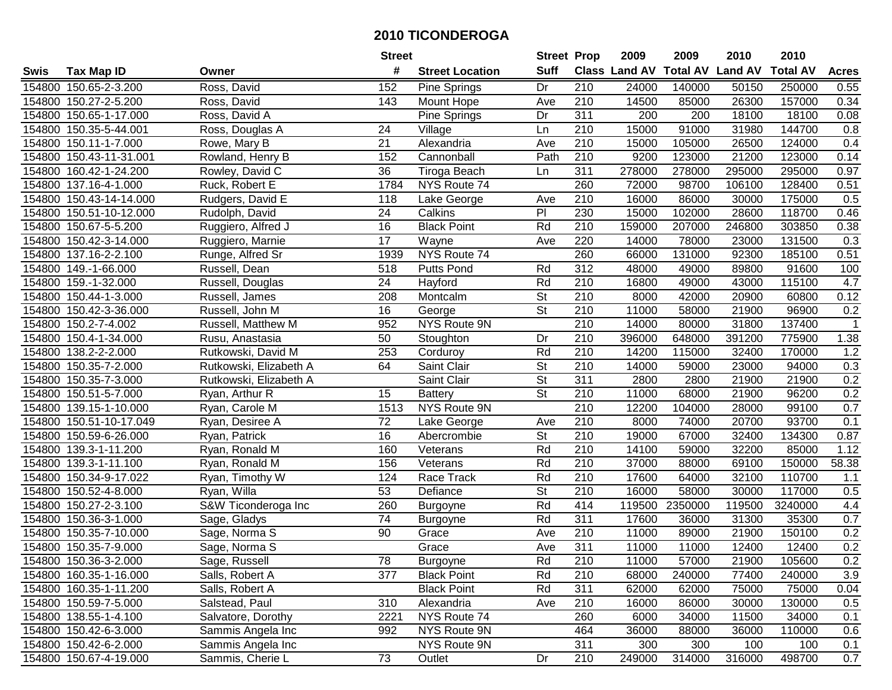|        |                         |                        | <b>Street</b>   |                        | <b>Street Prop</b>       |                  | 2009                 | 2009            | 2010           | 2010            |              |
|--------|-------------------------|------------------------|-----------------|------------------------|--------------------------|------------------|----------------------|-----------------|----------------|-----------------|--------------|
| Swis   | <b>Tax Map ID</b>       | Owner                  | #               | <b>Street Location</b> | <b>Suff</b>              |                  | <b>Class Land AV</b> | <b>Total AV</b> | <b>Land AV</b> | <b>Total AV</b> | <b>Acres</b> |
|        | 154800 150.65-2-3.200   | Ross, David            | 152             | <b>Pine Springs</b>    | Dr                       | 210              | 24000                | 140000          | 50150          | 250000          | 0.55         |
|        | 154800 150.27-2-5.200   | Ross, David            | 143             | Mount Hope             | Ave                      | 210              | 14500                | 85000           | 26300          | 157000          | 0.34         |
|        | 154800 150.65-1-17.000  | Ross, David A          |                 | Pine Springs           | Dr                       | 311              | 200                  | 200             | 18100          | 18100           | 0.08         |
|        | 154800 150.35-5-44.001  | Ross, Douglas A        | 24              | Village                | Ln                       | 210              | 15000                | 91000           | 31980          | 144700          | 0.8          |
|        | 154800 150.11-1-7.000   | Rowe, Mary B           | 21              | Alexandria             | Ave                      | 210              | 15000                | 105000          | 26500          | 124000          | 0.4          |
|        | 154800 150.43-11-31.001 | Rowland, Henry B       | 152             | Cannonball             | Path                     | $\overline{210}$ | 9200                 | 123000          | 21200          | 123000          | 0.14         |
|        | 154800 160.42-1-24.200  | Rowley, David C        | 36              | Tiroga Beach           | Ln                       | 311              | 278000               | 278000          | 295000         | 295000          | 0.97         |
|        | 154800 137.16-4-1.000   | Ruck, Robert E         | 1784            | NYS Route 74           |                          | 260              | 72000                | 98700           | 106100         | 128400          | 0.51         |
|        | 154800 150.43-14-14.000 | Rudgers, David E       | 118             | Lake George            | Ave                      | $\overline{210}$ | 16000                | 86000           | 30000          | 175000          | 0.5          |
|        | 154800 150.51-10-12.000 | Rudolph, David         | 24              | Calkins                | $\overline{P}$           | 230              | 15000                | 102000          | 28600          | 118700          | 0.46         |
|        | 154800 150.67-5-5.200   | Ruggiero, Alfred J     | 16              | <b>Black Point</b>     | Rd                       | 210              | 159000               | 207000          | 246800         | 303850          | 0.38         |
|        | 154800 150.42-3-14.000  | Ruggiero, Marnie       | 17              | Wayne                  | Ave                      | 220              | 14000                | 78000           | 23000          | 131500          | 0.3          |
|        | 154800 137.16-2-2.100   | Runge, Alfred Sr       | 1939            | NYS Route 74           |                          | 260              | 66000                | 131000          | 92300          | 185100          | 0.51         |
|        | 154800 149.-1-66.000    | Russell, Dean          | 518             | <b>Putts Pond</b>      | Rd                       | 312              | 48000                | 49000           | 89800          | 91600           | 100          |
|        | 154800 159.-1-32.000    | Russell, Douglas       | 24              | Hayford                | Rd                       | 210              | 16800                | 49000           | 43000          | 115100          | 4.7          |
|        | 154800 150.44-1-3.000   | Russell, James         | 208             | Montcalm               | <b>St</b>                | 210              | 8000                 | 42000           | 20900          | 60800           | 0.12         |
|        | 154800 150.42-3-36.000  | Russell, John M        | 16              | George                 | $\overline{St}$          | 210              | 11000                | 58000           | 21900          | 96900           | 0.2          |
|        | 154800 150.2-7-4.002    | Russell, Matthew M     | 952             | NYS Route 9N           |                          | 210              | 14000                | 80000           | 31800          | 137400          | $\mathbf{1}$ |
|        | 154800 150.4-1-34.000   | Rusu, Anastasia        | 50              | Stoughton              | Dr                       | 210              | 396000               | 648000          | 391200         | 775900          | 1.38         |
|        | 154800 138.2-2-2.000    | Rutkowski, David M     | 253             | Corduroy               | Rd                       | 210              | 14200                | 115000          | 32400          | 170000          | 1.2          |
|        | 154800 150.35-7-2.000   | Rutkowski, Elizabeth A | 64              | Saint Clair            | $\overline{\mathsf{St}}$ | 210              | 14000                | 59000           | 23000          | 94000           | 0.3          |
|        | 154800 150.35-7-3.000   | Rutkowski, Elizabeth A |                 | Saint Clair            | <b>St</b>                | 311              | 2800                 | 2800            | 21900          | 21900           | 0.2          |
| 154800 | 150.51-5-7.000          | Ryan, Arthur R         | 15              | <b>Battery</b>         | St                       | 210              | 11000                | 68000           | 21900          | 96200           | 0.2          |
| 154800 | 139.15-1-10.000         | Ryan, Carole M         | 1513            | NYS Route 9N           |                          | 210              | 12200                | 104000          | 28000          | 99100           | 0.7          |
|        | 154800 150.51-10-17.049 | Ryan, Desiree A        | 72              | Lake George            | Ave                      | 210              | 8000                 | 74000           | 20700          | 93700           | 0.1          |
|        | 154800 150.59-6-26.000  | Ryan, Patrick          | 16              | Abercrombie            | $\overline{\mathsf{St}}$ | 210              | 19000                | 67000           | 32400          | 134300          | 0.87         |
|        | 154800 139.3-1-11.200   | Ryan, Ronald M         | 160             | Veterans               | Rd                       | 210              | 14100                | 59000           | 32200          | 85000           | 1.12         |
|        | 154800 139.3-1-11.100   | Ryan, Ronald M         | 156             | Veterans               | Rd                       | 210              | 37000                | 88000           | 69100          | 150000          | 58.38        |
|        | 154800 150.34-9-17.022  | Ryan, Timothy W        | 124             | Race Track             | Rd                       | 210              | 17600                | 64000           | 32100          | 110700          | 1.1          |
|        | 154800 150.52-4-8.000   | Ryan, Willa            | 53              | Defiance               | $\overline{\mathsf{St}}$ | $\overline{210}$ | 16000                | 58000           | 30000          | 117000          | 0.5          |
|        | 154800 150.27-2-3.100   | S&W Ticonderoga Inc    | 260             | Burgoyne               | Rd                       | 414              | 119500               | 2350000         | 119500         | 3240000         | 4.4          |
|        | 154800 150.36-3-1.000   | Sage, Gladys           | $\overline{74}$ | Burgoyne               | Rd                       | 311              | 17600                | 36000           | 31300          | 35300           | 0.7          |
|        | 154800 150.35-7-10.000  | Sage, Norma S          | $\overline{90}$ | Grace                  | Ave                      | $\overline{210}$ | 11000                | 89000           | 21900          | 150100          | 0.2          |
|        | 154800 150.35-7-9.000   | Sage, Norma S          |                 | Grace                  | Ave                      | 311              | 11000                | 11000           | 12400          | 12400           | 0.2          |
|        | 154800 150.36-3-2.000   | Sage, Russell          | 78              | <b>Burgoyne</b>        | Rd                       | 210              | 11000                | 57000           | 21900          | 105600          | 0.2          |
|        | 154800 160.35-1-16.000  | Salls, Robert A        | 377             | <b>Black Point</b>     | Rd                       | 210              | 68000                | 240000          | 77400          | 240000          | 3.9          |
|        | 154800 160.35-1-11.200  | Salls, Robert A        |                 | <b>Black Point</b>     | Rd                       | 311              | 62000                | 62000           | 75000          | 75000           | 0.04         |
|        | 154800 150.59-7-5.000   | Salstead, Paul         | 310             | Alexandria             | Ave                      | 210              | 16000                | 86000           | 30000          | 130000          | 0.5          |
|        | 154800 138.55-1-4.100   | Salvatore, Dorothy     | 2221            | NYS Route 74           |                          | 260              | 6000                 | 34000           | 11500          | 34000           | 0.1          |
|        | 154800 150.42-6-3.000   | Sammis Angela Inc      | 992             | NYS Route 9N           |                          | 464              | 36000                | 88000           | 36000          | 110000          | 0.6          |
|        | 154800 150.42-6-2.000   | Sammis Angela Inc      |                 | NYS Route 9N           |                          | 311              | 300                  | 300             | 100            | 100             | 0.1          |
|        | 154800 150.67-4-19.000  | Sammis, Cherie L       | $\overline{73}$ | Outlet                 | Dr                       | 210              | 249000               | 314000          | 316000         | 498700          | 0.7          |
|        |                         |                        |                 |                        |                          |                  |                      |                 |                |                 |              |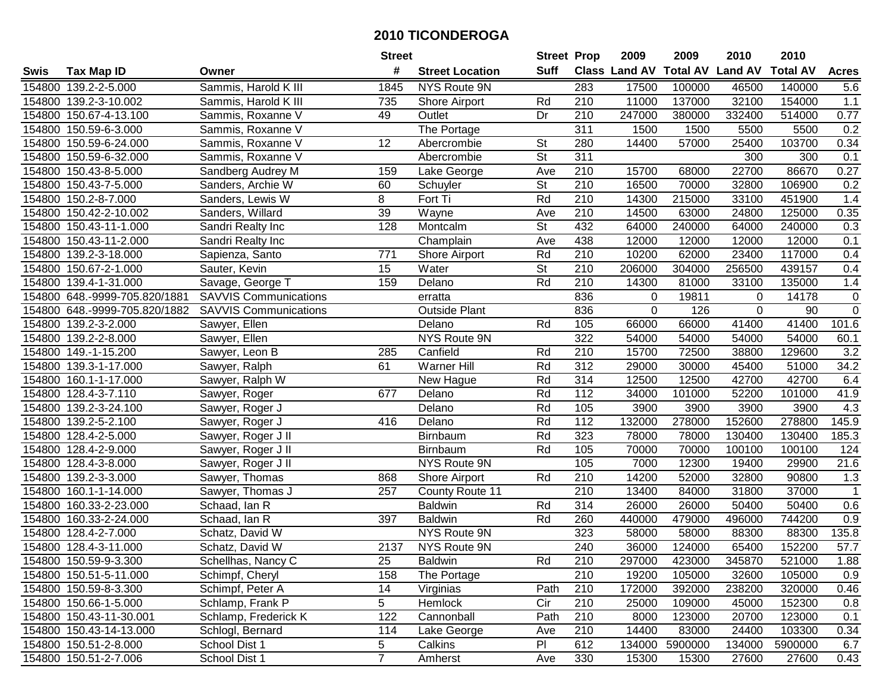| #<br><b>Suff</b><br><b>Class Land AV Total AV</b><br><b>Land AV</b><br><b>Total AV</b><br><b>Acres</b><br><b>Tax Map ID</b><br><b>Street Location</b><br>Swis<br>Owner<br>Sammis, Harold K III<br>46500<br>154800 139.2-2-5.000<br>1845<br>NYS Route 9N<br>283<br>17500<br>100000<br>140000<br>5.6<br>11000<br>$1.1$<br>154800 139.2-3-10.002<br>210<br>137000<br>32100<br>154000<br>Sammis, Harold K III<br>735<br>Shore Airport<br>Rd<br>0.77<br>154800 150.67-4-13.100<br>Sammis, Roxanne V<br>Outlet<br>Dr<br>210<br>247000<br>380000<br>332400<br>514000<br>49<br>0.2<br>The Portage<br>311<br>1500<br>1500<br>5500<br>5500<br>154800 150.59-6-3.000<br>Sammis, Roxanne V<br>154800 150.59-6-24.000<br>Sammis, Roxanne V<br>12<br><b>St</b><br>280<br>14400<br>57000<br>25400<br>103700<br>0.34<br>Abercrombie<br>$\overline{\mathsf{St}}$<br>311<br>300<br>0.1<br>154800 150.59-6-32.000<br>Sammis, Roxanne V<br>Abercrombie<br>300<br>0.27<br>210<br>68000<br>22700<br>86670<br>154800 150.43-8-5.000<br>Sandberg Audrey M<br>159<br>Lake George<br>Ave<br>15700<br>$\overline{\mathsf{St}}$<br>210<br>0.2<br>150.43-7-5.000<br>16500<br>70000<br>32800<br>106900<br>154800<br>Sanders, Archie W<br>60<br>Schuyler<br>8<br>Rd<br>$\overline{210}$<br>215000<br>1.4<br>154800 150.2-8-7.000<br>Fort Ti<br>14300<br>33100<br>451900<br>Sanders, Lewis W<br>39<br>210<br>14500<br>0.35<br>154800 150.42-2-10.002<br>Sanders, Willard<br>Wayne<br>63000<br>24800<br>125000<br>Ave<br>$\overline{\mathsf{St}}$<br>432<br>64000<br>240000<br>154800 150.43-11-1.000<br>Sandri Realty Inc<br>128<br>Montcalm<br>64000<br>240000<br>0.3<br>154800 150.43-11-2.000<br>Champlain<br>438<br>12000<br>12000<br>12000<br>12000<br>0.1<br>Sandri Realty Inc<br>Ave<br>210<br>0.4<br>Rd<br>10200<br>62000<br>23400<br>117000<br>154800 139.2-3-18.000<br>Sapienza, Santo<br>771<br>Shore Airport<br>$\overline{\mathsf{St}}$<br>210<br>154800 150.67-2-1.000<br>Sauter, Kevin<br>15<br>Water<br>206000<br>304000<br>256500<br>439157<br>0.4<br>Rd<br>210<br>1.4<br>154800 139.4-1-31.000<br>Savage, George T<br>159<br>Delano<br>14300<br>81000<br>33100<br>135000<br><b>SAVVIS Communications</b><br>154800 648.-9999-705.820/1881<br>836<br>19811<br>14178<br>$\mathbf 0$<br>0<br>erratta<br>0<br>$\overline{0}$<br><b>Outside Plant</b><br>836<br>126<br>154800 648.-9999-705.820/1882<br><b>SAVVIS Communications</b><br>0<br>$\mathbf 0$<br>90<br>105<br>154800 139.2-3-2.000<br>66000<br>66000<br>41400<br>101.6<br>Sawyer, Ellen<br>Delano<br>Rd<br>41400<br>154800 139.2-2-8.000<br>NYS Route 9N<br>322<br>54000<br>54000<br>54000<br>54000<br>60.1<br>Sawyer, Ellen<br>3.2<br>154800 149.-1-15.200<br>Canfield<br>210<br>15700<br>72500<br>38800<br>129600<br>Sawyer, Leon B<br>285<br>Rd<br>61<br>Rd<br>312<br>29000<br>45400<br>51000<br>34.2<br>154800 139.3-1-17.000<br>Sawyer, Ralph<br><b>Warner Hill</b><br>30000<br>154800<br>160.1-1-17.000<br>Sawyer, Ralph W<br>New Hague<br>Rd<br>314<br>12500<br>12500<br>42700<br>42700<br>6.4<br>677<br>Rd<br>112<br>41.9<br>154800<br>128.4-3-7.110<br>Delano<br>34000<br>101000<br>52200<br>101000<br>Sawyer, Roger<br>139.2-3-24.100<br>Rd<br>105<br>3900<br>3900<br>3900<br>3900<br>4.3<br>154800<br>Sawyer, Roger J<br>Delano<br>$\frac{11}{2}$<br>132000<br>152600<br>278800<br>145.9<br>139.2-5-2.100<br>Rd<br>278000<br>154800<br>Sawyer, Roger J<br>416<br>Delano<br>Rd<br>323<br>78000<br>185.3<br>154800 128.4-2-5.000<br>78000<br>130400<br>130400<br>Sawyer, Roger J II<br>Birnbaum<br>Rd<br>105<br>154800 128.4-2-9.000<br>Sawyer, Roger J II<br>70000<br>70000<br>100100<br>100100<br>124<br>Birnbaum<br>105<br>7000<br>29900<br>21.6<br>154800 128.4-3-8.000<br>Sawyer, Roger J II<br>NYS Route 9N<br>12300<br>19400<br>Rd<br>210<br>14200<br>52000<br>32800<br>90800<br>1.3<br>154800 139.2-3-3.000<br>Sawyer, Thomas<br>868<br>Shore Airport<br>$\overline{210}$<br>31800<br>37000<br>154800 160.1-1-14.000<br>Sawyer, Thomas J<br>257<br><b>County Route 11</b><br>13400<br>84000<br>$\overline{1}$<br>Rd<br>314<br>26000<br>50400<br>50400<br>0.6<br>154800 160.33-2-23.000<br>Schaad, Ian R<br><b>Baldwin</b><br>26000<br>154800 160.33-2-24.000<br>397<br>Rd<br>260<br>440000<br>479000<br>496000<br>744200<br>0.9<br>Schaad, Ian R<br><b>Baldwin</b><br>323<br>NYS Route 9N<br>58000<br>135.8<br>154800 128.4-2-7.000<br>Schatz, David W<br>58000<br>88300<br>88300<br>240<br>$\overline{57.7}$<br>154800 128.4-3-11.000<br>Schatz, David W<br>2137<br>NYS Route 9N<br>36000<br>124000<br>65400<br>152200<br>154800 150.59-9-3.300<br>Schellhas, Nancy C<br>25<br><b>Baldwin</b><br>Rd<br>210<br>297000<br>423000<br>345870<br>521000<br>1.88<br>154800 150.51-5-11.000<br>Schimpf, Cheryl<br>158<br>The Portage<br>210<br>19200<br>105000<br>32600<br>105000<br>0.9<br>14<br>172000<br>392000<br>154800 150.59-8-3.300<br>Schimpf, Peter A<br>Virginias<br>Path<br>210<br>238200<br>320000<br>0.46<br>5<br>154800 150.66-1-5.000<br>Schlamp, Frank P<br>Hemlock<br>210<br>25000<br>109000<br>0.8<br>Cir<br>45000<br>152300<br>154800 150.43-11-30.001<br>122<br>Cannonball<br>210<br>Schlamp, Frederick K<br>Path<br>8000<br>123000<br>20700<br>123000<br>0.1<br>14400<br>154800 150.43-14-13.000<br>Schlogl, Bernard<br>114<br>Lake George<br>210<br>83000<br>24400<br>103300<br>0.34<br>Ave<br>5<br>612<br>154800 150.51-2-8.000<br>School Dist 1<br>Calkins<br>PI<br>134000<br>5900000<br>134000<br>5900000<br>6.7<br>$\overline{7}$<br>154800 150.51-2-7.006<br>School Dist 1<br>330<br>15300<br>27600<br>27600<br>15300<br>0.43<br>Amherst<br>Ave |  | <b>Street</b> | <b>Street Prop</b> | 2009 | 2009 | 2010 | 2010 |  |
|--------------------------------------------------------------------------------------------------------------------------------------------------------------------------------------------------------------------------------------------------------------------------------------------------------------------------------------------------------------------------------------------------------------------------------------------------------------------------------------------------------------------------------------------------------------------------------------------------------------------------------------------------------------------------------------------------------------------------------------------------------------------------------------------------------------------------------------------------------------------------------------------------------------------------------------------------------------------------------------------------------------------------------------------------------------------------------------------------------------------------------------------------------------------------------------------------------------------------------------------------------------------------------------------------------------------------------------------------------------------------------------------------------------------------------------------------------------------------------------------------------------------------------------------------------------------------------------------------------------------------------------------------------------------------------------------------------------------------------------------------------------------------------------------------------------------------------------------------------------------------------------------------------------------------------------------------------------------------------------------------------------------------------------------------------------------------------------------------------------------------------------------------------------------------------------------------------------------------------------------------------------------------------------------------------------------------------------------------------------------------------------------------------------------------------------------------------------------------------------------------------------------------------------------------------------------------------------------------------------------------------------------------------------------------------------------------------------------------------------------------------------------------------------------------------------------------------------------------------------------------------------------------------------------------------------------------------------------------------------------------------------------------------------------------------------------------------------------------------------------------------------------------------------------------------------------------------------------------------------------------------------------------------------------------------------------------------------------------------------------------------------------------------------------------------------------------------------------------------------------------------------------------------------------------------------------------------------------------------------------------------------------------------------------------------------------------------------------------------------------------------------------------------------------------------------------------------------------------------------------------------------------------------------------------------------------------------------------------------------------------------------------------------------------------------------------------------------------------------------------------------------------------------------------------------------------------------------------------------------------------------------------------------------------------------------------------------------------------------------------------------------------------------------------------------------------------------------------------------------------------------------------------------------------------------------------------------------------------------------------------------------------------------------------------------------------------------------------------------------------------------------------------------------------------------------------------------------------------------------------------------------------------------------------------------------------------------------------------------------------------------------------------------------------------------------------------------------------------------------------------------------------------------------------------------------------------------------------------------------------------------------------------------------------------------------------------------------------------------------------------------------------------------------------------------------------------------------------------------------------------------------------------------------------------------------------------------------------------------------------------------|--|---------------|--------------------|------|------|------|------|--|
|                                                                                                                                                                                                                                                                                                                                                                                                                                                                                                                                                                                                                                                                                                                                                                                                                                                                                                                                                                                                                                                                                                                                                                                                                                                                                                                                                                                                                                                                                                                                                                                                                                                                                                                                                                                                                                                                                                                                                                                                                                                                                                                                                                                                                                                                                                                                                                                                                                                                                                                                                                                                                                                                                                                                                                                                                                                                                                                                                                                                                                                                                                                                                                                                                                                                                                                                                                                                                                                                                                                                                                                                                                                                                                                                                                                                                                                                                                                                                                                                                                                                                                                                                                                                                                                                                                                                                                                                                                                                                                                                                                                                                                                                                                                                                                                                                                                                                                                                                                                                                                                                                                                                                                                                                                                                                                                                                                                                                                                                                                                                                                                                                                |  |               |                    |      |      |      |      |  |
|                                                                                                                                                                                                                                                                                                                                                                                                                                                                                                                                                                                                                                                                                                                                                                                                                                                                                                                                                                                                                                                                                                                                                                                                                                                                                                                                                                                                                                                                                                                                                                                                                                                                                                                                                                                                                                                                                                                                                                                                                                                                                                                                                                                                                                                                                                                                                                                                                                                                                                                                                                                                                                                                                                                                                                                                                                                                                                                                                                                                                                                                                                                                                                                                                                                                                                                                                                                                                                                                                                                                                                                                                                                                                                                                                                                                                                                                                                                                                                                                                                                                                                                                                                                                                                                                                                                                                                                                                                                                                                                                                                                                                                                                                                                                                                                                                                                                                                                                                                                                                                                                                                                                                                                                                                                                                                                                                                                                                                                                                                                                                                                                                                |  |               |                    |      |      |      |      |  |
|                                                                                                                                                                                                                                                                                                                                                                                                                                                                                                                                                                                                                                                                                                                                                                                                                                                                                                                                                                                                                                                                                                                                                                                                                                                                                                                                                                                                                                                                                                                                                                                                                                                                                                                                                                                                                                                                                                                                                                                                                                                                                                                                                                                                                                                                                                                                                                                                                                                                                                                                                                                                                                                                                                                                                                                                                                                                                                                                                                                                                                                                                                                                                                                                                                                                                                                                                                                                                                                                                                                                                                                                                                                                                                                                                                                                                                                                                                                                                                                                                                                                                                                                                                                                                                                                                                                                                                                                                                                                                                                                                                                                                                                                                                                                                                                                                                                                                                                                                                                                                                                                                                                                                                                                                                                                                                                                                                                                                                                                                                                                                                                                                                |  |               |                    |      |      |      |      |  |
|                                                                                                                                                                                                                                                                                                                                                                                                                                                                                                                                                                                                                                                                                                                                                                                                                                                                                                                                                                                                                                                                                                                                                                                                                                                                                                                                                                                                                                                                                                                                                                                                                                                                                                                                                                                                                                                                                                                                                                                                                                                                                                                                                                                                                                                                                                                                                                                                                                                                                                                                                                                                                                                                                                                                                                                                                                                                                                                                                                                                                                                                                                                                                                                                                                                                                                                                                                                                                                                                                                                                                                                                                                                                                                                                                                                                                                                                                                                                                                                                                                                                                                                                                                                                                                                                                                                                                                                                                                                                                                                                                                                                                                                                                                                                                                                                                                                                                                                                                                                                                                                                                                                                                                                                                                                                                                                                                                                                                                                                                                                                                                                                                                |  |               |                    |      |      |      |      |  |
|                                                                                                                                                                                                                                                                                                                                                                                                                                                                                                                                                                                                                                                                                                                                                                                                                                                                                                                                                                                                                                                                                                                                                                                                                                                                                                                                                                                                                                                                                                                                                                                                                                                                                                                                                                                                                                                                                                                                                                                                                                                                                                                                                                                                                                                                                                                                                                                                                                                                                                                                                                                                                                                                                                                                                                                                                                                                                                                                                                                                                                                                                                                                                                                                                                                                                                                                                                                                                                                                                                                                                                                                                                                                                                                                                                                                                                                                                                                                                                                                                                                                                                                                                                                                                                                                                                                                                                                                                                                                                                                                                                                                                                                                                                                                                                                                                                                                                                                                                                                                                                                                                                                                                                                                                                                                                                                                                                                                                                                                                                                                                                                                                                |  |               |                    |      |      |      |      |  |
|                                                                                                                                                                                                                                                                                                                                                                                                                                                                                                                                                                                                                                                                                                                                                                                                                                                                                                                                                                                                                                                                                                                                                                                                                                                                                                                                                                                                                                                                                                                                                                                                                                                                                                                                                                                                                                                                                                                                                                                                                                                                                                                                                                                                                                                                                                                                                                                                                                                                                                                                                                                                                                                                                                                                                                                                                                                                                                                                                                                                                                                                                                                                                                                                                                                                                                                                                                                                                                                                                                                                                                                                                                                                                                                                                                                                                                                                                                                                                                                                                                                                                                                                                                                                                                                                                                                                                                                                                                                                                                                                                                                                                                                                                                                                                                                                                                                                                                                                                                                                                                                                                                                                                                                                                                                                                                                                                                                                                                                                                                                                                                                                                                |  |               |                    |      |      |      |      |  |
|                                                                                                                                                                                                                                                                                                                                                                                                                                                                                                                                                                                                                                                                                                                                                                                                                                                                                                                                                                                                                                                                                                                                                                                                                                                                                                                                                                                                                                                                                                                                                                                                                                                                                                                                                                                                                                                                                                                                                                                                                                                                                                                                                                                                                                                                                                                                                                                                                                                                                                                                                                                                                                                                                                                                                                                                                                                                                                                                                                                                                                                                                                                                                                                                                                                                                                                                                                                                                                                                                                                                                                                                                                                                                                                                                                                                                                                                                                                                                                                                                                                                                                                                                                                                                                                                                                                                                                                                                                                                                                                                                                                                                                                                                                                                                                                                                                                                                                                                                                                                                                                                                                                                                                                                                                                                                                                                                                                                                                                                                                                                                                                                                                |  |               |                    |      |      |      |      |  |
|                                                                                                                                                                                                                                                                                                                                                                                                                                                                                                                                                                                                                                                                                                                                                                                                                                                                                                                                                                                                                                                                                                                                                                                                                                                                                                                                                                                                                                                                                                                                                                                                                                                                                                                                                                                                                                                                                                                                                                                                                                                                                                                                                                                                                                                                                                                                                                                                                                                                                                                                                                                                                                                                                                                                                                                                                                                                                                                                                                                                                                                                                                                                                                                                                                                                                                                                                                                                                                                                                                                                                                                                                                                                                                                                                                                                                                                                                                                                                                                                                                                                                                                                                                                                                                                                                                                                                                                                                                                                                                                                                                                                                                                                                                                                                                                                                                                                                                                                                                                                                                                                                                                                                                                                                                                                                                                                                                                                                                                                                                                                                                                                                                |  |               |                    |      |      |      |      |  |
|                                                                                                                                                                                                                                                                                                                                                                                                                                                                                                                                                                                                                                                                                                                                                                                                                                                                                                                                                                                                                                                                                                                                                                                                                                                                                                                                                                                                                                                                                                                                                                                                                                                                                                                                                                                                                                                                                                                                                                                                                                                                                                                                                                                                                                                                                                                                                                                                                                                                                                                                                                                                                                                                                                                                                                                                                                                                                                                                                                                                                                                                                                                                                                                                                                                                                                                                                                                                                                                                                                                                                                                                                                                                                                                                                                                                                                                                                                                                                                                                                                                                                                                                                                                                                                                                                                                                                                                                                                                                                                                                                                                                                                                                                                                                                                                                                                                                                                                                                                                                                                                                                                                                                                                                                                                                                                                                                                                                                                                                                                                                                                                                                                |  |               |                    |      |      |      |      |  |
|                                                                                                                                                                                                                                                                                                                                                                                                                                                                                                                                                                                                                                                                                                                                                                                                                                                                                                                                                                                                                                                                                                                                                                                                                                                                                                                                                                                                                                                                                                                                                                                                                                                                                                                                                                                                                                                                                                                                                                                                                                                                                                                                                                                                                                                                                                                                                                                                                                                                                                                                                                                                                                                                                                                                                                                                                                                                                                                                                                                                                                                                                                                                                                                                                                                                                                                                                                                                                                                                                                                                                                                                                                                                                                                                                                                                                                                                                                                                                                                                                                                                                                                                                                                                                                                                                                                                                                                                                                                                                                                                                                                                                                                                                                                                                                                                                                                                                                                                                                                                                                                                                                                                                                                                                                                                                                                                                                                                                                                                                                                                                                                                                                |  |               |                    |      |      |      |      |  |
|                                                                                                                                                                                                                                                                                                                                                                                                                                                                                                                                                                                                                                                                                                                                                                                                                                                                                                                                                                                                                                                                                                                                                                                                                                                                                                                                                                                                                                                                                                                                                                                                                                                                                                                                                                                                                                                                                                                                                                                                                                                                                                                                                                                                                                                                                                                                                                                                                                                                                                                                                                                                                                                                                                                                                                                                                                                                                                                                                                                                                                                                                                                                                                                                                                                                                                                                                                                                                                                                                                                                                                                                                                                                                                                                                                                                                                                                                                                                                                                                                                                                                                                                                                                                                                                                                                                                                                                                                                                                                                                                                                                                                                                                                                                                                                                                                                                                                                                                                                                                                                                                                                                                                                                                                                                                                                                                                                                                                                                                                                                                                                                                                                |  |               |                    |      |      |      |      |  |
|                                                                                                                                                                                                                                                                                                                                                                                                                                                                                                                                                                                                                                                                                                                                                                                                                                                                                                                                                                                                                                                                                                                                                                                                                                                                                                                                                                                                                                                                                                                                                                                                                                                                                                                                                                                                                                                                                                                                                                                                                                                                                                                                                                                                                                                                                                                                                                                                                                                                                                                                                                                                                                                                                                                                                                                                                                                                                                                                                                                                                                                                                                                                                                                                                                                                                                                                                                                                                                                                                                                                                                                                                                                                                                                                                                                                                                                                                                                                                                                                                                                                                                                                                                                                                                                                                                                                                                                                                                                                                                                                                                                                                                                                                                                                                                                                                                                                                                                                                                                                                                                                                                                                                                                                                                                                                                                                                                                                                                                                                                                                                                                                                                |  |               |                    |      |      |      |      |  |
|                                                                                                                                                                                                                                                                                                                                                                                                                                                                                                                                                                                                                                                                                                                                                                                                                                                                                                                                                                                                                                                                                                                                                                                                                                                                                                                                                                                                                                                                                                                                                                                                                                                                                                                                                                                                                                                                                                                                                                                                                                                                                                                                                                                                                                                                                                                                                                                                                                                                                                                                                                                                                                                                                                                                                                                                                                                                                                                                                                                                                                                                                                                                                                                                                                                                                                                                                                                                                                                                                                                                                                                                                                                                                                                                                                                                                                                                                                                                                                                                                                                                                                                                                                                                                                                                                                                                                                                                                                                                                                                                                                                                                                                                                                                                                                                                                                                                                                                                                                                                                                                                                                                                                                                                                                                                                                                                                                                                                                                                                                                                                                                                                                |  |               |                    |      |      |      |      |  |
|                                                                                                                                                                                                                                                                                                                                                                                                                                                                                                                                                                                                                                                                                                                                                                                                                                                                                                                                                                                                                                                                                                                                                                                                                                                                                                                                                                                                                                                                                                                                                                                                                                                                                                                                                                                                                                                                                                                                                                                                                                                                                                                                                                                                                                                                                                                                                                                                                                                                                                                                                                                                                                                                                                                                                                                                                                                                                                                                                                                                                                                                                                                                                                                                                                                                                                                                                                                                                                                                                                                                                                                                                                                                                                                                                                                                                                                                                                                                                                                                                                                                                                                                                                                                                                                                                                                                                                                                                                                                                                                                                                                                                                                                                                                                                                                                                                                                                                                                                                                                                                                                                                                                                                                                                                                                                                                                                                                                                                                                                                                                                                                                                                |  |               |                    |      |      |      |      |  |
|                                                                                                                                                                                                                                                                                                                                                                                                                                                                                                                                                                                                                                                                                                                                                                                                                                                                                                                                                                                                                                                                                                                                                                                                                                                                                                                                                                                                                                                                                                                                                                                                                                                                                                                                                                                                                                                                                                                                                                                                                                                                                                                                                                                                                                                                                                                                                                                                                                                                                                                                                                                                                                                                                                                                                                                                                                                                                                                                                                                                                                                                                                                                                                                                                                                                                                                                                                                                                                                                                                                                                                                                                                                                                                                                                                                                                                                                                                                                                                                                                                                                                                                                                                                                                                                                                                                                                                                                                                                                                                                                                                                                                                                                                                                                                                                                                                                                                                                                                                                                                                                                                                                                                                                                                                                                                                                                                                                                                                                                                                                                                                                                                                |  |               |                    |      |      |      |      |  |
|                                                                                                                                                                                                                                                                                                                                                                                                                                                                                                                                                                                                                                                                                                                                                                                                                                                                                                                                                                                                                                                                                                                                                                                                                                                                                                                                                                                                                                                                                                                                                                                                                                                                                                                                                                                                                                                                                                                                                                                                                                                                                                                                                                                                                                                                                                                                                                                                                                                                                                                                                                                                                                                                                                                                                                                                                                                                                                                                                                                                                                                                                                                                                                                                                                                                                                                                                                                                                                                                                                                                                                                                                                                                                                                                                                                                                                                                                                                                                                                                                                                                                                                                                                                                                                                                                                                                                                                                                                                                                                                                                                                                                                                                                                                                                                                                                                                                                                                                                                                                                                                                                                                                                                                                                                                                                                                                                                                                                                                                                                                                                                                                                                |  |               |                    |      |      |      |      |  |
|                                                                                                                                                                                                                                                                                                                                                                                                                                                                                                                                                                                                                                                                                                                                                                                                                                                                                                                                                                                                                                                                                                                                                                                                                                                                                                                                                                                                                                                                                                                                                                                                                                                                                                                                                                                                                                                                                                                                                                                                                                                                                                                                                                                                                                                                                                                                                                                                                                                                                                                                                                                                                                                                                                                                                                                                                                                                                                                                                                                                                                                                                                                                                                                                                                                                                                                                                                                                                                                                                                                                                                                                                                                                                                                                                                                                                                                                                                                                                                                                                                                                                                                                                                                                                                                                                                                                                                                                                                                                                                                                                                                                                                                                                                                                                                                                                                                                                                                                                                                                                                                                                                                                                                                                                                                                                                                                                                                                                                                                                                                                                                                                                                |  |               |                    |      |      |      |      |  |
|                                                                                                                                                                                                                                                                                                                                                                                                                                                                                                                                                                                                                                                                                                                                                                                                                                                                                                                                                                                                                                                                                                                                                                                                                                                                                                                                                                                                                                                                                                                                                                                                                                                                                                                                                                                                                                                                                                                                                                                                                                                                                                                                                                                                                                                                                                                                                                                                                                                                                                                                                                                                                                                                                                                                                                                                                                                                                                                                                                                                                                                                                                                                                                                                                                                                                                                                                                                                                                                                                                                                                                                                                                                                                                                                                                                                                                                                                                                                                                                                                                                                                                                                                                                                                                                                                                                                                                                                                                                                                                                                                                                                                                                                                                                                                                                                                                                                                                                                                                                                                                                                                                                                                                                                                                                                                                                                                                                                                                                                                                                                                                                                                                |  |               |                    |      |      |      |      |  |
|                                                                                                                                                                                                                                                                                                                                                                                                                                                                                                                                                                                                                                                                                                                                                                                                                                                                                                                                                                                                                                                                                                                                                                                                                                                                                                                                                                                                                                                                                                                                                                                                                                                                                                                                                                                                                                                                                                                                                                                                                                                                                                                                                                                                                                                                                                                                                                                                                                                                                                                                                                                                                                                                                                                                                                                                                                                                                                                                                                                                                                                                                                                                                                                                                                                                                                                                                                                                                                                                                                                                                                                                                                                                                                                                                                                                                                                                                                                                                                                                                                                                                                                                                                                                                                                                                                                                                                                                                                                                                                                                                                                                                                                                                                                                                                                                                                                                                                                                                                                                                                                                                                                                                                                                                                                                                                                                                                                                                                                                                                                                                                                                                                |  |               |                    |      |      |      |      |  |
|                                                                                                                                                                                                                                                                                                                                                                                                                                                                                                                                                                                                                                                                                                                                                                                                                                                                                                                                                                                                                                                                                                                                                                                                                                                                                                                                                                                                                                                                                                                                                                                                                                                                                                                                                                                                                                                                                                                                                                                                                                                                                                                                                                                                                                                                                                                                                                                                                                                                                                                                                                                                                                                                                                                                                                                                                                                                                                                                                                                                                                                                                                                                                                                                                                                                                                                                                                                                                                                                                                                                                                                                                                                                                                                                                                                                                                                                                                                                                                                                                                                                                                                                                                                                                                                                                                                                                                                                                                                                                                                                                                                                                                                                                                                                                                                                                                                                                                                                                                                                                                                                                                                                                                                                                                                                                                                                                                                                                                                                                                                                                                                                                                |  |               |                    |      |      |      |      |  |
|                                                                                                                                                                                                                                                                                                                                                                                                                                                                                                                                                                                                                                                                                                                                                                                                                                                                                                                                                                                                                                                                                                                                                                                                                                                                                                                                                                                                                                                                                                                                                                                                                                                                                                                                                                                                                                                                                                                                                                                                                                                                                                                                                                                                                                                                                                                                                                                                                                                                                                                                                                                                                                                                                                                                                                                                                                                                                                                                                                                                                                                                                                                                                                                                                                                                                                                                                                                                                                                                                                                                                                                                                                                                                                                                                                                                                                                                                                                                                                                                                                                                                                                                                                                                                                                                                                                                                                                                                                                                                                                                                                                                                                                                                                                                                                                                                                                                                                                                                                                                                                                                                                                                                                                                                                                                                                                                                                                                                                                                                                                                                                                                                                |  |               |                    |      |      |      |      |  |
|                                                                                                                                                                                                                                                                                                                                                                                                                                                                                                                                                                                                                                                                                                                                                                                                                                                                                                                                                                                                                                                                                                                                                                                                                                                                                                                                                                                                                                                                                                                                                                                                                                                                                                                                                                                                                                                                                                                                                                                                                                                                                                                                                                                                                                                                                                                                                                                                                                                                                                                                                                                                                                                                                                                                                                                                                                                                                                                                                                                                                                                                                                                                                                                                                                                                                                                                                                                                                                                                                                                                                                                                                                                                                                                                                                                                                                                                                                                                                                                                                                                                                                                                                                                                                                                                                                                                                                                                                                                                                                                                                                                                                                                                                                                                                                                                                                                                                                                                                                                                                                                                                                                                                                                                                                                                                                                                                                                                                                                                                                                                                                                                                                |  |               |                    |      |      |      |      |  |
|                                                                                                                                                                                                                                                                                                                                                                                                                                                                                                                                                                                                                                                                                                                                                                                                                                                                                                                                                                                                                                                                                                                                                                                                                                                                                                                                                                                                                                                                                                                                                                                                                                                                                                                                                                                                                                                                                                                                                                                                                                                                                                                                                                                                                                                                                                                                                                                                                                                                                                                                                                                                                                                                                                                                                                                                                                                                                                                                                                                                                                                                                                                                                                                                                                                                                                                                                                                                                                                                                                                                                                                                                                                                                                                                                                                                                                                                                                                                                                                                                                                                                                                                                                                                                                                                                                                                                                                                                                                                                                                                                                                                                                                                                                                                                                                                                                                                                                                                                                                                                                                                                                                                                                                                                                                                                                                                                                                                                                                                                                                                                                                                                                |  |               |                    |      |      |      |      |  |
|                                                                                                                                                                                                                                                                                                                                                                                                                                                                                                                                                                                                                                                                                                                                                                                                                                                                                                                                                                                                                                                                                                                                                                                                                                                                                                                                                                                                                                                                                                                                                                                                                                                                                                                                                                                                                                                                                                                                                                                                                                                                                                                                                                                                                                                                                                                                                                                                                                                                                                                                                                                                                                                                                                                                                                                                                                                                                                                                                                                                                                                                                                                                                                                                                                                                                                                                                                                                                                                                                                                                                                                                                                                                                                                                                                                                                                                                                                                                                                                                                                                                                                                                                                                                                                                                                                                                                                                                                                                                                                                                                                                                                                                                                                                                                                                                                                                                                                                                                                                                                                                                                                                                                                                                                                                                                                                                                                                                                                                                                                                                                                                                                                |  |               |                    |      |      |      |      |  |
|                                                                                                                                                                                                                                                                                                                                                                                                                                                                                                                                                                                                                                                                                                                                                                                                                                                                                                                                                                                                                                                                                                                                                                                                                                                                                                                                                                                                                                                                                                                                                                                                                                                                                                                                                                                                                                                                                                                                                                                                                                                                                                                                                                                                                                                                                                                                                                                                                                                                                                                                                                                                                                                                                                                                                                                                                                                                                                                                                                                                                                                                                                                                                                                                                                                                                                                                                                                                                                                                                                                                                                                                                                                                                                                                                                                                                                                                                                                                                                                                                                                                                                                                                                                                                                                                                                                                                                                                                                                                                                                                                                                                                                                                                                                                                                                                                                                                                                                                                                                                                                                                                                                                                                                                                                                                                                                                                                                                                                                                                                                                                                                                                                |  |               |                    |      |      |      |      |  |
|                                                                                                                                                                                                                                                                                                                                                                                                                                                                                                                                                                                                                                                                                                                                                                                                                                                                                                                                                                                                                                                                                                                                                                                                                                                                                                                                                                                                                                                                                                                                                                                                                                                                                                                                                                                                                                                                                                                                                                                                                                                                                                                                                                                                                                                                                                                                                                                                                                                                                                                                                                                                                                                                                                                                                                                                                                                                                                                                                                                                                                                                                                                                                                                                                                                                                                                                                                                                                                                                                                                                                                                                                                                                                                                                                                                                                                                                                                                                                                                                                                                                                                                                                                                                                                                                                                                                                                                                                                                                                                                                                                                                                                                                                                                                                                                                                                                                                                                                                                                                                                                                                                                                                                                                                                                                                                                                                                                                                                                                                                                                                                                                                                |  |               |                    |      |      |      |      |  |
|                                                                                                                                                                                                                                                                                                                                                                                                                                                                                                                                                                                                                                                                                                                                                                                                                                                                                                                                                                                                                                                                                                                                                                                                                                                                                                                                                                                                                                                                                                                                                                                                                                                                                                                                                                                                                                                                                                                                                                                                                                                                                                                                                                                                                                                                                                                                                                                                                                                                                                                                                                                                                                                                                                                                                                                                                                                                                                                                                                                                                                                                                                                                                                                                                                                                                                                                                                                                                                                                                                                                                                                                                                                                                                                                                                                                                                                                                                                                                                                                                                                                                                                                                                                                                                                                                                                                                                                                                                                                                                                                                                                                                                                                                                                                                                                                                                                                                                                                                                                                                                                                                                                                                                                                                                                                                                                                                                                                                                                                                                                                                                                                                                |  |               |                    |      |      |      |      |  |
|                                                                                                                                                                                                                                                                                                                                                                                                                                                                                                                                                                                                                                                                                                                                                                                                                                                                                                                                                                                                                                                                                                                                                                                                                                                                                                                                                                                                                                                                                                                                                                                                                                                                                                                                                                                                                                                                                                                                                                                                                                                                                                                                                                                                                                                                                                                                                                                                                                                                                                                                                                                                                                                                                                                                                                                                                                                                                                                                                                                                                                                                                                                                                                                                                                                                                                                                                                                                                                                                                                                                                                                                                                                                                                                                                                                                                                                                                                                                                                                                                                                                                                                                                                                                                                                                                                                                                                                                                                                                                                                                                                                                                                                                                                                                                                                                                                                                                                                                                                                                                                                                                                                                                                                                                                                                                                                                                                                                                                                                                                                                                                                                                                |  |               |                    |      |      |      |      |  |
|                                                                                                                                                                                                                                                                                                                                                                                                                                                                                                                                                                                                                                                                                                                                                                                                                                                                                                                                                                                                                                                                                                                                                                                                                                                                                                                                                                                                                                                                                                                                                                                                                                                                                                                                                                                                                                                                                                                                                                                                                                                                                                                                                                                                                                                                                                                                                                                                                                                                                                                                                                                                                                                                                                                                                                                                                                                                                                                                                                                                                                                                                                                                                                                                                                                                                                                                                                                                                                                                                                                                                                                                                                                                                                                                                                                                                                                                                                                                                                                                                                                                                                                                                                                                                                                                                                                                                                                                                                                                                                                                                                                                                                                                                                                                                                                                                                                                                                                                                                                                                                                                                                                                                                                                                                                                                                                                                                                                                                                                                                                                                                                                                                |  |               |                    |      |      |      |      |  |
|                                                                                                                                                                                                                                                                                                                                                                                                                                                                                                                                                                                                                                                                                                                                                                                                                                                                                                                                                                                                                                                                                                                                                                                                                                                                                                                                                                                                                                                                                                                                                                                                                                                                                                                                                                                                                                                                                                                                                                                                                                                                                                                                                                                                                                                                                                                                                                                                                                                                                                                                                                                                                                                                                                                                                                                                                                                                                                                                                                                                                                                                                                                                                                                                                                                                                                                                                                                                                                                                                                                                                                                                                                                                                                                                                                                                                                                                                                                                                                                                                                                                                                                                                                                                                                                                                                                                                                                                                                                                                                                                                                                                                                                                                                                                                                                                                                                                                                                                                                                                                                                                                                                                                                                                                                                                                                                                                                                                                                                                                                                                                                                                                                |  |               |                    |      |      |      |      |  |
|                                                                                                                                                                                                                                                                                                                                                                                                                                                                                                                                                                                                                                                                                                                                                                                                                                                                                                                                                                                                                                                                                                                                                                                                                                                                                                                                                                                                                                                                                                                                                                                                                                                                                                                                                                                                                                                                                                                                                                                                                                                                                                                                                                                                                                                                                                                                                                                                                                                                                                                                                                                                                                                                                                                                                                                                                                                                                                                                                                                                                                                                                                                                                                                                                                                                                                                                                                                                                                                                                                                                                                                                                                                                                                                                                                                                                                                                                                                                                                                                                                                                                                                                                                                                                                                                                                                                                                                                                                                                                                                                                                                                                                                                                                                                                                                                                                                                                                                                                                                                                                                                                                                                                                                                                                                                                                                                                                                                                                                                                                                                                                                                                                |  |               |                    |      |      |      |      |  |
|                                                                                                                                                                                                                                                                                                                                                                                                                                                                                                                                                                                                                                                                                                                                                                                                                                                                                                                                                                                                                                                                                                                                                                                                                                                                                                                                                                                                                                                                                                                                                                                                                                                                                                                                                                                                                                                                                                                                                                                                                                                                                                                                                                                                                                                                                                                                                                                                                                                                                                                                                                                                                                                                                                                                                                                                                                                                                                                                                                                                                                                                                                                                                                                                                                                                                                                                                                                                                                                                                                                                                                                                                                                                                                                                                                                                                                                                                                                                                                                                                                                                                                                                                                                                                                                                                                                                                                                                                                                                                                                                                                                                                                                                                                                                                                                                                                                                                                                                                                                                                                                                                                                                                                                                                                                                                                                                                                                                                                                                                                                                                                                                                                |  |               |                    |      |      |      |      |  |
|                                                                                                                                                                                                                                                                                                                                                                                                                                                                                                                                                                                                                                                                                                                                                                                                                                                                                                                                                                                                                                                                                                                                                                                                                                                                                                                                                                                                                                                                                                                                                                                                                                                                                                                                                                                                                                                                                                                                                                                                                                                                                                                                                                                                                                                                                                                                                                                                                                                                                                                                                                                                                                                                                                                                                                                                                                                                                                                                                                                                                                                                                                                                                                                                                                                                                                                                                                                                                                                                                                                                                                                                                                                                                                                                                                                                                                                                                                                                                                                                                                                                                                                                                                                                                                                                                                                                                                                                                                                                                                                                                                                                                                                                                                                                                                                                                                                                                                                                                                                                                                                                                                                                                                                                                                                                                                                                                                                                                                                                                                                                                                                                                                |  |               |                    |      |      |      |      |  |
|                                                                                                                                                                                                                                                                                                                                                                                                                                                                                                                                                                                                                                                                                                                                                                                                                                                                                                                                                                                                                                                                                                                                                                                                                                                                                                                                                                                                                                                                                                                                                                                                                                                                                                                                                                                                                                                                                                                                                                                                                                                                                                                                                                                                                                                                                                                                                                                                                                                                                                                                                                                                                                                                                                                                                                                                                                                                                                                                                                                                                                                                                                                                                                                                                                                                                                                                                                                                                                                                                                                                                                                                                                                                                                                                                                                                                                                                                                                                                                                                                                                                                                                                                                                                                                                                                                                                                                                                                                                                                                                                                                                                                                                                                                                                                                                                                                                                                                                                                                                                                                                                                                                                                                                                                                                                                                                                                                                                                                                                                                                                                                                                                                |  |               |                    |      |      |      |      |  |
|                                                                                                                                                                                                                                                                                                                                                                                                                                                                                                                                                                                                                                                                                                                                                                                                                                                                                                                                                                                                                                                                                                                                                                                                                                                                                                                                                                                                                                                                                                                                                                                                                                                                                                                                                                                                                                                                                                                                                                                                                                                                                                                                                                                                                                                                                                                                                                                                                                                                                                                                                                                                                                                                                                                                                                                                                                                                                                                                                                                                                                                                                                                                                                                                                                                                                                                                                                                                                                                                                                                                                                                                                                                                                                                                                                                                                                                                                                                                                                                                                                                                                                                                                                                                                                                                                                                                                                                                                                                                                                                                                                                                                                                                                                                                                                                                                                                                                                                                                                                                                                                                                                                                                                                                                                                                                                                                                                                                                                                                                                                                                                                                                                |  |               |                    |      |      |      |      |  |
|                                                                                                                                                                                                                                                                                                                                                                                                                                                                                                                                                                                                                                                                                                                                                                                                                                                                                                                                                                                                                                                                                                                                                                                                                                                                                                                                                                                                                                                                                                                                                                                                                                                                                                                                                                                                                                                                                                                                                                                                                                                                                                                                                                                                                                                                                                                                                                                                                                                                                                                                                                                                                                                                                                                                                                                                                                                                                                                                                                                                                                                                                                                                                                                                                                                                                                                                                                                                                                                                                                                                                                                                                                                                                                                                                                                                                                                                                                                                                                                                                                                                                                                                                                                                                                                                                                                                                                                                                                                                                                                                                                                                                                                                                                                                                                                                                                                                                                                                                                                                                                                                                                                                                                                                                                                                                                                                                                                                                                                                                                                                                                                                                                |  |               |                    |      |      |      |      |  |
|                                                                                                                                                                                                                                                                                                                                                                                                                                                                                                                                                                                                                                                                                                                                                                                                                                                                                                                                                                                                                                                                                                                                                                                                                                                                                                                                                                                                                                                                                                                                                                                                                                                                                                                                                                                                                                                                                                                                                                                                                                                                                                                                                                                                                                                                                                                                                                                                                                                                                                                                                                                                                                                                                                                                                                                                                                                                                                                                                                                                                                                                                                                                                                                                                                                                                                                                                                                                                                                                                                                                                                                                                                                                                                                                                                                                                                                                                                                                                                                                                                                                                                                                                                                                                                                                                                                                                                                                                                                                                                                                                                                                                                                                                                                                                                                                                                                                                                                                                                                                                                                                                                                                                                                                                                                                                                                                                                                                                                                                                                                                                                                                                                |  |               |                    |      |      |      |      |  |
|                                                                                                                                                                                                                                                                                                                                                                                                                                                                                                                                                                                                                                                                                                                                                                                                                                                                                                                                                                                                                                                                                                                                                                                                                                                                                                                                                                                                                                                                                                                                                                                                                                                                                                                                                                                                                                                                                                                                                                                                                                                                                                                                                                                                                                                                                                                                                                                                                                                                                                                                                                                                                                                                                                                                                                                                                                                                                                                                                                                                                                                                                                                                                                                                                                                                                                                                                                                                                                                                                                                                                                                                                                                                                                                                                                                                                                                                                                                                                                                                                                                                                                                                                                                                                                                                                                                                                                                                                                                                                                                                                                                                                                                                                                                                                                                                                                                                                                                                                                                                                                                                                                                                                                                                                                                                                                                                                                                                                                                                                                                                                                                                                                |  |               |                    |      |      |      |      |  |
|                                                                                                                                                                                                                                                                                                                                                                                                                                                                                                                                                                                                                                                                                                                                                                                                                                                                                                                                                                                                                                                                                                                                                                                                                                                                                                                                                                                                                                                                                                                                                                                                                                                                                                                                                                                                                                                                                                                                                                                                                                                                                                                                                                                                                                                                                                                                                                                                                                                                                                                                                                                                                                                                                                                                                                                                                                                                                                                                                                                                                                                                                                                                                                                                                                                                                                                                                                                                                                                                                                                                                                                                                                                                                                                                                                                                                                                                                                                                                                                                                                                                                                                                                                                                                                                                                                                                                                                                                                                                                                                                                                                                                                                                                                                                                                                                                                                                                                                                                                                                                                                                                                                                                                                                                                                                                                                                                                                                                                                                                                                                                                                                                                |  |               |                    |      |      |      |      |  |
|                                                                                                                                                                                                                                                                                                                                                                                                                                                                                                                                                                                                                                                                                                                                                                                                                                                                                                                                                                                                                                                                                                                                                                                                                                                                                                                                                                                                                                                                                                                                                                                                                                                                                                                                                                                                                                                                                                                                                                                                                                                                                                                                                                                                                                                                                                                                                                                                                                                                                                                                                                                                                                                                                                                                                                                                                                                                                                                                                                                                                                                                                                                                                                                                                                                                                                                                                                                                                                                                                                                                                                                                                                                                                                                                                                                                                                                                                                                                                                                                                                                                                                                                                                                                                                                                                                                                                                                                                                                                                                                                                                                                                                                                                                                                                                                                                                                                                                                                                                                                                                                                                                                                                                                                                                                                                                                                                                                                                                                                                                                                                                                                                                |  |               |                    |      |      |      |      |  |
|                                                                                                                                                                                                                                                                                                                                                                                                                                                                                                                                                                                                                                                                                                                                                                                                                                                                                                                                                                                                                                                                                                                                                                                                                                                                                                                                                                                                                                                                                                                                                                                                                                                                                                                                                                                                                                                                                                                                                                                                                                                                                                                                                                                                                                                                                                                                                                                                                                                                                                                                                                                                                                                                                                                                                                                                                                                                                                                                                                                                                                                                                                                                                                                                                                                                                                                                                                                                                                                                                                                                                                                                                                                                                                                                                                                                                                                                                                                                                                                                                                                                                                                                                                                                                                                                                                                                                                                                                                                                                                                                                                                                                                                                                                                                                                                                                                                                                                                                                                                                                                                                                                                                                                                                                                                                                                                                                                                                                                                                                                                                                                                                                                |  |               |                    |      |      |      |      |  |
|                                                                                                                                                                                                                                                                                                                                                                                                                                                                                                                                                                                                                                                                                                                                                                                                                                                                                                                                                                                                                                                                                                                                                                                                                                                                                                                                                                                                                                                                                                                                                                                                                                                                                                                                                                                                                                                                                                                                                                                                                                                                                                                                                                                                                                                                                                                                                                                                                                                                                                                                                                                                                                                                                                                                                                                                                                                                                                                                                                                                                                                                                                                                                                                                                                                                                                                                                                                                                                                                                                                                                                                                                                                                                                                                                                                                                                                                                                                                                                                                                                                                                                                                                                                                                                                                                                                                                                                                                                                                                                                                                                                                                                                                                                                                                                                                                                                                                                                                                                                                                                                                                                                                                                                                                                                                                                                                                                                                                                                                                                                                                                                                                                |  |               |                    |      |      |      |      |  |
|                                                                                                                                                                                                                                                                                                                                                                                                                                                                                                                                                                                                                                                                                                                                                                                                                                                                                                                                                                                                                                                                                                                                                                                                                                                                                                                                                                                                                                                                                                                                                                                                                                                                                                                                                                                                                                                                                                                                                                                                                                                                                                                                                                                                                                                                                                                                                                                                                                                                                                                                                                                                                                                                                                                                                                                                                                                                                                                                                                                                                                                                                                                                                                                                                                                                                                                                                                                                                                                                                                                                                                                                                                                                                                                                                                                                                                                                                                                                                                                                                                                                                                                                                                                                                                                                                                                                                                                                                                                                                                                                                                                                                                                                                                                                                                                                                                                                                                                                                                                                                                                                                                                                                                                                                                                                                                                                                                                                                                                                                                                                                                                                                                |  |               |                    |      |      |      |      |  |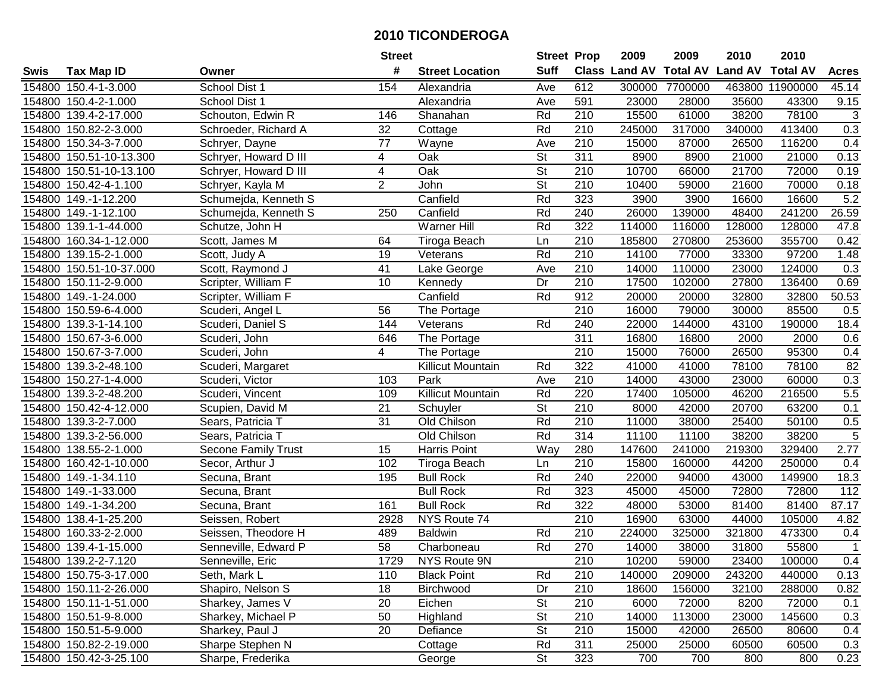|        |                         |                       | <b>Street</b>   |                        | <b>Street Prop</b>       |                  | 2009                          | 2009    | 2010           | 2010            |                 |
|--------|-------------------------|-----------------------|-----------------|------------------------|--------------------------|------------------|-------------------------------|---------|----------------|-----------------|-----------------|
| Swis   | <b>Tax Map ID</b>       | Owner                 | #               | <b>Street Location</b> | <b>Suff</b>              |                  | <b>Class Land AV Total AV</b> |         | <b>Land AV</b> | <b>Total AV</b> | <b>Acres</b>    |
|        | 154800 150.4-1-3.000    | School Dist 1         | 154             | Alexandria             | Ave                      | 612              | 300000                        | 7700000 |                | 463800 11900000 | 45.14           |
|        | 154800 150.4-2-1.000    | School Dist 1         |                 | Alexandria             | Ave                      | 591              | 23000                         | 28000   | 35600          | 43300           | 9.15            |
|        | 154800 139.4-2-17.000   | Schouton, Edwin R     | 146             | Shanahan               | Rd                       | 210              | 15500                         | 61000   | 38200          | 78100           | $\sqrt{3}$      |
|        | 154800 150.82-2-3.000   | Schroeder, Richard A  | 32              | Cottage                | Rd                       | 210              | 245000                        | 317000  | 340000         | 413400          | 0.3             |
|        | 154800 150.34-3-7.000   | Schryer, Dayne        | 77              | Wayne                  | Ave                      | 210              | 15000                         | 87000   | 26500          | 116200          | 0.4             |
|        | 154800 150.51-10-13.300 | Schryer, Howard D III | 4               | Oak                    | $\overline{\mathsf{St}}$ | 311              | 8900                          | 8900    | 21000          | 21000           | 0.13            |
|        | 154800 150.51-10-13.100 | Schryer, Howard D III | 4               | Oak                    | <b>St</b>                | 210              | 10700                         | 66000   | 21700          | 72000           | 0.19            |
|        | 154800 150.42-4-1.100   | Schryer, Kayla M      | $\overline{2}$  | John                   | $\overline{\mathsf{St}}$ | 210              | 10400                         | 59000   | 21600          | 70000           | 0.18            |
|        | 154800 149.-1-12.200    | Schumejda, Kenneth S  |                 | Canfield               | Rd                       | 323              | 3900                          | 3900    | 16600          | 16600           | 5.2             |
|        | 154800 149.-1-12.100    | Schumejda, Kenneth S  | 250             | Canfield               | Rd                       | 240              | 26000                         | 139000  | 48400          | 241200          | 26.59           |
|        | 154800 139.1-1-44.000   | Schutze, John H       |                 | Warner Hill            | Rd                       | 322              | 114000                        | 116000  | 128000         | 128000          | 47.8            |
|        | 154800 160.34-1-12.000  | Scott, James M        | 64              | Tiroga Beach           | Ln                       | 210              | 185800                        | 270800  | 253600         | 355700          | 0.42            |
|        | 154800 139.15-2-1.000   | Scott, Judy A         | 19              | Veterans               | Rd                       | 210              | 14100                         | 77000   | 33300          | 97200           | 1.48            |
|        | 154800 150.51-10-37.000 | Scott, Raymond J      | 41              | Lake George            | Ave                      | 210              | 14000                         | 110000  | 23000          | 124000          | 0.3             |
|        | 154800 150.11-2-9.000   | Scripter, William F   | 10              | Kennedy                | Dr                       | 210              | 17500                         | 102000  | 27800          | 136400          | 0.69            |
|        | 154800 149.-1-24.000    | Scripter, William F   |                 | Canfield               | Rd                       | 912              | 20000                         | 20000   | 32800          | 32800           | 50.53           |
|        | 154800 150.59-6-4.000   | Scuderi, Angel L      | 56              | The Portage            |                          | $\overline{210}$ | 16000                         | 79000   | 30000          | 85500           | 0.5             |
|        | 154800 139.3-1-14.100   | Scuderi, Daniel S     | 144             | Veterans               | Rd                       | 240              | 22000                         | 144000  | 43100          | 190000          | 18.4            |
|        | 154800 150.67-3-6.000   | Scuderi, John         | 646             | The Portage            |                          | 311              | 16800                         | 16800   | 2000           | 2000            | 0.6             |
|        | 154800 150.67-3-7.000   | Scuderi, John         | 4               | The Portage            |                          | 210              | 15000                         | 76000   | 26500          | 95300           | 0.4             |
|        | 154800 139.3-2-48.100   | Scuderi, Margaret     |                 | Killicut Mountain      | Rd                       | 322              | 41000                         | 41000   | 78100          | 78100           | $\overline{82}$ |
|        | 154800 150.27-1-4.000   | Scuderi, Victor       | 103             | Park                   | Ave                      | 210              | 14000                         | 43000   | 23000          | 60000           | 0.3             |
| 154800 | 139.3-2-48.200          | Scuderi, Vincent      | 109             | Killicut Mountain      | Rd                       | 220              | 17400                         | 105000  | 46200          | 216500          | 5.5             |
| 154800 | 150.42-4-12.000         | Scupien, David M      | 21              | Schuyler               | <b>St</b>                | 210              | 8000                          | 42000   | 20700          | 63200           | 0.1             |
|        | 154800 139.3-2-7.000    | Sears, Patricia T     | $\overline{31}$ | Old Chilson            | Rd                       | $\overline{210}$ | 11000                         | 38000   | 25400          | 50100           | 0.5             |
|        | 154800 139.3-2-56.000   | Sears, Patricia T     |                 | Old Chilson            | Rd                       | 314              | 11100                         | 11100   | 38200          | 38200           | $\overline{5}$  |
|        | 154800 138.55-2-1.000   | Secone Family Trust   | 15              | Harris Point           | Way                      | 280              | 147600                        | 241000  | 219300         | 329400          | 2.77            |
|        | 154800 160.42-1-10.000  | Secor, Arthur J       | 102             | Tiroga Beach           | Ln                       | 210              | 15800                         | 160000  | 44200          | 250000          | 0.4             |
|        | 154800 149.-1-34.110    | Secuna, Brant         | 195             | <b>Bull Rock</b>       | Rd                       | 240              | 22000                         | 94000   | 43000          | 149900          | 18.3            |
|        | 154800 149.-1-33.000    | Secuna, Brant         |                 | <b>Bull Rock</b>       | Rd                       | 323              | 45000                         | 45000   | 72800          | 72800           | 112             |
|        | 154800 149.-1-34.200    | Secuna, Brant         | 161             | <b>Bull Rock</b>       | Rd                       | 322              | 48000                         | 53000   | 81400          | 81400           | 87.17           |
|        | 154800 138.4-1-25.200   | Seissen, Robert       | 2928            | NYS Route 74           |                          | $\overline{210}$ | 16900                         | 63000   | 44000          | 105000          | 4.82            |
|        | 154800 160.33-2-2.000   | Seissen, Theodore H   | 489             | <b>Baldwin</b>         | Rd                       | $\overline{210}$ | 224000                        | 325000  | 321800         | 473300          | 0.4             |
|        | 154800 139.4-1-15.000   | Senneville, Edward P  | $\overline{58}$ | Charboneau             | Rd                       | 270              | 14000                         | 38000   | 31800          | 55800           | $\mathbf{1}$    |
|        | 154800 139.2-2-7.120    | Senneville, Eric      | 1729            | NYS Route 9N           |                          | 210              | 10200                         | 59000   | 23400          | 100000          | 0.4             |
|        | 154800 150.75-3-17.000  | Seth, Mark L          | 110             | <b>Black Point</b>     | Rd                       | 210              | 140000                        | 209000  | 243200         | 440000          | 0.13            |
|        | 154800 150.11-2-26.000  | Shapiro, Nelson S     | 18              | Birchwood              | Dr                       | 210              | 18600                         | 156000  | 32100          | 288000          | 0.82            |
|        | 154800 150.11-1-51.000  | Sharkey, James V      | 20              | Eichen                 | <b>St</b>                | 210              | 6000                          | 72000   | 8200           | 72000           | 0.1             |
|        | 154800 150.51-9-8.000   | Sharkey, Michael P    | 50              | Highland               | <b>St</b>                | 210              | 14000                         | 113000  | 23000          | 145600          | 0.3             |
|        | 154800 150.51-5-9.000   | Sharkey, Paul J       | 20              | Defiance               | <b>St</b>                | 210              | 15000                         | 42000   | 26500          | 80600           | 0.4             |
|        | 154800 150.82-2-19.000  | Sharpe Stephen N      |                 | Cottage                | Rd                       | 311              | 25000                         | 25000   | 60500          | 60500           | 0.3             |
|        | 154800 150.42-3-25.100  | Sharpe, Frederika     |                 | George                 | St                       | 323              | 700                           | 700     | 800            | 800             | 0.23            |
|        |                         |                       |                 |                        |                          |                  |                               |         |                |                 |                 |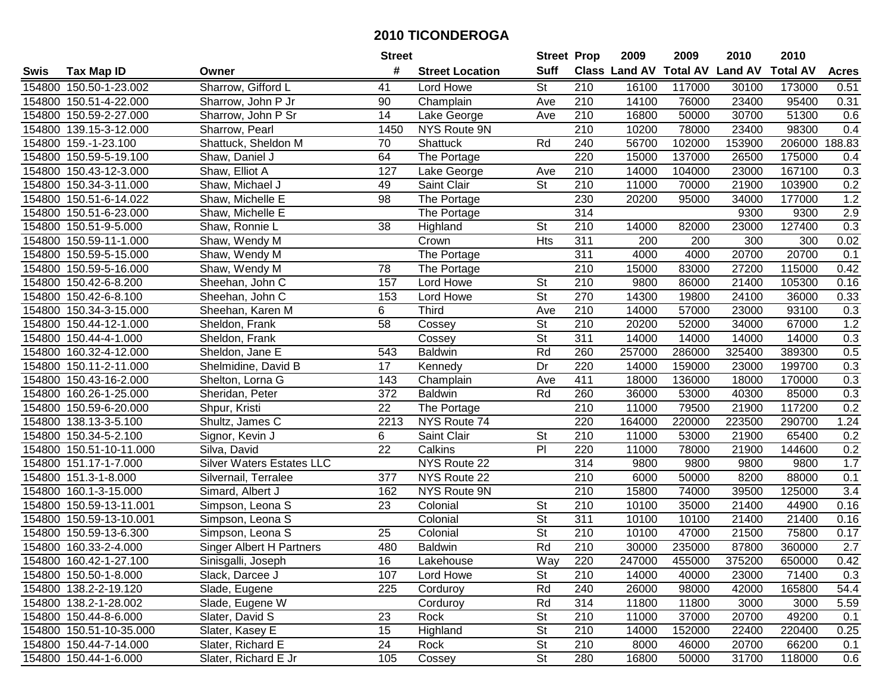|        |                         |                           | <b>Street</b>   |                        | <b>Street Prop</b>       |                  | 2009                          | 2009   | 2010           | 2010            |                  |
|--------|-------------------------|---------------------------|-----------------|------------------------|--------------------------|------------------|-------------------------------|--------|----------------|-----------------|------------------|
| Swis   | <b>Tax Map ID</b>       | Owner                     | #               | <b>Street Location</b> | <b>Suff</b>              |                  | <b>Class Land AV Total AV</b> |        | <b>Land AV</b> | <b>Total AV</b> | <b>Acres</b>     |
|        | 154800 150.50-1-23.002  | Sharrow, Gifford L        | 41              | Lord Howe              | St                       | 210              | 16100                         | 117000 | 30100          | 173000          | 0.51             |
|        | 154800 150.51-4-22.000  | Sharrow, John P Jr        | 90              | Champlain              | Ave                      | 210              | 14100                         | 76000  | 23400          | 95400           | 0.31             |
|        | 154800 150.59-2-27.000  | Sharrow, John P Sr        | 14              | Lake George            | Ave                      | 210              | 16800                         | 50000  | 30700          | 51300           | 0.6              |
|        | 154800 139.15-3-12.000  | Sharrow, Pearl            | 1450            | NYS Route 9N           |                          | 210              | 10200                         | 78000  | 23400          | 98300           | 0.4              |
|        | 154800 159.-1-23.100    | Shattuck, Sheldon M       | 70              | Shattuck               | Rd                       | 240              | 56700                         | 102000 | 153900         | 206000          | 188.83           |
|        | 154800 150.59-5-19.100  | Shaw, Daniel J            | 64              | The Portage            |                          | 220              | 15000                         | 137000 | 26500          | 175000          | 0.4              |
|        | 154800 150.43-12-3.000  | Shaw, Elliot A            | 127             | Lake George            | Ave                      | 210              | 14000                         | 104000 | 23000          | 167100          | 0.3              |
|        | 154800 150.34-3-11.000  | Shaw, Michael J           | 49              | Saint Clair            | $\overline{\mathsf{St}}$ | 210              | 11000                         | 70000  | 21900          | 103900          | 0.2              |
|        | 154800 150.51-6-14.022  | Shaw, Michelle E          | 98              | The Portage            |                          | 230              | 20200                         | 95000  | 34000          | 177000          | 1.2              |
|        | 154800 150.51-6-23.000  | Shaw, Michelle E          |                 | The Portage            |                          | 314              |                               |        | 9300           | 9300            | 2.9              |
|        | 154800 150.51-9-5.000   | Shaw, Ronnie L            | 38              | Highland               | <b>St</b>                | 210              | 14000                         | 82000  | 23000          | 127400          | 0.3              |
|        | 154800 150.59-11-1.000  | Shaw, Wendy M             |                 | Crown                  | Hts                      | 311              | 200                           | 200    | 300            | 300             | 0.02             |
|        | 154800 150.59-5-15.000  | Shaw, Wendy M             |                 | The Portage            |                          | $\overline{311}$ | 4000                          | 4000   | 20700          | 20700           | 0.1              |
|        | 154800 150.59-5-16.000  | Shaw, Wendy M             | 78              | The Portage            |                          | 210              | 15000                         | 83000  | 27200          | 115000          | 0.42             |
|        | 154800 150.42-6-8.200   | Sheehan, John C           | 157             | Lord Howe              | <b>St</b>                | 210              | 9800                          | 86000  | 21400          | 105300          | 0.16             |
|        | 154800 150.42-6-8.100   | Sheehan, John C           | 153             | Lord Howe              | <b>St</b>                | 270              | 14300                         | 19800  | 24100          | 36000           | 0.33             |
|        | 154800 150.34-3-15.000  | Sheehan, Karen M          | 6               | <b>Third</b>           | Ave                      | 210              | 14000                         | 57000  | 23000          | 93100           | 0.3              |
|        | 154800 150.44-12-1.000  | Sheldon, Frank            | $\overline{58}$ | Cossey                 | $\overline{\mathsf{St}}$ | 210              | 20200                         | 52000  | 34000          | 67000           | 1.2              |
|        | 154800 150.44-4-1.000   | Sheldon, Frank            |                 | Cossey                 | $\overline{\mathsf{St}}$ | 311              | 14000                         | 14000  | 14000          | 14000           | 0.3              |
|        | 154800 160.32-4-12.000  | Sheldon, Jane E           | 543             | <b>Baldwin</b>         | Rd                       | 260              | 257000                        | 286000 | 325400         | 389300          | 0.5              |
|        | 154800 150.11-2-11.000  | Shelmidine, David B       | 17              | Kennedy                | Dr                       | 220              | 14000                         | 159000 | 23000          | 199700          | 0.3              |
|        | 154800 150.43-16-2.000  | Shelton, Lorna G          | 143             | Champlain              | Ave                      | 411              | 18000                         | 136000 | 18000          | 170000          | 0.3              |
|        | 154800 160.26-1-25.000  | Sheridan, Peter           | 372             | <b>Baldwin</b>         | Rd                       | 260              | 36000                         | 53000  | 40300          | 85000           | 0.3              |
| 154800 | 150.59-6-20.000         | Shpur, Kristi             | 22              | The Portage            |                          | 210              | 11000                         | 79500  | 21900          | 117200          | 0.2              |
|        | 154800 138.13-3-5.100   | Shultz, James C           | 2213            | NYS Route 74           |                          | 220              | 164000                        | 220000 | 223500         | 290700          | 1.24             |
|        | 154800 150.34-5-2.100   | Signor, Kevin J           | 6               | Saint Clair            | <b>St</b>                | 210              | 11000                         | 53000  | 21900          | 65400           | 0.2              |
|        | 154800 150.51-10-11.000 | Silva, David              | 22              | Calkins                | PI                       | 220              | 11000                         | 78000  | 21900          | 144600          | 0.2              |
|        | 154800 151.17-1-7.000   | Silver Waters Estates LLC |                 | NYS Route 22           |                          | 314              | 9800                          | 9800   | 9800           | 9800            | 1.7              |
|        | 154800 151.3-1-8.000    | Silvernail, Terralee      | 377             | NYS Route 22           |                          | $\overline{210}$ | 6000                          | 50000  | 8200           | 88000           | 0.1              |
|        | 154800 160.1-3-15.000   | Simard, Albert J          | 162             | <b>NYS Route 9N</b>    |                          | $\overline{210}$ | 15800                         | 74000  | 39500          | 125000          | $\overline{3.4}$ |
|        | 154800 150.59-13-11.001 | Simpson, Leona S          | $\overline{23}$ | Colonial               | $\overline{\mathsf{St}}$ | $\overline{210}$ | 10100                         | 35000  | 21400          | 44900           | 0.16             |
|        | 154800 150.59-13-10.001 | Simpson, Leona S          |                 | Colonial               | $\overline{\mathsf{St}}$ | 311              | 10100                         | 10100  | 21400          | 21400           | 0.16             |
|        | 154800 150.59-13-6.300  | Simpson, Leona S          | $\overline{25}$ | Colonial               | $\overline{\mathsf{St}}$ | $\overline{210}$ | 10100                         | 47000  | 21500          | 75800           | 0.17             |
|        | 154800 160.33-2-4.000   | Singer Albert H Partners  | 480             | <b>Baldwin</b>         | Rd                       | $\overline{210}$ | 30000                         | 235000 | 87800          | 360000          | $\overline{2.7}$ |
|        | 154800 160.42-1-27.100  | Sinisgalli, Joseph        | 16              | Lakehouse              | Way                      | 220              | 247000                        | 455000 | 375200         | 650000          | 0.42             |
|        | 154800 150.50-1-8.000   | Slack, Darcee J           | 107             | Lord Howe              | St                       | 210              | 14000                         | 40000  | 23000          | 71400           | 0.3              |
|        | 154800 138.2-2-19.120   | Slade, Eugene             | 225             | Corduroy               | Rd                       | 240              | 26000                         | 98000  | 42000          | 165800          | 54.4             |
|        | 154800 138.2-1-28.002   | Slade, Eugene W           |                 | Corduroy               | Rd                       | 314              | 11800                         | 11800  | 3000           | 3000            | 5.59             |
|        | 154800 150.44-8-6.000   | Slater, David S           | 23              | Rock                   | St                       | 210              | 11000                         | 37000  | 20700          | 49200           | 0.1              |
|        | 154800 150.51-10-35.000 | Slater, Kasey E           | 15              | Highland               | <b>St</b>                | 210              | 14000                         | 152000 | 22400          | 220400          | 0.25             |
|        | 154800 150.44-7-14.000  | Slater, Richard E         | 24              | Rock                   | <b>St</b>                | 210              | 8000                          | 46000  | 20700          | 66200           | 0.1              |
|        | 154800 150.44-1-6.000   | Slater, Richard E Jr      | 105             | Cossey                 | $\overline{\mathsf{St}}$ | 280              | 16800                         | 50000  | 31700          | 118000          | 0.6              |
|        |                         |                           |                 |                        |                          |                  |                               |        |                |                 |                  |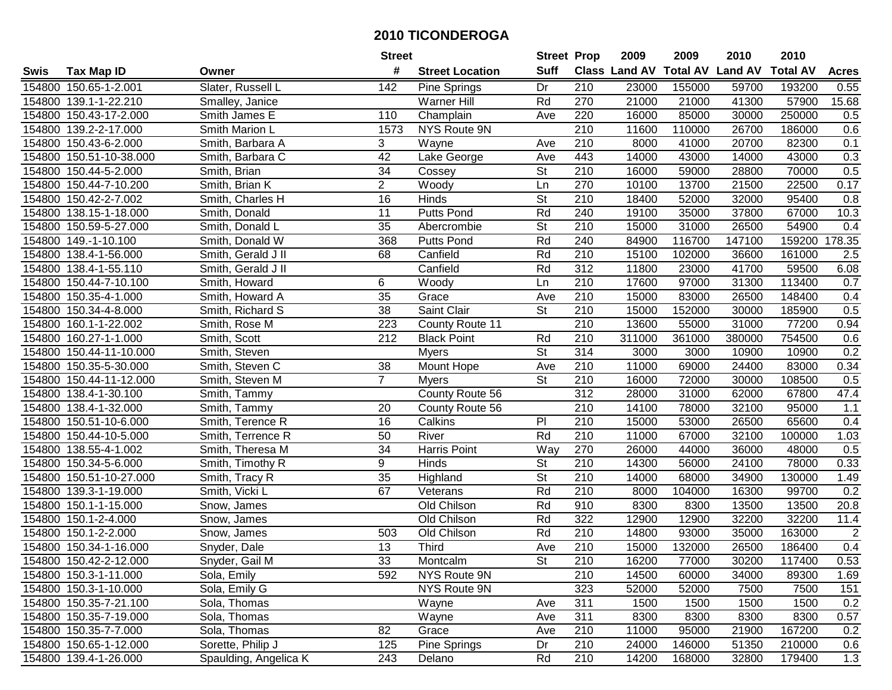|        |                         |                       | <b>Street</b>   |                        | <b>Street Prop</b>       |                  | 2009                 | 2009            | 2010           | 2010            |                |
|--------|-------------------------|-----------------------|-----------------|------------------------|--------------------------|------------------|----------------------|-----------------|----------------|-----------------|----------------|
| Swis   | <b>Tax Map ID</b>       | Owner                 | #               | <b>Street Location</b> | <b>Suff</b>              |                  | <b>Class Land AV</b> | <b>Total AV</b> | <b>Land AV</b> | <b>Total AV</b> | <b>Acres</b>   |
|        | 154800 150.65-1-2.001   | Slater, Russell L     | 142             | <b>Pine Springs</b>    | Dr                       | 210              | 23000                | 155000          | 59700          | 193200          | 0.55           |
|        | 154800 139.1-1-22.210   | Smalley, Janice       |                 | <b>Warner Hill</b>     | Rd                       | 270              | 21000                | 21000           | 41300          | 57900           | 15.68          |
|        | 154800 150.43-17-2.000  | Smith James E         | 110             | Champlain              | Ave                      | 220              | 16000                | 85000           | 30000          | 250000          | 0.5            |
|        | 154800 139.2-2-17.000   | Smith Marion L        | 1573            | NYS Route 9N           |                          | $\overline{210}$ | 11600                | 110000          | 26700          | 186000          | 0.6            |
|        | 154800 150.43-6-2.000   | Smith, Barbara A      | 3               | Wayne                  | Ave                      | 210              | 8000                 | 41000           | 20700          | 82300           | 0.1            |
|        | 154800 150.51-10-38.000 | Smith, Barbara C      | 42              | Lake George            | Ave                      | 443              | 14000                | 43000           | 14000          | 43000           | 0.3            |
|        | 154800 150.44-5-2.000   | Smith, Brian          | 34              | Cossey                 | <b>St</b>                | 210              | 16000                | 59000           | 28800          | 70000           | 0.5            |
|        | 154800 150.44-7-10.200  | Smith, Brian K        | $\overline{2}$  | Woody                  | Ln                       | 270              | 10100                | 13700           | 21500          | 22500           | 0.17           |
|        | 154800 150.42-2-7.002   | Smith, Charles H      | 16              | Hinds                  | $\overline{\mathsf{St}}$ | $\overline{210}$ | 18400                | 52000           | 32000          | 95400           | 0.8            |
|        | 154800 138.15-1-18.000  | Smith, Donald         | 11              | <b>Putts Pond</b>      | Rd                       | 240              | 19100                | 35000           | 37800          | 67000           | 10.3           |
|        | 154800 150.59-5-27.000  | Smith, Donald L       | 35              | Abercrombie            | St                       | 210              | 15000                | 31000           | 26500          | 54900           | 0.4            |
|        | 154800 149.-1-10.100    | Smith, Donald W       | 368             | <b>Putts Pond</b>      | Rd                       | 240              | 84900                | 116700          | 147100         | 159200          | 178.35         |
|        | 154800 138.4-1-56.000   | Smith, Gerald J II    | 68              | Canfield               | Rd                       | 210              | 15100                | 102000          | 36600          | 161000          | 2.5            |
|        | 154800 138.4-1-55.110   | Smith, Gerald J II    |                 | Canfield               | Rd                       | 312              | 11800                | 23000           | 41700          | 59500           | 6.08           |
|        | 154800 150.44-7-10.100  | Smith, Howard         | 6               | Woody                  | Ln                       | 210              | 17600                | 97000           | 31300          | 113400          | 0.7            |
|        | 154800 150.35-4-1.000   | Smith, Howard A       | 35              | Grace                  | Ave                      | 210              | 15000                | 83000           | 26500          | 148400          | 0.4            |
|        | 154800 150.34-4-8.000   | Smith, Richard S      | $\overline{38}$ | Saint Clair            | $\overline{\mathsf{St}}$ | 210              | 15000                | 152000          | 30000          | 185900          | 0.5            |
|        | 154800 160.1-1-22.002   | Smith, Rose M         | 223             | County Route 11        |                          | 210              | 13600                | 55000           | 31000          | 77200           | 0.94           |
|        | 154800 160.27-1-1.000   | Smith, Scott          | 212             | <b>Black Point</b>     | Rd                       | 210              | 311000               | 361000          | 380000         | 754500          | 0.6            |
|        | 154800 150.44-11-10.000 | Smith, Steven         |                 | <b>Myers</b>           | St                       | 314              | 3000                 | 3000            | 10900          | 10900           | 0.2            |
|        | 154800 150.35-5-30.000  | Smith, Steven C       | 38              | Mount Hope             | Ave                      | 210              | 11000                | 69000           | 24400          | 83000           | 0.34           |
|        | 154800 150.44-11-12.000 | Smith, Steven M       | $\overline{7}$  | <b>Myers</b>           | St                       | 210              | 16000                | 72000           | 30000          | 108500          | 0.5            |
|        | 154800 138.4-1-30.100   | Smith, Tammy          |                 | County Route 56        |                          | 312              | 28000                | 31000           | 62000          | 67800           | 47.4           |
| 154800 | 138.4-1-32.000          | Smith, Tammy          | 20              | County Route 56        |                          | 210              | 14100                | 78000           | 32100          | 95000           | 1.1            |
|        | 154800 150.51-10-6.000  | Smith, Terence R      | 16              | Calkins                | $\overline{P}$           | 210              | 15000                | 53000           | 26500          | 65600           | 0.4            |
|        | 154800 150.44-10-5.000  | Smith, Terrence R     | 50              | River                  | Rd                       | 210              | 11000                | 67000           | 32100          | 100000          | 1.03           |
|        | 154800 138.55-4-1.002   | Smith, Theresa M      | 34              | Harris Point           | Way                      | 270              | 26000                | 44000           | 36000          | 48000           | 0.5            |
|        | 154800 150.34-5-6.000   | Smith, Timothy R      | 9               | Hinds                  | St                       | 210              | 14300                | 56000           | 24100          | 78000           | 0.33           |
|        | 154800 150.51-10-27.000 | Smith, Tracy R        | 35              | Highland               | $\overline{\mathsf{St}}$ | 210              | 14000                | 68000           | 34900          | 130000          | 1.49           |
|        | 154800 139.3-1-19.000   | Smith, Vicki L        | 67              | Veterans               | Rd                       | $\overline{210}$ | 8000                 | 104000          | 16300          | 99700           | 0.2            |
|        | 154800 150.1-1-15.000   | Snow, James           |                 | Old Chilson            | Rd                       | 910              | 8300                 | 8300            | 13500          | 13500           | 20.8           |
|        | 154800 150.1-2-4.000    | Snow, James           |                 | Old Chilson            | Rd                       | 322              | 12900                | 12900           | 32200          | 32200           | 11.4           |
|        | 154800 150.1-2-2.000    | Snow, James           | 503             | Old Chilson            | Rd                       | $\overline{210}$ | 14800                | 93000           | 35000          | 163000          | $\overline{2}$ |
|        | 154800 150.34-1-16.000  | Snyder, Dale          | $\overline{13}$ | <b>Third</b>           | Ave                      | $\overline{210}$ | 15000                | 132000          | 26500          | 186400          | 0.4            |
|        | 154800 150.42-2-12.000  | Snyder, Gail M        | 33              | Montcalm               | St                       | 210              | 16200                | 77000           | 30200          | 117400          | 0.53           |
|        | 154800 150.3-1-11.000   | Sola, Emily           | 592             | NYS Route 9N           |                          | 210              | 14500                | 60000           | 34000          | 89300           | 1.69           |
|        | 154800 150.3-1-10.000   | Sola, Emily G         |                 | NYS Route 9N           |                          | 323              | 52000                | 52000           | 7500           | 7500            | 151            |
|        | 154800 150.35-7-21.100  | Sola, Thomas          |                 | Wayne                  | Ave                      | 311              | 1500                 | 1500            | 1500           | 1500            | 0.2            |
|        | 154800 150.35-7-19.000  | Sola, Thomas          |                 | Wayne                  | Ave                      | 311              | 8300                 | 8300            | 8300           | 8300            | 0.57           |
|        | 154800 150.35-7-7.000   | Sola, Thomas          | 82              | Grace                  | Ave                      | 210              | 11000                | 95000           | 21900          | 167200          | 0.2            |
|        | 154800 150.65-1-12.000  | Sorette, Philip J     | 125             | Pine Springs           | Dr                       | 210              | 24000                | 146000          | 51350          | 210000          | 0.6            |
|        | 154800 139.4-1-26.000   | Spaulding, Angelica K | 243             | Delano                 | Rd                       | 210              | 14200                | 168000          | 32800          | 179400          | 1.3            |
|        |                         |                       |                 |                        |                          |                  |                      |                 |                |                 |                |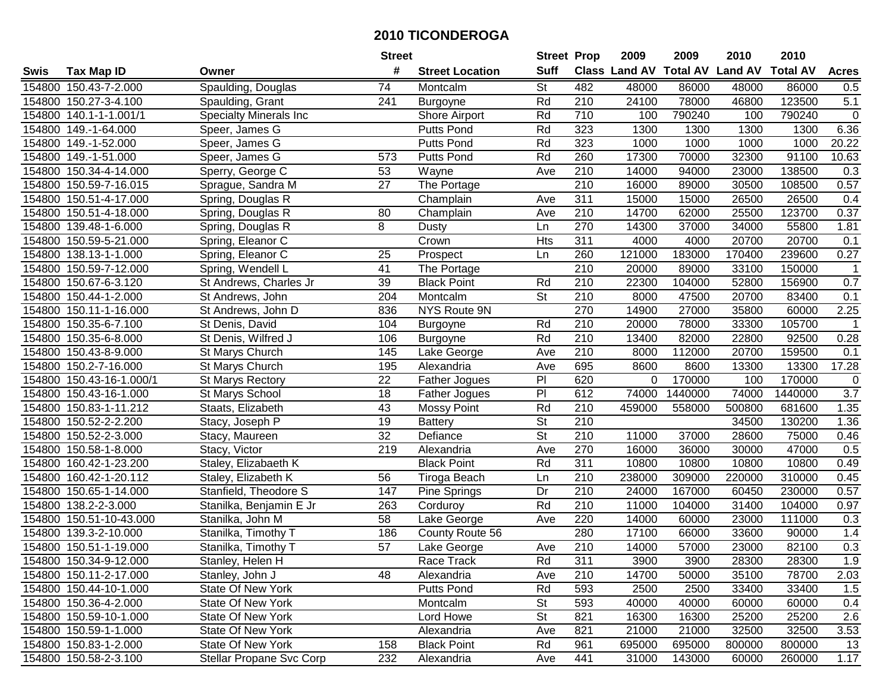|        |                          |                               | <b>Street</b>   |                        | <b>Street Prop</b>       |                  | 2009          | 2009            | 2010           | 2010            |                |
|--------|--------------------------|-------------------------------|-----------------|------------------------|--------------------------|------------------|---------------|-----------------|----------------|-----------------|----------------|
| Swis   | <b>Tax Map ID</b>        | Owner                         | #               | <b>Street Location</b> | <b>Suff</b>              |                  | Class Land AV | <b>Total AV</b> | <b>Land AV</b> | <b>Total AV</b> | <b>Acres</b>   |
|        | 154800 150.43-7-2.000    | Spaulding, Douglas            | 74              | Montcalm               | St                       | 482              | 48000         | 86000           | 48000          | 86000           | 0.5            |
|        | 154800 150.27-3-4.100    | Spaulding, Grant              | 241             | Burgoyne               | Rd                       | 210              | 24100         | 78000           | 46800          | 123500          | 5.1            |
|        | 154800 140.1-1-1.001/1   | <b>Specialty Minerals Inc</b> |                 | Shore Airport          | Rd                       | 710              | 100           | 790240          | 100            | 790240          | $\mathbf 0$    |
|        | 154800 149.-1-64.000     | Speer, James G                |                 | <b>Putts Pond</b>      | Rd                       | 323              | 1300          | 1300            | 1300           | 1300            | 6.36           |
|        | 154800 149.-1-52.000     | Speer, James G                |                 | Putts Pond             | Rd                       | 323              | 1000          | 1000            | 1000           | 1000            | 20.22          |
|        | 154800 149.-1-51.000     | Speer, James G                | 573             | Putts Pond             | Rd                       | 260              | 17300         | 70000           | 32300          | 91100           | 10.63          |
|        | 154800 150.34-4-14.000   | Sperry, George C              | 53              | Wayne                  | Ave                      | 210              | 14000         | 94000           | 23000          | 138500          | 0.3            |
|        | 154800 150.59-7-16.015   | Sprague, Sandra M             | $\overline{27}$ | The Portage            |                          | 210              | 16000         | 89000           | 30500          | 108500          | 0.57           |
|        | 154800 150.51-4-17.000   | Spring, Douglas R             |                 | Champlain              | Ave                      | 311              | 15000         | 15000           | 26500          | 26500           | 0.4            |
|        | 154800 150.51-4-18.000   | Spring, Douglas R             | 80              | Champlain              | Ave                      | 210              | 14700         | 62000           | 25500          | 123700          | 0.37           |
|        | 154800 139.48-1-6.000    | Spring, Douglas R             | 8               | Dusty                  | Ln                       | 270              | 14300         | 37000           | 34000          | 55800           | 1.81           |
|        | 154800 150.59-5-21.000   | Spring, Eleanor C             |                 | Crown                  | Hts                      | 311              | 4000          | 4000            | 20700          | 20700           | 0.1            |
|        | 154800 138.13-1-1.000    | Spring, Eleanor C             | 25              | Prospect               | Ln                       | 260              | 121000        | 183000          | 170400         | 239600          | 0.27           |
|        | 154800 150.59-7-12.000   | Spring, Wendell L             | 41              | The Portage            |                          | 210              | 20000         | 89000           | 33100          | 150000          | $\mathbf 1$    |
|        | 154800 150.67-6-3.120    | St Andrews, Charles Jr        | 39              | <b>Black Point</b>     | Rd                       | 210              | 22300         | 104000          | 52800          | 156900          | 0.7            |
|        | 154800 150.44-1-2.000    | St Andrews, John              | 204             | Montcalm               | St                       | 210              | 8000          | 47500           | 20700          | 83400           | 0.1            |
|        | 154800 150.11-1-16.000   | St Andrews, John D            | 836             | NYS Route 9N           |                          | 270              | 14900         | 27000           | 35800          | 60000           | 2.25           |
|        | 154800 150.35-6-7.100    | St Denis, David               | 104             | <b>Burgoyne</b>        | Rd                       | 210              | 20000         | 78000           | 33300          | 105700          | $\overline{1}$ |
|        | 154800 150.35-6-8.000    | St Denis, Wilfred J           | 106             | Burgoyne               | Rd                       | 210              | 13400         | 82000           | 22800          | 92500           | 0.28           |
|        | 154800 150.43-8-9.000    | St Marys Church               | 145             | Lake George            | Ave                      | 210              | 8000          | 112000          | 20700          | 159500          | 0.1            |
|        | 154800 150.2-7-16.000    | St Marys Church               | 195             | Alexandria             | Ave                      | 695              | 8600          | 8600            | 13300          | 13300           | 17.28          |
|        | 154800 150.43-16-1.000/1 | <b>St Marys Rectory</b>       | 22              | Father Jogues          | P <sub>1</sub>           | 620              | 0             | 170000          | 100            | 170000          | $\mathbf 0$    |
|        | 154800 150.43-16-1.000   | St Marys School               | 18              | <b>Father Jogues</b>   | P                        | 612              | 74000         | 1440000         | 74000          | 1440000         | 3.7            |
| 154800 | 150.83-1-11.212          | Staats, Elizabeth             | 43              | <b>Mossy Point</b>     | Rd                       | 210              | 459000        | 558000          | 500800         | 681600          | 1.35           |
|        | 154800 150.52-2-2.200    | Stacy, Joseph P               | 19              | <b>Battery</b>         | $\overline{\mathsf{St}}$ | $\overline{210}$ |               |                 | 34500          | 130200          | 1.36           |
|        | 154800 150.52-2-3.000    | Stacy, Maureen                | 32              | Defiance               | $\overline{\mathsf{St}}$ | 210              | 11000         | 37000           | 28600          | 75000           | 0.46           |
|        | 154800 150.58-1-8.000    | Stacy, Victor                 | 219             | Alexandria             | Ave                      | 270              | 16000         | 36000           | 30000          | 47000           | 0.5            |
|        | 154800 160.42-1-23.200   | Staley, Elizabaeth K          |                 | <b>Black Point</b>     | Rd                       | 311              | 10800         | 10800           | 10800          | 10800           | 0.49           |
|        | 154800 160.42-1-20.112   | Staley, Elizabeth K           | 56              | Tiroga Beach           | Ln                       | $\overline{210}$ | 238000        | 309000          | 220000         | 310000          | 0.45           |
|        | 154800 150.65-1-14.000   | Stanfield, Theodore S         | 147             | Pine Springs           | Dr                       | $\overline{210}$ | 24000         | 167000          | 60450          | 230000          | 0.57           |
|        | 154800 138.2-2-3.000     | Stanilka, Benjamin E Jr       | 263             | Corduroy               | Rd                       | $\overline{210}$ | 11000         | 104000          | 31400          | 104000          | 0.97           |
|        | 154800 150.51-10-43.000  | Stanilka, John M              | 58              | Lake George            | Ave                      | 220              | 14000         | 60000           | 23000          | 111000          | 0.3            |
|        | 154800 139.3-2-10.000    | Stanilka, Timothy T           | 186             | County Route 56        |                          | 280              | 17100         | 66000           | 33600          | 90000           | 1.4            |
|        | 154800 150.51-1-19.000   | Stanilka, Timothy T           | 57              | Lake George            | Ave                      | 210              | 14000         | 57000           | 23000          | 82100           | 0.3            |
|        | 154800 150.34-9-12.000   | Stanley, Helen H              |                 | Race Track             | Rd                       | 311              | 3900          | 3900            | 28300          | 28300           | 1.9            |
|        | 154800 150.11-2-17.000   | Stanley, John J               | 48              | Alexandria             | Ave                      | 210              | 14700         | 50000           | 35100          | 78700           | 2.03           |
|        | 154800 150.44-10-1.000   | State Of New York             |                 | <b>Putts Pond</b>      | Rd                       | 593              | 2500          | 2500            | 33400          | 33400           | 1.5            |
|        | 154800 150.36-4-2.000    | State Of New York             |                 | Montcalm               | <b>St</b>                | 593              | 40000         | 40000           | 60000          | 60000           | 0.4            |
|        | 154800 150.59-10-1.000   | State Of New York             |                 | Lord Howe              | St                       | 821              | 16300         | 16300           | 25200          | 25200           | 2.6            |
|        | 154800 150.59-1-1.000    | State Of New York             |                 | Alexandria             | Ave                      | 821              | 21000         | 21000           | 32500          | 32500           | 3.53           |
|        | 154800 150.83-1-2.000    | <b>State Of New York</b>      | 158             | <b>Black Point</b>     | Rd                       | 961              | 695000        | 695000          | 800000         | 800000          | 13             |
|        | 154800 150.58-2-3.100    | Stellar Propane Svc Corp      | 232             | Alexandria             | Ave                      | 441              | 31000         | 143000          | 60000          | 260000          | 1.17           |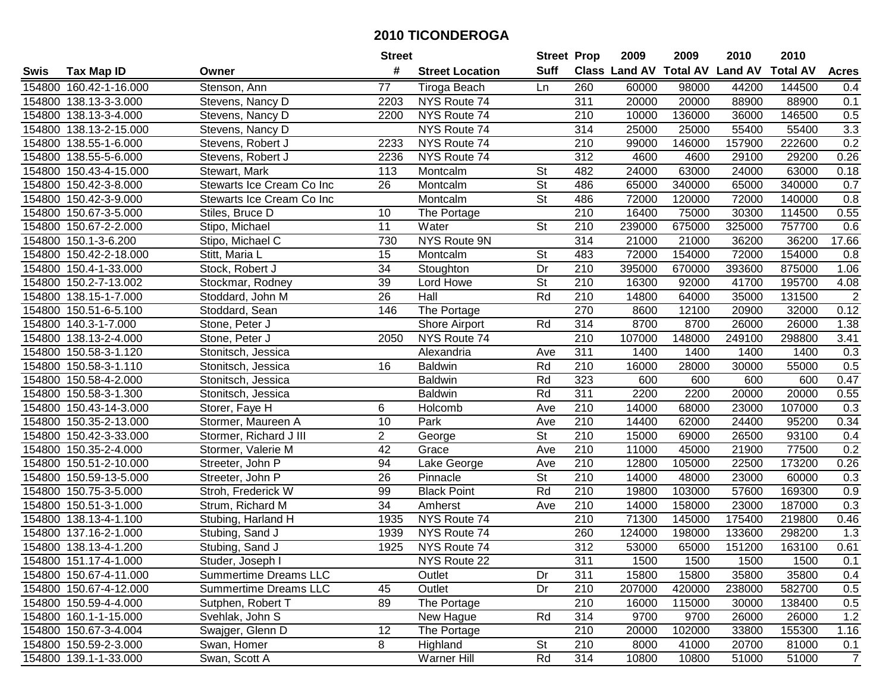|        |                        |                              | <b>Street</b>   |                        | <b>Street Prop</b>       |                  | 2009                          | 2009   | 2010           | 2010            |                  |
|--------|------------------------|------------------------------|-----------------|------------------------|--------------------------|------------------|-------------------------------|--------|----------------|-----------------|------------------|
| Swis   | <b>Tax Map ID</b>      | Owner                        | #               | <b>Street Location</b> | <b>Suff</b>              |                  | <b>Class Land AV Total AV</b> |        | <b>Land AV</b> | <b>Total AV</b> | <b>Acres</b>     |
|        | 154800 160.42-1-16.000 | Stenson, Ann                 | 77              | Tiroga Beach           | Ln                       | 260              | 60000                         | 98000  | 44200          | 144500          | 0.4              |
|        | 154800 138.13-3-3.000  | Stevens, Nancy D             | 2203            | NYS Route 74           |                          | 311              | 20000                         | 20000  | 88900          | 88900           | 0.1              |
|        | 154800 138.13-3-4.000  | Stevens, Nancy D             | 2200            | NYS Route 74           |                          | 210              | 10000                         | 136000 | 36000          | 146500          | 0.5              |
|        | 154800 138.13-2-15.000 | Stevens, Nancy D             |                 | NYS Route 74           |                          | 314              | 25000                         | 25000  | 55400          | 55400           | 3.3              |
|        | 154800 138.55-1-6.000  | Stevens, Robert J            | 2233            | NYS Route 74           |                          | 210              | 99000                         | 146000 | 157900         | 222600          | 0.2              |
|        | 154800 138.55-5-6.000  | Stevens, Robert J            | 2236            | NYS Route 74           |                          | $\overline{312}$ | 4600                          | 4600   | 29100          | 29200           | 0.26             |
|        | 154800 150.43-4-15.000 | Stewart, Mark                | 113             | Montcalm               | St                       | 482              | 24000                         | 63000  | 24000          | 63000           | 0.18             |
|        | 154800 150.42-3-8.000  | Stewarts Ice Cream Co Inc    | $\overline{26}$ | Montcalm               | $\overline{\mathsf{St}}$ | 486              | 65000                         | 340000 | 65000          | 340000          | 0.7              |
|        | 154800 150.42-3-9.000  | Stewarts Ice Cream Co Inc    |                 | Montcalm               | $\overline{\mathsf{St}}$ | 486              | 72000                         | 120000 | 72000          | 140000          | 0.8              |
|        | 154800 150.67-3-5.000  | Stiles, Bruce D              | 10              | The Portage            |                          | 210              | 16400                         | 75000  | 30300          | 114500          | 0.55             |
|        | 154800 150.67-2-2.000  | Stipo, Michael               | 11              | Water                  | St                       | 210              | 239000                        | 675000 | 325000         | 757700          | 0.6              |
|        | 154800 150.1-3-6.200   | Stipo, Michael C             | 730             | NYS Route 9N           |                          | 314              | 21000                         | 21000  | 36200          | 36200           | 17.66            |
|        | 154800 150.42-2-18.000 | Stitt, Maria L               | 15              | Montcalm               | <b>St</b>                | 483              | 72000                         | 154000 | 72000          | 154000          | 0.8              |
|        | 154800 150.4-1-33.000  | Stock, Robert J              | 34              | Stoughton              | Dr                       | 210              | 395000                        | 670000 | 393600         | 875000          | 1.06             |
|        | 154800 150.2-7-13.002  | Stockmar, Rodney             | 39              | Lord Howe              | St                       | 210              | 16300                         | 92000  | 41700          | 195700          | 4.08             |
|        | 154800 138.15-1-7.000  | Stoddard, John M             | 26              | Hall                   | Rd                       | 210              | 14800                         | 64000  | 35000          | 131500          | $\overline{c}$   |
| 154800 | 150.51-6-5.100         | Stoddard, Sean               | 146             | The Portage            |                          | 270              | 8600                          | 12100  | 20900          | 32000           | 0.12             |
|        | 154800 140.3-1-7.000   | Stone, Peter J               |                 | <b>Shore Airport</b>   | Rd                       | 314              | 8700                          | 8700   | 26000          | 26000           | 1.38             |
|        | 154800 138.13-2-4.000  | Stone, Peter J               | 2050            | NYS Route 74           |                          | 210              | 107000                        | 148000 | 249100         | 298800          | 3.41             |
|        | 154800 150.58-3-1.120  | Stonitsch, Jessica           |                 | Alexandria             | Ave                      | 311              | 1400                          | 1400   | 1400           | 1400            | 0.3              |
|        | 154800 150.58-3-1.110  | Stonitsch, Jessica           | 16              | <b>Baldwin</b>         | Rd                       | 210              | 16000                         | 28000  | 30000          | 55000           | 0.5              |
| 154800 | 150.58-4-2.000         | Stonitsch, Jessica           |                 | <b>Baldwin</b>         | Rd                       | 323              | 600                           | 600    | 600            | 600             | 0.47             |
| 154800 | 150.58-3-1.300         | Stonitsch, Jessica           |                 | <b>Baldwin</b>         | Rd                       | 311              | 2200                          | 2200   | 20000          | 20000           | 0.55             |
| 154800 | 150.43-14-3.000        | Storer, Faye H               | 6               | Holcomb                | Ave                      | 210              | 14000                         | 68000  | 23000          | 107000          | 0.3              |
| 154800 | 150.35-2-13.000        | Stormer, Maureen A           | 10              | Park                   | Ave                      | $\overline{210}$ | 14400                         | 62000  | 24400          | 95200           | 0.34             |
|        | 154800 150.42-3-33.000 | Stormer, Richard J III       | $\overline{2}$  | George                 | $\overline{\mathsf{St}}$ | 210              | 15000                         | 69000  | 26500          | 93100           | 0.4              |
|        | 154800 150.35-2-4.000  | Stormer, Valerie M           | 42              | Grace                  | Ave                      | 210              | 11000                         | 45000  | 21900          | 77500           | 0.2              |
|        | 154800 150.51-2-10.000 | Streeter, John P             | 94              | Lake George            | Ave                      | 210              | 12800                         | 105000 | 22500          | 173200          | 0.26             |
|        | 154800 150.59-13-5.000 | Streeter, John P             | $\overline{26}$ | Pinnacle               | $\overline{\mathsf{St}}$ | 210              | 14000                         | 48000  | 23000          | 60000           | 0.3              |
|        | 154800 150.75-3-5.000  | Stroh, Frederick W           | 99              | <b>Black Point</b>     | Rd                       | $\overline{210}$ | 19800                         | 103000 | 57600          | 169300          | 0.9              |
|        | 154800 150.51-3-1.000  | Strum, Richard M             | $\overline{34}$ | Amherst                | Ave                      | $\overline{210}$ | 14000                         | 158000 | 23000          | 187000          | $\overline{0.3}$ |
|        | 154800 138.13-4-1.100  | Stubing, Harland H           | 1935            | NYS Route 74           |                          | 210              | 71300                         | 145000 | 175400         | 219800          | 0.46             |
|        | 154800 137.16-2-1.000  | Stubing, Sand J              | 1939            | NYS Route 74           |                          | 260              | 124000                        | 198000 | 133600         | 298200          | 1.3              |
|        | 154800 138.13-4-1.200  | Stubing, Sand J              | 1925            | NYS Route 74           |                          | $\overline{312}$ | 53000                         | 65000  | 151200         | 163100          | 0.61             |
|        | 154800 151.17-4-1.000  | Studer, Joseph I             |                 | NYS Route 22           |                          | 311              | 1500                          | 1500   | 1500           | 1500            | 0.1              |
|        | 154800 150.67-4-11.000 | <b>Summertime Dreams LLC</b> |                 | Outlet                 | Dr                       | 311              | 15800                         | 15800  | 35800          | 35800           | 0.4              |
|        | 154800 150.67-4-12.000 | <b>Summertime Dreams LLC</b> | 45              | Outlet                 | Dr                       | 210              | 207000                        | 420000 | 238000         | 582700          | 0.5              |
|        | 154800 150.59-4-4.000  | Sutphen, Robert T            | 89              | The Portage            |                          | 210              | 16000                         | 115000 | 30000          | 138400          | 0.5              |
|        | 154800 160.1-1-15.000  | Svehlak, John S              |                 | New Hague              | Rd                       | 314              | 9700                          | 9700   | 26000          | 26000           | 1.2              |
|        | 154800 150.67-3-4.004  | Swajger, Glenn D             | 12              | The Portage            |                          | 210              | 20000                         | 102000 | 33800          | 155300          | 1.16             |
|        | 154800 150.59-2-3.000  | Swan, Homer                  | 8               | Highland               | <b>St</b>                | 210              | 8000                          | 41000  | 20700          | 81000           | 0.1              |
|        | 154800 139.1-1-33.000  | Swan, Scott A                |                 | Warner Hill            | Rd                       | 314              | 10800                         | 10800  | 51000          | 51000           | $\overline{7}$   |
|        |                        |                              |                 |                        |                          |                  |                               |        |                |                 |                  |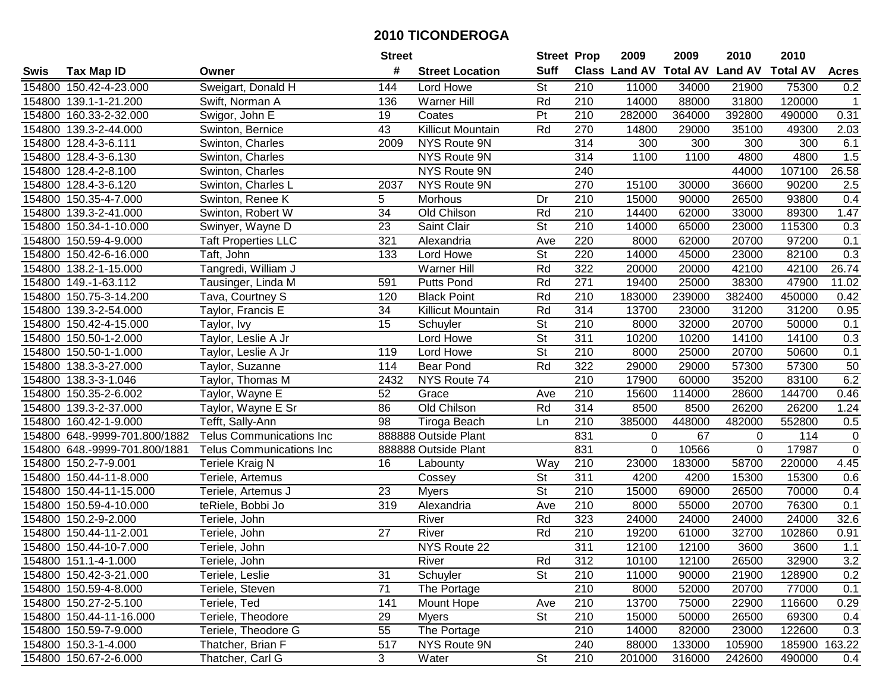|        |                               |                                 | <b>Street</b>   |                        | <b>Street Prop</b>       |                  | 2009                          | 2009   | 2010           | 2010            |                  |
|--------|-------------------------------|---------------------------------|-----------------|------------------------|--------------------------|------------------|-------------------------------|--------|----------------|-----------------|------------------|
| Swis   | <b>Tax Map ID</b>             | Owner                           | #               | <b>Street Location</b> | <b>Suff</b>              |                  | <b>Class Land AV Total AV</b> |        | <b>Land AV</b> | <b>Total AV</b> | <b>Acres</b>     |
|        | 154800 150.42-4-23.000        | Sweigart, Donald H              | 144             | Lord Howe              | St                       | 210              | 11000                         | 34000  | 21900          | 75300           | 0.2              |
|        | 154800 139.1-1-21.200         | Swift, Norman A                 | 136             | Warner Hill            | Rd                       | 210              | 14000                         | 88000  | 31800          | 120000          | $\mathbf{1}$     |
|        | 154800 160.33-2-32.000        | Swigor, John E                  | 19              | Coates                 | Pt                       | 210              | 282000                        | 364000 | 392800         | 490000          | 0.31             |
|        | 154800 139.3-2-44.000         | Swinton, Bernice                | 43              | Killicut Mountain      | Rd                       | 270              | 14800                         | 29000  | 35100          | 49300           | 2.03             |
|        | 154800 128.4-3-6.111          | Swinton, Charles                | 2009            | NYS Route 9N           |                          | 314              | 300                           | 300    | 300            | 300             | 6.1              |
|        | 154800 128.4-3-6.130          | Swinton, Charles                |                 | NYS Route 9N           |                          | 314              | 1100                          | 1100   | 4800           | 4800            | 1.5              |
|        | 154800 128.4-2-8.100          | Swinton, Charles                |                 | NYS Route 9N           |                          | 240              |                               |        | 44000          | 107100          | 26.58            |
|        | 154800 128.4-3-6.120          | Swinton, Charles L              | 2037            | NYS Route 9N           |                          | 270              | 15100                         | 30000  | 36600          | 90200           | $\overline{2.5}$ |
|        | 154800 150.35-4-7.000         | Swinton, Renee K                | 5               | Morhous                | Dr                       | 210              | 15000                         | 90000  | 26500          | 93800           | 0.4              |
|        | 154800 139.3-2-41.000         | Swinton, Robert W               | 34              | Old Chilson            | Rd                       | 210              | 14400                         | 62000  | 33000          | 89300           | 1.47             |
|        | 154800 150.34-1-10.000        | Swinyer, Wayne D                | 23              | Saint Clair            | St                       | 210              | 14000                         | 65000  | 23000          | 115300          | 0.3              |
|        | 154800 150.59-4-9.000         | <b>Taft Properties LLC</b>      | 321             | Alexandria             | Ave                      | 220              | 8000                          | 62000  | 20700          | 97200           | 0.1              |
|        | 154800 150.42-6-16.000        | Taft, John                      | 133             | Lord Howe              | $\overline{\mathsf{St}}$ | 220              | 14000                         | 45000  | 23000          | 82100           | 0.3              |
|        | 154800 138.2-1-15.000         | Tangredi, William J             |                 | Warner Hill            | Rd                       | 322              | 20000                         | 20000  | 42100          | 42100           | 26.74            |
|        | 154800 149.-1-63.112          | Tausinger, Linda M              | 591             | <b>Putts Pond</b>      | Rd                       | 271              | 19400                         | 25000  | 38300          | 47900           | 11.02            |
|        | 154800 150.75-3-14.200        | Tava, Courtney S                | 120             | <b>Black Point</b>     | Rd                       | 210              | 183000                        | 239000 | 382400         | 450000          | 0.42             |
|        | 154800 139.3-2-54.000         | Taylor, Francis E               | 34              | Killicut Mountain      | Rd                       | 314              | 13700                         | 23000  | 31200          | 31200           | 0.95             |
|        | 154800 150.42-4-15.000        | Taylor, Ivy                     | 15              | Schuyler               | $\overline{\mathsf{St}}$ | 210              | 8000                          | 32000  | 20700          | 50000           | 0.1              |
|        | 154800 150.50-1-2.000         | Taylor, Leslie A Jr             |                 | Lord Howe              | $\overline{\mathsf{St}}$ | 311              | 10200                         | 10200  | 14100          | 14100           | 0.3              |
|        | 154800 150.50-1-1.000         | Taylor, Leslie A Jr             | 119             | Lord Howe              | <b>St</b>                | 210              | 8000                          | 25000  | 20700          | 50600           | 0.1              |
|        | 154800 138.3-3-27.000         | Taylor, Suzanne                 | 114             | <b>Bear Pond</b>       | Rd                       | 322              | 29000                         | 29000  | 57300          | 57300           | 50               |
|        | 154800 138.3-3-1.046          | Taylor, Thomas M                | 2432            | NYS Route 74           |                          | 210              | 17900                         | 60000  | 35200          | 83100           | 6.2              |
| 154800 | 150.35-2-6.002                | Taylor, Wayne E                 | 52              | Grace                  | Ave                      | 210              | 15600                         | 114000 | 28600          | 144700          | 0.46             |
| 154800 | 139.3-2-37.000                | Taylor, Wayne E Sr              | 86              | Old Chilson            | Rd                       | 314              | 8500                          | 8500   | 26200          | 26200           | 1.24             |
|        | 154800 160.42-1-9.000         | Tefft, Sally-Ann                | 98              | Tiroga Beach           | Ln                       | 210              | 385000                        | 448000 | 482000         | 552800          | 0.5              |
|        | 154800 648.-9999-701.800/1882 | <b>Telus Communications Inc</b> |                 | 888888 Outside Plant   |                          | 831              | 0                             | 67     | 0              | 114             | $\mathbf 0$      |
|        | 154800 648.-9999-701.800/1881 | <b>Telus Communications Inc</b> |                 | 888888 Outside Plant   |                          | 831              | $\overline{0}$                | 10566  | $\mathbf 0$    | 17987           | $\mathbf 0$      |
|        | 154800 150.2-7-9.001          | Teriele Kraig N                 | 16              | Labounty               | Way                      | 210              | 23000                         | 183000 | 58700          | 220000          | 4.45             |
|        | 154800 150.44-11-8.000        | Teriele, Artemus                |                 | Cossey                 | $\overline{\mathsf{St}}$ | 311              | 4200                          | 4200   | 15300          | 15300           | 0.6              |
|        | 154800 150.44-11-15.000       | Teriele, Artemus J              | 23              | <b>Myers</b>           | $\overline{\mathsf{St}}$ | $\overline{210}$ | 15000                         | 69000  | 26500          | 70000           | 0.4              |
|        | 154800 150.59-4-10.000        | teRiele, Bobbi Jo               | 319             | Alexandria             | Ave                      | 210              | 8000                          | 55000  | 20700          | 76300           | 0.1              |
|        | 154800 150.2-9-2.000          | Teriele, John                   |                 | River                  | Rd                       | 323              | 24000                         | 24000  | 24000          | 24000           | 32.6             |
|        | 154800 150.44-11-2.001        | Teriele, John                   | $\overline{27}$ | <b>River</b>           | Rd                       | 210              | 19200                         | 61000  | 32700          | 102860          | 0.91             |
|        | 154800 150.44-10-7.000        | Teriele, John                   |                 | NYS Route 22           |                          | 311              | 12100                         | 12100  | 3600           | 3600            | 1.1              |
|        | 154800 151.1-4-1.000          | Teriele, John                   |                 | River                  | Rd                       | 312              | 10100                         | 12100  | 26500          | 32900           | 3.2              |
|        | 154800 150.42-3-21.000        | Teriele, Leslie                 | 31              | Schuyler               | <b>St</b>                | 210              | 11000                         | 90000  | 21900          | 128900          | 0.2              |
|        | 154800 150.59-4-8.000         | Teriele, Steven                 | 71              | The Portage            |                          | 210              | 8000                          | 52000  | 20700          | 77000           | 0.1              |
|        | 154800 150.27-2-5.100         | Teriele, Ted                    | 141             | Mount Hope             | Ave                      | 210              | 13700                         | 75000  | 22900          | 116600          | 0.29             |
|        | 154800 150.44-11-16.000       | Teriele, Theodore               | 29              | <b>Myers</b>           | <b>St</b>                | 210              | 15000                         | 50000  | 26500          | 69300           | 0.4              |
|        | 154800 150.59-7-9.000         | Teriele, Theodore G             | 55              | The Portage            |                          | 210              | 14000                         | 82000  | 23000          | 122600          | 0.3              |
|        | 154800 150.3-1-4.000          | Thatcher, Brian F               | 517             | NYS Route 9N           |                          | 240              | 88000                         | 133000 | 105900         | 185900          | 163.22           |
|        | 154800 150.67-2-6.000         | Thatcher, Carl G                | $\overline{3}$  | Water                  | $\overline{\mathsf{St}}$ | 210              | 201000                        | 316000 | 242600         | 490000          | 0.4              |
|        |                               |                                 |                 |                        |                          |                  |                               |        |                |                 |                  |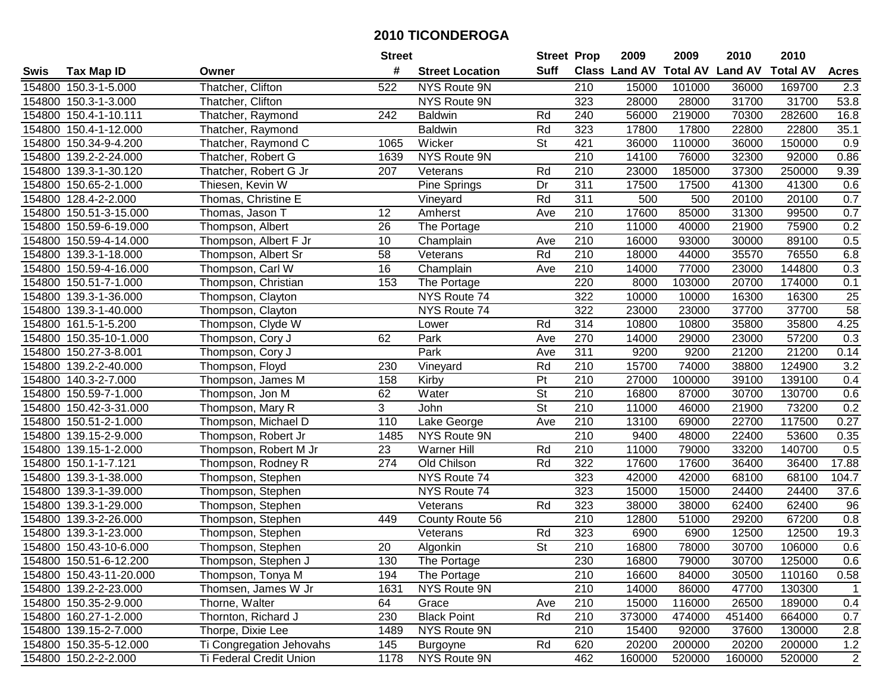|        |                         |                          | <b>Street</b> |                        | <b>Street Prop</b>       |                  | 2009                          | 2009   | 2010           | 2010            |              |
|--------|-------------------------|--------------------------|---------------|------------------------|--------------------------|------------------|-------------------------------|--------|----------------|-----------------|--------------|
| Swis   | <b>Tax Map ID</b>       | Owner                    | #             | <b>Street Location</b> | <b>Suff</b>              |                  | <b>Class Land AV Total AV</b> |        | <b>Land AV</b> | <b>Total AV</b> | <b>Acres</b> |
|        | 154800 150.3-1-5.000    | Thatcher, Clifton        | 522           | NYS Route 9N           |                          | 210              | 15000                         | 101000 | 36000          | 169700          | 2.3          |
|        | 154800 150.3-1-3.000    | Thatcher, Clifton        |               | NYS Route 9N           |                          | 323              | 28000                         | 28000  | 31700          | 31700           | 53.8         |
|        | 154800 150.4-1-10.111   | Thatcher, Raymond        | 242           | <b>Baldwin</b>         | Rd                       | 240              | 56000                         | 219000 | 70300          | 282600          | 16.8         |
|        | 154800 150.4-1-12.000   | Thatcher, Raymond        |               | <b>Baldwin</b>         | Rd                       | 323              | 17800                         | 17800  | 22800          | 22800           | 35.1         |
|        | 154800 150.34-9-4.200   | Thatcher, Raymond C      | 1065          | Wicker                 | <b>St</b>                | 421              | 36000                         | 110000 | 36000          | 150000          | 0.9          |
|        | 154800 139.2-2-24.000   | Thatcher, Robert G       | 1639          | <b>NYS Route 9N</b>    |                          | $\overline{210}$ | 14100                         | 76000  | 32300          | 92000           | 0.86         |
|        | 154800 139.3-1-30.120   | Thatcher, Robert G Jr    | 207           | Veterans               | Rd                       | 210              | 23000                         | 185000 | 37300          | 250000          | 9.39         |
| 154800 | 150.65-2-1.000          | Thiesen, Kevin W         |               | Pine Springs           | $\overline{Dr}$          | 311              | 17500                         | 17500  | 41300          | 41300           | 0.6          |
|        | 154800 128.4-2-2.000    | Thomas, Christine E      |               | Vineyard               | Rd                       | 311              | 500                           | 500    | 20100          | 20100           | 0.7          |
|        | 154800 150.51-3-15.000  | Thomas, Jason T          | 12            | Amherst                | Ave                      | 210              | 17600                         | 85000  | 31300          | 99500           | 0.7          |
|        | 154800 150.59-6-19.000  | Thompson, Albert         | 26            | The Portage            |                          | $\overline{210}$ | 11000                         | 40000  | 21900          | 75900           | 0.2          |
|        | 154800 150.59-4-14.000  | Thompson, Albert F Jr    | 10            | Champlain              | Ave                      | 210              | 16000                         | 93000  | 30000          | 89100           | 0.5          |
|        | 154800 139.3-1-18.000   | Thompson, Albert Sr      | 58            | Veterans               | Rd                       | 210              | 18000                         | 44000  | 35570          | 76550           | 6.8          |
|        | 154800 150.59-4-16.000  | Thompson, Carl W         | 16            | Champlain              | Ave                      | 210              | 14000                         | 77000  | 23000          | 144800          | 0.3          |
|        | 154800 150.51-7-1.000   | Thompson, Christian      | 153           | The Portage            |                          | 220              | 8000                          | 103000 | 20700          | 174000          | 0.1          |
|        | 154800 139.3-1-36.000   | Thompson, Clayton        |               | NYS Route 74           |                          | 322              | 10000                         | 10000  | 16300          | 16300           | $25\,$       |
|        | 154800 139.3-1-40.000   | Thompson, Clayton        |               | NYS Route 74           |                          | 322              | 23000                         | 23000  | 37700          | 37700           | 58           |
|        | 154800 161.5-1-5.200    | Thompson, Clyde W        |               | Lower                  | Rd                       | 314              | 10800                         | 10800  | 35800          | 35800           | 4.25         |
|        | 154800 150.35-10-1.000  | Thompson, Cory J         | 62            | Park                   | Ave                      | 270              | 14000                         | 29000  | 23000          | 57200           | 0.3          |
|        | 154800 150.27-3-8.001   | Thompson, Cory J         |               | Park                   | Ave                      | 311              | 9200                          | 9200   | 21200          | 21200           | 0.14         |
|        | 154800 139.2-2-40.000   | Thompson, Floyd          | 230           | Vineyard               | Rd                       | 210              | 15700                         | 74000  | 38800          | 124900          | 3.2          |
|        | 154800 140.3-2-7.000    | Thompson, James M        | 158           | Kirby                  | Pt                       | 210              | 27000                         | 100000 | 39100          | 139100          | 0.4          |
| 154800 | 150.59-7-1.000          | Thompson, Jon M          | 62            | Water                  | <b>St</b>                | 210              | 16800                         | 87000  | 30700          | 130700          | 0.6          |
| 154800 | 150.42-3-31.000         | Thompson, Mary R         | 3             | John                   | <b>St</b>                | 210              | 11000                         | 46000  | 21900          | 73200           | 0.2          |
|        | 154800 150.51-2-1.000   | Thompson, Michael D      | 110           | Lake George            | Ave                      | $\overline{210}$ | 13100                         | 69000  | 22700          | 117500          | 0.27         |
|        | 154800 139.15-2-9.000   | Thompson, Robert Jr      | 1485          | NYS Route 9N           |                          | 210              | 9400                          | 48000  | 22400          | 53600           | 0.35         |
|        | 154800 139.15-1-2.000   | Thompson, Robert M Jr    | 23            | Warner Hill            | Rd                       | 210              | 11000                         | 79000  | 33200          | 140700          | 0.5          |
|        | 154800 150.1-1-7.121    | Thompson, Rodney R       | 274           | Old Chilson            | Rd                       | 322              | 17600                         | 17600  | 36400          | 36400           | 17.88        |
|        | 154800 139.3-1-38.000   | Thompson, Stephen        |               | NYS Route 74           |                          | 323              | 42000                         | 42000  | 68100          | 68100           | 104.7        |
|        | 154800 139.3-1-39.000   | Thompson, Stephen        |               | NYS Route 74           |                          | 323              | 15000                         | 15000  | 24400          | 24400           | 37.6         |
|        | 154800 139.3-1-29.000   | Thompson, Stephen        |               | Veterans               | Rd                       | 323              | 38000                         | 38000  | 62400          | 62400           | 96           |
|        | 154800 139.3-2-26.000   | Thompson, Stephen        | 449           | County Route 56        |                          | $\overline{210}$ | 12800                         | 51000  | 29200          | 67200           | 0.8          |
| 154800 | 139.3-1-23.000          | Thompson, Stephen        |               | Veterans               | Rd                       | 323              | 6900                          | 6900   | 12500          | 12500           | 19.3         |
|        | 154800 150.43-10-6.000  | Thompson, Stephen        | 20            | Algonkin               | $\overline{\mathsf{St}}$ | $\overline{210}$ | 16800                         | 78000  | 30700          | 106000          | 0.6          |
|        | 154800 150.51-6-12.200  | Thompson, Stephen J      | 130           | The Portage            |                          | 230              | 16800                         | 79000  | 30700          | 125000          | 0.6          |
|        | 154800 150.43-11-20.000 | Thompson, Tonya M        | 194           | The Portage            |                          | 210              | 16600                         | 84000  | 30500          | 110160          | 0.58         |
|        | 154800 139.2-2-23.000   | Thomsen, James W Jr      | 1631          | NYS Route 9N           |                          | 210              | 14000                         | 86000  | 47700          | 130300          | 1            |
|        | 154800 150.35-2-9.000   | Thorne, Walter           | 64            | Grace                  | Ave                      | 210              | 15000                         | 116000 | 26500          | 189000          | 0.4          |
|        | 154800 160.27-1-2.000   | Thornton, Richard J      | 230           | <b>Black Point</b>     | Rd                       | 210              | 373000                        | 474000 | 451400         | 664000          | 0.7          |
|        | 154800 139.15-2-7.000   | Thorpe, Dixie Lee        | 1489          | NYS Route 9N           |                          | 210              | 15400                         | 92000  | 37600          | 130000          | 2.8          |
|        | 154800 150.35-5-12.000  | Ti Congregation Jehovahs | 145           | <b>Burgoyne</b>        | Rd                       | 620              | 20200                         | 200000 | 20200          | 200000          | 1.2          |
|        | 154800 150.2-2-2.000    | Ti Federal Credit Union  | 1178          | NYS Route 9N           |                          | 462              | 160000                        | 520000 | 160000         | 520000          | 2            |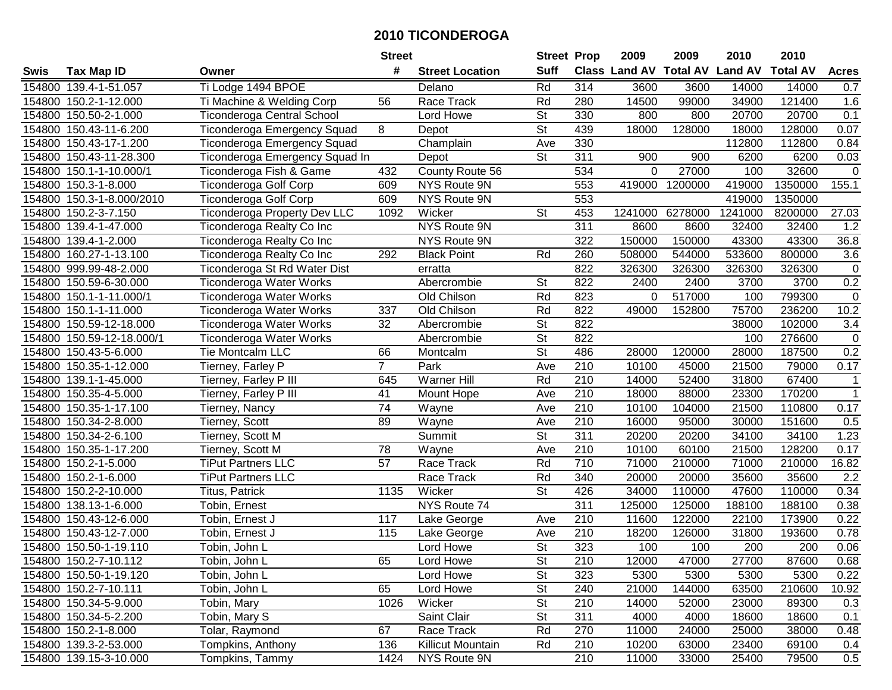|             |                           |                                     | <b>Street</b>  |                        | <b>Street Prop</b>       |                  | 2009                          | 2009    | 2010           | 2010            |              |
|-------------|---------------------------|-------------------------------------|----------------|------------------------|--------------------------|------------------|-------------------------------|---------|----------------|-----------------|--------------|
| <b>Swis</b> | <b>Tax Map ID</b>         | Owner                               | #              | <b>Street Location</b> | <b>Suff</b>              |                  | <b>Class Land AV Total AV</b> |         | <b>Land AV</b> | <b>Total AV</b> | <b>Acres</b> |
|             | 154800 139.4-1-51.057     | Ti Lodge 1494 BPOE                  |                | Delano                 | Rd                       | 314              | 3600                          | 3600    | 14000          | 14000           | 0.7          |
|             | 154800 150.2-1-12.000     | Ti Machine & Welding Corp           | 56             | Race Track             | Rd                       | 280              | 14500                         | 99000   | 34900          | 121400          | 1.6          |
|             | 154800 150.50-2-1.000     | Ticonderoga Central School          |                | Lord Howe              | <b>St</b>                | 330              | 800                           | 800     | 20700          | 20700           | 0.1          |
|             | 154800 150.43-11-6.200    | <b>Ticonderoga Emergency Squad</b>  | 8              | Depot                  | $\overline{\mathsf{St}}$ | 439              | 18000                         | 128000  | 18000          | 128000          | 0.07         |
|             | 154800 150.43-17-1.200    | <b>Ticonderoga Emergency Squad</b>  |                | Champlain              | Ave                      | 330              |                               |         | 112800         | 112800          | 0.84         |
|             | 154800 150.43-11-28.300   | Ticonderoga Emergency Squad In      |                | Depot                  | $\overline{\mathsf{St}}$ | 311              | 900                           | 900     | 6200           | 6200            | 0.03         |
|             | 154800 150.1-1-10.000/1   | Ticonderoga Fish & Game             | 432            | County Route 56        |                          | 534              | 0                             | 27000   | 100            | 32600           | $\mathbf 0$  |
|             | 154800 150.3-1-8.000      | <b>Ticonderoga Golf Corp</b>        | 609            | NYS Route 9N           |                          | 553              | 419000                        | 1200000 | 419000         | 1350000         | 155.1        |
|             | 154800 150.3-1-8.000/2010 | <b>Ticonderoga Golf Corp</b>        | 609            | NYS Route 9N           |                          | 553              |                               |         | 419000         | 1350000         |              |
|             | 154800 150.2-3-7.150      | <b>Ticonderoga Property Dev LLC</b> | 1092           | Wicker                 | <b>St</b>                | 453              | 1241000                       | 6278000 | 1241000        | 8200000         | 27.03        |
|             | 154800 139.4-1-47.000     | Ticonderoga Realty Co Inc           |                | NYS Route 9N           |                          | 311              | 8600                          | 8600    | 32400          | 32400           | 1.2          |
|             | 154800 139.4-1-2.000      | Ticonderoga Realty Co Inc           |                | NYS Route 9N           |                          | 322              | 150000                        | 150000  | 43300          | 43300           | 36.8         |
|             | 154800 160.27-1-13.100    | Ticonderoga Realty Co Inc           | 292            | <b>Black Point</b>     | Rd                       | 260              | 508000                        | 544000  | 533600         | 800000          | 3.6          |
|             | 154800 999.99-48-2.000    | Ticonderoga St Rd Water Dist        |                | erratta                |                          | 822              | 326300                        | 326300  | 326300         | 326300          | $\mathbf 0$  |
|             | 154800 150.59-6-30.000    | Ticonderoga Water Works             |                | Abercrombie            | <b>St</b>                | 822              | 2400                          | 2400    | 3700           | 3700            | 0.2          |
|             | 154800 150.1-1-11.000/1   | Ticonderoga Water Works             |                | Old Chilson            | Rd                       | 823              | 0                             | 517000  | 100            | 799300          | $\mathbf 0$  |
|             | 154800 150.1-1-11.000     | Ticonderoga Water Works             | 337            | Old Chilson            | Rd                       | 822              | 49000                         | 152800  | 75700          | 236200          | 10.2         |
|             | 154800 150.59-12-18.000   | <b>Ticonderoga Water Works</b>      | 32             | Abercrombie            | $\overline{\mathsf{St}}$ | 822              |                               |         | 38000          | 102000          | 3.4          |
|             | 154800 150.59-12-18.000/1 | Ticonderoga Water Works             |                | Abercrombie            | $\overline{\mathsf{St}}$ | 822              |                               |         | 100            | 276600          | $\mathbf 0$  |
|             | 154800 150.43-5-6.000     | Tie Montcalm LLC                    | 66             | Montcalm               | <b>St</b>                | 486              | 28000                         | 120000  | 28000          | 187500          | 0.2          |
|             | 154800 150.35-1-12.000    | Tierney, Farley P                   | $\overline{7}$ | Park                   | Ave                      | 210              | 10100                         | 45000   | 21500          | 79000           | 0.17         |
| 154800      | 139.1-1-45.000            | Tierney, Farley P III               | 645            | Warner Hill            | Rd                       | 210              | 14000                         | 52400   | 31800          | 67400           | $\mathbf{1}$ |
| 154800      | 150.35-4-5.000            | Tierney, Farley P III               | 41             | Mount Hope             | Ave                      | 210              | 18000                         | 88000   | 23300          | 170200          | $\mathbf{1}$ |
|             | 154800 150.35-1-17.100    | Tierney, Nancy                      | 74             | Wayne                  | Ave                      | 210              | 10100                         | 104000  | 21500          | 110800          | 0.17         |
| 154800      | 150.34-2-8.000            | Tierney, Scott                      | 89             | Wayne                  | Ave                      | $\overline{210}$ | 16000                         | 95000   | 30000          | 151600          | 0.5          |
|             | 154800 150.34-2-6.100     | Tierney, Scott M                    |                | Summit                 | $\overline{\mathsf{St}}$ | 311              | 20200                         | 20200   | 34100          | 34100           | 1.23         |
|             | 154800 150.35-1-17.200    | Tierney, Scott M                    | 78             | Wayne                  | Ave                      | 210              | 10100                         | 60100   | 21500          | 128200          | 0.17         |
|             | 154800 150.2-1-5.000      | <b>TiPut Partners LLC</b>           | 57             | Race Track             | Rd                       | 710              | 71000                         | 210000  | 71000          | 210000          | 16.82        |
|             | 154800 150.2-1-6.000      | <b>TiPut Partners LLC</b>           |                | Race Track             | Rd                       | 340              | 20000                         | 20000   | 35600          | 35600           | 2.2          |
|             | 154800 150.2-2-10.000     | Titus, Patrick                      | 1135           | Wicker                 | $\overline{\mathsf{St}}$ | 426              | 34000                         | 110000  | 47600          | 110000          | 0.34         |
|             | 154800 138.13-1-6.000     | Tobin, Ernest                       |                | NYS Route 74           |                          | 311              | 125000                        | 125000  | 188100         | 188100          | 0.38         |
|             | 154800 150.43-12-6.000    | Tobin, Ernest J                     | 117            | Lake George            | Ave                      | 210              | 11600                         | 122000  | 22100          | 173900          | 0.22         |
|             | 154800 150.43-12-7.000    | Tobin, Ernest J                     | 115            | Lake George            | Ave                      | $\overline{210}$ | 18200                         | 126000  | 31800          | 193600          | 0.78         |
|             | 154800 150.50-1-19.110    | Tobin, John L                       |                | Lord Howe              | $\overline{\mathsf{St}}$ | 323              | 100                           | 100     | 200            | 200             | 0.06         |
|             | 154800 150.2-7-10.112     | Tobin, John L                       | 65             | Lord Howe              | St                       | 210              | 12000                         | 47000   | 27700          | 87600           | 0.68         |
|             | 154800 150.50-1-19.120    | Tobin, John L                       |                | Lord Howe              | <b>St</b>                | 323              | 5300                          | 5300    | 5300           | 5300            | 0.22         |
|             | 154800 150.2-7-10.111     | Tobin, John L                       | 65             | Lord Howe              | <b>St</b>                | 240              | 21000                         | 144000  | 63500          | 210600          | 10.92        |
|             | 154800 150.34-5-9.000     | Tobin, Mary                         | 1026           | Wicker                 | <b>St</b>                | 210              | 14000                         | 52000   | 23000          | 89300           | 0.3          |
|             | 154800 150.34-5-2.200     | Tobin, Mary S                       |                | Saint Clair            | <b>St</b>                | 311              | 4000                          | 4000    | 18600          | 18600           | 0.1          |
|             | 154800 150.2-1-8.000      | Tolar, Raymond                      | 67             | Race Track             | Rd                       | 270              | 11000                         | 24000   | 25000          | 38000           | 0.48         |
|             | 154800 139.3-2-53.000     | Tompkins, Anthony                   | 136            | Killicut Mountain      | Rd                       | 210              | 10200                         | 63000   | 23400          | 69100           | 0.4          |
|             | 154800 139.15-3-10.000    | Tompkins, Tammy                     | 1424           | NYS Route 9N           |                          | 210              | 11000                         | 33000   | 25400          | 79500           | 0.5          |
|             |                           |                                     |                |                        |                          |                  |                               |         |                |                 |              |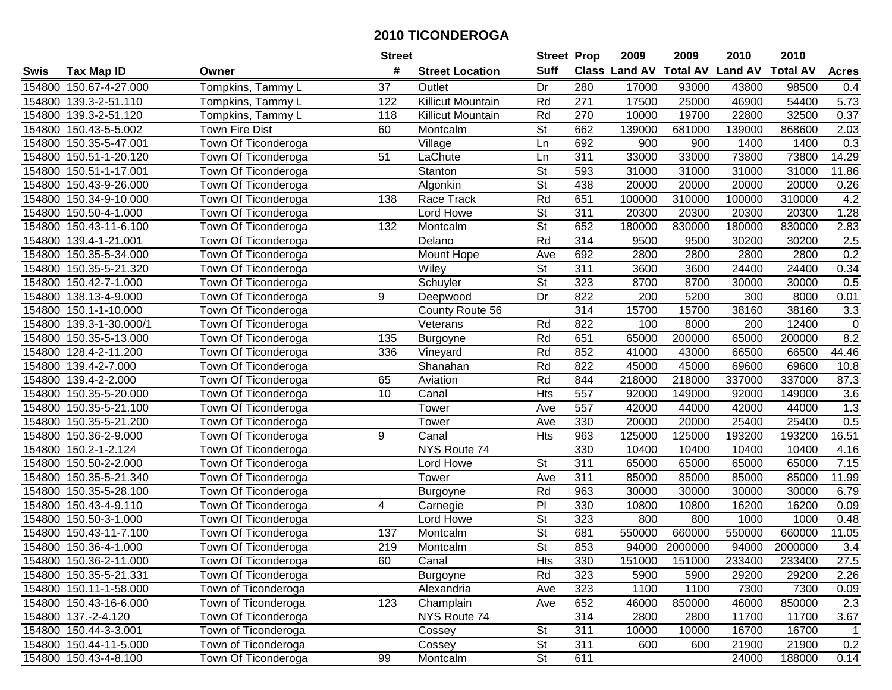|        |                        |                       | <b>Street</b> |                          | <b>Street Prop</b>       |                  | 2009                 | 2009            | 2010           | 2010            |              |
|--------|------------------------|-----------------------|---------------|--------------------------|--------------------------|------------------|----------------------|-----------------|----------------|-----------------|--------------|
| Swis   | <b>Tax Map ID</b>      | Owner                 | #             | <b>Street Location</b>   | <b>Suff</b>              |                  | <b>Class Land AV</b> | <b>Total AV</b> | <b>Land AV</b> | <b>Total AV</b> | <b>Acres</b> |
|        | 154800 150.67-4-27.000 | Tompkins, Tammy L     | 37            | Outlet                   | Dr                       | 280              | 17000                | 93000           | 43800          | 98500           | 0.4          |
|        | 154800 139.3-2-51.110  | Tompkins, Tammy L     | 122           | <b>Killicut Mountain</b> | Rd                       | 271              | 17500                | 25000           | 46900          | 54400           | 5.73         |
|        | 154800 139.3-2-51.120  | Tompkins, Tammy L     | 118           | <b>Killicut Mountain</b> | Rd                       | 270              | 10000                | 19700           | 22800          | 32500           | 0.37         |
|        | 154800 150.43-5-5.002  | <b>Town Fire Dist</b> | 60            | Montcalm                 | St                       | 662              | 139000               | 681000          | 139000         | 868600          | 2.03         |
|        | 154800 150.35-5-47.001 | Town Of Ticonderoga   |               | Village                  | Ln                       | 692              | 900                  | 900             | 1400           | 1400            | 0.3          |
| 154800 | 150.51-1-20.120        | Town Of Ticonderoga   | 51            | LaChute                  | Ln                       | 311              | 33000                | 33000           | 73800          | 73800           | 14.29        |
| 154800 | 150.51-1-17.001        | Town Of Ticonderoga   |               | Stanton                  | $\overline{\mathsf{St}}$ | 593              | 31000                | 31000           | 31000          | 31000           | 11.86        |
| 154800 | 150.43-9-26.000        | Town Of Ticonderoga   |               | Algonkin                 | $\overline{\mathsf{St}}$ | 438              | 20000                | 20000           | 20000          | 20000           | 0.26         |
| 154800 | 150.34-9-10.000        | Town Of Ticonderoga   | 138           | Race Track               | Rd                       | 651              | 100000               | 310000          | 100000         | 310000          | 4.2          |
| 154800 | 150.50-4-1.000         | Town Of Ticonderoga   |               | Lord Howe                | $\overline{\mathsf{St}}$ | 311              | 20300                | 20300           | 20300          | 20300           | 1.28         |
|        | 154800 150.43-11-6.100 | Town Of Ticonderoga   | 132           | Montcalm                 | St                       | 652              | 180000               | 830000          | 180000         | 830000          | 2.83         |
|        | 154800 139.4-1-21.001  | Town Of Ticonderoga   |               | Delano                   | Rd                       | 314              | 9500                 | 9500            | 30200          | 30200           | 2.5          |
| 154800 | 150.35-5-34.000        | Town Of Ticonderoga   |               | Mount Hope               | Ave                      | 692              | 2800                 | 2800            | 2800           | 2800            | 0.2          |
| 154800 | 150.35-5-21.320        | Town Of Ticonderoga   |               | Wiley                    | <b>St</b>                | 311              | 3600                 | 3600            | 24400          | 24400           | 0.34         |
| 154800 | 150.42-7-1.000         | Town Of Ticonderoga   |               | Schuyler                 | $\overline{\mathsf{St}}$ | 323              | 8700                 | 8700            | 30000          | 30000           | 0.5          |
| 154800 | 138.13-4-9.000         | Town Of Ticonderoga   | 9             | Deepwood                 | Dr                       | 822              | 200                  | 5200            | 300            | 8000            | 0.01         |
| 154800 | 150.1-1-10.000         | Town Of Ticonderoga   |               | County Route 56          |                          | 314              | 15700                | 15700           | 38160          | 38160           | 3.3          |
| 154800 | 139.3-1-30.000/1       | Town Of Ticonderoga   |               | Veterans                 | Rd                       | 822              | 100                  | 8000            | 200            | 12400           | $\pmb{0}$    |
| 154800 | 150.35-5-13.000        | Town Of Ticonderoga   | 135           | Burgoyne                 | Rd                       | 651              | 65000                | 200000          | 65000          | 200000          | 8.2          |
| 154800 | 128.4-2-11.200         | Town Of Ticonderoga   | 336           | Vineyard                 | Rd                       | 852              | 41000                | 43000           | 66500          | 66500           | 44.46        |
| 154800 | 139.4-2-7.000          | Town Of Ticonderoga   |               | Shanahan                 | Rd                       | 822              | 45000                | 45000           | 69600          | 69600           | 10.8         |
| 154800 | 139.4-2-2.000          | Town Of Ticonderoga   | 65            | Aviation                 | Rd                       | 844              | 218000               | 218000          | 337000         | 337000          | 87.3         |
| 154800 | 150.35-5-20.000        | Town Of Ticonderoga   | 10            | Canal                    | Hts                      | 557              | 92000                | 149000          | 92000          | 149000          | 3.6          |
| 154800 | 150.35-5-21.100        | Town Of Ticonderoga   |               | Tower                    | Ave                      | 557              | 42000                | 44000           | 42000          | 44000           | 1.3          |
| 154800 | 150.35-5-21.200        | Town Of Ticonderoga   |               | Tower                    | Ave                      | 330              | 20000                | 20000           | 25400          | 25400           | 0.5          |
| 154800 | 150.36-2-9.000         | Town Of Ticonderoga   | 9             | Canal                    | <b>Hts</b>               | 963              | 125000               | 125000          | 193200         | 193200          | 16.51        |
| 154800 | 150.2-1-2.124          | Town Of Ticonderoga   |               | NYS Route 74             |                          | 330              | 10400                | 10400           | 10400          | 10400           | 4.16         |
|        | 154800 150.50-2-2.000  | Town Of Ticonderoga   |               | Lord Howe                | St                       | 311              | 65000                | 65000           | 65000          | 65000           | 7.15         |
|        | 154800 150.35-5-21.340 | Town Of Ticonderoga   |               | Tower                    | Ave                      | $\overline{311}$ | 85000                | 85000           | 85000          | 85000           | 11.99        |
| 154800 | 150.35-5-28.100        | Town Of Ticonderoga   |               | Burgoyne                 | Rd                       | 963              | 30000                | 30000           | 30000          | 30000           | 6.79         |
| 154800 | 150.43-4-9.110         | Town Of Ticonderoga   | 4             | Carnegie                 | $\overline{P}$           | 330              | 10800                | 10800           | 16200          | 16200           | 0.09         |
|        | 154800 150.50-3-1.000  | Town Of Ticonderoga   |               | Lord Howe                | $\overline{\mathsf{St}}$ | 323              | 800                  | 800             | 1000           | 1000            | 0.48         |
| 154800 | 150.43-11-7.100        | Town Of Ticonderoga   | 137           | Montcalm                 | $\overline{\mathsf{St}}$ | 681              | 550000               | 660000          | 550000         | 660000          | 11.05        |
|        | 154800 150.36-4-1.000  | Town Of Ticonderoga   | 219           | Montcalm                 | $\overline{\mathsf{St}}$ | 853              | 94000                | 2000000         | 94000          | 2000000         | 3.4          |
|        | 154800 150.36-2-11.000 | Town Of Ticonderoga   | 60            | Canal                    | Hts                      | 330              | 151000               | 151000          | 233400         | 233400          | 27.5         |
|        | 154800 150.35-5-21.331 | Town Of Ticonderoga   |               | Burgoyne                 | Rd                       | 323              | 5900                 | 5900            | 29200          | 29200           | 2.26         |
|        | 154800 150.11-1-58.000 | Town of Ticonderoga   |               | Alexandria               | Ave                      | 323              | 1100                 | 1100            | 7300           | 7300            | 0.09         |
|        | 154800 150.43-16-6.000 | Town of Ticonderoga   | 123           | Champlain                | Ave                      | 652              | 46000                | 850000          | 46000          | 850000          | 2.3          |
|        | 154800 137.-2-4.120    | Town Of Ticonderoga   |               | NYS Route 74             |                          | 314              | 2800                 | 2800            | 11700          | 11700           | 3.67         |
|        | 154800 150.44-3-3.001  | Town of Ticonderoga   |               | Cossey                   | <b>St</b>                | 311              | 10000                | 10000           | 16700          | 16700           | 1            |
|        | 154800 150.44-11-5.000 | Town of Ticonderoga   |               | Cossey                   | <b>St</b>                | 311              | 600                  | 600             | 21900          | 21900           | 0.2          |
|        | 154800 150.43-4-8.100  | Town Of Ticonderoga   | 99            | Montcalm                 | $\overline{\mathsf{St}}$ | 611              |                      |                 | 24000          | 188000          | 0.14         |
|        |                        |                       |               |                          |                          |                  |                      |                 |                |                 |              |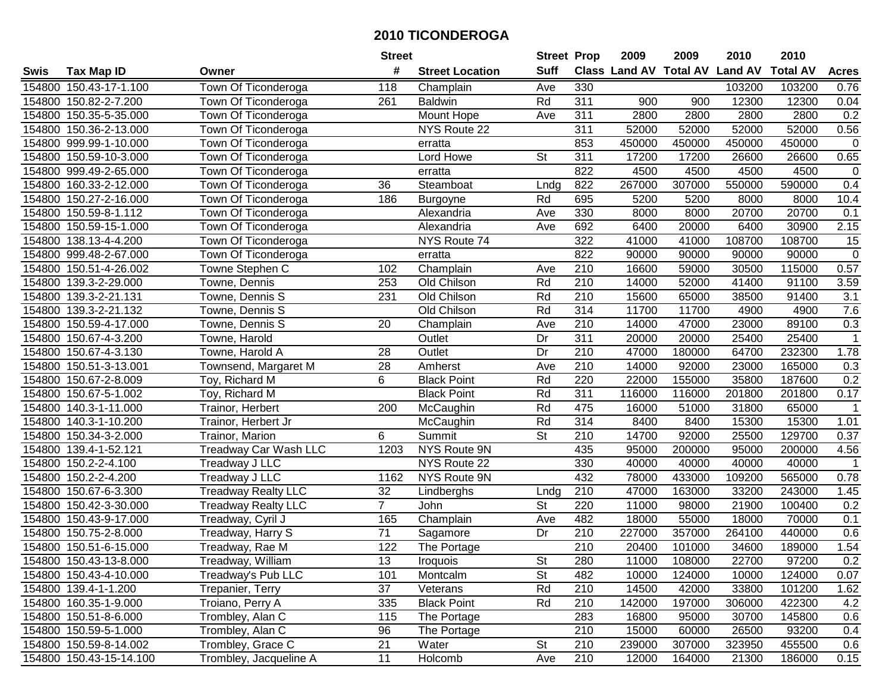|        |                         |                            | <b>Street</b>   |                        | <b>Street Prop</b>       |                  | 2009                          | 2009   | 2010           | 2010            |                |
|--------|-------------------------|----------------------------|-----------------|------------------------|--------------------------|------------------|-------------------------------|--------|----------------|-----------------|----------------|
| Swis   | <b>Tax Map ID</b>       | Owner                      | #               | <b>Street Location</b> | <b>Suff</b>              |                  | <b>Class Land AV Total AV</b> |        | <b>Land AV</b> | <b>Total AV</b> | <b>Acres</b>   |
|        | 154800 150.43-17-1.100  | Town Of Ticonderoga        | 118             | Champlain              | Ave                      | 330              |                               |        | 103200         | 103200          | 0.76           |
|        | 154800 150.82-2-7.200   | Town Of Ticonderoga        | 261             | <b>Baldwin</b>         | Rd                       | 311              | 900                           | 900    | 12300          | 12300           | 0.04           |
|        | 154800 150.35-5-35.000  | Town Of Ticonderoga        |                 | Mount Hope             | Ave                      | 311              | 2800                          | 2800   | 2800           | 2800            | 0.2            |
|        | 154800 150.36-2-13.000  | Town Of Ticonderoga        |                 | NYS Route 22           |                          | 311              | 52000                         | 52000  | 52000          | 52000           | 0.56           |
|        | 154800 999.99-1-10.000  | Town Of Ticonderoga        |                 | erratta                |                          | 853              | 450000                        | 450000 | 450000         | 450000          | $\mathbf 0$    |
|        | 154800 150.59-10-3.000  | Town Of Ticonderoga        |                 | Lord Howe              | $\overline{\mathsf{St}}$ | 311              | 17200                         | 17200  | 26600          | 26600           | 0.65           |
|        | 154800 999.49-2-65.000  | Town Of Ticonderoga        |                 | erratta                |                          | 822              | 4500                          | 4500   | 4500           | 4500            | $\overline{0}$ |
| 154800 | 160.33-2-12.000         | Town Of Ticonderoga        | $\overline{36}$ | Steamboat              | Lndg                     | 822              | 267000                        | 307000 | 550000         | 590000          | 0.4            |
|        | 154800 150.27-2-16.000  | Town Of Ticonderoga        | 186             | Burgoyne               | Rd                       | 695              | 5200                          | 5200   | 8000           | 8000            | 10.4           |
|        | 154800 150.59-8-1.112   | Town Of Ticonderoga        |                 | Alexandria             | Ave                      | 330              | 8000                          | 8000   | 20700          | 20700           | 0.1            |
|        | 154800 150.59-15-1.000  | Town Of Ticonderoga        |                 | Alexandria             | Ave                      | 692              | 6400                          | 20000  | 6400           | 30900           | 2.15           |
|        | 154800 138.13-4-4.200   | Town Of Ticonderoga        |                 | NYS Route 74           |                          | 322              | 41000                         | 41000  | 108700         | 108700          | 15             |
|        | 154800 999.48-2-67.000  | Town Of Ticonderoga        |                 | erratta                |                          | 822              | 90000                         | 90000  | 90000          | 90000           | $\mathsf 0$    |
|        | 154800 150.51-4-26.002  | Towne Stephen C            | 102             | Champlain              | Ave                      | 210              | 16600                         | 59000  | 30500          | 115000          | 0.57           |
|        | 154800 139.3-2-29.000   | Towne, Dennis              | 253             | Old Chilson            | Rd                       | 210              | 14000                         | 52000  | 41400          | 91100           | 3.59           |
| 154800 | 139.3-2-21.131          | Towne, Dennis S            | 231             | Old Chilson            | Rd                       | 210              | 15600                         | 65000  | 38500          | 91400           | 3.1            |
|        | 154800 139.3-2-21.132   | Towne, Dennis S            |                 | Old Chilson            | Rd                       | 314              | 11700                         | 11700  | 4900           | 4900            | 7.6            |
|        | 154800 150.59-4-17.000  | Towne, Dennis S            | 20              | Champlain              | Ave                      | 210              | 14000                         | 47000  | 23000          | 89100           | 0.3            |
|        | 154800 150.67-4-3.200   | Towne, Harold              |                 | Outlet                 | Dr                       | 311              | 20000                         | 20000  | 25400          | 25400           | $\mathbf{1}$   |
|        | 154800 150.67-4-3.130   | Towne, Harold A            | 28              | Outlet                 | Dr                       | 210              | 47000                         | 180000 | 64700          | 232300          | 1.78           |
|        | 154800 150.51-3-13.001  | Townsend, Margaret M       | 28              | Amherst                | Ave                      | 210              | 14000                         | 92000  | 23000          | 165000          | 0.3            |
| 154800 | 150.67-2-8.009          | Toy, Richard M             | 6               | <b>Black Point</b>     | Rd                       | 220              | 22000                         | 155000 | 35800          | 187600          | 0.2            |
| 154800 | 150.67-5-1.002          | Toy, Richard M             |                 | <b>Black Point</b>     | Rd                       | 311              | 116000                        | 116000 | 201800         | 201800          | 0.17           |
| 154800 | 140.3-1-11.000          | Trainor, Herbert           | 200             | McCaughin              | Rd                       | 475              | 16000                         | 51000  | 31800          | 65000           | $\mathbf{1}$   |
|        | 154800 140.3-1-10.200   | Trainor, Herbert Jr        |                 | McCaughin              | Rd                       | 314              | 8400                          | 8400   | 15300          | 15300           | 1.01           |
|        | 154800 150.34-3-2.000   | Trainor, Marion            | 6               | Summit                 | $\overline{\mathsf{St}}$ | 210              | 14700                         | 92000  | 25500          | 129700          | 0.37           |
|        | 154800 139.4-1-52.121   | Treadway Car Wash LLC      | 1203            | NYS Route 9N           |                          | 435              | 95000                         | 200000 | 95000          | 200000          | 4.56           |
|        | 154800 150.2-2-4.100    | Treadway J LLC             |                 | NYS Route 22           |                          | 330              | 40000                         | 40000  | 40000          | 40000           |                |
|        | 154800 150.2-2-4.200    | Treadway J LLC             | 1162            | NYS Route 9N           |                          | 432              | 78000                         | 433000 | 109200         | 565000          | 0.78           |
|        | 154800 150.67-6-3.300   | <b>Treadway Realty LLC</b> | 32              | Lindberghs             | Lndg                     | 210              | 47000                         | 163000 | 33200          | 243000          | 1.45           |
|        | 154800 150.42-3-30.000  | <b>Treadway Realty LLC</b> | $\overline{7}$  | John                   | $\overline{\mathsf{St}}$ | 220              | 11000                         | 98000  | 21900          | 100400          | 0.2            |
|        | 154800 150.43-9-17.000  | Treadway, Cyril J          | 165             | Champlain              | Ave                      | 482              | 18000                         | 55000  | 18000          | 70000           | 0.1            |
| 154800 | 150.75-2-8.000          | Treadway, Harry S          | $\overline{71}$ | Sagamore               | Dr                       | 210              | 227000                        | 357000 | 264100         | 440000          | 0.6            |
|        | 154800 150.51-6-15.000  | Treadway, Rae M            | 122             | The Portage            |                          | $\overline{210}$ | 20400                         | 101000 | 34600          | 189000          | 1.54           |
|        | 154800 150.43-13-8.000  | Treadway, William          | 13              | <b>Iroquois</b>        | St                       | 280              | 11000                         | 108000 | 22700          | 97200           | 0.2            |
|        | 154800 150.43-4-10.000  | Treadway's Pub LLC         | 101             | Montcalm               | <b>St</b>                | 482              | 10000                         | 124000 | 10000          | 124000          | 0.07           |
|        | 154800 139.4-1-1.200    | Trepanier, Terry           | 37              | Veterans               | Rd                       | 210              | 14500                         | 42000  | 33800          | 101200          | 1.62           |
|        | 154800 160.35-1-9.000   | Troiano, Perry A           | 335             | <b>Black Point</b>     | Rd                       | 210              | 142000                        | 197000 | 306000         | 422300          | 4.2            |
|        | 154800 150.51-8-6.000   | Trombley, Alan C           | 115             | The Portage            |                          | 283              | 16800                         | 95000  | 30700          | 145800          | 0.6            |
|        | 154800 150.59-5-1.000   | Trombley, Alan C           | 96              | The Portage            |                          | 210              | 15000                         | 60000  | 26500          | 93200           | 0.4            |
|        | 154800 150.59-8-14.002  | Trombley, Grace C          | 21              | Water                  | <b>St</b>                | 210              | 239000                        | 307000 | 323950         | 455500          | 0.6            |
|        | 154800 150.43-15-14.100 | Trombley, Jacqueline A     | 11              | Holcomb                | Ave                      | 210              | 12000                         | 164000 | 21300          | 186000          | 0.15           |
|        |                         |                            |                 |                        |                          |                  |                               |        |                |                 |                |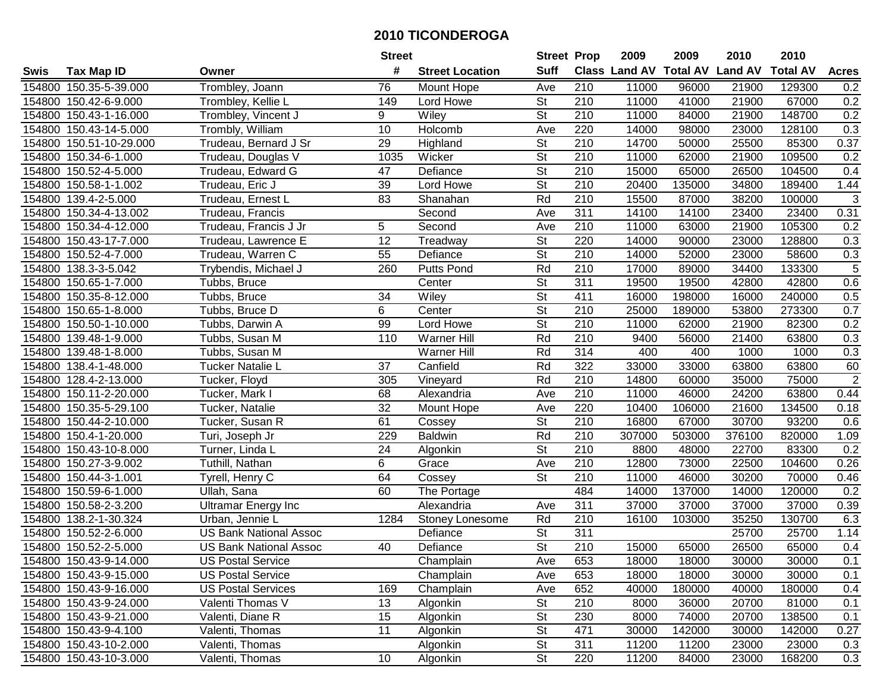|        |                         |                               | <b>Street</b>   |                        | <b>Street Prop</b>       |                  | 2009                          | 2009   | 2010           | 2010            |                |
|--------|-------------------------|-------------------------------|-----------------|------------------------|--------------------------|------------------|-------------------------------|--------|----------------|-----------------|----------------|
| Swis   | <b>Tax Map ID</b>       | Owner                         | #               | <b>Street Location</b> | <b>Suff</b>              |                  | <b>Class Land AV Total AV</b> |        | <b>Land AV</b> | <b>Total AV</b> | <b>Acres</b>   |
|        | 154800 150.35-5-39.000  | Trombley, Joann               | 76              | Mount Hope             | Ave                      | 210              | 11000                         | 96000  | 21900          | 129300          | 0.2            |
|        | 154800 150.42-6-9.000   | Trombley, Kellie L            | 149             | Lord Howe              | <b>St</b>                | 210              | 11000                         | 41000  | 21900          | 67000           | 0.2            |
|        | 154800 150.43-1-16.000  | Trombley, Vincent J           | 9               | Wiley                  | <b>St</b>                | 210              | 11000                         | 84000  | 21900          | 148700          | 0.2            |
|        | 154800 150.43-14-5.000  | Trombly, William              | 10              | Holcomb                | Ave                      | 220              | 14000                         | 98000  | 23000          | 128100          | 0.3            |
|        | 154800 150.51-10-29.000 | Trudeau, Bernard J Sr         | 29              | Highland               | <b>St</b>                | 210              | 14700                         | 50000  | 25500          | 85300           | 0.37           |
|        | 154800 150.34-6-1.000   | Trudeau, Douglas V            | 1035            | Wicker                 | $\overline{\mathsf{St}}$ | 210              | 11000                         | 62000  | 21900          | 109500          | 0.2            |
|        | 154800 150.52-4-5.000   | Trudeau, Edward G             | 47              | Defiance               | <b>St</b>                | 210              | 15000                         | 65000  | 26500          | 104500          | 0.4            |
| 154800 | 150.58-1-1.002          | Trudeau, Eric J               | $\overline{39}$ | Lord Howe              | $\overline{\mathsf{St}}$ | 210              | 20400                         | 135000 | 34800          | 189400          | 1.44           |
|        | 154800 139.4-2-5.000    | Trudeau, Ernest L             | 83              | Shanahan               | Rd                       | $\overline{210}$ | 15500                         | 87000  | 38200          | 100000          | $\sqrt{3}$     |
|        | 154800 150.34-4-13.002  | Trudeau, Francis              |                 | Second                 | Ave                      | 311              | 14100                         | 14100  | 23400          | 23400           | 0.31           |
|        | 154800 150.34-4-12.000  | Trudeau, Francis J Jr         | 5               | Second                 | Ave                      | 210              | 11000                         | 63000  | 21900          | 105300          | 0.2            |
|        | 154800 150.43-17-7.000  | Trudeau, Lawrence E           | 12              | Treadway               | <b>St</b>                | 220              | 14000                         | 90000  | 23000          | 128800          | 0.3            |
|        | 154800 150.52-4-7.000   | Trudeau, Warren C             | 55              | Defiance               | $\overline{\mathsf{St}}$ | 210              | 14000                         | 52000  | 23000          | 58600           | 0.3            |
|        | 154800 138.3-3-5.042    | Trybendis, Michael J          | 260             | <b>Putts Pond</b>      | Rd                       | 210              | 17000                         | 89000  | 34400          | 133300          | 5              |
|        | 154800 150.65-1-7.000   | Tubbs, Bruce                  |                 | Center                 | $\overline{\mathsf{St}}$ | 311              | 19500                         | 19500  | 42800          | 42800           | 0.6            |
|        | 154800 150.35-8-12.000  | Tubbs, Bruce                  | 34              | Wiley                  | $\overline{\mathsf{St}}$ | 411              | 16000                         | 198000 | 16000          | 240000          | 0.5            |
|        | 154800 150.65-1-8.000   | Tubbs, Bruce D                | 6               | Center                 | $\overline{St}$          | $\overline{210}$ | 25000                         | 189000 | 53800          | 273300          | 0.7            |
|        | 154800 150.50-1-10.000  | Tubbs, Darwin A               | 99              | Lord Howe              | $\overline{\mathsf{St}}$ | 210              | 11000                         | 62000  | 21900          | 82300           | 0.2            |
|        | 154800 139.48-1-9.000   | Tubbs, Susan M                | 110             | Warner Hill            | Rd                       | 210              | 9400                          | 56000  | 21400          | 63800           | 0.3            |
|        | 154800 139.48-1-8.000   | Tubbs, Susan M                |                 | Warner Hill            | Rd                       | 314              | 400                           | 400    | 1000           | 1000            | 0.3            |
|        | 154800 138.4-1-48.000   | Tucker Natalie L              | 37              | Canfield               | Rd                       | 322              | 33000                         | 33000  | 63800          | 63800           | 60             |
|        | 154800 128.4-2-13.000   | Tucker, Floyd                 | 305             | Vineyard               | Rd                       | 210              | 14800                         | 60000  | 35000          | 75000           | $\overline{2}$ |
| 154800 | 150.11-2-20.000         | Tucker, Mark I                | 68              | Alexandria             | Ave                      | 210              | 11000                         | 46000  | 24200          | 63800           | 0.44           |
| 154800 | 150.35-5-29.100         | Tucker, Natalie               | 32              | Mount Hope             | Ave                      | 220              | 10400                         | 106000 | 21600          | 134500          | 0.18           |
| 154800 | 150.44-2-10.000         | Tucker, Susan R               | 61              | Cossey                 | $\overline{\mathsf{St}}$ | $\overline{210}$ | 16800                         | 67000  | 30700          | 93200           | 0.6            |
|        | 154800 150.4-1-20.000   | Turi, Joseph Jr               | 229             | <b>Baldwin</b>         | Rd                       | 210              | 307000                        | 503000 | 376100         | 820000          | 1.09           |
|        | 154800 150.43-10-8.000  | Turner, Linda L               | 24              | Algonkin               | $\overline{\mathsf{St}}$ | 210              | 8800                          | 48000  | 22700          | 83300           | 0.2            |
|        | 154800 150.27-3-9.002   | Tuthill, Nathan               | 6               | Grace                  | Ave                      | 210              | 12800                         | 73000  | 22500          | 104600          | 0.26           |
|        | 154800 150.44-3-1.001   | Tyrell, Henry C               | 64              | Cossey                 | $\overline{\mathsf{St}}$ | 210              | 11000                         | 46000  | 30200          | 70000           | 0.46           |
|        | 154800 150.59-6-1.000   | Ullah, Sana                   | 60              | The Portage            |                          | 484              | 14000                         | 137000 | 14000          | 120000          | 0.2            |
|        | 154800 150.58-2-3.200   | <b>Ultramar Energy Inc</b>    |                 | Alexandria             | Ave                      | 311              | 37000                         | 37000  | 37000          | 37000           | 0.39           |
|        | 154800 138.2-1-30.324   | Urban, Jennie L               | 1284            | Stoney Lonesome        | Rd                       | 210              | 16100                         | 103000 | 35250          | 130700          | 6.3            |
|        | 154800 150.52-2-6.000   | <b>US Bank National Assoc</b> |                 | Defiance               | $\overline{\mathsf{St}}$ | 311              |                               |        | 25700          | 25700           | 1.14           |
|        | 154800 150.52-2-5.000   | <b>US Bank National Assoc</b> | 40              | Defiance               | $\overline{\mathsf{St}}$ | $\overline{210}$ | 15000                         | 65000  | 26500          | 65000           | 0.4            |
|        | 154800 150.43-9-14.000  | <b>US Postal Service</b>      |                 | Champlain              | Ave                      | 653              | 18000                         | 18000  | 30000          | 30000           | 0.1            |
|        | 154800 150.43-9-15.000  | <b>US Postal Service</b>      |                 | Champlain              | Ave                      | 653              | 18000                         | 18000  | 30000          | 30000           | 0.1            |
|        | 154800 150.43-9-16.000  | <b>US Postal Services</b>     | 169             | Champlain              | Ave                      | 652              | 40000                         | 180000 | 40000          | 180000          | 0.4            |
|        | 154800 150.43-9-24.000  | Valenti Thomas V              | 13              | Algonkin               | <b>St</b>                | 210              | 8000                          | 36000  | 20700          | 81000           | 0.1            |
|        | 154800 150.43-9-21.000  | Valenti, Diane R              | 15              | Algonkin               | <b>St</b>                | 230              | 8000                          | 74000  | 20700          | 138500          | 0.1            |
|        | 154800 150.43-9-4.100   | Valenti, Thomas               | 11              | Algonkin               | <b>St</b>                | 471              | 30000                         | 142000 | 30000          | 142000          | 0.27           |
|        | 154800 150.43-10-2.000  | Valenti, Thomas               |                 | Algonkin               | <b>St</b>                | 311              | 11200                         | 11200  | 23000          | 23000           | 0.3            |
|        | 154800 150.43-10-3.000  | Valenti, Thomas               | 10              | Algonkin               | St                       | 220              | 11200                         | 84000  | 23000          | 168200          | 0.3            |
|        |                         |                               |                 |                        |                          |                  |                               |        |                |                 |                |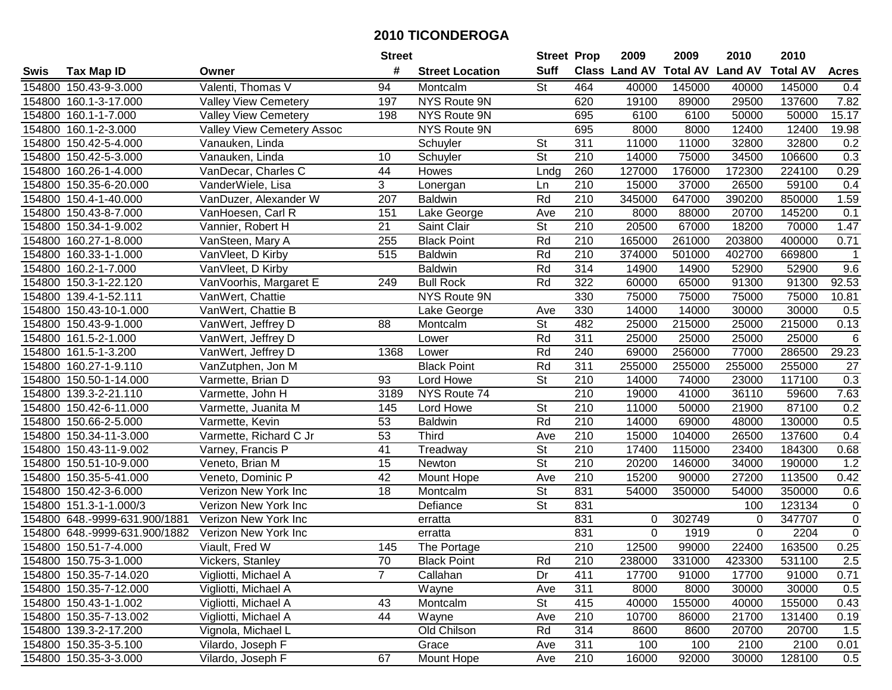|        |                               |                            | <b>Street</b>   |                        | <b>Street Prop</b>       |                  | 2009                          | 2009   | 2010           | 2010            |                |
|--------|-------------------------------|----------------------------|-----------------|------------------------|--------------------------|------------------|-------------------------------|--------|----------------|-----------------|----------------|
| Swis   | <b>Tax Map ID</b>             | Owner                      | #               | <b>Street Location</b> | <b>Suff</b>              |                  | <b>Class Land AV Total AV</b> |        | <b>Land AV</b> | <b>Total AV</b> | <b>Acres</b>   |
|        | 154800 150.43-9-3.000         | Valenti, Thomas V          | 94              | Montcalm               | St                       | 464              | 40000                         | 145000 | 40000          | 145000          | 0.4            |
|        | 154800 160.1-3-17.000         | Valley View Cemetery       | 197             | NYS Route 9N           |                          | 620              | 19100                         | 89000  | 29500          | 137600          | 7.82           |
|        | 154800 160.1-1-7.000          | Valley View Cemetery       | 198             | NYS Route 9N           |                          | 695              | 6100                          | 6100   | 50000          | 50000           | 15.17          |
|        | 154800 160.1-2-3.000          | Valley View Cemetery Assoc |                 | NYS Route 9N           |                          | 695              | 8000                          | 8000   | 12400          | 12400           | 19.98          |
|        | 154800 150.42-5-4.000         | Vanauken, Linda            |                 | Schuyler               | St                       | 311              | 11000                         | 11000  | 32800          | 32800           | 0.2            |
|        | 154800 150.42-5-3.000         | Vanauken, Linda            | 10              | Schuyler               | $\overline{\mathsf{St}}$ | $\overline{210}$ | 14000                         | 75000  | 34500          | 106600          | 0.3            |
|        | 154800 160.26-1-4.000         | VanDecar, Charles C        | 44              | Howes                  | Lndg                     | 260              | 127000                        | 176000 | 172300         | 224100          | 0.29           |
| 154800 | 150.35-6-20.000               | VanderWiele, Lisa          | $\overline{3}$  | Lonergan               | Ln                       | 210              | 15000                         | 37000  | 26500          | 59100           | 0.4            |
|        | 154800 150.4-1-40.000         | VanDuzer, Alexander W      | 207             | <b>Baldwin</b>         | Rd                       | $\overline{210}$ | 345000                        | 647000 | 390200         | 850000          | 1.59           |
|        | 154800 150.43-8-7.000         | VanHoesen, Carl R          | 151             | Lake George            | Ave                      | 210              | 8000                          | 88000  | 20700          | 145200          | 0.1            |
|        | 154800 150.34-1-9.002         | Vannier, Robert H          | 21              | Saint Clair            | $\overline{\mathsf{St}}$ | 210              | 20500                         | 67000  | 18200          | 70000           | 1.47           |
|        | 154800 160.27-1-8.000         | VanSteen, Mary A           | 255             | <b>Black Point</b>     | Rd                       | 210              | 165000                        | 261000 | 203800         | 400000          | 0.71           |
|        | 154800 160.33-1-1.000         | VanVleet, D Kirby          | 515             | <b>Baldwin</b>         | Rd                       | 210              | 374000                        | 501000 | 402700         | 669800          |                |
|        | 154800 160.2-1-7.000          | VanVleet, D Kirby          |                 | <b>Baldwin</b>         | Rd                       | 314              | 14900                         | 14900  | 52900          | 52900           | 9.6            |
| 154800 | 150.3-1-22.120                | VanVoorhis, Margaret E     | 249             | <b>Bull Rock</b>       | Rd                       | 322              | 60000                         | 65000  | 91300          | 91300           | 92.53          |
|        | 154800 139.4-1-52.111         | VanWert, Chattie           |                 | NYS Route 9N           |                          | 330              | 75000                         | 75000  | 75000          | 75000           | 10.81          |
|        | 154800 150.43-10-1.000        | VanWert, Chattie B         |                 | Lake George            | Ave                      | 330              | 14000                         | 14000  | 30000          | 30000           | 0.5            |
|        | 154800 150.43-9-1.000         | VanWert, Jeffrey D         | 88              | Montcalm               | <b>St</b>                | 482              | 25000                         | 215000 | 25000          | 215000          | 0.13           |
|        | 154800 161.5-2-1.000          | VanWert, Jeffrey D         |                 | Lower                  | Rd                       | 311              | 25000                         | 25000  | 25000          | 25000           | 6              |
|        | 154800 161.5-1-3.200          | VanWert, Jeffrey D         | 1368            | Lower                  | Rd                       | 240              | 69000                         | 256000 | 77000          | 286500          | 29.23          |
|        | 154800 160.27-1-9.110         | VanZutphen, Jon M          |                 | <b>Black Point</b>     | Rd                       | 311              | 255000                        | 255000 | 255000         | 255000          | 27             |
| 154800 | 150.50-1-14.000               | Varmette, Brian D          | 93              | Lord Howe              | St                       | 210              | 14000                         | 74000  | 23000          | 117100          | 0.3            |
| 154800 | 139.3-2-21.110                | Varmette, John H           | 3189            | NYS Route 74           |                          | 210              | 19000                         | 41000  | 36110          | 59600           | 7.63           |
| 154800 | 150.42-6-11.000               | Varmette, Juanita M        | 145             | Lord Howe              | St                       | 210              | 11000                         | 50000  | 21900          | 87100           | 0.2            |
| 154800 | 150.66-2-5.000                | Varmette, Kevin            | 53              | <b>Baldwin</b>         | Rd                       | $\overline{210}$ | 14000                         | 69000  | 48000          | 130000          | 0.5            |
| 154800 | 150.34-11-3.000               | Varmette, Richard C Jr     | 53              | <b>Third</b>           | Ave                      | 210              | 15000                         | 104000 | 26500          | 137600          | 0.4            |
|        | 154800 150.43-11-9.002        | Varney, Francis P          | 41              | Treadway               | $\overline{\mathsf{St}}$ | 210              | 17400                         | 115000 | 23400          | 184300          | 0.68           |
|        | 154800 150.51-10-9.000        | Veneto, Brian M            | 15              | Newton                 | St                       | 210              | 20200                         | 146000 | 34000          | 190000          | 1.2            |
|        | 154800 150.35-5-41.000        | Veneto, Dominic P          | $\overline{42}$ | Mount Hope             | Ave                      | 210              | 15200                         | 90000  | 27200          | 113500          | 0.42           |
|        | 154800 150.42-3-6.000         | Verizon New York Inc       | 18              | Montcalm               | $\overline{\mathsf{St}}$ | 831              | 54000                         | 350000 | 54000          | 350000          | 0.6            |
|        | 154800 151.3-1-1.000/3        | Verizon New York Inc       |                 | Defiance               | $\overline{\mathsf{St}}$ | 831              |                               |        | 100            | 123134          | $\pmb{0}$      |
|        | 154800 648.-9999-631.900/1881 | Verizon New York Inc       |                 | erratta                |                          | 831              | 0                             | 302749 | 0              | 347707          | $\overline{0}$ |
|        | 154800 648.-9999-631.900/1882 | Verizon New York Inc       |                 | erratta                |                          | 831              | 0                             | 1919   | 0              | 2204            | $\overline{0}$ |
|        | 154800 150.51-7-4.000         | Viault, Fred W             | 145             | The Portage            |                          | $\overline{210}$ | 12500                         | 99000  | 22400          | 163500          | 0.25           |
|        | 154800 150.75-3-1.000         | Vickers, Stanley           | 70              | <b>Black Point</b>     | Rd                       | 210              | 238000                        | 331000 | 423300         | 531100          | 2.5            |
|        | 154800 150.35-7-14.020        | Vigliotti, Michael A       | $\overline{7}$  | Callahan               | Dr                       | 411              | 17700                         | 91000  | 17700          | 91000           | 0.71           |
|        | 154800 150.35-7-12.000        | Vigliotti, Michael A       |                 | Wayne                  | Ave                      | 311              | 8000                          | 8000   | 30000          | 30000           | 0.5            |
|        | 154800 150.43-1-1.002         | Vigliotti, Michael A       | 43              | Montcalm               | St                       | 415              | 40000                         | 155000 | 40000          | 155000          | 0.43           |
|        | 154800 150.35-7-13.002        | Vigliotti, Michael A       | 44              | Wayne                  | Ave                      | 210              | 10700                         | 86000  | 21700          | 131400          | 0.19           |
|        | 154800 139.3-2-17.200         | Vignola, Michael L         |                 | Old Chilson            | Rd                       | 314              | 8600                          | 8600   | 20700          | 20700           | 1.5            |
|        | 154800 150.35-3-5.100         | Vilardo, Joseph F          |                 | Grace                  | Ave                      | 311              | 100                           | 100    | 2100           | 2100            | 0.01           |
|        | 154800 150.35-3-3.000         | Vilardo, Joseph F          | 67              | Mount Hope             | Ave                      | 210              | 16000                         | 92000  | 30000          | 128100          | 0.5            |
|        |                               |                            |                 |                        |                          |                  |                               |        |                |                 |                |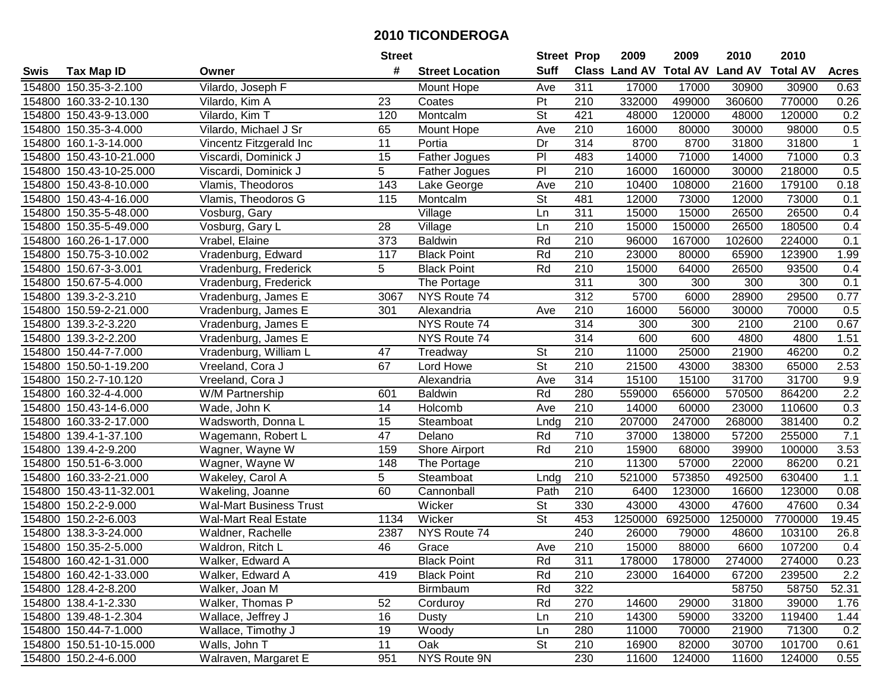|        |                         |                                | <b>Street</b> |                        | <b>Street Prop</b>       |                  | 2009                          | 2009    | 2010           | 2010            |              |
|--------|-------------------------|--------------------------------|---------------|------------------------|--------------------------|------------------|-------------------------------|---------|----------------|-----------------|--------------|
| Swis   | Tax Map ID              | Owner                          | #             | <b>Street Location</b> | <b>Suff</b>              |                  | <b>Class Land AV Total AV</b> |         | <b>Land AV</b> | <b>Total AV</b> | <b>Acres</b> |
|        | 154800 150.35-3-2.100   | Vilardo, Joseph F              |               | Mount Hope             | Ave                      | 311              | 17000                         | 17000   | 30900          | 30900           | 0.63         |
|        | 154800 160.33-2-10.130  | Vilardo, Kim A                 | 23            | Coates                 | Pt                       | 210              | 332000                        | 499000  | 360600         | 770000          | 0.26         |
|        | 154800 150.43-9-13.000  | Vilardo, Kim T                 | 120           | Montcalm               | St                       | 421              | 48000                         | 120000  | 48000          | 120000          | 0.2          |
|        | 154800 150.35-3-4.000   | Vilardo, Michael J Sr          | 65            | Mount Hope             | Ave                      | 210              | 16000                         | 80000   | 30000          | 98000           | $0.5\,$      |
|        | 154800 160.1-3-14.000   | Vincentz Fitzgerald Inc        | 11            | Portia                 | Dr                       | 314              | 8700                          | 8700    | 31800          | 31800           | $\mathbf{1}$ |
|        | 154800 150.43-10-21.000 | Viscardi, Dominick J           | 15            | Father Jogues          | PI                       | 483              | 14000                         | 71000   | 14000          | 71000           | 0.3          |
|        | 154800 150.43-10-25.000 | Viscardi, Dominick J           | 5             | Father Jogues          | PI                       | 210              | 16000                         | 160000  | 30000          | 218000          | 0.5          |
|        | 154800 150.43-8-10.000  | Vlamis, Theodoros              | 143           | Lake George            | Ave                      | $\overline{210}$ | 10400                         | 108000  | 21600          | 179100          | 0.18         |
|        | 154800 150.43-4-16.000  | Vlamis, Theodoros G            | 115           | Montcalm               | $\overline{\mathsf{St}}$ | 481              | 12000                         | 73000   | 12000          | 73000           | 0.1          |
|        | 154800 150.35-5-48.000  | Vosburg, Gary                  |               | Village                | Ln                       | $\overline{311}$ | 15000                         | 15000   | 26500          | 26500           | 0.4          |
|        | 154800 150.35-5-49.000  | Vosburg, Gary L                | 28            | Village                | Ln                       | 210              | 15000                         | 150000  | 26500          | 180500          | 0.4          |
|        | 154800 160.26-1-17.000  | Vrabel, Elaine                 | 373           | <b>Baldwin</b>         | Rd                       | 210              | 96000                         | 167000  | 102600         | 224000          | 0.1          |
|        | 154800 150.75-3-10.002  | Vradenburg, Edward             | 117           | <b>Black Point</b>     | Rd                       | 210              | 23000                         | 80000   | 65900          | 123900          | 1.99         |
|        | 154800 150.67-3-3.001   | Vradenburg, Frederick          | 5             | <b>Black Point</b>     | Rd                       | 210              | 15000                         | 64000   | 26500          | 93500           | 0.4          |
| 154800 | 150.67-5-4.000          | Vradenburg, Frederick          |               | The Portage            |                          | 311              | 300                           | 300     | 300            | 300             | 0.1          |
|        | 154800 139.3-2-3.210    | Vradenburg, James E            | 3067          | NYS Route 74           |                          | 312              | 5700                          | 6000    | 28900          | 29500           | 0.77         |
|        | 154800 150.59-2-21.000  | Vradenburg, James E            | 301           | Alexandria             | Ave                      | 210              | 16000                         | 56000   | 30000          | 70000           | 0.5          |
|        | 154800 139.3-2-3.220    | Vradenburg, James E            |               | NYS Route 74           |                          | 314              | 300                           | 300     | 2100           | 2100            | 0.67         |
|        | 154800 139.3-2-2.200    | Vradenburg, James E            |               | NYS Route 74           |                          | 314              | 600                           | 600     | 4800           | 4800            | 1.51         |
|        | 154800 150.44-7-7.000   | Vradenburg, William L          | 47            | Treadway               | <b>St</b>                | 210              | 11000                         | 25000   | 21900          | 46200           | 0.2          |
| 154800 | 150.50-1-19.200         | Vreeland, Cora J               | 67            | Lord Howe              | $\overline{\mathsf{St}}$ | 210              | 21500                         | 43000   | 38300          | 65000           | 2.53         |
| 154800 | 150.2-7-10.120          | Vreeland, Cora J               |               | Alexandria             | Ave                      | 314              | 15100                         | 15100   | 31700          | 31700           | 9.9          |
| 154800 | 160.32-4-4.000          | W/M Partnership                | 601           | <b>Baldwin</b>         | Rd                       | 280              | 559000                        | 656000  | 570500         | 864200          | 2.2          |
| 154800 | 150.43-14-6.000         | Wade, John K                   | 14            | Holcomb                | Ave                      | 210              | 14000                         | 60000   | 23000          | 110600          | 0.3          |
| 154800 | 160.33-2-17.000         | Wadsworth, Donna L             | 15            | Steamboat              | Lndg                     | 210              | 207000                        | 247000  | 268000         | 381400          | 0.2          |
|        | 154800 139.4-1-37.100   | Wagemann, Robert L             | 47            | Delano                 | Rd                       | 710              | 37000                         | 138000  | 57200          | 255000          | 7.1          |
|        | 154800 139.4-2-9.200    | Wagner, Wayne W                | 159           | Shore Airport          | Rd                       | 210              | 15900                         | 68000   | 39900          | 100000          | 3.53         |
|        | 154800 150.51-6-3.000   | Wagner, Wayne W                | 148           | The Portage            |                          | 210              | 11300                         | 57000   | 22000          | 86200           | 0.21         |
|        | 154800 160.33-2-21.000  | Wakeley, Carol A               | 5             | Steamboat              | Lndg                     | 210              | 521000                        | 573850  | 492500         | 630400          | 1.1          |
|        | 154800 150.43-11-32.001 | Wakeling, Joanne               | 60            | Cannonball             | Path                     | 210              | 6400                          | 123000  | 16600          | 123000          | 0.08         |
|        | 154800 150.2-2-9.000    | <b>Wal-Mart Business Trust</b> |               | Wicker                 | $\overline{\mathsf{St}}$ | 330              | 43000                         | 43000   | 47600          | 47600           | 0.34         |
|        | 154800 150.2-2-6.003    | <b>Wal-Mart Real Estate</b>    | 1134          | Wicker                 | $\overline{\mathsf{St}}$ | 453              | 1250000                       | 6925000 | 1250000        | 7700000         | 19.45        |
|        | 154800 138.3-3-24.000   | Waldner, Rachelle              | 2387          | NYS Route 74           |                          | 240              | 26000                         | 79000   | 48600          | 103100          | 26.8         |
|        | 154800 150.35-2-5.000   | Waldron, Ritch L               | 46            | Grace                  | Ave                      | 210              | 15000                         | 88000   | 6600           | 107200          | 0.4          |
|        | 154800 160.42-1-31.000  | Walker, Edward A               |               | <b>Black Point</b>     | Rd                       | 311              | 178000                        | 178000  | 274000         | 274000          | 0.23         |
|        | 154800 160.42-1-33.000  | Walker, Edward A               | 419           | <b>Black Point</b>     | Rd                       | 210              | 23000                         | 164000  | 67200          | 239500          | 2.2          |
|        | 154800 128.4-2-8.200    | Walker, Joan M                 |               | Birmbaum               | Rd                       | 322              |                               |         | 58750          | 58750           | 52.31        |
|        | 154800 138.4-1-2.330    | Walker, Thomas P               | 52            | Corduroy               | Rd                       | 270              | 14600                         | 29000   | 31800          | 39000           | 1.76         |
|        | 154800 139.48-1-2.304   | Wallace, Jeffrey J             | 16            | Dusty                  | Ln                       | 210              | 14300                         | 59000   | 33200          | 119400          | 1.44         |
|        | 154800 150.44-7-1.000   | Wallace, Timothy J             | 19            | Woody                  | Ln                       | 280              | 11000                         | 70000   | 21900          | 71300           | 0.2          |
|        | 154800 150.51-10-15.000 | Walls, John T                  | 11            | Oak                    | <b>St</b>                | 210              | 16900                         | 82000   | 30700          | 101700          | 0.61         |
|        | 154800 150.2-4-6.000    | Walraven, Margaret E           | 951           | NYS Route 9N           |                          | 230              | 11600                         | 124000  | 11600          | 124000          | 0.55         |
|        |                         |                                |               |                        |                          |                  |                               |         |                |                 |              |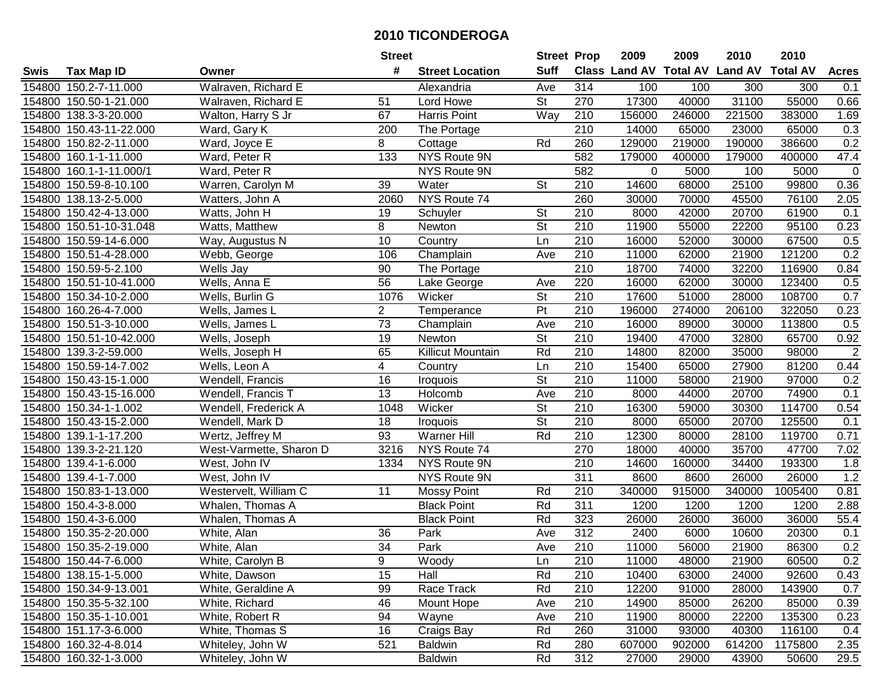|        |                         |                         | <b>Street</b>    |                        | <b>Street Prop</b>       |                  | 2009   | 2009   | 2010                           | 2010            |                |
|--------|-------------------------|-------------------------|------------------|------------------------|--------------------------|------------------|--------|--------|--------------------------------|-----------------|----------------|
| Swis   | Tax Map ID              | Owner                   | #                | <b>Street Location</b> | <b>Suff</b>              |                  |        |        | Class Land AV Total AV Land AV | <b>Total AV</b> | <b>Acres</b>   |
|        | 154800 150.2-7-11.000   | Walraven, Richard E     |                  | Alexandria             | Ave                      | 314              | 100    | 100    | 300                            | 300             | 0.1            |
|        | 154800 150.50-1-21.000  | Walraven, Richard E     | 51               | Lord Howe              | St                       | 270              | 17300  | 40000  | 31100                          | 55000           | 0.66           |
|        | 154800 138.3-3-20.000   | Walton, Harry S Jr      | 67               | Harris Point           | Way                      | 210              | 156000 | 246000 | 221500                         | 383000          | 1.69           |
|        | 154800 150.43-11-22.000 | Ward, Gary K            | 200              | The Portage            |                          | 210              | 14000  | 65000  | 23000                          | 65000           | 0.3            |
|        | 154800 150.82-2-11.000  | Ward, Joyce E           | 8                | Cottage                | Rd                       | 260              | 129000 | 219000 | 190000                         | 386600          | 0.2            |
|        | 154800 160.1-1-11.000   | Ward, Peter R           | $\overline{133}$ | NYS Route 9N           |                          | 582              | 179000 | 400000 | 179000                         | 400000          | 47.4           |
|        | 154800 160.1-1-11.000/1 | Ward, Peter R           |                  | NYS Route 9N           |                          | 582              | 0      | 5000   | 100                            | 5000            | $\mathbf 0$    |
|        | 154800 150.59-8-10.100  | Warren, Carolyn M       | $\overline{39}$  | Water                  | $\overline{\mathsf{St}}$ | $\overline{210}$ | 14600  | 68000  | 25100                          | 99800           | 0.36           |
|        | 154800 138.13-2-5.000   | Watters, John A         | 2060             | NYS Route 74           |                          | 260              | 30000  | 70000  | 45500                          | 76100           | 2.05           |
|        | 154800 150.42-4-13.000  | Watts, John H           | 19               | Schuyler               | St                       | 210              | 8000   | 42000  | 20700                          | 61900           | 0.1            |
|        | 154800 150.51-10-31.048 | Watts, Matthew          | 8                | Newton                 | St                       | 210              | 11900  | 55000  | 22200                          | 95100           | 0.23           |
|        | 154800 150.59-14-6.000  | Way, Augustus N         | 10               | Country                | Ln                       | 210              | 16000  | 52000  | 30000                          | 67500           | 0.5            |
|        | 154800 150.51-4-28.000  | Webb, George            | 106              | Champlain              | Ave                      | 210              | 11000  | 62000  | 21900                          | 121200          | 0.2            |
|        | 154800 150.59-5-2.100   | Wells Jay               | 90               | The Portage            |                          | 210              | 18700  | 74000  | 32200                          | 116900          | 0.84           |
|        | 154800 150.51-10-41.000 | Wells, Anna E           | 56               | Lake George            | Ave                      | 220              | 16000  | 62000  | 30000                          | 123400          | 0.5            |
|        | 154800 150.34-10-2.000  | Wells, Burlin G         | 1076             | Wicker                 | St                       | 210              | 17600  | 51000  | 28000                          | 108700          | 0.7            |
|        | 154800 160.26-4-7.000   | Wells, James L          | $\overline{c}$   | Temperance             | $\overline{P}$           | $\overline{210}$ | 196000 | 274000 | 206100                         | 322050          | 0.23           |
|        | 154800 150.51-3-10.000  | Wells, James L          | $\overline{73}$  | Champlain              | Ave                      | 210              | 16000  | 89000  | 30000                          | 113800          | 0.5            |
|        | 154800 150.51-10-42.000 | Wells, Joseph           | 19               | Newton                 | $\overline{\mathsf{St}}$ | 210              | 19400  | 47000  | 32800                          | 65700           | 0.92           |
|        | 154800 139.3-2-59.000   | Wells, Joseph H         | 65               | Killicut Mountain      | Rd                       | 210              | 14800  | 82000  | 35000                          | 98000           | $\overline{2}$ |
|        | 154800 150.59-14-7.002  | Wells, Leon A           | 4                | Country                | Ln                       | 210              | 15400  | 65000  | 27900                          | 81200           | 0.44           |
| 154800 | 150.43-15-1.000         | Wendell, Francis        | 16               | Iroquois               | St                       | 210              | 11000  | 58000  | 21900                          | 97000           | 0.2            |
| 154800 | 150.43-15-16.000        | Wendell, Francis T      | 13               | Holcomb                | Ave                      | 210              | 8000   | 44000  | 20700                          | 74900           | 0.1            |
|        | 154800 150.34-1-1.002   | Wendell, Frederick A    | 1048             | Wicker                 | St                       | 210              | 16300  | 59000  | 30300                          | 114700          | 0.54           |
|        | 154800 150.43-15-2.000  | Wendell, Mark D         | 18               | Iroquois               | $\overline{St}$          | $\overline{210}$ | 8000   | 65000  | 20700                          | 125500          | 0.1            |
|        | 154800 139.1-1-17.200   | Wertz, Jeffrey M        | 93               | Warner Hill            | Rd                       | 210              | 12300  | 80000  | 28100                          | 119700          | 0.71           |
|        | 154800 139.3-2-21.120   | West-Varmette, Sharon D | 3216             | NYS Route 74           |                          | 270              | 18000  | 40000  | 35700                          | 47700           | 7.02           |
|        | 154800 139.4-1-6.000    | West, John IV           | 1334             | NYS Route 9N           |                          | 210              | 14600  | 160000 | 34400                          | 193300          | 1.8            |
|        | 154800 139.4-1-7.000    | West, John IV           |                  | NYS Route 9N           |                          | $\overline{311}$ | 8600   | 8600   | 26000                          | 26000           | 1.2            |
|        | 154800 150.83-1-13.000  | Westervelt, William C   | 11               | <b>Mossy Point</b>     | Rd                       | $\overline{210}$ | 340000 | 915000 | 340000                         | 1005400         | 0.81           |
|        | 154800 150.4-3-8.000    | Whalen, Thomas A        |                  | <b>Black Point</b>     | Rd                       | 311              | 1200   | 1200   | 1200                           | 1200            | 2.88           |
|        | 154800 150.4-3-6.000    | Whalen, Thomas A        |                  | <b>Black Point</b>     | Rd                       | 323              | 26000  | 26000  | 36000                          | 36000           | 55.4           |
|        | 154800 150.35-2-20.000  | White, Alan             | 36               | Park                   | Ave                      | 312              | 2400   | 6000   | 10600                          | 20300           | 0.1            |
|        | 154800 150.35-2-19.000  | White, Alan             | $\overline{34}$  | Park                   | Ave                      | 210              | 11000  | 56000  | 21900                          | 86300           | 0.2            |
|        | 154800 150.44-7-6.000   | White, Carolyn B        | 9                | Woody                  | Ln                       | 210              | 11000  | 48000  | 21900                          | 60500           | 0.2            |
|        | 154800 138.15-1-5.000   | White, Dawson           | 15               | Hall                   | Rd                       | 210              | 10400  | 63000  | 24000                          | 92600           | 0.43           |
|        | 154800 150.34-9-13.001  | White, Geraldine A      | 99               | Race Track             | Rd                       | 210              | 12200  | 91000  | 28000                          | 143900          | 0.7            |
|        | 154800 150.35-5-32.100  | White, Richard          | 46               | Mount Hope             | Ave                      | 210              | 14900  | 85000  | 26200                          | 85000           | 0.39           |
|        | 154800 150.35-1-10.001  | White, Robert R         | 94               | Wayne                  | Ave                      | 210              | 11900  | 80000  | 22200                          | 135300          | 0.23           |
|        | 154800 151.17-3-6.000   | White, Thomas S         | 16               | Craigs Bay             | Rd                       | 260              | 31000  | 93000  | 40300                          | 116100          | 0.4            |
|        | 154800 160.32-4-8.014   | Whiteley, John W        | 521              | <b>Baldwin</b>         | Rd                       | 280              | 607000 | 902000 | 614200                         | 1175800         | 2.35           |
|        | 154800 160.32-1-3.000   | Whiteley, John W        |                  | <b>Baldwin</b>         | Rd                       | 312              | 27000  | 29000  | 43900                          | 50600           | 29.5           |
|        |                         |                         |                  |                        |                          |                  |        |        |                                |                 |                |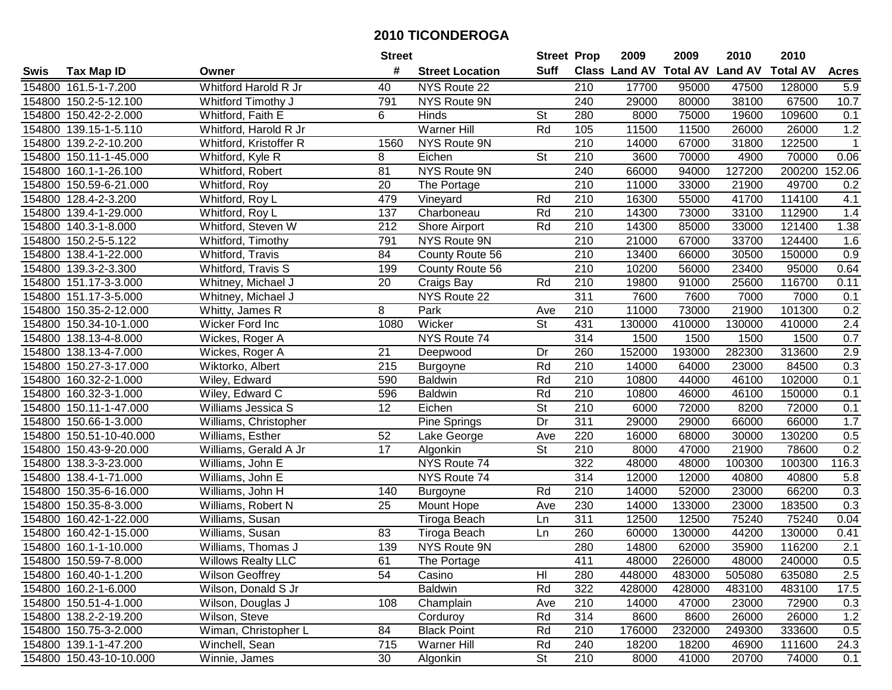|        |                         |                           | <b>Street</b>   |                        | <b>Street Prop</b>       |                  | 2009                          | 2009   | 2010           | 2010            |                  |
|--------|-------------------------|---------------------------|-----------------|------------------------|--------------------------|------------------|-------------------------------|--------|----------------|-----------------|------------------|
| Swis   | <b>Tax Map ID</b>       | Owner                     | #               | <b>Street Location</b> | <b>Suff</b>              |                  | <b>Class Land AV Total AV</b> |        | <b>Land AV</b> | <b>Total AV</b> | <b>Acres</b>     |
|        | 154800 161.5-1-7.200    | Whitford Harold R Jr      | 40              | NYS Route 22           |                          | 210              | 17700                         | 95000  | 47500          | 128000          | 5.9              |
|        | 154800 150.2-5-12.100   | Whitford Timothy J        | 791             | NYS Route 9N           |                          | 240              | 29000                         | 80000  | 38100          | 67500           | 10.7             |
|        | 154800 150.42-2-2.000   | Whitford, Faith E         | 6               | Hinds                  | <b>St</b>                | 280              | 8000                          | 75000  | 19600          | 109600          | 0.1              |
|        | 154800 139.15-1-5.110   | Whitford, Harold R Jr     |                 | <b>Warner Hill</b>     | Rd                       | 105              | 11500                         | 11500  | 26000          | 26000           | 1.2              |
|        | 154800 139.2-2-10.200   | Whitford, Kristoffer R    | 1560            | NYS Route 9N           |                          | 210              | 14000                         | 67000  | 31800          | 122500          | $\mathbf{1}$     |
|        | 154800 150.11-1-45.000  | Whitford, Kyle R          | 8               | Eichen                 | $\overline{\mathsf{St}}$ | 210              | 3600                          | 70000  | 4900           | 70000           | 0.06             |
|        | 154800 160.1-1-26.100   | Whitford, Robert          | 81              | <b>NYS Route 9N</b>    |                          | 240              | 66000                         | 94000  | 127200         | 200200          | 152.06           |
|        | 154800 150.59-6-21.000  | Whitford, Roy             | $\overline{20}$ | The Portage            |                          | 210              | 11000                         | 33000  | 21900          | 49700           | 0.2              |
|        | 154800 128.4-2-3.200    | Whitford, Roy L           | 479             | Vineyard               | Rd                       | $\overline{210}$ | 16300                         | 55000  | 41700          | 114100          | 4.1              |
|        | 154800 139.4-1-29.000   | Whitford, Roy L           | 137             | Charboneau             | Rd                       | 210              | 14300                         | 73000  | 33100          | 112900          | 1.4              |
|        | 154800 140.3-1-8.000    | Whitford, Steven W        | 212             | Shore Airport          | Rd                       | 210              | 14300                         | 85000  | 33000          | 121400          | 1.38             |
|        | 154800 150.2-5-5.122    | Whitford, Timothy         | 791             | NYS Route 9N           |                          | 210              | 21000                         | 67000  | 33700          | 124400          | 1.6              |
|        | 154800 138.4-1-22.000   | Whitford, Travis          | 84              | County Route 56        |                          | 210              | 13400                         | 66000  | 30500          | 150000          | 0.9              |
|        | 154800 139.3-2-3.300    | Whitford, Travis S        | 199             | County Route 56        |                          | 210              | 10200                         | 56000  | 23400          | 95000           | 0.64             |
|        | 154800 151.17-3-3.000   | Whitney, Michael J        | 20              | Craigs Bay             | Rd                       | 210              | 19800                         | 91000  | 25600          | 116700          | 0.11             |
|        | 154800 151.17-3-5.000   | Whitney, Michael J        |                 | NYS Route 22           |                          | 311              | 7600                          | 7600   | 7000           | 7000            | 0.1              |
|        | 154800 150.35-2-12.000  | Whitty, James R           | 8               | Park                   | Ave                      | 210              | 11000                         | 73000  | 21900          | 101300          | 0.2              |
|        | 154800 150.34-10-1.000  | Wicker Ford Inc           | 1080            | Wicker                 | $\overline{\mathsf{St}}$ | 431              | 130000                        | 410000 | 130000         | 410000          | 2.4              |
|        | 154800 138.13-4-8.000   | Wickes, Roger A           |                 | NYS Route 74           |                          | 314              | 1500                          | 1500   | 1500           | 1500            | 0.7              |
|        | 154800 138.13-4-7.000   | Wickes, Roger A           | 21              | Deepwood               | Dr                       | 260              | 152000                        | 193000 | 282300         | 313600          | 2.9              |
|        | 154800 150.27-3-17.000  | Wiktorko, Albert          | 215             | <b>Burgoyne</b>        | Rd                       | 210              | 14000                         | 64000  | 23000          | 84500           | 0.3              |
|        | 154800 160.32-2-1.000   | Wiley, Edward             | 590             | <b>Baldwin</b>         | Rd                       | 210              | 10800                         | 44000  | 46100          | 102000          | 0.1              |
|        | 154800 160.32-3-1.000   | Wiley, Edward C           | 596             | <b>Baldwin</b>         | Rd                       | 210              | 10800                         | 46000  | 46100          | 150000          | 0.1              |
| 154800 | 150.11-1-47.000         | Williams Jessica S        | 12              | Eichen                 | <b>St</b>                | 210              | 6000                          | 72000  | 8200           | 72000           | 0.1              |
|        | 154800 150.66-1-3.000   | Williams, Christopher     |                 | Pine Springs           | $\overline{Dr}$          | 311              | 29000                         | 29000  | 66000          | 66000           | 1.7              |
|        | 154800 150.51-10-40.000 | Williams, Esther          | 52              | Lake George            | Ave                      | 220              | 16000                         | 68000  | 30000          | 130200          | 0.5              |
|        | 154800 150.43-9-20.000  | Williams, Gerald A Jr     | 17              | Algonkin               | St                       | 210              | 8000                          | 47000  | 21900          | 78600           | 0.2              |
|        | 154800 138.3-3-23.000   | Williams, John E          |                 | NYS Route 74           |                          | 322              | 48000                         | 48000  | 100300         | 100300          | 116.3            |
|        | 154800 138.4-1-71.000   | Williams, John E          |                 | NYS Route 74           |                          | 314              | 12000                         | 12000  | 40800          | 40800           | 5.8              |
|        | 154800 150.35-6-16.000  | Williams, John H          | 140             | <b>Burgoyne</b>        | Rd                       | $\overline{210}$ | 14000                         | 52000  | 23000          | 66200           | 0.3              |
|        | 154800 150.35-8-3.000   | Williams, Robert N        | 25              | Mount Hope             | Ave                      | 230              | 14000                         | 133000 | 23000          | 183500          | 0.3              |
|        | 154800 160.42-1-22.000  | Williams, Susan           |                 | Tiroga Beach           | Ln                       | 311              | 12500                         | 12500  | 75240          | 75240           | 0.04             |
|        | 154800 160.42-1-15.000  | Williams, Susan           | 83              | Tiroga Beach           | Ln                       | 260              | 60000                         | 130000 | 44200          | 130000          | 0.41             |
|        | 154800 160.1-1-10.000   | Williams, Thomas J        | 139             | NYS Route 9N           |                          | 280              | 14800                         | 62000  | 35900          | 116200          | $\overline{2.1}$ |
|        | 154800 150.59-7-8.000   | <b>Willows Realty LLC</b> | 61              | The Portage            |                          | 411              | 48000                         | 226000 | 48000          | 240000          | 0.5              |
|        | 154800 160.40-1-1.200   | <b>Wilson Geoffrey</b>    | 54              | Casino                 | HI                       | 280              | 448000                        | 483000 | 505080         | 635080          | 2.5              |
|        | 154800 160.2-1-6.000    | Wilson, Donald S Jr       |                 | <b>Baldwin</b>         | Rd                       | 322              | 428000                        | 428000 | 483100         | 483100          | 17.5             |
|        | 154800 150.51-4-1.000   | Wilson, Douglas J         | 108             | Champlain              | Ave                      | 210              | 14000                         | 47000  | 23000          | 72900           | 0.3              |
|        | 154800 138.2-2-19.200   | Wilson, Steve             |                 | Corduroy               | Rd                       | 314              | 8600                          | 8600   | 26000          | 26000           | 1.2              |
|        | 154800 150.75-3-2.000   | Wiman, Christopher L      | 84              | <b>Black Point</b>     | Rd                       | 210              | 176000                        | 232000 | 249300         | 333600          | 0.5              |
|        | 154800 139.1-1-47.200   | Winchell, Sean            | 715             | Warner Hill            | Rd                       | 240              | 18200                         | 18200  | 46900          | 111600          | 24.3             |
|        | 154800 150.43-10-10.000 | Winnie, James             | 30              | Algonkin               | <b>St</b>                | 210              | 8000                          | 41000  | 20700          | 74000           | 0.1              |
|        |                         |                           |                 |                        |                          |                  |                               |        |                |                 |                  |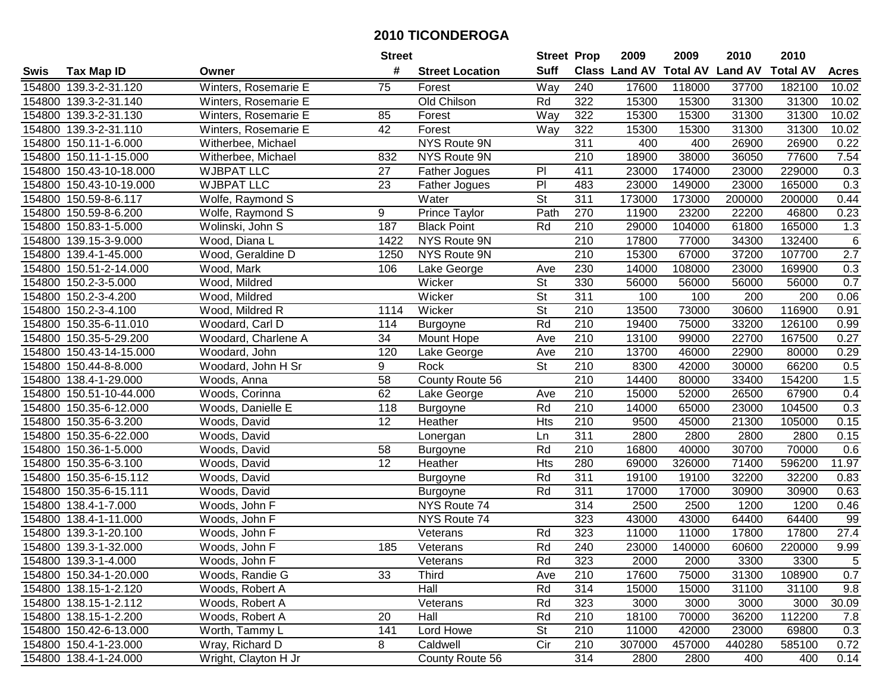| #<br><b>Suff</b><br>Class Land AV<br><b>Total AV</b><br><b>Land AV</b><br><b>Total AV</b><br><b>Tax Map ID</b><br><b>Street Location</b><br><b>Acres</b><br>Swis<br>Owner<br>Way<br>154800 139.3-2-31.120<br>Winters, Rosemarie E<br>75<br>Forest<br>240<br>17600<br>118000<br>37700<br>182100<br>10.02<br>Old Chilson<br>154800 139.3-2-31.140<br>Winters, Rosemarie E<br>322<br>15300<br>15300<br>31300<br>31300<br>10.02<br>Rd<br>154800 139.3-2-31.130<br>Winters, Rosemarie E<br>85<br>Way<br>322<br>15300<br>15300<br>31300<br>31300<br>10.02<br>Forest<br>42<br>Forest<br>322<br>15300<br>31300<br>31300<br>10.02<br>154800 139.3-2-31.110<br>Winters, Rosemarie E<br>Way<br>15300<br><b>NYS Route 9N</b><br>311<br>154800 150.11-1-6.000<br>400<br>400<br>26900<br>26900<br>0.22<br>Witherbee, Michael<br>$\overline{210}$<br>77600<br>7.54<br>154800 150.11-1-15.000<br>Witherbee, Michael<br>832<br>NYS Route 9N<br>18900<br>38000<br>36050<br><b>WJBPAT LLC</b><br>P <sub>1</sub><br>411<br>23000<br>174000<br>229000<br>0.3<br>154800 150.43-10-18.000<br>27<br>Father Jogues<br>23000<br>$\overline{P}$<br>0.3<br><b>WJBPAT LLC</b><br>$\overline{23}$<br>483<br>23000<br>23000<br>154800 150.43-10-19.000<br>149000<br>165000<br>Father Jogues<br>$\overline{\mathsf{St}}$<br>311<br>173000<br>173000<br>154800 150.59-8-6.117<br>Wolfe, Raymond S<br>Water<br>200000<br>200000<br>0.44<br>270<br>9<br>Path<br>11900<br>23200<br>46800<br>154800 150.59-8-6.200<br>Wolfe, Raymond S<br>Prince Taylor<br>22200<br>0.23<br><b>Black Point</b><br>29000<br>154800 150.83-1-5.000<br>Wolinski, John S<br>187<br>Rd<br>210<br>104000<br>61800<br>165000<br>1.3<br>$\,6\,$<br>154800 139.15-3-9.000<br>Wood, Diana L<br>NYS Route 9N<br>210<br>17800<br>77000<br>34300<br>132400<br>1422<br>210<br>$\overline{2.7}$<br>NYS Route 9N<br>15300<br>37200<br>107700<br>154800 139.4-1-45.000<br>Wood, Geraldine D<br>1250<br>67000<br>230<br>154800 150.51-2-14.000<br>Wood, Mark<br>Lake George<br>14000<br>108000<br>23000<br>169900<br>0.3<br>106<br>Ave<br>0.7<br>St<br>330<br>154800 150.2-3-5.000<br>Wood, Mildred<br>Wicker<br>56000<br>56000<br>56000<br>56000<br>St<br>311<br>154800 150.2-3-4.200<br>100<br>100<br>200<br>200<br>0.06<br>Wood, Mildred<br>Wicker<br>$\overline{St}$<br>$\overline{210}$<br>154800 150.2-3-4.100<br>1114<br>Wicker<br>13500<br>73000<br>30600<br>116900<br>0.91<br>Wood, Mildred R<br>Rd<br>210<br>154800 150.35-6-11.010<br>Woodard, Carl D<br>19400<br>75000<br>33200<br>0.99<br>114<br>126100<br><b>Burgoyne</b><br>34<br>210<br>154800 150.35-5-29.200<br>Woodard, Charlene A<br>Mount Hope<br>Ave<br>13100<br>99000<br>22700<br>167500<br>0.27<br>154800 150.43-14-15.000<br>Woodard, John<br>120<br>210<br>13700<br>46000<br>22900<br>80000<br>0.29<br>Lake George<br>Ave<br>0.5<br>154800 150.44-8-8.000<br>9<br>Rock<br><b>St</b><br>210<br>8300<br>30000<br>66200<br>Woodard, John H Sr<br>42000<br>58<br>210<br>1.5<br>154800 138.4-1-29.000<br>County Route 56<br>14400<br>80000<br>33400<br>154200<br>Woods, Anna<br>62<br>210<br>0.4<br>154800<br>150.51-10-44.000<br>15000<br>52000<br>26500<br>67900<br>Woods, Corinna<br>Lake George<br>Ave<br>210<br>0.3<br>150.35-6-12.000<br>118<br>Rd<br>14000<br>65000<br>23000<br>104500<br>154800<br>Woods, Danielle E<br>Burgoyne<br>$\overline{12}$<br>$\overline{210}$<br><b>Hts</b><br>9500<br>21300<br>105000<br>0.15<br>154800<br>150.35-6-3.200<br>Heather<br>45000<br>Woods, David<br>$\overline{311}$<br>2800<br>154800 150.35-6-22.000<br>Woods, David<br>2800<br>2800<br>2800<br>0.15<br>Ln<br>Lonergan<br>Rd<br>210<br>30700<br>70000<br>154800 150.36-1-5.000<br>Woods, David<br>58<br>16800<br>40000<br>0.6<br><b>Burgoyne</b><br>12<br><b>Hts</b><br>326000<br>596200<br>11.97<br>154800 150.35-6-3.100<br>Woods, David<br>Heather<br>280<br>69000<br>71400<br>Rd<br>$\overline{311}$<br>19100<br>32200<br>32200<br>154800 150.35-6-15.112<br>Woods, David<br>19100<br>0.83<br>Burgoyne<br>Rd<br>$\overline{311}$<br>154800 150.35-6-15.111<br>17000<br>17000<br>30900<br>30900<br>0.63<br>Woods, David<br>Burgoyne<br>NYS Route 74<br>314<br>2500<br>2500<br>1200<br>1200<br>154800 138.4-1-7.000<br>0.46<br>Woods, John F<br>154800 138.4-1-11.000<br>NYS Route 74<br>323<br>43000<br>43000<br>64400<br>64400<br>99<br>Woods, John F<br>323<br>27.4<br>154800 139.3-1-20.100<br>Veterans<br>Rd<br>11000<br>11000<br>17800<br>17800<br>Woods, John F<br>Rd<br>154800 139.3-1-32.000<br>240<br>23000<br>140000<br>60600<br>220000<br>9.99<br>Woods, John F<br>185<br>Veterans<br>154800 139.3-1-4.000<br>Woods, John F<br>Veterans<br>Rd<br>323<br>2000<br>2000<br>3300<br>3300<br>5<br>0.7<br>154800 150.34-1-20.000<br>Woods, Randie G<br>33<br><b>Third</b><br>210<br>17600<br>75000<br>31300<br>108900<br>Ave<br>154800 138.15-1-2.120<br>Hall<br>314<br>15000<br>Woods, Robert A<br>Rd<br>15000<br>31100<br>31100<br>9.8<br>323<br>154800 138.15-1-2.112<br>Veterans<br>Rd<br>3000<br>3000<br>30.09<br>Woods, Robert A<br>3000<br>3000<br>20<br>Hall<br>Rd<br>18100<br>36200<br>154800 138.15-1-2.200<br>Woods, Robert A<br>210<br>70000<br>112200<br>7.8<br>141<br><b>St</b><br>210<br>0.3<br>154800 150.42-6-13.000<br>Worth, Tammy L<br>Lord Howe<br>11000<br>42000<br>23000<br>69800<br>Wray, Richard D<br>8<br>154800 150.4-1-23.000<br>Caldwell<br>Cir<br>210<br>307000<br>457000<br>440280<br>585100<br>0.72<br>$\overline{314}$<br>154800 138.4-1-24.000<br>Wright, Clayton H Jr<br>County Route 56<br>2800<br>2800<br>400<br>400<br>0.14 |  | <b>Street</b> | <b>Street Prop</b> | 2009 | 2009 | 2010 | 2010 |  |
|---------------------------------------------------------------------------------------------------------------------------------------------------------------------------------------------------------------------------------------------------------------------------------------------------------------------------------------------------------------------------------------------------------------------------------------------------------------------------------------------------------------------------------------------------------------------------------------------------------------------------------------------------------------------------------------------------------------------------------------------------------------------------------------------------------------------------------------------------------------------------------------------------------------------------------------------------------------------------------------------------------------------------------------------------------------------------------------------------------------------------------------------------------------------------------------------------------------------------------------------------------------------------------------------------------------------------------------------------------------------------------------------------------------------------------------------------------------------------------------------------------------------------------------------------------------------------------------------------------------------------------------------------------------------------------------------------------------------------------------------------------------------------------------------------------------------------------------------------------------------------------------------------------------------------------------------------------------------------------------------------------------------------------------------------------------------------------------------------------------------------------------------------------------------------------------------------------------------------------------------------------------------------------------------------------------------------------------------------------------------------------------------------------------------------------------------------------------------------------------------------------------------------------------------------------------------------------------------------------------------------------------------------------------------------------------------------------------------------------------------------------------------------------------------------------------------------------------------------------------------------------------------------------------------------------------------------------------------------------------------------------------------------------------------------------------------------------------------------------------------------------------------------------------------------------------------------------------------------------------------------------------------------------------------------------------------------------------------------------------------------------------------------------------------------------------------------------------------------------------------------------------------------------------------------------------------------------------------------------------------------------------------------------------------------------------------------------------------------------------------------------------------------------------------------------------------------------------------------------------------------------------------------------------------------------------------------------------------------------------------------------------------------------------------------------------------------------------------------------------------------------------------------------------------------------------------------------------------------------------------------------------------------------------------------------------------------------------------------------------------------------------------------------------------------------------------------------------------------------------------------------------------------------------------------------------------------------------------------------------------------------------------------------------------------------------------------------------------------------------------------------------------------------------------------------------------------------------------------------------------------------------------------------------------------------------------------------------------------------------------------------------------------------------------------------------------------------------------------------------------------------------------------------------------------------------------------------------------------------------------------------------------------------------------------------------------------------------------------------------------------------------------------------------------------------------------------------------------------------------------------------------------------------------------------------------------------|--|---------------|--------------------|------|------|------|------|--|
|                                                                                                                                                                                                                                                                                                                                                                                                                                                                                                                                                                                                                                                                                                                                                                                                                                                                                                                                                                                                                                                                                                                                                                                                                                                                                                                                                                                                                                                                                                                                                                                                                                                                                                                                                                                                                                                                                                                                                                                                                                                                                                                                                                                                                                                                                                                                                                                                                                                                                                                                                                                                                                                                                                                                                                                                                                                                                                                                                                                                                                                                                                                                                                                                                                                                                                                                                                                                                                                                                                                                                                                                                                                                                                                                                                                                                                                                                                                                                                                                                                                                                                                                                                                                                                                                                                                                                                                                                                                                                                                                                                                                                                                                                                                                                                                                                                                                                                                                                                                                                                                                                                                                                                                                                                                                                                                                                                                                                                                                                                                                                                           |  |               |                    |      |      |      |      |  |
|                                                                                                                                                                                                                                                                                                                                                                                                                                                                                                                                                                                                                                                                                                                                                                                                                                                                                                                                                                                                                                                                                                                                                                                                                                                                                                                                                                                                                                                                                                                                                                                                                                                                                                                                                                                                                                                                                                                                                                                                                                                                                                                                                                                                                                                                                                                                                                                                                                                                                                                                                                                                                                                                                                                                                                                                                                                                                                                                                                                                                                                                                                                                                                                                                                                                                                                                                                                                                                                                                                                                                                                                                                                                                                                                                                                                                                                                                                                                                                                                                                                                                                                                                                                                                                                                                                                                                                                                                                                                                                                                                                                                                                                                                                                                                                                                                                                                                                                                                                                                                                                                                                                                                                                                                                                                                                                                                                                                                                                                                                                                                                           |  |               |                    |      |      |      |      |  |
|                                                                                                                                                                                                                                                                                                                                                                                                                                                                                                                                                                                                                                                                                                                                                                                                                                                                                                                                                                                                                                                                                                                                                                                                                                                                                                                                                                                                                                                                                                                                                                                                                                                                                                                                                                                                                                                                                                                                                                                                                                                                                                                                                                                                                                                                                                                                                                                                                                                                                                                                                                                                                                                                                                                                                                                                                                                                                                                                                                                                                                                                                                                                                                                                                                                                                                                                                                                                                                                                                                                                                                                                                                                                                                                                                                                                                                                                                                                                                                                                                                                                                                                                                                                                                                                                                                                                                                                                                                                                                                                                                                                                                                                                                                                                                                                                                                                                                                                                                                                                                                                                                                                                                                                                                                                                                                                                                                                                                                                                                                                                                                           |  |               |                    |      |      |      |      |  |
|                                                                                                                                                                                                                                                                                                                                                                                                                                                                                                                                                                                                                                                                                                                                                                                                                                                                                                                                                                                                                                                                                                                                                                                                                                                                                                                                                                                                                                                                                                                                                                                                                                                                                                                                                                                                                                                                                                                                                                                                                                                                                                                                                                                                                                                                                                                                                                                                                                                                                                                                                                                                                                                                                                                                                                                                                                                                                                                                                                                                                                                                                                                                                                                                                                                                                                                                                                                                                                                                                                                                                                                                                                                                                                                                                                                                                                                                                                                                                                                                                                                                                                                                                                                                                                                                                                                                                                                                                                                                                                                                                                                                                                                                                                                                                                                                                                                                                                                                                                                                                                                                                                                                                                                                                                                                                                                                                                                                                                                                                                                                                                           |  |               |                    |      |      |      |      |  |
|                                                                                                                                                                                                                                                                                                                                                                                                                                                                                                                                                                                                                                                                                                                                                                                                                                                                                                                                                                                                                                                                                                                                                                                                                                                                                                                                                                                                                                                                                                                                                                                                                                                                                                                                                                                                                                                                                                                                                                                                                                                                                                                                                                                                                                                                                                                                                                                                                                                                                                                                                                                                                                                                                                                                                                                                                                                                                                                                                                                                                                                                                                                                                                                                                                                                                                                                                                                                                                                                                                                                                                                                                                                                                                                                                                                                                                                                                                                                                                                                                                                                                                                                                                                                                                                                                                                                                                                                                                                                                                                                                                                                                                                                                                                                                                                                                                                                                                                                                                                                                                                                                                                                                                                                                                                                                                                                                                                                                                                                                                                                                                           |  |               |                    |      |      |      |      |  |
|                                                                                                                                                                                                                                                                                                                                                                                                                                                                                                                                                                                                                                                                                                                                                                                                                                                                                                                                                                                                                                                                                                                                                                                                                                                                                                                                                                                                                                                                                                                                                                                                                                                                                                                                                                                                                                                                                                                                                                                                                                                                                                                                                                                                                                                                                                                                                                                                                                                                                                                                                                                                                                                                                                                                                                                                                                                                                                                                                                                                                                                                                                                                                                                                                                                                                                                                                                                                                                                                                                                                                                                                                                                                                                                                                                                                                                                                                                                                                                                                                                                                                                                                                                                                                                                                                                                                                                                                                                                                                                                                                                                                                                                                                                                                                                                                                                                                                                                                                                                                                                                                                                                                                                                                                                                                                                                                                                                                                                                                                                                                                                           |  |               |                    |      |      |      |      |  |
|                                                                                                                                                                                                                                                                                                                                                                                                                                                                                                                                                                                                                                                                                                                                                                                                                                                                                                                                                                                                                                                                                                                                                                                                                                                                                                                                                                                                                                                                                                                                                                                                                                                                                                                                                                                                                                                                                                                                                                                                                                                                                                                                                                                                                                                                                                                                                                                                                                                                                                                                                                                                                                                                                                                                                                                                                                                                                                                                                                                                                                                                                                                                                                                                                                                                                                                                                                                                                                                                                                                                                                                                                                                                                                                                                                                                                                                                                                                                                                                                                                                                                                                                                                                                                                                                                                                                                                                                                                                                                                                                                                                                                                                                                                                                                                                                                                                                                                                                                                                                                                                                                                                                                                                                                                                                                                                                                                                                                                                                                                                                                                           |  |               |                    |      |      |      |      |  |
|                                                                                                                                                                                                                                                                                                                                                                                                                                                                                                                                                                                                                                                                                                                                                                                                                                                                                                                                                                                                                                                                                                                                                                                                                                                                                                                                                                                                                                                                                                                                                                                                                                                                                                                                                                                                                                                                                                                                                                                                                                                                                                                                                                                                                                                                                                                                                                                                                                                                                                                                                                                                                                                                                                                                                                                                                                                                                                                                                                                                                                                                                                                                                                                                                                                                                                                                                                                                                                                                                                                                                                                                                                                                                                                                                                                                                                                                                                                                                                                                                                                                                                                                                                                                                                                                                                                                                                                                                                                                                                                                                                                                                                                                                                                                                                                                                                                                                                                                                                                                                                                                                                                                                                                                                                                                                                                                                                                                                                                                                                                                                                           |  |               |                    |      |      |      |      |  |
|                                                                                                                                                                                                                                                                                                                                                                                                                                                                                                                                                                                                                                                                                                                                                                                                                                                                                                                                                                                                                                                                                                                                                                                                                                                                                                                                                                                                                                                                                                                                                                                                                                                                                                                                                                                                                                                                                                                                                                                                                                                                                                                                                                                                                                                                                                                                                                                                                                                                                                                                                                                                                                                                                                                                                                                                                                                                                                                                                                                                                                                                                                                                                                                                                                                                                                                                                                                                                                                                                                                                                                                                                                                                                                                                                                                                                                                                                                                                                                                                                                                                                                                                                                                                                                                                                                                                                                                                                                                                                                                                                                                                                                                                                                                                                                                                                                                                                                                                                                                                                                                                                                                                                                                                                                                                                                                                                                                                                                                                                                                                                                           |  |               |                    |      |      |      |      |  |
|                                                                                                                                                                                                                                                                                                                                                                                                                                                                                                                                                                                                                                                                                                                                                                                                                                                                                                                                                                                                                                                                                                                                                                                                                                                                                                                                                                                                                                                                                                                                                                                                                                                                                                                                                                                                                                                                                                                                                                                                                                                                                                                                                                                                                                                                                                                                                                                                                                                                                                                                                                                                                                                                                                                                                                                                                                                                                                                                                                                                                                                                                                                                                                                                                                                                                                                                                                                                                                                                                                                                                                                                                                                                                                                                                                                                                                                                                                                                                                                                                                                                                                                                                                                                                                                                                                                                                                                                                                                                                                                                                                                                                                                                                                                                                                                                                                                                                                                                                                                                                                                                                                                                                                                                                                                                                                                                                                                                                                                                                                                                                                           |  |               |                    |      |      |      |      |  |
|                                                                                                                                                                                                                                                                                                                                                                                                                                                                                                                                                                                                                                                                                                                                                                                                                                                                                                                                                                                                                                                                                                                                                                                                                                                                                                                                                                                                                                                                                                                                                                                                                                                                                                                                                                                                                                                                                                                                                                                                                                                                                                                                                                                                                                                                                                                                                                                                                                                                                                                                                                                                                                                                                                                                                                                                                                                                                                                                                                                                                                                                                                                                                                                                                                                                                                                                                                                                                                                                                                                                                                                                                                                                                                                                                                                                                                                                                                                                                                                                                                                                                                                                                                                                                                                                                                                                                                                                                                                                                                                                                                                                                                                                                                                                                                                                                                                                                                                                                                                                                                                                                                                                                                                                                                                                                                                                                                                                                                                                                                                                                                           |  |               |                    |      |      |      |      |  |
|                                                                                                                                                                                                                                                                                                                                                                                                                                                                                                                                                                                                                                                                                                                                                                                                                                                                                                                                                                                                                                                                                                                                                                                                                                                                                                                                                                                                                                                                                                                                                                                                                                                                                                                                                                                                                                                                                                                                                                                                                                                                                                                                                                                                                                                                                                                                                                                                                                                                                                                                                                                                                                                                                                                                                                                                                                                                                                                                                                                                                                                                                                                                                                                                                                                                                                                                                                                                                                                                                                                                                                                                                                                                                                                                                                                                                                                                                                                                                                                                                                                                                                                                                                                                                                                                                                                                                                                                                                                                                                                                                                                                                                                                                                                                                                                                                                                                                                                                                                                                                                                                                                                                                                                                                                                                                                                                                                                                                                                                                                                                                                           |  |               |                    |      |      |      |      |  |
|                                                                                                                                                                                                                                                                                                                                                                                                                                                                                                                                                                                                                                                                                                                                                                                                                                                                                                                                                                                                                                                                                                                                                                                                                                                                                                                                                                                                                                                                                                                                                                                                                                                                                                                                                                                                                                                                                                                                                                                                                                                                                                                                                                                                                                                                                                                                                                                                                                                                                                                                                                                                                                                                                                                                                                                                                                                                                                                                                                                                                                                                                                                                                                                                                                                                                                                                                                                                                                                                                                                                                                                                                                                                                                                                                                                                                                                                                                                                                                                                                                                                                                                                                                                                                                                                                                                                                                                                                                                                                                                                                                                                                                                                                                                                                                                                                                                                                                                                                                                                                                                                                                                                                                                                                                                                                                                                                                                                                                                                                                                                                                           |  |               |                    |      |      |      |      |  |
|                                                                                                                                                                                                                                                                                                                                                                                                                                                                                                                                                                                                                                                                                                                                                                                                                                                                                                                                                                                                                                                                                                                                                                                                                                                                                                                                                                                                                                                                                                                                                                                                                                                                                                                                                                                                                                                                                                                                                                                                                                                                                                                                                                                                                                                                                                                                                                                                                                                                                                                                                                                                                                                                                                                                                                                                                                                                                                                                                                                                                                                                                                                                                                                                                                                                                                                                                                                                                                                                                                                                                                                                                                                                                                                                                                                                                                                                                                                                                                                                                                                                                                                                                                                                                                                                                                                                                                                                                                                                                                                                                                                                                                                                                                                                                                                                                                                                                                                                                                                                                                                                                                                                                                                                                                                                                                                                                                                                                                                                                                                                                                           |  |               |                    |      |      |      |      |  |
|                                                                                                                                                                                                                                                                                                                                                                                                                                                                                                                                                                                                                                                                                                                                                                                                                                                                                                                                                                                                                                                                                                                                                                                                                                                                                                                                                                                                                                                                                                                                                                                                                                                                                                                                                                                                                                                                                                                                                                                                                                                                                                                                                                                                                                                                                                                                                                                                                                                                                                                                                                                                                                                                                                                                                                                                                                                                                                                                                                                                                                                                                                                                                                                                                                                                                                                                                                                                                                                                                                                                                                                                                                                                                                                                                                                                                                                                                                                                                                                                                                                                                                                                                                                                                                                                                                                                                                                                                                                                                                                                                                                                                                                                                                                                                                                                                                                                                                                                                                                                                                                                                                                                                                                                                                                                                                                                                                                                                                                                                                                                                                           |  |               |                    |      |      |      |      |  |
|                                                                                                                                                                                                                                                                                                                                                                                                                                                                                                                                                                                                                                                                                                                                                                                                                                                                                                                                                                                                                                                                                                                                                                                                                                                                                                                                                                                                                                                                                                                                                                                                                                                                                                                                                                                                                                                                                                                                                                                                                                                                                                                                                                                                                                                                                                                                                                                                                                                                                                                                                                                                                                                                                                                                                                                                                                                                                                                                                                                                                                                                                                                                                                                                                                                                                                                                                                                                                                                                                                                                                                                                                                                                                                                                                                                                                                                                                                                                                                                                                                                                                                                                                                                                                                                                                                                                                                                                                                                                                                                                                                                                                                                                                                                                                                                                                                                                                                                                                                                                                                                                                                                                                                                                                                                                                                                                                                                                                                                                                                                                                                           |  |               |                    |      |      |      |      |  |
|                                                                                                                                                                                                                                                                                                                                                                                                                                                                                                                                                                                                                                                                                                                                                                                                                                                                                                                                                                                                                                                                                                                                                                                                                                                                                                                                                                                                                                                                                                                                                                                                                                                                                                                                                                                                                                                                                                                                                                                                                                                                                                                                                                                                                                                                                                                                                                                                                                                                                                                                                                                                                                                                                                                                                                                                                                                                                                                                                                                                                                                                                                                                                                                                                                                                                                                                                                                                                                                                                                                                                                                                                                                                                                                                                                                                                                                                                                                                                                                                                                                                                                                                                                                                                                                                                                                                                                                                                                                                                                                                                                                                                                                                                                                                                                                                                                                                                                                                                                                                                                                                                                                                                                                                                                                                                                                                                                                                                                                                                                                                                                           |  |               |                    |      |      |      |      |  |
|                                                                                                                                                                                                                                                                                                                                                                                                                                                                                                                                                                                                                                                                                                                                                                                                                                                                                                                                                                                                                                                                                                                                                                                                                                                                                                                                                                                                                                                                                                                                                                                                                                                                                                                                                                                                                                                                                                                                                                                                                                                                                                                                                                                                                                                                                                                                                                                                                                                                                                                                                                                                                                                                                                                                                                                                                                                                                                                                                                                                                                                                                                                                                                                                                                                                                                                                                                                                                                                                                                                                                                                                                                                                                                                                                                                                                                                                                                                                                                                                                                                                                                                                                                                                                                                                                                                                                                                                                                                                                                                                                                                                                                                                                                                                                                                                                                                                                                                                                                                                                                                                                                                                                                                                                                                                                                                                                                                                                                                                                                                                                                           |  |               |                    |      |      |      |      |  |
|                                                                                                                                                                                                                                                                                                                                                                                                                                                                                                                                                                                                                                                                                                                                                                                                                                                                                                                                                                                                                                                                                                                                                                                                                                                                                                                                                                                                                                                                                                                                                                                                                                                                                                                                                                                                                                                                                                                                                                                                                                                                                                                                                                                                                                                                                                                                                                                                                                                                                                                                                                                                                                                                                                                                                                                                                                                                                                                                                                                                                                                                                                                                                                                                                                                                                                                                                                                                                                                                                                                                                                                                                                                                                                                                                                                                                                                                                                                                                                                                                                                                                                                                                                                                                                                                                                                                                                                                                                                                                                                                                                                                                                                                                                                                                                                                                                                                                                                                                                                                                                                                                                                                                                                                                                                                                                                                                                                                                                                                                                                                                                           |  |               |                    |      |      |      |      |  |
|                                                                                                                                                                                                                                                                                                                                                                                                                                                                                                                                                                                                                                                                                                                                                                                                                                                                                                                                                                                                                                                                                                                                                                                                                                                                                                                                                                                                                                                                                                                                                                                                                                                                                                                                                                                                                                                                                                                                                                                                                                                                                                                                                                                                                                                                                                                                                                                                                                                                                                                                                                                                                                                                                                                                                                                                                                                                                                                                                                                                                                                                                                                                                                                                                                                                                                                                                                                                                                                                                                                                                                                                                                                                                                                                                                                                                                                                                                                                                                                                                                                                                                                                                                                                                                                                                                                                                                                                                                                                                                                                                                                                                                                                                                                                                                                                                                                                                                                                                                                                                                                                                                                                                                                                                                                                                                                                                                                                                                                                                                                                                                           |  |               |                    |      |      |      |      |  |
|                                                                                                                                                                                                                                                                                                                                                                                                                                                                                                                                                                                                                                                                                                                                                                                                                                                                                                                                                                                                                                                                                                                                                                                                                                                                                                                                                                                                                                                                                                                                                                                                                                                                                                                                                                                                                                                                                                                                                                                                                                                                                                                                                                                                                                                                                                                                                                                                                                                                                                                                                                                                                                                                                                                                                                                                                                                                                                                                                                                                                                                                                                                                                                                                                                                                                                                                                                                                                                                                                                                                                                                                                                                                                                                                                                                                                                                                                                                                                                                                                                                                                                                                                                                                                                                                                                                                                                                                                                                                                                                                                                                                                                                                                                                                                                                                                                                                                                                                                                                                                                                                                                                                                                                                                                                                                                                                                                                                                                                                                                                                                                           |  |               |                    |      |      |      |      |  |
|                                                                                                                                                                                                                                                                                                                                                                                                                                                                                                                                                                                                                                                                                                                                                                                                                                                                                                                                                                                                                                                                                                                                                                                                                                                                                                                                                                                                                                                                                                                                                                                                                                                                                                                                                                                                                                                                                                                                                                                                                                                                                                                                                                                                                                                                                                                                                                                                                                                                                                                                                                                                                                                                                                                                                                                                                                                                                                                                                                                                                                                                                                                                                                                                                                                                                                                                                                                                                                                                                                                                                                                                                                                                                                                                                                                                                                                                                                                                                                                                                                                                                                                                                                                                                                                                                                                                                                                                                                                                                                                                                                                                                                                                                                                                                                                                                                                                                                                                                                                                                                                                                                                                                                                                                                                                                                                                                                                                                                                                                                                                                                           |  |               |                    |      |      |      |      |  |
|                                                                                                                                                                                                                                                                                                                                                                                                                                                                                                                                                                                                                                                                                                                                                                                                                                                                                                                                                                                                                                                                                                                                                                                                                                                                                                                                                                                                                                                                                                                                                                                                                                                                                                                                                                                                                                                                                                                                                                                                                                                                                                                                                                                                                                                                                                                                                                                                                                                                                                                                                                                                                                                                                                                                                                                                                                                                                                                                                                                                                                                                                                                                                                                                                                                                                                                                                                                                                                                                                                                                                                                                                                                                                                                                                                                                                                                                                                                                                                                                                                                                                                                                                                                                                                                                                                                                                                                                                                                                                                                                                                                                                                                                                                                                                                                                                                                                                                                                                                                                                                                                                                                                                                                                                                                                                                                                                                                                                                                                                                                                                                           |  |               |                    |      |      |      |      |  |
|                                                                                                                                                                                                                                                                                                                                                                                                                                                                                                                                                                                                                                                                                                                                                                                                                                                                                                                                                                                                                                                                                                                                                                                                                                                                                                                                                                                                                                                                                                                                                                                                                                                                                                                                                                                                                                                                                                                                                                                                                                                                                                                                                                                                                                                                                                                                                                                                                                                                                                                                                                                                                                                                                                                                                                                                                                                                                                                                                                                                                                                                                                                                                                                                                                                                                                                                                                                                                                                                                                                                                                                                                                                                                                                                                                                                                                                                                                                                                                                                                                                                                                                                                                                                                                                                                                                                                                                                                                                                                                                                                                                                                                                                                                                                                                                                                                                                                                                                                                                                                                                                                                                                                                                                                                                                                                                                                                                                                                                                                                                                                                           |  |               |                    |      |      |      |      |  |
|                                                                                                                                                                                                                                                                                                                                                                                                                                                                                                                                                                                                                                                                                                                                                                                                                                                                                                                                                                                                                                                                                                                                                                                                                                                                                                                                                                                                                                                                                                                                                                                                                                                                                                                                                                                                                                                                                                                                                                                                                                                                                                                                                                                                                                                                                                                                                                                                                                                                                                                                                                                                                                                                                                                                                                                                                                                                                                                                                                                                                                                                                                                                                                                                                                                                                                                                                                                                                                                                                                                                                                                                                                                                                                                                                                                                                                                                                                                                                                                                                                                                                                                                                                                                                                                                                                                                                                                                                                                                                                                                                                                                                                                                                                                                                                                                                                                                                                                                                                                                                                                                                                                                                                                                                                                                                                                                                                                                                                                                                                                                                                           |  |               |                    |      |      |      |      |  |
|                                                                                                                                                                                                                                                                                                                                                                                                                                                                                                                                                                                                                                                                                                                                                                                                                                                                                                                                                                                                                                                                                                                                                                                                                                                                                                                                                                                                                                                                                                                                                                                                                                                                                                                                                                                                                                                                                                                                                                                                                                                                                                                                                                                                                                                                                                                                                                                                                                                                                                                                                                                                                                                                                                                                                                                                                                                                                                                                                                                                                                                                                                                                                                                                                                                                                                                                                                                                                                                                                                                                                                                                                                                                                                                                                                                                                                                                                                                                                                                                                                                                                                                                                                                                                                                                                                                                                                                                                                                                                                                                                                                                                                                                                                                                                                                                                                                                                                                                                                                                                                                                                                                                                                                                                                                                                                                                                                                                                                                                                                                                                                           |  |               |                    |      |      |      |      |  |
|                                                                                                                                                                                                                                                                                                                                                                                                                                                                                                                                                                                                                                                                                                                                                                                                                                                                                                                                                                                                                                                                                                                                                                                                                                                                                                                                                                                                                                                                                                                                                                                                                                                                                                                                                                                                                                                                                                                                                                                                                                                                                                                                                                                                                                                                                                                                                                                                                                                                                                                                                                                                                                                                                                                                                                                                                                                                                                                                                                                                                                                                                                                                                                                                                                                                                                                                                                                                                                                                                                                                                                                                                                                                                                                                                                                                                                                                                                                                                                                                                                                                                                                                                                                                                                                                                                                                                                                                                                                                                                                                                                                                                                                                                                                                                                                                                                                                                                                                                                                                                                                                                                                                                                                                                                                                                                                                                                                                                                                                                                                                                                           |  |               |                    |      |      |      |      |  |
|                                                                                                                                                                                                                                                                                                                                                                                                                                                                                                                                                                                                                                                                                                                                                                                                                                                                                                                                                                                                                                                                                                                                                                                                                                                                                                                                                                                                                                                                                                                                                                                                                                                                                                                                                                                                                                                                                                                                                                                                                                                                                                                                                                                                                                                                                                                                                                                                                                                                                                                                                                                                                                                                                                                                                                                                                                                                                                                                                                                                                                                                                                                                                                                                                                                                                                                                                                                                                                                                                                                                                                                                                                                                                                                                                                                                                                                                                                                                                                                                                                                                                                                                                                                                                                                                                                                                                                                                                                                                                                                                                                                                                                                                                                                                                                                                                                                                                                                                                                                                                                                                                                                                                                                                                                                                                                                                                                                                                                                                                                                                                                           |  |               |                    |      |      |      |      |  |
|                                                                                                                                                                                                                                                                                                                                                                                                                                                                                                                                                                                                                                                                                                                                                                                                                                                                                                                                                                                                                                                                                                                                                                                                                                                                                                                                                                                                                                                                                                                                                                                                                                                                                                                                                                                                                                                                                                                                                                                                                                                                                                                                                                                                                                                                                                                                                                                                                                                                                                                                                                                                                                                                                                                                                                                                                                                                                                                                                                                                                                                                                                                                                                                                                                                                                                                                                                                                                                                                                                                                                                                                                                                                                                                                                                                                                                                                                                                                                                                                                                                                                                                                                                                                                                                                                                                                                                                                                                                                                                                                                                                                                                                                                                                                                                                                                                                                                                                                                                                                                                                                                                                                                                                                                                                                                                                                                                                                                                                                                                                                                                           |  |               |                    |      |      |      |      |  |
|                                                                                                                                                                                                                                                                                                                                                                                                                                                                                                                                                                                                                                                                                                                                                                                                                                                                                                                                                                                                                                                                                                                                                                                                                                                                                                                                                                                                                                                                                                                                                                                                                                                                                                                                                                                                                                                                                                                                                                                                                                                                                                                                                                                                                                                                                                                                                                                                                                                                                                                                                                                                                                                                                                                                                                                                                                                                                                                                                                                                                                                                                                                                                                                                                                                                                                                                                                                                                                                                                                                                                                                                                                                                                                                                                                                                                                                                                                                                                                                                                                                                                                                                                                                                                                                                                                                                                                                                                                                                                                                                                                                                                                                                                                                                                                                                                                                                                                                                                                                                                                                                                                                                                                                                                                                                                                                                                                                                                                                                                                                                                                           |  |               |                    |      |      |      |      |  |
|                                                                                                                                                                                                                                                                                                                                                                                                                                                                                                                                                                                                                                                                                                                                                                                                                                                                                                                                                                                                                                                                                                                                                                                                                                                                                                                                                                                                                                                                                                                                                                                                                                                                                                                                                                                                                                                                                                                                                                                                                                                                                                                                                                                                                                                                                                                                                                                                                                                                                                                                                                                                                                                                                                                                                                                                                                                                                                                                                                                                                                                                                                                                                                                                                                                                                                                                                                                                                                                                                                                                                                                                                                                                                                                                                                                                                                                                                                                                                                                                                                                                                                                                                                                                                                                                                                                                                                                                                                                                                                                                                                                                                                                                                                                                                                                                                                                                                                                                                                                                                                                                                                                                                                                                                                                                                                                                                                                                                                                                                                                                                                           |  |               |                    |      |      |      |      |  |
|                                                                                                                                                                                                                                                                                                                                                                                                                                                                                                                                                                                                                                                                                                                                                                                                                                                                                                                                                                                                                                                                                                                                                                                                                                                                                                                                                                                                                                                                                                                                                                                                                                                                                                                                                                                                                                                                                                                                                                                                                                                                                                                                                                                                                                                                                                                                                                                                                                                                                                                                                                                                                                                                                                                                                                                                                                                                                                                                                                                                                                                                                                                                                                                                                                                                                                                                                                                                                                                                                                                                                                                                                                                                                                                                                                                                                                                                                                                                                                                                                                                                                                                                                                                                                                                                                                                                                                                                                                                                                                                                                                                                                                                                                                                                                                                                                                                                                                                                                                                                                                                                                                                                                                                                                                                                                                                                                                                                                                                                                                                                                                           |  |               |                    |      |      |      |      |  |
|                                                                                                                                                                                                                                                                                                                                                                                                                                                                                                                                                                                                                                                                                                                                                                                                                                                                                                                                                                                                                                                                                                                                                                                                                                                                                                                                                                                                                                                                                                                                                                                                                                                                                                                                                                                                                                                                                                                                                                                                                                                                                                                                                                                                                                                                                                                                                                                                                                                                                                                                                                                                                                                                                                                                                                                                                                                                                                                                                                                                                                                                                                                                                                                                                                                                                                                                                                                                                                                                                                                                                                                                                                                                                                                                                                                                                                                                                                                                                                                                                                                                                                                                                                                                                                                                                                                                                                                                                                                                                                                                                                                                                                                                                                                                                                                                                                                                                                                                                                                                                                                                                                                                                                                                                                                                                                                                                                                                                                                                                                                                                                           |  |               |                    |      |      |      |      |  |
|                                                                                                                                                                                                                                                                                                                                                                                                                                                                                                                                                                                                                                                                                                                                                                                                                                                                                                                                                                                                                                                                                                                                                                                                                                                                                                                                                                                                                                                                                                                                                                                                                                                                                                                                                                                                                                                                                                                                                                                                                                                                                                                                                                                                                                                                                                                                                                                                                                                                                                                                                                                                                                                                                                                                                                                                                                                                                                                                                                                                                                                                                                                                                                                                                                                                                                                                                                                                                                                                                                                                                                                                                                                                                                                                                                                                                                                                                                                                                                                                                                                                                                                                                                                                                                                                                                                                                                                                                                                                                                                                                                                                                                                                                                                                                                                                                                                                                                                                                                                                                                                                                                                                                                                                                                                                                                                                                                                                                                                                                                                                                                           |  |               |                    |      |      |      |      |  |
|                                                                                                                                                                                                                                                                                                                                                                                                                                                                                                                                                                                                                                                                                                                                                                                                                                                                                                                                                                                                                                                                                                                                                                                                                                                                                                                                                                                                                                                                                                                                                                                                                                                                                                                                                                                                                                                                                                                                                                                                                                                                                                                                                                                                                                                                                                                                                                                                                                                                                                                                                                                                                                                                                                                                                                                                                                                                                                                                                                                                                                                                                                                                                                                                                                                                                                                                                                                                                                                                                                                                                                                                                                                                                                                                                                                                                                                                                                                                                                                                                                                                                                                                                                                                                                                                                                                                                                                                                                                                                                                                                                                                                                                                                                                                                                                                                                                                                                                                                                                                                                                                                                                                                                                                                                                                                                                                                                                                                                                                                                                                                                           |  |               |                    |      |      |      |      |  |
|                                                                                                                                                                                                                                                                                                                                                                                                                                                                                                                                                                                                                                                                                                                                                                                                                                                                                                                                                                                                                                                                                                                                                                                                                                                                                                                                                                                                                                                                                                                                                                                                                                                                                                                                                                                                                                                                                                                                                                                                                                                                                                                                                                                                                                                                                                                                                                                                                                                                                                                                                                                                                                                                                                                                                                                                                                                                                                                                                                                                                                                                                                                                                                                                                                                                                                                                                                                                                                                                                                                                                                                                                                                                                                                                                                                                                                                                                                                                                                                                                                                                                                                                                                                                                                                                                                                                                                                                                                                                                                                                                                                                                                                                                                                                                                                                                                                                                                                                                                                                                                                                                                                                                                                                                                                                                                                                                                                                                                                                                                                                                                           |  |               |                    |      |      |      |      |  |
|                                                                                                                                                                                                                                                                                                                                                                                                                                                                                                                                                                                                                                                                                                                                                                                                                                                                                                                                                                                                                                                                                                                                                                                                                                                                                                                                                                                                                                                                                                                                                                                                                                                                                                                                                                                                                                                                                                                                                                                                                                                                                                                                                                                                                                                                                                                                                                                                                                                                                                                                                                                                                                                                                                                                                                                                                                                                                                                                                                                                                                                                                                                                                                                                                                                                                                                                                                                                                                                                                                                                                                                                                                                                                                                                                                                                                                                                                                                                                                                                                                                                                                                                                                                                                                                                                                                                                                                                                                                                                                                                                                                                                                                                                                                                                                                                                                                                                                                                                                                                                                                                                                                                                                                                                                                                                                                                                                                                                                                                                                                                                                           |  |               |                    |      |      |      |      |  |
|                                                                                                                                                                                                                                                                                                                                                                                                                                                                                                                                                                                                                                                                                                                                                                                                                                                                                                                                                                                                                                                                                                                                                                                                                                                                                                                                                                                                                                                                                                                                                                                                                                                                                                                                                                                                                                                                                                                                                                                                                                                                                                                                                                                                                                                                                                                                                                                                                                                                                                                                                                                                                                                                                                                                                                                                                                                                                                                                                                                                                                                                                                                                                                                                                                                                                                                                                                                                                                                                                                                                                                                                                                                                                                                                                                                                                                                                                                                                                                                                                                                                                                                                                                                                                                                                                                                                                                                                                                                                                                                                                                                                                                                                                                                                                                                                                                                                                                                                                                                                                                                                                                                                                                                                                                                                                                                                                                                                                                                                                                                                                                           |  |               |                    |      |      |      |      |  |
|                                                                                                                                                                                                                                                                                                                                                                                                                                                                                                                                                                                                                                                                                                                                                                                                                                                                                                                                                                                                                                                                                                                                                                                                                                                                                                                                                                                                                                                                                                                                                                                                                                                                                                                                                                                                                                                                                                                                                                                                                                                                                                                                                                                                                                                                                                                                                                                                                                                                                                                                                                                                                                                                                                                                                                                                                                                                                                                                                                                                                                                                                                                                                                                                                                                                                                                                                                                                                                                                                                                                                                                                                                                                                                                                                                                                                                                                                                                                                                                                                                                                                                                                                                                                                                                                                                                                                                                                                                                                                                                                                                                                                                                                                                                                                                                                                                                                                                                                                                                                                                                                                                                                                                                                                                                                                                                                                                                                                                                                                                                                                                           |  |               |                    |      |      |      |      |  |
|                                                                                                                                                                                                                                                                                                                                                                                                                                                                                                                                                                                                                                                                                                                                                                                                                                                                                                                                                                                                                                                                                                                                                                                                                                                                                                                                                                                                                                                                                                                                                                                                                                                                                                                                                                                                                                                                                                                                                                                                                                                                                                                                                                                                                                                                                                                                                                                                                                                                                                                                                                                                                                                                                                                                                                                                                                                                                                                                                                                                                                                                                                                                                                                                                                                                                                                                                                                                                                                                                                                                                                                                                                                                                                                                                                                                                                                                                                                                                                                                                                                                                                                                                                                                                                                                                                                                                                                                                                                                                                                                                                                                                                                                                                                                                                                                                                                                                                                                                                                                                                                                                                                                                                                                                                                                                                                                                                                                                                                                                                                                                                           |  |               |                    |      |      |      |      |  |
|                                                                                                                                                                                                                                                                                                                                                                                                                                                                                                                                                                                                                                                                                                                                                                                                                                                                                                                                                                                                                                                                                                                                                                                                                                                                                                                                                                                                                                                                                                                                                                                                                                                                                                                                                                                                                                                                                                                                                                                                                                                                                                                                                                                                                                                                                                                                                                                                                                                                                                                                                                                                                                                                                                                                                                                                                                                                                                                                                                                                                                                                                                                                                                                                                                                                                                                                                                                                                                                                                                                                                                                                                                                                                                                                                                                                                                                                                                                                                                                                                                                                                                                                                                                                                                                                                                                                                                                                                                                                                                                                                                                                                                                                                                                                                                                                                                                                                                                                                                                                                                                                                                                                                                                                                                                                                                                                                                                                                                                                                                                                                                           |  |               |                    |      |      |      |      |  |
|                                                                                                                                                                                                                                                                                                                                                                                                                                                                                                                                                                                                                                                                                                                                                                                                                                                                                                                                                                                                                                                                                                                                                                                                                                                                                                                                                                                                                                                                                                                                                                                                                                                                                                                                                                                                                                                                                                                                                                                                                                                                                                                                                                                                                                                                                                                                                                                                                                                                                                                                                                                                                                                                                                                                                                                                                                                                                                                                                                                                                                                                                                                                                                                                                                                                                                                                                                                                                                                                                                                                                                                                                                                                                                                                                                                                                                                                                                                                                                                                                                                                                                                                                                                                                                                                                                                                                                                                                                                                                                                                                                                                                                                                                                                                                                                                                                                                                                                                                                                                                                                                                                                                                                                                                                                                                                                                                                                                                                                                                                                                                                           |  |               |                    |      |      |      |      |  |
|                                                                                                                                                                                                                                                                                                                                                                                                                                                                                                                                                                                                                                                                                                                                                                                                                                                                                                                                                                                                                                                                                                                                                                                                                                                                                                                                                                                                                                                                                                                                                                                                                                                                                                                                                                                                                                                                                                                                                                                                                                                                                                                                                                                                                                                                                                                                                                                                                                                                                                                                                                                                                                                                                                                                                                                                                                                                                                                                                                                                                                                                                                                                                                                                                                                                                                                                                                                                                                                                                                                                                                                                                                                                                                                                                                                                                                                                                                                                                                                                                                                                                                                                                                                                                                                                                                                                                                                                                                                                                                                                                                                                                                                                                                                                                                                                                                                                                                                                                                                                                                                                                                                                                                                                                                                                                                                                                                                                                                                                                                                                                                           |  |               |                    |      |      |      |      |  |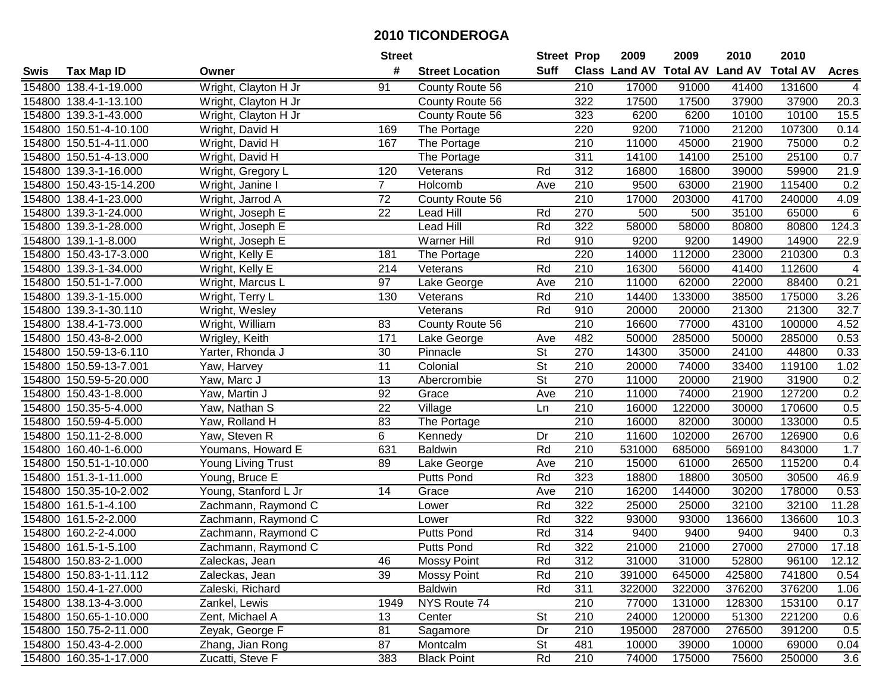|        |                         |                      | <b>Street</b>   |                        | <b>Street Prop</b>       |                  | 2009                          | 2009   | 2010           | 2010            |              |
|--------|-------------------------|----------------------|-----------------|------------------------|--------------------------|------------------|-------------------------------|--------|----------------|-----------------|--------------|
| Swis   | <b>Tax Map ID</b>       | Owner                | #               | <b>Street Location</b> | Suff                     |                  | <b>Class Land AV Total AV</b> |        | <b>Land AV</b> | <b>Total AV</b> | <b>Acres</b> |
|        | 154800 138.4-1-19.000   | Wright, Clayton H Jr | 91              | County Route 56        |                          | 210              | 17000                         | 91000  | 41400          | 131600          | 4            |
|        | 154800 138.4-1-13.100   | Wright, Clayton H Jr |                 | County Route 56        |                          | 322              | 17500                         | 17500  | 37900          | 37900           | 20.3         |
|        | 154800 139.3-1-43.000   | Wright, Clayton H Jr |                 | County Route 56        |                          | 323              | 6200                          | 6200   | 10100          | 10100           | 15.5         |
|        | 154800 150.51-4-10.100  | Wright, David H      | 169             | The Portage            |                          | 220              | 9200                          | 71000  | 21200          | 107300          | 0.14         |
|        | 154800 150.51-4-11.000  | Wright, David H      | 167             | The Portage            |                          | 210              | 11000                         | 45000  | 21900          | 75000           | 0.2          |
|        | 154800 150.51-4-13.000  | Wright, David H      |                 | The Portage            |                          | 311              | 14100                         | 14100  | 25100          | 25100           | 0.7          |
|        | 154800 139.3-1-16.000   | Wright, Gregory L    | 120             | Veterans               | Rd                       | 312              | 16800                         | 16800  | 39000          | 59900           | 21.9         |
|        | 154800 150.43-15-14.200 | Wright, Janine I     | $\overline{7}$  | Holcomb                | Ave                      | 210              | 9500                          | 63000  | 21900          | 115400          | 0.2          |
|        | 154800 138.4-1-23.000   | Wright, Jarrod A     | $\overline{72}$ | County Route 56        |                          | $\overline{210}$ | 17000                         | 203000 | 41700          | 240000          | 4.09         |
|        | 154800 139.3-1-24.000   | Wright, Joseph E     | 22              | <b>Lead Hill</b>       | Rd                       | 270              | 500                           | 500    | 35100          | 65000           | 6            |
|        | 154800 139.3-1-28.000   | Wright, Joseph E     |                 | Lead Hill              | Rd                       | 322              | 58000                         | 58000  | 80800          | 80800           | 124.3        |
|        | 154800 139.1-1-8.000    | Wright, Joseph E     |                 | Warner Hill            | Rd                       | 910              | 9200                          | 9200   | 14900          | 14900           | 22.9         |
|        | 154800 150.43-17-3.000  | Wright, Kelly E      | 181             | The Portage            |                          | 220              | 14000                         | 112000 | 23000          | 210300          | 0.3          |
|        | 154800 139.3-1-34.000   | Wright, Kelly E      | 214             | Veterans               | Rd                       | 210              | 16300                         | 56000  | 41400          | 112600          | 4            |
|        | 154800 150.51-1-7.000   | Wright, Marcus L     | 97              | Lake George            | Ave                      | 210              | 11000                         | 62000  | 22000          | 88400           | 0.21         |
|        | 154800 139.3-1-15.000   | Wright, Terry L      | 130             | Veterans               | Rd                       | 210              | 14400                         | 133000 | 38500          | 175000          | 3.26         |
|        | 154800 139.3-1-30.110   | Wright, Wesley       |                 | Veterans               | Rd                       | 910              | 20000                         | 20000  | 21300          | 21300           | 32.7         |
|        | 154800 138.4-1-73.000   | Wright, William      | 83              | County Route 56        |                          | 210              | 16600                         | 77000  | 43100          | 100000          | 4.52         |
|        | 154800 150.43-8-2.000   | Wrigley, Keith       | 171             | Lake George            | Ave                      | 482              | 50000                         | 285000 | 50000          | 285000          | 0.53         |
|        | 154800 150.59-13-6.110  | Yarter, Rhonda J     | 30              | Pinnacle               | <b>St</b>                | 270              | 14300                         | 35000  | 24100          | 44800           | 0.33         |
|        | 154800 150.59-13-7.001  | Yaw, Harvey          | 11              | Colonial               | $\overline{\mathsf{St}}$ | 210              | 20000                         | 74000  | 33400          | 119100          | 1.02         |
|        | 154800 150.59-5-20.000  | Yaw, Marc J          | 13              | Abercrombie            | <b>St</b>                | 270              | 11000                         | 20000  | 21900          | 31900           | 0.2          |
|        | 154800 150.43-1-8.000   | Yaw, Martin J        | 92              | Grace                  | Ave                      | 210              | 11000                         | 74000  | 21900          | 127200          | 0.2          |
| 154800 | 150.35-5-4.000          | Yaw, Nathan S        | 22              | Village                | Ln                       | 210              | 16000                         | 122000 | 30000          | 170600          | 0.5          |
|        | 154800 150.59-4-5.000   | Yaw, Rolland H       | 83              | The Portage            |                          | $\overline{210}$ | 16000                         | 82000  | 30000          | 133000          | 0.5          |
|        | 154800 150.11-2-8.000   | Yaw, Steven R        | 6               | Kennedy                | Dr                       | 210              | 11600                         | 102000 | 26700          | 126900          | 0.6          |
|        | 154800 160.40-1-6.000   | Youmans, Howard E    | 631             | <b>Baldwin</b>         | Rd                       | 210              | 531000                        | 685000 | 569100         | 843000          | 1.7          |
|        | 154800 150.51-1-10.000  | Young Living Trust   | 89              | Lake George            | Ave                      | 210              | 15000                         | 61000  | 26500          | 115200          | 0.4          |
|        | 154800 151.3-1-11.000   | Young, Bruce E       |                 | <b>Putts Pond</b>      | Rd                       | 323              | 18800                         | 18800  | 30500          | 30500           | 46.9         |
|        | 154800 150.35-10-2.002  | Young, Stanford L Jr | 14              | Grace                  | Ave                      | $\overline{210}$ | 16200                         | 144000 | 30200          | 178000          | 0.53         |
|        | 154800 161.5-1-4.100    | Zachmann, Raymond C  |                 | Lower                  | Rd                       | 322              | 25000                         | 25000  | 32100          | 32100           | 11.28        |
|        | 154800 161.5-2-2.000    | Zachmann, Raymond C  |                 | Lower                  | Rd                       | 322              | 93000                         | 93000  | 136600         | 136600          | 10.3         |
|        | 154800 160.2-2-4.000    | Zachmann, Raymond C  |                 | Putts Pond             | Rd                       | 314              | 9400                          | 9400   | 9400           | 9400            | 0.3          |
|        | 154800 161.5-1-5.100    | Zachmann, Raymond C  |                 | <b>Putts Pond</b>      | Rd                       | 322              | 21000                         | 21000  | 27000          | 27000           | 17.18        |
|        | 154800 150.83-2-1.000   | Zaleckas, Jean       | 46              | <b>Mossy Point</b>     | Rd                       | 312              | 31000                         | 31000  | 52800          | 96100           | 12.12        |
|        | 154800 150.83-1-11.112  | Zaleckas, Jean       | 39              | <b>Mossy Point</b>     | Rd                       | 210              | 391000                        | 645000 | 425800         | 741800          | 0.54         |
|        | 154800 150.4-1-27.000   | Zaleski, Richard     |                 | <b>Baldwin</b>         | Rd                       | 311              | 322000                        | 322000 | 376200         | 376200          | 1.06         |
|        | 154800 138.13-4-3.000   | Zankel, Lewis        | 1949            | NYS Route 74           |                          | 210              | 77000                         | 131000 | 128300         | 153100          | 0.17         |
|        | 154800 150.65-1-10.000  | Zent, Michael A      | 13              | Center                 | <b>St</b>                | 210              | 24000                         | 120000 | 51300          | 221200          | 0.6          |
|        | 154800 150.75-2-11.000  | Zeyak, George F      | 81              | Sagamore               | Dr                       | 210              | 195000                        | 287000 | 276500         | 391200          | 0.5          |
|        | 154800 150.43-4-2.000   | Zhang, Jian Rong     | 87              | Montcalm               | <b>St</b>                | 481              | 10000                         | 39000  | 10000          | 69000           | 0.04         |
|        | 154800 160.35-1-17.000  | Zucatti, Steve F     | 383             | <b>Black Point</b>     | Rd                       | 210              | 74000                         | 175000 | 75600          | 250000          | 3.6          |
|        |                         |                      |                 |                        |                          |                  |                               |        |                |                 |              |